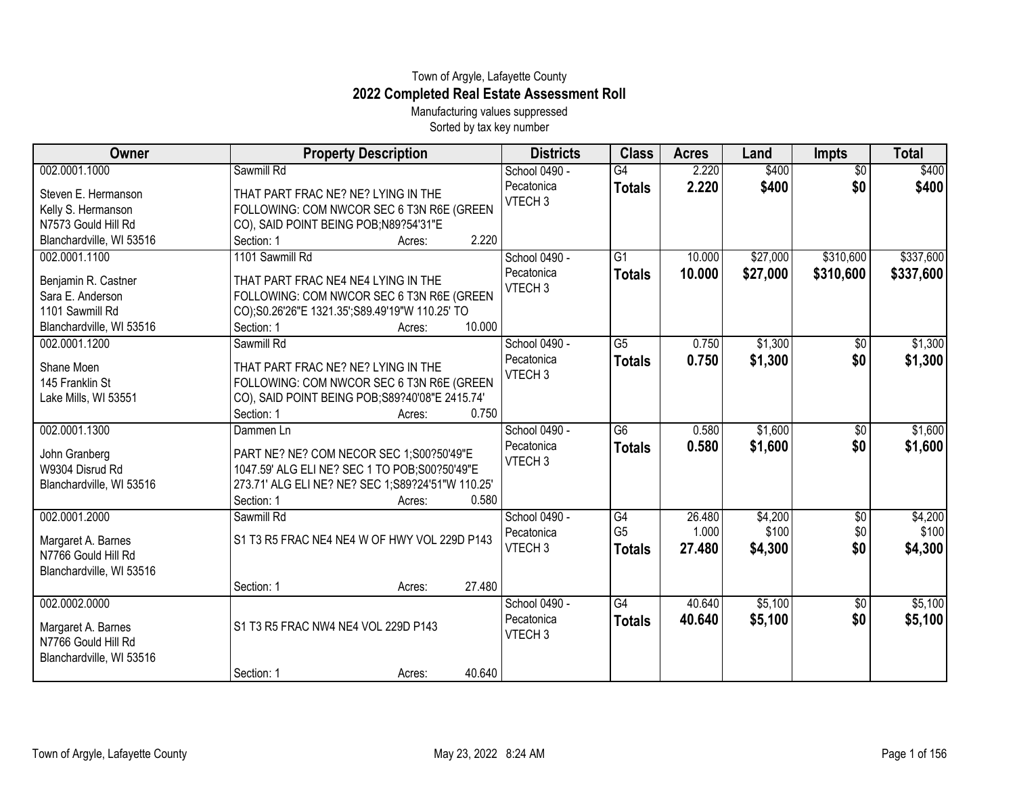## Town of Argyle, Lafayette County **2022 Completed Real Estate Assessment Roll**

Manufacturing values suppressed Sorted by tax key number

| Owner                                     | <b>Property Description</b>                       | <b>Districts</b>   | <b>Class</b>    | <b>Acres</b> | Land     | <b>Impts</b>    | <b>Total</b> |
|-------------------------------------------|---------------------------------------------------|--------------------|-----------------|--------------|----------|-----------------|--------------|
| 002.0001.1000                             | Sawmill Rd                                        | School 0490 -      | G4              | 2.220        | \$400    | $\overline{50}$ | \$400        |
| Steven E. Hermanson                       | THAT PART FRAC NE? NE? LYING IN THE               | Pecatonica         | <b>Totals</b>   | 2.220        | \$400    | \$0             | \$400        |
| Kelly S. Hermanson                        | FOLLOWING: COM NWCOR SEC 6 T3N R6E (GREEN         | VTECH <sub>3</sub> |                 |              |          |                 |              |
| N7573 Gould Hill Rd                       | CO), SAID POINT BEING POB;N89?54'31"E             |                    |                 |              |          |                 |              |
| Blanchardville, WI 53516                  | 2.220<br>Section: 1<br>Acres:                     |                    |                 |              |          |                 |              |
| 002.0001.1100                             | 1101 Sawmill Rd                                   | School 0490 -      | $\overline{G1}$ | 10.000       | \$27,000 | \$310,600       | \$337,600    |
| Benjamin R. Castner                       | THAT PART FRAC NE4 NE4 LYING IN THE               | Pecatonica         | <b>Totals</b>   | 10.000       | \$27,000 | \$310,600       | \$337,600    |
| Sara E. Anderson                          | FOLLOWING: COM NWCOR SEC 6 T3N R6E (GREEN         | VTECH <sub>3</sub> |                 |              |          |                 |              |
| 1101 Sawmill Rd                           | CO);S0.26'26"E 1321.35';S89.49'19"W 110.25' TO    |                    |                 |              |          |                 |              |
| Blanchardville, WI 53516                  | 10.000<br>Section: 1<br>Acres:                    |                    |                 |              |          |                 |              |
| 002.0001.1200                             | Sawmill Rd                                        | School 0490 -      | $\overline{G5}$ | 0.750        | \$1,300  | \$0             | \$1,300      |
| Shane Moen                                | THAT PART FRAC NE? NE? LYING IN THE               | Pecatonica         | <b>Totals</b>   | 0.750        | \$1,300  | \$0             | \$1,300      |
| 145 Franklin St                           | FOLLOWING: COM NWCOR SEC 6 T3N R6E (GREEN         | VTECH <sub>3</sub> |                 |              |          |                 |              |
| Lake Mills, WI 53551                      | CO), SAID POINT BEING POB; S89?40'08"E 2415.74'   |                    |                 |              |          |                 |              |
|                                           | Section: 1<br>0.750<br>Acres:                     |                    |                 |              |          |                 |              |
| 002.0001.1300                             | Dammen Ln                                         | School 0490 -      | $\overline{G6}$ | 0.580        | \$1,600  | $\sqrt{$0}$     | \$1,600      |
| John Granberg                             | PART NE? NE? COM NECOR SEC 1;S00?50'49"E          | Pecatonica         | <b>Totals</b>   | 0.580        | \$1,600  | \$0             | \$1,600      |
| W9304 Disrud Rd                           | 1047.59' ALG ELI NE? SEC 1 TO POB; S00?50'49"E    | VTECH <sub>3</sub> |                 |              |          |                 |              |
| Blanchardville, WI 53516                  | 273.71' ALG ELI NE? NE? SEC 1;S89?24'51"W 110.25' |                    |                 |              |          |                 |              |
|                                           | Section: 1<br>0.580<br>Acres:                     |                    |                 |              |          |                 |              |
| 002.0001.2000                             | Sawmill Rd                                        | School 0490 -      | G4              | 26.480       | \$4,200  | \$0             | \$4,200      |
| Margaret A. Barnes                        | S1 T3 R5 FRAC NE4 NE4 W OF HWY VOL 229D P143      | Pecatonica         | G <sub>5</sub>  | 1.000        | \$100    | \$0             | \$100        |
| N7766 Gould Hill Rd                       |                                                   | VTECH <sub>3</sub> | <b>Totals</b>   | 27.480       | \$4,300  | \$0             | \$4,300      |
| Blanchardville, WI 53516                  |                                                   |                    |                 |              |          |                 |              |
|                                           | 27.480<br>Section: 1<br>Acres:                    |                    |                 |              |          |                 |              |
| 002.0002.0000                             |                                                   | School 0490 -      | $\overline{G4}$ | 40.640       | \$5,100  | \$0             | \$5,100      |
|                                           | S1 T3 R5 FRAC NW4 NE4 VOL 229D P143               | Pecatonica         | <b>Totals</b>   | 40.640       | \$5,100  | \$0             | \$5,100      |
| Margaret A. Barnes<br>N7766 Gould Hill Rd |                                                   | VTECH <sub>3</sub> |                 |              |          |                 |              |
| Blanchardville, WI 53516                  |                                                   |                    |                 |              |          |                 |              |
|                                           | 40.640<br>Section: 1<br>Acres:                    |                    |                 |              |          |                 |              |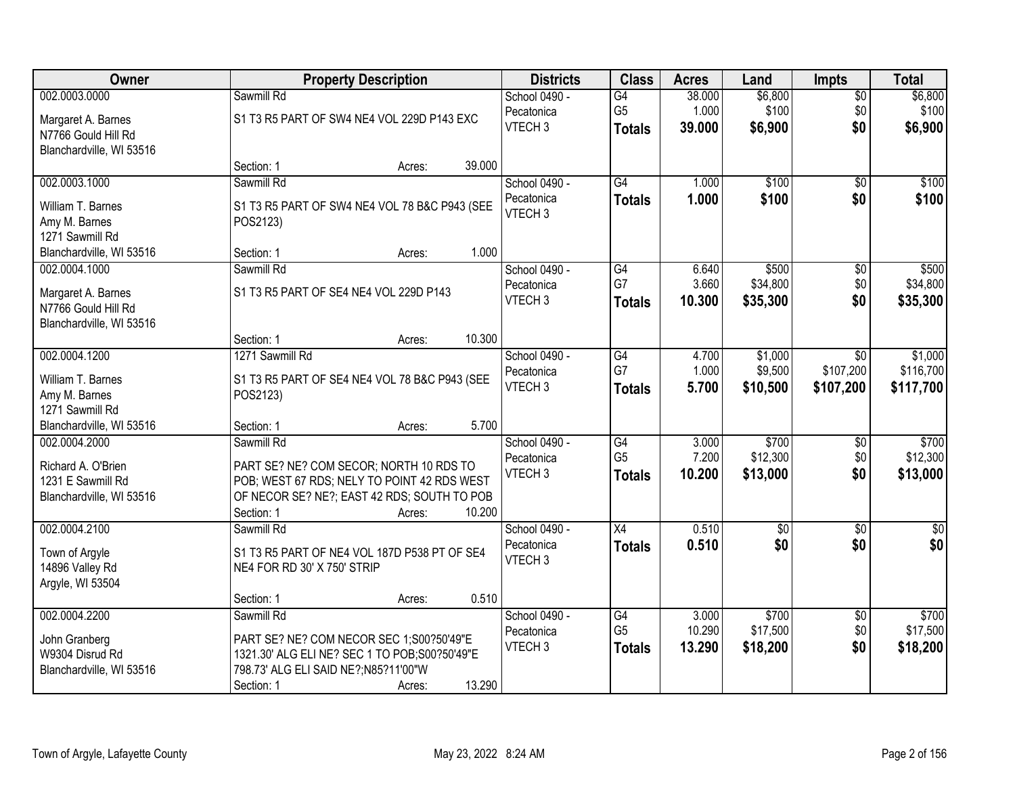| Owner                    |                                        | <b>Property Description</b>                    |        | <b>Districts</b>   | <b>Class</b>    | <b>Acres</b> | Land            | <b>Impts</b>    | <b>Total</b> |
|--------------------------|----------------------------------------|------------------------------------------------|--------|--------------------|-----------------|--------------|-----------------|-----------------|--------------|
| 002.0003.0000            | Sawmill Rd                             |                                                |        | School 0490 -      | G4              | 38.000       | \$6,800         | $\overline{50}$ | \$6,800      |
| Margaret A. Barnes       |                                        | S1 T3 R5 PART OF SW4 NE4 VOL 229D P143 EXC     |        | Pecatonica         | G <sub>5</sub>  | 1.000        | \$100           | \$0             | \$100        |
| N7766 Gould Hill Rd      |                                        |                                                |        | VTECH <sub>3</sub> | <b>Totals</b>   | 39.000       | \$6,900         | \$0             | \$6,900      |
| Blanchardville, WI 53516 |                                        |                                                |        |                    |                 |              |                 |                 |              |
|                          | Section: 1                             | Acres:                                         | 39.000 |                    |                 |              |                 |                 |              |
| 002.0003.1000            | Sawmill Rd                             |                                                |        | School 0490 -      | G4              | 1.000        | \$100           | $\overline{50}$ | \$100        |
| William T. Barnes        |                                        | S1 T3 R5 PART OF SW4 NE4 VOL 78 B&C P943 (SEE  |        | Pecatonica         | <b>Totals</b>   | 1.000        | \$100           | \$0             | \$100        |
| Amy M. Barnes            | POS2123)                               |                                                |        | VTECH <sub>3</sub> |                 |              |                 |                 |              |
| 1271 Sawmill Rd          |                                        |                                                |        |                    |                 |              |                 |                 |              |
| Blanchardville, WI 53516 | Section: 1                             | Acres:                                         | 1.000  |                    |                 |              |                 |                 |              |
| 002.0004.1000            | Sawmill Rd                             |                                                |        | School 0490 -      | G4              | 6.640        | \$500           | \$0             | \$500        |
| Margaret A. Barnes       | S1 T3 R5 PART OF SE4 NE4 VOL 229D P143 |                                                |        | Pecatonica         | G7              | 3.660        | \$34,800        | \$0             | \$34,800     |
| N7766 Gould Hill Rd      |                                        |                                                |        | VTECH <sub>3</sub> | <b>Totals</b>   | 10.300       | \$35,300        | \$0             | \$35,300     |
| Blanchardville, WI 53516 |                                        |                                                |        |                    |                 |              |                 |                 |              |
|                          | Section: 1                             | Acres:                                         | 10.300 |                    |                 |              |                 |                 |              |
| 002.0004.1200            | 1271 Sawmill Rd                        |                                                |        | School 0490 -      | $\overline{G4}$ | 4.700        | \$1,000         | $\sqrt{6}$      | \$1,000      |
| William T. Barnes        |                                        | S1 T3 R5 PART OF SE4 NE4 VOL 78 B&C P943 (SEE  |        | Pecatonica         | G7              | 1.000        | \$9,500         | \$107,200       | \$116,700    |
| Amy M. Barnes            | POS2123)                               |                                                |        | VTECH <sub>3</sub> | <b>Totals</b>   | 5.700        | \$10,500        | \$107,200       | \$117,700    |
| 1271 Sawmill Rd          |                                        |                                                |        |                    |                 |              |                 |                 |              |
| Blanchardville, WI 53516 | Section: 1                             | Acres:                                         | 5.700  |                    |                 |              |                 |                 |              |
| 002.0004.2000            | Sawmill Rd                             |                                                |        | School 0490 -      | $\overline{G4}$ | 3.000        | \$700           | \$0             | \$700        |
| Richard A. O'Brien       |                                        | PART SE? NE? COM SECOR; NORTH 10 RDS TO        |        | Pecatonica         | G <sub>5</sub>  | 7.200        | \$12,300        | \$0             | \$12,300     |
| 1231 E Sawmill Rd        |                                        | POB; WEST 67 RDS; NELY TO POINT 42 RDS WEST    |        | VTECH <sub>3</sub> | <b>Totals</b>   | 10.200       | \$13,000        | \$0             | \$13,000     |
| Blanchardville, WI 53516 |                                        | OF NECOR SE? NE?; EAST 42 RDS; SOUTH TO POB    |        |                    |                 |              |                 |                 |              |
|                          | Section: 1                             | Acres:                                         | 10.200 |                    |                 |              |                 |                 |              |
| 002.0004.2100            | Sawmill Rd                             |                                                |        | School 0490 -      | $\overline{X4}$ | 0.510        | $\overline{60}$ | $\sqrt{6}$      | $\sqrt{50}$  |
| Town of Argyle           |                                        | S1 T3 R5 PART OF NE4 VOL 187D P538 PT OF SE4   |        | Pecatonica         | <b>Totals</b>   | 0.510        | \$0             | \$0             | \$0          |
| 14896 Valley Rd          | NE4 FOR RD 30' X 750' STRIP            |                                                |        | VTECH <sub>3</sub> |                 |              |                 |                 |              |
| Argyle, WI 53504         |                                        |                                                |        |                    |                 |              |                 |                 |              |
|                          | Section: 1                             | Acres:                                         | 0.510  |                    |                 |              |                 |                 |              |
| 002.0004.2200            | Sawmill Rd                             |                                                |        | School 0490 -      | G4              | 3.000        | \$700           | $\overline{50}$ | \$700        |
| John Granberg            |                                        | PART SE? NE? COM NECOR SEC 1;S00?50'49"E       |        | Pecatonica         | G <sub>5</sub>  | 10.290       | \$17,500        | \$0             | \$17,500     |
| W9304 Disrud Rd          |                                        | 1321.30' ALG ELI NE? SEC 1 TO POB; S00?50'49"E |        | VTECH <sub>3</sub> | <b>Totals</b>   | 13.290       | \$18,200        | \$0             | \$18,200     |
| Blanchardville, WI 53516 | 798.73' ALG ELI SAID NE?;N85?11'00"W   |                                                |        |                    |                 |              |                 |                 |              |
|                          | Section: 1                             | Acres:                                         | 13.290 |                    |                 |              |                 |                 |              |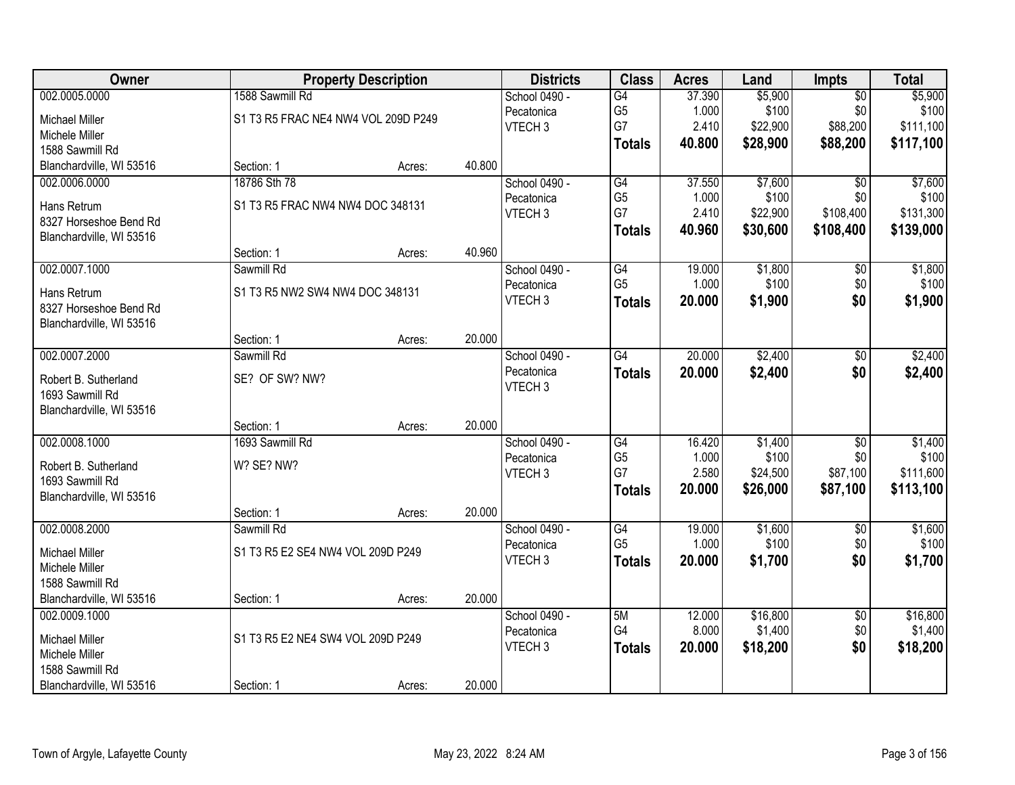| Owner                                   |                                     | <b>Property Description</b> |        | <b>Districts</b>   | <b>Class</b>    | <b>Acres</b> | Land     | Impts           | <b>Total</b> |
|-----------------------------------------|-------------------------------------|-----------------------------|--------|--------------------|-----------------|--------------|----------|-----------------|--------------|
| 002.0005.0000                           | 1588 Sawmill Rd                     |                             |        | School 0490 -      | G4              | 37.390       | \$5,900  | $\overline{50}$ | \$5,900      |
| <b>Michael Miller</b>                   | S1 T3 R5 FRAC NE4 NW4 VOL 209D P249 |                             |        | Pecatonica         | G <sub>5</sub>  | 1.000        | \$100    | \$0             | \$100        |
| Michele Miller                          |                                     |                             |        | VTECH <sub>3</sub> | G7              | 2.410        | \$22,900 | \$88,200        | \$111,100    |
| 1588 Sawmill Rd                         |                                     |                             |        |                    | <b>Totals</b>   | 40.800       | \$28,900 | \$88,200        | \$117,100    |
| Blanchardville, WI 53516                | Section: 1                          | Acres:                      | 40.800 |                    |                 |              |          |                 |              |
| 002.0006.0000                           | 18786 Sth 78                        |                             |        | School 0490 -      | G4              | 37.550       | \$7,600  | $\overline{50}$ | \$7,600      |
| Hans Retrum                             | S1 T3 R5 FRAC NW4 NW4 DOC 348131    |                             |        | Pecatonica         | G <sub>5</sub>  | 1.000        | \$100    | \$0             | \$100        |
| 8327 Horseshoe Bend Rd                  |                                     |                             |        | VTECH <sub>3</sub> | G7              | 2.410        | \$22,900 | \$108,400       | \$131,300    |
| Blanchardville, WI 53516                |                                     |                             |        |                    | <b>Totals</b>   | 40.960       | \$30,600 | \$108,400       | \$139,000    |
|                                         | Section: 1                          | Acres:                      | 40.960 |                    |                 |              |          |                 |              |
| 002.0007.1000                           | Sawmill Rd                          |                             |        | School 0490 -      | G4              | 19.000       | \$1,800  | $\overline{50}$ | \$1,800      |
| Hans Retrum                             | S1 T3 R5 NW2 SW4 NW4 DOC 348131     |                             |        | Pecatonica         | G <sub>5</sub>  | 1.000        | \$100    | \$0             | \$100        |
| 8327 Horseshoe Bend Rd                  |                                     |                             |        | VTECH <sub>3</sub> | <b>Totals</b>   | 20.000       | \$1,900  | \$0             | \$1,900      |
| Blanchardville, WI 53516                |                                     |                             |        |                    |                 |              |          |                 |              |
|                                         | Section: 1                          | Acres:                      | 20.000 |                    |                 |              |          |                 |              |
| 002.0007.2000                           | Sawmill Rd                          |                             |        | School 0490 -      | $\overline{G4}$ | 20.000       | \$2,400  | \$0             | \$2,400      |
| Robert B. Sutherland                    | SE? OF SW? NW?                      |                             |        | Pecatonica         | <b>Totals</b>   | 20.000       | \$2,400  | \$0             | \$2,400      |
| 1693 Sawmill Rd                         |                                     |                             |        | VTECH <sub>3</sub> |                 |              |          |                 |              |
| Blanchardville, WI 53516                |                                     |                             |        |                    |                 |              |          |                 |              |
|                                         | Section: 1                          | Acres:                      | 20.000 |                    |                 |              |          |                 |              |
| 002.0008.1000                           | 1693 Sawmill Rd                     |                             |        | School 0490 -      | G4              | 16.420       | \$1,400  | $\overline{50}$ | \$1,400      |
|                                         | W? SE? NW?                          |                             |        | Pecatonica         | G <sub>5</sub>  | 1.000        | \$100    | \$0             | \$100        |
| Robert B. Sutherland<br>1693 Sawmill Rd |                                     |                             |        | VTECH <sub>3</sub> | G7              | 2.580        | \$24,500 | \$87,100        | \$111,600    |
| Blanchardville, WI 53516                |                                     |                             |        |                    | <b>Totals</b>   | 20.000       | \$26,000 | \$87,100        | \$113,100    |
|                                         | Section: 1                          | Acres:                      | 20.000 |                    |                 |              |          |                 |              |
| 002.0008.2000                           | Sawmill Rd                          |                             |        | School 0490 -      | G4              | 19.000       | \$1,600  | $\overline{50}$ | \$1,600      |
| <b>Michael Miller</b>                   | S1 T3 R5 E2 SE4 NW4 VOL 209D P249   |                             |        | Pecatonica         | G <sub>5</sub>  | 1.000        | \$100    | \$0             | \$100        |
| Michele Miller                          |                                     |                             |        | VTECH <sub>3</sub> | <b>Totals</b>   | 20.000       | \$1,700  | \$0             | \$1,700      |
| 1588 Sawmill Rd                         |                                     |                             |        |                    |                 |              |          |                 |              |
| Blanchardville, WI 53516                | Section: 1                          | Acres:                      | 20.000 |                    |                 |              |          |                 |              |
| 002.0009.1000                           |                                     |                             |        | School 0490 -      | 5M              | 12.000       | \$16,800 | $\overline{50}$ | \$16,800     |
|                                         |                                     |                             |        | Pecatonica         | G4              | 8.000        | \$1,400  | \$0             | \$1,400      |
| <b>Michael Miller</b><br>Michele Miller | S1 T3 R5 E2 NE4 SW4 VOL 209D P249   |                             |        | VTECH <sub>3</sub> | <b>Totals</b>   | 20.000       | \$18,200 | \$0             | \$18,200     |
| 1588 Sawmill Rd                         |                                     |                             |        |                    |                 |              |          |                 |              |
| Blanchardville, WI 53516                | Section: 1                          | Acres:                      | 20.000 |                    |                 |              |          |                 |              |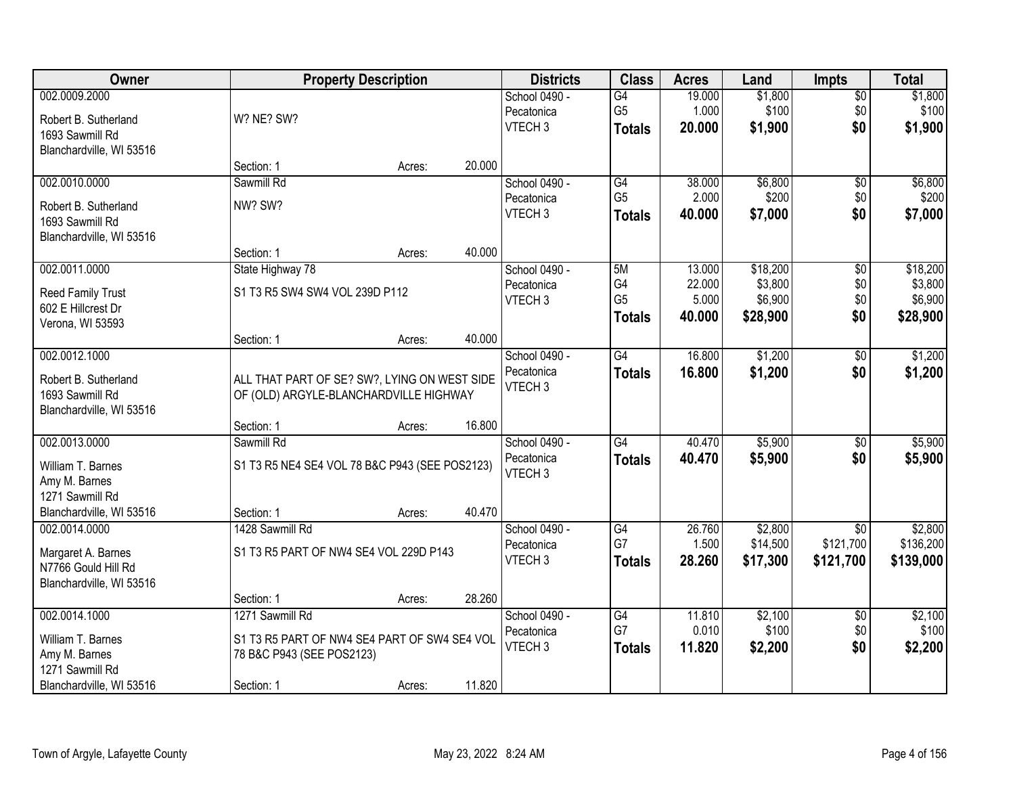| Owner                    |                                                | <b>Property Description</b> |        | <b>Districts</b>   | <b>Class</b>    | <b>Acres</b> | Land     | <b>Impts</b>    | <b>Total</b> |
|--------------------------|------------------------------------------------|-----------------------------|--------|--------------------|-----------------|--------------|----------|-----------------|--------------|
| 002.0009.2000            |                                                |                             |        | School 0490 -      | $\overline{G4}$ | 19.000       | \$1,800  | \$0             | \$1,800      |
| Robert B. Sutherland     | W? NE? SW?                                     |                             |        | Pecatonica         | G <sub>5</sub>  | 1.000        | \$100    | \$0             | \$100        |
| 1693 Sawmill Rd          |                                                |                             |        | VTECH <sub>3</sub> | <b>Totals</b>   | 20.000       | \$1,900  | \$0             | \$1,900      |
| Blanchardville, WI 53516 |                                                |                             |        |                    |                 |              |          |                 |              |
|                          | Section: 1                                     | Acres:                      | 20.000 |                    |                 |              |          |                 |              |
| 002.0010.0000            | Sawmill Rd                                     |                             |        | School 0490 -      | G4              | 38.000       | \$6,800  | \$0             | \$6,800      |
| Robert B. Sutherland     | NW? SW?                                        |                             |        | Pecatonica         | G <sub>5</sub>  | 2.000        | \$200    | \$0             | \$200        |
| 1693 Sawmill Rd          |                                                |                             |        | VTECH <sub>3</sub> | <b>Totals</b>   | 40.000       | \$7,000  | \$0             | \$7,000      |
| Blanchardville, WI 53516 |                                                |                             |        |                    |                 |              |          |                 |              |
|                          | Section: 1                                     | Acres:                      | 40.000 |                    |                 |              |          |                 |              |
| 002.0011.0000            | State Highway 78                               |                             |        | School 0490 -      | 5M              | 13.000       | \$18,200 | \$0             | \$18,200     |
| Reed Family Trust        | S1 T3 R5 SW4 SW4 VOL 239D P112                 |                             |        | Pecatonica         | G4              | 22.000       | \$3,800  | \$0             | \$3,800      |
| 602 E Hillcrest Dr       |                                                |                             |        | VTECH <sub>3</sub> | G <sub>5</sub>  | 5.000        | \$6,900  | \$0             | \$6,900      |
| Verona, WI 53593         |                                                |                             |        |                    | <b>Totals</b>   | 40.000       | \$28,900 | \$0             | \$28,900     |
|                          | Section: 1                                     | Acres:                      | 40.000 |                    |                 |              |          |                 |              |
| 002.0012.1000            |                                                |                             |        | School 0490 -      | G4              | 16.800       | \$1,200  | $\frac{1}{20}$  | \$1,200      |
| Robert B. Sutherland     | ALL THAT PART OF SE? SW?, LYING ON WEST SIDE   |                             |        | Pecatonica         | <b>Totals</b>   | 16.800       | \$1,200  | \$0             | \$1,200      |
| 1693 Sawmill Rd          | OF (OLD) ARGYLE-BLANCHARDVILLE HIGHWAY         |                             |        | VTECH <sub>3</sub> |                 |              |          |                 |              |
| Blanchardville, WI 53516 |                                                |                             |        |                    |                 |              |          |                 |              |
|                          | Section: 1                                     | Acres:                      | 16.800 |                    |                 |              |          |                 |              |
| 002.0013.0000            | Sawmill Rd                                     |                             |        | School 0490 -      | $\overline{G4}$ | 40.470       | \$5,900  | \$0             | \$5,900      |
| William T. Barnes        | S1 T3 R5 NE4 SE4 VOL 78 B&C P943 (SEE POS2123) |                             |        | Pecatonica         | <b>Totals</b>   | 40.470       | \$5,900  | \$0             | \$5,900      |
| Amy M. Barnes            |                                                |                             |        | VTECH <sub>3</sub> |                 |              |          |                 |              |
| 1271 Sawmill Rd          |                                                |                             |        |                    |                 |              |          |                 |              |
| Blanchardville, WI 53516 | Section: 1                                     | Acres:                      | 40.470 |                    |                 |              |          |                 |              |
| 002.0014.0000            | 1428 Sawmill Rd                                |                             |        | School 0490 -      | G4              | 26.760       | \$2,800  | $\sqrt{6}$      | \$2,800      |
| Margaret A. Barnes       | S1 T3 R5 PART OF NW4 SE4 VOL 229D P143         |                             |        | Pecatonica         | G7              | 1.500        | \$14,500 | \$121,700       | \$136,200    |
| N7766 Gould Hill Rd      |                                                |                             |        | VTECH <sub>3</sub> | <b>Totals</b>   | 28.260       | \$17,300 | \$121,700       | \$139,000    |
| Blanchardville, WI 53516 |                                                |                             |        |                    |                 |              |          |                 |              |
|                          | Section: 1                                     | Acres:                      | 28.260 |                    |                 |              |          |                 |              |
| 002.0014.1000            | 1271 Sawmill Rd                                |                             |        | School 0490 -      | G4              | 11.810       | \$2,100  | $\overline{60}$ | \$2,100      |
| William T. Barnes        | S1 T3 R5 PART OF NW4 SE4 PART OF SW4 SE4 VOL   |                             |        | Pecatonica         | G7              | 0.010        | \$100    | \$0             | \$100        |
| Amy M. Barnes            | 78 B&C P943 (SEE POS2123)                      |                             |        | VTECH <sub>3</sub> | <b>Totals</b>   | 11.820       | \$2,200  | \$0             | \$2,200      |
| 1271 Sawmill Rd          |                                                |                             |        |                    |                 |              |          |                 |              |
| Blanchardville, WI 53516 | Section: 1                                     | Acres:                      | 11.820 |                    |                 |              |          |                 |              |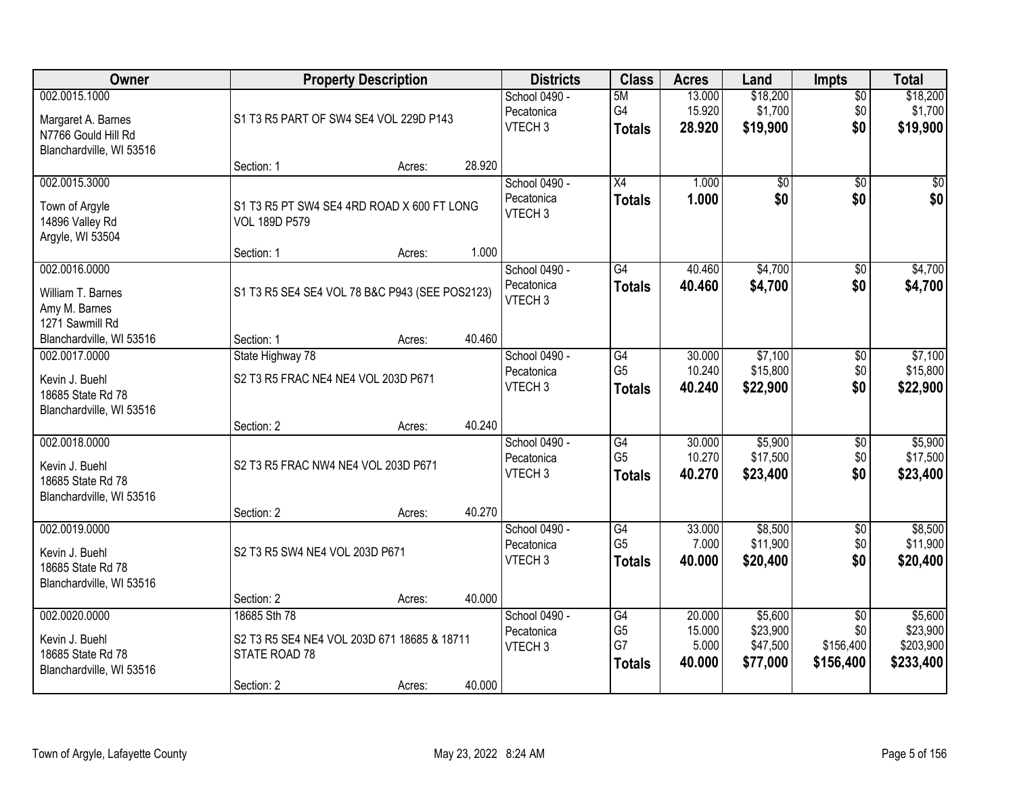| Owner                                                                                  |                                                                                            | <b>Property Description</b> |        | <b>Districts</b>                                  | <b>Class</b>                                       | <b>Acres</b>                        | Land                                        | <b>Impts</b>                                     | <b>Total</b>                                  |
|----------------------------------------------------------------------------------------|--------------------------------------------------------------------------------------------|-----------------------------|--------|---------------------------------------------------|----------------------------------------------------|-------------------------------------|---------------------------------------------|--------------------------------------------------|-----------------------------------------------|
| 002.0015.1000<br>Margaret A. Barnes<br>N7766 Gould Hill Rd<br>Blanchardville, WI 53516 | S1 T3 R5 PART OF SW4 SE4 VOL 229D P143                                                     |                             |        | School 0490 -<br>Pecatonica<br>VTECH <sub>3</sub> | 5M<br>G4<br><b>Totals</b>                          | 13.000<br>15.920<br>28.920          | \$18,200<br>\$1,700<br>\$19,900             | $\overline{50}$<br>\$0<br>\$0                    | \$18,200<br>\$1,700<br>\$19,900               |
|                                                                                        | Section: 1                                                                                 | Acres:                      | 28.920 |                                                   |                                                    |                                     |                                             |                                                  |                                               |
| 002.0015.3000<br>Town of Argyle<br>14896 Valley Rd<br>Argyle, WI 53504                 | S1 T3 R5 PT SW4 SE4 4RD ROAD X 600 FT LONG<br><b>VOL 189D P579</b>                         |                             |        | School 0490 -<br>Pecatonica<br>VTECH <sub>3</sub> | $\overline{X4}$<br><b>Totals</b>                   | 1.000<br>1.000                      | $\overline{50}$<br>\$0                      | $\overline{50}$<br>\$0                           | $\sqrt{50}$<br>\$0                            |
| 002.0016.0000                                                                          | Section: 1                                                                                 | Acres:                      | 1.000  | School 0490 -                                     | G4                                                 | 40.460                              | \$4,700                                     | $\overline{50}$                                  | \$4,700                                       |
| William T. Barnes<br>Amy M. Barnes<br>1271 Sawmill Rd                                  | S1 T3 R5 SE4 SE4 VOL 78 B&C P943 (SEE POS2123)                                             |                             |        | Pecatonica<br>VTECH <sub>3</sub>                  | <b>Totals</b>                                      | 40.460                              | \$4,700                                     | \$0                                              | \$4,700                                       |
| Blanchardville, WI 53516                                                               | Section: 1                                                                                 | Acres:                      | 40.460 |                                                   |                                                    |                                     |                                             |                                                  |                                               |
| 002.0017.0000<br>Kevin J. Buehl<br>18685 State Rd 78<br>Blanchardville, WI 53516       | State Highway 78<br>S2 T3 R5 FRAC NE4 NE4 VOL 203D P671                                    |                             |        | School 0490 -<br>Pecatonica<br>VTECH <sub>3</sub> | G4<br>G <sub>5</sub><br><b>Totals</b>              | 30.000<br>10.240<br>40.240          | \$7,100<br>\$15,800<br>\$22,900             | \$0<br>\$0<br>\$0                                | \$7,100<br>\$15,800<br>\$22,900               |
|                                                                                        | Section: 2                                                                                 | Acres:                      | 40.240 |                                                   |                                                    |                                     |                                             |                                                  |                                               |
| 002.0018.0000<br>Kevin J. Buehl<br>18685 State Rd 78<br>Blanchardville, WI 53516       | S2 T3 R5 FRAC NW4 NE4 VOL 203D P671<br>Section: 2                                          | Acres:                      | 40.270 | School 0490 -<br>Pecatonica<br>VTECH <sub>3</sub> | $\overline{G4}$<br>G <sub>5</sub><br><b>Totals</b> | 30.000<br>10.270<br>40.270          | \$5,900<br>\$17,500<br>\$23,400             | \$0<br>\$0<br>\$0                                | \$5,900<br>\$17,500<br>\$23,400               |
| 002.0019.0000                                                                          |                                                                                            |                             |        | School 0490 -<br>Pecatonica                       | G4<br>G <sub>5</sub>                               | 33.000<br>7.000                     | \$8,500<br>\$11,900                         | $\sqrt{$0}$<br>\$0                               | \$8,500<br>\$11,900                           |
| Kevin J. Buehl<br>18685 State Rd 78<br>Blanchardville, WI 53516                        | S2 T3 R5 SW4 NE4 VOL 203D P671                                                             |                             |        | VTECH <sub>3</sub>                                | <b>Totals</b>                                      | 40.000                              | \$20,400                                    | \$0                                              | \$20,400                                      |
|                                                                                        | Section: 2                                                                                 | Acres:                      | 40.000 |                                                   |                                                    |                                     |                                             |                                                  |                                               |
| 002.0020.0000<br>Kevin J. Buehl<br>18685 State Rd 78<br>Blanchardville, WI 53516       | 18685 Sth 78<br>S2 T3 R5 SE4 NE4 VOL 203D 671 18685 & 18711<br>STATE ROAD 78<br>Section: 2 | Acres:                      | 40.000 | School 0490 -<br>Pecatonica<br>VTECH <sub>3</sub> | G4<br>G <sub>5</sub><br>G7<br><b>Totals</b>        | 20.000<br>15.000<br>5.000<br>40.000 | \$5,600<br>\$23,900<br>\$47,500<br>\$77,000 | $\overline{50}$<br>\$0<br>\$156,400<br>\$156,400 | \$5,600<br>\$23,900<br>\$203,900<br>\$233,400 |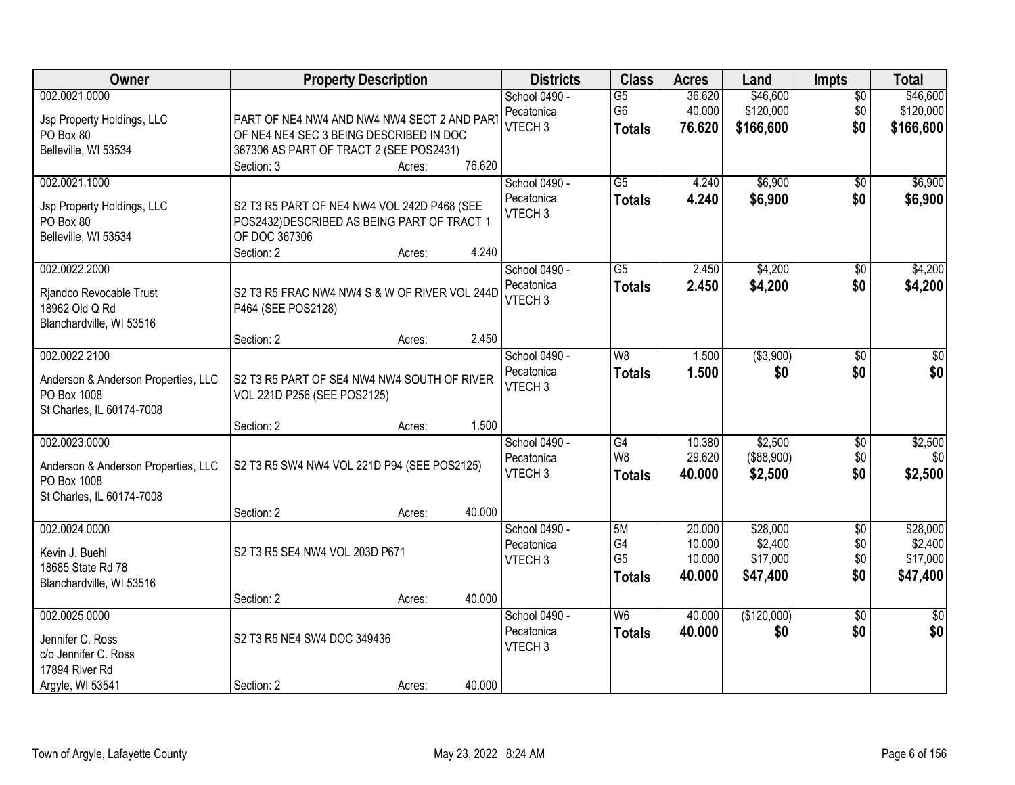| Owner                                                                                            | <b>Property Description</b>                                                                                                                                         | <b>Districts</b>                                  | <b>Class</b>                                       | <b>Acres</b>                         | Land                                        | <b>Impts</b>                         | <b>Total</b>                                |
|--------------------------------------------------------------------------------------------------|---------------------------------------------------------------------------------------------------------------------------------------------------------------------|---------------------------------------------------|----------------------------------------------------|--------------------------------------|---------------------------------------------|--------------------------------------|---------------------------------------------|
| 002.0021.0000<br>Jsp Property Holdings, LLC<br>PO Box 80<br>Belleville, WI 53534                 | PART OF NE4 NW4 AND NW4 NW4 SECT 2 AND PART<br>OF NE4 NE4 SEC 3 BEING DESCRIBED IN DOC<br>367306 AS PART OF TRACT 2 (SEE POS2431)<br>76.620<br>Section: 3<br>Acres: | School 0490 -<br>Pecatonica<br>VTECH <sub>3</sub> | $\overline{G5}$<br>G6<br><b>Totals</b>             | 36.620<br>40.000<br>76.620           | \$46,600<br>\$120,000<br>\$166,600          | $\overline{30}$<br>\$0<br>\$0        | \$46,600<br>\$120,000<br>\$166,600          |
| 002.0021.1000<br>Jsp Property Holdings, LLC<br>PO Box 80<br>Belleville, WI 53534                 | S2 T3 R5 PART OF NE4 NW4 VOL 242D P468 (SEE<br>POS2432) DESCRIBED AS BEING PART OF TRACT 1<br>OF DOC 367306<br>4.240<br>Section: 2<br>Acres:                        | School 0490 -<br>Pecatonica<br>VTECH <sub>3</sub> | $\overline{G5}$<br><b>Totals</b>                   | 4.240<br>4.240                       | \$6,900<br>\$6,900                          | $\overline{50}$<br>\$0               | \$6,900<br>\$6,900                          |
| 002.0022.2000<br>Rjandco Revocable Trust<br>18962 Old Q Rd<br>Blanchardville, WI 53516           | S2 T3 R5 FRAC NW4 NW4 S & W OF RIVER VOL 244D<br>P464 (SEE POS2128)<br>2.450<br>Section: 2<br>Acres:                                                                | School 0490 -<br>Pecatonica<br>VTECH <sub>3</sub> | G5<br><b>Totals</b>                                | 2.450<br>2.450                       | \$4,200<br>\$4,200                          | $\sqrt[6]{30}$<br>\$0                | \$4,200<br>\$4,200                          |
| 002.0022.2100<br>Anderson & Anderson Properties, LLC<br>PO Box 1008<br>St Charles, IL 60174-7008 | S2 T3 R5 PART OF SE4 NW4 NW4 SOUTH OF RIVER<br>VOL 221D P256 (SEE POS2125)<br>1.500<br>Section: 2<br>Acres:                                                         | School 0490 -<br>Pecatonica<br>VTECH <sub>3</sub> | W <sub>8</sub><br><b>Totals</b>                    | 1.500<br>1.500                       | ( \$3,900)<br>\$0                           | \$0<br>\$0                           | \$0<br>\$0                                  |
| 002.0023.0000<br>Anderson & Anderson Properties, LLC<br>PO Box 1008<br>St Charles, IL 60174-7008 | S2 T3 R5 SW4 NW4 VOL 221D P94 (SEE POS2125)<br>40.000<br>Section: 2<br>Acres:                                                                                       | School 0490 -<br>Pecatonica<br>VTECH <sub>3</sub> | $\overline{G4}$<br>W <sub>8</sub><br><b>Totals</b> | 10.380<br>29.620<br>40.000           | \$2,500<br>(\$88,900)<br>\$2,500            | $\overline{30}$<br>\$0<br>\$0        | \$2,500<br>\$0<br>\$2,500                   |
| 002.0024.0000<br>Kevin J. Buehl<br>18685 State Rd 78<br>Blanchardville, WI 53516                 | S2 T3 R5 SE4 NW4 VOL 203D P671<br>40.000<br>Section: 2<br>Acres:                                                                                                    | School 0490 -<br>Pecatonica<br>VTECH <sub>3</sub> | 5M<br>G4<br>G <sub>5</sub><br><b>Totals</b>        | 20.000<br>10.000<br>10.000<br>40.000 | \$28,000<br>\$2,400<br>\$17,000<br>\$47,400 | $\overline{50}$<br>\$0<br>\$0<br>\$0 | \$28,000<br>\$2,400<br>\$17,000<br>\$47,400 |
| 002.0025.0000<br>Jennifer C. Ross<br>c/o Jennifer C. Ross<br>17894 River Rd<br>Argyle, WI 53541  | S2 T3 R5 NE4 SW4 DOC 349436<br>Section: 2<br>40.000<br>Acres:                                                                                                       | School 0490 -<br>Pecatonica<br>VTECH <sub>3</sub> | W6<br><b>Totals</b>                                | 40.000<br>40.000                     | (\$120,000)<br>\$0                          | $\overline{50}$<br>\$0               | $\frac{1}{30}$<br>\$0                       |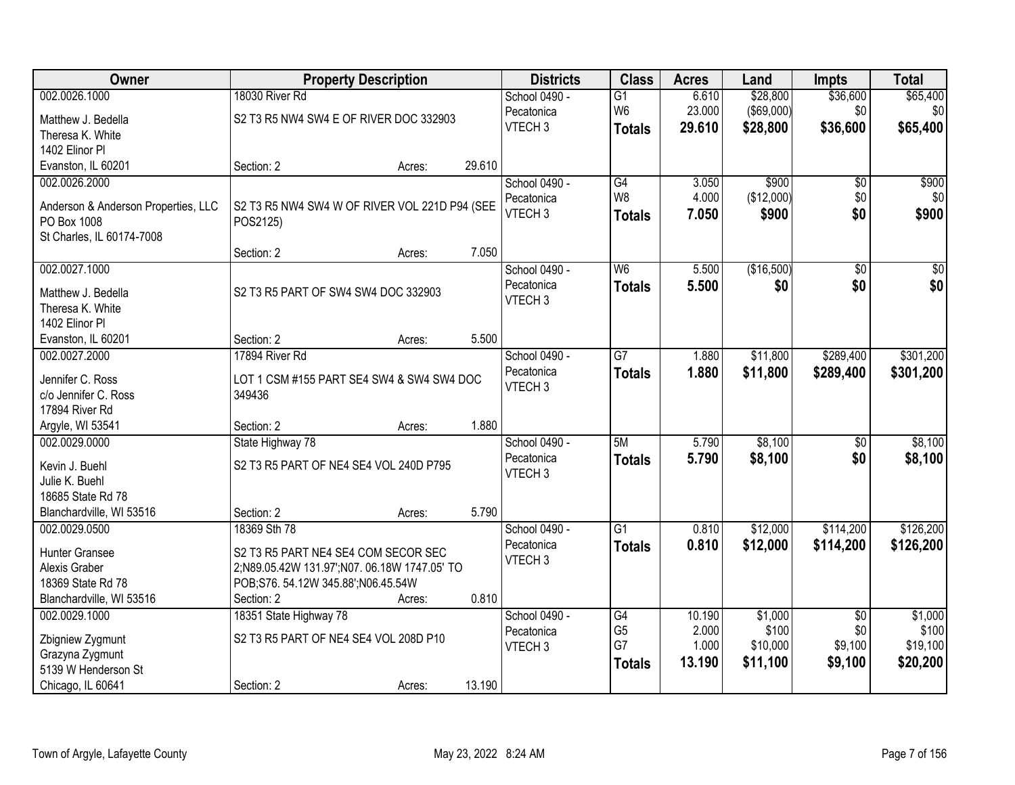| Owner                               |                                               | <b>Property Description</b> |        | <b>Districts</b>            | <b>Class</b>    | <b>Acres</b> | Land       | <b>Impts</b>    | <b>Total</b>     |
|-------------------------------------|-----------------------------------------------|-----------------------------|--------|-----------------------------|-----------------|--------------|------------|-----------------|------------------|
| 002.0026.1000                       | 18030 River Rd                                |                             |        | School 0490 -               | $\overline{G1}$ | 6.610        | \$28,800   | \$36,600        | \$65,400         |
| Matthew J. Bedella                  | S2 T3 R5 NW4 SW4 E OF RIVER DOC 332903        |                             |        | Pecatonica                  | W <sub>6</sub>  | 23.000       | (\$69,000) | \$0             | \$0              |
| Theresa K. White                    |                                               |                             |        | VTECH <sub>3</sub>          | <b>Totals</b>   | 29.610       | \$28,800   | \$36,600        | \$65,400         |
| 1402 Elinor Pl                      |                                               |                             |        |                             |                 |              |            |                 |                  |
| Evanston, IL 60201                  | Section: 2                                    | Acres:                      | 29.610 |                             |                 |              |            |                 |                  |
| 002.0026.2000                       |                                               |                             |        | School 0490 -               | G4              | 3.050        | \$900      | $\overline{50}$ | \$900            |
|                                     |                                               |                             |        | Pecatonica                  | W <sub>8</sub>  | 4.000        | (\$12,000) | \$0             | \$0              |
| Anderson & Anderson Properties, LLC | S2 T3 R5 NW4 SW4 W OF RIVER VOL 221D P94 (SEE |                             |        | VTECH <sub>3</sub>          | <b>Totals</b>   | 7.050        | \$900      | \$0             | \$900            |
| PO Box 1008                         | POS2125)                                      |                             |        |                             |                 |              |            |                 |                  |
| St Charles, IL 60174-7008           | Section: 2                                    |                             | 7.050  |                             |                 |              |            |                 |                  |
| 002.0027.1000                       |                                               | Acres:                      |        |                             | W <sub>6</sub>  | 5.500        | (\$16,500) | $\overline{50}$ | $\overline{\$0}$ |
|                                     |                                               |                             |        | School 0490 -<br>Pecatonica |                 |              |            |                 |                  |
| Matthew J. Bedella                  | S2 T3 R5 PART OF SW4 SW4 DOC 332903           |                             |        | VTECH <sub>3</sub>          | <b>Totals</b>   | 5.500        | \$0        | \$0             | \$0              |
| Theresa K. White                    |                                               |                             |        |                             |                 |              |            |                 |                  |
| 1402 Elinor Pl                      |                                               |                             |        |                             |                 |              |            |                 |                  |
| Evanston, IL 60201                  | Section: 2                                    | Acres:                      | 5.500  |                             |                 |              |            |                 |                  |
| 002.0027.2000                       | 17894 River Rd                                |                             |        | School 0490 -               | $\overline{G7}$ | 1.880        | \$11,800   | \$289,400       | \$301,200        |
| Jennifer C. Ross                    | LOT 1 CSM #155 PART SE4 SW4 & SW4 SW4 DOC     |                             |        | Pecatonica                  | <b>Totals</b>   | 1.880        | \$11,800   | \$289,400       | \$301,200        |
| c/o Jennifer C. Ross                | 349436                                        |                             |        | VTECH <sub>3</sub>          |                 |              |            |                 |                  |
| 17894 River Rd                      |                                               |                             |        |                             |                 |              |            |                 |                  |
| Argyle, WI 53541                    | Section: 2                                    | Acres:                      | 1.880  |                             |                 |              |            |                 |                  |
| 002.0029.0000                       | State Highway 78                              |                             |        | School 0490 -               | 5M              | 5.790        | \$8,100    | \$0             | \$8,100          |
|                                     |                                               |                             |        | Pecatonica                  | <b>Totals</b>   | 5.790        | \$8,100    | \$0             | \$8,100          |
| Kevin J. Buehl                      | S2 T3 R5 PART OF NE4 SE4 VOL 240D P795        |                             |        | VTECH <sub>3</sub>          |                 |              |            |                 |                  |
| Julie K. Buehl                      |                                               |                             |        |                             |                 |              |            |                 |                  |
| 18685 State Rd 78                   |                                               |                             |        |                             |                 |              |            |                 |                  |
| Blanchardville, WI 53516            | Section: 2                                    | Acres:                      | 5.790  |                             |                 |              |            |                 |                  |
| 002.0029.0500                       | 18369 Sth 78                                  |                             |        | School 0490 -               | $\overline{G1}$ | 0.810        | \$12,000   | \$114,200       | \$126,200        |
| Hunter Gransee                      | S2 T3 R5 PART NE4 SE4 COM SECOR SEC           |                             |        | Pecatonica                  | <b>Totals</b>   | 0.810        | \$12,000   | \$114,200       | \$126,200        |
| Alexis Graber                       | 2;N89.05.42W 131.97';N07.06.18W 1747.05' TO   |                             |        | VTECH <sub>3</sub>          |                 |              |            |                 |                  |
| 18369 State Rd 78                   | POB;S76.54.12W 345.88';N06.45.54W             |                             |        |                             |                 |              |            |                 |                  |
| Blanchardville, WI 53516            | Section: 2                                    | Acres:                      | 0.810  |                             |                 |              |            |                 |                  |
| 002.0029.1000                       | 18351 State Highway 78                        |                             |        | School 0490 -               | G4              | 10.190       | \$1,000    | $\overline{50}$ | \$1,000          |
| Zbigniew Zygmunt                    | S2 T3 R5 PART OF NE4 SE4 VOL 208D P10         |                             |        | Pecatonica                  | G <sub>5</sub>  | 2.000        | \$100      | \$0             | \$100            |
| Grazyna Zygmunt                     |                                               |                             |        | VTECH <sub>3</sub>          | G7              | 1.000        | \$10,000   | \$9,100         | \$19,100         |
| 5139 W Henderson St                 |                                               |                             |        |                             | <b>Totals</b>   | 13.190       | \$11,100   | \$9,100         | \$20,200         |
| Chicago, IL 60641                   | Section: 2                                    | Acres:                      | 13.190 |                             |                 |              |            |                 |                  |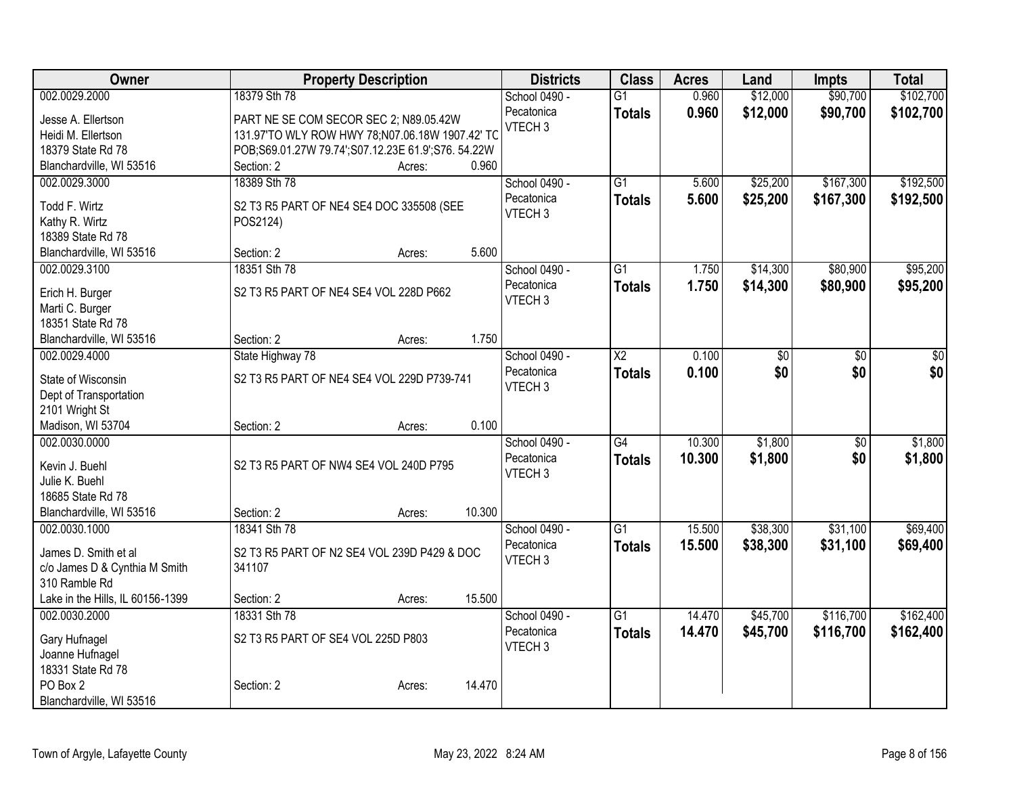| Owner                            |                                                    | <b>Property Description</b> |        | <b>Districts</b>   | <b>Class</b>           | <b>Acres</b> | Land     | <b>Impts</b>    | <b>Total</b>    |
|----------------------------------|----------------------------------------------------|-----------------------------|--------|--------------------|------------------------|--------------|----------|-----------------|-----------------|
| 002.0029.2000                    | 18379 Sth 78                                       |                             |        | School 0490 -      | $\overline{G1}$        | 0.960        | \$12,000 | \$90,700        | \$102,700       |
| Jesse A. Ellertson               | PART NE SE COM SECOR SEC 2; N89.05.42W             |                             |        | Pecatonica         | <b>Totals</b>          | 0.960        | \$12,000 | \$90,700        | \$102,700       |
| Heidi M. Ellertson               | 131.97'TO WLY ROW HWY 78;N07.06.18W 1907.42' TC    |                             |        | VTECH <sub>3</sub> |                        |              |          |                 |                 |
| 18379 State Rd 78                | POB;S69.01.27W 79.74';S07.12.23E 61.9';S76. 54.22W |                             |        |                    |                        |              |          |                 |                 |
| Blanchardville, WI 53516         | Section: 2                                         | Acres:                      | 0.960  |                    |                        |              |          |                 |                 |
| 002.0029.3000                    | 18389 Sth 78                                       |                             |        | School 0490 -      | $\overline{G1}$        | 5.600        | \$25,200 | \$167,300       | \$192,500       |
|                                  |                                                    |                             |        | Pecatonica         | <b>Totals</b>          | 5.600        | \$25,200 | \$167,300       | \$192,500       |
| Todd F. Wirtz<br>Kathy R. Wirtz  | S2 T3 R5 PART OF NE4 SE4 DOC 335508 (SEE           |                             |        | VTECH <sub>3</sub> |                        |              |          |                 |                 |
| 18389 State Rd 78                | POS2124)                                           |                             |        |                    |                        |              |          |                 |                 |
| Blanchardville, WI 53516         | Section: 2                                         | Acres:                      | 5.600  |                    |                        |              |          |                 |                 |
| 002.0029.3100                    | 18351 Sth 78                                       |                             |        | School 0490 -      | $\overline{G1}$        | 1.750        | \$14,300 | \$80,900        | \$95,200        |
|                                  |                                                    |                             |        | Pecatonica         |                        | 1.750        |          | \$80,900        |                 |
| Erich H. Burger                  | S2 T3 R5 PART OF NE4 SE4 VOL 228D P662             |                             |        | VTECH <sub>3</sub> | <b>Totals</b>          |              | \$14,300 |                 | \$95,200        |
| Marti C. Burger                  |                                                    |                             |        |                    |                        |              |          |                 |                 |
| 18351 State Rd 78                |                                                    |                             |        |                    |                        |              |          |                 |                 |
| Blanchardville, WI 53516         | Section: 2                                         | Acres:                      | 1.750  |                    |                        |              |          |                 |                 |
| 002.0029.4000                    | State Highway 78                                   |                             |        | School 0490 -      | $\overline{\text{X2}}$ | 0.100        | \$0      | $\overline{30}$ | $\overline{50}$ |
| State of Wisconsin               | S2 T3 R5 PART OF NE4 SE4 VOL 229D P739-741         |                             |        | Pecatonica         | <b>Totals</b>          | 0.100        | \$0      | \$0             | \$0             |
| Dept of Transportation           |                                                    |                             |        | VTECH <sub>3</sub> |                        |              |          |                 |                 |
| 2101 Wright St                   |                                                    |                             |        |                    |                        |              |          |                 |                 |
| Madison, WI 53704                | Section: 2                                         | Acres:                      | 0.100  |                    |                        |              |          |                 |                 |
| 002.0030.0000                    |                                                    |                             |        | School 0490 -      | G4                     | 10.300       | \$1,800  | $\overline{50}$ | \$1,800         |
|                                  |                                                    |                             |        | Pecatonica         | <b>Totals</b>          | 10.300       | \$1,800  | \$0             | \$1,800         |
| Kevin J. Buehl                   | S2 T3 R5 PART OF NW4 SE4 VOL 240D P795             |                             |        | VTECH <sub>3</sub> |                        |              |          |                 |                 |
| Julie K. Buehl                   |                                                    |                             |        |                    |                        |              |          |                 |                 |
| 18685 State Rd 78                |                                                    |                             |        |                    |                        |              |          |                 |                 |
| Blanchardville, WI 53516         | Section: 2                                         | Acres:                      | 10.300 |                    |                        |              |          |                 |                 |
| 002.0030.1000                    | 18341 Sth 78                                       |                             |        | School 0490 -      | $\overline{G1}$        | 15.500       | \$38,300 | \$31,100        | \$69,400        |
| James D. Smith et al             | S2 T3 R5 PART OF N2 SE4 VOL 239D P429 & DOC        |                             |        | Pecatonica         | <b>Totals</b>          | 15.500       | \$38,300 | \$31,100        | \$69,400        |
| c/o James D & Cynthia M Smith    | 341107                                             |                             |        | VTECH <sub>3</sub> |                        |              |          |                 |                 |
| 310 Ramble Rd                    |                                                    |                             |        |                    |                        |              |          |                 |                 |
| Lake in the Hills, IL 60156-1399 | Section: 2                                         | Acres:                      | 15.500 |                    |                        |              |          |                 |                 |
| 002.0030.2000                    | 18331 Sth 78                                       |                             |        | School 0490 -      | $\overline{G1}$        | 14.470       | \$45,700 | \$116,700       | \$162,400       |
| Gary Hufnagel                    | S2 T3 R5 PART OF SE4 VOL 225D P803                 |                             |        | Pecatonica         | <b>Totals</b>          | 14.470       | \$45,700 | \$116,700       | \$162,400       |
| Joanne Hufnagel                  |                                                    |                             |        | VTECH <sub>3</sub> |                        |              |          |                 |                 |
| 18331 State Rd 78                |                                                    |                             |        |                    |                        |              |          |                 |                 |
| PO Box 2                         | Section: 2                                         | Acres:                      | 14.470 |                    |                        |              |          |                 |                 |
| Blanchardville, WI 53516         |                                                    |                             |        |                    |                        |              |          |                 |                 |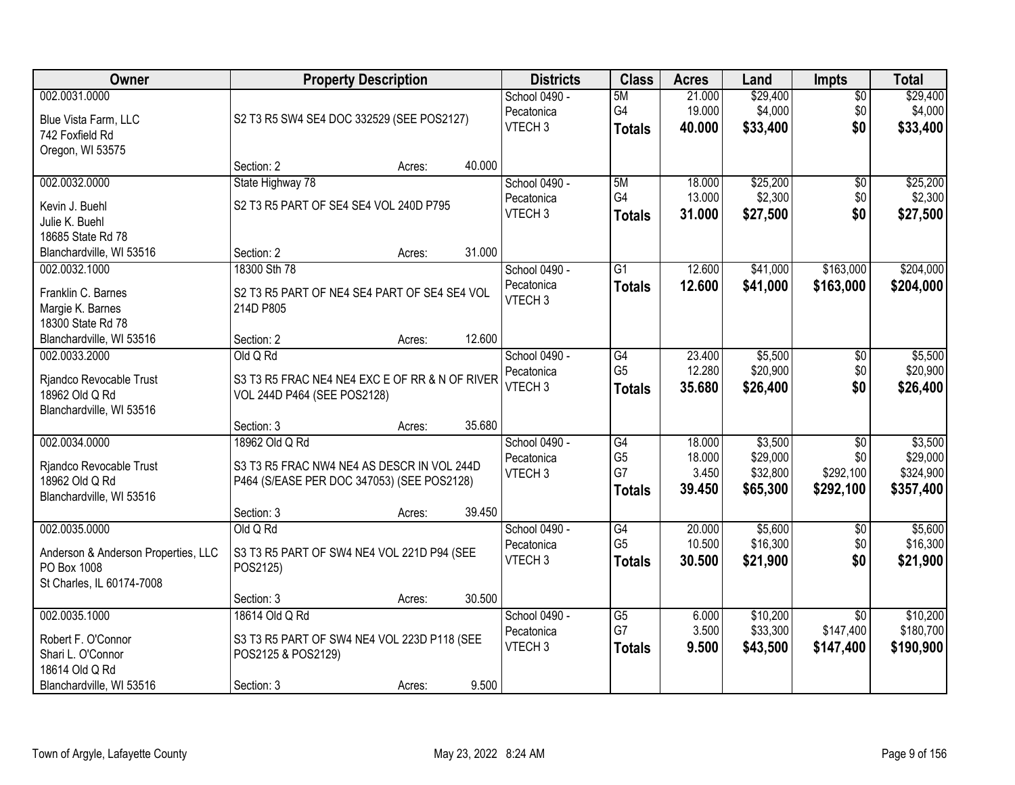| Owner                               | <b>Property Description</b>                    |        |        | <b>Districts</b>   | <b>Class</b>    | <b>Acres</b> | Land     | <b>Impts</b>    | <b>Total</b> |
|-------------------------------------|------------------------------------------------|--------|--------|--------------------|-----------------|--------------|----------|-----------------|--------------|
| 002.0031.0000                       |                                                |        |        | School 0490 -      | 5M              | 21.000       | \$29,400 | $\overline{50}$ | \$29,400     |
| Blue Vista Farm, LLC                | S2 T3 R5 SW4 SE4 DOC 332529 (SEE POS2127)      |        |        | Pecatonica         | G4              | 19.000       | \$4,000  | \$0             | \$4,000      |
| 742 Foxfield Rd                     |                                                |        |        | VTECH <sub>3</sub> | <b>Totals</b>   | 40.000       | \$33,400 | \$0             | \$33,400     |
| Oregon, WI 53575                    |                                                |        |        |                    |                 |              |          |                 |              |
|                                     | Section: 2                                     | Acres: | 40.000 |                    |                 |              |          |                 |              |
| 002.0032.0000                       | State Highway 78                               |        |        | School 0490 -      | 5M              | 18,000       | \$25,200 | \$0             | \$25,200     |
| Kevin J. Buehl                      | S2 T3 R5 PART OF SE4 SE4 VOL 240D P795         |        |        | Pecatonica         | G4              | 13.000       | \$2,300  | \$0             | \$2,300      |
| Julie K. Buehl                      |                                                |        |        | VTECH <sub>3</sub> | <b>Totals</b>   | 31.000       | \$27,500 | \$0             | \$27,500     |
| 18685 State Rd 78                   |                                                |        |        |                    |                 |              |          |                 |              |
| Blanchardville, WI 53516            | Section: 2                                     | Acres: | 31.000 |                    |                 |              |          |                 |              |
| 002.0032.1000                       | 18300 Sth 78                                   |        |        | School 0490 -      | $\overline{G1}$ | 12.600       | \$41,000 | \$163,000       | \$204,000    |
| Franklin C. Barnes                  | S2 T3 R5 PART OF NE4 SE4 PART OF SE4 SE4 VOL   |        |        | Pecatonica         | <b>Totals</b>   | 12.600       | \$41,000 | \$163,000       | \$204,000    |
| Margie K. Barnes                    | 214D P805                                      |        |        | VTECH <sub>3</sub> |                 |              |          |                 |              |
| 18300 State Rd 78                   |                                                |        |        |                    |                 |              |          |                 |              |
| Blanchardville, WI 53516            | Section: 2                                     | Acres: | 12.600 |                    |                 |              |          |                 |              |
| 002.0033.2000                       | Old Q Rd                                       |        |        | School 0490 -      | G4              | 23.400       | \$5,500  | $\sqrt[6]{3}$   | \$5,500      |
| Rjandco Revocable Trust             | S3 T3 R5 FRAC NE4 NE4 EXC E OF RR & N OF RIVER |        |        | Pecatonica         | G <sub>5</sub>  | 12.280       | \$20,900 | \$0             | \$20,900     |
| 18962 Old Q Rd                      | VOL 244D P464 (SEE POS2128)                    |        |        | VTECH <sub>3</sub> | <b>Totals</b>   | 35.680       | \$26,400 | \$0             | \$26,400     |
| Blanchardville, WI 53516            |                                                |        |        |                    |                 |              |          |                 |              |
|                                     | Section: 3                                     | Acres: | 35.680 |                    |                 |              |          |                 |              |
| 002.0034.0000                       | 18962 Old Q Rd                                 |        |        | School 0490 -      | $\overline{G4}$ | 18.000       | \$3,500  | $\overline{50}$ | \$3,500      |
| Rjandco Revocable Trust             | S3 T3 R5 FRAC NW4 NE4 AS DESCR IN VOL 244D     |        |        | Pecatonica         | G <sub>5</sub>  | 18.000       | \$29,000 | \$0             | \$29,000     |
| 18962 Old Q Rd                      | P464 (S/EASE PER DOC 347053) (SEE POS2128)     |        |        | VTECH <sub>3</sub> | G7              | 3.450        | \$32,800 | \$292,100       | \$324,900    |
| Blanchardville, WI 53516            |                                                |        |        |                    | <b>Totals</b>   | 39.450       | \$65,300 | \$292,100       | \$357,400    |
|                                     | Section: 3                                     | Acres: | 39.450 |                    |                 |              |          |                 |              |
| 002.0035.0000                       | Old Q Rd                                       |        |        | School 0490 -      | G4              | 20.000       | \$5,600  | \$0             | \$5,600      |
| Anderson & Anderson Properties, LLC | S3 T3 R5 PART OF SW4 NE4 VOL 221D P94 (SEE     |        |        | Pecatonica         | G <sub>5</sub>  | 10.500       | \$16,300 | \$0             | \$16,300     |
| PO Box 1008                         | POS2125)                                       |        |        | VTECH <sub>3</sub> | <b>Totals</b>   | 30.500       | \$21,900 | \$0             | \$21,900     |
| St Charles, IL 60174-7008           |                                                |        |        |                    |                 |              |          |                 |              |
|                                     | Section: 3                                     | Acres: | 30.500 |                    |                 |              |          |                 |              |
| 002.0035.1000                       | 18614 Old Q Rd                                 |        |        | School 0490 -      | $\overline{G5}$ | 6.000        | \$10,200 | $\overline{30}$ | \$10,200     |
| Robert F. O'Connor                  | S3 T3 R5 PART OF SW4 NE4 VOL 223D P118 (SEE    |        |        | Pecatonica         | G7              | 3.500        | \$33,300 | \$147,400       | \$180,700    |
| Shari L. O'Connor                   | POS2125 & POS2129)                             |        |        | VTECH <sub>3</sub> | <b>Totals</b>   | 9.500        | \$43,500 | \$147,400       | \$190,900    |
| 18614 Old Q Rd                      |                                                |        |        |                    |                 |              |          |                 |              |
| Blanchardville, WI 53516            | Section: 3                                     | Acres: | 9.500  |                    |                 |              |          |                 |              |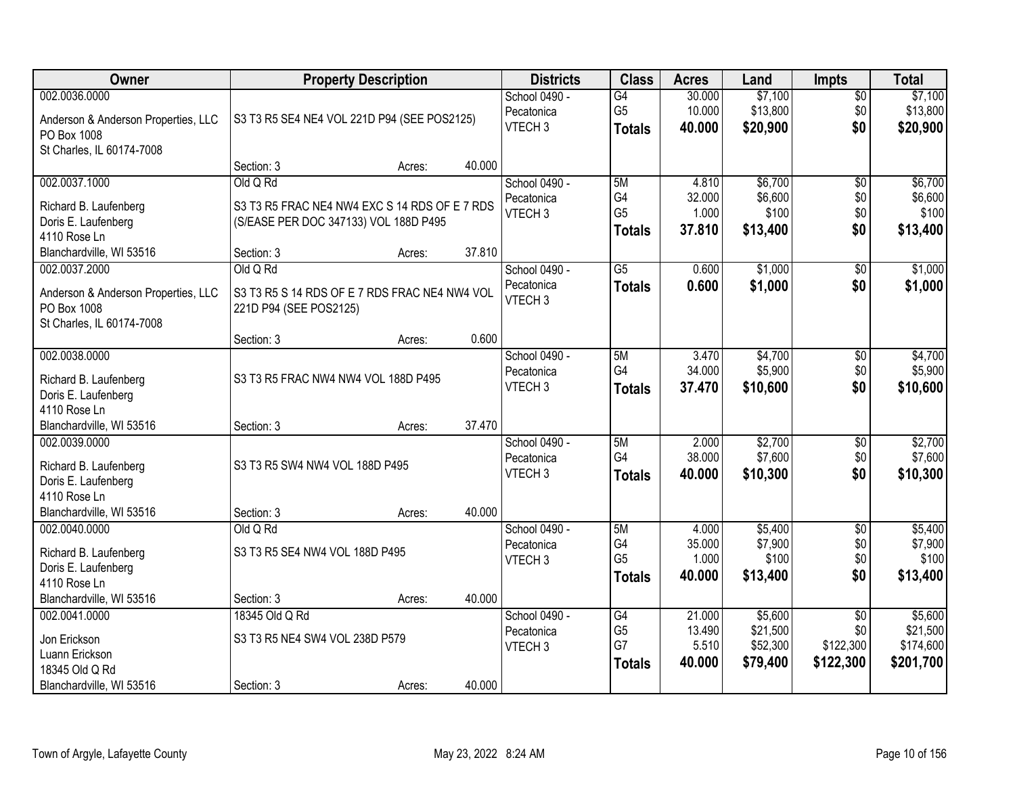| <b>Owner</b>                        |                                               | <b>Property Description</b> |        | <b>Districts</b>   | <b>Class</b>    | <b>Acres</b> | Land     | <b>Impts</b>    | <b>Total</b> |
|-------------------------------------|-----------------------------------------------|-----------------------------|--------|--------------------|-----------------|--------------|----------|-----------------|--------------|
| 002.0036.0000                       |                                               |                             |        | School 0490 -      | $\overline{G4}$ | 30.000       | \$7,100  | \$0             | \$7,100      |
| Anderson & Anderson Properties, LLC | S3 T3 R5 SE4 NE4 VOL 221D P94 (SEE POS2125)   |                             |        | Pecatonica         | G <sub>5</sub>  | 10.000       | \$13,800 | \$0             | \$13,800     |
| PO Box 1008                         |                                               |                             |        | VTECH <sub>3</sub> | <b>Totals</b>   | 40.000       | \$20,900 | \$0             | \$20,900     |
| St Charles, IL 60174-7008           |                                               |                             |        |                    |                 |              |          |                 |              |
|                                     | Section: 3                                    | Acres:                      | 40.000 |                    |                 |              |          |                 |              |
| 002.0037.1000                       | Old Q Rd                                      |                             |        | School 0490 -      | 5M              | 4.810        | \$6,700  | $\overline{50}$ | \$6,700      |
| Richard B. Laufenberg               | S3 T3 R5 FRAC NE4 NW4 EXC S 14 RDS OF E 7 RDS |                             |        | Pecatonica         | G4              | 32.000       | \$6,600  | \$0             | \$6,600      |
| Doris E. Laufenberg                 | (S/EASE PER DOC 347133) VOL 188D P495         |                             |        | VTECH <sub>3</sub> | G <sub>5</sub>  | 1.000        | \$100    | \$0             | \$100        |
| 4110 Rose Ln                        |                                               |                             |        |                    | <b>Totals</b>   | 37.810       | \$13,400 | \$0             | \$13,400     |
| Blanchardville, WI 53516            | Section: 3                                    | Acres:                      | 37.810 |                    |                 |              |          |                 |              |
| 002.0037.2000                       | Old Q Rd                                      |                             |        | School 0490 -      | G5              | 0.600        | \$1,000  | \$0             | \$1,000      |
| Anderson & Anderson Properties, LLC | S3 T3 R5 S 14 RDS OF E 7 RDS FRAC NE4 NW4 VOL |                             |        | Pecatonica         | <b>Totals</b>   | 0.600        | \$1,000  | \$0             | \$1,000      |
| PO Box 1008                         | 221D P94 (SEE POS2125)                        |                             |        | VTECH <sub>3</sub> |                 |              |          |                 |              |
| St Charles, IL 60174-7008           |                                               |                             |        |                    |                 |              |          |                 |              |
|                                     | Section: 3                                    | Acres:                      | 0.600  |                    |                 |              |          |                 |              |
| 002.0038.0000                       |                                               |                             |        | School 0490 -      | 5M              | 3.470        | \$4,700  | \$0             | \$4,700      |
| Richard B. Laufenberg               | S3 T3 R5 FRAC NW4 NW4 VOL 188D P495           |                             |        | Pecatonica         | G4              | 34.000       | \$5,900  | \$0             | \$5,900      |
| Doris E. Laufenberg                 |                                               |                             |        | VTECH <sub>3</sub> | <b>Totals</b>   | 37.470       | \$10,600 | \$0             | \$10,600     |
| 4110 Rose Ln                        |                                               |                             |        |                    |                 |              |          |                 |              |
| Blanchardville, WI 53516            | Section: 3                                    | Acres:                      | 37.470 |                    |                 |              |          |                 |              |
| 002.0039.0000                       |                                               |                             |        | School 0490 -      | 5M              | 2.000        | \$2,700  | \$0             | \$2,700      |
| Richard B. Laufenberg               | S3 T3 R5 SW4 NW4 VOL 188D P495                |                             |        | Pecatonica         | G4              | 38.000       | \$7,600  | \$0             | \$7,600      |
| Doris E. Laufenberg                 |                                               |                             |        | VTECH <sub>3</sub> | <b>Totals</b>   | 40.000       | \$10,300 | \$0             | \$10,300     |
| 4110 Rose Ln                        |                                               |                             |        |                    |                 |              |          |                 |              |
| Blanchardville, WI 53516            | Section: 3                                    | Acres:                      | 40.000 |                    |                 |              |          |                 |              |
| 002.0040.0000                       | Old Q Rd                                      |                             |        | School 0490 -      | 5M              | 4.000        | \$5,400  | $\overline{$0}$ | \$5,400      |
| Richard B. Laufenberg               | S3 T3 R5 SE4 NW4 VOL 188D P495                |                             |        | Pecatonica         | G4              | 35.000       | \$7,900  | \$0             | \$7,900      |
| Doris E. Laufenberg                 |                                               |                             |        | VTECH <sub>3</sub> | G <sub>5</sub>  | 1.000        | \$100    | \$0             | \$100        |
| 4110 Rose Ln                        |                                               |                             |        |                    | <b>Totals</b>   | 40.000       | \$13,400 | \$0             | \$13,400     |
| Blanchardville, WI 53516            | Section: 3                                    | Acres:                      | 40.000 |                    |                 |              |          |                 |              |
| 002.0041.0000                       | 18345 Old Q Rd                                |                             |        | School 0490 -      | G4              | 21.000       | \$5,600  | $\overline{50}$ | \$5,600      |
| Jon Erickson                        | S3 T3 R5 NE4 SW4 VOL 238D P579                |                             |        | Pecatonica         | G <sub>5</sub>  | 13.490       | \$21,500 | \$0             | \$21,500     |
| Luann Erickson                      |                                               |                             |        | VTECH <sub>3</sub> | G7              | 5.510        | \$52,300 | \$122,300       | \$174,600    |
| 18345 Old Q Rd                      |                                               |                             |        |                    | <b>Totals</b>   | 40.000       | \$79,400 | \$122,300       | \$201,700    |
| Blanchardville, WI 53516            | Section: 3                                    | Acres:                      | 40.000 |                    |                 |              |          |                 |              |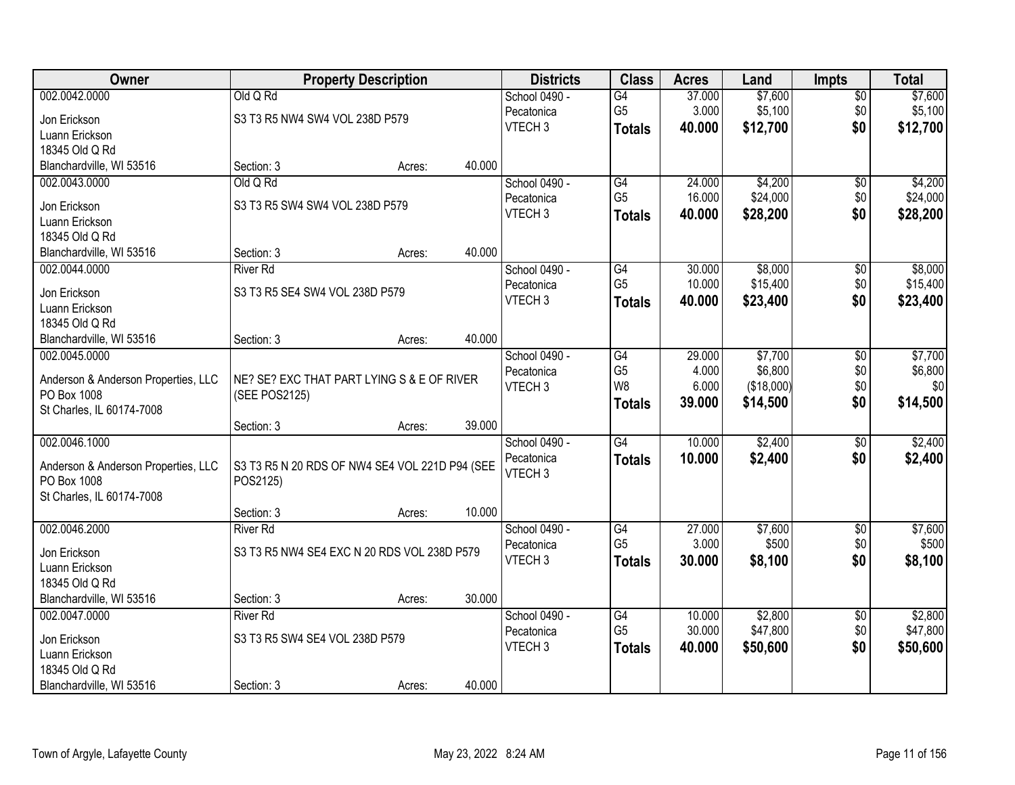| Owner                                    |                                                | <b>Property Description</b> |        | <b>Districts</b>   | <b>Class</b>    | <b>Acres</b> | Land       | <b>Impts</b>      | <b>Total</b> |
|------------------------------------------|------------------------------------------------|-----------------------------|--------|--------------------|-----------------|--------------|------------|-------------------|--------------|
| 002.0042.0000                            | Old Q Rd                                       |                             |        | School 0490 -      | G4              | 37.000       | \$7,600    | \$0               | \$7,600      |
| Jon Erickson                             | S3 T3 R5 NW4 SW4 VOL 238D P579                 |                             |        | Pecatonica         | G <sub>5</sub>  | 3.000        | \$5,100    | \$0               | \$5,100      |
| Luann Erickson                           |                                                |                             |        | VTECH <sub>3</sub> | <b>Totals</b>   | 40.000       | \$12,700   | \$0               | \$12,700     |
| 18345 Old Q Rd                           |                                                |                             |        |                    |                 |              |            |                   |              |
| Blanchardville, WI 53516                 | Section: 3                                     | Acres:                      | 40.000 |                    |                 |              |            |                   |              |
| 002.0043.0000                            | Old Q Rd                                       |                             |        | School 0490 -      | G4              | 24.000       | \$4,200    | $\overline{50}$   | \$4,200      |
| Jon Erickson                             | S3 T3 R5 SW4 SW4 VOL 238D P579                 |                             |        | Pecatonica         | G <sub>5</sub>  | 16.000       | \$24,000   | \$0               | \$24,000     |
| Luann Erickson                           |                                                |                             |        | VTECH <sub>3</sub> | <b>Totals</b>   | 40.000       | \$28,200   | \$0               | \$28,200     |
| 18345 Old Q Rd                           |                                                |                             |        |                    |                 |              |            |                   |              |
| Blanchardville, WI 53516                 | Section: 3                                     | Acres:                      | 40.000 |                    |                 |              |            |                   |              |
| 002.0044.0000                            | <b>River Rd</b>                                |                             |        | School 0490 -      | G4              | 30.000       | \$8,000    | \$0               | \$8,000      |
|                                          |                                                |                             |        | Pecatonica         | G <sub>5</sub>  | 10.000       | \$15,400   | \$0               | \$15,400     |
| Jon Erickson<br>Luann Erickson           | S3 T3 R5 SE4 SW4 VOL 238D P579                 |                             |        | VTECH <sub>3</sub> | <b>Totals</b>   | 40.000       | \$23,400   | \$0               | \$23,400     |
| 18345 Old Q Rd                           |                                                |                             |        |                    |                 |              |            |                   |              |
| Blanchardville, WI 53516                 | Section: 3                                     | Acres:                      | 40.000 |                    |                 |              |            |                   |              |
| 002.0045.0000                            |                                                |                             |        | School 0490 -      | G4              | 29.000       | \$7,700    | \$0               | \$7,700      |
|                                          |                                                |                             |        | Pecatonica         | G <sub>5</sub>  | 4.000        | \$6,800    | \$0               | \$6,800      |
| Anderson & Anderson Properties, LLC      | NE? SE? EXC THAT PART LYING S & E OF RIVER     |                             |        | VTECH <sub>3</sub> | W <sub>8</sub>  | 6.000        | (\$18,000) | \$0               | \$0          |
| PO Box 1008<br>St Charles, IL 60174-7008 | (SEE POS2125)                                  |                             |        |                    | <b>Totals</b>   | 39.000       | \$14,500   | \$0               | \$14,500     |
|                                          | Section: 3                                     | Acres:                      | 39.000 |                    |                 |              |            |                   |              |
| 002.0046.1000                            |                                                |                             |        | School 0490 -      | $\overline{G4}$ | 10.000       | \$2,400    | \$0               | \$2,400      |
|                                          |                                                |                             |        | Pecatonica         | <b>Totals</b>   | 10,000       | \$2,400    | \$0               | \$2,400      |
| Anderson & Anderson Properties, LLC      | S3 T3 R5 N 20 RDS OF NW4 SE4 VOL 221D P94 (SEE |                             |        | VTECH <sub>3</sub> |                 |              |            |                   |              |
| PO Box 1008                              | POS2125)                                       |                             |        |                    |                 |              |            |                   |              |
| St Charles, IL 60174-7008                |                                                |                             | 10.000 |                    |                 |              |            |                   |              |
| 002.0046.2000                            | Section: 3<br><b>River Rd</b>                  | Acres:                      |        | School 0490 -      | G4              | 27.000       | \$7,600    |                   | \$7,600      |
|                                          |                                                |                             |        | Pecatonica         | G <sub>5</sub>  | 3.000        | \$500      | $\sqrt{6}$<br>\$0 | \$500        |
| Jon Erickson                             | S3 T3 R5 NW4 SE4 EXC N 20 RDS VOL 238D P579    |                             |        | VTECH <sub>3</sub> | <b>Totals</b>   | 30.000       | \$8,100    | \$0               | \$8,100      |
| Luann Erickson                           |                                                |                             |        |                    |                 |              |            |                   |              |
| 18345 Old Q Rd                           |                                                |                             |        |                    |                 |              |            |                   |              |
| Blanchardville, WI 53516                 | Section: 3                                     | Acres:                      | 30.000 |                    |                 |              |            |                   |              |
| 002.0047.0000                            | <b>River Rd</b>                                |                             |        | School 0490 -      | G4              | 10.000       | \$2,800    | $\overline{50}$   | \$2,800      |
| Jon Erickson                             | S3 T3 R5 SW4 SE4 VOL 238D P579                 |                             |        | Pecatonica         | G <sub>5</sub>  | 30.000       | \$47,800   | \$0               | \$47,800     |
| Luann Erickson                           |                                                |                             |        | VTECH <sub>3</sub> | <b>Totals</b>   | 40.000       | \$50,600   | \$0               | \$50,600     |
| 18345 Old Q Rd                           |                                                |                             |        |                    |                 |              |            |                   |              |
| Blanchardville, WI 53516                 | Section: 3                                     | Acres:                      | 40.000 |                    |                 |              |            |                   |              |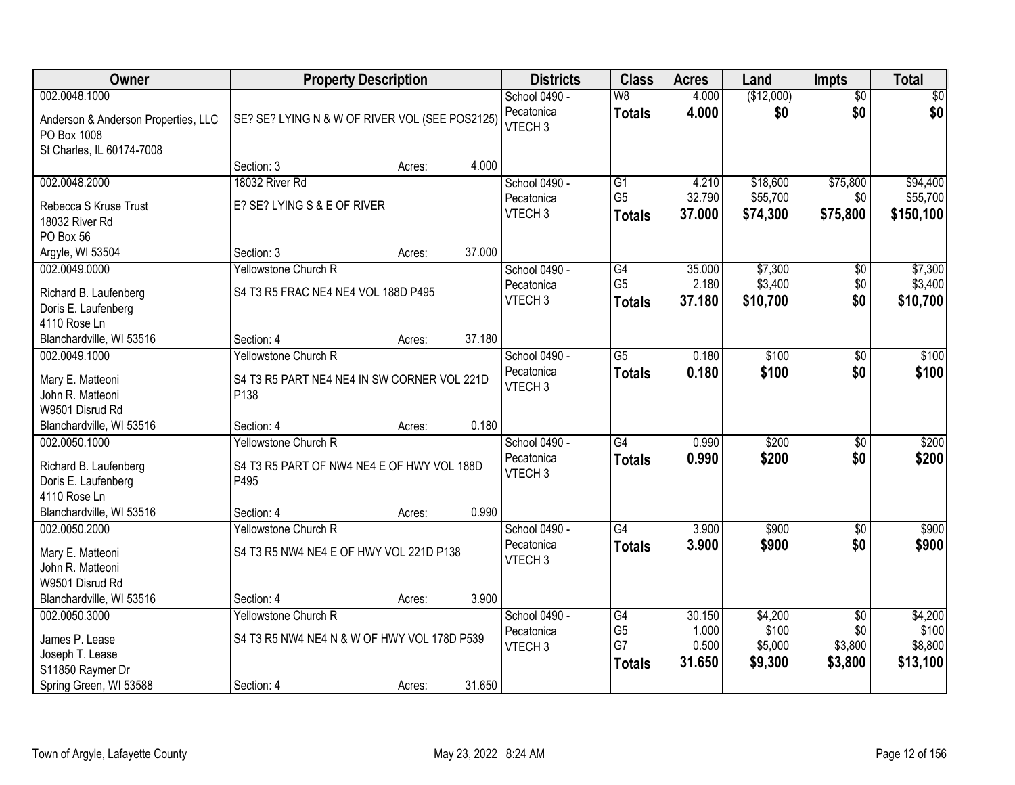| <b>Owner</b>                         | <b>Property Description</b>                    | <b>Districts</b>                 | <b>Class</b>         | <b>Acres</b>    | Land               | <b>Impts</b>         | <b>Total</b>       |
|--------------------------------------|------------------------------------------------|----------------------------------|----------------------|-----------------|--------------------|----------------------|--------------------|
| 002.0048.1000                        |                                                | School 0490 -                    | W8                   | 4.000           | (\$12,000)         | $\overline{50}$      | $\sqrt{50}$        |
| Anderson & Anderson Properties, LLC  | SE? SE? LYING N & W OF RIVER VOL (SEE POS2125) | Pecatonica<br>VTECH <sub>3</sub> | <b>Totals</b>        | 4.000           | \$0                | \$0                  | \$0                |
| PO Box 1008                          |                                                |                                  |                      |                 |                    |                      |                    |
| St Charles, IL 60174-7008            | 4.000<br>Section: 3<br>Acres:                  |                                  |                      |                 |                    |                      |                    |
| 002.0048.2000                        | 18032 River Rd                                 | School 0490 -                    | $\overline{G1}$      | 4.210           | \$18,600           | \$75,800             | \$94,400           |
|                                      |                                                | Pecatonica                       | G <sub>5</sub>       | 32.790          | \$55,700           | \$0                  | \$55,700           |
| Rebecca S Kruse Trust                | E? SE? LYING S & E OF RIVER                    | VTECH <sub>3</sub>               | <b>Totals</b>        | 37.000          | \$74,300           | \$75,800             | \$150,100          |
| 18032 River Rd                       |                                                |                                  |                      |                 |                    |                      |                    |
| PO Box 56                            |                                                |                                  |                      |                 |                    |                      |                    |
| Argyle, WI 53504                     | 37.000<br>Section: 3<br>Acres:                 |                                  |                      |                 |                    |                      |                    |
| 002.0049.0000                        | Yellowstone Church R                           | School 0490 -                    | G4<br>G <sub>5</sub> | 35.000<br>2.180 | \$7,300<br>\$3,400 | $\sqrt[6]{3}$<br>\$0 | \$7,300<br>\$3,400 |
| Richard B. Laufenberg                | S4 T3 R5 FRAC NE4 NE4 VOL 188D P495            | Pecatonica<br>VTECH <sub>3</sub> |                      | 37.180          | \$10,700           | \$0                  |                    |
| Doris E. Laufenberg                  |                                                |                                  | <b>Totals</b>        |                 |                    |                      | \$10,700           |
| 4110 Rose Ln                         |                                                |                                  |                      |                 |                    |                      |                    |
| Blanchardville, WI 53516             | 37.180<br>Section: 4<br>Acres:                 |                                  |                      |                 |                    |                      |                    |
| 002.0049.1000                        | Yellowstone Church R                           | School 0490 -                    | $\overline{G5}$      | 0.180           | \$100              | $\sqrt[6]{}$         | \$100              |
| Mary E. Matteoni                     | S4 T3 R5 PART NE4 NE4 IN SW CORNER VOL 221D    | Pecatonica                       | <b>Totals</b>        | 0.180           | \$100              | \$0                  | \$100              |
| John R. Matteoni                     | P138                                           | VTECH <sub>3</sub>               |                      |                 |                    |                      |                    |
| W9501 Disrud Rd                      |                                                |                                  |                      |                 |                    |                      |                    |
| Blanchardville, WI 53516             | 0.180<br>Section: 4<br>Acres:                  |                                  |                      |                 |                    |                      |                    |
| 002.0050.1000                        | Yellowstone Church R                           | School 0490 -                    | $\overline{G4}$      | 0.990           | \$200              | \$0                  | \$200              |
| Richard B. Laufenberg                | S4 T3 R5 PART OF NW4 NE4 E OF HWY VOL 188D     | Pecatonica                       | <b>Totals</b>        | 0.990           | \$200              | \$0                  | \$200              |
| Doris E. Laufenberg                  | P495                                           | VTECH <sub>3</sub>               |                      |                 |                    |                      |                    |
| 4110 Rose Ln                         |                                                |                                  |                      |                 |                    |                      |                    |
| Blanchardville, WI 53516             | 0.990<br>Section: 4<br>Acres:                  |                                  |                      |                 |                    |                      |                    |
| 002.0050.2000                        | Yellowstone Church R                           | School 0490 -                    | $\overline{G4}$      | 3.900           | \$900              | \$0                  | \$900              |
|                                      | S4 T3 R5 NW4 NE4 E OF HWY VOL 221D P138        | Pecatonica                       | <b>Totals</b>        | 3.900           | \$900              | \$0                  | \$900              |
| Mary E. Matteoni<br>John R. Matteoni |                                                | VTECH <sub>3</sub>               |                      |                 |                    |                      |                    |
| W9501 Disrud Rd                      |                                                |                                  |                      |                 |                    |                      |                    |
| Blanchardville, WI 53516             | 3.900<br>Section: 4<br>Acres:                  |                                  |                      |                 |                    |                      |                    |
| 002.0050.3000                        | Yellowstone Church R                           | School 0490 -                    | G4                   | 30.150          | \$4,200            | $\overline{50}$      | \$4,200            |
|                                      |                                                | Pecatonica                       | G <sub>5</sub>       | 1.000           | \$100              | \$0                  | \$100              |
| James P. Lease                       | S4 T3 R5 NW4 NE4 N & W OF HWY VOL 178D P539    | VTECH <sub>3</sub>               | G7                   | 0.500           | \$5,000            | \$3,800              | \$8,800            |
| Joseph T. Lease<br>S11850 Raymer Dr  |                                                |                                  | <b>Totals</b>        | 31.650          | \$9,300            | \$3,800              | \$13,100           |
|                                      |                                                |                                  |                      |                 |                    |                      |                    |
| Spring Green, WI 53588               | 31.650<br>Section: 4<br>Acres:                 |                                  |                      |                 |                    |                      |                    |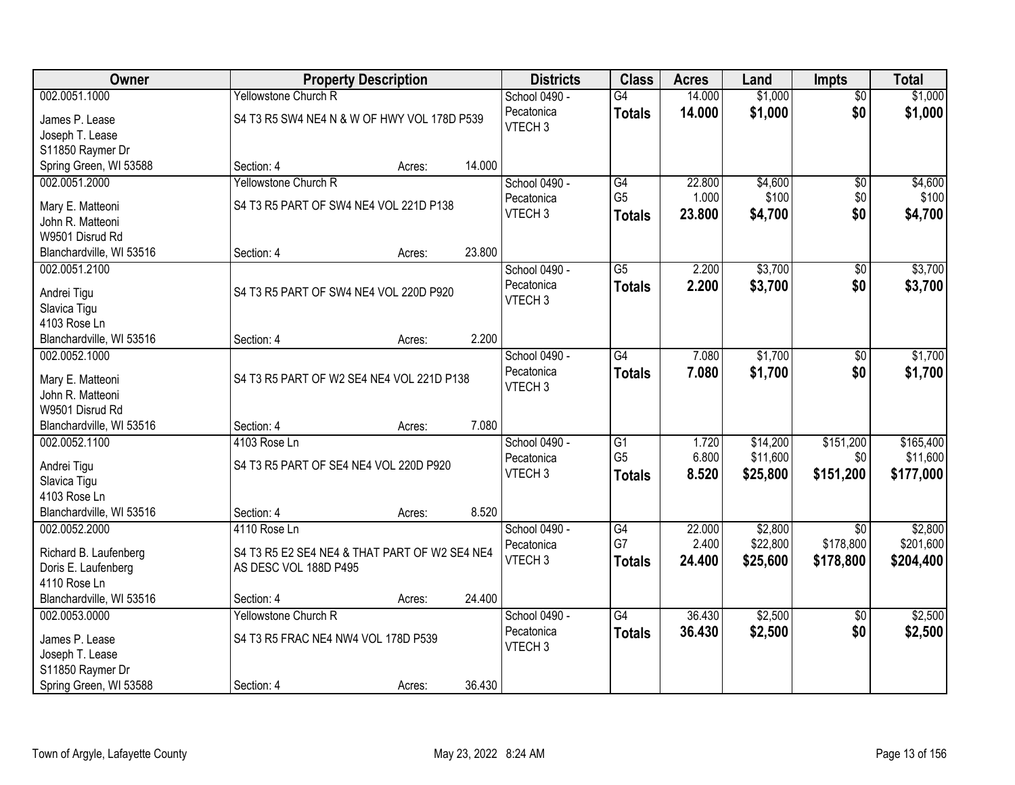| Owner                                      |                                               | <b>Property Description</b> |        | <b>Districts</b>   | <b>Class</b>    | <b>Acres</b> | Land     | <b>Impts</b>         | <b>Total</b> |
|--------------------------------------------|-----------------------------------------------|-----------------------------|--------|--------------------|-----------------|--------------|----------|----------------------|--------------|
| 002.0051.1000                              | Yellowstone Church R                          |                             |        | School 0490 -      | G4              | 14.000       | \$1,000  | \$0                  | \$1,000      |
| James P. Lease                             | S4 T3 R5 SW4 NE4 N & W OF HWY VOL 178D P539   |                             |        | Pecatonica         | <b>Totals</b>   | 14.000       | \$1,000  | \$0                  | \$1,000      |
| Joseph T. Lease                            |                                               |                             |        | VTECH <sub>3</sub> |                 |              |          |                      |              |
| S11850 Raymer Dr                           |                                               |                             |        |                    |                 |              |          |                      |              |
| Spring Green, WI 53588                     | Section: 4                                    | Acres:                      | 14.000 |                    |                 |              |          |                      |              |
| 002.0051.2000                              | Yellowstone Church R                          |                             |        | School 0490 -      | G4              | 22.800       | \$4,600  | $\overline{50}$      | \$4,600      |
| Mary E. Matteoni                           | S4 T3 R5 PART OF SW4 NE4 VOL 221D P138        |                             |        | Pecatonica         | G <sub>5</sub>  | 1.000        | \$100    | \$0                  | \$100        |
| John R. Matteoni                           |                                               |                             |        | VTECH <sub>3</sub> | <b>Totals</b>   | 23.800       | \$4,700  | \$0                  | \$4,700      |
| W9501 Disrud Rd                            |                                               |                             |        |                    |                 |              |          |                      |              |
| Blanchardville, WI 53516                   | Section: 4                                    | Acres:                      | 23.800 |                    |                 |              |          |                      |              |
| 002.0051.2100                              |                                               |                             |        | School 0490 -      | G5              | 2.200        | \$3,700  | \$0                  | \$3,700      |
|                                            |                                               |                             |        | Pecatonica         | <b>Totals</b>   | 2.200        | \$3,700  | \$0                  | \$3,700      |
| Andrei Tigu                                | S4 T3 R5 PART OF SW4 NE4 VOL 220D P920        |                             |        | VTECH <sub>3</sub> |                 |              |          |                      |              |
| Slavica Tigu                               |                                               |                             |        |                    |                 |              |          |                      |              |
| 4103 Rose Ln                               |                                               |                             | 2.200  |                    |                 |              |          |                      |              |
| Blanchardville, WI 53516<br>002.0052.1000  | Section: 4                                    | Acres:                      |        | School 0490 -      | G4              | 7.080        | \$1,700  |                      | \$1,700      |
|                                            |                                               |                             |        | Pecatonica         |                 |              |          | $\sqrt[6]{3}$<br>\$0 |              |
| Mary E. Matteoni                           | S4 T3 R5 PART OF W2 SE4 NE4 VOL 221D P138     |                             |        | VTECH <sub>3</sub> | <b>Totals</b>   | 7.080        | \$1,700  |                      | \$1,700      |
| John R. Matteoni                           |                                               |                             |        |                    |                 |              |          |                      |              |
| W9501 Disrud Rd                            |                                               |                             |        |                    |                 |              |          |                      |              |
| Blanchardville, WI 53516                   | Section: 4                                    | Acres:                      | 7.080  |                    |                 |              |          |                      |              |
| 002.0052.1100                              | 4103 Rose Ln                                  |                             |        | School 0490 -      | $\overline{G1}$ | 1.720        | \$14,200 | \$151,200            | \$165,400    |
| Andrei Tigu                                | S4 T3 R5 PART OF SE4 NE4 VOL 220D P920        |                             |        | Pecatonica         | G <sub>5</sub>  | 6.800        | \$11,600 | \$0                  | \$11,600     |
| Slavica Tigu                               |                                               |                             |        | VTECH <sub>3</sub> | <b>Totals</b>   | 8.520        | \$25,800 | \$151,200            | \$177,000    |
| 4103 Rose Ln                               |                                               |                             |        |                    |                 |              |          |                      |              |
| Blanchardville, WI 53516                   | Section: 4                                    | Acres:                      | 8.520  |                    |                 |              |          |                      |              |
| 002.0052.2000                              | 4110 Rose Ln                                  |                             |        | School 0490 -      | G4              | 22.000       | \$2,800  | $\overline{50}$      | \$2,800      |
| Richard B. Laufenberg                      | S4 T3 R5 E2 SE4 NE4 & THAT PART OF W2 SE4 NE4 |                             |        | Pecatonica         | G7              | 2.400        | \$22,800 | \$178,800            | \$201,600    |
| Doris E. Laufenberg                        | AS DESC VOL 188D P495                         |                             |        | VTECH <sub>3</sub> | <b>Totals</b>   | 24.400       | \$25,600 | \$178,800            | \$204,400    |
| 4110 Rose Ln                               |                                               |                             |        |                    |                 |              |          |                      |              |
| Blanchardville, WI 53516                   | Section: 4                                    | Acres:                      | 24.400 |                    |                 |              |          |                      |              |
| 002.0053.0000                              | Yellowstone Church R                          |                             |        | School 0490 -      | $\overline{G4}$ | 36.430       | \$2,500  | $\overline{50}$      | \$2,500      |
|                                            |                                               |                             |        | Pecatonica         | <b>Totals</b>   | 36.430       | \$2,500  | \$0                  | \$2,500      |
| James P. Lease                             | S4 T3 R5 FRAC NE4 NW4 VOL 178D P539           |                             |        | VTECH <sub>3</sub> |                 |              |          |                      |              |
| Joseph T. Lease                            |                                               |                             |        |                    |                 |              |          |                      |              |
| S11850 Raymer Dr<br>Spring Green, WI 53588 | Section: 4                                    |                             | 36.430 |                    |                 |              |          |                      |              |
|                                            |                                               | Acres:                      |        |                    |                 |              |          |                      |              |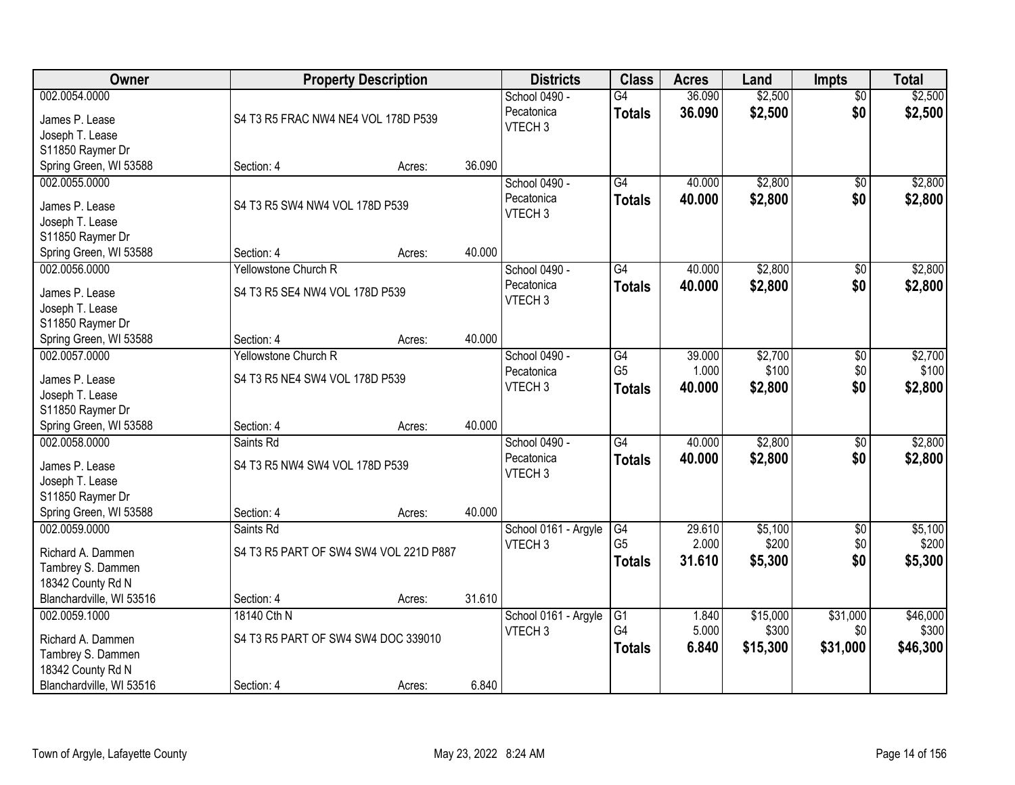| Owner                                                                                                    |                                                                  | <b>Property Description</b> |        | <b>Districts</b>                                  | <b>Class</b>                          | <b>Acres</b>              | Land                          | <b>Impts</b>                | <b>Total</b>                  |
|----------------------------------------------------------------------------------------------------------|------------------------------------------------------------------|-----------------------------|--------|---------------------------------------------------|---------------------------------------|---------------------------|-------------------------------|-----------------------------|-------------------------------|
| 002.0054.0000<br>James P. Lease<br>Joseph T. Lease<br>S11850 Raymer Dr                                   | S4 T3 R5 FRAC NW4 NE4 VOL 178D P539                              |                             |        | School 0490 -<br>Pecatonica<br>VTECH <sub>3</sub> | $\overline{G4}$<br><b>Totals</b>      | 36.090<br>36.090          | \$2,500<br>\$2,500            | $\overline{50}$<br>\$0      | \$2,500<br>\$2,500            |
| Spring Green, WI 53588                                                                                   | Section: 4                                                       | Acres:                      | 36.090 |                                                   |                                       |                           |                               |                             |                               |
| 002.0055.0000<br>James P. Lease<br>Joseph T. Lease<br>S11850 Raymer Dr                                   | S4 T3 R5 SW4 NW4 VOL 178D P539                                   |                             |        | School 0490 -<br>Pecatonica<br>VTECH <sub>3</sub> | G4<br><b>Totals</b>                   | 40.000<br>40.000          | \$2,800<br>\$2,800            | $\overline{50}$<br>\$0      | \$2,800<br>\$2,800            |
| Spring Green, WI 53588                                                                                   | Section: 4                                                       | Acres:                      | 40.000 |                                                   |                                       |                           |                               |                             |                               |
| 002.0056.0000<br>James P. Lease<br>Joseph T. Lease<br>S11850 Raymer Dr                                   | Yellowstone Church R<br>S4 T3 R5 SE4 NW4 VOL 178D P539           |                             |        | School 0490 -<br>Pecatonica<br>VTECH <sub>3</sub> | G4<br><b>Totals</b>                   | 40,000<br>40.000          | \$2,800<br>\$2,800            | \$0<br>\$0                  | \$2,800<br>\$2,800            |
| Spring Green, WI 53588                                                                                   | Section: 4                                                       | Acres:                      | 40.000 |                                                   |                                       |                           |                               |                             |                               |
| 002.0057.0000<br>James P. Lease<br>Joseph T. Lease<br>S11850 Raymer Dr                                   | Yellowstone Church R<br>S4 T3 R5 NE4 SW4 VOL 178D P539           |                             |        | School 0490 -<br>Pecatonica<br>VTECH <sub>3</sub> | G4<br>G <sub>5</sub><br><b>Totals</b> | 39.000<br>1.000<br>40.000 | \$2,700<br>\$100<br>\$2,800   | $\sqrt[6]{3}$<br>\$0<br>\$0 | \$2,700<br>\$100<br>\$2,800   |
| Spring Green, WI 53588                                                                                   | Section: 4                                                       | Acres:                      | 40.000 |                                                   |                                       |                           |                               |                             |                               |
| 002.0058.0000<br>James P. Lease<br>Joseph T. Lease<br>S11850 Raymer Dr<br>Spring Green, WI 53588         | Saints Rd<br>S4 T3 R5 NW4 SW4 VOL 178D P539<br>Section: 4        | Acres:                      | 40.000 | School 0490 -<br>Pecatonica<br>VTECH <sub>3</sub> | $\overline{G4}$<br><b>Totals</b>      | 40.000<br>40.000          | \$2,800<br>\$2,800            | $\overline{50}$<br>\$0      | \$2,800<br>\$2,800            |
| 002.0059.0000                                                                                            | Saints Rd                                                        |                             |        | School 0161 - Argyle                              | G4                                    | 29.610                    | \$5,100                       | $\overline{50}$             | \$5,100                       |
| Richard A. Dammen<br>Tambrey S. Dammen<br>18342 County Rd N                                              | S4 T3 R5 PART OF SW4 SW4 VOL 221D P887                           |                             |        | VTECH <sub>3</sub>                                | G <sub>5</sub><br><b>Totals</b>       | 2.000<br>31.610           | \$200<br>\$5,300              | \$0<br>\$0                  | \$200<br>\$5,300              |
| Blanchardville, WI 53516                                                                                 | Section: 4                                                       | Acres:                      | 31.610 |                                                   |                                       |                           |                               |                             |                               |
| 002.0059.1000<br>Richard A. Dammen<br>Tambrey S. Dammen<br>18342 County Rd N<br>Blanchardville, WI 53516 | 18140 Cth N<br>S4 T3 R5 PART OF SW4 SW4 DOC 339010<br>Section: 4 | Acres:                      | 6.840  | School 0161 - Argyle<br>VTECH <sub>3</sub>        | G1<br>G4<br><b>Totals</b>             | 1.840<br>5.000<br>6.840   | \$15,000<br>\$300<br>\$15,300 | \$31,000<br>\$0<br>\$31,000 | \$46,000<br>\$300<br>\$46,300 |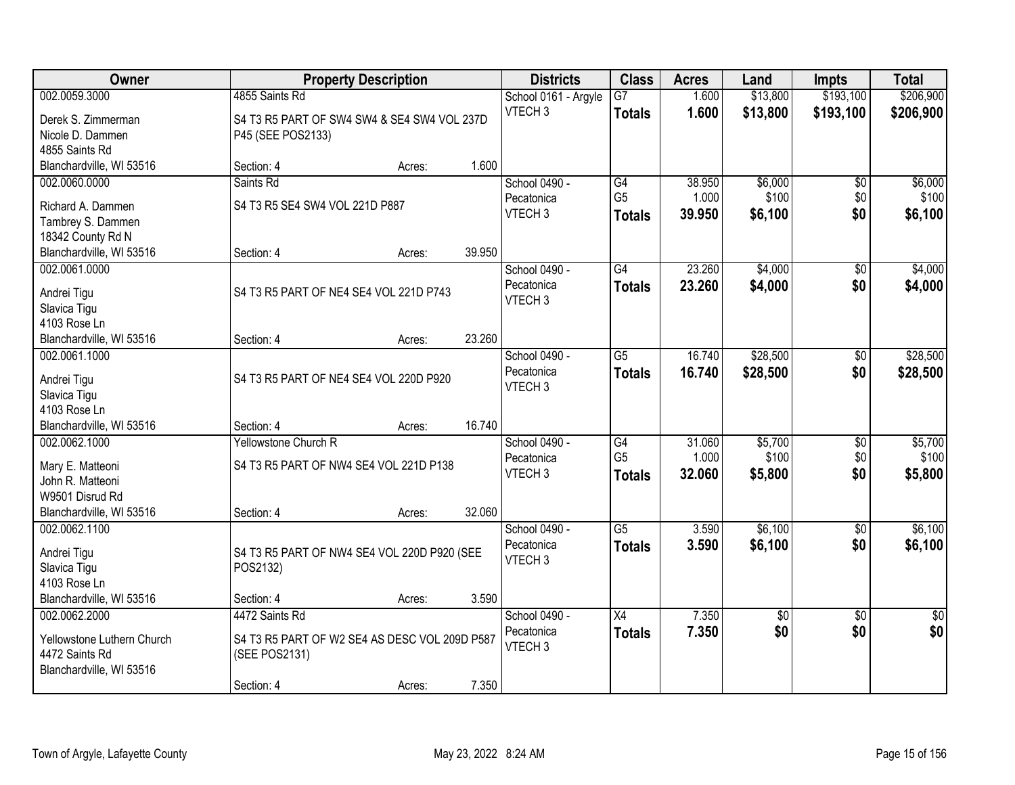| Owner                      |                                               | <b>Property Description</b> |        | <b>Districts</b>     | <b>Class</b>    | <b>Acres</b> | Land            | <b>Impts</b>    | <b>Total</b>    |
|----------------------------|-----------------------------------------------|-----------------------------|--------|----------------------|-----------------|--------------|-----------------|-----------------|-----------------|
| 002.0059.3000              | 4855 Saints Rd                                |                             |        | School 0161 - Argyle | $\overline{G7}$ | 1.600        | \$13,800        | \$193,100       | \$206,900       |
| Derek S. Zimmerman         | S4 T3 R5 PART OF SW4 SW4 & SE4 SW4 VOL 237D   |                             |        | VTECH <sub>3</sub>   | <b>Totals</b>   | 1.600        | \$13,800        | \$193,100       | \$206,900       |
| Nicole D. Dammen           | P45 (SEE POS2133)                             |                             |        |                      |                 |              |                 |                 |                 |
| 4855 Saints Rd             |                                               |                             |        |                      |                 |              |                 |                 |                 |
| Blanchardville, WI 53516   | Section: 4                                    | Acres:                      | 1.600  |                      |                 |              |                 |                 |                 |
| 002.0060.0000              | Saints Rd                                     |                             |        | School 0490 -        | G4              | 38.950       | \$6,000         | \$0             | \$6,000         |
| Richard A. Dammen          | S4 T3 R5 SE4 SW4 VOL 221D P887                |                             |        | Pecatonica           | G <sub>5</sub>  | 1.000        | \$100           | \$0             | \$100           |
| Tambrey S. Dammen          |                                               |                             |        | VTECH <sub>3</sub>   | <b>Totals</b>   | 39.950       | \$6,100         | \$0             | \$6,100         |
| 18342 County Rd N          |                                               |                             |        |                      |                 |              |                 |                 |                 |
| Blanchardville, WI 53516   | Section: 4                                    | Acres:                      | 39.950 |                      |                 |              |                 |                 |                 |
| 002.0061.0000              |                                               |                             |        | School 0490 -        | G4              | 23.260       | \$4,000         | \$0             | \$4,000         |
| Andrei Tigu                | S4 T3 R5 PART OF NE4 SE4 VOL 221D P743        |                             |        | Pecatonica           | <b>Totals</b>   | 23.260       | \$4,000         | \$0             | \$4,000         |
| Slavica Tigu               |                                               |                             |        | VTECH <sub>3</sub>   |                 |              |                 |                 |                 |
| 4103 Rose Ln               |                                               |                             |        |                      |                 |              |                 |                 |                 |
| Blanchardville, WI 53516   | Section: 4                                    | Acres:                      | 23.260 |                      |                 |              |                 |                 |                 |
| 002.0061.1000              |                                               |                             |        | School 0490 -        | G5              | 16.740       | \$28,500        | \$0             | \$28,500        |
| Andrei Tigu                | S4 T3 R5 PART OF NE4 SE4 VOL 220D P920        |                             |        | Pecatonica           | <b>Totals</b>   | 16.740       | \$28,500        | \$0             | \$28,500        |
| Slavica Tigu               |                                               |                             |        | VTECH <sub>3</sub>   |                 |              |                 |                 |                 |
| 4103 Rose Ln               |                                               |                             |        |                      |                 |              |                 |                 |                 |
| Blanchardville, WI 53516   | Section: 4                                    | Acres:                      | 16.740 |                      |                 |              |                 |                 |                 |
| 002.0062.1000              | Yellowstone Church R                          |                             |        | School 0490 -        | $\overline{G4}$ | 31.060       | \$5,700         | $\overline{30}$ | \$5,700         |
| Mary E. Matteoni           | S4 T3 R5 PART OF NW4 SE4 VOL 221D P138        |                             |        | Pecatonica           | G <sub>5</sub>  | 1.000        | \$100           | \$0             | \$100           |
| John R. Matteoni           |                                               |                             |        | VTECH <sub>3</sub>   | <b>Totals</b>   | 32.060       | \$5,800         | \$0             | \$5,800         |
| W9501 Disrud Rd            |                                               |                             |        |                      |                 |              |                 |                 |                 |
| Blanchardville, WI 53516   | Section: 4                                    | Acres:                      | 32.060 |                      |                 |              |                 |                 |                 |
| 002.0062.1100              |                                               |                             |        | School 0490 -        | $\overline{G5}$ | 3.590        | \$6,100         | $\sqrt{6}$      | \$6,100         |
| Andrei Tigu                | S4 T3 R5 PART OF NW4 SE4 VOL 220D P920 (SEE   |                             |        | Pecatonica           | <b>Totals</b>   | 3.590        | \$6,100         | \$0             | \$6,100         |
| Slavica Tigu               | POS2132)                                      |                             |        | VTECH <sub>3</sub>   |                 |              |                 |                 |                 |
| 4103 Rose Ln               |                                               |                             |        |                      |                 |              |                 |                 |                 |
| Blanchardville, WI 53516   | Section: 4                                    | Acres:                      | 3.590  |                      |                 |              |                 |                 |                 |
| 002.0062.2000              | 4472 Saints Rd                                |                             |        | School 0490 -        | $\overline{X4}$ | 7.350        | $\overline{30}$ | $\overline{50}$ | $\overline{50}$ |
| Yellowstone Luthern Church | S4 T3 R5 PART OF W2 SE4 AS DESC VOL 209D P587 |                             |        | Pecatonica           | <b>Totals</b>   | 7.350        | \$0             | \$0             | \$0             |
| 4472 Saints Rd             | (SEE POS2131)                                 |                             |        | VTECH <sub>3</sub>   |                 |              |                 |                 |                 |
| Blanchardville, WI 53516   |                                               |                             |        |                      |                 |              |                 |                 |                 |
|                            | Section: 4                                    | Acres:                      | 7.350  |                      |                 |              |                 |                 |                 |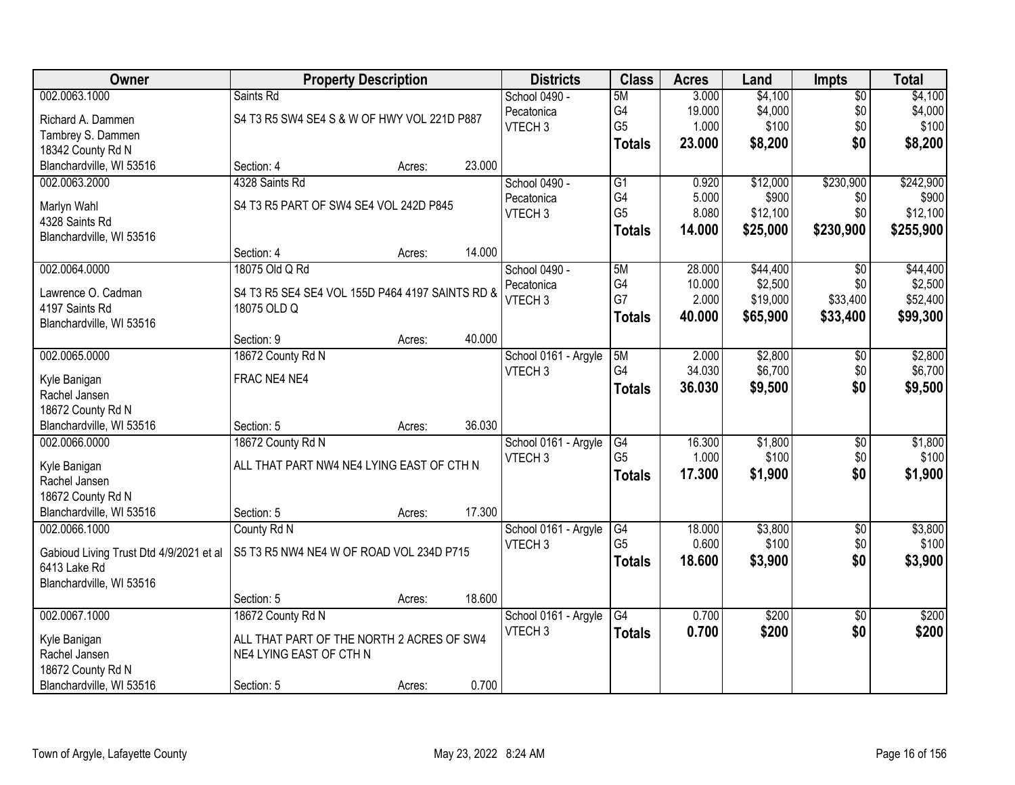| Owner                                   | <b>Property Description</b>                     |        |        | <b>Districts</b>                 | <b>Class</b>   | <b>Acres</b>    | Land                | <b>Impts</b>    | <b>Total</b>        |
|-----------------------------------------|-------------------------------------------------|--------|--------|----------------------------------|----------------|-----------------|---------------------|-----------------|---------------------|
| 002.0063.1000                           | Saints Rd                                       |        |        | School 0490 -                    | 5M             | 3.000           | \$4,100             | $\sqrt{$0}$     | \$4,100             |
| Richard A. Dammen                       | S4 T3 R5 SW4 SE4 S & W OF HWY VOL 221D P887     |        |        | Pecatonica                       | G4             | 19.000          | \$4,000             | \$0             | \$4,000             |
| Tambrey S. Dammen                       |                                                 |        |        | VTECH <sub>3</sub>               | G <sub>5</sub> | 1.000           | \$100               | \$0             | \$100               |
| 18342 County Rd N                       |                                                 |        |        |                                  | <b>Totals</b>  | 23.000          | \$8,200             | \$0             | \$8,200             |
| Blanchardville, WI 53516                | Section: 4                                      | Acres: | 23.000 |                                  |                |                 |                     |                 |                     |
| 002.0063.2000                           | 4328 Saints Rd                                  |        |        | School 0490 -                    | G1             | 0.920           | \$12,000            | \$230,900       | \$242,900           |
|                                         |                                                 |        |        | Pecatonica                       | G4             | 5.000           | \$900               | \$0             | \$900               |
| Marlyn Wahl                             | S4 T3 R5 PART OF SW4 SE4 VOL 242D P845          |        |        | VTECH <sub>3</sub>               | G <sub>5</sub> | 8.080           | \$12,100            | \$0             | \$12,100            |
| 4328 Saints Rd                          |                                                 |        |        |                                  | <b>Totals</b>  | 14.000          | \$25,000            | \$230,900       | \$255,900           |
| Blanchardville, WI 53516                |                                                 |        | 14.000 |                                  |                |                 |                     |                 |                     |
|                                         | Section: 4                                      | Acres: |        |                                  |                |                 |                     |                 |                     |
| 002.0064.0000                           | 18075 Old Q Rd                                  |        |        | School 0490 -                    | 5M<br>G4       | 28.000          | \$44,400<br>\$2,500 | \$0             | \$44,400<br>\$2,500 |
| Lawrence O. Cadman                      | S4 T3 R5 SE4 SE4 VOL 155D P464 4197 SAINTS RD & |        |        | Pecatonica<br>VTECH <sub>3</sub> | G7             | 10.000<br>2.000 | \$19,000            | \$0<br>\$33,400 | \$52,400            |
| 4197 Saints Rd                          | 18075 OLD Q                                     |        |        |                                  |                |                 |                     |                 |                     |
| Blanchardville, WI 53516                |                                                 |        |        |                                  | <b>Totals</b>  | 40.000          | \$65,900            | \$33,400        | \$99,300            |
|                                         | Section: 9                                      | Acres: | 40.000 |                                  |                |                 |                     |                 |                     |
| 002.0065.0000                           | 18672 County Rd N                               |        |        | School 0161 - Argyle             | 5M             | 2.000           | \$2,800             | $\sqrt[6]{3}$   | \$2,800             |
|                                         | FRAC NE4 NE4                                    |        |        | VTECH <sub>3</sub>               | G4             | 34.030          | \$6,700             | \$0             | \$6,700             |
| Kyle Banigan<br>Rachel Jansen           |                                                 |        |        |                                  | <b>Totals</b>  | 36.030          | \$9,500             | \$0             | \$9,500             |
| 18672 County Rd N                       |                                                 |        |        |                                  |                |                 |                     |                 |                     |
| Blanchardville, WI 53516                | Section: 5                                      | Acres: | 36.030 |                                  |                |                 |                     |                 |                     |
| 002.0066.0000                           | 18672 County Rd N                               |        |        | School 0161 - Argyle             | G4             | 16.300          | \$1,800             | \$0             | \$1,800             |
|                                         |                                                 |        |        | VTECH <sub>3</sub>               | G <sub>5</sub> | 1.000           | \$100               | \$0             | \$100               |
| Kyle Banigan                            | ALL THAT PART NW4 NE4 LYING EAST OF CTH N       |        |        |                                  | <b>Totals</b>  | 17.300          | \$1,900             | \$0             | \$1,900             |
| Rachel Jansen                           |                                                 |        |        |                                  |                |                 |                     |                 |                     |
| 18672 County Rd N                       |                                                 |        |        |                                  |                |                 |                     |                 |                     |
| Blanchardville, WI 53516                | Section: 5                                      | Acres: | 17.300 |                                  |                |                 |                     |                 |                     |
| 002.0066.1000                           | County Rd N                                     |        |        | School 0161 - Argyle             | G4             | 18.000          | \$3,800             | $\sqrt{$0}$     | \$3,800             |
| Gabioud Living Trust Dtd 4/9/2021 et al | S5 T3 R5 NW4 NE4 W OF ROAD VOL 234D P715        |        |        | VTECH <sub>3</sub>               | G <sub>5</sub> | 0.600           | \$100               | \$0             | \$100               |
| 6413 Lake Rd                            |                                                 |        |        |                                  | <b>Totals</b>  | 18.600          | \$3,900             | \$0             | \$3,900             |
| Blanchardville, WI 53516                |                                                 |        |        |                                  |                |                 |                     |                 |                     |
|                                         | Section: 5                                      | Acres: | 18.600 |                                  |                |                 |                     |                 |                     |
| 002.0067.1000                           | 18672 County Rd N                               |        |        | School 0161 - Argyle             | G4             | 0.700           | \$200               | $\overline{50}$ | \$200               |
|                                         |                                                 |        |        | VTECH <sub>3</sub>               | <b>Totals</b>  | 0.700           | \$200               | \$0             | \$200               |
| Kyle Banigan                            | ALL THAT PART OF THE NORTH 2 ACRES OF SW4       |        |        |                                  |                |                 |                     |                 |                     |
| Rachel Jansen                           | NE4 LYING EAST OF CTH N                         |        |        |                                  |                |                 |                     |                 |                     |
| 18672 County Rd N                       |                                                 |        |        |                                  |                |                 |                     |                 |                     |
| Blanchardville, WI 53516                | Section: 5                                      | Acres: | 0.700  |                                  |                |                 |                     |                 |                     |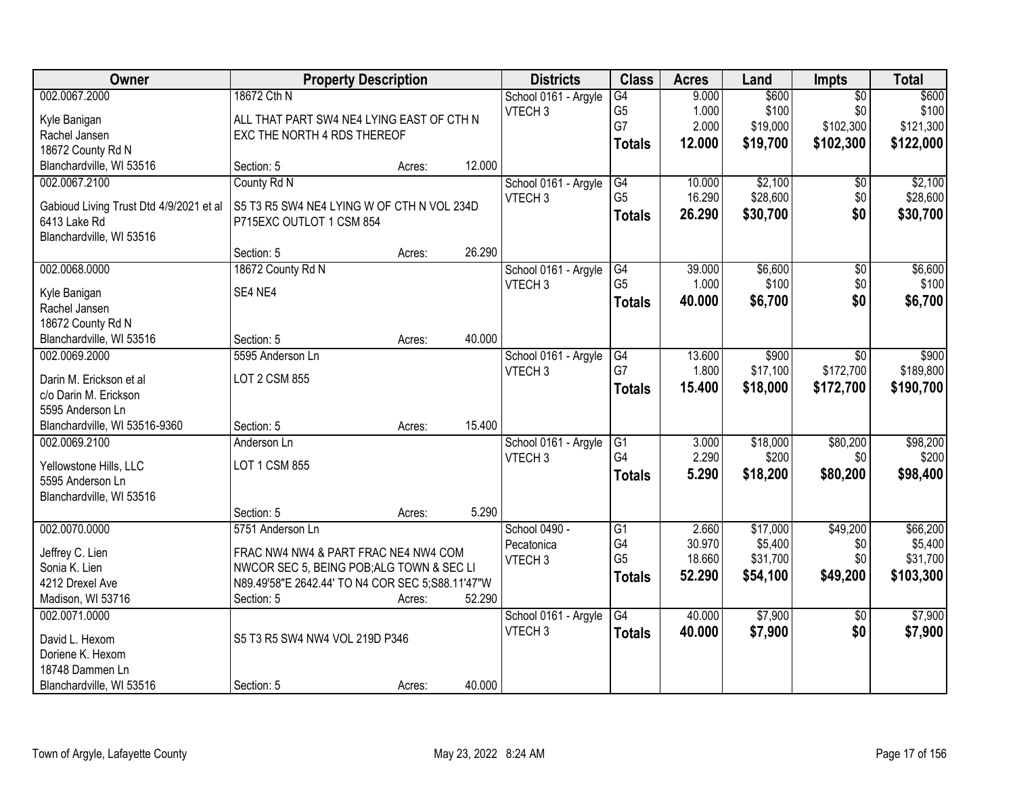| Owner                                   |                                                  | <b>Property Description</b> |        | <b>Districts</b>     | <b>Class</b>                      | <b>Acres</b> | Land     | Impts           | <b>Total</b> |
|-----------------------------------------|--------------------------------------------------|-----------------------------|--------|----------------------|-----------------------------------|--------------|----------|-----------------|--------------|
| 002.0067.2000                           | 18672 Cth N                                      |                             |        | School 0161 - Argyle | $\overline{G4}$                   | 9.000        | \$600    | $\overline{50}$ | \$600        |
| Kyle Banigan                            | ALL THAT PART SW4 NE4 LYING EAST OF CTH N        |                             |        | VTECH <sub>3</sub>   | G <sub>5</sub>                    | 1.000        | \$100    | \$0             | \$100        |
| Rachel Jansen                           | EXC THE NORTH 4 RDS THEREOF                      |                             |        |                      | G7                                | 2.000        | \$19,000 | \$102,300       | \$121,300    |
| 18672 County Rd N                       |                                                  |                             |        |                      | <b>Totals</b>                     | 12.000       | \$19,700 | \$102,300       | \$122,000    |
| Blanchardville, WI 53516                | Section: 5                                       | Acres:                      | 12.000 |                      |                                   |              |          |                 |              |
| 002.0067.2100                           | County Rd N                                      |                             |        | School 0161 - Argyle | $\overline{G4}$                   | 10.000       | \$2,100  | \$0             | \$2,100      |
|                                         |                                                  |                             |        | VTECH <sub>3</sub>   | G <sub>5</sub>                    | 16.290       | \$28,600 | \$0             | \$28,600     |
| Gabioud Living Trust Dtd 4/9/2021 et al | S5 T3 R5 SW4 NE4 LYING W OF CTH N VOL 234D       |                             |        |                      | <b>Totals</b>                     | 26.290       | \$30,700 | \$0             | \$30,700     |
| 6413 Lake Rd                            | P715EXC OUTLOT 1 CSM 854                         |                             |        |                      |                                   |              |          |                 |              |
| Blanchardville, WI 53516                |                                                  |                             |        |                      |                                   |              |          |                 |              |
|                                         | Section: 5                                       | Acres:                      | 26.290 |                      |                                   |              |          |                 |              |
| 002.0068.0000                           | 18672 County Rd N                                |                             |        | School 0161 - Argyle | G4                                | 39.000       | \$6,600  | $\overline{50}$ | \$6,600      |
| Kyle Banigan                            | SE4 NE4                                          |                             |        | VTECH <sub>3</sub>   | G <sub>5</sub>                    | 1.000        | \$100    | \$0             | \$100        |
| Rachel Jansen                           |                                                  |                             |        |                      | <b>Totals</b>                     | 40.000       | \$6,700  | \$0             | \$6,700      |
| 18672 County Rd N                       |                                                  |                             |        |                      |                                   |              |          |                 |              |
| Blanchardville, WI 53516                | Section: 5                                       | Acres:                      | 40.000 |                      |                                   |              |          |                 |              |
| 002.0069.2000                           | 5595 Anderson Ln                                 |                             |        | School 0161 - Argyle | G4                                | 13.600       | \$900    | \$0             | \$900        |
|                                         |                                                  |                             |        | VTECH <sub>3</sub>   | G7                                | 1.800        | \$17,100 | \$172,700       | \$189,800    |
| Darin M. Erickson et al                 | <b>LOT 2 CSM 855</b>                             |                             |        |                      | <b>Totals</b>                     | 15.400       | \$18,000 | \$172,700       | \$190,700    |
| c/o Darin M. Erickson                   |                                                  |                             |        |                      |                                   |              |          |                 |              |
| 5595 Anderson Ln                        |                                                  |                             | 15.400 |                      |                                   |              |          |                 |              |
| Blanchardville, WI 53516-9360           | Section: 5                                       | Acres:                      |        |                      |                                   |              |          |                 |              |
| 002.0069.2100                           | Anderson Ln                                      |                             |        | School 0161 - Argyle | $\overline{G1}$<br>G <sub>4</sub> | 3.000        | \$18,000 | \$80,200        | \$98,200     |
| Yellowstone Hills, LLC                  | LOT 1 CSM 855                                    |                             |        | VTECH <sub>3</sub>   |                                   | 2.290        | \$200    | \$0             | \$200        |
| 5595 Anderson Ln                        |                                                  |                             |        |                      | <b>Totals</b>                     | 5.290        | \$18,200 | \$80,200        | \$98,400     |
| Blanchardville, WI 53516                |                                                  |                             |        |                      |                                   |              |          |                 |              |
|                                         | Section: 5                                       | Acres:                      | 5.290  |                      |                                   |              |          |                 |              |
| 002.0070.0000                           | 5751 Anderson Ln                                 |                             |        | School 0490 -        | $\overline{G1}$                   | 2.660        | \$17,000 | \$49,200        | \$66,200     |
| Jeffrey C. Lien                         | FRAC NW4 NW4 & PART FRAC NE4 NW4 COM             |                             |        | Pecatonica           | G4                                | 30.970       | \$5,400  | \$0             | \$5,400      |
| Sonia K. Lien                           | NWCOR SEC 5, BEING POB; ALG TOWN & SEC LI        |                             |        | VTECH <sub>3</sub>   | G <sub>5</sub>                    | 18.660       | \$31,700 | \$0             | \$31,700     |
| 4212 Drexel Ave                         | N89.49'58"E 2642.44' TO N4 COR SEC 5;S88.11'47"W |                             |        |                      | <b>Totals</b>                     | 52.290       | \$54,100 | \$49,200        | \$103,300    |
| Madison, WI 53716                       | Section: 5                                       | Acres:                      | 52.290 |                      |                                   |              |          |                 |              |
| 002.0071.0000                           |                                                  |                             |        | School 0161 - Argyle | $\overline{G4}$                   | 40.000       | \$7,900  | $\overline{50}$ | \$7,900      |
|                                         |                                                  |                             |        | VTECH <sub>3</sub>   | <b>Totals</b>                     | 40.000       | \$7,900  | \$0             | \$7,900      |
| David L. Hexom                          | S5 T3 R5 SW4 NW4 VOL 219D P346                   |                             |        |                      |                                   |              |          |                 |              |
| Doriene K. Hexom                        |                                                  |                             |        |                      |                                   |              |          |                 |              |
| 18748 Dammen Ln                         |                                                  |                             |        |                      |                                   |              |          |                 |              |
| Blanchardville, WI 53516                | Section: 5                                       | Acres:                      | 40.000 |                      |                                   |              |          |                 |              |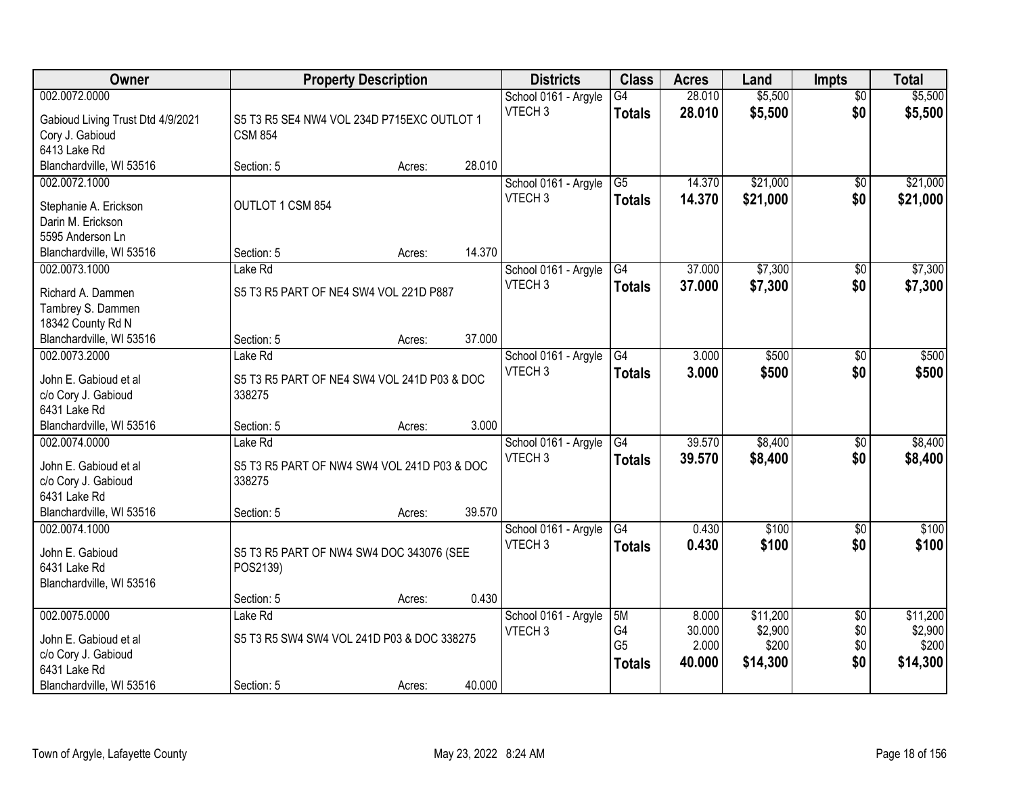| Owner                                        | <b>Property Description</b>                           |        |        | <b>Districts</b>     | <b>Class</b>    | <b>Acres</b> | Land              | <b>Impts</b>    | <b>Total</b> |
|----------------------------------------------|-------------------------------------------------------|--------|--------|----------------------|-----------------|--------------|-------------------|-----------------|--------------|
| 002.0072.0000                                |                                                       |        |        | School 0161 - Argyle | $\overline{G4}$ | 28.010       | \$5,500           | \$0             | \$5,500      |
| Gabioud Living Trust Dtd 4/9/2021            | S5 T3 R5 SE4 NW4 VOL 234D P715EXC OUTLOT 1            |        |        | VTECH <sub>3</sub>   | <b>Totals</b>   | 28.010       | \$5,500           | \$0             | \$5,500      |
| Cory J. Gabioud                              | <b>CSM 854</b>                                        |        |        |                      |                 |              |                   |                 |              |
| 6413 Lake Rd                                 |                                                       |        |        |                      |                 |              |                   |                 |              |
| Blanchardville, WI 53516                     | Section: 5                                            | Acres: | 28.010 |                      |                 |              |                   |                 |              |
| 002.0072.1000                                |                                                       |        |        | School 0161 - Argyle | $\overline{G5}$ | 14.370       | \$21,000          | \$0             | \$21,000     |
| Stephanie A. Erickson                        | OUTLOT 1 CSM 854                                      |        |        | VTECH <sub>3</sub>   | <b>Totals</b>   | 14.370       | \$21,000          | \$0             | \$21,000     |
| Darin M. Erickson                            |                                                       |        |        |                      |                 |              |                   |                 |              |
| 5595 Anderson Ln                             |                                                       |        |        |                      |                 |              |                   |                 |              |
| Blanchardville, WI 53516                     | Section: 5                                            | Acres: | 14.370 |                      |                 |              |                   |                 |              |
| 002.0073.1000                                | Lake Rd                                               |        |        | School 0161 - Argyle | G4              | 37.000       | \$7,300           | $\sqrt[6]{3}$   | \$7,300      |
| Richard A. Dammen                            | S5 T3 R5 PART OF NE4 SW4 VOL 221D P887                |        |        | VTECH <sub>3</sub>   | <b>Totals</b>   | 37.000       | \$7,300           | \$0             | \$7,300      |
| Tambrey S. Dammen                            |                                                       |        |        |                      |                 |              |                   |                 |              |
| 18342 County Rd N                            |                                                       |        |        |                      |                 |              |                   |                 |              |
| Blanchardville, WI 53516                     | Section: 5                                            | Acres: | 37.000 |                      |                 |              |                   |                 |              |
| 002.0073.2000                                | Lake Rd                                               |        |        | School 0161 - Argyle | G4              | 3.000        | \$500             | $\sqrt[6]{3}$   | \$500        |
| John E. Gabioud et al                        | S5 T3 R5 PART OF NE4 SW4 VOL 241D P03 & DOC           |        |        | VTECH <sub>3</sub>   | <b>Totals</b>   | 3.000        | \$500             | \$0             | \$500        |
| c/o Cory J. Gabioud                          | 338275                                                |        |        |                      |                 |              |                   |                 |              |
| 6431 Lake Rd                                 |                                                       |        |        |                      |                 |              |                   |                 |              |
| Blanchardville, WI 53516                     | Section: 5                                            | Acres: | 3.000  |                      |                 |              |                   |                 |              |
| 002.0074.0000                                | Lake Rd                                               |        |        | School 0161 - Argyle | G4              | 39.570       | \$8,400           | \$0             | \$8,400      |
|                                              |                                                       |        |        | VTECH <sub>3</sub>   | <b>Totals</b>   | 39.570       | \$8,400           | \$0             | \$8,400      |
| John E. Gabioud et al<br>c/o Cory J. Gabioud | S5 T3 R5 PART OF NW4 SW4 VOL 241D P03 & DOC<br>338275 |        |        |                      |                 |              |                   |                 |              |
| 6431 Lake Rd                                 |                                                       |        |        |                      |                 |              |                   |                 |              |
| Blanchardville, WI 53516                     | Section: 5                                            | Acres: | 39.570 |                      |                 |              |                   |                 |              |
| 002.0074.1000                                |                                                       |        |        | School 0161 - Argyle | G4              | 0.430        | $\overline{$100}$ | \$0             | \$100        |
|                                              |                                                       |        |        | VTECH <sub>3</sub>   | <b>Totals</b>   | 0.430        | \$100             | \$0             | \$100        |
| John E. Gabioud                              | S5 T3 R5 PART OF NW4 SW4 DOC 343076 (SEE              |        |        |                      |                 |              |                   |                 |              |
| 6431 Lake Rd                                 | POS2139)                                              |        |        |                      |                 |              |                   |                 |              |
| Blanchardville, WI 53516                     | Section: 5                                            | Acres: | 0.430  |                      |                 |              |                   |                 |              |
| 002.0075.0000                                | Lake Rd                                               |        |        | School 0161 - Argyle | 5M              | 8.000        | \$11,200          | $\overline{50}$ | \$11,200     |
|                                              |                                                       |        |        | VTECH <sub>3</sub>   | G4              | 30.000       | \$2,900           | \$0             | \$2,900      |
| John E. Gabioud et al                        | S5 T3 R5 SW4 SW4 VOL 241D P03 & DOC 338275            |        |        |                      | G <sub>5</sub>  | 2.000        | \$200             | \$0             | \$200        |
| c/o Cory J. Gabioud                          |                                                       |        |        |                      | <b>Totals</b>   | 40.000       | \$14,300          | \$0             | \$14,300     |
| 6431 Lake Rd                                 |                                                       |        |        |                      |                 |              |                   |                 |              |
| Blanchardville, WI 53516                     | Section: 5                                            | Acres: | 40.000 |                      |                 |              |                   |                 |              |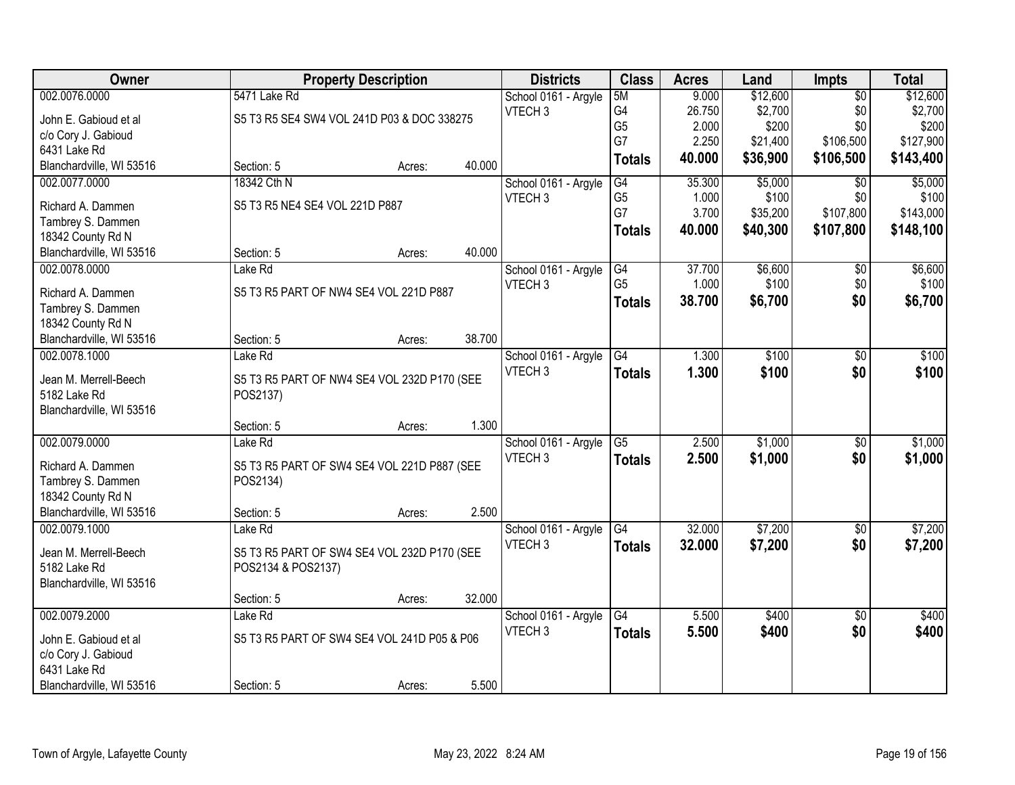| <b>Owner</b>                           |                                             | <b>Property Description</b> |        | <b>Districts</b>     | <b>Class</b>    | <b>Acres</b> | Land     | Impts           | <b>Total</b> |
|----------------------------------------|---------------------------------------------|-----------------------------|--------|----------------------|-----------------|--------------|----------|-----------------|--------------|
| 002.0076.0000                          | 5471 Lake Rd                                |                             |        | School 0161 - Argyle | 5M              | 9.000        | \$12,600 | $\overline{50}$ | \$12,600     |
| John E. Gabioud et al                  | S5 T3 R5 SE4 SW4 VOL 241D P03 & DOC 338275  |                             |        | VTECH <sub>3</sub>   | G4              | 26.750       | \$2,700  | \$0             | \$2,700      |
| c/o Cory J. Gabioud                    |                                             |                             |        |                      | G <sub>5</sub>  | 2.000        | \$200    | \$0             | \$200        |
| 6431 Lake Rd                           |                                             |                             |        |                      | G7              | 2.250        | \$21,400 | \$106,500       | \$127,900    |
| Blanchardville, WI 53516               | Section: 5                                  | Acres:                      | 40.000 |                      | <b>Totals</b>   | 40.000       | \$36,900 | \$106,500       | \$143,400    |
| 002.0077.0000                          | 18342 Cth N                                 |                             |        | School 0161 - Argyle | G4              | 35.300       | \$5,000  | $\overline{50}$ | \$5,000      |
| Richard A. Dammen                      | S5 T3 R5 NE4 SE4 VOL 221D P887              |                             |        | VTECH <sub>3</sub>   | G <sub>5</sub>  | 1.000        | \$100    | \$0             | \$100        |
|                                        |                                             |                             |        |                      | G7              | 3.700        | \$35,200 | \$107,800       | \$143,000    |
| Tambrey S. Dammen<br>18342 County Rd N |                                             |                             |        |                      | <b>Totals</b>   | 40.000       | \$40,300 | \$107,800       | \$148,100    |
| Blanchardville, WI 53516               | Section: 5                                  | Acres:                      | 40.000 |                      |                 |              |          |                 |              |
| 002.0078.0000                          | Lake Rd                                     |                             |        | School 0161 - Argyle | G4              | 37.700       | \$6,600  | \$0             | \$6,600      |
|                                        |                                             |                             |        | VTECH <sub>3</sub>   | G <sub>5</sub>  | 1.000        | \$100    | \$0             | \$100        |
| Richard A. Dammen                      | S5 T3 R5 PART OF NW4 SE4 VOL 221D P887      |                             |        |                      | <b>Totals</b>   | 38.700       | \$6,700  | \$0             | \$6,700      |
| Tambrey S. Dammen                      |                                             |                             |        |                      |                 |              |          |                 |              |
| 18342 County Rd N                      |                                             |                             |        |                      |                 |              |          |                 |              |
| Blanchardville, WI 53516               | Section: 5                                  | Acres:                      | 38.700 |                      |                 |              |          |                 |              |
| 002.0078.1000                          | Lake Rd                                     |                             |        | School 0161 - Argyle | G4              | 1.300        | \$100    | \$0             | \$100        |
| Jean M. Merrell-Beech                  | S5 T3 R5 PART OF NW4 SE4 VOL 232D P170 (SEE |                             |        | VTECH <sub>3</sub>   | <b>Totals</b>   | 1.300        | \$100    | \$0             | \$100        |
| 5182 Lake Rd                           | POS2137)                                    |                             |        |                      |                 |              |          |                 |              |
| Blanchardville, WI 53516               |                                             |                             |        |                      |                 |              |          |                 |              |
|                                        | Section: 5                                  | Acres:                      | 1.300  |                      |                 |              |          |                 |              |
| 002.0079.0000                          | Lake Rd                                     |                             |        | School 0161 - Argyle | $\overline{G5}$ | 2.500        | \$1,000  | $\overline{50}$ | \$1,000      |
|                                        |                                             |                             |        | VTECH <sub>3</sub>   | <b>Totals</b>   | 2.500        | \$1,000  | \$0             | \$1,000      |
| Richard A. Dammen                      | S5 T3 R5 PART OF SW4 SE4 VOL 221D P887 (SEE |                             |        |                      |                 |              |          |                 |              |
| Tambrey S. Dammen                      | POS2134)                                    |                             |        |                      |                 |              |          |                 |              |
| 18342 County Rd N                      |                                             |                             |        |                      |                 |              |          |                 |              |
| Blanchardville, WI 53516               | Section: 5                                  | Acres:                      | 2.500  |                      |                 |              |          |                 |              |
| 002.0079.1000                          | Lake Rd                                     |                             |        | School 0161 - Argyle | G4              | 32.000       | \$7,200  | $\overline{50}$ | \$7,200      |
| Jean M. Merrell-Beech                  | S5 T3 R5 PART OF SW4 SE4 VOL 232D P170 (SEE |                             |        | VTECH <sub>3</sub>   | <b>Totals</b>   | 32.000       | \$7,200  | \$0             | \$7,200      |
| 5182 Lake Rd                           | POS2134 & POS2137)                          |                             |        |                      |                 |              |          |                 |              |
| Blanchardville, WI 53516               |                                             |                             |        |                      |                 |              |          |                 |              |
|                                        | Section: 5                                  | Acres:                      | 32.000 |                      |                 |              |          |                 |              |
| 002.0079.2000                          | Lake Rd                                     |                             |        | School 0161 - Argyle | G4              | 5.500        | \$400    | $\overline{50}$ | \$400        |
| John E. Gabioud et al                  | S5 T3 R5 PART OF SW4 SE4 VOL 241D P05 & P06 |                             |        | VTECH <sub>3</sub>   | <b>Totals</b>   | 5.500        | \$400    | \$0             | \$400        |
| c/o Cory J. Gabioud                    |                                             |                             |        |                      |                 |              |          |                 |              |
| 6431 Lake Rd                           |                                             |                             |        |                      |                 |              |          |                 |              |
| Blanchardville, WI 53516               | Section: 5                                  | Acres:                      | 5.500  |                      |                 |              |          |                 |              |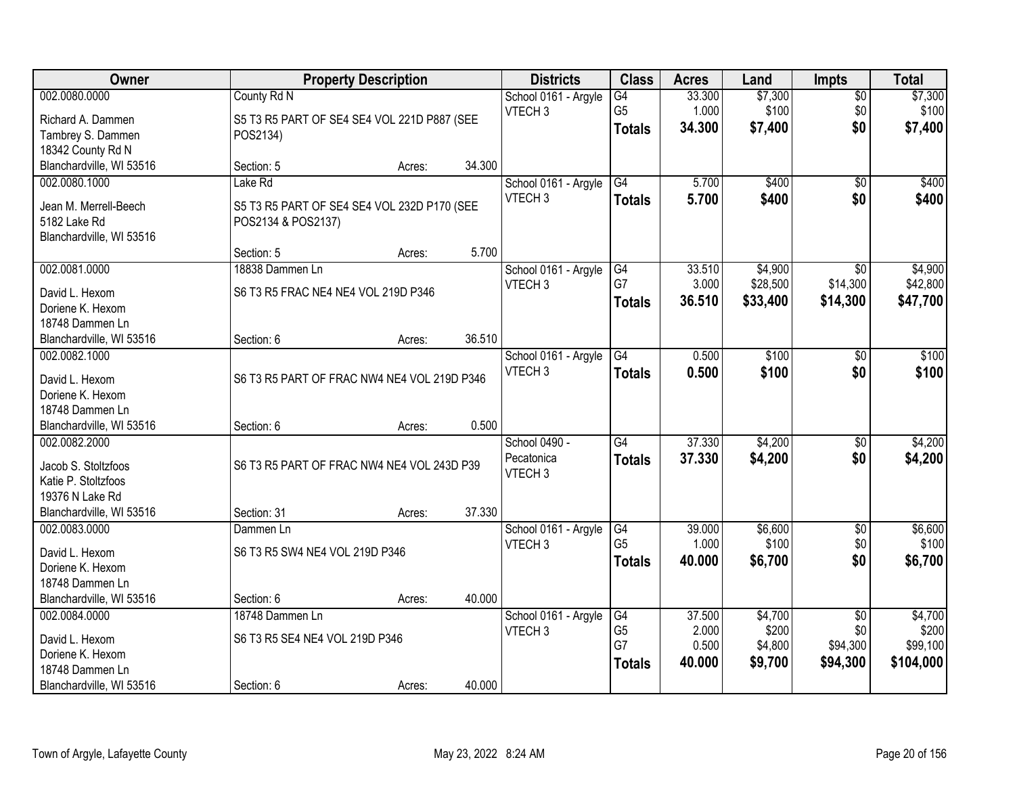| Owner                                 |                                             | <b>Property Description</b> |        | <b>Districts</b>     | <b>Class</b>    | <b>Acres</b> | Land     | <b>Impts</b>    | <b>Total</b> |
|---------------------------------------|---------------------------------------------|-----------------------------|--------|----------------------|-----------------|--------------|----------|-----------------|--------------|
| 002.0080.0000                         | County Rd N                                 |                             |        | School 0161 - Argyle | $\overline{G4}$ | 33.300       | \$7,300  | $\overline{50}$ | \$7,300      |
| Richard A. Dammen                     | S5 T3 R5 PART OF SE4 SE4 VOL 221D P887 (SEE |                             |        | VTECH <sub>3</sub>   | G <sub>5</sub>  | 1.000        | \$100    | \$0             | \$100        |
| Tambrey S. Dammen                     | POS2134)                                    |                             |        |                      | <b>Totals</b>   | 34.300       | \$7,400  | \$0             | \$7,400      |
| 18342 County Rd N                     |                                             |                             |        |                      |                 |              |          |                 |              |
| Blanchardville, WI 53516              | Section: 5                                  | Acres:                      | 34.300 |                      |                 |              |          |                 |              |
| 002.0080.1000                         | Lake Rd                                     |                             |        | School 0161 - Argyle | G4              | 5.700        | \$400    | $\overline{50}$ | \$400        |
|                                       |                                             |                             |        | VTECH <sub>3</sub>   | <b>Totals</b>   | 5.700        | \$400    | \$0             | \$400        |
| Jean M. Merrell-Beech<br>5182 Lake Rd | S5 T3 R5 PART OF SE4 SE4 VOL 232D P170 (SEE |                             |        |                      |                 |              |          |                 |              |
| Blanchardville, WI 53516              | POS2134 & POS2137)                          |                             |        |                      |                 |              |          |                 |              |
|                                       | Section: 5                                  | Acres:                      | 5.700  |                      |                 |              |          |                 |              |
| 002.0081.0000                         | 18838 Dammen Ln                             |                             |        | School 0161 - Argyle | G4              | 33.510       | \$4,900  | $\overline{50}$ | \$4,900      |
|                                       |                                             |                             |        | VTECH <sub>3</sub>   | G7              | 3.000        | \$28,500 | \$14,300        | \$42,800     |
| David L. Hexom                        | S6 T3 R5 FRAC NE4 NE4 VOL 219D P346         |                             |        |                      | <b>Totals</b>   | 36.510       | \$33,400 | \$14,300        | \$47,700     |
| Doriene K. Hexom                      |                                             |                             |        |                      |                 |              |          |                 |              |
| 18748 Dammen Ln                       |                                             |                             |        |                      |                 |              |          |                 |              |
| Blanchardville, WI 53516              | Section: 6                                  | Acres:                      | 36.510 |                      |                 |              |          |                 |              |
| 002.0082.1000                         |                                             |                             |        | School 0161 - Argyle | G4              | 0.500        | \$100    | \$0             | \$100        |
| David L. Hexom                        | S6 T3 R5 PART OF FRAC NW4 NE4 VOL 219D P346 |                             |        | VTECH <sub>3</sub>   | <b>Totals</b>   | 0.500        | \$100    | \$0             | \$100        |
| Doriene K. Hexom                      |                                             |                             |        |                      |                 |              |          |                 |              |
| 18748 Dammen Ln                       |                                             |                             |        |                      |                 |              |          |                 |              |
| Blanchardville, WI 53516              | Section: 6                                  | Acres:                      | 0.500  |                      |                 |              |          |                 |              |
| 002.0082.2000                         |                                             |                             |        | School 0490 -        | $\overline{G4}$ | 37.330       | \$4,200  | $\overline{50}$ | \$4,200      |
| Jacob S. Stoltzfoos                   | S6 T3 R5 PART OF FRAC NW4 NE4 VOL 243D P39  |                             |        | Pecatonica           | Totals          | 37.330       | \$4,200  | \$0             | \$4,200      |
| Katie P. Stoltzfoos                   |                                             |                             |        | VTECH <sub>3</sub>   |                 |              |          |                 |              |
| 19376 N Lake Rd                       |                                             |                             |        |                      |                 |              |          |                 |              |
| Blanchardville, WI 53516              | Section: 31                                 | Acres:                      | 37.330 |                      |                 |              |          |                 |              |
| 002.0083.0000                         | Dammen Ln                                   |                             |        | School 0161 - Argyle | G4              | 39.000       | \$6,600  | $\sqrt{$0}$     | \$6,600      |
|                                       |                                             |                             |        | VTECH <sub>3</sub>   | G <sub>5</sub>  | 1.000        | \$100    | \$0             | \$100        |
| David L. Hexom                        | S6 T3 R5 SW4 NE4 VOL 219D P346              |                             |        |                      | <b>Totals</b>   | 40.000       | \$6,700  | \$0             | \$6,700      |
| Doriene K. Hexom                      |                                             |                             |        |                      |                 |              |          |                 |              |
| 18748 Dammen Ln                       |                                             |                             |        |                      |                 |              |          |                 |              |
| Blanchardville, WI 53516              | Section: 6                                  | Acres:                      | 40.000 |                      |                 |              |          |                 |              |
| 002.0084.0000                         | 18748 Dammen Ln                             |                             |        | School 0161 - Argyle | G4              | 37.500       | \$4,700  | $\overline{30}$ | \$4,700      |
| David L. Hexom                        | S6 T3 R5 SE4 NE4 VOL 219D P346              |                             |        | VTECH <sub>3</sub>   | G <sub>5</sub>  | 2.000        | \$200    | \$0             | \$200        |
| Doriene K. Hexom                      |                                             |                             |        |                      | G7              | 0.500        | \$4,800  | \$94,300        | \$99,100     |
| 18748 Dammen Ln                       |                                             |                             |        |                      | <b>Totals</b>   | 40.000       | \$9,700  | \$94,300        | \$104,000    |
| Blanchardville, WI 53516              | Section: 6                                  | Acres:                      | 40.000 |                      |                 |              |          |                 |              |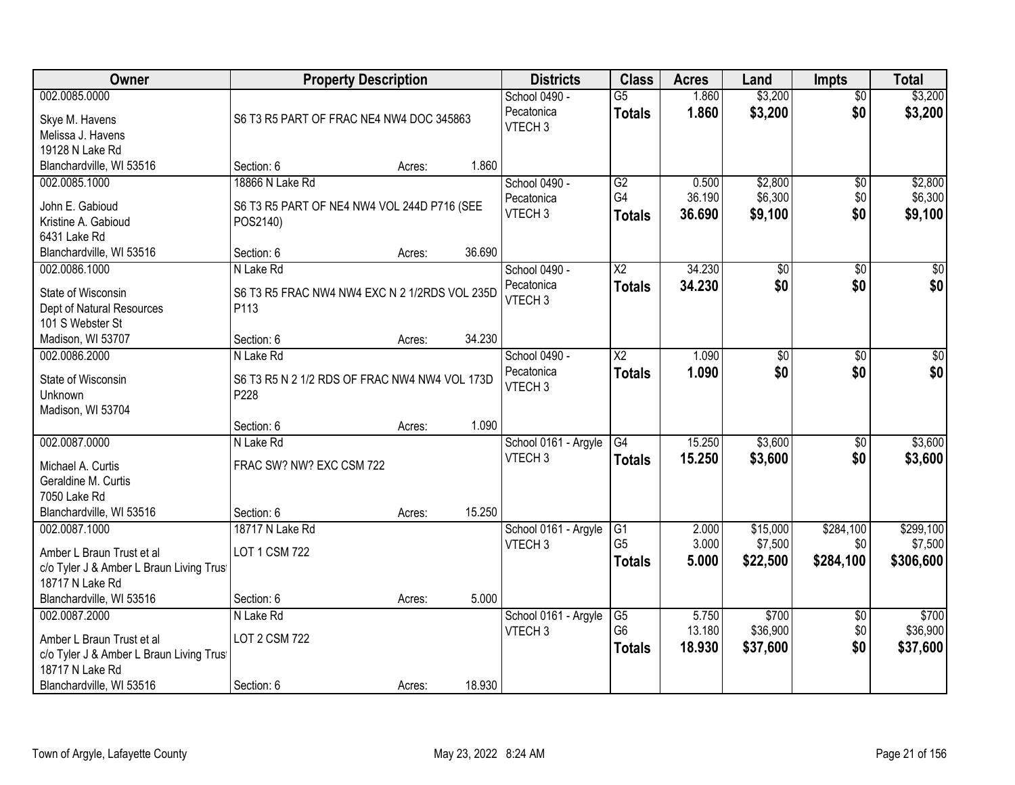| Owner                                                                                                                                | <b>Property Description</b>                                                |        |        | <b>Districts</b>                                  | <b>Class</b>                                       | <b>Acres</b>              | Land                            | <b>Impts</b>                  | <b>Total</b>                      |
|--------------------------------------------------------------------------------------------------------------------------------------|----------------------------------------------------------------------------|--------|--------|---------------------------------------------------|----------------------------------------------------|---------------------------|---------------------------------|-------------------------------|-----------------------------------|
| 002.0085.0000<br>Skye M. Havens<br>Melissa J. Havens<br>19128 N Lake Rd                                                              | S6 T3 R5 PART OF FRAC NE4 NW4 DOC 345863                                   |        |        | School 0490 -<br>Pecatonica<br>VTECH <sub>3</sub> | $\overline{G5}$<br><b>Totals</b>                   | 1.860<br>1.860            | \$3,200<br>\$3,200              | $\overline{50}$<br>\$0        | \$3,200<br>\$3,200                |
| Blanchardville, WI 53516                                                                                                             | Section: 6                                                                 | Acres: | 1.860  |                                                   |                                                    |                           |                                 |                               |                                   |
| 002.0085.1000<br>John E. Gabioud<br>Kristine A. Gabioud<br>6431 Lake Rd                                                              | 18866 N Lake Rd<br>S6 T3 R5 PART OF NE4 NW4 VOL 244D P716 (SEE<br>POS2140) |        |        | School 0490 -<br>Pecatonica<br>VTECH <sub>3</sub> | G2<br>G4<br><b>Totals</b>                          | 0.500<br>36.190<br>36.690 | \$2,800<br>\$6,300<br>\$9,100   | \$0<br>\$0<br>\$0             | \$2,800<br>\$6,300<br>\$9,100     |
| Blanchardville, WI 53516                                                                                                             | Section: 6                                                                 | Acres: | 36.690 |                                                   |                                                    |                           |                                 |                               |                                   |
| 002.0086.1000<br>State of Wisconsin<br>Dept of Natural Resources<br>101 S Webster St                                                 | N Lake Rd<br>S6 T3 R5 FRAC NW4 NW4 EXC N 2 1/2RDS VOL 235D<br>P113         |        |        | School 0490 -<br>Pecatonica<br>VTECH <sub>3</sub> | $\overline{\text{X2}}$<br><b>Totals</b>            | 34.230<br>34.230          | $\overline{50}$<br>\$0          | \$0<br>\$0                    | $\overline{\$0}$<br>\$0           |
| Madison, WI 53707                                                                                                                    | Section: 6                                                                 | Acres: | 34.230 |                                                   |                                                    |                           |                                 |                               |                                   |
| 002.0086.2000<br>State of Wisconsin<br>Unknown<br>Madison, WI 53704                                                                  | N Lake Rd<br>S6 T3 R5 N 2 1/2 RDS OF FRAC NW4 NW4 VOL 173D<br>P228         |        |        | School 0490 -<br>Pecatonica<br>VTECH <sub>3</sub> | $\overline{X2}$<br><b>Totals</b>                   | 1.090<br>1.090            | \$0<br>\$0                      | \$0<br>\$0                    | $\sqrt{50}$<br>\$0                |
|                                                                                                                                      | Section: 6                                                                 | Acres: | 1.090  |                                                   |                                                    |                           |                                 |                               |                                   |
| 002.0087.0000<br>Michael A. Curtis<br>Geraldine M. Curtis<br>7050 Lake Rd<br>Blanchardville, WI 53516                                | N Lake Rd<br>FRAC SW? NW? EXC CSM 722<br>Section: 6                        | Acres: | 15.250 | School 0161 - Argyle<br>VTECH <sub>3</sub>        | $\overline{G4}$<br>Totals                          | 15.250<br>15.250          | \$3,600<br>\$3,600              | \$0<br>\$0                    | \$3,600<br>\$3,600                |
| 002.0087.1000<br>Amber L Braun Trust et al<br>c/o Tyler J & Amber L Braun Living Trus<br>18717 N Lake Rd<br>Blanchardville, WI 53516 | 18717 N Lake Rd<br>LOT 1 CSM 722<br>Section: 6                             | Acres: | 5.000  | School 0161 - Argyle<br>VTECH <sub>3</sub>        | $\overline{G1}$<br>G <sub>5</sub><br><b>Totals</b> | 2.000<br>3.000<br>5.000   | \$15,000<br>\$7,500<br>\$22,500 | \$284,100<br>\$0<br>\$284,100 | \$299,100<br>\$7,500<br>\$306,600 |
| 002.0087.2000<br>Amber L Braun Trust et al<br>c/o Tyler J & Amber L Braun Living Trus<br>18717 N Lake Rd<br>Blanchardville, WI 53516 | N Lake Rd<br>LOT 2 CSM 722<br>Section: 6                                   | Acres: | 18.930 | School 0161 - Argyle<br>VTECH <sub>3</sub>        | G5<br>G <sub>6</sub><br><b>Totals</b>              | 5.750<br>13.180<br>18.930 | \$700<br>\$36,900<br>\$37,600   | $\overline{60}$<br>\$0<br>\$0 | \$700<br>\$36,900<br>\$37,600     |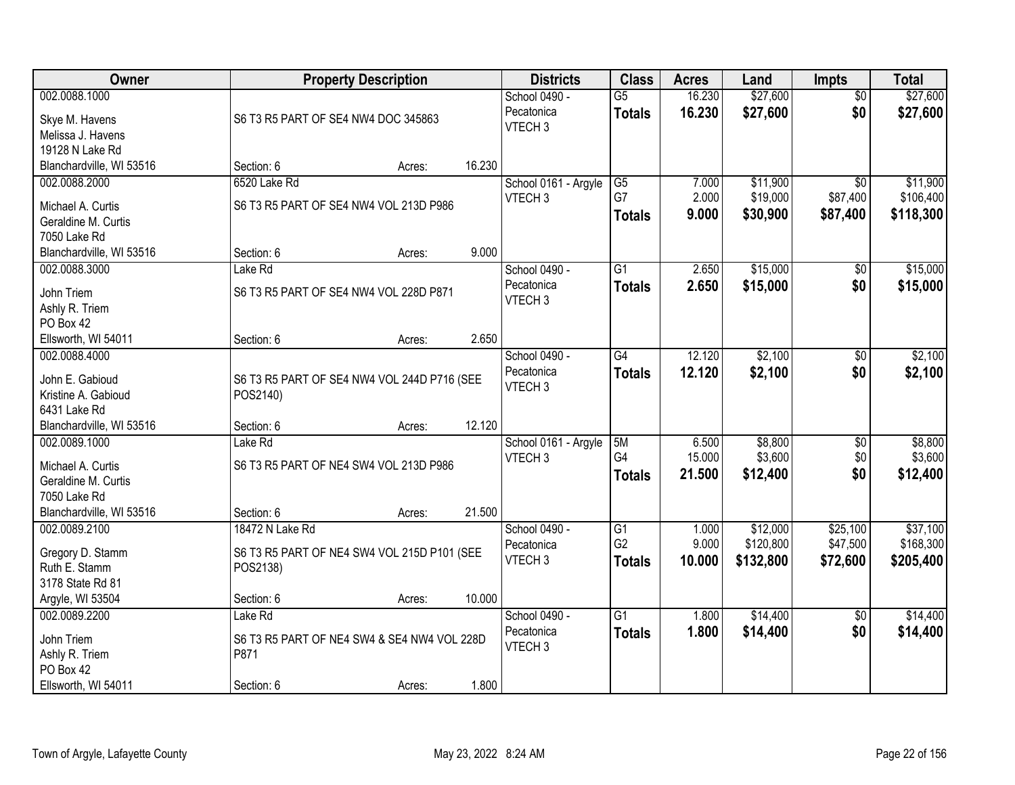| Owner                                     |                                             | <b>Property Description</b> |        | <b>Districts</b>                           | <b>Class</b>    | <b>Acres</b> | Land      | <b>Impts</b>    | <b>Total</b> |
|-------------------------------------------|---------------------------------------------|-----------------------------|--------|--------------------------------------------|-----------------|--------------|-----------|-----------------|--------------|
| 002.0088.1000                             |                                             |                             |        | School 0490 -                              | $\overline{G5}$ | 16.230       | \$27,600  | $\overline{50}$ | \$27,600     |
| Skye M. Havens                            | S6 T3 R5 PART OF SE4 NW4 DOC 345863         |                             |        | Pecatonica                                 | <b>Totals</b>   | 16.230       | \$27,600  | \$0             | \$27,600     |
| Melissa J. Havens                         |                                             |                             |        | VTECH <sub>3</sub>                         |                 |              |           |                 |              |
| 19128 N Lake Rd                           |                                             |                             |        |                                            |                 |              |           |                 |              |
| Blanchardville, WI 53516                  | Section: 6                                  | Acres:                      | 16.230 |                                            |                 |              |           |                 |              |
| 002.0088.2000                             | 6520 Lake Rd                                |                             |        | School 0161 - Argyle                       | G5              | 7.000        | \$11,900  | \$0             | \$11,900     |
| Michael A. Curtis                         | S6 T3 R5 PART OF SE4 NW4 VOL 213D P986      |                             |        | VTECH <sub>3</sub>                         | G7              | 2.000        | \$19,000  | \$87,400        | \$106,400    |
| Geraldine M. Curtis                       |                                             |                             |        |                                            | <b>Totals</b>   | 9.000        | \$30,900  | \$87,400        | \$118,300    |
| 7050 Lake Rd                              |                                             |                             |        |                                            |                 |              |           |                 |              |
| Blanchardville, WI 53516                  | Section: 6                                  | Acres:                      | 9.000  |                                            |                 |              |           |                 |              |
| 002.0088.3000                             | Lake Rd                                     |                             |        | School 0490 -                              | G1              | 2.650        | \$15,000  | \$0             | \$15,000     |
| John Triem                                | S6 T3 R5 PART OF SE4 NW4 VOL 228D P871      |                             |        | Pecatonica                                 | <b>Totals</b>   | 2.650        | \$15,000  | \$0             | \$15,000     |
| Ashly R. Triem                            |                                             |                             |        | VTECH <sub>3</sub>                         |                 |              |           |                 |              |
| PO Box 42                                 |                                             |                             |        |                                            |                 |              |           |                 |              |
| Ellsworth, WI 54011                       | Section: 6                                  | Acres:                      | 2.650  |                                            |                 |              |           |                 |              |
| 002.0088.4000                             |                                             |                             |        | School 0490 -                              | G4              | 12.120       | \$2,100   | $\frac{1}{20}$  | \$2,100      |
|                                           |                                             |                             |        | Pecatonica                                 | <b>Totals</b>   | 12.120       | \$2,100   | \$0             | \$2,100      |
| John E. Gabioud                           | S6 T3 R5 PART OF SE4 NW4 VOL 244D P716 (SEE |                             |        | VTECH <sub>3</sub>                         |                 |              |           |                 |              |
| Kristine A. Gabioud                       | POS2140)                                    |                             |        |                                            |                 |              |           |                 |              |
| 6431 Lake Rd                              |                                             |                             | 12.120 |                                            |                 |              |           |                 |              |
| Blanchardville, WI 53516<br>002.0089.1000 | Section: 6<br>Lake Rd                       | Acres:                      |        |                                            | 5M              | 6.500        | \$8,800   |                 | \$8,800      |
|                                           |                                             |                             |        | School 0161 - Argyle<br>VTECH <sub>3</sub> | G4              | 15.000       | \$3,600   | \$0<br>\$0      | \$3,600      |
| Michael A. Curtis                         | S6 T3 R5 PART OF NE4 SW4 VOL 213D P986      |                             |        |                                            | <b>Totals</b>   | 21.500       | \$12,400  | \$0             | \$12,400     |
| Geraldine M. Curtis                       |                                             |                             |        |                                            |                 |              |           |                 |              |
| 7050 Lake Rd                              |                                             |                             |        |                                            |                 |              |           |                 |              |
| Blanchardville, WI 53516                  | Section: 6                                  | Acres:                      | 21.500 |                                            |                 |              |           |                 |              |
| 002.0089.2100                             | 18472 N Lake Rd                             |                             |        | School 0490 -                              | G1              | 1.000        | \$12,000  | \$25,100        | \$37,100     |
| Gregory D. Stamm                          | S6 T3 R5 PART OF NE4 SW4 VOL 215D P101 (SEE |                             |        | Pecatonica                                 | G <sub>2</sub>  | 9.000        | \$120,800 | \$47,500        | \$168,300    |
| Ruth E. Stamm                             | POS2138)                                    |                             |        | VTECH <sub>3</sub>                         | <b>Totals</b>   | 10.000       | \$132,800 | \$72,600        | \$205,400    |
| 3178 State Rd 81                          |                                             |                             |        |                                            |                 |              |           |                 |              |
| Argyle, WI 53504                          | Section: 6                                  | Acres:                      | 10.000 |                                            |                 |              |           |                 |              |
| 002.0089.2200                             | Lake Rd                                     |                             |        | School 0490 -                              | $\overline{G1}$ | 1.800        | \$14,400  | $\overline{30}$ | \$14,400     |
| John Triem                                | S6 T3 R5 PART OF NE4 SW4 & SE4 NW4 VOL 228D |                             |        | Pecatonica                                 | <b>Totals</b>   | 1.800        | \$14,400  | \$0             | \$14,400     |
| Ashly R. Triem                            | P871                                        |                             |        | VTECH <sub>3</sub>                         |                 |              |           |                 |              |
| PO Box 42                                 |                                             |                             |        |                                            |                 |              |           |                 |              |
| Ellsworth, WI 54011                       | Section: 6                                  | Acres:                      | 1.800  |                                            |                 |              |           |                 |              |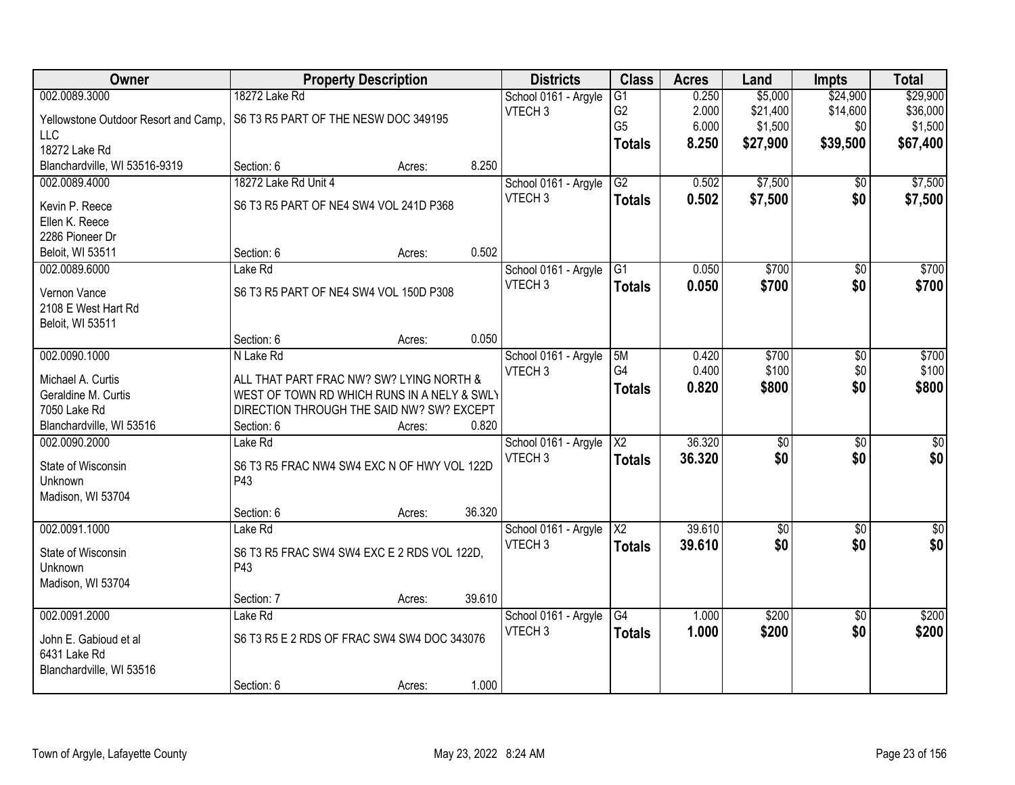| Owner                                | <b>Property Description</b>                 |        |        | <b>Districts</b>     | <b>Class</b>           | <b>Acres</b> | Land            | <b>Impts</b>    | <b>Total</b>     |
|--------------------------------------|---------------------------------------------|--------|--------|----------------------|------------------------|--------------|-----------------|-----------------|------------------|
| 002.0089.3000                        | 18272 Lake Rd                               |        |        | School 0161 - Argyle | $\overline{G1}$        | 0.250        | \$5,000         | \$24,900        | \$29,900         |
| Yellowstone Outdoor Resort and Camp, | S6 T3 R5 PART OF THE NESW DOC 349195        |        |        | VTECH <sub>3</sub>   | G <sub>2</sub>         | 2.000        | \$21,400        | \$14,600        | \$36,000         |
| <b>LLC</b>                           |                                             |        |        |                      | G <sub>5</sub>         | 6.000        | \$1,500         | \$0             | \$1,500          |
| 18272 Lake Rd                        |                                             |        |        |                      | <b>Totals</b>          | 8.250        | \$27,900        | \$39,500        | \$67,400         |
| Blanchardville, WI 53516-9319        | Section: 6                                  | Acres: | 8.250  |                      |                        |              |                 |                 |                  |
| 002.0089.4000                        | 18272 Lake Rd Unit 4                        |        |        | School 0161 - Argyle | G2                     | 0.502        | \$7,500         | $\overline{50}$ | \$7,500          |
| Kevin P. Reece                       | S6 T3 R5 PART OF NE4 SW4 VOL 241D P368      |        |        | VTECH <sub>3</sub>   | <b>Totals</b>          | 0.502        | \$7,500         | \$0             | \$7,500          |
| Ellen K. Reece                       |                                             |        |        |                      |                        |              |                 |                 |                  |
| 2286 Pioneer Dr                      |                                             |        |        |                      |                        |              |                 |                 |                  |
| Beloit, WI 53511                     | Section: 6                                  | Acres: | 0.502  |                      |                        |              |                 |                 |                  |
| 002.0089.6000                        | Lake Rd                                     |        |        | School 0161 - Argyle | G <sub>1</sub>         | 0.050        | \$700           | $\overline{50}$ | \$700            |
| Vernon Vance                         | S6 T3 R5 PART OF NE4 SW4 VOL 150D P308      |        |        | VTECH <sub>3</sub>   | <b>Totals</b>          | 0.050        | \$700           | \$0             | \$700            |
| 2108 E West Hart Rd                  |                                             |        |        |                      |                        |              |                 |                 |                  |
| Beloit, WI 53511                     |                                             |        |        |                      |                        |              |                 |                 |                  |
|                                      | Section: 6                                  | Acres: | 0.050  |                      |                        |              |                 |                 |                  |
| 002.0090.1000                        | N Lake Rd                                   |        |        | School 0161 - Argyle | 5M                     | 0.420        | \$700           | $\overline{50}$ | \$700            |
| Michael A. Curtis                    | ALL THAT PART FRAC NW? SW? LYING NORTH &    |        |        | VTECH <sub>3</sub>   | G4                     | 0.400        | \$100           | \$0             | \$100            |
| Geraldine M. Curtis                  | WEST OF TOWN RD WHICH RUNS IN A NELY & SWLY |        |        |                      | <b>Totals</b>          | 0.820        | \$800           | \$0             | \$800            |
| 7050 Lake Rd                         | DIRECTION THROUGH THE SAID NW? SW? EXCEPT   |        |        |                      |                        |              |                 |                 |                  |
| Blanchardville, WI 53516             | Section: 6                                  | Acres: | 0.820  |                      |                        |              |                 |                 |                  |
| 002.0090.2000                        | Lake Rd                                     |        |        | School 0161 - Argyle | $\overline{\text{X2}}$ | 36.320       | \$0             | $\overline{50}$ | \$0              |
|                                      |                                             |        |        | VTECH <sub>3</sub>   | <b>Totals</b>          | 36.320       | \$0             | \$0             | \$0              |
| State of Wisconsin                   | S6 T3 R5 FRAC NW4 SW4 EXC N OF HWY VOL 122D |        |        |                      |                        |              |                 |                 |                  |
| Unknown                              | P43                                         |        |        |                      |                        |              |                 |                 |                  |
| Madison, WI 53704                    |                                             |        |        |                      |                        |              |                 |                 |                  |
|                                      | Section: 6                                  | Acres: | 36.320 |                      |                        |              |                 |                 |                  |
| 002.0091.1000                        | Lake Rd                                     |        |        | School 0161 - Argyle | $\overline{\text{X2}}$ | 39.610       | $\overline{50}$ | $\overline{50}$ | $\overline{\$0}$ |
| State of Wisconsin                   | S6 T3 R5 FRAC SW4 SW4 EXC E 2 RDS VOL 122D, |        |        | VTECH <sub>3</sub>   | <b>Totals</b>          | 39.610       | \$0             | \$0             | \$0              |
| Unknown                              | P43                                         |        |        |                      |                        |              |                 |                 |                  |
| Madison, WI 53704                    |                                             |        |        |                      |                        |              |                 |                 |                  |
|                                      | Section: 7                                  | Acres: | 39.610 |                      |                        |              |                 |                 |                  |
| 002.0091.2000                        | Lake Rd                                     |        |        | School 0161 - Argyle | G4                     | 1.000        | \$200           | $\overline{50}$ | \$200            |
| John E. Gabioud et al                | S6 T3 R5 E 2 RDS OF FRAC SW4 SW4 DOC 343076 |        |        | VTECH <sub>3</sub>   | <b>Totals</b>          | 1.000        | \$200           | \$0             | \$200            |
| 6431 Lake Rd                         |                                             |        |        |                      |                        |              |                 |                 |                  |
| Blanchardville, WI 53516             |                                             |        |        |                      |                        |              |                 |                 |                  |
|                                      | Section: 6                                  | Acres: | 1.000  |                      |                        |              |                 |                 |                  |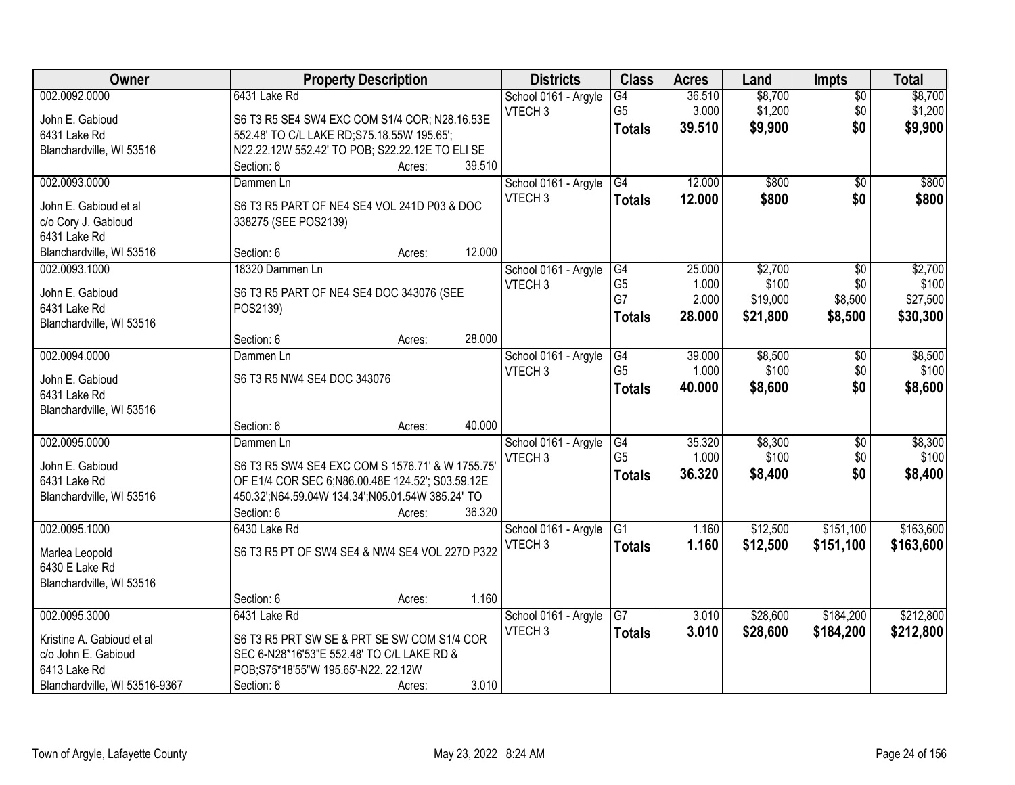| Owner                         | <b>Property Description</b>                        |        | <b>Districts</b>     | <b>Class</b>         | <b>Acres</b>    | Land     | <b>Impts</b>    | <b>Total</b> |
|-------------------------------|----------------------------------------------------|--------|----------------------|----------------------|-----------------|----------|-----------------|--------------|
| 002.0092.0000                 | 6431 Lake Rd                                       |        | School 0161 - Argyle | $\overline{G4}$      | 36.510          | \$8,700  | $\sqrt{$0}$     | \$8,700      |
| John E. Gabioud               | S6 T3 R5 SE4 SW4 EXC COM S1/4 COR; N28.16.53E      |        | VTECH <sub>3</sub>   | G <sub>5</sub>       | 3.000           | \$1,200  | \$0             | \$1,200      |
| 6431 Lake Rd                  | 552.48' TO C/L LAKE RD; S75.18.55W 195.65';        |        |                      | <b>Totals</b>        | 39.510          | \$9,900  | \$0             | \$9,900      |
| Blanchardville, WI 53516      | N22.22.12W 552.42' TO POB; S22.22.12E TO ELI SE    |        |                      |                      |                 |          |                 |              |
|                               | Section: 6                                         | Acres: | 39.510               |                      |                 |          |                 |              |
| 002.0093.0000                 | Dammen Ln                                          |        | School 0161 - Argyle | G4                   | 12.000          | \$800    | $\overline{50}$ | \$800        |
| John E. Gabioud et al         | S6 T3 R5 PART OF NE4 SE4 VOL 241D P03 & DOC        |        | VTECH <sub>3</sub>   | <b>Totals</b>        | 12.000          | \$800    | \$0             | \$800        |
| c/o Cory J. Gabioud           | 338275 (SEE POS2139)                               |        |                      |                      |                 |          |                 |              |
| 6431 Lake Rd                  |                                                    |        |                      |                      |                 |          |                 |              |
| Blanchardville, WI 53516      | Section: 6                                         | Acres: | 12.000               |                      |                 |          |                 |              |
| 002.0093.1000                 | 18320 Dammen Ln                                    |        | School 0161 - Argyle | G4                   | 25.000          | \$2,700  | $\overline{50}$ | \$2,700      |
|                               |                                                    |        | VTECH <sub>3</sub>   | G <sub>5</sub>       | 1.000           | \$100    | \$0             | \$100        |
| John E. Gabioud               | S6 T3 R5 PART OF NE4 SE4 DOC 343076 (SEE           |        |                      | G7                   | 2.000           | \$19,000 | \$8,500         | \$27,500     |
| 6431 Lake Rd                  | POS2139)                                           |        |                      | <b>Totals</b>        | 28.000          | \$21,800 | \$8,500         | \$30,300     |
| Blanchardville, WI 53516      | Section: 6                                         | Acres: | 28.000               |                      |                 |          |                 |              |
| 002.0094.0000                 | Dammen Ln                                          |        | School 0161 - Argyle | G4                   | 39.000          | \$8,500  | \$0             | \$8,500      |
|                               |                                                    |        | VTECH <sub>3</sub>   | G <sub>5</sub>       | 1.000           | \$100    | \$0             | \$100        |
| John E. Gabioud               | S6 T3 R5 NW4 SE4 DOC 343076                        |        |                      | <b>Totals</b>        | 40.000          | \$8,600  | \$0             | \$8,600      |
| 6431 Lake Rd                  |                                                    |        |                      |                      |                 |          |                 |              |
| Blanchardville, WI 53516      |                                                    |        |                      |                      |                 |          |                 |              |
|                               | Section: 6                                         | Acres: | 40.000               |                      |                 |          |                 |              |
| 002.0095.0000                 | Dammen Ln                                          |        | School 0161 - Argyle | G4<br>G <sub>5</sub> | 35.320<br>1.000 | \$8,300  | \$0             | \$8,300      |
| John E. Gabioud               | S6 T3 R5 SW4 SE4 EXC COM S 1576.71' & W 1755.75'   |        | VTECH <sub>3</sub>   |                      |                 | \$100    | \$0             | \$100        |
| 6431 Lake Rd                  | OF E1/4 COR SEC 6;N86.00.48E 124.52'; S03.59.12E   |        |                      | <b>Totals</b>        | 36.320          | \$8,400  | \$0             | \$8,400      |
| Blanchardville, WI 53516      | 450.32'; N64.59.04W 134.34'; N05.01.54W 385.24' TO |        |                      |                      |                 |          |                 |              |
|                               | Section: 6                                         | Acres: | 36.320               |                      |                 |          |                 |              |
| 002.0095.1000                 | 6430 Lake Rd                                       |        | School 0161 - Argyle | $\overline{G1}$      | 1.160           | \$12,500 | \$151,100       | \$163,600    |
| Marlea Leopold                | S6 T3 R5 PT OF SW4 SE4 & NW4 SE4 VOL 227D P322     |        | VTECH <sub>3</sub>   | <b>Totals</b>        | 1.160           | \$12,500 | \$151,100       | \$163,600    |
| 6430 E Lake Rd                |                                                    |        |                      |                      |                 |          |                 |              |
| Blanchardville, WI 53516      |                                                    |        |                      |                      |                 |          |                 |              |
|                               | Section: 6                                         | Acres: | 1.160                |                      |                 |          |                 |              |
| 002.0095.3000                 | 6431 Lake Rd                                       |        | School 0161 - Argyle | $\overline{G7}$      | 3.010           | \$28,600 | \$184,200       | \$212,800    |
| Kristine A. Gabioud et al     | S6 T3 R5 PRT SW SE & PRT SE SW COM S1/4 COR        |        | VTECH <sub>3</sub>   | <b>Totals</b>        | 3.010           | \$28,600 | \$184,200       | \$212,800    |
| c/o John E. Gabioud           | SEC 6-N28*16'53"E 552.48' TO C/L LAKE RD &         |        |                      |                      |                 |          |                 |              |
| 6413 Lake Rd                  | POB;S75*18'55"W 195.65'-N22. 22.12W                |        |                      |                      |                 |          |                 |              |
| Blanchardville, WI 53516-9367 | Section: 6                                         | Acres: | 3.010                |                      |                 |          |                 |              |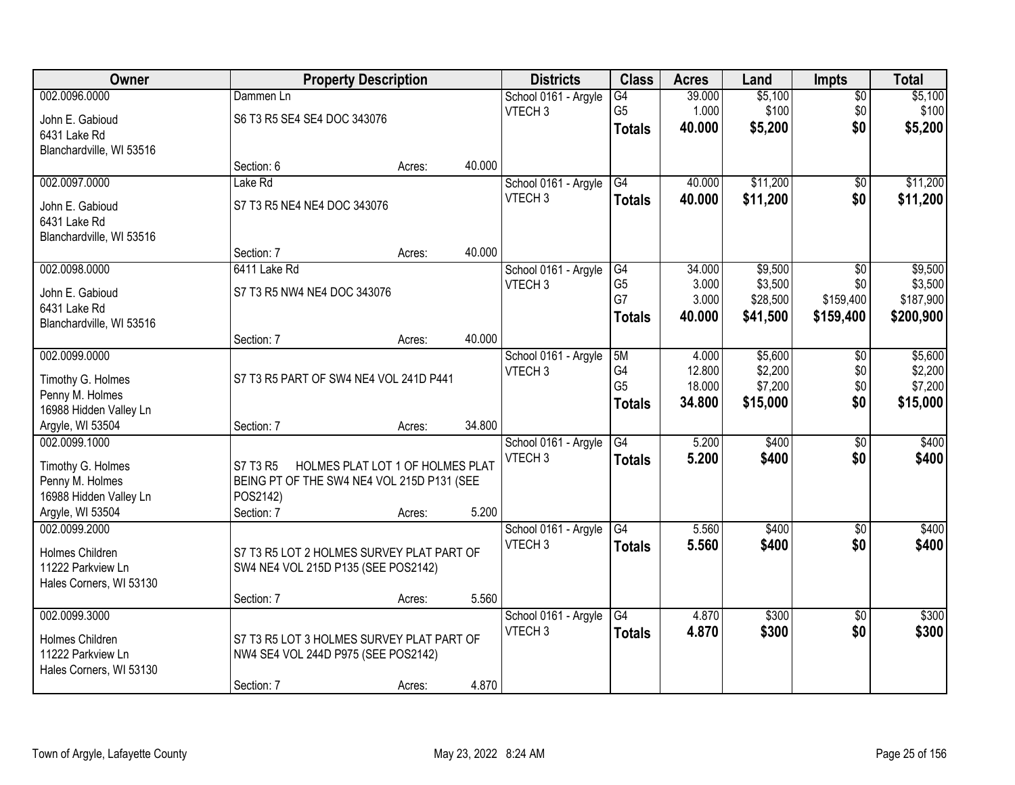| Owner                    |                                            | <b>Property Description</b>      |        | <b>Districts</b>     | <b>Class</b>         | <b>Acres</b>     | Land     | <b>Impts</b>    | <b>Total</b> |
|--------------------------|--------------------------------------------|----------------------------------|--------|----------------------|----------------------|------------------|----------|-----------------|--------------|
| 002.0096.0000            | Dammen Ln                                  |                                  |        | School 0161 - Argyle | $\overline{G4}$      | 39.000           | \$5,100  | $\sqrt{$0}$     | \$5,100      |
| John E. Gabioud          | S6 T3 R5 SE4 SE4 DOC 343076                |                                  |        | VTECH <sub>3</sub>   | G <sub>5</sub>       | 1.000            | \$100    | \$0             | \$100        |
| 6431 Lake Rd             |                                            |                                  |        |                      | <b>Totals</b>        | 40.000           | \$5,200  | \$0             | \$5,200      |
| Blanchardville, WI 53516 |                                            |                                  |        |                      |                      |                  |          |                 |              |
|                          | Section: 6                                 | Acres:                           | 40.000 |                      |                      |                  |          |                 |              |
| 002.0097.0000            | Lake Rd                                    |                                  |        | School 0161 - Argyle | G4                   | 40.000           | \$11,200 | \$0             | \$11,200     |
| John E. Gabioud          | S7 T3 R5 NE4 NE4 DOC 343076                |                                  |        | VTECH <sub>3</sub>   | Totals               | 40.000           | \$11,200 | \$0             | \$11,200     |
| 6431 Lake Rd             |                                            |                                  |        |                      |                      |                  |          |                 |              |
| Blanchardville, WI 53516 |                                            |                                  |        |                      |                      |                  |          |                 |              |
|                          | Section: 7                                 | Acres:                           | 40.000 |                      |                      |                  |          |                 |              |
| 002.0098.0000            | 6411 Lake Rd                               |                                  |        | School 0161 - Argyle | G4                   | 34.000           | \$9,500  | \$0             | \$9,500      |
| John E. Gabioud          | S7 T3 R5 NW4 NE4 DOC 343076                |                                  |        | VTECH <sub>3</sub>   | G <sub>5</sub><br>G7 | 3.000            | \$3,500  | \$0             | \$3,500      |
| 6431 Lake Rd             |                                            |                                  |        |                      |                      | 3.000            | \$28,500 | \$159,400       | \$187,900    |
| Blanchardville, WI 53516 |                                            |                                  |        |                      | <b>Totals</b>        | 40,000           | \$41,500 | \$159,400       | \$200,900    |
|                          | Section: 7                                 | Acres:                           | 40.000 |                      |                      |                  |          |                 |              |
| 002.0099.0000            |                                            |                                  |        | School 0161 - Argyle | 5M                   | 4.000            | \$5,600  | \$0             | \$5,600      |
| Timothy G. Holmes        | S7 T3 R5 PART OF SW4 NE4 VOL 241D P441     |                                  |        | VTECH <sub>3</sub>   | G4                   | 12.800           | \$2,200  | \$0             | \$2,200      |
| Penny M. Holmes          |                                            |                                  |        |                      | G <sub>5</sub>       | 18.000<br>34.800 | \$7,200  | \$0<br>\$0      | \$7,200      |
| 16988 Hidden Valley Ln   |                                            |                                  |        |                      | <b>Totals</b>        |                  | \$15,000 |                 | \$15,000     |
| Argyle, WI 53504         | Section: 7                                 | Acres:                           | 34.800 |                      |                      |                  |          |                 |              |
| 002.0099.1000            |                                            |                                  |        | School 0161 - Argyle | G4                   | 5.200            | \$400    | $\overline{60}$ | \$400        |
| Timothy G. Holmes        | S7 T3 R5                                   | HOLMES PLAT LOT 1 OF HOLMES PLAT |        | VTECH <sub>3</sub>   | <b>Totals</b>        | 5.200            | \$400    | \$0             | \$400        |
| Penny M. Holmes          | BEING PT OF THE SW4 NE4 VOL 215D P131 (SEE |                                  |        |                      |                      |                  |          |                 |              |
| 16988 Hidden Valley Ln   | POS2142)                                   |                                  |        |                      |                      |                  |          |                 |              |
| Argyle, WI 53504         | Section: 7                                 | Acres:                           | 5.200  |                      |                      |                  |          |                 |              |
| 002.0099.2000            |                                            |                                  |        | School 0161 - Argyle | G4                   | 5.560            | \$400    | \$0             | \$400        |
| Holmes Children          | S7 T3 R5 LOT 2 HOLMES SURVEY PLAT PART OF  |                                  |        | VTECH <sub>3</sub>   | <b>Totals</b>        | 5.560            | \$400    | \$0             | \$400        |
| 11222 Parkview Ln        | SW4 NE4 VOL 215D P135 (SEE POS2142)        |                                  |        |                      |                      |                  |          |                 |              |
| Hales Corners, WI 53130  |                                            |                                  |        |                      |                      |                  |          |                 |              |
|                          | Section: 7                                 | Acres:                           | 5.560  |                      |                      |                  |          |                 |              |
| 002.0099.3000            |                                            |                                  |        | School 0161 - Argyle | G4                   | 4.870            | \$300    | $\overline{50}$ | \$300        |
| <b>Holmes Children</b>   | S7 T3 R5 LOT 3 HOLMES SURVEY PLAT PART OF  |                                  |        | VTECH <sub>3</sub>   | <b>Totals</b>        | 4.870            | \$300    | \$0             | \$300        |
| 11222 Parkview Ln        | NW4 SE4 VOL 244D P975 (SEE POS2142)        |                                  |        |                      |                      |                  |          |                 |              |
| Hales Corners, WI 53130  |                                            |                                  |        |                      |                      |                  |          |                 |              |
|                          | Section: 7                                 | Acres:                           | 4.870  |                      |                      |                  |          |                 |              |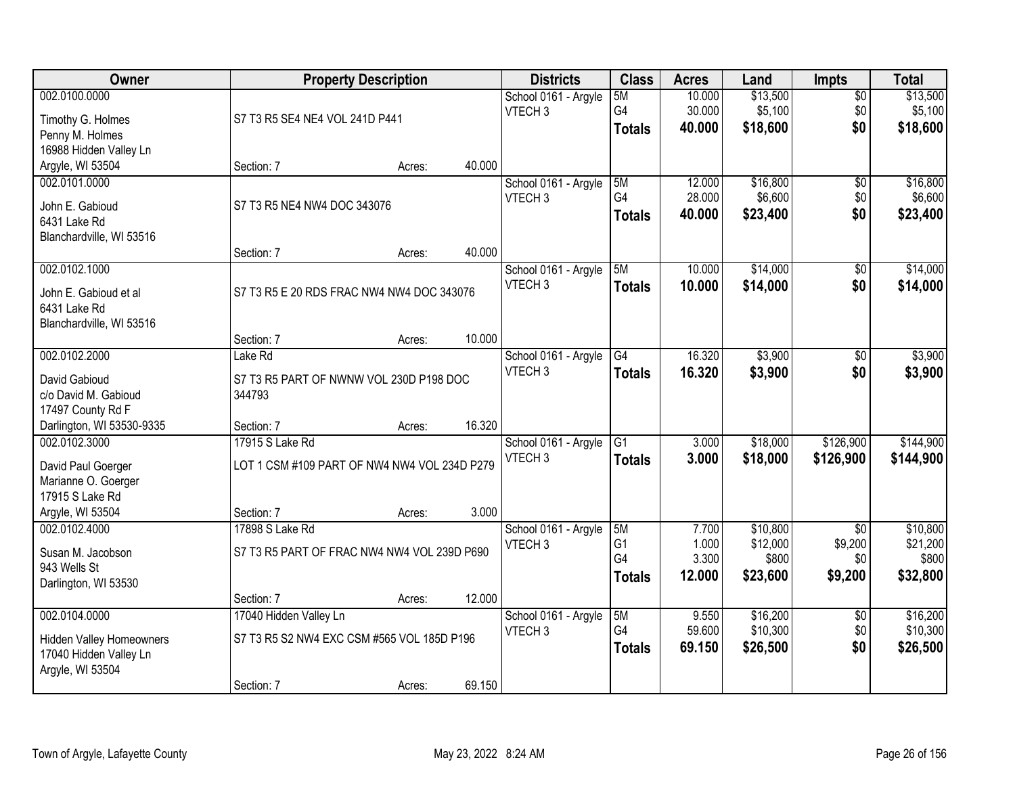| Owner                           |                                              | <b>Property Description</b> |        | <b>Districts</b>     | <b>Class</b>   | <b>Acres</b> | Land     | <b>Impts</b>    | <b>Total</b> |
|---------------------------------|----------------------------------------------|-----------------------------|--------|----------------------|----------------|--------------|----------|-----------------|--------------|
| 002.0100.0000                   |                                              |                             |        | School 0161 - Argyle | 5M             | 10.000       | \$13,500 | $\sqrt{$0}$     | \$13,500     |
| Timothy G. Holmes               | S7 T3 R5 SE4 NE4 VOL 241D P441               |                             |        | VTECH <sub>3</sub>   | G4             | 30.000       | \$5,100  | \$0             | \$5,100      |
| Penny M. Holmes                 |                                              |                             |        |                      | <b>Totals</b>  | 40,000       | \$18,600 | \$0             | \$18,600     |
| 16988 Hidden Valley Ln          |                                              |                             |        |                      |                |              |          |                 |              |
| Argyle, WI 53504                | Section: 7                                   | Acres:                      | 40.000 |                      |                |              |          |                 |              |
| 002.0101.0000                   |                                              |                             |        | School 0161 - Argyle | 5M             | 12.000       | \$16,800 | \$0             | \$16,800     |
| John E. Gabioud                 | S7 T3 R5 NE4 NW4 DOC 343076                  |                             |        | VTECH <sub>3</sub>   | G4             | 28.000       | \$6,600  | \$0             | \$6,600      |
| 6431 Lake Rd                    |                                              |                             |        |                      | <b>Totals</b>  | 40.000       | \$23,400 | \$0             | \$23,400     |
| Blanchardville, WI 53516        |                                              |                             |        |                      |                |              |          |                 |              |
|                                 | Section: 7                                   | Acres:                      | 40.000 |                      |                |              |          |                 |              |
| 002.0102.1000                   |                                              |                             |        | School 0161 - Argyle | 5M             | 10.000       | \$14,000 | \$0             | \$14,000     |
| John E. Gabioud et al           | S7 T3 R5 E 20 RDS FRAC NW4 NW4 DOC 343076    |                             |        | VTECH <sub>3</sub>   | <b>Totals</b>  | 10.000       | \$14,000 | \$0             | \$14,000     |
| 6431 Lake Rd                    |                                              |                             |        |                      |                |              |          |                 |              |
| Blanchardville, WI 53516        |                                              |                             |        |                      |                |              |          |                 |              |
|                                 | Section: 7                                   | Acres:                      | 10.000 |                      |                |              |          |                 |              |
| 002.0102.2000                   | Lake Rd                                      |                             |        | School 0161 - Argyle | G4             | 16.320       | \$3,900  | \$0             | \$3,900      |
| David Gabioud                   | S7 T3 R5 PART OF NWNW VOL 230D P198 DOC      |                             |        | VTECH <sub>3</sub>   | <b>Totals</b>  | 16.320       | \$3,900  | \$0             | \$3,900      |
| c/o David M. Gabioud            | 344793                                       |                             |        |                      |                |              |          |                 |              |
| 17497 County Rd F               |                                              |                             |        |                      |                |              |          |                 |              |
| Darlington, WI 53530-9335       | Section: 7                                   | Acres:                      | 16.320 |                      |                |              |          |                 |              |
| 002.0102.3000                   | 17915 S Lake Rd                              |                             |        | School 0161 - Argyle | G1             | 3.000        | \$18,000 | \$126,900       | \$144,900    |
| David Paul Goerger              | LOT 1 CSM #109 PART OF NW4 NW4 VOL 234D P279 |                             |        | VTECH <sub>3</sub>   | <b>Totals</b>  | 3.000        | \$18,000 | \$126,900       | \$144,900    |
| Marianne O. Goerger             |                                              |                             |        |                      |                |              |          |                 |              |
| 17915 S Lake Rd                 |                                              |                             |        |                      |                |              |          |                 |              |
| Argyle, WI 53504                | Section: 7                                   | Acres:                      | 3.000  |                      |                |              |          |                 |              |
| 002.0102.4000                   | 17898 S Lake Rd                              |                             |        | School 0161 - Argyle | 5M             | 7.700        | \$10,800 | \$0             | \$10,800     |
| Susan M. Jacobson               | S7 T3 R5 PART OF FRAC NW4 NW4 VOL 239D P690  |                             |        | VTECH <sub>3</sub>   | G <sub>1</sub> | 1.000        | \$12,000 | \$9,200         | \$21,200     |
| 943 Wells St                    |                                              |                             |        |                      | G <sub>4</sub> | 3.300        | \$800    | \$0             | \$800        |
| Darlington, WI 53530            |                                              |                             |        |                      | <b>Totals</b>  | 12.000       | \$23,600 | \$9,200         | \$32,800     |
|                                 | Section: 7                                   | Acres:                      | 12.000 |                      |                |              |          |                 |              |
| 002.0104.0000                   | 17040 Hidden Valley Ln                       |                             |        | School 0161 - Argyle | 5M             | 9.550        | \$16,200 | $\overline{50}$ | \$16,200     |
| <b>Hidden Valley Homeowners</b> | S7 T3 R5 S2 NW4 EXC CSM #565 VOL 185D P196   |                             |        | VTECH <sub>3</sub>   | G4             | 59.600       | \$10,300 | \$0             | \$10,300     |
| 17040 Hidden Valley Ln          |                                              |                             |        |                      | <b>Totals</b>  | 69.150       | \$26,500 | \$0             | \$26,500     |
| Argyle, WI 53504                |                                              |                             |        |                      |                |              |          |                 |              |
|                                 | Section: 7                                   | Acres:                      | 69.150 |                      |                |              |          |                 |              |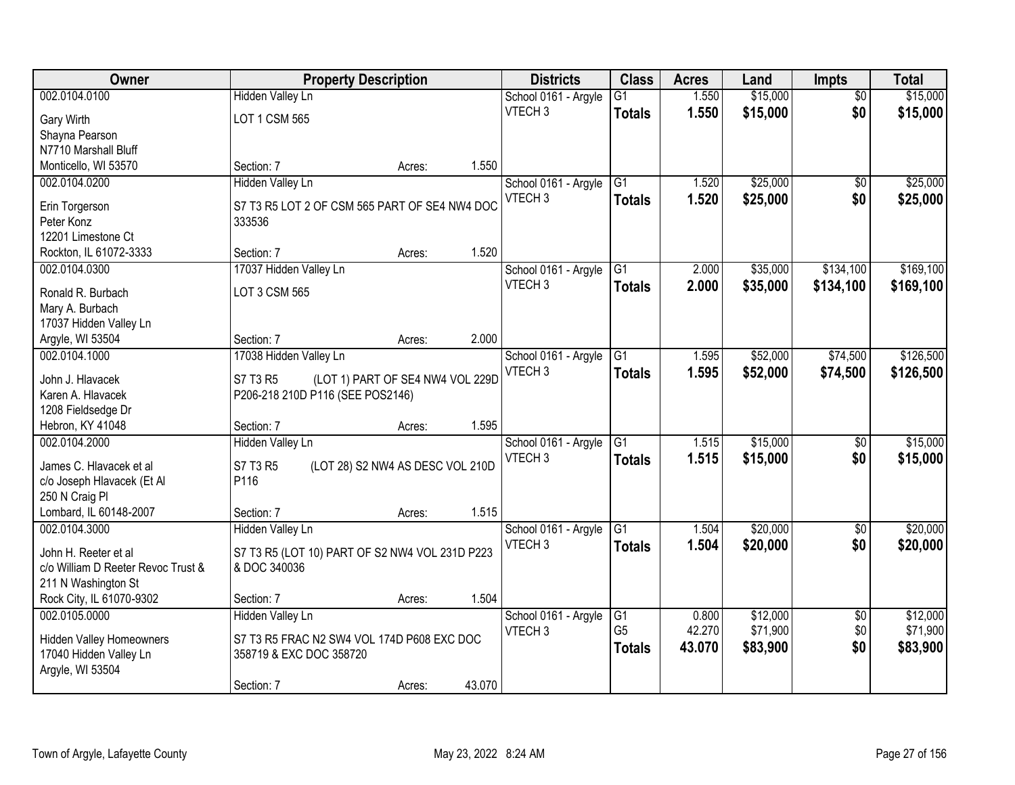| Owner                              |                                                | <b>Property Description</b>      |        | <b>Districts</b>     | <b>Class</b>    | <b>Acres</b> | Land     | <b>Impts</b>    | <b>Total</b> |
|------------------------------------|------------------------------------------------|----------------------------------|--------|----------------------|-----------------|--------------|----------|-----------------|--------------|
| 002.0104.0100                      | <b>Hidden Valley Ln</b>                        |                                  |        | School 0161 - Argyle | $\overline{G1}$ | 1.550        | \$15,000 | $\overline{30}$ | \$15,000     |
| Gary Wirth                         | LOT 1 CSM 565                                  |                                  |        | VTECH <sub>3</sub>   | <b>Totals</b>   | 1.550        | \$15,000 | \$0             | \$15,000     |
| Shayna Pearson                     |                                                |                                  |        |                      |                 |              |          |                 |              |
| N7710 Marshall Bluff               |                                                |                                  |        |                      |                 |              |          |                 |              |
| Monticello, WI 53570               | Section: 7                                     | Acres:                           | 1.550  |                      |                 |              |          |                 |              |
| 002.0104.0200                      | <b>Hidden Valley Ln</b>                        |                                  |        | School 0161 - Argyle | $\overline{G1}$ | 1.520        | \$25,000 | $\overline{50}$ | \$25,000     |
|                                    |                                                |                                  |        | VTECH <sub>3</sub>   | <b>Totals</b>   | 1.520        | \$25,000 | \$0             | \$25,000     |
| Erin Torgerson                     | S7 T3 R5 LOT 2 OF CSM 565 PART OF SE4 NW4 DOC  |                                  |        |                      |                 |              |          |                 |              |
| Peter Konz                         | 333536                                         |                                  |        |                      |                 |              |          |                 |              |
| 12201 Limestone Ct                 |                                                |                                  |        |                      |                 |              |          |                 |              |
| Rockton, IL 61072-3333             | Section: 7                                     | Acres:                           | 1.520  |                      |                 |              |          |                 |              |
| 002.0104.0300                      | 17037 Hidden Valley Ln                         |                                  |        | School 0161 - Argyle | G1              | 2.000        | \$35,000 | \$134,100       | \$169,100    |
| Ronald R. Burbach                  | LOT 3 CSM 565                                  |                                  |        | VTECH <sub>3</sub>   | <b>Totals</b>   | 2.000        | \$35,000 | \$134,100       | \$169,100    |
| Mary A. Burbach                    |                                                |                                  |        |                      |                 |              |          |                 |              |
| 17037 Hidden Valley Ln             |                                                |                                  |        |                      |                 |              |          |                 |              |
| Argyle, WI 53504                   | Section: 7                                     | Acres:                           | 2.000  |                      |                 |              |          |                 |              |
| 002.0104.1000                      | 17038 Hidden Valley Ln                         |                                  |        | School 0161 - Argyle | G1              | 1.595        | \$52,000 | \$74,500        | \$126,500    |
| John J. Hlavacek                   | S7 T3 R5                                       |                                  |        | VTECH <sub>3</sub>   | <b>Totals</b>   | 1.595        | \$52,000 | \$74,500        | \$126,500    |
| Karen A. Hlavacek                  | P206-218 210D P116 (SEE POS2146)               | (LOT 1) PART OF SE4 NW4 VOL 229D |        |                      |                 |              |          |                 |              |
| 1208 Fieldsedge Dr                 |                                                |                                  |        |                      |                 |              |          |                 |              |
| Hebron, KY 41048                   | Section: 7                                     | Acres:                           | 1.595  |                      |                 |              |          |                 |              |
| 002.0104.2000                      | <b>Hidden Valley Ln</b>                        |                                  |        | School 0161 - Argyle | $\overline{G1}$ | 1.515        | \$15,000 | $\overline{30}$ | \$15,000     |
|                                    |                                                |                                  |        | VTECH <sub>3</sub>   | <b>Totals</b>   | 1.515        | \$15,000 | \$0             | \$15,000     |
| James C. Hlavacek et al            | S7 T3 R5                                       | (LOT 28) S2 NW4 AS DESC VOL 210D |        |                      |                 |              |          |                 |              |
| c/o Joseph Hlavacek (Et Al         | P116                                           |                                  |        |                      |                 |              |          |                 |              |
| 250 N Craig Pl                     |                                                |                                  |        |                      |                 |              |          |                 |              |
| Lombard, IL 60148-2007             | Section: 7                                     | Acres:                           | 1.515  |                      |                 |              |          |                 |              |
| 002.0104.3000                      | <b>Hidden Valley Ln</b>                        |                                  |        | School 0161 - Argyle | $\overline{G1}$ | 1.504        | \$20,000 | $\overline{50}$ | \$20,000     |
| John H. Reeter et al               | S7 T3 R5 (LOT 10) PART OF S2 NW4 VOL 231D P223 |                                  |        | VTECH <sub>3</sub>   | <b>Totals</b>   | 1.504        | \$20,000 | \$0             | \$20,000     |
| c/o William D Reeter Revoc Trust & | & DOC 340036                                   |                                  |        |                      |                 |              |          |                 |              |
| 211 N Washington St                |                                                |                                  |        |                      |                 |              |          |                 |              |
| Rock City, IL 61070-9302           | Section: 7                                     | Acres:                           | 1.504  |                      |                 |              |          |                 |              |
| 002.0105.0000                      | <b>Hidden Valley Ln</b>                        |                                  |        | School 0161 - Argyle | $\overline{G1}$ | 0.800        | \$12,000 | $\overline{50}$ | \$12,000     |
|                                    |                                                |                                  |        | VTECH <sub>3</sub>   | G <sub>5</sub>  | 42.270       | \$71,900 | \$0             | \$71,900     |
| <b>Hidden Valley Homeowners</b>    | S7 T3 R5 FRAC N2 SW4 VOL 174D P608 EXC DOC     |                                  |        |                      | <b>Totals</b>   | 43.070       | \$83,900 | \$0             | \$83,900     |
| 17040 Hidden Valley Ln             | 358719 & EXC DOC 358720                        |                                  |        |                      |                 |              |          |                 |              |
| Argyle, WI 53504                   |                                                |                                  |        |                      |                 |              |          |                 |              |
|                                    | Section: 7                                     | Acres:                           | 43.070 |                      |                 |              |          |                 |              |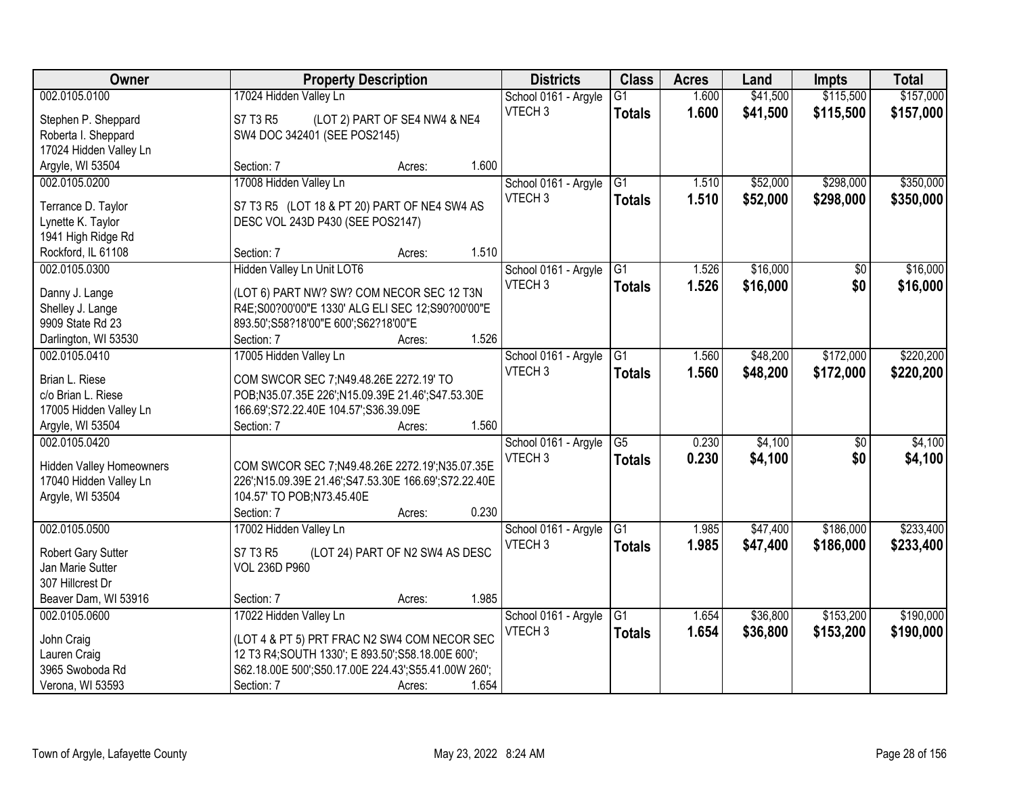| Owner                           | <b>Property Description</b>                          |                                 | <b>Districts</b>     | <b>Class</b>    | <b>Acres</b> | Land     | <b>Impts</b>    | <b>Total</b> |
|---------------------------------|------------------------------------------------------|---------------------------------|----------------------|-----------------|--------------|----------|-----------------|--------------|
| 002.0105.0100                   | 17024 Hidden Valley Ln                               |                                 | School 0161 - Argyle | $\overline{G1}$ | 1.600        | \$41,500 | \$115,500       | \$157,000    |
| Stephen P. Sheppard             | S7 T3 R5                                             | (LOT 2) PART OF SE4 NW4 & NE4   | VTECH <sub>3</sub>   | <b>Totals</b>   | 1.600        | \$41,500 | \$115,500       | \$157,000    |
| Roberta I. Sheppard             | SW4 DOC 342401 (SEE POS2145)                         |                                 |                      |                 |              |          |                 |              |
| 17024 Hidden Valley Ln          |                                                      |                                 |                      |                 |              |          |                 |              |
| Argyle, WI 53504                | Section: 7                                           | 1.600<br>Acres:                 |                      |                 |              |          |                 |              |
| 002.0105.0200                   | 17008 Hidden Valley Ln                               |                                 | School 0161 - Argyle | $\overline{G1}$ | 1.510        | \$52,000 | \$298,000       | \$350,000    |
|                                 |                                                      |                                 | VTECH <sub>3</sub>   | <b>Totals</b>   | 1.510        | \$52,000 | \$298,000       | \$350,000    |
| Terrance D. Taylor              | S7 T3 R5 (LOT 18 & PT 20) PART OF NE4 SW4 AS         |                                 |                      |                 |              |          |                 |              |
| Lynette K. Taylor               | DESC VOL 243D P430 (SEE POS2147)                     |                                 |                      |                 |              |          |                 |              |
| 1941 High Ridge Rd              |                                                      |                                 |                      |                 |              |          |                 |              |
| Rockford, IL 61108              | Section: 7                                           | 1.510<br>Acres:                 |                      |                 |              |          |                 |              |
| 002.0105.0300                   | Hidden Valley Ln Unit LOT6                           |                                 | School 0161 - Argyle | G1              | 1.526        | \$16,000 | \$0             | \$16,000     |
| Danny J. Lange                  | (LOT 6) PART NW? SW? COM NECOR SEC 12 T3N            |                                 | VTECH <sub>3</sub>   | <b>Totals</b>   | 1.526        | \$16,000 | \$0             | \$16,000     |
| Shelley J. Lange                | R4E;S00?00'00"E 1330' ALG ELI SEC 12;S90?00'00"E     |                                 |                      |                 |              |          |                 |              |
| 9909 State Rd 23                | 893.50';S58?18'00"E 600';S62?18'00"E                 |                                 |                      |                 |              |          |                 |              |
| Darlington, WI 53530            | Section: 7                                           | 1.526<br>Acres:                 |                      |                 |              |          |                 |              |
| 002.0105.0410                   | 17005 Hidden Valley Ln                               |                                 | School 0161 - Argyle | G1              | 1.560        | \$48,200 | \$172,000       | \$220,200    |
|                                 |                                                      |                                 | VTECH <sub>3</sub>   | <b>Totals</b>   | 1.560        | \$48,200 | \$172,000       | \$220,200    |
| Brian L. Riese                  | COM SWCOR SEC 7;N49.48.26E 2272.19' TO               |                                 |                      |                 |              |          |                 |              |
| c/o Brian L. Riese              | POB;N35.07.35E 226';N15.09.39E 21.46';S47.53.30E     |                                 |                      |                 |              |          |                 |              |
| 17005 Hidden Valley Ln          | 166.69';S72.22.40E 104.57';S36.39.09E                |                                 |                      |                 |              |          |                 |              |
| Argyle, WI 53504                | Section: 7                                           | 1.560<br>Acres:                 |                      |                 |              |          |                 |              |
| 002.0105.0420                   |                                                      |                                 | School 0161 - Argyle | $\overline{G5}$ | 0.230        | \$4,100  | $\overline{50}$ | \$4,100      |
| <b>Hidden Valley Homeowners</b> | COM SWCOR SEC 7;N49.48.26E 2272.19';N35.07.35E       |                                 | VTECH <sub>3</sub>   | <b>Totals</b>   | 0.230        | \$4,100  | \$0             | \$4,100      |
| 17040 Hidden Valley Ln          | 226';N15.09.39E 21.46';S47.53.30E 166.69';S72.22.40E |                                 |                      |                 |              |          |                 |              |
| Argyle, WI 53504                | 104.57' TO POB;N73.45.40E                            |                                 |                      |                 |              |          |                 |              |
|                                 | Section: 7                                           | 0.230<br>Acres:                 |                      |                 |              |          |                 |              |
| 002.0105.0500                   | 17002 Hidden Valley Ln                               |                                 | School 0161 - Argyle | G1              | 1.985        | \$47,400 | \$186,000       | \$233,400    |
| Robert Gary Sutter              | S7 T3 R5                                             | (LOT 24) PART OF N2 SW4 AS DESC | VTECH <sub>3</sub>   | <b>Totals</b>   | 1.985        | \$47,400 | \$186,000       | \$233,400    |
| Jan Marie Sutter                | <b>VOL 236D P960</b>                                 |                                 |                      |                 |              |          |                 |              |
| 307 Hillcrest Dr                |                                                      |                                 |                      |                 |              |          |                 |              |
| Beaver Dam, WI 53916            | Section: 7                                           | 1.985<br>Acres:                 |                      |                 |              |          |                 |              |
| 002.0105.0600                   | 17022 Hidden Valley Ln                               |                                 | School 0161 - Argyle | $\overline{G1}$ | 1.654        | \$36,800 | \$153,200       | \$190,000    |
|                                 |                                                      |                                 | VTECH <sub>3</sub>   |                 | 1.654        |          |                 |              |
| John Craig                      | (LOT 4 & PT 5) PRT FRAC N2 SW4 COM NECOR SEC         |                                 |                      | <b>Totals</b>   |              | \$36,800 | \$153,200       | \$190,000    |
| Lauren Craig                    | 12 T3 R4; SOUTH 1330'; E 893.50'; S58.18.00E 600';   |                                 |                      |                 |              |          |                 |              |
| 3965 Swoboda Rd                 | S62.18.00E 500';S50.17.00E 224.43';S55.41.00W 260';  |                                 |                      |                 |              |          |                 |              |
| Verona, WI 53593                | Section: 7                                           | 1.654<br>Acres:                 |                      |                 |              |          |                 |              |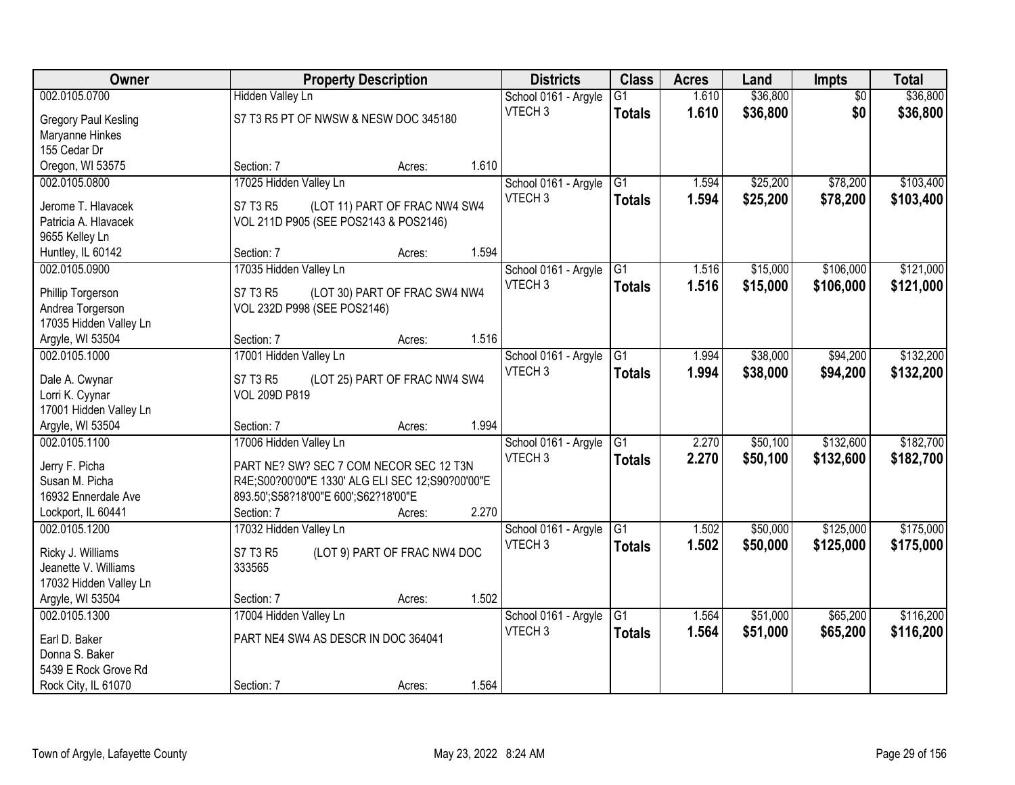| <b>Owner</b>                      | <b>Property Description</b>                      |                               |       | <b>Districts</b>     | <b>Class</b>    | <b>Acres</b> | Land     | Impts           | <b>Total</b> |
|-----------------------------------|--------------------------------------------------|-------------------------------|-------|----------------------|-----------------|--------------|----------|-----------------|--------------|
| 002.0105.0700                     | <b>Hidden Valley Ln</b>                          |                               |       | School 0161 - Argyle | $\overline{G1}$ | 1.610        | \$36,800 | $\overline{50}$ | \$36,800     |
| Gregory Paul Kesling              | S7 T3 R5 PT OF NWSW & NESW DOC 345180            |                               |       | VTECH <sub>3</sub>   | <b>Totals</b>   | 1.610        | \$36,800 | \$0             | \$36,800     |
| Maryanne Hinkes                   |                                                  |                               |       |                      |                 |              |          |                 |              |
| 155 Cedar Dr                      |                                                  |                               |       |                      |                 |              |          |                 |              |
| Oregon, WI 53575                  | Section: 7                                       | Acres:                        | 1.610 |                      |                 |              |          |                 |              |
| 002.0105.0800                     | 17025 Hidden Valley Ln                           |                               |       | School 0161 - Argyle | $\overline{G1}$ | 1.594        | \$25,200 | \$78,200        | \$103,400    |
|                                   |                                                  |                               |       | VTECH <sub>3</sub>   | <b>Totals</b>   | 1.594        | \$25,200 | \$78,200        | \$103,400    |
| Jerome T. Hlavacek                | S7 T3 R5                                         | (LOT 11) PART OF FRAC NW4 SW4 |       |                      |                 |              |          |                 |              |
| Patricia A. Hlavacek              | VOL 211D P905 (SEE POS2143 & POS2146)            |                               |       |                      |                 |              |          |                 |              |
| 9655 Kelley Ln                    |                                                  |                               |       |                      |                 |              |          |                 |              |
| Huntley, IL 60142                 | Section: 7                                       | Acres:                        | 1.594 |                      |                 |              |          |                 |              |
| 002.0105.0900                     | 17035 Hidden Valley Ln                           |                               |       | School 0161 - Argyle | G1              | 1.516        | \$15,000 | \$106,000       | \$121,000    |
| Phillip Torgerson                 | S7 T3 R5                                         | (LOT 30) PART OF FRAC SW4 NW4 |       | VTECH <sub>3</sub>   | <b>Totals</b>   | 1.516        | \$15,000 | \$106,000       | \$121,000    |
| Andrea Torgerson                  | VOL 232D P998 (SEE POS2146)                      |                               |       |                      |                 |              |          |                 |              |
| 17035 Hidden Valley Ln            |                                                  |                               |       |                      |                 |              |          |                 |              |
| Argyle, WI 53504                  | Section: 7                                       | Acres:                        | 1.516 |                      |                 |              |          |                 |              |
| 002.0105.1000                     | 17001 Hidden Valley Ln                           |                               |       | School 0161 - Argyle | G1              | 1.994        | \$38,000 | \$94,200        | \$132,200    |
|                                   |                                                  |                               |       | VTECH <sub>3</sub>   | <b>Totals</b>   | 1.994        | \$38,000 | \$94,200        | \$132,200    |
| Dale A. Cwynar<br>Lorri K. Cyynar | S7 T3 R5<br>VOL 209D P819                        | (LOT 25) PART OF FRAC NW4 SW4 |       |                      |                 |              |          |                 |              |
| 17001 Hidden Valley Ln            |                                                  |                               |       |                      |                 |              |          |                 |              |
| Argyle, WI 53504                  | Section: 7                                       | Acres:                        | 1.994 |                      |                 |              |          |                 |              |
| 002.0105.1100                     | 17006 Hidden Valley Ln                           |                               |       | School 0161 - Argyle | $\overline{G1}$ | 2.270        | \$50,100 | \$132,600       | \$182,700    |
|                                   |                                                  |                               |       | VTECH <sub>3</sub>   |                 | 2.270        | \$50,100 | \$132,600       | \$182,700    |
| Jerry F. Picha                    | PART NE? SW? SEC 7 COM NECOR SEC 12 T3N          |                               |       |                      | <b>Totals</b>   |              |          |                 |              |
| Susan M. Picha                    | R4E;S00?00'00"E 1330' ALG ELI SEC 12;S90?00'00"E |                               |       |                      |                 |              |          |                 |              |
| 16932 Ennerdale Ave               | 893.50';S58?18'00"E 600';S62?18'00"E             |                               |       |                      |                 |              |          |                 |              |
| Lockport, IL 60441                | Section: 7                                       | Acres:                        | 2.270 |                      |                 |              |          |                 |              |
| 002.0105.1200                     | 17032 Hidden Valley Ln                           |                               |       | School 0161 - Argyle | G1              | 1.502        | \$50,000 | \$125,000       | \$175,000    |
| Ricky J. Williams                 | S7 T3 R5                                         | (LOT 9) PART OF FRAC NW4 DOC  |       | VTECH <sub>3</sub>   | <b>Totals</b>   | 1.502        | \$50,000 | \$125,000       | \$175,000    |
| Jeanette V. Williams              | 333565                                           |                               |       |                      |                 |              |          |                 |              |
| 17032 Hidden Valley Ln            |                                                  |                               |       |                      |                 |              |          |                 |              |
| Argyle, WI 53504                  | Section: 7                                       | Acres:                        | 1.502 |                      |                 |              |          |                 |              |
| 002.0105.1300                     | 17004 Hidden Valley Ln                           |                               |       | School 0161 - Argyle | G1              | 1.564        | \$51,000 | \$65,200        | \$116,200    |
|                                   |                                                  |                               |       | VTECH <sub>3</sub>   | <b>Totals</b>   | 1.564        | \$51,000 | \$65,200        | \$116,200    |
| Earl D. Baker                     | PART NE4 SW4 AS DESCR IN DOC 364041              |                               |       |                      |                 |              |          |                 |              |
| Donna S. Baker                    |                                                  |                               |       |                      |                 |              |          |                 |              |
| 5439 E Rock Grove Rd              |                                                  |                               |       |                      |                 |              |          |                 |              |
| Rock City, IL 61070               | Section: 7                                       | Acres:                        | 1.564 |                      |                 |              |          |                 |              |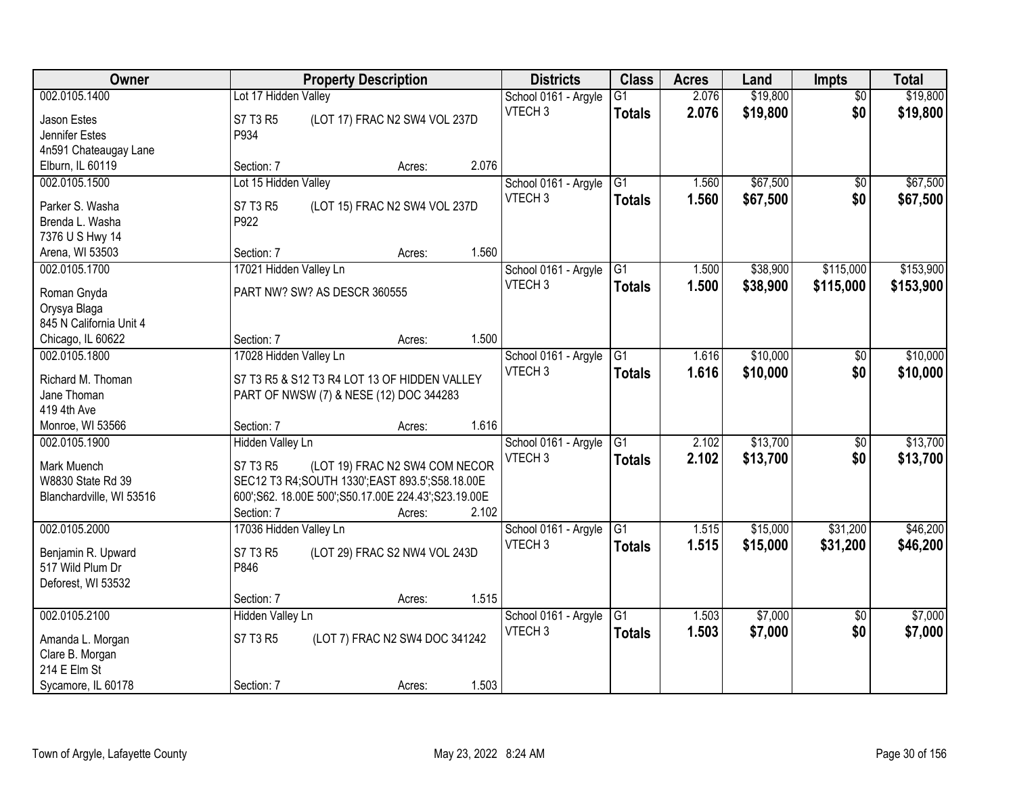| Owner                    | <b>Property Description</b>                         | <b>Districts</b>     | <b>Class</b>    | <b>Acres</b> | Land     | <b>Impts</b>    | <b>Total</b> |
|--------------------------|-----------------------------------------------------|----------------------|-----------------|--------------|----------|-----------------|--------------|
| 002.0105.1400            | Lot 17 Hidden Valley                                | School 0161 - Argyle | $\overline{G1}$ | 2.076        | \$19,800 | $\overline{50}$ | \$19,800     |
| Jason Estes              | S7 T3 R5<br>(LOT 17) FRAC N2 SW4 VOL 237D           | VTECH <sub>3</sub>   | <b>Totals</b>   | 2.076        | \$19,800 | \$0             | \$19,800     |
| Jennifer Estes           | P934                                                |                      |                 |              |          |                 |              |
| 4n591 Chateaugay Lane    |                                                     |                      |                 |              |          |                 |              |
| Elburn, IL 60119         | 2.076<br>Section: 7<br>Acres:                       |                      |                 |              |          |                 |              |
| 002.0105.1500            | Lot 15 Hidden Valley                                | School 0161 - Argyle | G1              | 1.560        | \$67,500 | $\overline{50}$ | \$67,500     |
| Parker S. Washa          | S7 T3 R5<br>(LOT 15) FRAC N2 SW4 VOL 237D           | VTECH <sub>3</sub>   | <b>Totals</b>   | 1.560        | \$67,500 | \$0             | \$67,500     |
| Brenda L. Washa          | P922                                                |                      |                 |              |          |                 |              |
| 7376 U S Hwy 14          |                                                     |                      |                 |              |          |                 |              |
| Arena, WI 53503          | 1.560<br>Section: 7<br>Acres:                       |                      |                 |              |          |                 |              |
| 002.0105.1700            | 17021 Hidden Valley Ln                              | School 0161 - Argyle | G1              | 1.500        | \$38,900 | \$115,000       | \$153,900    |
|                          |                                                     | VTECH <sub>3</sub>   | <b>Totals</b>   | 1.500        | \$38,900 | \$115,000       | \$153,900    |
| Roman Gnyda              | PART NW? SW? AS DESCR 360555                        |                      |                 |              |          |                 |              |
| Orysya Blaga             |                                                     |                      |                 |              |          |                 |              |
| 845 N California Unit 4  |                                                     |                      |                 |              |          |                 |              |
| Chicago, IL 60622        | 1.500<br>Section: 7<br>Acres:                       |                      |                 |              |          |                 |              |
| 002.0105.1800            | 17028 Hidden Valley Ln                              | School 0161 - Argyle | G1              | 1.616        | \$10,000 | \$0             | \$10,000     |
| Richard M. Thoman        | S7 T3 R5 & S12 T3 R4 LOT 13 OF HIDDEN VALLEY        | VTECH <sub>3</sub>   | <b>Totals</b>   | 1.616        | \$10,000 | \$0             | \$10,000     |
| Jane Thoman              | PART OF NWSW (7) & NESE (12) DOC 344283             |                      |                 |              |          |                 |              |
| 419 4th Ave              |                                                     |                      |                 |              |          |                 |              |
| Monroe, WI 53566         | 1.616<br>Section: 7<br>Acres:                       |                      |                 |              |          |                 |              |
| 002.0105.1900            | <b>Hidden Valley Ln</b>                             | School 0161 - Argyle | $\overline{G1}$ | 2.102        | \$13,700 | $\overline{30}$ | \$13,700     |
|                          |                                                     | VTECH <sub>3</sub>   | <b>Totals</b>   | 2.102        | \$13,700 | \$0             | \$13,700     |
| Mark Muench              | (LOT 19) FRAC N2 SW4 COM NECOR<br>S7 T3 R5          |                      |                 |              |          |                 |              |
| W8830 State Rd 39        | SEC12 T3 R4; SOUTH 1330'; EAST 893.5'; S58.18.00E   |                      |                 |              |          |                 |              |
| Blanchardville, WI 53516 | 600';S62. 18.00E 500';S50.17.00E 224.43';S23.19.00E |                      |                 |              |          |                 |              |
|                          | 2.102<br>Section: 7<br>Acres:                       |                      |                 |              |          |                 |              |
| 002.0105.2000            | 17036 Hidden Valley Ln                              | School 0161 - Argyle | G1              | 1.515        | \$15,000 | \$31,200        | \$46,200     |
| Benjamin R. Upward       | S7 T3 R5<br>(LOT 29) FRAC S2 NW4 VOL 243D           | VTECH <sub>3</sub>   | <b>Totals</b>   | 1.515        | \$15,000 | \$31,200        | \$46,200     |
| 517 Wild Plum Dr         | P846                                                |                      |                 |              |          |                 |              |
| Deforest, WI 53532       |                                                     |                      |                 |              |          |                 |              |
|                          | 1.515<br>Section: 7<br>Acres:                       |                      |                 |              |          |                 |              |
| 002.0105.2100            | <b>Hidden Valley Ln</b>                             | School 0161 - Argyle | $\overline{G1}$ | 1.503        | \$7,000  | $\overline{50}$ | \$7,000      |
| Amanda L. Morgan         | S7 T3 R5<br>(LOT 7) FRAC N2 SW4 DOC 341242          | VTECH <sub>3</sub>   | <b>Totals</b>   | 1.503        | \$7,000  | \$0             | \$7,000      |
| Clare B. Morgan          |                                                     |                      |                 |              |          |                 |              |
| 214 E Elm St             |                                                     |                      |                 |              |          |                 |              |
| Sycamore, IL 60178       | 1.503<br>Section: 7<br>Acres:                       |                      |                 |              |          |                 |              |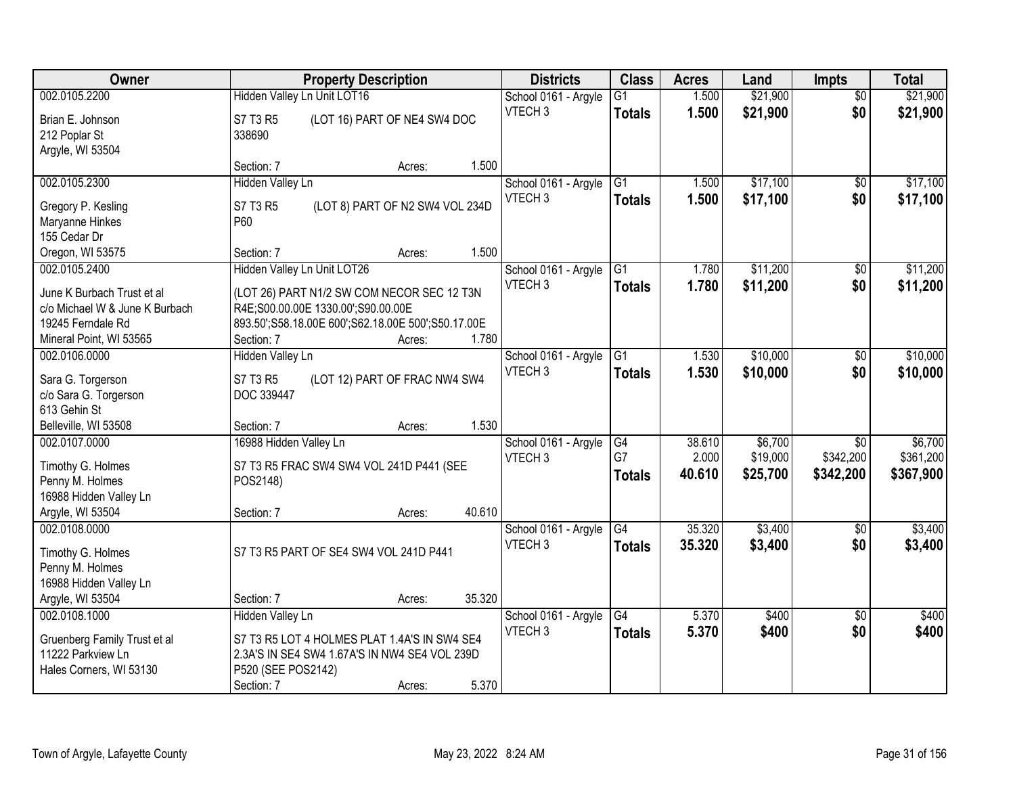| Owner                                                                                                        | <b>Property Description</b>                                                                                                                                  |                                 | <b>Districts</b>                           | <b>Class</b>                     | <b>Acres</b>              | Land                            | <b>Impts</b>                              | <b>Total</b>                      |
|--------------------------------------------------------------------------------------------------------------|--------------------------------------------------------------------------------------------------------------------------------------------------------------|---------------------------------|--------------------------------------------|----------------------------------|---------------------------|---------------------------------|-------------------------------------------|-----------------------------------|
| 002.0105.2200                                                                                                | Hidden Valley Ln Unit LOT16                                                                                                                                  |                                 | School 0161 - Argyle                       | $\overline{G1}$                  | 1.500                     | \$21,900                        | $\overline{50}$                           | \$21,900                          |
| Brian E. Johnson<br>212 Poplar St<br>Argyle, WI 53504                                                        | S7 T3 R5<br>338690                                                                                                                                           | (LOT 16) PART OF NE4 SW4 DOC    | VTECH <sub>3</sub>                         | <b>Totals</b>                    | 1.500                     | \$21,900                        | \$0                                       | \$21,900                          |
|                                                                                                              | Section: 7                                                                                                                                                   | 1.500<br>Acres:                 |                                            |                                  |                           |                                 |                                           |                                   |
| 002.0105.2300<br>Gregory P. Kesling                                                                          | <b>Hidden Valley Ln</b><br>S7 T3 R5                                                                                                                          | (LOT 8) PART OF N2 SW4 VOL 234D | School 0161 - Argyle<br>VTECH <sub>3</sub> | G1<br><b>Totals</b>              | 1.500<br>1.500            | \$17,100<br>\$17,100            | $\overline{50}$<br>\$0                    | \$17,100<br>\$17,100              |
| Maryanne Hinkes<br>155 Cedar Dr<br>Oregon, WI 53575                                                          | <b>P60</b><br>Section: 7                                                                                                                                     | 1.500<br>Acres:                 |                                            |                                  |                           |                                 |                                           |                                   |
| 002.0105.2400                                                                                                | Hidden Valley Ln Unit LOT26                                                                                                                                  |                                 | School 0161 - Argyle                       | G1                               | 1.780                     | \$11,200                        | $\sqrt{6}$                                | \$11,200                          |
| June K Burbach Trust et al<br>c/o Michael W & June K Burbach<br>19245 Ferndale Rd<br>Mineral Point, WI 53565 | (LOT 26) PART N1/2 SW COM NECOR SEC 12 T3N<br>R4E;S00.00.00E 1330.00';S90.00.00E<br>893.50';S58.18.00E 600';S62.18.00E 500';S50.17.00E<br>Section: 7         | 1.780<br>Acres:                 | VTECH <sub>3</sub>                         | <b>Totals</b>                    | 1.780                     | \$11,200                        | \$0                                       | \$11,200                          |
| 002.0106.0000                                                                                                | Hidden Valley Ln                                                                                                                                             |                                 | School 0161 - Argyle                       | G1                               | 1.530                     | \$10,000                        | \$0                                       | \$10,000                          |
| Sara G. Torgerson<br>c/o Sara G. Torgerson<br>613 Gehin St                                                   | S7 T3 R5<br>DOC 339447                                                                                                                                       | (LOT 12) PART OF FRAC NW4 SW4   | VTECH <sub>3</sub>                         | <b>Totals</b>                    | 1.530                     | \$10,000                        | \$0                                       | \$10,000                          |
| Belleville, WI 53508                                                                                         | Section: 7                                                                                                                                                   | 1.530<br>Acres:                 |                                            |                                  |                           |                                 |                                           |                                   |
| 002.0107.0000<br>Timothy G. Holmes<br>Penny M. Holmes<br>16988 Hidden Valley Ln<br>Argyle, WI 53504          | 16988 Hidden Valley Ln<br>S7 T3 R5 FRAC SW4 SW4 VOL 241D P441 (SEE<br>POS2148)<br>Section: 7                                                                 | 40.610<br>Acres:                | School 0161 - Argyle<br>VTECH <sub>3</sub> | G4<br>G7<br><b>Totals</b>        | 38.610<br>2.000<br>40.610 | \$6,700<br>\$19,000<br>\$25,700 | $\overline{50}$<br>\$342,200<br>\$342,200 | \$6,700<br>\$361,200<br>\$367,900 |
| 002.0108.0000                                                                                                |                                                                                                                                                              |                                 | School 0161 - Argyle                       | $\overline{G4}$                  | 35.320                    | \$3,400                         | $\overline{60}$                           | \$3,400                           |
| Timothy G. Holmes<br>Penny M. Holmes<br>16988 Hidden Valley Ln                                               | S7 T3 R5 PART OF SE4 SW4 VOL 241D P441                                                                                                                       |                                 | VTECH <sub>3</sub>                         | <b>Totals</b>                    | 35.320                    | \$3,400                         | \$0                                       | \$3,400                           |
| Argyle, WI 53504                                                                                             | Section: 7                                                                                                                                                   | 35.320<br>Acres:                |                                            |                                  |                           |                                 |                                           |                                   |
| 002.0108.1000<br>Gruenberg Family Trust et al<br>11222 Parkview Ln<br>Hales Corners, WI 53130                | <b>Hidden Valley Ln</b><br>S7 T3 R5 LOT 4 HOLMES PLAT 1.4A'S IN SW4 SE4<br>2.3A'S IN SE4 SW4 1.67A'S IN NW4 SE4 VOL 239D<br>P520 (SEE POS2142)<br>Section: 7 | 5.370<br>Acres:                 | School 0161 - Argyle<br>VTECH <sub>3</sub> | $\overline{G4}$<br><b>Totals</b> | 5.370<br>5.370            | \$400<br>\$400                  | $\overline{30}$<br>\$0                    | \$400<br>\$400                    |
|                                                                                                              |                                                                                                                                                              |                                 |                                            |                                  |                           |                                 |                                           |                                   |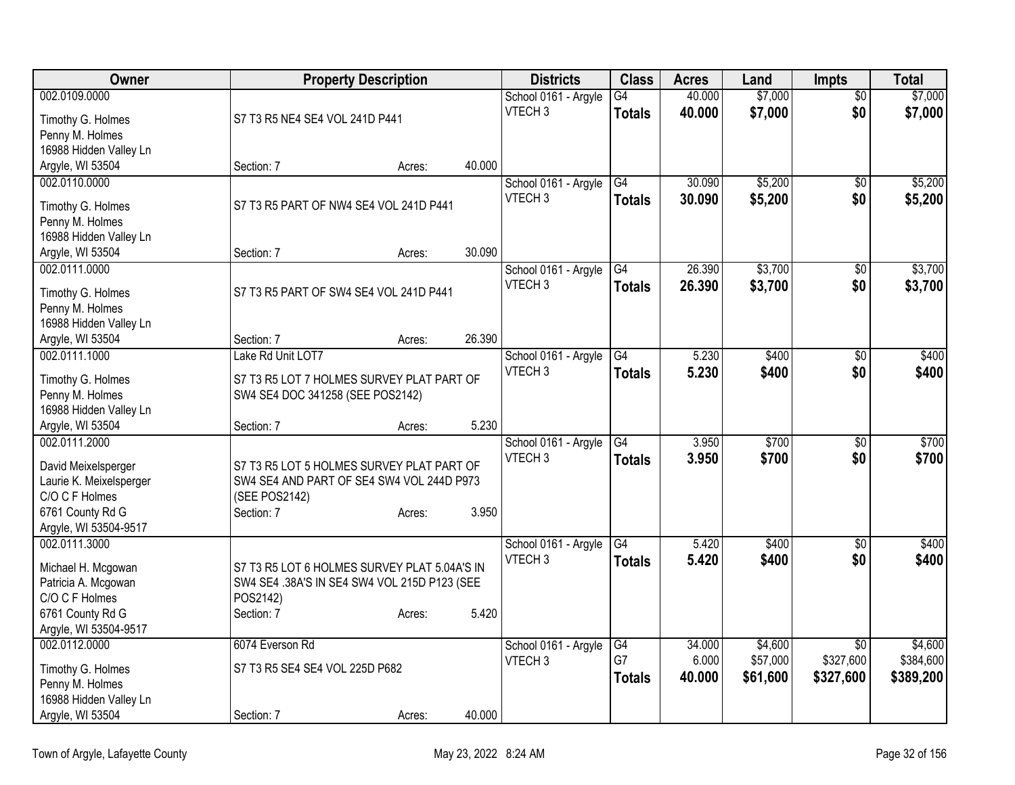| Owner                                          | <b>Property Description</b>                  |        |        | <b>Districts</b>     | <b>Class</b>    | <b>Acres</b> | Land     | <b>Impts</b>    | <b>Total</b> |
|------------------------------------------------|----------------------------------------------|--------|--------|----------------------|-----------------|--------------|----------|-----------------|--------------|
| 002.0109.0000                                  |                                              |        |        | School 0161 - Argyle | G4              | 40.000       | \$7,000  | $\overline{50}$ | \$7,000      |
| Timothy G. Holmes                              | S7 T3 R5 NE4 SE4 VOL 241D P441               |        |        | VTECH <sub>3</sub>   | <b>Totals</b>   | 40.000       | \$7,000  | \$0             | \$7,000      |
| Penny M. Holmes                                |                                              |        |        |                      |                 |              |          |                 |              |
| 16988 Hidden Valley Ln                         |                                              |        |        |                      |                 |              |          |                 |              |
| Argyle, WI 53504                               | Section: 7                                   | Acres: | 40.000 |                      |                 |              |          |                 |              |
| 002.0110.0000                                  |                                              |        |        | School 0161 - Argyle | G4              | 30.090       | \$5,200  | \$0             | \$5,200      |
| Timothy G. Holmes                              | S7 T3 R5 PART OF NW4 SE4 VOL 241D P441       |        |        | VTECH <sub>3</sub>   | <b>Totals</b>   | 30.090       | \$5,200  | \$0             | \$5,200      |
| Penny M. Holmes                                |                                              |        |        |                      |                 |              |          |                 |              |
| 16988 Hidden Valley Ln                         |                                              |        |        |                      |                 |              |          |                 |              |
| Argyle, WI 53504                               | Section: 7                                   | Acres: | 30.090 |                      |                 |              |          |                 |              |
| 002.0111.0000                                  |                                              |        |        | School 0161 - Argyle | G4              | 26.390       | \$3,700  | \$0             | \$3,700      |
|                                                |                                              |        |        | VTECH <sub>3</sub>   | <b>Totals</b>   | 26,390       | \$3,700  | \$0             | \$3,700      |
| Timothy G. Holmes                              | S7 T3 R5 PART OF SW4 SE4 VOL 241D P441       |        |        |                      |                 |              |          |                 |              |
| Penny M. Holmes                                |                                              |        |        |                      |                 |              |          |                 |              |
| 16988 Hidden Valley Ln                         |                                              |        |        |                      |                 |              |          |                 |              |
| Argyle, WI 53504                               | Section: 7                                   | Acres: | 26.390 |                      |                 |              |          |                 |              |
| 002.0111.1000                                  | Lake Rd Unit LOT7                            |        |        | School 0161 - Argyle | G4              | 5.230        | \$400    | \$0             | \$400        |
| Timothy G. Holmes                              | S7 T3 R5 LOT 7 HOLMES SURVEY PLAT PART OF    |        |        | VTECH <sub>3</sub>   | <b>Totals</b>   | 5.230        | \$400    | \$0             | \$400        |
| Penny M. Holmes                                | SW4 SE4 DOC 341258 (SEE POS2142)             |        |        |                      |                 |              |          |                 |              |
| 16988 Hidden Valley Ln                         |                                              |        |        |                      |                 |              |          |                 |              |
| Argyle, WI 53504                               | Section: 7                                   | Acres: | 5.230  |                      |                 |              |          |                 |              |
| 002.0111.2000                                  |                                              |        |        | School 0161 - Argyle | $\overline{G4}$ | 3.950        | \$700    | $\overline{50}$ | \$700        |
|                                                | S7 T3 R5 LOT 5 HOLMES SURVEY PLAT PART OF    |        |        | VTECH <sub>3</sub>   | <b>Totals</b>   | 3.950        | \$700    | \$0             | \$700        |
| David Meixelsperger<br>Laurie K. Meixelsperger | SW4 SE4 AND PART OF SE4 SW4 VOL 244D P973    |        |        |                      |                 |              |          |                 |              |
| C/O C F Holmes                                 | (SEE POS2142)                                |        |        |                      |                 |              |          |                 |              |
| 6761 County Rd G                               | Section: 7                                   | Acres: | 3.950  |                      |                 |              |          |                 |              |
| Argyle, WI 53504-9517                          |                                              |        |        |                      |                 |              |          |                 |              |
| 002.0111.3000                                  |                                              |        |        | School 0161 - Argyle | G4              | 5.420        | \$400    | $\overline{30}$ | \$400        |
|                                                |                                              |        |        | VTECH <sub>3</sub>   | <b>Totals</b>   | 5.420        | \$400    | \$0             | \$400        |
| Michael H. Mcgowan                             | S7 T3 R5 LOT 6 HOLMES SURVEY PLAT 5.04A'S IN |        |        |                      |                 |              |          |                 |              |
| Patricia A. Mcgowan<br>C/O C F Holmes          | SW4 SE4 .38A'S IN SE4 SW4 VOL 215D P123 (SEE |        |        |                      |                 |              |          |                 |              |
|                                                | POS2142)<br>Section: 7                       |        | 5.420  |                      |                 |              |          |                 |              |
| 6761 County Rd G<br>Argyle, WI 53504-9517      |                                              | Acres: |        |                      |                 |              |          |                 |              |
| 002.0112.0000                                  | 6074 Everson Rd                              |        |        | School 0161 - Argyle | G4              | 34.000       | \$4,600  | $\overline{50}$ | \$4,600      |
|                                                |                                              |        |        | VTECH <sub>3</sub>   | G7              | 6.000        | \$57,000 | \$327,600       | \$384,600    |
| Timothy G. Holmes                              | S7 T3 R5 SE4 SE4 VOL 225D P682               |        |        |                      | <b>Totals</b>   | 40.000       | \$61,600 | \$327,600       | \$389,200    |
| Penny M. Holmes                                |                                              |        |        |                      |                 |              |          |                 |              |
| 16988 Hidden Valley Ln                         |                                              |        |        |                      |                 |              |          |                 |              |
| Argyle, WI 53504                               | Section: 7                                   | Acres: | 40.000 |                      |                 |              |          |                 |              |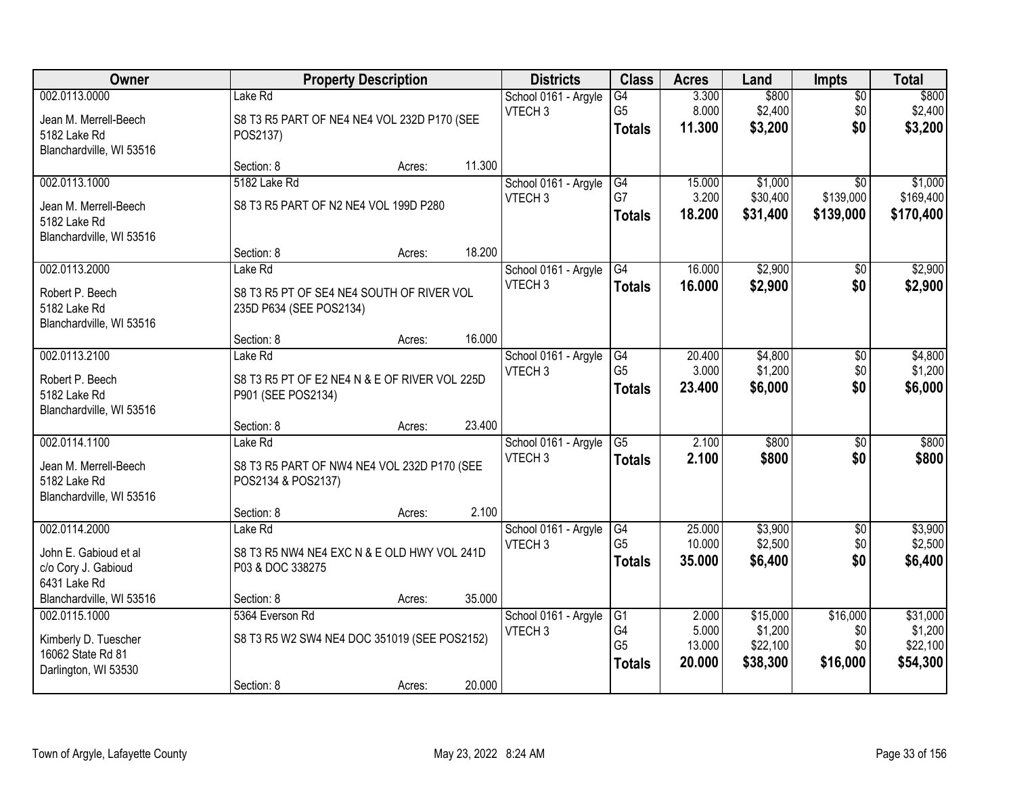| Owner                                                                              |                                                                                 | <b>Property Description</b> |        | <b>Districts</b>                           | <b>Class</b>                                       | <b>Acres</b>                       | Land                                        | <b>Impts</b>                              | <b>Total</b>                                |
|------------------------------------------------------------------------------------|---------------------------------------------------------------------------------|-----------------------------|--------|--------------------------------------------|----------------------------------------------------|------------------------------------|---------------------------------------------|-------------------------------------------|---------------------------------------------|
| 002.0113.0000<br>Jean M. Merrell-Beech<br>5182 Lake Rd<br>Blanchardville, WI 53516 | Lake Rd<br>S8 T3 R5 PART OF NE4 NE4 VOL 232D P170 (SEE<br>POS2137)              |                             |        | School 0161 - Argyle<br>VTECH <sub>3</sub> | $\overline{G4}$<br>G <sub>5</sub><br><b>Totals</b> | 3.300<br>8.000<br>11.300           | \$800<br>\$2,400<br>\$3,200                 | $\sqrt{$0}$<br>\$0<br>\$0                 | \$800<br>\$2,400<br>\$3,200                 |
|                                                                                    | Section: 8                                                                      | Acres:                      | 11.300 |                                            |                                                    |                                    |                                             |                                           |                                             |
| 002.0113.1000<br>Jean M. Merrell-Beech<br>5182 Lake Rd<br>Blanchardville, WI 53516 | 5182 Lake Rd<br>S8 T3 R5 PART OF N2 NE4 VOL 199D P280                           |                             |        | School 0161 - Argyle<br>VTECH <sub>3</sub> | G4<br>G7<br><b>Totals</b>                          | 15.000<br>3.200<br>18.200          | \$1,000<br>\$30,400<br>\$31,400             | $\overline{50}$<br>\$139,000<br>\$139,000 | \$1,000<br>\$169,400<br>\$170,400           |
|                                                                                    | Section: 8                                                                      | Acres:                      | 18.200 |                                            |                                                    |                                    |                                             |                                           |                                             |
| 002.0113.2000<br>Robert P. Beech<br>5182 Lake Rd<br>Blanchardville, WI 53516       | Lake Rd<br>S8 T3 R5 PT OF SE4 NE4 SOUTH OF RIVER VOL<br>235D P634 (SEE POS2134) |                             |        | School 0161 - Argyle<br>VTECH <sub>3</sub> | G4<br><b>Totals</b>                                | 16.000<br>16.000                   | \$2,900<br>\$2,900                          | \$0<br>\$0                                | \$2,900<br>\$2,900                          |
|                                                                                    | Section: 8                                                                      | Acres:                      | 16.000 |                                            |                                                    |                                    |                                             |                                           |                                             |
| 002.0113.2100<br>Robert P. Beech<br>5182 Lake Rd<br>Blanchardville, WI 53516       | Lake Rd<br>S8 T3 R5 PT OF E2 NE4 N & E OF RIVER VOL 225D<br>P901 (SEE POS2134)  |                             |        | School 0161 - Argyle<br>VTECH <sub>3</sub> | G4<br>G <sub>5</sub><br><b>Totals</b>              | 20.400<br>3.000<br>23.400          | \$4,800<br>\$1,200<br>\$6,000               | \$0<br>\$0<br>\$0                         | \$4,800<br>\$1,200<br>\$6,000               |
|                                                                                    | Section: 8                                                                      | Acres:                      | 23.400 |                                            |                                                    |                                    |                                             |                                           |                                             |
| 002.0114.1100<br>Jean M. Merrell-Beech<br>5182 Lake Rd<br>Blanchardville, WI 53516 | Lake Rd<br>S8 T3 R5 PART OF NW4 NE4 VOL 232D P170 (SEE<br>POS2134 & POS2137)    |                             |        | School 0161 - Argyle<br>VTECH <sub>3</sub> | $\overline{G5}$<br>Totals                          | 2.100<br>2.100                     | \$800<br>\$800                              | $\overline{50}$<br>\$0                    | \$800<br>\$800                              |
|                                                                                    | Section: 8                                                                      | Acres:                      | 2.100  |                                            |                                                    |                                    |                                             |                                           |                                             |
| 002.0114.2000<br>John E. Gabioud et al<br>c/o Cory J. Gabioud<br>6431 Lake Rd      | Lake Rd<br>S8 T3 R5 NW4 NE4 EXC N & E OLD HWY VOL 241D<br>P03 & DOC 338275      |                             |        | School 0161 - Argyle<br>VTECH <sub>3</sub> | G4<br>G <sub>5</sub><br><b>Totals</b>              | 25.000<br>10.000<br>35.000         | \$3,900<br>\$2,500<br>\$6,400               | $\sqrt{6}$<br>\$0<br>\$0                  | \$3,900<br>\$2,500<br>\$6,400               |
| Blanchardville, WI 53516                                                           | Section: 8                                                                      | Acres:                      | 35.000 |                                            |                                                    |                                    |                                             |                                           |                                             |
| 002.0115.1000<br>Kimberly D. Tuescher<br>16062 State Rd 81<br>Darlington, WI 53530 | 5364 Everson Rd<br>S8 T3 R5 W2 SW4 NE4 DOC 351019 (SEE POS2152)<br>Section: 8   | Acres:                      | 20.000 | School 0161 - Argyle<br>VTECH <sub>3</sub> | G1<br>G4<br>G <sub>5</sub><br><b>Totals</b>        | 2.000<br>5.000<br>13.000<br>20.000 | \$15,000<br>\$1,200<br>\$22,100<br>\$38,300 | \$16,000<br>\$0<br>\$0<br>\$16,000        | \$31,000<br>\$1,200<br>\$22,100<br>\$54,300 |
|                                                                                    |                                                                                 |                             |        |                                            |                                                    |                                    |                                             |                                           |                                             |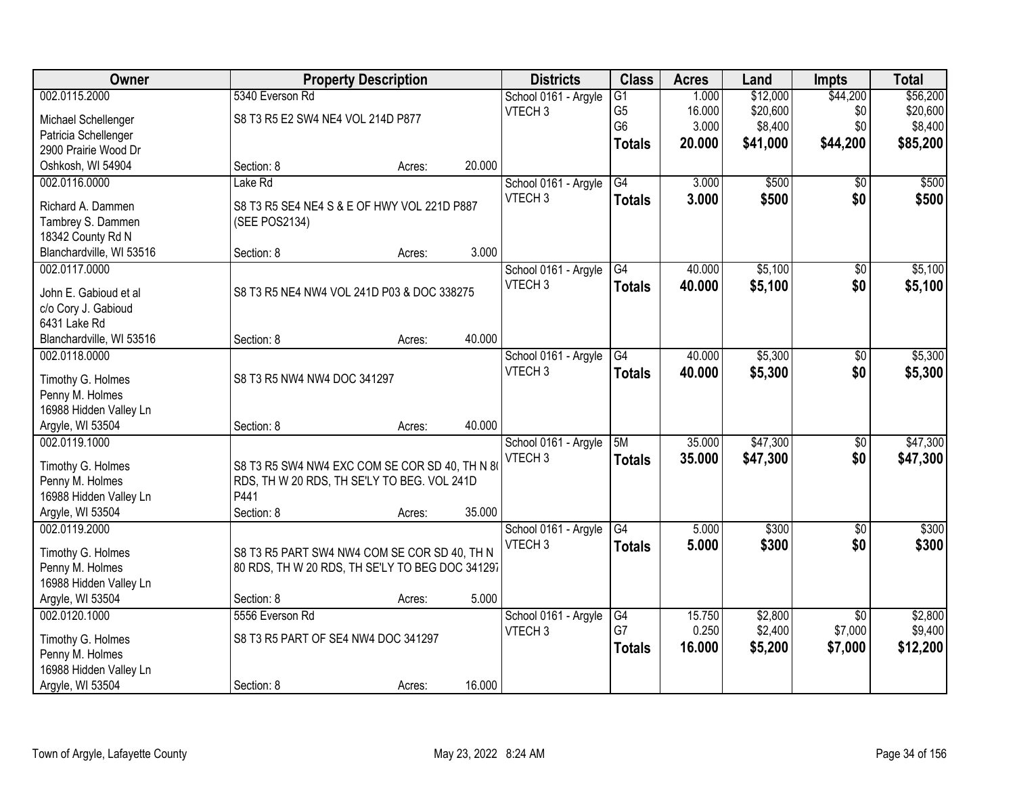| Owner                                |                                                 | <b>Property Description</b> |        | <b>Districts</b>     | <b>Class</b>    | <b>Acres</b> | Land     | Impts           | <b>Total</b> |
|--------------------------------------|-------------------------------------------------|-----------------------------|--------|----------------------|-----------------|--------------|----------|-----------------|--------------|
| 002.0115.2000                        | 5340 Everson Rd                                 |                             |        | School 0161 - Argyle | $\overline{G1}$ | 1.000        | \$12,000 | \$44,200        | \$56,200     |
| Michael Schellenger                  | S8 T3 R5 E2 SW4 NE4 VOL 214D P877               |                             |        | VTECH <sub>3</sub>   | G <sub>5</sub>  | 16.000       | \$20,600 | \$0             | \$20,600     |
| Patricia Schellenger                 |                                                 |                             |        |                      | G <sub>6</sub>  | 3.000        | \$8,400  | \$0             | \$8,400      |
| 2900 Prairie Wood Dr                 |                                                 |                             |        |                      | <b>Totals</b>   | 20.000       | \$41,000 | \$44,200        | \$85,200     |
| Oshkosh, WI 54904                    | Section: 8                                      | Acres:                      | 20.000 |                      |                 |              |          |                 |              |
| 002.0116.0000                        | Lake Rd                                         |                             |        | School 0161 - Argyle | $\overline{G4}$ | 3.000        | \$500    | $\overline{50}$ | \$500        |
|                                      |                                                 |                             |        | VTECH <sub>3</sub>   | <b>Totals</b>   | 3.000        | \$500    | \$0             | \$500        |
| Richard A. Dammen                    | S8 T3 R5 SE4 NE4 S & E OF HWY VOL 221D P887     |                             |        |                      |                 |              |          |                 |              |
| Tambrey S. Dammen                    | (SEE POS2134)                                   |                             |        |                      |                 |              |          |                 |              |
| 18342 County Rd N                    |                                                 |                             | 3.000  |                      |                 |              |          |                 |              |
| Blanchardville, WI 53516             | Section: 8                                      | Acres:                      |        |                      |                 |              |          |                 |              |
| 002.0117.0000                        |                                                 |                             |        | School 0161 - Argyle | G4              | 40.000       | \$5,100  | \$0             | \$5,100      |
| John E. Gabioud et al                | S8 T3 R5 NE4 NW4 VOL 241D P03 & DOC 338275      |                             |        | VTECH <sub>3</sub>   | <b>Totals</b>   | 40.000       | \$5,100  | \$0             | \$5,100      |
| c/o Cory J. Gabioud                  |                                                 |                             |        |                      |                 |              |          |                 |              |
| 6431 Lake Rd                         |                                                 |                             |        |                      |                 |              |          |                 |              |
| Blanchardville, WI 53516             | Section: 8                                      | Acres:                      | 40.000 |                      |                 |              |          |                 |              |
| 002.0118.0000                        |                                                 |                             |        | School 0161 - Argyle | $\overline{G4}$ | 40.000       | \$5,300  | \$0             | \$5,300      |
|                                      | S8 T3 R5 NW4 NW4 DOC 341297                     |                             |        | VTECH <sub>3</sub>   | <b>Totals</b>   | 40.000       | \$5,300  | \$0             | \$5,300      |
| Timothy G. Holmes<br>Penny M. Holmes |                                                 |                             |        |                      |                 |              |          |                 |              |
| 16988 Hidden Valley Ln               |                                                 |                             |        |                      |                 |              |          |                 |              |
| Argyle, WI 53504                     | Section: 8                                      | Acres:                      | 40.000 |                      |                 |              |          |                 |              |
| 002.0119.1000                        |                                                 |                             |        | School 0161 - Argyle | 5M              | 35.000       | \$47,300 | \$0             | \$47,300     |
|                                      |                                                 |                             |        | VTECH <sub>3</sub>   | <b>Totals</b>   | 35.000       | \$47,300 | \$0             | \$47,300     |
| Timothy G. Holmes                    | S8 T3 R5 SW4 NW4 EXC COM SE COR SD 40, TH N 80  |                             |        |                      |                 |              |          |                 |              |
| Penny M. Holmes                      | RDS, TH W 20 RDS, TH SE'LY TO BEG. VOL 241D     |                             |        |                      |                 |              |          |                 |              |
| 16988 Hidden Valley Ln               | P441                                            |                             |        |                      |                 |              |          |                 |              |
| Argyle, WI 53504                     | Section: 8                                      | Acres:                      | 35.000 |                      |                 |              |          |                 |              |
| 002.0119.2000                        |                                                 |                             |        | School 0161 - Argyle | G4              | 5.000        | \$300    | \$0             | \$300        |
| Timothy G. Holmes                    | S8 T3 R5 PART SW4 NW4 COM SE COR SD 40, TH N    |                             |        | VTECH <sub>3</sub>   | <b>Totals</b>   | 5.000        | \$300    | \$0             | \$300        |
| Penny M. Holmes                      | 80 RDS, TH W 20 RDS, TH SE'LY TO BEG DOC 341297 |                             |        |                      |                 |              |          |                 |              |
| 16988 Hidden Valley Ln               |                                                 |                             |        |                      |                 |              |          |                 |              |
| Argyle, WI 53504                     | Section: 8                                      | Acres:                      | 5.000  |                      |                 |              |          |                 |              |
| 002.0120.1000                        | 5556 Everson Rd                                 |                             |        | School 0161 - Argyle | G4              | 15.750       | \$2,800  | $\overline{50}$ | \$2,800      |
|                                      |                                                 |                             |        | VTECH <sub>3</sub>   | G7              | 0.250        | \$2,400  | \$7,000         | \$9,400      |
| Timothy G. Holmes                    | S8 T3 R5 PART OF SE4 NW4 DOC 341297             |                             |        |                      | <b>Totals</b>   | 16.000       | \$5,200  | \$7,000         | \$12,200     |
| Penny M. Holmes                      |                                                 |                             |        |                      |                 |              |          |                 |              |
| 16988 Hidden Valley Ln               |                                                 |                             |        |                      |                 |              |          |                 |              |
| Argyle, WI 53504                     | Section: 8                                      | Acres:                      | 16.000 |                      |                 |              |          |                 |              |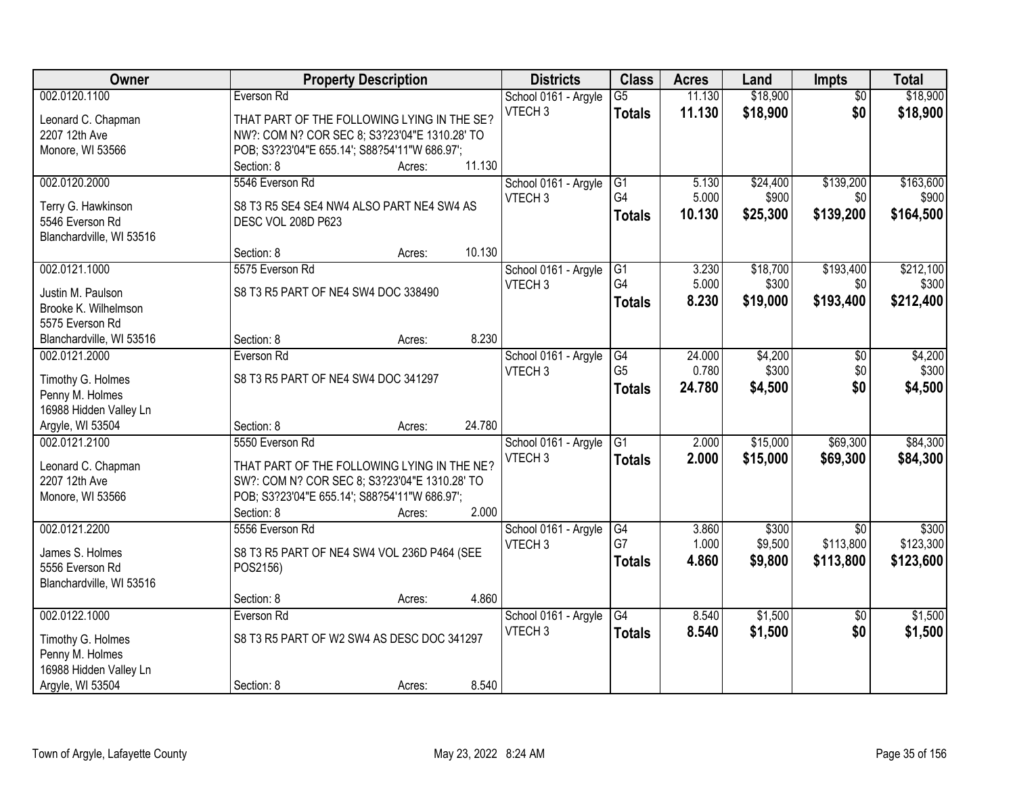| Owner                    | <b>Property Description</b>                   | <b>Districts</b>     | <b>Class</b>    | <b>Acres</b> | Land     | <b>Impts</b>    | <b>Total</b> |
|--------------------------|-----------------------------------------------|----------------------|-----------------|--------------|----------|-----------------|--------------|
| 002.0120.1100            | Everson Rd                                    | School 0161 - Argyle | $\overline{G5}$ | 11.130       | \$18,900 | $\overline{30}$ | \$18,900     |
| Leonard C. Chapman       | THAT PART OF THE FOLLOWING LYING IN THE SE?   | VTECH <sub>3</sub>   | <b>Totals</b>   | 11.130       | \$18,900 | \$0             | \$18,900     |
| 2207 12th Ave            | NW?: COM N? COR SEC 8; S3?23'04"E 1310.28' TO |                      |                 |              |          |                 |              |
| Monore, WI 53566         | POB; S3?23'04"E 655.14'; S88?54'11"W 686.97'; |                      |                 |              |          |                 |              |
|                          | 11.130<br>Section: 8<br>Acres:                |                      |                 |              |          |                 |              |
| 002.0120.2000            | 5546 Everson Rd                               | School 0161 - Argyle | G1              | 5.130        | \$24,400 | \$139,200       | \$163,600    |
|                          |                                               | VTECH <sub>3</sub>   | G4              | 5.000        | \$900    | \$0             | \$900        |
| Terry G. Hawkinson       | S8 T3 R5 SE4 SE4 NW4 ALSO PART NE4 SW4 AS     |                      | <b>Totals</b>   | 10.130       | \$25,300 | \$139,200       | \$164,500    |
| 5546 Everson Rd          | DESC VOL 208D P623                            |                      |                 |              |          |                 |              |
| Blanchardville, WI 53516 | 10.130                                        |                      |                 |              |          |                 |              |
|                          | Section: 8<br>Acres:                          |                      |                 |              |          |                 |              |
| 002.0121.1000            | 5575 Everson Rd                               | School 0161 - Argyle | G1              | 3.230        | \$18,700 | \$193,400       | \$212,100    |
| Justin M. Paulson        | S8 T3 R5 PART OF NE4 SW4 DOC 338490           | VTECH <sub>3</sub>   | G4              | 5.000        | \$300    | \$0             | \$300        |
| Brooke K. Wilhelmson     |                                               |                      | <b>Totals</b>   | 8.230        | \$19,000 | \$193,400       | \$212,400    |
| 5575 Everson Rd          |                                               |                      |                 |              |          |                 |              |
| Blanchardville, WI 53516 | 8.230<br>Section: 8<br>Acres:                 |                      |                 |              |          |                 |              |
| 002.0121.2000            | Everson Rd                                    | School 0161 - Argyle | G4              | 24.000       | \$4,200  | $\sqrt{6}$      | \$4,200      |
|                          |                                               | VTECH <sub>3</sub>   | G <sub>5</sub>  | 0.780        | \$300    | \$0             | \$300        |
| Timothy G. Holmes        | S8 T3 R5 PART OF NE4 SW4 DOC 341297           |                      | <b>Totals</b>   | 24.780       | \$4,500  | \$0             | \$4,500      |
| Penny M. Holmes          |                                               |                      |                 |              |          |                 |              |
| 16988 Hidden Valley Ln   |                                               |                      |                 |              |          |                 |              |
| Argyle, WI 53504         | 24.780<br>Section: 8<br>Acres:                |                      |                 |              |          |                 |              |
| 002.0121.2100            | 5550 Everson Rd                               | School 0161 - Argyle | G1              | 2.000        | \$15,000 | \$69,300        | \$84,300     |
| Leonard C. Chapman       | THAT PART OF THE FOLLOWING LYING IN THE NE?   | VTECH <sub>3</sub>   | <b>Totals</b>   | 2.000        | \$15,000 | \$69,300        | \$84,300     |
| 2207 12th Ave            | SW?: COM N? COR SEC 8; S3?23'04"E 1310.28' TO |                      |                 |              |          |                 |              |
| Monore, WI 53566         | POB; S3?23'04"E 655.14'; S88?54'11"W 686.97'; |                      |                 |              |          |                 |              |
|                          | Section: 8<br>2.000<br>Acres:                 |                      |                 |              |          |                 |              |
| 002.0121.2200            | 5556 Everson Rd                               | School 0161 - Argyle | G4              | 3.860        | \$300    | $\overline{50}$ | \$300        |
|                          |                                               | VTECH <sub>3</sub>   | G7              | 1.000        | \$9,500  | \$113,800       | \$123,300    |
| James S. Holmes          | S8 T3 R5 PART OF NE4 SW4 VOL 236D P464 (SEE   |                      | <b>Totals</b>   | 4.860        | \$9,800  | \$113,800       | \$123,600    |
| 5556 Everson Rd          | POS2156)                                      |                      |                 |              |          |                 |              |
| Blanchardville, WI 53516 | 4.860                                         |                      |                 |              |          |                 |              |
|                          | Section: 8<br>Acres:                          |                      |                 |              |          |                 |              |
| 002.0122.1000            | Everson Rd                                    | School 0161 - Argyle | $\overline{G4}$ | 8.540        | \$1,500  | $\overline{50}$ | \$1,500      |
| Timothy G. Holmes        | S8 T3 R5 PART OF W2 SW4 AS DESC DOC 341297    | VTECH <sub>3</sub>   | <b>Totals</b>   | 8.540        | \$1,500  | \$0             | \$1,500      |
| Penny M. Holmes          |                                               |                      |                 |              |          |                 |              |
| 16988 Hidden Valley Ln   |                                               |                      |                 |              |          |                 |              |
| Argyle, WI 53504         | 8.540<br>Section: 8<br>Acres:                 |                      |                 |              |          |                 |              |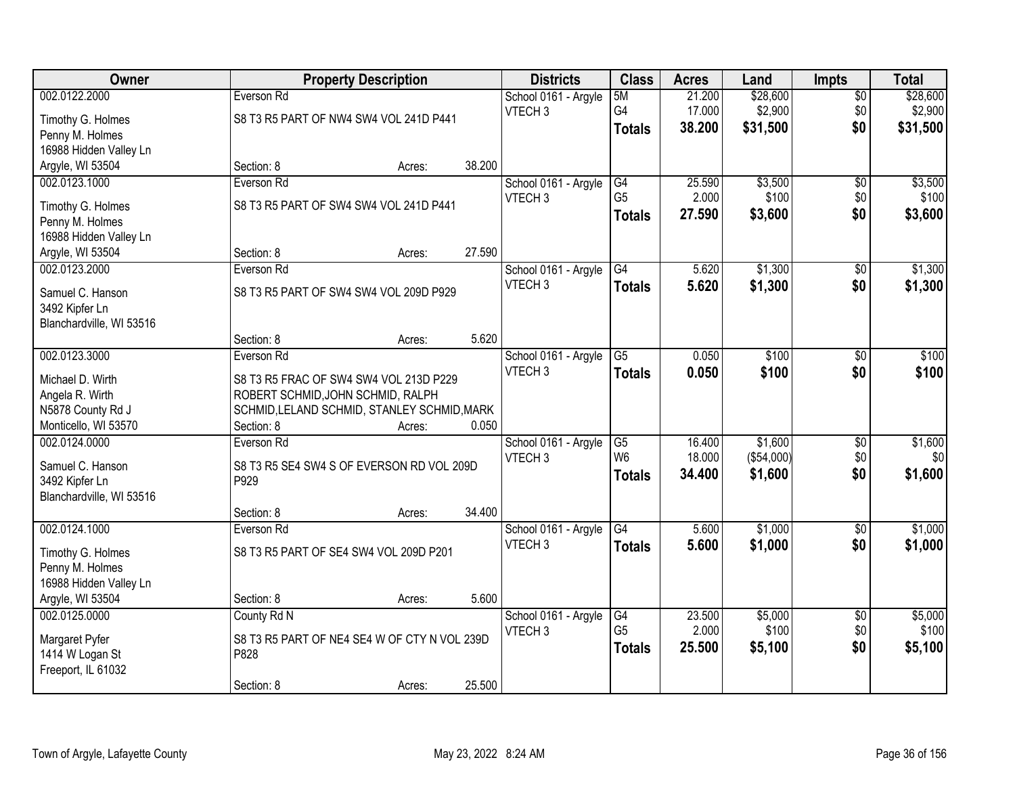| Owner                             | <b>Property Description</b>                  |        |        | <b>Districts</b>                           | <b>Class</b>    | <b>Acres</b> | Land       | <b>Impts</b>    | <b>Total</b> |
|-----------------------------------|----------------------------------------------|--------|--------|--------------------------------------------|-----------------|--------------|------------|-----------------|--------------|
| 002.0122.2000                     | Everson Rd                                   |        |        | School 0161 - Argyle                       | 5M              | 21.200       | \$28,600   | $\overline{50}$ | \$28,600     |
| Timothy G. Holmes                 | S8 T3 R5 PART OF NW4 SW4 VOL 241D P441       |        |        | VTECH <sub>3</sub>                         | G4              | 17.000       | \$2,900    | \$0             | \$2,900      |
| Penny M. Holmes                   |                                              |        |        |                                            | <b>Totals</b>   | 38.200       | \$31,500   | \$0             | \$31,500     |
| 16988 Hidden Valley Ln            |                                              |        |        |                                            |                 |              |            |                 |              |
| Argyle, WI 53504                  | Section: 8                                   | Acres: | 38.200 |                                            |                 |              |            |                 |              |
| 002.0123.1000                     | Everson Rd                                   |        |        | School 0161 - Argyle                       | G4              | 25.590       | \$3,500    | \$0             | \$3,500      |
|                                   |                                              |        |        | VTECH <sub>3</sub>                         | G <sub>5</sub>  | 2.000        | \$100      | \$0             | \$100        |
| Timothy G. Holmes                 | S8 T3 R5 PART OF SW4 SW4 VOL 241D P441       |        |        |                                            | <b>Totals</b>   | 27.590       | \$3,600    | \$0             | \$3,600      |
| Penny M. Holmes                   |                                              |        |        |                                            |                 |              |            |                 |              |
| 16988 Hidden Valley Ln            | Section: 8                                   |        | 27.590 |                                            |                 |              |            |                 |              |
| Argyle, WI 53504<br>002.0123.2000 | Everson Rd                                   | Acres: |        |                                            | G4              | 5.620        | \$1,300    |                 | \$1,300      |
|                                   |                                              |        |        | School 0161 - Argyle<br>VTECH <sub>3</sub> |                 |              |            | \$0             |              |
| Samuel C. Hanson                  | S8 T3 R5 PART OF SW4 SW4 VOL 209D P929       |        |        |                                            | <b>Totals</b>   | 5.620        | \$1,300    | \$0             | \$1,300      |
| 3492 Kipfer Ln                    |                                              |        |        |                                            |                 |              |            |                 |              |
| Blanchardville, WI 53516          |                                              |        |        |                                            |                 |              |            |                 |              |
|                                   | Section: 8                                   | Acres: | 5.620  |                                            |                 |              |            |                 |              |
| 002.0123.3000                     | Everson Rd                                   |        |        | School 0161 - Argyle                       | $\overline{G5}$ | 0.050        | \$100      | $\frac{1}{20}$  | \$100        |
| Michael D. Wirth                  | S8 T3 R5 FRAC OF SW4 SW4 VOL 213D P229       |        |        | VTECH <sub>3</sub>                         | <b>Totals</b>   | 0.050        | \$100      | \$0             | \$100        |
| Angela R. Wirth                   | ROBERT SCHMID, JOHN SCHMID, RALPH            |        |        |                                            |                 |              |            |                 |              |
| N5878 County Rd J                 | SCHMID, LELAND SCHMID, STANLEY SCHMID, MARK  |        |        |                                            |                 |              |            |                 |              |
| Monticello, WI 53570              | Section: 8                                   | Acres: | 0.050  |                                            |                 |              |            |                 |              |
| 002.0124.0000                     | Everson Rd                                   |        |        | School 0161 - Argyle                       | G5              | 16.400       | \$1,600    | $\overline{50}$ | \$1,600      |
|                                   |                                              |        |        | VTECH <sub>3</sub>                         | W <sub>6</sub>  | 18.000       | (\$54,000) | \$0             | \$0          |
| Samuel C. Hanson                  | S8 T3 R5 SE4 SW4 S OF EVERSON RD VOL 209D    |        |        |                                            | Totals          | 34.400       | \$1,600    | \$0             | \$1,600      |
| 3492 Kipfer Ln                    | P929                                         |        |        |                                            |                 |              |            |                 |              |
| Blanchardville, WI 53516          |                                              |        |        |                                            |                 |              |            |                 |              |
|                                   | Section: 8                                   | Acres: | 34.400 |                                            |                 |              |            |                 |              |
| 002.0124.1000                     | Everson Rd                                   |        |        | School 0161 - Argyle                       | G4              | 5.600        | \$1,000    | \$0             | \$1,000      |
| Timothy G. Holmes                 | S8 T3 R5 PART OF SE4 SW4 VOL 209D P201       |        |        | VTECH <sub>3</sub>                         | <b>Totals</b>   | 5.600        | \$1,000    | \$0             | \$1,000      |
| Penny M. Holmes                   |                                              |        |        |                                            |                 |              |            |                 |              |
| 16988 Hidden Valley Ln            |                                              |        |        |                                            |                 |              |            |                 |              |
| Argyle, WI 53504                  | Section: 8                                   | Acres: | 5.600  |                                            |                 |              |            |                 |              |
| 002.0125.0000                     | County Rd N                                  |        |        | School 0161 - Argyle                       | G4              | 23.500       | \$5,000    | $\overline{60}$ | \$5,000      |
| Margaret Pyfer                    | S8 T3 R5 PART OF NE4 SE4 W OF CTY N VOL 239D |        |        | VTECH <sub>3</sub>                         | G <sub>5</sub>  | 2.000        | \$100      | \$0             | \$100        |
| 1414 W Logan St                   | P828                                         |        |        |                                            | <b>Totals</b>   | 25.500       | \$5,100    | \$0             | \$5,100      |
| Freeport, IL 61032                |                                              |        |        |                                            |                 |              |            |                 |              |
| Section: 8                        |                                              |        |        |                                            |                 |              |            |                 |              |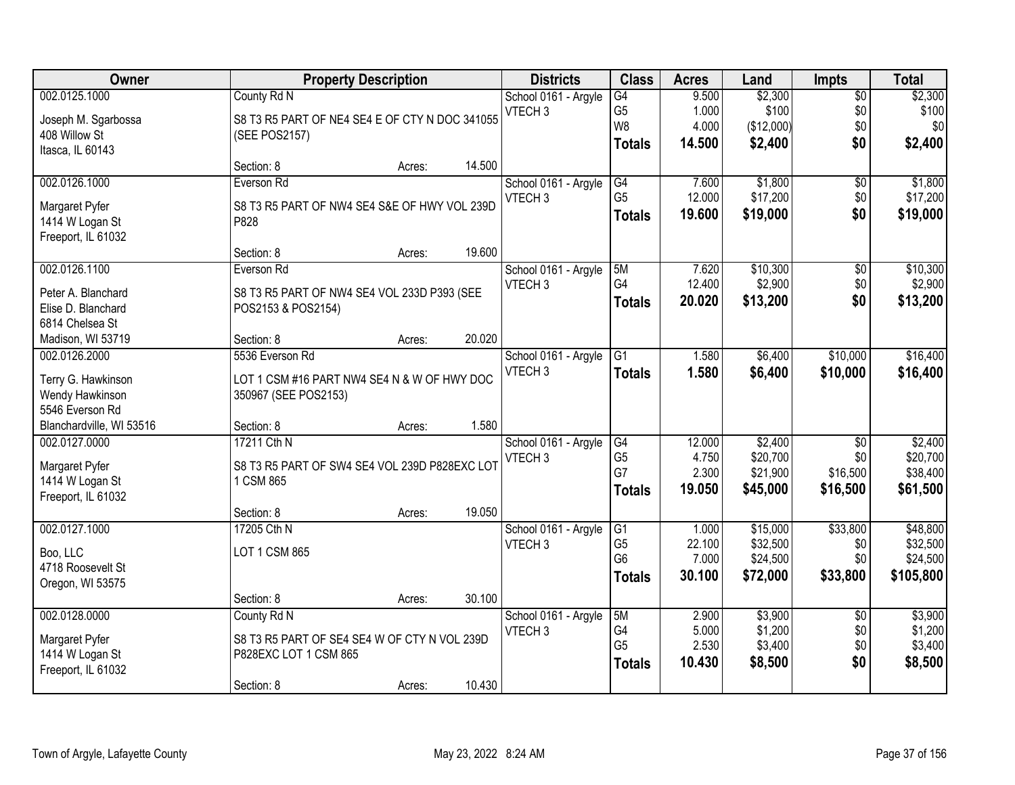| <b>Owner</b>             |                                                | <b>Property Description</b> |        | <b>Districts</b>     | <b>Class</b>   | <b>Acres</b> | Land       | <b>Impts</b>    | <b>Total</b> |
|--------------------------|------------------------------------------------|-----------------------------|--------|----------------------|----------------|--------------|------------|-----------------|--------------|
| 002.0125.1000            | County Rd N                                    |                             |        | School 0161 - Argyle | G4             | 9.500        | \$2,300    | $\overline{50}$ | \$2,300      |
| Joseph M. Sgarbossa      | S8 T3 R5 PART OF NE4 SE4 E OF CTY N DOC 341055 |                             |        | VTECH <sub>3</sub>   | G <sub>5</sub> | 1.000        | \$100      | \$0             | \$100        |
| 408 Willow St            | (SEE POS2157)                                  |                             |        |                      | W <sub>8</sub> | 4.000        | (\$12,000) | \$0             | \$0          |
| Itasca, IL 60143         |                                                |                             |        |                      | <b>Totals</b>  | 14.500       | \$2,400    | \$0             | \$2,400      |
|                          | Section: 8                                     | Acres:                      | 14.500 |                      |                |              |            |                 |              |
| 002.0126.1000            | Everson Rd                                     |                             |        | School 0161 - Argyle | G4             | 7.600        | \$1,800    | $\overline{50}$ | \$1,800      |
| Margaret Pyfer           | S8 T3 R5 PART OF NW4 SE4 S&E OF HWY VOL 239D   |                             |        | VTECH <sub>3</sub>   | G <sub>5</sub> | 12.000       | \$17,200   | \$0             | \$17,200     |
| 1414 W Logan St          | P828                                           |                             |        |                      | <b>Totals</b>  | 19.600       | \$19,000   | \$0             | \$19,000     |
| Freeport, IL 61032       |                                                |                             |        |                      |                |              |            |                 |              |
|                          | Section: 8                                     | Acres:                      | 19.600 |                      |                |              |            |                 |              |
| 002.0126.1100            | Everson Rd                                     |                             |        | School 0161 - Argyle | 5M             | 7.620        | \$10,300   | $\overline{50}$ | \$10,300     |
| Peter A. Blanchard       | S8 T3 R5 PART OF NW4 SE4 VOL 233D P393 (SEE    |                             |        | VTECH <sub>3</sub>   | G4             | 12.400       | \$2,900    | \$0             | \$2,900      |
| Elise D. Blanchard       | POS2153 & POS2154)                             |                             |        |                      | <b>Totals</b>  | 20.020       | \$13,200   | \$0             | \$13,200     |
| 6814 Chelsea St          |                                                |                             |        |                      |                |              |            |                 |              |
| Madison, WI 53719        | Section: 8                                     | Acres:                      | 20.020 |                      |                |              |            |                 |              |
| 002.0126.2000            | 5536 Everson Rd                                |                             |        | School 0161 - Argyle | G1             | 1.580        | \$6,400    | \$10,000        | \$16,400     |
| Terry G. Hawkinson       | LOT 1 CSM #16 PART NW4 SE4 N & W OF HWY DOC    |                             |        | VTECH <sub>3</sub>   | <b>Totals</b>  | 1.580        | \$6,400    | \$10,000        | \$16,400     |
| Wendy Hawkinson          | 350967 (SEE POS2153)                           |                             |        |                      |                |              |            |                 |              |
| 5546 Everson Rd          |                                                |                             |        |                      |                |              |            |                 |              |
| Blanchardville, WI 53516 | Section: 8                                     | Acres:                      | 1.580  |                      |                |              |            |                 |              |
| 002.0127.0000            | 17211 Cth N                                    |                             |        | School 0161 - Argyle | G4             | 12.000       | \$2,400    | $\overline{50}$ | \$2,400      |
| Margaret Pyfer           | S8 T3 R5 PART OF SW4 SE4 VOL 239D P828EXC LOT  |                             |        | VTECH <sub>3</sub>   | G <sub>5</sub> | 4.750        | \$20,700   | \$0             | \$20,700     |
| 1414 W Logan St          | 1 CSM 865                                      |                             |        |                      | G7             | 2.300        | \$21,900   | \$16,500        | \$38,400     |
| Freeport, IL 61032       |                                                |                             |        |                      | <b>Totals</b>  | 19.050       | \$45,000   | \$16,500        | \$61,500     |
|                          | Section: 8                                     | Acres:                      | 19.050 |                      |                |              |            |                 |              |
| 002.0127.1000            | 17205 Cth N                                    |                             |        | School 0161 - Argyle | G1             | 1.000        | \$15,000   | \$33,800        | \$48,800     |
| Boo, LLC                 | <b>LOT 1 CSM 865</b>                           |                             |        | VTECH <sub>3</sub>   | G <sub>5</sub> | 22.100       | \$32,500   | \$0             | \$32,500     |
| 4718 Roosevelt St        |                                                |                             |        |                      | G <sub>6</sub> | 7.000        | \$24,500   | \$0             | \$24,500     |
| Oregon, WI 53575         |                                                |                             |        |                      | <b>Totals</b>  | 30.100       | \$72,000   | \$33,800        | \$105,800    |
|                          | Section: 8                                     | Acres:                      | 30.100 |                      |                |              |            |                 |              |
| 002.0128.0000            | County Rd N                                    |                             |        | School 0161 - Argyle | 5M             | 2.900        | \$3,900    | $\overline{30}$ | \$3,900      |
| Margaret Pyfer           | S8 T3 R5 PART OF SE4 SE4 W OF CTY N VOL 239D   |                             |        | VTECH <sub>3</sub>   | G4             | 5.000        | \$1,200    | \$0             | \$1,200      |
| 1414 W Logan St          | P828EXC LOT 1 CSM 865                          |                             |        |                      | G <sub>5</sub> | 2.530        | \$3,400    | \$0             | \$3,400      |
| Freeport, IL 61032       |                                                |                             |        |                      | <b>Totals</b>  | 10.430       | \$8,500    | \$0             | \$8,500      |
|                          | Section: 8                                     | Acres:                      | 10.430 |                      |                |              |            |                 |              |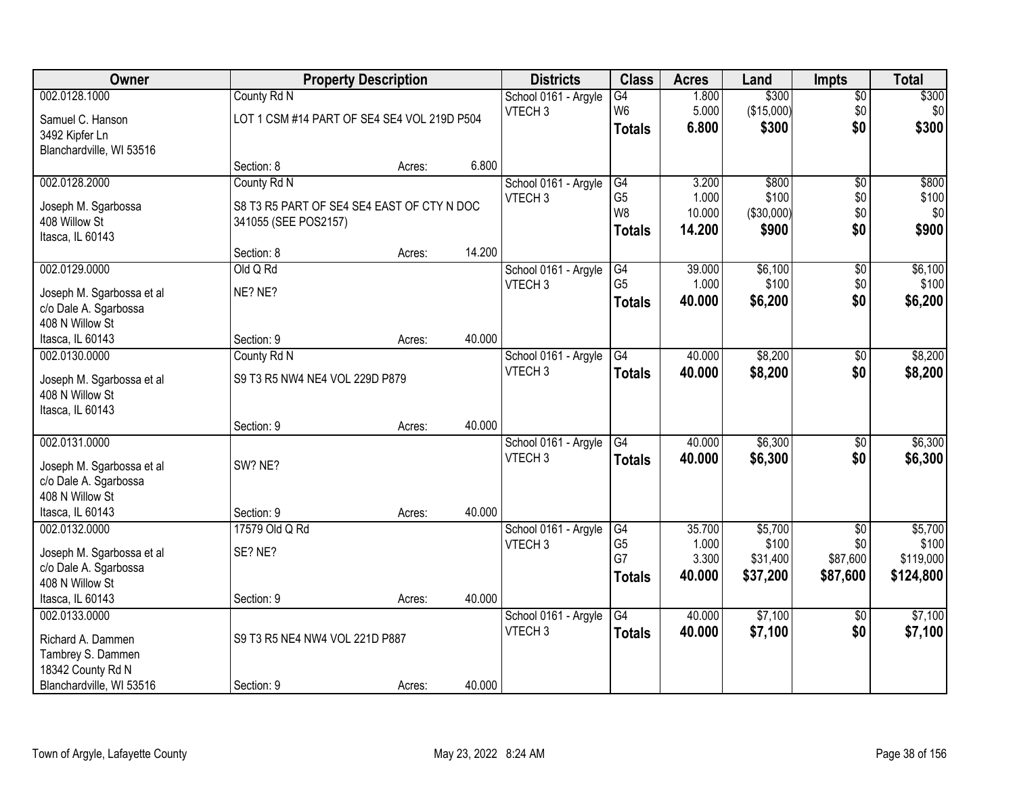| Owner                     |                                             | <b>Property Description</b> |        | <b>Districts</b>     | <b>Class</b>    | <b>Acres</b> | Land       | <b>Impts</b>    | <b>Total</b> |
|---------------------------|---------------------------------------------|-----------------------------|--------|----------------------|-----------------|--------------|------------|-----------------|--------------|
| 002.0128.1000             | County Rd N                                 |                             |        | School 0161 - Argyle | $\overline{G4}$ | 1.800        | \$300      | $\sqrt{$0}$     | \$300        |
| Samuel C. Hanson          | LOT 1 CSM #14 PART OF SE4 SE4 VOL 219D P504 |                             |        | VTECH <sub>3</sub>   | W <sub>6</sub>  | 5.000        | (\$15,000) | \$0             | \$0          |
| 3492 Kipfer Ln            |                                             |                             |        |                      | <b>Totals</b>   | 6.800        | \$300      | \$0             | \$300        |
| Blanchardville, WI 53516  |                                             |                             |        |                      |                 |              |            |                 |              |
|                           | Section: 8                                  | Acres:                      | 6.800  |                      |                 |              |            |                 |              |
| 002.0128.2000             | County Rd N                                 |                             |        | School 0161 - Argyle | G4              | 3.200        | \$800      | $\overline{50}$ | \$800        |
| Joseph M. Sgarbossa       | S8 T3 R5 PART OF SE4 SE4 EAST OF CTY N DOC  |                             |        | VTECH <sub>3</sub>   | G <sub>5</sub>  | 1.000        | \$100      | \$0             | \$100        |
| 408 Willow St             | 341055 (SEE POS2157)                        |                             |        |                      | W <sub>8</sub>  | 10.000       | (\$30,000) | \$0             | \$0          |
| Itasca, IL 60143          |                                             |                             |        |                      | <b>Totals</b>   | 14.200       | \$900      | \$0             | \$900        |
|                           | Section: 8                                  | Acres:                      | 14.200 |                      |                 |              |            |                 |              |
| 002.0129.0000             | Old Q Rd                                    |                             |        | School 0161 - Argyle | G4              | 39.000       | \$6,100    | \$0             | \$6,100      |
| Joseph M. Sgarbossa et al | NE? NE?                                     |                             |        | VTECH <sub>3</sub>   | G <sub>5</sub>  | 1.000        | \$100      | \$0             | \$100        |
| c/o Dale A. Sgarbossa     |                                             |                             |        |                      | <b>Totals</b>   | 40.000       | \$6,200    | \$0             | \$6,200      |
| 408 N Willow St           |                                             |                             |        |                      |                 |              |            |                 |              |
| Itasca, IL 60143          | Section: 9                                  | Acres:                      | 40.000 |                      |                 |              |            |                 |              |
| 002.0130.0000             | County Rd N                                 |                             |        | School 0161 - Argyle | G4              | 40.000       | \$8,200    | $\frac{1}{20}$  | \$8,200      |
| Joseph M. Sgarbossa et al | S9 T3 R5 NW4 NE4 VOL 229D P879              |                             |        | VTECH <sub>3</sub>   | <b>Totals</b>   | 40.000       | \$8,200    | \$0             | \$8,200      |
| 408 N Willow St           |                                             |                             |        |                      |                 |              |            |                 |              |
| Itasca, IL 60143          |                                             |                             |        |                      |                 |              |            |                 |              |
|                           | Section: 9                                  | Acres:                      | 40.000 |                      |                 |              |            |                 |              |
| 002.0131.0000             |                                             |                             |        | School 0161 - Argyle | $\overline{G4}$ | 40.000       | \$6,300    | $\overline{60}$ | \$6,300      |
| Joseph M. Sgarbossa et al | SW? NE?                                     |                             |        | VTECH <sub>3</sub>   | <b>Totals</b>   | 40.000       | \$6,300    | \$0             | \$6,300      |
| c/o Dale A. Sgarbossa     |                                             |                             |        |                      |                 |              |            |                 |              |
| 408 N Willow St           |                                             |                             |        |                      |                 |              |            |                 |              |
| Itasca, IL 60143          | Section: 9                                  | Acres:                      | 40.000 |                      |                 |              |            |                 |              |
| 002.0132.0000             | 17579 Old Q Rd                              |                             |        | School 0161 - Argyle | G4              | 35.700       | \$5,700    | $\sqrt{$0}$     | \$5,700      |
| Joseph M. Sgarbossa et al | SE? NE?                                     |                             |        | VTECH <sub>3</sub>   | G <sub>5</sub>  | 1.000        | \$100      | \$0             | \$100        |
| c/o Dale A. Sgarbossa     |                                             |                             |        |                      | G7              | 3.300        | \$31,400   | \$87,600        | \$119,000    |
| 408 N Willow St           |                                             |                             |        |                      | <b>Totals</b>   | 40,000       | \$37,200   | \$87,600        | \$124,800    |
| Itasca, IL 60143          | Section: 9                                  | Acres:                      | 40.000 |                      |                 |              |            |                 |              |
| 002.0133.0000             |                                             |                             |        | School 0161 - Argyle | $\overline{G4}$ | 40.000       | \$7,100    | $\overline{30}$ | \$7,100      |
| Richard A. Dammen         | S9 T3 R5 NE4 NW4 VOL 221D P887              |                             |        | VTECH <sub>3</sub>   | <b>Totals</b>   | 40.000       | \$7,100    | \$0             | \$7,100      |
| Tambrey S. Dammen         |                                             |                             |        |                      |                 |              |            |                 |              |
| 18342 County Rd N         |                                             |                             |        |                      |                 |              |            |                 |              |
| Blanchardville, WI 53516  | Section: 9                                  | Acres:                      | 40.000 |                      |                 |              |            |                 |              |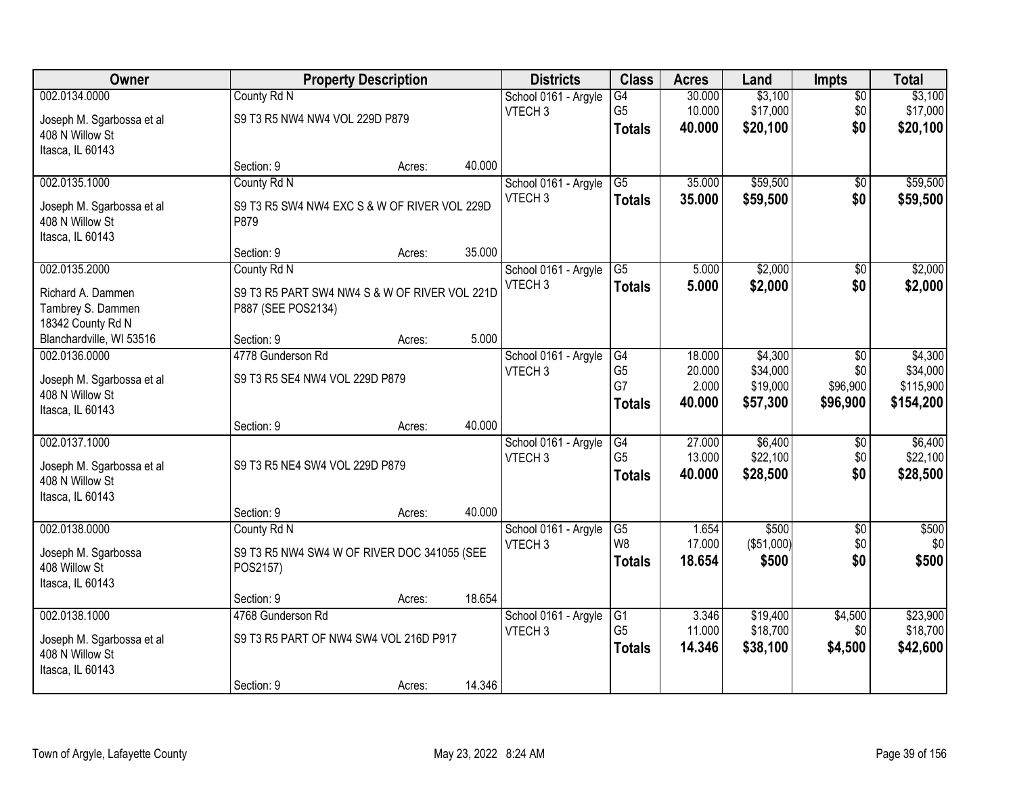| Owner                     |                                               | <b>Property Description</b> |        | <b>Districts</b>     | <b>Class</b>    | <b>Acres</b> | Land       | <b>Impts</b>    | <b>Total</b> |
|---------------------------|-----------------------------------------------|-----------------------------|--------|----------------------|-----------------|--------------|------------|-----------------|--------------|
| 002.0134.0000             | County Rd N                                   |                             |        | School 0161 - Argyle | G4              | 30.000       | \$3,100    | $\overline{50}$ | \$3,100      |
| Joseph M. Sgarbossa et al | S9 T3 R5 NW4 NW4 VOL 229D P879                |                             |        | VTECH <sub>3</sub>   | G <sub>5</sub>  | 10.000       | \$17,000   | \$0             | \$17,000     |
| 408 N Willow St           |                                               |                             |        |                      | <b>Totals</b>   | 40.000       | \$20,100   | \$0             | \$20,100     |
| Itasca, IL 60143          |                                               |                             |        |                      |                 |              |            |                 |              |
|                           | Section: 9                                    | Acres:                      | 40.000 |                      |                 |              |            |                 |              |
| 002.0135.1000             | County Rd N                                   |                             |        | School 0161 - Argyle | $\overline{G5}$ | 35.000       | \$59,500   | \$0             | \$59,500     |
| Joseph M. Sgarbossa et al | S9 T3 R5 SW4 NW4 EXC S & W OF RIVER VOL 229D  |                             |        | VTECH <sub>3</sub>   | <b>Totals</b>   | 35.000       | \$59,500   | \$0             | \$59,500     |
| 408 N Willow St           | P879                                          |                             |        |                      |                 |              |            |                 |              |
| Itasca, IL 60143          |                                               |                             |        |                      |                 |              |            |                 |              |
|                           | Section: 9                                    | Acres:                      | 35.000 |                      |                 |              |            |                 |              |
| 002.0135.2000             | County Rd N                                   |                             |        | School 0161 - Argyle | G5              | 5.000        | \$2,000    | \$0             | \$2,000      |
| Richard A. Dammen         | S9 T3 R5 PART SW4 NW4 S & W OF RIVER VOL 221D |                             |        | VTECH <sub>3</sub>   | <b>Totals</b>   | 5.000        | \$2,000    | \$0             | \$2,000      |
| Tambrey S. Dammen         | P887 (SEE POS2134)                            |                             |        |                      |                 |              |            |                 |              |
| 18342 County Rd N         |                                               |                             |        |                      |                 |              |            |                 |              |
| Blanchardville, WI 53516  | Section: 9                                    | Acres:                      | 5.000  |                      |                 |              |            |                 |              |
| 002.0136.0000             | 4778 Gunderson Rd                             |                             |        | School 0161 - Argyle | G4              | 18.000       | \$4,300    | $\sqrt{6}$      | \$4,300      |
| Joseph M. Sgarbossa et al | S9 T3 R5 SE4 NW4 VOL 229D P879                |                             |        | VTECH <sub>3</sub>   | G <sub>5</sub>  | 20.000       | \$34,000   | \$0             | \$34,000     |
| 408 N Willow St           |                                               |                             |        |                      | G7              | 2.000        | \$19,000   | \$96,900        | \$115,900    |
| Itasca, IL 60143          |                                               |                             |        |                      | <b>Totals</b>   | 40.000       | \$57,300   | \$96,900        | \$154,200    |
|                           | Section: 9                                    | Acres:                      | 40.000 |                      |                 |              |            |                 |              |
| 002.0137.1000             |                                               |                             |        | School 0161 - Argyle | $\overline{G4}$ | 27.000       | \$6,400    | $\overline{50}$ | \$6,400      |
| Joseph M. Sgarbossa et al | S9 T3 R5 NE4 SW4 VOL 229D P879                |                             |        | VTECH <sub>3</sub>   | G <sub>5</sub>  | 13.000       | \$22,100   | \$0             | \$22,100     |
| 408 N Willow St           |                                               |                             |        |                      | <b>Totals</b>   | 40.000       | \$28,500   | \$0             | \$28,500     |
| Itasca, IL 60143          |                                               |                             |        |                      |                 |              |            |                 |              |
|                           | Section: 9                                    | Acres:                      | 40.000 |                      |                 |              |            |                 |              |
| 002.0138.0000             | County Rd N                                   |                             |        | School 0161 - Argyle | $\overline{G5}$ | 1.654        | \$500      | $\overline{50}$ | \$500        |
| Joseph M. Sgarbossa       | S9 T3 R5 NW4 SW4 W OF RIVER DOC 341055 (SEE   |                             |        | VTECH <sub>3</sub>   | W8              | 17.000       | (\$51,000) | \$0             | \$0          |
| 408 Willow St             | POS2157)                                      |                             |        |                      | <b>Totals</b>   | 18.654       | \$500      | \$0             | \$500        |
| Itasca, IL 60143          |                                               |                             |        |                      |                 |              |            |                 |              |
|                           | Section: 9                                    | Acres:                      | 18.654 |                      |                 |              |            |                 |              |
| 002.0138.1000             | 4768 Gunderson Rd                             |                             |        | School 0161 - Argyle | G1              | 3.346        | \$19,400   | \$4,500         | \$23,900     |
| Joseph M. Sgarbossa et al | S9 T3 R5 PART OF NW4 SW4 VOL 216D P917        |                             |        | VTECH <sub>3</sub>   | G <sub>5</sub>  | 11.000       | \$18,700   | \$0             | \$18,700     |
| 408 N Willow St           |                                               |                             |        |                      | <b>Totals</b>   | 14.346       | \$38,100   | \$4,500         | \$42,600     |
| Itasca, IL 60143          |                                               |                             |        |                      |                 |              |            |                 |              |
|                           | Section: 9                                    | Acres:                      | 14.346 |                      |                 |              |            |                 |              |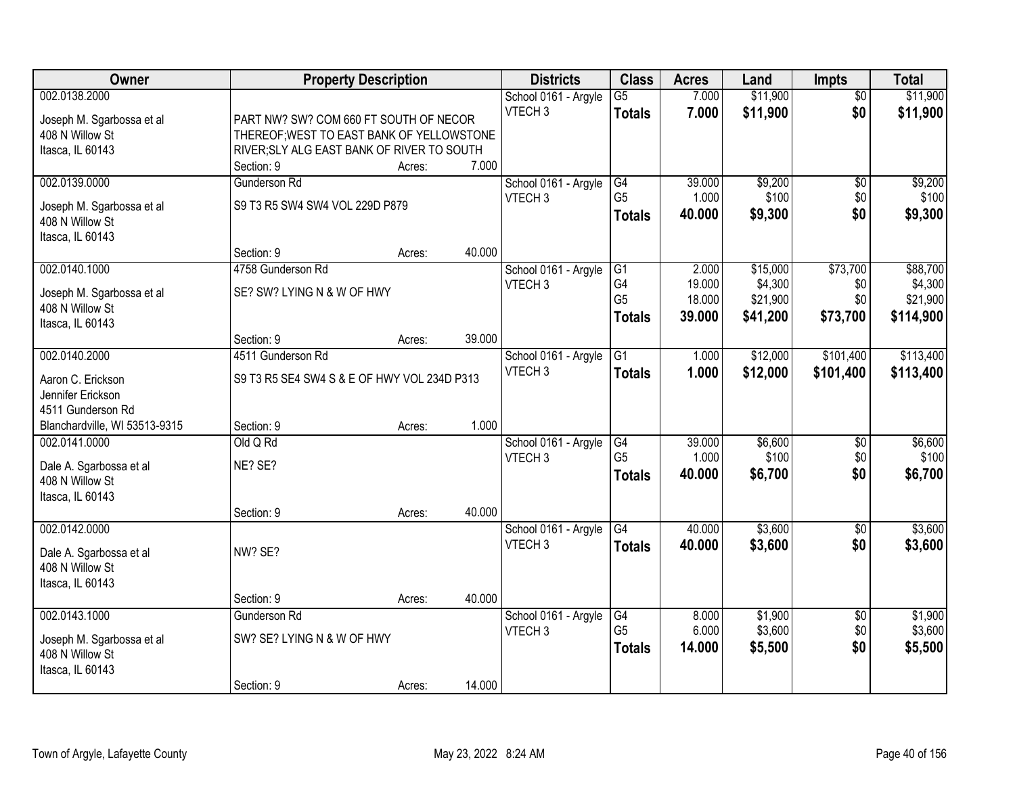| Owner                                              | <b>Property Description</b>                 |        |        | <b>Districts</b>                           | <b>Class</b>    | <b>Acres</b> | Land     | <b>Impts</b>    | <b>Total</b> |
|----------------------------------------------------|---------------------------------------------|--------|--------|--------------------------------------------|-----------------|--------------|----------|-----------------|--------------|
| 002.0138.2000                                      |                                             |        |        | School 0161 - Argyle                       | $\overline{G5}$ | 7.000        | \$11,900 | $\overline{30}$ | \$11,900     |
| Joseph M. Sgarbossa et al                          | PART NW? SW? COM 660 FT SOUTH OF NECOR      |        |        | VTECH <sub>3</sub>                         | <b>Totals</b>   | 7.000        | \$11,900 | \$0             | \$11,900     |
| 408 N Willow St                                    | THEREOF; WEST TO EAST BANK OF YELLOWSTONE   |        |        |                                            |                 |              |          |                 |              |
| Itasca, IL 60143                                   | RIVER; SLY ALG EAST BANK OF RIVER TO SOUTH  |        |        |                                            |                 |              |          |                 |              |
|                                                    | Section: 9                                  | Acres: | 7.000  |                                            |                 |              |          |                 |              |
| 002.0139.0000                                      | <b>Gunderson Rd</b>                         |        |        | School 0161 - Argyle                       | G4              | 39.000       | \$9,200  | \$0             | \$9,200      |
| Joseph M. Sgarbossa et al                          | S9 T3 R5 SW4 SW4 VOL 229D P879              |        |        | VTECH <sub>3</sub>                         | G <sub>5</sub>  | 1.000        | \$100    | \$0             | \$100        |
| 408 N Willow St                                    |                                             |        |        |                                            | <b>Totals</b>   | 40.000       | \$9,300  | \$0             | \$9,300      |
| Itasca, IL 60143                                   |                                             |        |        |                                            |                 |              |          |                 |              |
|                                                    | Section: 9                                  | Acres: | 40.000 |                                            |                 |              |          |                 |              |
| 002.0140.1000                                      | 4758 Gunderson Rd                           |        |        | School 0161 - Argyle                       | G1              | 2.000        | \$15,000 | \$73,700        | \$88,700     |
|                                                    | SE? SW? LYING N & W OF HWY                  |        |        | VTECH <sub>3</sub>                         | G4              | 19.000       | \$4,300  | \$0             | \$4,300      |
| Joseph M. Sgarbossa et al<br>408 N Willow St       |                                             |        |        |                                            | G <sub>5</sub>  | 18.000       | \$21,900 | \$0             | \$21,900     |
| Itasca, IL 60143                                   |                                             |        |        |                                            | <b>Totals</b>   | 39.000       | \$41,200 | \$73,700        | \$114,900    |
|                                                    | Section: 9                                  | Acres: | 39.000 |                                            |                 |              |          |                 |              |
| 002.0140.2000                                      | 4511 Gunderson Rd                           |        |        | School 0161 - Argyle                       | G1              | 1.000        | \$12,000 | \$101,400       | \$113,400    |
|                                                    |                                             |        |        | VTECH <sub>3</sub>                         | <b>Totals</b>   | 1.000        | \$12,000 | \$101,400       | \$113,400    |
| Aaron C. Erickson                                  | S9 T3 R5 SE4 SW4 S & E OF HWY VOL 234D P313 |        |        |                                            |                 |              |          |                 |              |
| Jennifer Erickson                                  |                                             |        |        |                                            |                 |              |          |                 |              |
| 4511 Gunderson Rd<br>Blanchardville, WI 53513-9315 | Section: 9                                  |        | 1.000  |                                            |                 |              |          |                 |              |
| 002.0141.0000                                      | Old Q Rd                                    | Acres: |        |                                            | G4              | 39.000       | \$6,600  | $\overline{50}$ | \$6,600      |
|                                                    |                                             |        |        | School 0161 - Argyle<br>VTECH <sub>3</sub> | G <sub>5</sub>  | 1.000        | \$100    | \$0             | \$100        |
| Dale A. Sgarbossa et al                            | NE? SE?                                     |        |        |                                            |                 | 40.000       | \$6,700  | \$0             | \$6,700      |
| 408 N Willow St                                    |                                             |        |        |                                            | <b>Totals</b>   |              |          |                 |              |
| Itasca, IL 60143                                   |                                             |        |        |                                            |                 |              |          |                 |              |
|                                                    | Section: 9                                  | Acres: | 40.000 |                                            |                 |              |          |                 |              |
| 002.0142.0000                                      |                                             |        |        | School 0161 - Argyle                       | G4              | 40.000       | \$3,600  | $\sqrt{$0}$     | \$3,600      |
| Dale A. Sgarbossa et al                            | NW? SE?                                     |        |        | VTECH <sub>3</sub>                         | <b>Totals</b>   | 40.000       | \$3,600  | \$0             | \$3,600      |
| 408 N Willow St                                    |                                             |        |        |                                            |                 |              |          |                 |              |
| Itasca, IL 60143                                   |                                             |        |        |                                            |                 |              |          |                 |              |
|                                                    | Section: 9                                  | Acres: | 40.000 |                                            |                 |              |          |                 |              |
| 002.0143.1000                                      | Gunderson Rd                                |        |        | School 0161 - Argyle                       | G4              | 8.000        | \$1,900  | $\overline{30}$ | \$1,900      |
| Joseph M. Sgarbossa et al                          | SW? SE? LYING N & W OF HWY                  |        |        | VTECH <sub>3</sub>                         | G <sub>5</sub>  | 6.000        | \$3,600  | \$0             | \$3,600      |
| 408 N Willow St                                    |                                             |        |        |                                            | <b>Totals</b>   | 14.000       | \$5,500  | \$0             | \$5,500      |
| Itasca, IL 60143                                   |                                             |        |        |                                            |                 |              |          |                 |              |
|                                                    | Section: 9                                  | Acres: | 14.000 |                                            |                 |              |          |                 |              |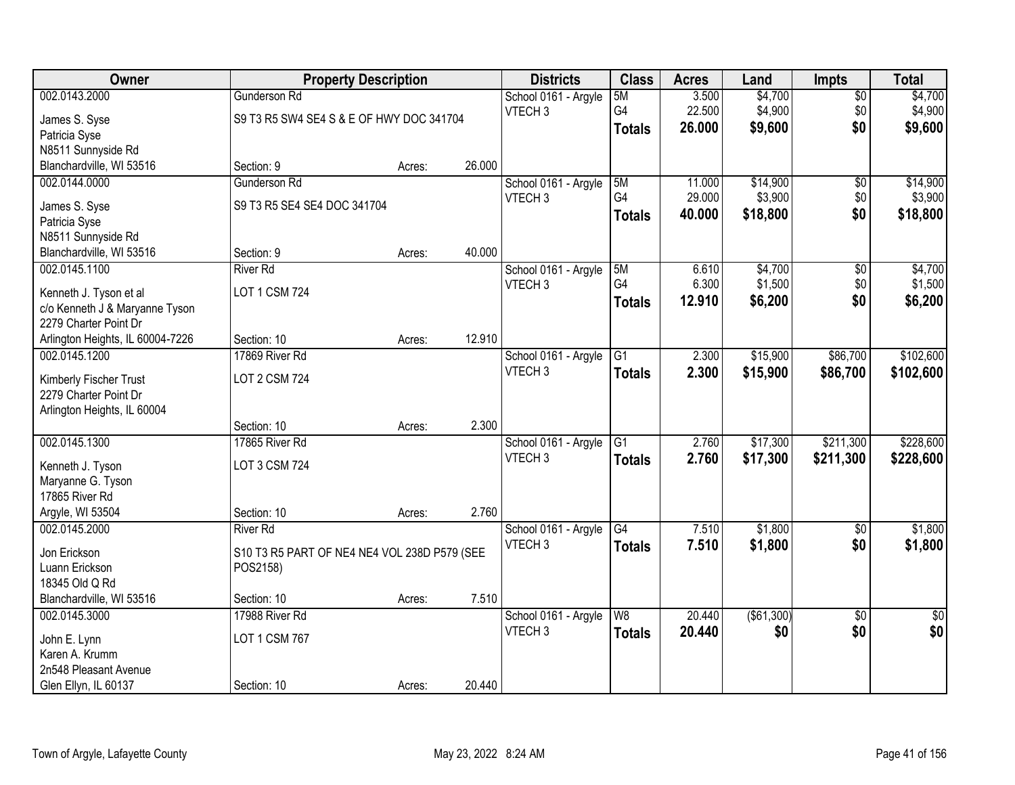| Owner                                                    | <b>Property Description</b>                  |        |        | <b>Districts</b>                           | <b>Class</b>    | <b>Acres</b> | Land        | Impts           | <b>Total</b>    |
|----------------------------------------------------------|----------------------------------------------|--------|--------|--------------------------------------------|-----------------|--------------|-------------|-----------------|-----------------|
| 002.0143.2000                                            | <b>Gunderson Rd</b>                          |        |        | School 0161 - Argyle                       | 5M              | 3.500        | \$4,700     | $\overline{50}$ | \$4,700         |
| James S. Syse                                            | S9 T3 R5 SW4 SE4 S & E OF HWY DOC 341704     |        |        | VTECH <sub>3</sub>                         | G4              | 22.500       | \$4,900     | \$0             | \$4,900         |
| Patricia Syse                                            |                                              |        |        |                                            | <b>Totals</b>   | 26.000       | \$9,600     | \$0             | \$9,600         |
| N8511 Sunnyside Rd                                       |                                              |        |        |                                            |                 |              |             |                 |                 |
| Blanchardville, WI 53516                                 | Section: 9                                   | Acres: | 26.000 |                                            |                 |              |             |                 |                 |
| 002.0144.0000                                            | Gunderson Rd                                 |        |        | School 0161 - Argyle                       | 5M              | 11.000       | \$14,900    | $\overline{50}$ | \$14,900        |
| James S. Syse                                            | S9 T3 R5 SE4 SE4 DOC 341704                  |        |        | VTECH <sub>3</sub>                         | G4              | 29.000       | \$3,900     | \$0             | \$3,900         |
| Patricia Syse                                            |                                              |        |        |                                            | <b>Totals</b>   | 40.000       | \$18,800    | \$0             | \$18,800        |
| N8511 Sunnyside Rd                                       |                                              |        |        |                                            |                 |              |             |                 |                 |
| Blanchardville, WI 53516                                 | Section: 9                                   | Acres: | 40.000 |                                            |                 |              |             |                 |                 |
| 002.0145.1100                                            | <b>River Rd</b>                              |        |        | School 0161 - Argyle                       | 5M              | 6.610        | \$4,700     | \$0             | \$4,700         |
|                                                          | <b>LOT 1 CSM 724</b>                         |        |        | VTECH <sub>3</sub>                         | G4              | 6.300        | \$1,500     | \$0             | \$1,500         |
| Kenneth J. Tyson et al<br>c/o Kenneth J & Maryanne Tyson |                                              |        |        |                                            | <b>Totals</b>   | 12.910       | \$6,200     | \$0             | \$6,200         |
| 2279 Charter Point Dr                                    |                                              |        |        |                                            |                 |              |             |                 |                 |
| Arlington Heights, IL 60004-7226                         | Section: 10                                  | Acres: | 12.910 |                                            |                 |              |             |                 |                 |
| 002.0145.1200                                            | 17869 River Rd                               |        |        | School 0161 - Argyle                       | G1              | 2.300        | \$15,900    | \$86,700        | \$102,600       |
|                                                          |                                              |        |        | VTECH <sub>3</sub>                         | <b>Totals</b>   | 2.300        | \$15,900    | \$86,700        | \$102,600       |
| Kimberly Fischer Trust                                   | <b>LOT 2 CSM 724</b>                         |        |        |                                            |                 |              |             |                 |                 |
| 2279 Charter Point Dr                                    |                                              |        |        |                                            |                 |              |             |                 |                 |
| Arlington Heights, IL 60004                              | Section: 10                                  | Acres: | 2.300  |                                            |                 |              |             |                 |                 |
| 002.0145.1300                                            | 17865 River Rd                               |        |        | School 0161 - Argyle                       | $\overline{G1}$ | 2.760        | \$17,300    | \$211,300       | \$228,600       |
|                                                          |                                              |        |        | VTECH <sub>3</sub>                         | <b>Totals</b>   | 2.760        | \$17,300    | \$211,300       | \$228,600       |
| Kenneth J. Tyson                                         | LOT 3 CSM 724                                |        |        |                                            |                 |              |             |                 |                 |
| Maryanne G. Tyson                                        |                                              |        |        |                                            |                 |              |             |                 |                 |
| 17865 River Rd                                           |                                              |        |        |                                            |                 |              |             |                 |                 |
| Argyle, WI 53504                                         | Section: 10                                  | Acres: | 2.760  |                                            |                 |              |             |                 |                 |
| 002.0145.2000                                            | <b>River Rd</b>                              |        |        | School 0161 - Argyle<br>VTECH <sub>3</sub> | G4              | 7.510        | \$1,800     | $\overline{50}$ | \$1,800         |
| Jon Erickson                                             | S10 T3 R5 PART OF NE4 NE4 VOL 238D P579 (SEE |        |        |                                            | <b>Totals</b>   | 7.510        | \$1,800     | \$0             | \$1,800         |
| Luann Erickson                                           | POS2158)                                     |        |        |                                            |                 |              |             |                 |                 |
| 18345 Old Q Rd                                           |                                              |        |        |                                            |                 |              |             |                 |                 |
| Blanchardville, WI 53516                                 | Section: 10                                  | Acres: | 7.510  |                                            |                 |              |             |                 |                 |
| 002.0145.3000                                            | 17988 River Rd                               |        |        | School 0161 - Argyle                       | W8              | 20.440       | ( \$61,300) | $\overline{50}$ | $\overline{50}$ |
| John E. Lynn                                             | LOT 1 CSM 767                                |        |        | VTECH <sub>3</sub>                         | <b>Totals</b>   | 20.440       | \$0         | \$0             | \$0             |
| Karen A. Krumm                                           |                                              |        |        |                                            |                 |              |             |                 |                 |
| 2n548 Pleasant Avenue                                    |                                              |        |        |                                            |                 |              |             |                 |                 |
| Glen Ellyn, IL 60137                                     | Section: 10                                  | Acres: | 20.440 |                                            |                 |              |             |                 |                 |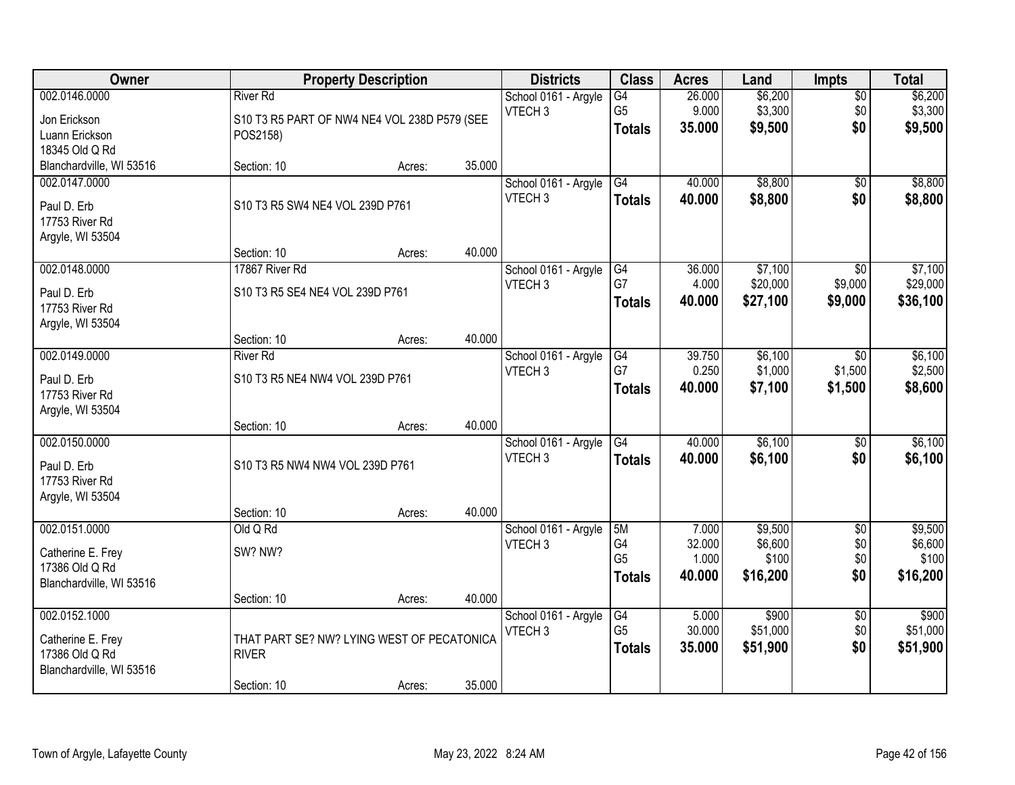| Owner                    |                                              | <b>Property Description</b> |        | <b>Districts</b>     | <b>Class</b>         | <b>Acres</b>    | Land              | <b>Impts</b>           | <b>Total</b>      |
|--------------------------|----------------------------------------------|-----------------------------|--------|----------------------|----------------------|-----------------|-------------------|------------------------|-------------------|
| 002.0146.0000            | <b>River Rd</b>                              |                             |        | School 0161 - Argyle | $\overline{G4}$      | 26.000          | \$6,200           | $\sqrt{$0}$            | \$6,200           |
| Jon Erickson             | S10 T3 R5 PART OF NW4 NE4 VOL 238D P579 (SEE |                             |        | VTECH <sub>3</sub>   | G <sub>5</sub>       | 9.000           | \$3,300           | \$0                    | \$3,300           |
| Luann Erickson           | POS2158)                                     |                             |        |                      | <b>Totals</b>        | 35.000          | \$9,500           | \$0                    | \$9,500           |
| 18345 Old Q Rd           |                                              |                             |        |                      |                      |                 |                   |                        |                   |
| Blanchardville, WI 53516 | Section: 10                                  | Acres:                      | 35.000 |                      |                      |                 |                   |                        |                   |
| 002.0147.0000            |                                              |                             |        | School 0161 - Argyle | G4                   | 40.000          | \$8,800           | \$0                    | \$8,800           |
| Paul D. Erb              | S10 T3 R5 SW4 NE4 VOL 239D P761              |                             |        | VTECH <sub>3</sub>   | <b>Totals</b>        | 40.000          | \$8,800           | \$0                    | \$8,800           |
| 17753 River Rd           |                                              |                             |        |                      |                      |                 |                   |                        |                   |
| Argyle, WI 53504         |                                              |                             |        |                      |                      |                 |                   |                        |                   |
|                          | Section: 10                                  | Acres:                      | 40.000 |                      |                      |                 |                   |                        |                   |
| 002.0148.0000            | 17867 River Rd                               |                             |        | School 0161 - Argyle | G4                   | 36.000          | \$7,100           | $\sqrt{6}$             | \$7,100           |
| Paul D. Erb              | S10 T3 R5 SE4 NE4 VOL 239D P761              |                             |        | VTECH <sub>3</sub>   | G7                   | 4.000           | \$20,000          | \$9,000                | \$29,000          |
| 17753 River Rd           |                                              |                             |        |                      | Totals               | 40.000          | \$27,100          | \$9,000                | \$36,100          |
| Argyle, WI 53504         |                                              |                             |        |                      |                      |                 |                   |                        |                   |
|                          | Section: 10                                  | Acres:                      | 40.000 |                      |                      |                 |                   |                        |                   |
| 002.0149.0000            | <b>River Rd</b>                              |                             |        | School 0161 - Argyle | G4                   | 39.750          | \$6,100           | $\sqrt{6}$             | \$6,100           |
| Paul D. Erb              | S10 T3 R5 NE4 NW4 VOL 239D P761              |                             |        | VTECH <sub>3</sub>   | G7                   | 0.250           | \$1,000           | \$1,500                | \$2,500           |
| 17753 River Rd           |                                              |                             |        |                      | <b>Totals</b>        | 40.000          | \$7,100           | \$1,500                | \$8,600           |
| Argyle, WI 53504         |                                              |                             |        |                      |                      |                 |                   |                        |                   |
|                          | Section: 10                                  | Acres:                      | 40.000 |                      |                      |                 |                   |                        |                   |
| 002.0150.0000            |                                              |                             |        | School 0161 - Argyle | $\overline{G4}$      | 40.000          | \$6,100           | \$0                    | \$6,100           |
| Paul D. Erb              | S10 T3 R5 NW4 NW4 VOL 239D P761              |                             |        | VTECH <sub>3</sub>   | <b>Totals</b>        | 40.000          | \$6,100           | \$0                    | \$6,100           |
| 17753 River Rd           |                                              |                             |        |                      |                      |                 |                   |                        |                   |
| Argyle, WI 53504         |                                              |                             |        |                      |                      |                 |                   |                        |                   |
|                          | Section: 10                                  | Acres:                      | 40.000 |                      |                      |                 |                   |                        |                   |
| 002.0151.0000            | Old Q Rd                                     |                             |        | School 0161 - Argyle | 5M                   | 7.000           | \$9,500           | $\overline{$0}$        | \$9,500           |
| Catherine E. Frey        | SW? NW?                                      |                             |        | VTECH <sub>3</sub>   | G4<br>G <sub>5</sub> | 32.000<br>1.000 | \$6,600<br>\$100  | \$0<br>\$0             | \$6,600<br>\$100  |
| 17386 Old Q Rd           |                                              |                             |        |                      | <b>Totals</b>        | 40.000          | \$16,200          | \$0                    | \$16,200          |
| Blanchardville, WI 53516 |                                              |                             |        |                      |                      |                 |                   |                        |                   |
|                          | Section: 10                                  | Acres:                      | 40.000 |                      |                      |                 |                   |                        |                   |
| 002.0152.1000            |                                              |                             |        | School 0161 - Argyle | G4<br>G <sub>5</sub> | 5.000<br>30.000 | \$900<br>\$51,000 | $\overline{60}$<br>\$0 | \$900<br>\$51,000 |
| Catherine E. Frey        | THAT PART SE? NW? LYING WEST OF PECATONICA   |                             |        | VTECH <sub>3</sub>   |                      | 35.000          |                   | \$0                    |                   |
| 17386 Old Q Rd           | <b>RIVER</b>                                 |                             |        |                      | <b>Totals</b>        |                 | \$51,900          |                        | \$51,900          |
| Blanchardville, WI 53516 |                                              |                             |        |                      |                      |                 |                   |                        |                   |
|                          | Section: 10                                  | Acres:                      | 35.000 |                      |                      |                 |                   |                        |                   |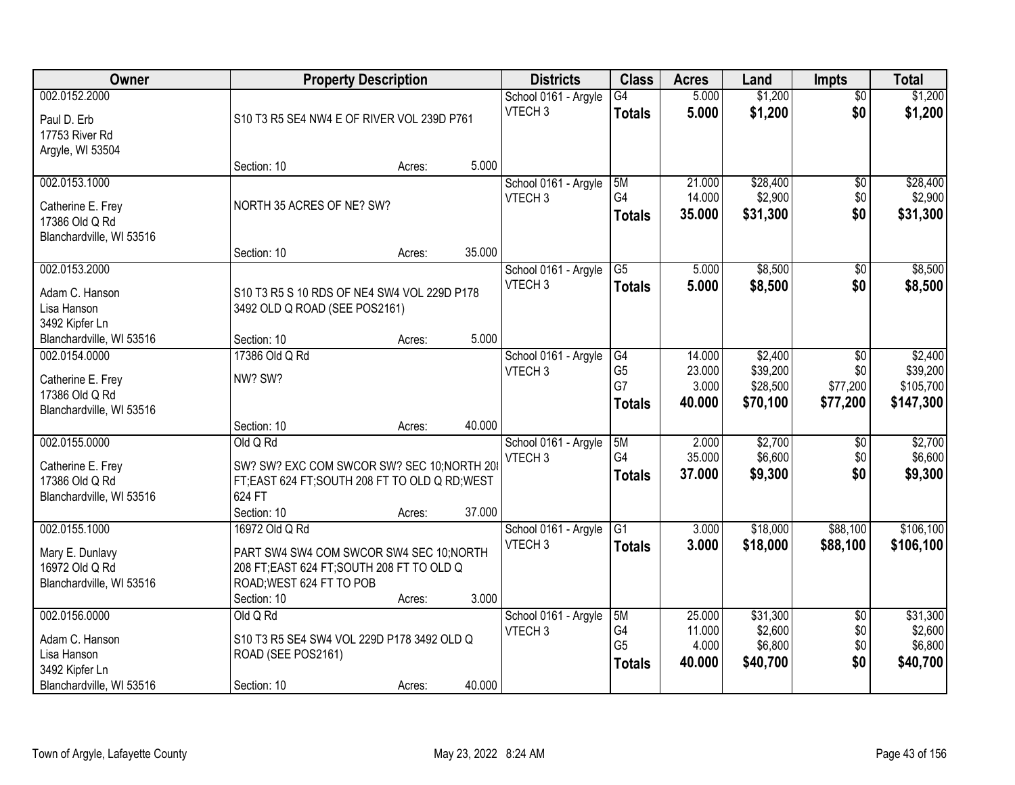| Owner                                                                                        |                                                                                                                                                    | <b>Property Description</b> |        | <b>Districts</b>                           | <b>Class</b>                                | <b>Acres</b>                        | Land                                        | <b>Impts</b>                                 | <b>Total</b>                                  |
|----------------------------------------------------------------------------------------------|----------------------------------------------------------------------------------------------------------------------------------------------------|-----------------------------|--------|--------------------------------------------|---------------------------------------------|-------------------------------------|---------------------------------------------|----------------------------------------------|-----------------------------------------------|
| 002.0152.2000<br>Paul D. Erb<br>17753 River Rd                                               | S10 T3 R5 SE4 NW4 E OF RIVER VOL 239D P761                                                                                                         |                             |        | School 0161 - Argyle<br>VTECH <sub>3</sub> | $\overline{G4}$<br><b>Totals</b>            | 5.000<br>5.000                      | \$1,200<br>\$1,200                          | $\overline{50}$<br>\$0                       | \$1,200<br>\$1,200                            |
| Argyle, WI 53504                                                                             | Section: 10                                                                                                                                        | Acres:                      | 5.000  |                                            |                                             |                                     |                                             |                                              |                                               |
| 002.0153.1000<br>Catherine E. Frey<br>17386 Old Q Rd<br>Blanchardville, WI 53516             | NORTH 35 ACRES OF NE? SW?                                                                                                                          |                             |        | School 0161 - Argyle<br>VTECH <sub>3</sub> | 5M<br>G4<br><b>Totals</b>                   | 21.000<br>14.000<br>35.000          | \$28,400<br>\$2,900<br>\$31,300             | \$0<br>\$0<br>\$0                            | \$28,400<br>\$2,900<br>\$31,300               |
| 002.0153.2000                                                                                | Section: 10                                                                                                                                        | Acres:                      | 35.000 | School 0161 - Argyle<br>VTECH <sub>3</sub> | $\overline{G5}$                             | 5.000                               | \$8,500                                     | \$0                                          | \$8,500                                       |
| Adam C. Hanson<br>Lisa Hanson<br>3492 Kipfer Ln<br>Blanchardville, WI 53516                  | S10 T3 R5 S 10 RDS OF NE4 SW4 VOL 229D P178<br>3492 OLD Q ROAD (SEE POS2161)<br>Section: 10                                                        | Acres:                      | 5.000  |                                            | <b>Totals</b>                               | 5.000                               | \$8,500                                     | \$0                                          | \$8,500                                       |
| 002.0154.0000<br>Catherine E. Frey<br>17386 Old Q Rd<br>Blanchardville, WI 53516             | 17386 Old Q Rd<br>NW? SW?                                                                                                                          |                             |        | School 0161 - Argyle<br>VTECH <sub>3</sub> | G4<br>G <sub>5</sub><br>G7<br><b>Totals</b> | 14.000<br>23.000<br>3.000<br>40.000 | \$2,400<br>\$39,200<br>\$28,500<br>\$70,100 | $\sqrt[6]{3}$<br>\$0<br>\$77,200<br>\$77,200 | \$2,400<br>\$39,200<br>\$105,700<br>\$147,300 |
|                                                                                              | Section: 10                                                                                                                                        | Acres:                      | 40.000 |                                            |                                             |                                     |                                             |                                              |                                               |
| 002.0155.0000<br>Catherine E. Frey<br>17386 Old Q Rd<br>Blanchardville, WI 53516             | Old Q Rd<br>SW? SW? EXC COM SWCOR SW? SEC 10; NORTH 208<br>FT;EAST 624 FT;SOUTH 208 FT TO OLD Q RD;WEST<br>624 FT<br>Section: 10                   |                             | 37.000 | School 0161 - Argyle<br>VTECH <sub>3</sub> | 5M<br>G4<br><b>Totals</b>                   | 2.000<br>35.000<br>37.000           | \$2,700<br>\$6,600<br>\$9,300               | \$0<br>\$0<br>\$0                            | \$2,700<br>\$6,600<br>\$9,300                 |
| 002.0155.1000<br>Mary E. Dunlavy<br>16972 Old Q Rd<br>Blanchardville, WI 53516               | 16972 Old Q Rd<br>PART SW4 SW4 COM SWCOR SW4 SEC 10:NORTH<br>208 FT; EAST 624 FT; SOUTH 208 FT TO OLD Q<br>ROAD; WEST 624 FT TO POB<br>Section: 10 | Acres:<br>Acres:            | 3.000  | School 0161 - Argyle<br>VTECH <sub>3</sub> | G1<br><b>Totals</b>                         | 3.000<br>3.000                      | \$18,000<br>\$18,000                        | \$88,100<br>\$88,100                         | \$106,100<br>\$106,100                        |
| 002.0156.0000<br>Adam C. Hanson<br>Lisa Hanson<br>3492 Kipfer Ln<br>Blanchardville, WI 53516 | Old Q Rd<br>S10 T3 R5 SE4 SW4 VOL 229D P178 3492 OLD Q<br>ROAD (SEE POS2161)<br>Section: 10                                                        | Acres:                      | 40.000 | School 0161 - Argyle<br>VTECH <sub>3</sub> | 5M<br>G4<br>G <sub>5</sub><br><b>Totals</b> | 25.000<br>11.000<br>4.000<br>40.000 | \$31,300<br>\$2,600<br>\$6,800<br>\$40,700  | $\overline{50}$<br>\$0<br>\$0<br>\$0         | \$31,300<br>\$2,600<br>\$6,800<br>\$40,700    |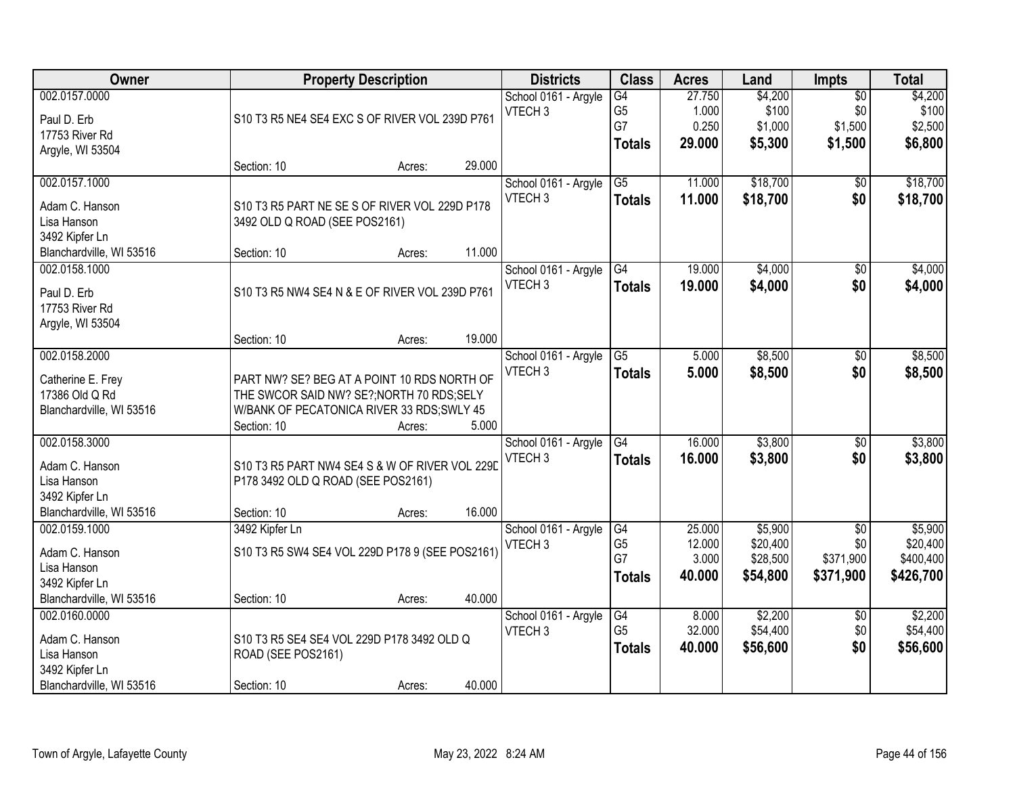| Owner                    |                                                 | <b>Property Description</b> |        | <b>Districts</b>     | <b>Class</b>    | <b>Acres</b> | Land     | <b>Impts</b>    | <b>Total</b> |
|--------------------------|-------------------------------------------------|-----------------------------|--------|----------------------|-----------------|--------------|----------|-----------------|--------------|
| 002.0157.0000            |                                                 |                             |        | School 0161 - Argyle | G4              | 27.750       | \$4,200  | $\overline{50}$ | \$4,200      |
| Paul D. Erb              | S10 T3 R5 NE4 SE4 EXC S OF RIVER VOL 239D P761  |                             |        | VTECH <sub>3</sub>   | G <sub>5</sub>  | 1.000        | \$100    | \$0             | \$100        |
| 17753 River Rd           |                                                 |                             |        |                      | G7              | 0.250        | \$1,000  | \$1,500         | \$2,500      |
| Argyle, WI 53504         |                                                 |                             |        |                      | <b>Totals</b>   | 29.000       | \$5,300  | \$1,500         | \$6,800      |
|                          | Section: 10                                     | Acres:                      | 29.000 |                      |                 |              |          |                 |              |
| 002.0157.1000            |                                                 |                             |        | School 0161 - Argyle | $\overline{G5}$ | 11.000       | \$18,700 | $\overline{50}$ | \$18,700     |
| Adam C. Hanson           | S10 T3 R5 PART NE SE S OF RIVER VOL 229D P178   |                             |        | VTECH <sub>3</sub>   | <b>Totals</b>   | 11.000       | \$18,700 | \$0             | \$18,700     |
| Lisa Hanson              | 3492 OLD Q ROAD (SEE POS2161)                   |                             |        |                      |                 |              |          |                 |              |
| 3492 Kipfer Ln           |                                                 |                             |        |                      |                 |              |          |                 |              |
| Blanchardville, WI 53516 | Section: 10                                     | Acres:                      | 11.000 |                      |                 |              |          |                 |              |
| 002.0158.1000            |                                                 |                             |        | School 0161 - Argyle | G4              | 19.000       | \$4,000  | $\overline{50}$ | \$4,000      |
|                          |                                                 |                             |        | VTECH <sub>3</sub>   | <b>Totals</b>   | 19.000       | \$4,000  | \$0             | \$4,000      |
| Paul D. Erb              | S10 T3 R5 NW4 SE4 N & E OF RIVER VOL 239D P761  |                             |        |                      |                 |              |          |                 |              |
| 17753 River Rd           |                                                 |                             |        |                      |                 |              |          |                 |              |
| Argyle, WI 53504         |                                                 |                             |        |                      |                 |              |          |                 |              |
|                          | Section: 10                                     | Acres:                      | 19.000 |                      |                 |              |          |                 |              |
| 002.0158.2000            |                                                 |                             |        | School 0161 - Argyle | G5              | 5.000        | \$8,500  | $\sqrt[6]{}$    | \$8,500      |
| Catherine E. Frey        | PART NW? SE? BEG AT A POINT 10 RDS NORTH OF     |                             |        | VTECH <sub>3</sub>   | <b>Totals</b>   | 5.000        | \$8,500  | \$0             | \$8,500      |
| 17386 Old Q Rd           | THE SWCOR SAID NW? SE?; NORTH 70 RDS; SELY      |                             |        |                      |                 |              |          |                 |              |
| Blanchardville, WI 53516 | W/BANK OF PECATONICA RIVER 33 RDS;SWLY 45       |                             |        |                      |                 |              |          |                 |              |
|                          | Section: 10                                     | Acres:                      | 5.000  |                      |                 |              |          |                 |              |
| 002.0158.3000            |                                                 |                             |        | School 0161 - Argyle | $\overline{G4}$ | 16.000       | \$3,800  | $\overline{30}$ | \$3,800      |
| Adam C. Hanson           | S10 T3 R5 PART NW4 SE4 S & W OF RIVER VOL 229D  |                             |        | VTECH <sub>3</sub>   | <b>Totals</b>   | 16,000       | \$3,800  | \$0             | \$3,800      |
| Lisa Hanson              | P178 3492 OLD Q ROAD (SEE POS2161)              |                             |        |                      |                 |              |          |                 |              |
| 3492 Kipfer Ln           |                                                 |                             |        |                      |                 |              |          |                 |              |
| Blanchardville, WI 53516 | Section: 10                                     | Acres:                      | 16.000 |                      |                 |              |          |                 |              |
| 002.0159.1000            | 3492 Kipfer Ln                                  |                             |        | School 0161 - Argyle | G4              | 25.000       | \$5,900  | $\sqrt{6}$      | \$5,900      |
|                          |                                                 |                             |        | VTECH <sub>3</sub>   | G <sub>5</sub>  | 12.000       | \$20,400 | \$0             | \$20,400     |
| Adam C. Hanson           | S10 T3 R5 SW4 SE4 VOL 229D P178 9 (SEE POS2161) |                             |        |                      | G7              | 3.000        | \$28,500 | \$371,900       | \$400,400    |
| Lisa Hanson              |                                                 |                             |        |                      | <b>Totals</b>   | 40.000       | \$54,800 | \$371,900       | \$426,700    |
| 3492 Kipfer Ln           |                                                 |                             |        |                      |                 |              |          |                 |              |
| Blanchardville, WI 53516 | Section: 10                                     | Acres:                      | 40.000 |                      |                 |              |          |                 |              |
| 002.0160.0000            |                                                 |                             |        | School 0161 - Argyle | G4              | 8.000        | \$2,200  | $\overline{30}$ | \$2,200      |
| Adam C. Hanson           | S10 T3 R5 SE4 SE4 VOL 229D P178 3492 OLD Q      |                             |        | VTECH <sub>3</sub>   | G <sub>5</sub>  | 32.000       | \$54,400 | \$0             | \$54,400     |
| Lisa Hanson              | ROAD (SEE POS2161)                              |                             |        |                      | <b>Totals</b>   | 40.000       | \$56,600 | \$0             | \$56,600     |
| 3492 Kipfer Ln           |                                                 |                             |        |                      |                 |              |          |                 |              |
| Blanchardville, WI 53516 | Section: 10                                     | Acres:                      | 40.000 |                      |                 |              |          |                 |              |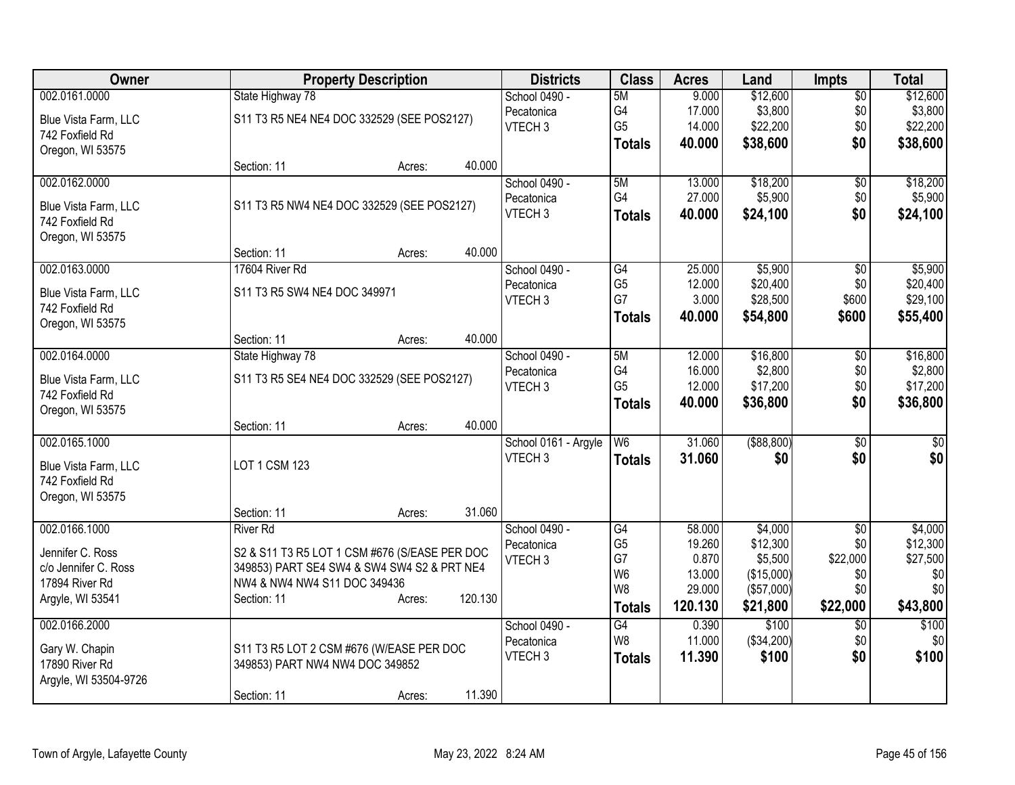| Owner                                   |                                               | <b>Property Description</b> |         | <b>Districts</b>     | <b>Class</b>    | <b>Acres</b> | Land          | <b>Impts</b>    | <b>Total</b>    |
|-----------------------------------------|-----------------------------------------------|-----------------------------|---------|----------------------|-----------------|--------------|---------------|-----------------|-----------------|
| 002.0161.0000                           | State Highway 78                              |                             |         | School 0490 -        | 5M              | 9.000        | \$12,600      | $\overline{50}$ | \$12,600        |
| Blue Vista Farm, LLC                    | S11 T3 R5 NE4 NE4 DOC 332529 (SEE POS2127)    |                             |         | Pecatonica           | G4              | 17.000       | \$3,800       | \$0             | \$3,800         |
| 742 Foxfield Rd                         |                                               |                             |         | VTECH <sub>3</sub>   | G <sub>5</sub>  | 14.000       | \$22,200      | \$0             | \$22,200        |
| Oregon, WI 53575                        |                                               |                             |         |                      | <b>Totals</b>   | 40.000       | \$38,600      | \$0             | \$38,600        |
|                                         | Section: 11                                   | Acres:                      | 40.000  |                      |                 |              |               |                 |                 |
| 002.0162.0000                           |                                               |                             |         | School 0490 -        | 5M              | 13.000       | \$18,200      | \$0             | \$18,200        |
| Blue Vista Farm, LLC                    | S11 T3 R5 NW4 NE4 DOC 332529 (SEE POS2127)    |                             |         | Pecatonica           | G4              | 27.000       | \$5,900       | \$0             | \$5,900         |
| 742 Foxfield Rd                         |                                               |                             |         | VTECH <sub>3</sub>   | <b>Totals</b>   | 40.000       | \$24,100      | \$0             | \$24,100        |
| Oregon, WI 53575                        |                                               |                             |         |                      |                 |              |               |                 |                 |
|                                         | Section: 11                                   | Acres:                      | 40.000  |                      |                 |              |               |                 |                 |
| 002.0163.0000                           | 17604 River Rd                                |                             |         | School 0490 -        | G4              | 25.000       | \$5,900       | $\overline{50}$ | \$5,900         |
|                                         | S11 T3 R5 SW4 NE4 DOC 349971                  |                             |         | Pecatonica           | G <sub>5</sub>  | 12.000       | \$20,400      | \$0             | \$20,400        |
| Blue Vista Farm, LLC<br>742 Foxfield Rd |                                               |                             |         | VTECH <sub>3</sub>   | G7              | 3.000        | \$28,500      | \$600           | \$29,100        |
| Oregon, WI 53575                        |                                               |                             |         |                      | <b>Totals</b>   | 40.000       | \$54,800      | \$600           | \$55,400        |
|                                         | Section: 11                                   | Acres:                      | 40.000  |                      |                 |              |               |                 |                 |
| 002.0164.0000                           | State Highway 78                              |                             |         | School 0490 -        | 5M              | 12.000       | \$16,800      | \$0             | \$16,800        |
|                                         |                                               |                             |         | Pecatonica           | G4              | 16.000       | \$2,800       | \$0             | \$2,800         |
| Blue Vista Farm, LLC<br>742 Foxfield Rd | S11 T3 R5 SE4 NE4 DOC 332529 (SEE POS2127)    |                             |         | VTECH <sub>3</sub>   | G <sub>5</sub>  | 12.000       | \$17,200      | \$0             | \$17,200        |
| Oregon, WI 53575                        |                                               |                             |         |                      | <b>Totals</b>   | 40.000       | \$36,800      | \$0             | \$36,800        |
|                                         | Section: 11                                   | Acres:                      | 40.000  |                      |                 |              |               |                 |                 |
| 002.0165.1000                           |                                               |                             |         | School 0161 - Argyle | W <sub>6</sub>  | 31.060       | $($ \$88,800) | \$0             | $\overline{50}$ |
|                                         |                                               |                             |         | VTECH <sub>3</sub>   | <b>Totals</b>   | 31.060       | \$0           | \$0             | \$0             |
| Blue Vista Farm, LLC                    | LOT 1 CSM 123                                 |                             |         |                      |                 |              |               |                 |                 |
| 742 Foxfield Rd                         |                                               |                             |         |                      |                 |              |               |                 |                 |
| Oregon, WI 53575                        | Section: 11                                   |                             | 31.060  |                      |                 |              |               |                 |                 |
| 002.0166.1000                           | <b>River Rd</b>                               | Acres:                      |         | School 0490 -        | G4              | 58.000       | \$4,000       | $\overline{50}$ | \$4,000         |
|                                         |                                               |                             |         | Pecatonica           | G <sub>5</sub>  | 19.260       | \$12,300      | \$0             | \$12,300        |
| Jennifer C. Ross                        | S2 & S11 T3 R5 LOT 1 CSM #676 (S/EASE PER DOC |                             |         | VTECH <sub>3</sub>   | G7              | 0.870        | \$5,500       | \$22,000        | \$27,500        |
| c/o Jennifer C. Ross                    | 349853) PART SE4 SW4 & SW4 SW4 S2 & PRT NE4   |                             |         |                      | W <sub>6</sub>  | 13.000       | (\$15,000)    | \$0             | \$0             |
| 17894 River Rd                          | NW4 & NW4 NW4 S11 DOC 349436                  |                             |         |                      | W <sub>8</sub>  | 29.000       | (\$57,000)    | \$0             | \$0             |
| Argyle, WI 53541                        | Section: 11                                   | Acres:                      | 120.130 |                      | <b>Totals</b>   | 120.130      | \$21,800      | \$22,000        | \$43,800        |
| 002.0166.2000                           |                                               |                             |         | School 0490 -        | $\overline{G4}$ | 0.390        | \$100         | \$0             | \$100           |
|                                         |                                               |                             |         | Pecatonica           | W <sub>8</sub>  | 11.000       | (\$34,200)    | \$0             | \$0             |
| Gary W. Chapin<br>17890 River Rd        | S11 T3 R5 LOT 2 CSM #676 (W/EASE PER DOC      |                             |         | VTECH <sub>3</sub>   | <b>Totals</b>   | 11.390       | \$100         | \$0             | \$100           |
| Argyle, WI 53504-9726                   | 349853) PART NW4 NW4 DOC 349852               |                             |         |                      |                 |              |               |                 |                 |
|                                         | Section: 11                                   | Acres:                      | 11.390  |                      |                 |              |               |                 |                 |
|                                         |                                               |                             |         |                      |                 |              |               |                 |                 |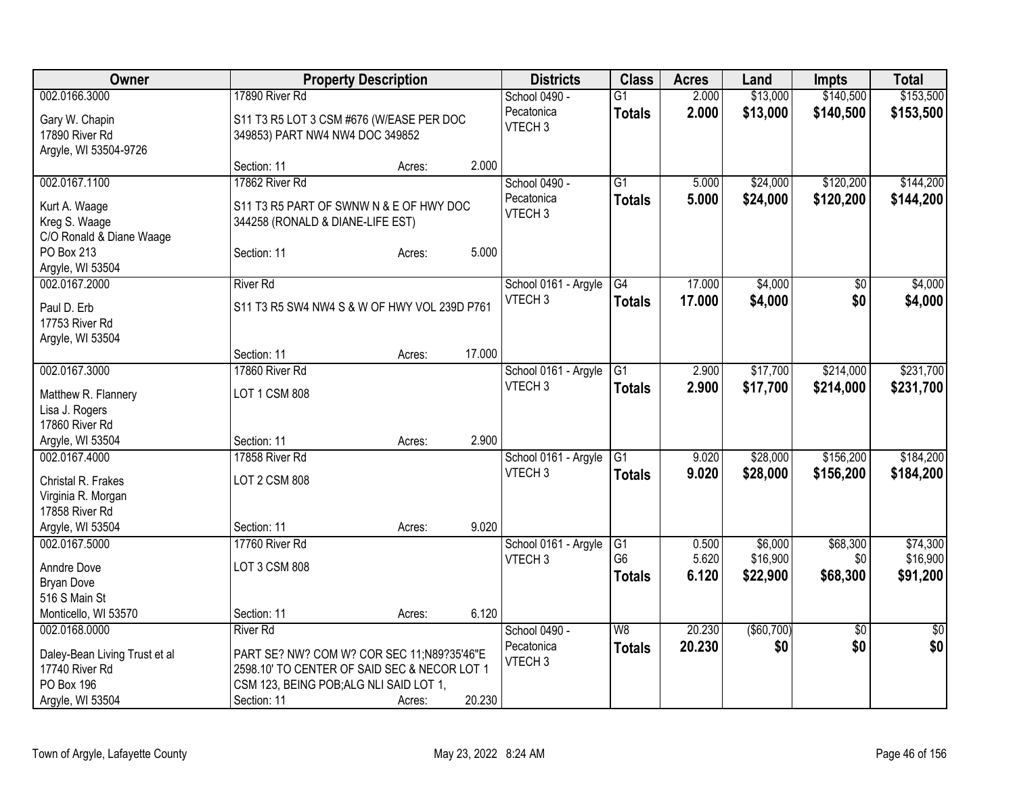| Owner                                           | <b>Property Description</b>                            |        |        | <b>Districts</b>     | <b>Class</b>             | <b>Acres</b> | Land       | <b>Impts</b>    | <b>Total</b> |
|-------------------------------------------------|--------------------------------------------------------|--------|--------|----------------------|--------------------------|--------------|------------|-----------------|--------------|
| 002.0166.3000                                   | 17890 River Rd                                         |        |        | School 0490 -        | $\overline{G1}$          | 2.000        | \$13,000   | \$140,500       | \$153,500    |
| Gary W. Chapin                                  | S11 T3 R5 LOT 3 CSM #676 (W/EASE PER DOC               |        |        | Pecatonica           | <b>Totals</b>            | 2.000        | \$13,000   | \$140,500       | \$153,500    |
| 17890 River Rd                                  | 349853) PART NW4 NW4 DOC 349852                        |        |        | VTECH <sub>3</sub>   |                          |              |            |                 |              |
| Argyle, WI 53504-9726                           |                                                        |        |        |                      |                          |              |            |                 |              |
|                                                 | Section: 11                                            | Acres: | 2.000  |                      |                          |              |            |                 |              |
| 002.0167.1100                                   | 17862 River Rd                                         |        |        | School 0490 -        | G1                       | 5.000        | \$24,000   | \$120,200       | \$144,200    |
| Kurt A. Waage                                   | S11 T3 R5 PART OF SWNW N & E OF HWY DOC                |        |        | Pecatonica           | <b>Totals</b>            | 5.000        | \$24,000   | \$120,200       | \$144,200    |
| Kreg S. Waage                                   | 344258 (RONALD & DIANE-LIFE EST)                       |        |        | VTECH <sub>3</sub>   |                          |              |            |                 |              |
| C/O Ronald & Diane Waage                        |                                                        |        |        |                      |                          |              |            |                 |              |
| PO Box 213                                      | Section: 11                                            | Acres: | 5.000  |                      |                          |              |            |                 |              |
| Argyle, WI 53504                                |                                                        |        |        |                      |                          |              |            |                 |              |
| 002.0167.2000                                   | <b>River Rd</b>                                        |        |        | School 0161 - Argyle | G4                       | 17.000       | \$4,000    | \$0             | \$4,000      |
|                                                 |                                                        |        |        | VTECH <sub>3</sub>   | <b>Totals</b>            | 17.000       | \$4,000    | \$0             | \$4,000      |
| Paul D. Erb<br>17753 River Rd                   | S11 T3 R5 SW4 NW4 S & W OF HWY VOL 239D P761           |        |        |                      |                          |              |            |                 |              |
| Argyle, WI 53504                                |                                                        |        |        |                      |                          |              |            |                 |              |
|                                                 | Section: 11                                            | Acres: | 17.000 |                      |                          |              |            |                 |              |
| 002.0167.3000                                   | 17860 River Rd                                         |        |        | School 0161 - Argyle | $\overline{G1}$          | 2.900        | \$17,700   | \$214,000       | \$231,700    |
|                                                 |                                                        |        |        | VTECH <sub>3</sub>   | <b>Totals</b>            | 2.900        | \$17,700   | \$214,000       | \$231,700    |
| Matthew R. Flannery                             | <b>LOT 1 CSM 808</b>                                   |        |        |                      |                          |              |            |                 |              |
| Lisa J. Rogers                                  |                                                        |        |        |                      |                          |              |            |                 |              |
| 17860 River Rd                                  |                                                        |        |        |                      |                          |              |            |                 |              |
| Argyle, WI 53504                                | Section: 11                                            | Acres: | 2.900  |                      |                          |              |            |                 |              |
| 002.0167.4000                                   | 17858 River Rd                                         |        |        | School 0161 - Argyle | G1                       | 9.020        | \$28,000   | \$156,200       | \$184,200    |
| Christal R. Frakes                              | <b>LOT 2 CSM 808</b>                                   |        |        | VTECH <sub>3</sub>   | <b>Totals</b>            | 9.020        | \$28,000   | \$156,200       | \$184,200    |
| Virginia R. Morgan                              |                                                        |        |        |                      |                          |              |            |                 |              |
| 17858 River Rd                                  |                                                        |        |        |                      |                          |              |            |                 |              |
| Argyle, WI 53504                                | Section: 11                                            | Acres: | 9.020  |                      |                          |              |            |                 |              |
| 002.0167.5000                                   | 17760 River Rd                                         |        |        | School 0161 - Argyle | G1                       | 0.500        | \$6,000    | \$68,300        | \$74,300     |
| Anndre Dove                                     | LOT 3 CSM 808                                          |        |        | VTECH <sub>3</sub>   | G <sub>6</sub>           | 5.620        | \$16,900   | \$0             | \$16,900     |
| <b>Bryan Dove</b>                               |                                                        |        |        |                      | <b>Totals</b>            | 6.120        | \$22,900   | \$68,300        | \$91,200     |
| 516 S Main St                                   |                                                        |        |        |                      |                          |              |            |                 |              |
| Monticello, WI 53570                            | Section: 11                                            | Acres: | 6.120  |                      |                          |              |            |                 |              |
| 002.0168.0000                                   | <b>River Rd</b>                                        |        |        | School 0490 -        | $\overline{\mathsf{W}8}$ | 20.230       | (\$60,700) | $\overline{50}$ | $\sqrt{50}$  |
|                                                 |                                                        |        |        | Pecatonica           | <b>Totals</b>            | 20.230       | \$0        | \$0             | \$0          |
| Daley-Bean Living Trust et al<br>17740 River Rd | PART SE? NW? COM W? COR SEC 11;N89?35'46"E             |        |        | VTECH <sub>3</sub>   |                          |              |            |                 |              |
| PO Box 196                                      | 2598.10' TO CENTER OF SAID SEC & NECOR LOT 1           |        |        |                      |                          |              |            |                 |              |
| Argyle, WI 53504                                | CSM 123, BEING POB; ALG NLI SAID LOT 1,<br>Section: 11 |        | 20.230 |                      |                          |              |            |                 |              |
|                                                 |                                                        | Acres: |        |                      |                          |              |            |                 |              |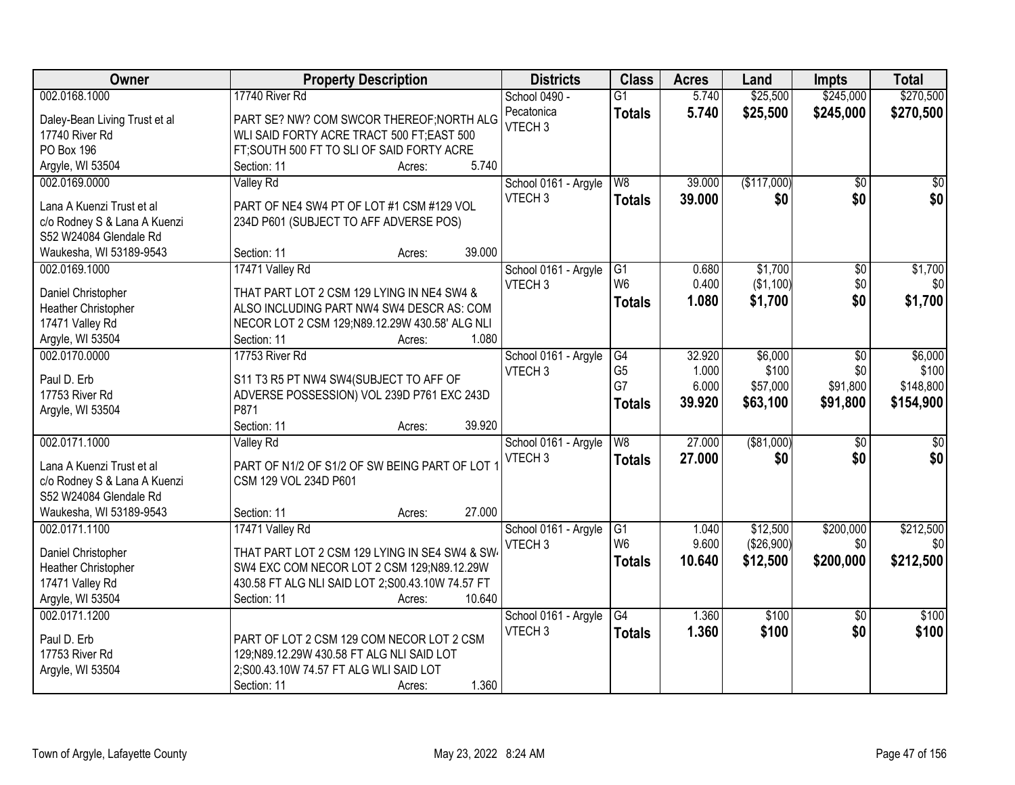| Owner                         | <b>Property Description</b>                       | <b>Districts</b>     | <b>Class</b>             | <b>Acres</b> | Land        | <b>Impts</b>    | <b>Total</b>    |
|-------------------------------|---------------------------------------------------|----------------------|--------------------------|--------------|-------------|-----------------|-----------------|
| 002.0168.1000                 | 17740 River Rd                                    | School 0490 -        | $\overline{G1}$          | 5.740        | \$25,500    | \$245,000       | \$270,500       |
| Daley-Bean Living Trust et al | PART SE? NW? COM SWCOR THEREOF; NORTH ALG         | Pecatonica           | <b>Totals</b>            | 5.740        | \$25,500    | \$245,000       | \$270,500       |
| 17740 River Rd                | WLI SAID FORTY ACRE TRACT 500 FT;EAST 500         | VTECH <sub>3</sub>   |                          |              |             |                 |                 |
| <b>PO Box 196</b>             | FT; SOUTH 500 FT TO SLI OF SAID FORTY ACRE        |                      |                          |              |             |                 |                 |
| Argyle, WI 53504              | 5.740<br>Section: 11<br>Acres:                    |                      |                          |              |             |                 |                 |
| 002.0169.0000                 | Valley Rd                                         | School 0161 - Argyle | W8                       | 39.000       | (\$117,000) | $\overline{50}$ | \$0             |
|                               |                                                   | VTECH <sub>3</sub>   | <b>Totals</b>            | 39.000       | \$0         | \$0             | \$0             |
| Lana A Kuenzi Trust et al     | PART OF NE4 SW4 PT OF LOT #1 CSM #129 VOL         |                      |                          |              |             |                 |                 |
| c/o Rodney S & Lana A Kuenzi  | 234D P601 (SUBJECT TO AFF ADVERSE POS)            |                      |                          |              |             |                 |                 |
| S52 W24084 Glendale Rd        |                                                   |                      |                          |              |             |                 |                 |
| Waukesha, WI 53189-9543       | 39.000<br>Section: 11<br>Acres:                   |                      |                          |              |             |                 |                 |
| 002.0169.1000                 | 17471 Valley Rd                                   | School 0161 - Argyle | G1                       | 0.680        | \$1,700     | \$0             | \$1,700         |
| Daniel Christopher            | THAT PART LOT 2 CSM 129 LYING IN NE4 SW4 &        | VTECH <sub>3</sub>   | W <sub>6</sub>           | 0.400        | (\$1,100)   | \$0             | \$0             |
| Heather Christopher           | ALSO INCLUDING PART NW4 SW4 DESCR AS: COM         |                      | <b>Totals</b>            | 1.080        | \$1,700     | \$0             | \$1,700         |
| 17471 Valley Rd               | NECOR LOT 2 CSM 129;N89.12.29W 430.58' ALG NLI    |                      |                          |              |             |                 |                 |
| Argyle, WI 53504              | 1.080<br>Section: 11<br>Acres:                    |                      |                          |              |             |                 |                 |
| 002.0170.0000                 | 17753 River Rd                                    | School 0161 - Argyle | G4                       | 32.920       | \$6,000     | $\sqrt[6]{3}$   | \$6,000         |
|                               |                                                   | VTECH <sub>3</sub>   | G <sub>5</sub>           | 1.000        | \$100       | \$0             | \$100           |
| Paul D. Erb                   | S11 T3 R5 PT NW4 SW4(SUBJECT TO AFF OF            |                      | G7                       | 6.000        | \$57,000    | \$91,800        | \$148,800       |
| 17753 River Rd                | ADVERSE POSSESSION) VOL 239D P761 EXC 243D        |                      | <b>Totals</b>            | 39.920       | \$63,100    | \$91,800        | \$154,900       |
| Argyle, WI 53504              | P871                                              |                      |                          |              |             |                 |                 |
|                               | 39.920<br>Section: 11<br>Acres:                   |                      |                          |              |             |                 |                 |
| 002.0171.1000                 | <b>Valley Rd</b>                                  | School 0161 - Argyle | $\overline{\mathsf{W}8}$ | 27.000       | ( \$81,000) | \$0             | $\overline{50}$ |
| Lana A Kuenzi Trust et al     | PART OF N1/2 OF S1/2 OF SW BEING PART OF LOT 1    | VTECH <sub>3</sub>   | <b>Totals</b>            | 27,000       | \$0         | \$0             | \$0             |
| c/o Rodney S & Lana A Kuenzi  | CSM 129 VOL 234D P601                             |                      |                          |              |             |                 |                 |
| S52 W24084 Glendale Rd        |                                                   |                      |                          |              |             |                 |                 |
| Waukesha, WI 53189-9543       | 27.000<br>Section: 11<br>Acres:                   |                      |                          |              |             |                 |                 |
| 002.0171.1100                 | 17471 Valley Rd                                   | School 0161 - Argyle | G1                       | 1.040        | \$12,500    | \$200,000       | \$212,500       |
|                               |                                                   | VTECH <sub>3</sub>   | W <sub>6</sub>           | 9.600        | (\$26,900)  | \$0             | \$0             |
| Daniel Christopher            | THAT PART LOT 2 CSM 129 LYING IN SE4 SW4 & SW4    |                      | <b>Totals</b>            | 10.640       | \$12,500    | \$200,000       | \$212,500       |
| Heather Christopher           | SW4 EXC COM NECOR LOT 2 CSM 129;N89.12.29W        |                      |                          |              |             |                 |                 |
| 17471 Valley Rd               | 430.58 FT ALG NLI SAID LOT 2; S00.43.10W 74.57 FT |                      |                          |              |             |                 |                 |
| Argyle, WI 53504              | 10.640<br>Section: 11<br>Acres:                   |                      |                          |              |             |                 |                 |
| 002.0171.1200                 |                                                   | School 0161 - Argyle | G4                       | 1.360        | \$100       | $\overline{30}$ | \$100           |
| Paul D. Erb                   | PART OF LOT 2 CSM 129 COM NECOR LOT 2 CSM         | VTECH <sub>3</sub>   | <b>Totals</b>            | 1.360        | \$100       | \$0             | \$100           |
| 17753 River Rd                | 129;N89.12.29W 430.58 FT ALG NLI SAID LOT         |                      |                          |              |             |                 |                 |
| Argyle, WI 53504              | 2;S00.43.10W 74.57 FT ALG WLI SAID LOT            |                      |                          |              |             |                 |                 |
|                               | 1.360<br>Section: 11<br>Acres:                    |                      |                          |              |             |                 |                 |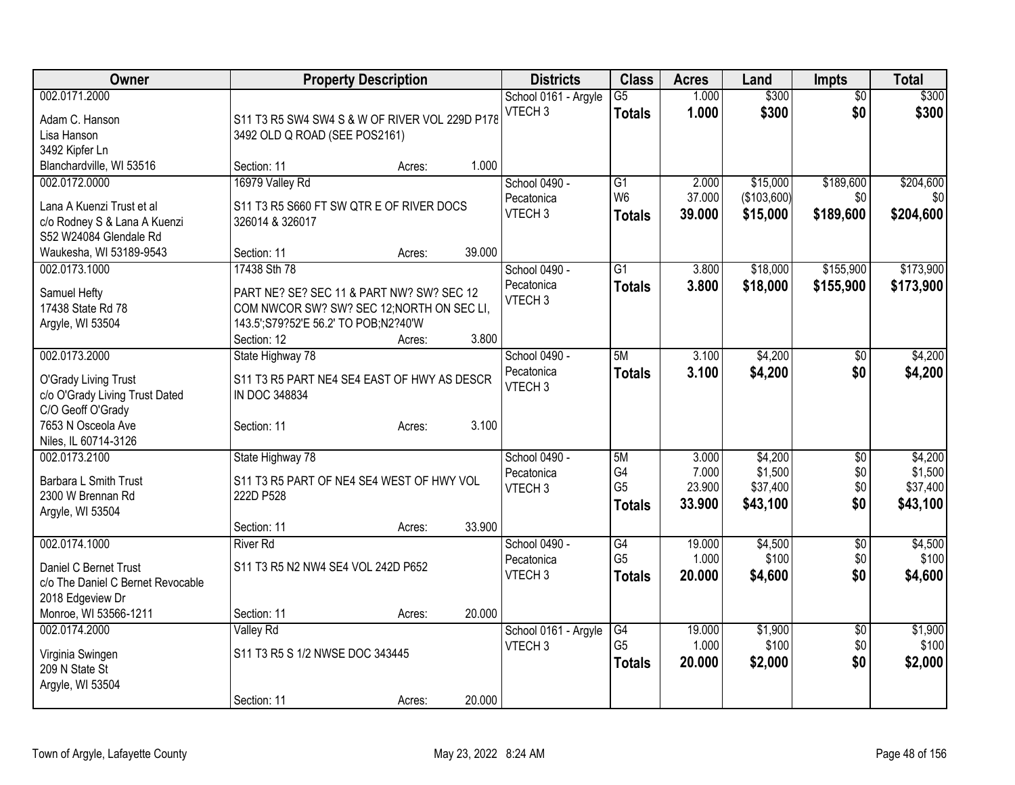| Owner                                                                                                                                      | <b>Property Description</b>                                                                                                                                                         | <b>Districts</b>                                  | <b>Class</b>                                | <b>Acres</b>                       | Land                                       | <b>Impts</b>                       | <b>Total</b>                               |
|--------------------------------------------------------------------------------------------------------------------------------------------|-------------------------------------------------------------------------------------------------------------------------------------------------------------------------------------|---------------------------------------------------|---------------------------------------------|------------------------------------|--------------------------------------------|------------------------------------|--------------------------------------------|
| 002.0171.2000<br>Adam C. Hanson<br>Lisa Hanson<br>3492 Kipfer Ln                                                                           | S11 T3 R5 SW4 SW4 S & W OF RIVER VOL 229D P178<br>3492 OLD Q ROAD (SEE POS2161)                                                                                                     | School 0161 - Argyle<br>VTECH <sub>3</sub>        | $\overline{G5}$<br><b>Totals</b>            | 1.000<br>1.000                     | \$300<br>\$300                             | $\overline{50}$<br>\$0             | \$300<br>\$300                             |
| Blanchardville, WI 53516                                                                                                                   | 1.000<br>Section: 11<br>Acres:                                                                                                                                                      |                                                   |                                             |                                    |                                            |                                    |                                            |
| 002.0172.0000<br>Lana A Kuenzi Trust et al<br>c/o Rodney S & Lana A Kuenzi<br>S52 W24084 Glendale Rd<br>Waukesha, WI 53189-9543            | 16979 Valley Rd<br>S11 T3 R5 S660 FT SW QTR E OF RIVER DOCS<br>326014 & 326017<br>39.000<br>Section: 11<br>Acres:                                                                   | School 0490 -<br>Pecatonica<br>VTECH <sub>3</sub> | G1<br>W <sub>6</sub><br><b>Totals</b>       | 2.000<br>37.000<br>39.000          | \$15,000<br>(\$103,600)<br>\$15,000        | \$189,600<br>\$0<br>\$189,600      | \$204,600<br>\$0<br>\$204,600              |
| 002.0173.1000<br>Samuel Hefty<br>17438 State Rd 78<br>Argyle, WI 53504                                                                     | 17438 Sth 78<br>PART NE? SE? SEC 11 & PART NW? SW? SEC 12<br>COM NWCOR SW? SW? SEC 12; NORTH ON SEC LI,<br>143.5'; S79?52'E 56.2' TO POB; N2?40'W<br>Section: 12<br>3.800<br>Acres: | School 0490 -<br>Pecatonica<br>VTECH <sub>3</sub> | $\overline{G1}$<br><b>Totals</b>            | 3.800<br>3.800                     | \$18,000<br>\$18,000                       | \$155,900<br>\$155,900             | \$173,900<br>\$173,900                     |
| 002.0173.2000<br>O'Grady Living Trust<br>c/o O'Grady Living Trust Dated<br>C/O Geoff O'Grady<br>7653 N Osceola Ave<br>Niles, IL 60714-3126 | State Highway 78<br>S11 T3 R5 PART NE4 SE4 EAST OF HWY AS DESCR<br>IN DOC 348834<br>3.100<br>Section: 11<br>Acres:                                                                  | School 0490 -<br>Pecatonica<br>VTECH <sub>3</sub> | 5M<br><b>Totals</b>                         | 3.100<br>3.100                     | \$4,200<br>\$4,200                         | \$0<br>\$0                         | \$4,200<br>\$4,200                         |
| 002.0173.2100<br>Barbara L Smith Trust<br>2300 W Brennan Rd<br>Argyle, WI 53504                                                            | State Highway 78<br>S11 T3 R5 PART OF NE4 SE4 WEST OF HWY VOL<br>222D P528<br>33.900<br>Section: 11<br>Acres:                                                                       | School 0490 -<br>Pecatonica<br>VTECH <sub>3</sub> | 5M<br>G4<br>G <sub>5</sub><br><b>Totals</b> | 3.000<br>7.000<br>23.900<br>33.900 | \$4,200<br>\$1,500<br>\$37,400<br>\$43,100 | $\sqrt[6]{3}$<br>\$0<br>\$0<br>\$0 | \$4,200<br>\$1,500<br>\$37,400<br>\$43,100 |
| 002.0174.1000<br>Daniel C Bernet Trust<br>c/o The Daniel C Bernet Revocable<br>2018 Edgeview Dr<br>Monroe, WI 53566-1211                   | <b>River Rd</b><br>S11 T3 R5 N2 NW4 SE4 VOL 242D P652<br>20.000<br>Section: 11<br>Acres:                                                                                            | School 0490 -<br>Pecatonica<br>VTECH <sub>3</sub> | G4<br>G <sub>5</sub><br><b>Totals</b>       | 19.000<br>1.000<br>20,000          | \$4,500<br>\$100<br>\$4,600                | $\overline{60}$<br>\$0<br>\$0      | \$4,500<br>\$100<br>\$4,600                |
| 002.0174.2000<br>Virginia Swingen<br>209 N State St<br>Argyle, WI 53504                                                                    | Valley Rd<br>S11 T3 R5 S 1/2 NWSE DOC 343445<br>20.000<br>Section: 11<br>Acres:                                                                                                     | School 0161 - Argyle<br>VTECH <sub>3</sub>        | G4<br>G <sub>5</sub><br><b>Totals</b>       | 19.000<br>1.000<br>20.000          | \$1,900<br>\$100<br>\$2,000                | $\overline{50}$<br>\$0<br>\$0      | \$1,900<br>\$100<br>\$2,000                |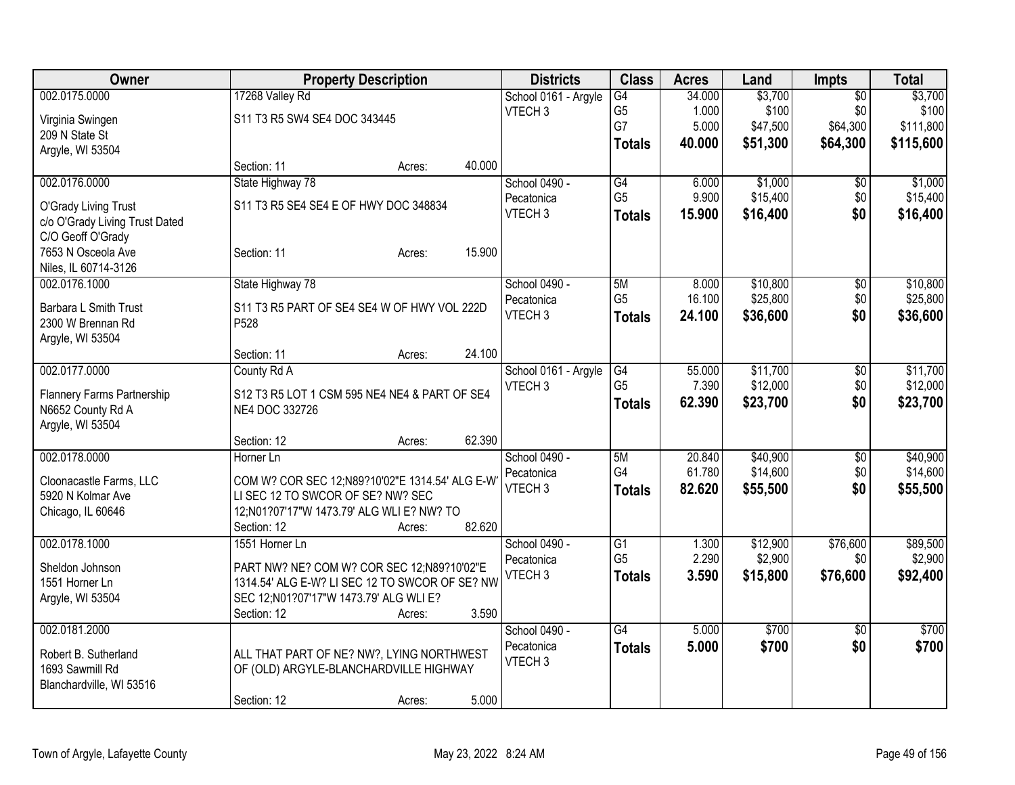| Owner                          |                                                | <b>Property Description</b> |        | <b>Districts</b>                 | <b>Class</b>    | <b>Acres</b>     | Land                 | <b>Impts</b>         | <b>Total</b>         |
|--------------------------------|------------------------------------------------|-----------------------------|--------|----------------------------------|-----------------|------------------|----------------------|----------------------|----------------------|
| 002.0175.0000                  | 17268 Valley Rd                                |                             |        | School 0161 - Argyle             | G4              | 34.000           | \$3,700              | $\overline{50}$      | \$3,700              |
| Virginia Swingen               | S11 T3 R5 SW4 SE4 DOC 343445                   |                             |        | VTECH <sub>3</sub>               | G <sub>5</sub>  | 1.000            | \$100                | \$0                  | \$100                |
| 209 N State St                 |                                                |                             |        |                                  | G7              | 5.000            | \$47,500             | \$64,300             | \$111,800            |
| Argyle, WI 53504               |                                                |                             |        |                                  | Totals          | 40.000           | \$51,300             | \$64,300             | \$115,600            |
|                                | Section: 11                                    | Acres:                      | 40.000 |                                  |                 |                  |                      |                      |                      |
| 002.0176.0000                  | State Highway 78                               |                             |        | School 0490 -                    | G4              | 6.000            | \$1,000              | $\overline{50}$      | \$1,000              |
| O'Grady Living Trust           | S11 T3 R5 SE4 SE4 E OF HWY DOC 348834          |                             |        | Pecatonica                       | G <sub>5</sub>  | 9.900            | \$15,400             | \$0                  | \$15,400             |
| c/o O'Grady Living Trust Dated |                                                |                             |        | VTECH <sub>3</sub>               | <b>Totals</b>   | 15.900           | \$16,400             | \$0                  | \$16,400             |
| C/O Geoff O'Grady              |                                                |                             |        |                                  |                 |                  |                      |                      |                      |
| 7653 N Osceola Ave             | Section: 11                                    | Acres:                      | 15.900 |                                  |                 |                  |                      |                      |                      |
| Niles, IL 60714-3126           |                                                |                             |        |                                  |                 |                  |                      |                      |                      |
| 002.0176.1000                  | State Highway 78                               |                             |        | School 0490 -                    | 5M              | 8.000            | \$10,800             | \$0                  | \$10,800             |
| Barbara L Smith Trust          | S11 T3 R5 PART OF SE4 SE4 W OF HWY VOL 222D    |                             |        | Pecatonica                       | G <sub>5</sub>  | 16.100           | \$25,800             | \$0                  | \$25,800             |
| 2300 W Brennan Rd              | P528                                           |                             |        | VTECH <sub>3</sub>               | <b>Totals</b>   | 24.100           | \$36,600             | \$0                  | \$36,600             |
| Argyle, WI 53504               |                                                |                             |        |                                  |                 |                  |                      |                      |                      |
|                                | Section: 11                                    | Acres:                      | 24.100 |                                  |                 |                  |                      |                      |                      |
| 002.0177.0000                  | County Rd A                                    |                             |        | School 0161 - Argyle             | G4              | 55.000           | \$11,700             | \$0                  | \$11,700             |
|                                |                                                |                             |        | VTECH <sub>3</sub>               | G <sub>5</sub>  | 7.390            | \$12,000             | \$0                  | \$12,000             |
| Flannery Farms Partnership     | S12 T3 R5 LOT 1 CSM 595 NE4 NE4 & PART OF SE4  |                             |        |                                  | <b>Totals</b>   | 62.390           | \$23,700             | \$0                  | \$23,700             |
| N6652 County Rd A              | NE4 DOC 332726                                 |                             |        |                                  |                 |                  |                      |                      |                      |
| Argyle, WI 53504               |                                                |                             |        |                                  |                 |                  |                      |                      |                      |
|                                | Section: 12                                    | Acres:                      | 62.390 |                                  |                 |                  |                      |                      |                      |
| 002.0178.0000                  | Horner Ln                                      |                             |        | School 0490 -                    | 5M<br>G4        | 20.840<br>61.780 | \$40,900<br>\$14,600 | $\sqrt[6]{3}$<br>\$0 | \$40,900<br>\$14,600 |
| Cloonacastle Farms, LLC        | COM W? COR SEC 12;N89?10'02"E 1314.54' ALG E-W |                             |        | Pecatonica<br>VTECH <sub>3</sub> |                 | 82.620           | \$55,500             | \$0                  |                      |
| 5920 N Kolmar Ave              | LI SEC 12 TO SWCOR OF SE? NW? SEC              |                             |        |                                  | <b>Totals</b>   |                  |                      |                      | \$55,500             |
| Chicago, IL 60646              | 12;N01?07'17"W 1473.79' ALG WLI E? NW? TO      |                             |        |                                  |                 |                  |                      |                      |                      |
|                                | Section: 12                                    | Acres:                      | 82.620 |                                  |                 |                  |                      |                      |                      |
| 002.0178.1000                  | 1551 Horner Ln                                 |                             |        | School 0490 -                    | $\overline{G1}$ | 1.300            | \$12,900             | \$76,600             | \$89,500             |
| Sheldon Johnson                | PART NW? NE? COM W? COR SEC 12;N89?10'02"E     |                             |        | Pecatonica                       | G <sub>5</sub>  | 2.290            | \$2,900              | \$0                  | \$2,900              |
| 1551 Horner Ln                 | 1314.54' ALG E-W? LI SEC 12 TO SWCOR OF SE? NW |                             |        | VTECH <sub>3</sub>               | <b>Totals</b>   | 3.590            | \$15,800             | \$76,600             | \$92,400             |
| Argyle, WI 53504               | SEC 12;N01?07'17"W 1473.79' ALG WLI E?         |                             |        |                                  |                 |                  |                      |                      |                      |
|                                | Section: 12                                    | Acres:                      | 3.590  |                                  |                 |                  |                      |                      |                      |
| 002.0181.2000                  |                                                |                             |        | School 0490 -                    | $\overline{G4}$ | 5.000            | \$700                | $\overline{50}$      | \$700                |
| Robert B. Sutherland           | ALL THAT PART OF NE? NW?, LYING NORTHWEST      |                             |        | Pecatonica                       | <b>Totals</b>   | 5.000            | \$700                | \$0                  | \$700                |
| 1693 Sawmill Rd                | OF (OLD) ARGYLE-BLANCHARDVILLE HIGHWAY         |                             |        | VTECH <sub>3</sub>               |                 |                  |                      |                      |                      |
| Blanchardville, WI 53516       |                                                |                             |        |                                  |                 |                  |                      |                      |                      |
|                                | Section: 12                                    | Acres:                      | 5.000  |                                  |                 |                  |                      |                      |                      |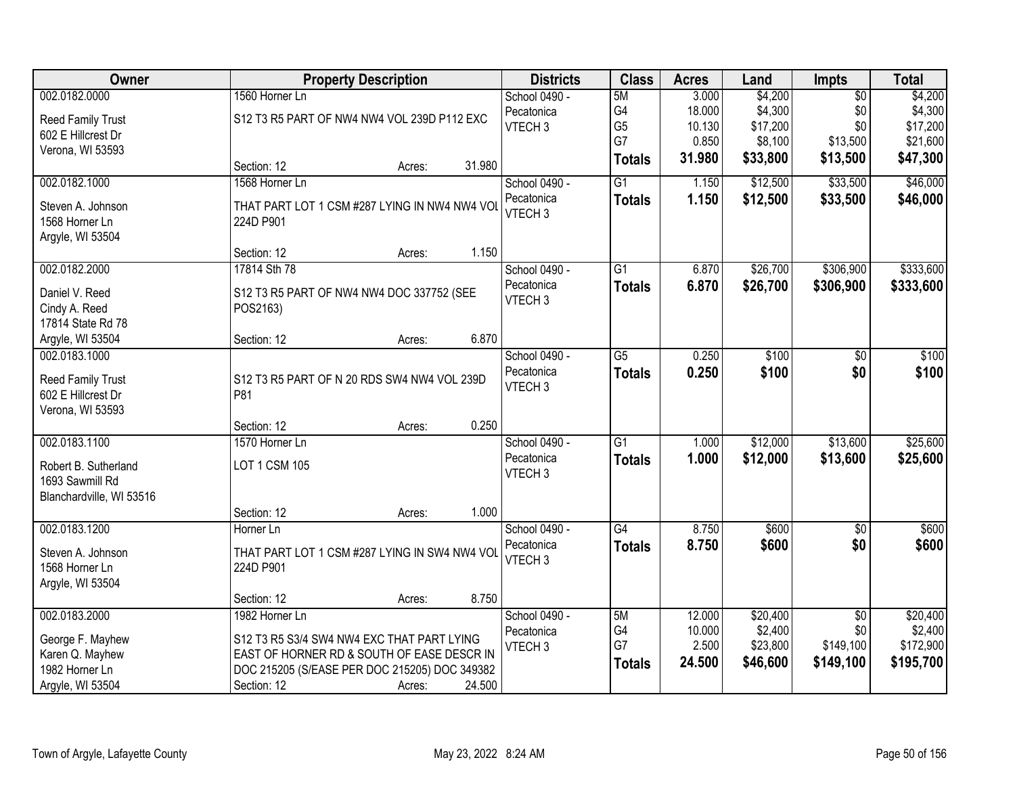| Owner                                          |                                                    | <b>Property Description</b> |        | <b>Districts</b>   | <b>Class</b>    | <b>Acres</b> | Land     | <b>Impts</b>    | <b>Total</b> |
|------------------------------------------------|----------------------------------------------------|-----------------------------|--------|--------------------|-----------------|--------------|----------|-----------------|--------------|
| 002.0182.0000                                  | 1560 Horner Ln                                     |                             |        | School 0490 -      | 5M              | 3.000        | \$4,200  | $\overline{50}$ | \$4,200      |
| Reed Family Trust                              | S12 T3 R5 PART OF NW4 NW4 VOL 239D P112 EXC        |                             |        | Pecatonica         | G4              | 18.000       | \$4,300  | \$0             | \$4,300      |
| 602 E Hillcrest Dr                             |                                                    |                             |        | VTECH <sub>3</sub> | G <sub>5</sub>  | 10.130       | \$17,200 | \$0             | \$17,200     |
| Verona, WI 53593                               |                                                    |                             |        |                    | G7              | 0.850        | \$8,100  | \$13,500        | \$21,600     |
|                                                | Section: 12                                        | Acres:                      | 31.980 |                    | <b>Totals</b>   | 31.980       | \$33,800 | \$13,500        | \$47,300     |
| 002.0182.1000                                  | 1568 Horner Ln                                     |                             |        | School 0490 -      | $\overline{G1}$ | 1.150        | \$12,500 | \$33,500        | \$46,000     |
| Steven A. Johnson                              | THAT PART LOT 1 CSM #287 LYING IN NW4 NW4 VOL      |                             |        | Pecatonica         | <b>Totals</b>   | 1.150        | \$12,500 | \$33,500        | \$46,000     |
| 1568 Horner Ln                                 | 224D P901                                          |                             |        | VTECH <sub>3</sub> |                 |              |          |                 |              |
| Argyle, WI 53504                               |                                                    |                             |        |                    |                 |              |          |                 |              |
|                                                | Section: 12                                        | Acres:                      | 1.150  |                    |                 |              |          |                 |              |
| 002.0182.2000                                  | 17814 Sth 78                                       |                             |        | School 0490 -      | $\overline{G1}$ | 6.870        | \$26,700 | \$306,900       | \$333,600    |
| Daniel V. Reed                                 | S12 T3 R5 PART OF NW4 NW4 DOC 337752 (SEE          |                             |        | Pecatonica         | <b>Totals</b>   | 6.870        | \$26,700 | \$306,900       | \$333,600    |
| Cindy A. Reed                                  | POS2163)                                           |                             |        | VTECH <sub>3</sub> |                 |              |          |                 |              |
| 17814 State Rd 78                              |                                                    |                             |        |                    |                 |              |          |                 |              |
| Argyle, WI 53504                               | Section: 12                                        | Acres:                      | 6.870  |                    |                 |              |          |                 |              |
| 002.0183.1000                                  |                                                    |                             |        | School 0490 -      | $\overline{G5}$ | 0.250        | \$100    | \$0             | \$100        |
|                                                |                                                    |                             |        | Pecatonica         | <b>Totals</b>   | 0.250        | \$100    | \$0             | \$100        |
| <b>Reed Family Trust</b><br>602 E Hillcrest Dr | S12 T3 R5 PART OF N 20 RDS SW4 NW4 VOL 239D<br>P81 |                             |        | VTECH <sub>3</sub> |                 |              |          |                 |              |
| Verona, WI 53593                               |                                                    |                             |        |                    |                 |              |          |                 |              |
|                                                | Section: 12                                        | Acres:                      | 0.250  |                    |                 |              |          |                 |              |
| 002.0183.1100                                  | 1570 Horner Ln                                     |                             |        | School 0490 -      | $\overline{G1}$ | 1.000        | \$12,000 | \$13,600        | \$25,600     |
|                                                |                                                    |                             |        | Pecatonica         | <b>Totals</b>   | 1.000        | \$12,000 | \$13,600        | \$25,600     |
| Robert B. Sutherland                           | <b>LOT 1 CSM 105</b>                               |                             |        | VTECH <sub>3</sub> |                 |              |          |                 |              |
| 1693 Sawmill Rd                                |                                                    |                             |        |                    |                 |              |          |                 |              |
| Blanchardville, WI 53516                       |                                                    |                             |        |                    |                 |              |          |                 |              |
|                                                | Section: 12                                        | Acres:                      | 1.000  |                    |                 |              |          |                 |              |
| 002.0183.1200                                  | Horner Ln                                          |                             |        | School 0490 -      | $\overline{G4}$ | 8.750        | \$600    | $\overline{50}$ | \$600        |
| Steven A. Johnson                              | THAT PART LOT 1 CSM #287 LYING IN SW4 NW4 VOL      |                             |        | Pecatonica         | <b>Totals</b>   | 8.750        | \$600    | \$0             | \$600        |
| 1568 Horner Ln                                 | 224D P901                                          |                             |        | VTECH <sub>3</sub> |                 |              |          |                 |              |
| Argyle, WI 53504                               |                                                    |                             |        |                    |                 |              |          |                 |              |
|                                                | Section: 12                                        | Acres:                      | 8.750  |                    |                 |              |          |                 |              |
| 002.0183.2000                                  | 1982 Horner Ln                                     |                             |        | School 0490 -      | 5M              | 12.000       | \$20,400 | $\overline{50}$ | \$20,400     |
| George F. Mayhew                               | S12 T3 R5 S3/4 SW4 NW4 EXC THAT PART LYING         |                             |        | Pecatonica         | G4              | 10.000       | \$2,400  | \$0             | \$2,400      |
| Karen Q. Mayhew                                | EAST OF HORNER RD & SOUTH OF EASE DESCR IN         |                             |        | VTECH <sub>3</sub> | G7              | 2.500        | \$23,800 | \$149,100       | \$172,900    |
| 1982 Horner Ln                                 | DOC 215205 (S/EASE PER DOC 215205) DOC 349382      |                             |        |                    | <b>Totals</b>   | 24.500       | \$46,600 | \$149,100       | \$195,700    |
| Argyle, WI 53504                               | Section: 12                                        | Acres:                      | 24.500 |                    |                 |              |          |                 |              |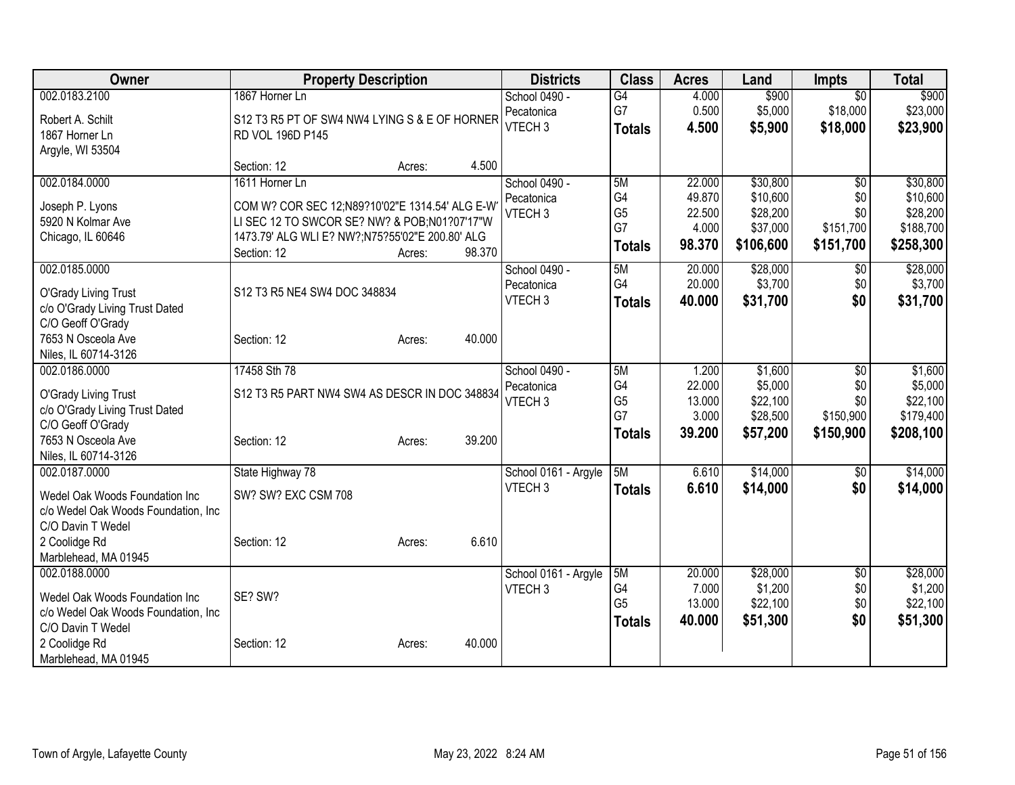| Owner                                                                                                                                                | <b>Property Description</b>                                                                                                                                                        |                  | <b>Districts</b>                                  | <b>Class</b>                                      | <b>Acres</b>                                  | Land                                                      | <b>Impts</b>                                            | <b>Total</b>                                               |
|------------------------------------------------------------------------------------------------------------------------------------------------------|------------------------------------------------------------------------------------------------------------------------------------------------------------------------------------|------------------|---------------------------------------------------|---------------------------------------------------|-----------------------------------------------|-----------------------------------------------------------|---------------------------------------------------------|------------------------------------------------------------|
| 002.0183.2100<br>Robert A. Schilt<br>1867 Horner Ln<br>Argyle, WI 53504                                                                              | 1867 Horner Ln<br>S12 T3 R5 PT OF SW4 NW4 LYING S & E OF HORNER<br>RD VOL 196D P145                                                                                                |                  | School 0490 -<br>Pecatonica<br>VTECH <sub>3</sub> | G <sub>4</sub><br>G7<br><b>Totals</b>             | 4.000<br>0.500<br>4.500                       | \$900<br>\$5,000<br>\$5,900                               | $\overline{50}$<br>\$18,000<br>\$18,000                 | \$900<br>\$23,000<br>\$23,900                              |
|                                                                                                                                                      | Section: 12                                                                                                                                                                        | 4.500<br>Acres:  |                                                   |                                                   |                                               |                                                           |                                                         |                                                            |
| 002.0184.0000<br>Joseph P. Lyons<br>5920 N Kolmar Ave<br>Chicago, IL 60646                                                                           | 1611 Horner Ln<br>COM W? COR SEC 12;N89?10'02"E 1314.54' ALG E-W<br>LI SEC 12 TO SWCOR SE? NW? & POB;N01?07'17"W<br>1473.79' ALG WLI E? NW?;N75?55'02"E 200.80' ALG<br>Section: 12 | 98.370<br>Acres: | School 0490 -<br>Pecatonica<br>VTECH <sub>3</sub> | 5M<br>G4<br>G <sub>5</sub><br>G7<br><b>Totals</b> | 22.000<br>49.870<br>22.500<br>4.000<br>98.370 | \$30,800<br>\$10,600<br>\$28,200<br>\$37,000<br>\$106,600 | $\overline{50}$<br>\$0<br>\$0<br>\$151,700<br>\$151,700 | \$30,800<br>\$10,600<br>\$28,200<br>\$188,700<br>\$258,300 |
| 002.0185.0000<br>O'Grady Living Trust<br>c/o O'Grady Living Trust Dated<br>C/O Geoff O'Grady<br>7653 N Osceola Ave<br>Niles, IL 60714-3126           | S12 T3 R5 NE4 SW4 DOC 348834<br>Section: 12                                                                                                                                        | 40.000<br>Acres: | School 0490 -<br>Pecatonica<br>VTECH <sub>3</sub> | 5M<br>G4<br><b>Totals</b>                         | 20.000<br>20.000<br>40.000                    | \$28,000<br>\$3,700<br>\$31,700                           | $\sqrt[6]{3}$<br>\$0<br>\$0                             | \$28,000<br>\$3,700<br>\$31,700                            |
| 002.0186.0000<br>O'Grady Living Trust<br>c/o O'Grady Living Trust Dated<br>C/O Geoff O'Grady<br>7653 N Osceola Ave<br>Niles, IL 60714-3126           | 17458 Sth 78<br>S12 T3 R5 PART NW4 SW4 AS DESCR IN DOC 348834<br>Section: 12                                                                                                       | 39.200<br>Acres: | School 0490 -<br>Pecatonica<br>VTECH <sub>3</sub> | 5M<br>G4<br>G <sub>5</sub><br>G7<br><b>Totals</b> | 1.200<br>22.000<br>13.000<br>3.000<br>39.200  | \$1,600<br>\$5,000<br>\$22,100<br>\$28,500<br>\$57,200    | \$0<br>\$0<br>\$0<br>\$150,900<br>\$150,900             | \$1,600<br>\$5,000<br>\$22,100<br>\$179,400<br>\$208,100   |
| 002.0187.0000<br>Wedel Oak Woods Foundation Inc<br>c/o Wedel Oak Woods Foundation, Inc<br>C/O Davin T Wedel<br>2 Coolidge Rd<br>Marblehead, MA 01945 | State Highway 78<br>SW? SW? EXC CSM 708<br>Section: 12                                                                                                                             | 6.610<br>Acres:  | School 0161 - Argyle<br>VTECH <sub>3</sub>        | 5M<br><b>Totals</b>                               | 6.610<br>6.610                                | \$14,000<br>\$14,000                                      | \$0<br>\$0                                              | \$14,000<br>\$14,000                                       |
| 002.0188.0000<br>Wedel Oak Woods Foundation Inc<br>c/o Wedel Oak Woods Foundation, Inc<br>C/O Davin T Wedel<br>2 Coolidge Rd<br>Marblehead, MA 01945 | SE? SW?<br>Section: 12                                                                                                                                                             | 40.000<br>Acres: | School 0161 - Argyle<br>VTECH <sub>3</sub>        | 5M<br>G4<br>G <sub>5</sub><br><b>Totals</b>       | 20.000<br>7.000<br>13.000<br>40.000           | \$28,000<br>\$1,200<br>\$22,100<br>\$51,300               | $\overline{50}$<br>\$0<br>\$0<br>\$0                    | \$28,000<br>\$1,200<br>\$22,100<br>\$51,300                |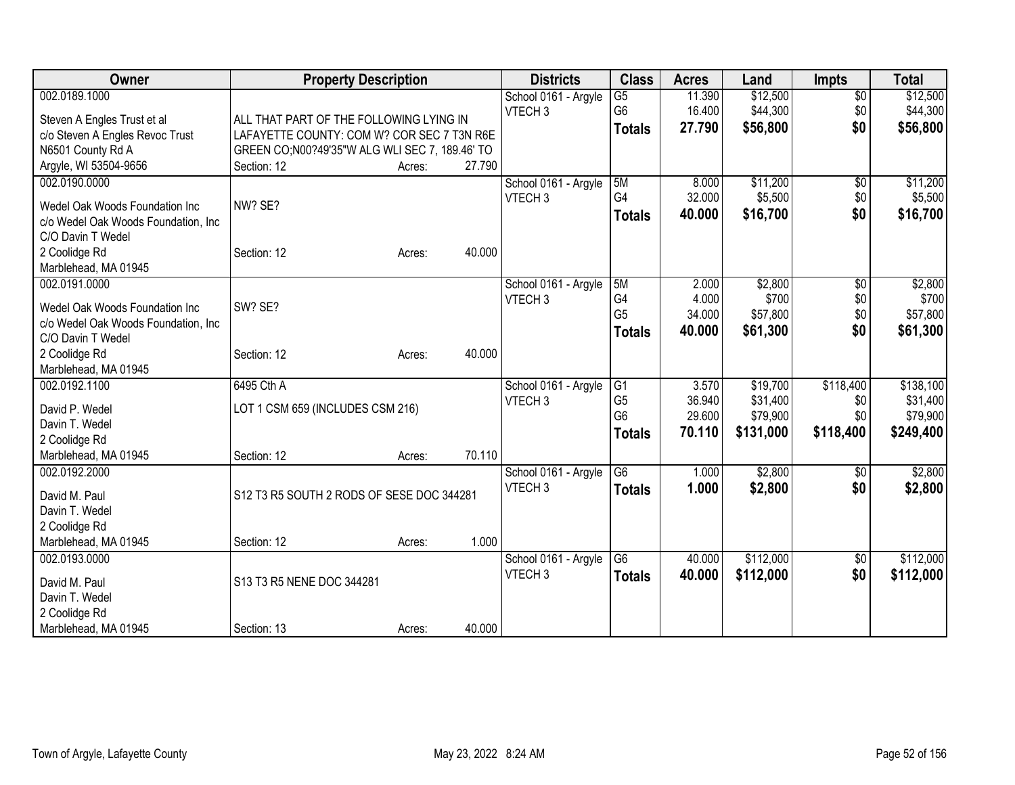| Owner                               | <b>Property Description</b>                    |        |        | <b>Districts</b>     | <b>Class</b>    | <b>Acres</b> | Land      | <b>Impts</b>    | <b>Total</b> |
|-------------------------------------|------------------------------------------------|--------|--------|----------------------|-----------------|--------------|-----------|-----------------|--------------|
| 002.0189.1000                       |                                                |        |        | School 0161 - Argyle | $\overline{G5}$ | 11.390       | \$12,500  | $\overline{50}$ | \$12,500     |
| Steven A Engles Trust et al         | ALL THAT PART OF THE FOLLOWING LYING IN        |        |        | VTECH <sub>3</sub>   | G <sub>6</sub>  | 16.400       | \$44,300  | \$0             | \$44,300     |
| c/o Steven A Engles Revoc Trust     | LAFAYETTE COUNTY: COM W? COR SEC 7 T3N R6E     |        |        |                      | <b>Totals</b>   | 27.790       | \$56,800  | \$0             | \$56,800     |
| N6501 County Rd A                   | GREEN CO;N00?49'35"W ALG WLI SEC 7, 189.46' TO |        |        |                      |                 |              |           |                 |              |
| Argyle, WI 53504-9656               | Section: 12                                    | Acres: | 27.790 |                      |                 |              |           |                 |              |
| 002.0190.0000                       |                                                |        |        | School 0161 - Argyle | 5M              | 8.000        | \$11,200  | $\sqrt[6]{}$    | \$11,200     |
| Wedel Oak Woods Foundation Inc      | NW? SE?                                        |        |        | VTECH <sub>3</sub>   | G <sub>4</sub>  | 32.000       | \$5,500   | \$0             | \$5,500      |
| c/o Wedel Oak Woods Foundation, Inc |                                                |        |        |                      | <b>Totals</b>   | 40.000       | \$16,700  | \$0             | \$16,700     |
| C/O Davin T Wedel                   |                                                |        |        |                      |                 |              |           |                 |              |
| 2 Coolidge Rd                       | Section: 12                                    | Acres: | 40.000 |                      |                 |              |           |                 |              |
| Marblehead, MA 01945                |                                                |        |        |                      |                 |              |           |                 |              |
| 002.0191.0000                       |                                                |        |        | School 0161 - Argyle | 5M              | 2.000        | \$2,800   | \$0             | \$2,800      |
| Wedel Oak Woods Foundation Inc      | SW? SE?                                        |        |        | VTECH <sub>3</sub>   | G <sub>4</sub>  | 4.000        | \$700     | \$0             | \$700        |
| c/o Wedel Oak Woods Foundation, Inc |                                                |        |        |                      | G <sub>5</sub>  | 34.000       | \$57,800  | \$0             | \$57,800     |
| C/O Davin T Wedel                   |                                                |        |        |                      | <b>Totals</b>   | 40.000       | \$61,300  | \$0             | \$61,300     |
| 2 Coolidge Rd                       | Section: 12                                    | Acres: | 40.000 |                      |                 |              |           |                 |              |
| Marblehead, MA 01945                |                                                |        |        |                      |                 |              |           |                 |              |
| 002.0192.1100                       | 6495 Cth A                                     |        |        | School 0161 - Argyle | G1              | 3.570        | \$19,700  | \$118,400       | \$138,100    |
|                                     |                                                |        |        | VTECH <sub>3</sub>   | G <sub>5</sub>  | 36.940       | \$31,400  | \$0             | \$31,400     |
| David P. Wedel<br>Davin T. Wedel    | LOT 1 CSM 659 (INCLUDES CSM 216)               |        |        |                      | G <sub>6</sub>  | 29.600       | \$79,900  | \$0             | \$79,900     |
| 2 Coolidge Rd                       |                                                |        |        |                      | <b>Totals</b>   | 70.110       | \$131,000 | \$118,400       | \$249,400    |
| Marblehead, MA 01945                | Section: 12                                    | Acres: | 70.110 |                      |                 |              |           |                 |              |
| 002.0192.2000                       |                                                |        |        | School 0161 - Argyle | $\overline{G6}$ | 1.000        | \$2,800   | \$0             | \$2,800      |
|                                     |                                                |        |        | VTECH <sub>3</sub>   | <b>Totals</b>   | 1.000        | \$2,800   | \$0             | \$2,800      |
| David M. Paul                       | S12 T3 R5 SOUTH 2 RODS OF SESE DOC 344281      |        |        |                      |                 |              |           |                 |              |
| Davin T. Wedel                      |                                                |        |        |                      |                 |              |           |                 |              |
| 2 Coolidge Rd                       |                                                |        |        |                      |                 |              |           |                 |              |
| Marblehead, MA 01945                | Section: 12                                    | Acres: | 1.000  |                      |                 |              |           |                 |              |
| 002.0193.0000                       |                                                |        |        | School 0161 - Argyle | G <sub>6</sub>  | 40.000       | \$112,000 | $\sqrt[6]{}$    | \$112,000    |
| David M. Paul                       | S13 T3 R5 NENE DOC 344281                      |        |        | VTECH <sub>3</sub>   | <b>Totals</b>   | 40.000       | \$112,000 | \$0             | \$112,000    |
| Davin T. Wedel                      |                                                |        |        |                      |                 |              |           |                 |              |
| 2 Coolidge Rd                       |                                                |        |        |                      |                 |              |           |                 |              |
| Marblehead, MA 01945                | Section: 13                                    | Acres: | 40.000 |                      |                 |              |           |                 |              |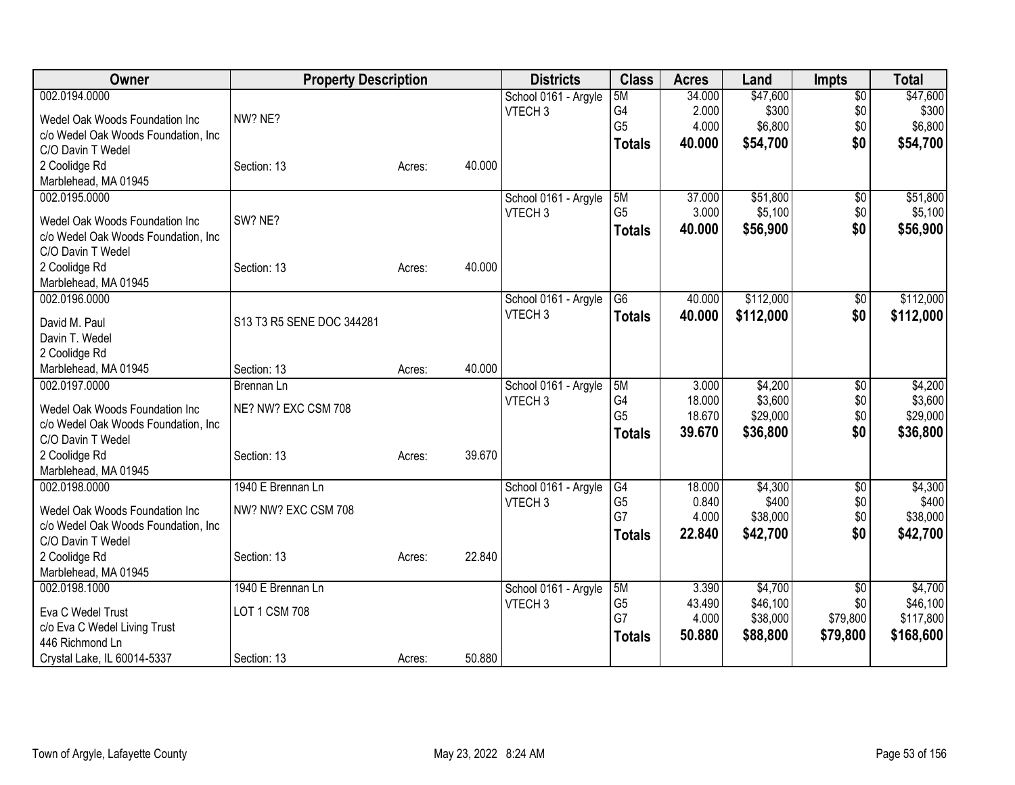| Owner                                                    | <b>Property Description</b> |        |        | <b>Districts</b>     | <b>Class</b>    | <b>Acres</b> | Land      | <b>Impts</b>    | <b>Total</b> |
|----------------------------------------------------------|-----------------------------|--------|--------|----------------------|-----------------|--------------|-----------|-----------------|--------------|
| 002.0194.0000                                            |                             |        |        | School 0161 - Argyle | 5M              | 34.000       | \$47,600  | $\overline{50}$ | \$47,600     |
| Wedel Oak Woods Foundation Inc                           | NW? NE?                     |        |        | VTECH <sub>3</sub>   | G4              | 2.000        | \$300     | \$0             | \$300        |
| c/o Wedel Oak Woods Foundation, Inc                      |                             |        |        |                      | G <sub>5</sub>  | 4.000        | \$6,800   | \$0             | \$6,800      |
| C/O Davin T Wedel                                        |                             |        |        |                      | <b>Totals</b>   | 40.000       | \$54,700  | \$0             | \$54,700     |
| 2 Coolidge Rd                                            | Section: 13                 | Acres: | 40.000 |                      |                 |              |           |                 |              |
| Marblehead, MA 01945                                     |                             |        |        |                      |                 |              |           |                 |              |
| 002.0195.0000                                            |                             |        |        | School 0161 - Argyle | 5M              | 37.000       | \$51,800  | $\sqrt{6}$      | \$51,800     |
|                                                          |                             |        |        | VTECH <sub>3</sub>   | G <sub>5</sub>  | 3.000        | \$5,100   | \$0             | \$5,100      |
| Wedel Oak Woods Foundation Inc                           | SW? NE?                     |        |        |                      | <b>Totals</b>   | 40.000       | \$56,900  | \$0             | \$56,900     |
| c/o Wedel Oak Woods Foundation, Inc                      |                             |        |        |                      |                 |              |           |                 |              |
| C/O Davin T Wedel                                        |                             |        |        |                      |                 |              |           |                 |              |
| 2 Coolidge Rd                                            | Section: 13                 | Acres: | 40.000 |                      |                 |              |           |                 |              |
| Marblehead, MA 01945                                     |                             |        |        |                      |                 |              |           |                 |              |
| 002.0196.0000                                            |                             |        |        | School 0161 - Argyle | $\overline{G6}$ | 40.000       | \$112,000 | \$0             | \$112,000    |
| David M. Paul                                            | S13 T3 R5 SENE DOC 344281   |        |        | VTECH <sub>3</sub>   | <b>Totals</b>   | 40.000       | \$112,000 | \$0             | \$112,000    |
| Davin T. Wedel                                           |                             |        |        |                      |                 |              |           |                 |              |
| 2 Coolidge Rd                                            |                             |        |        |                      |                 |              |           |                 |              |
| Marblehead, MA 01945                                     | Section: 13                 | Acres: | 40.000 |                      |                 |              |           |                 |              |
| 002.0197.0000                                            | Brennan Ln                  |        |        | School 0161 - Argyle | 5M              | 3.000        | \$4,200   | \$0             | \$4,200      |
|                                                          |                             |        |        | VTECH <sub>3</sub>   | G4              | 18.000       | \$3,600   | \$0             | \$3,600      |
| Wedel Oak Woods Foundation Inc                           | NE? NW? EXC CSM 708         |        |        |                      | G <sub>5</sub>  | 18.670       | \$29,000  | \$0             | \$29,000     |
| c/o Wedel Oak Woods Foundation, Inc<br>C/O Davin T Wedel |                             |        |        |                      | <b>Totals</b>   | 39.670       | \$36,800  | \$0             | \$36,800     |
|                                                          | Section: 13                 |        | 39.670 |                      |                 |              |           |                 |              |
| 2 Coolidge Rd<br>Marblehead, MA 01945                    |                             | Acres: |        |                      |                 |              |           |                 |              |
| 002.0198.0000                                            | 1940 E Brennan Ln           |        |        | School 0161 - Argyle | G4              | 18.000       | \$4,300   | \$0             | \$4,300      |
|                                                          |                             |        |        | VTECH <sub>3</sub>   | G <sub>5</sub>  | 0.840        | \$400     | \$0             | \$400        |
| Wedel Oak Woods Foundation Inc                           | NW? NW? EXC CSM 708         |        |        |                      | G7              | 4.000        | \$38,000  | \$0             | \$38,000     |
| c/o Wedel Oak Woods Foundation, Inc                      |                             |        |        |                      | <b>Totals</b>   | 22.840       | \$42,700  | \$0             | \$42,700     |
| C/O Davin T Wedel                                        |                             |        |        |                      |                 |              |           |                 |              |
| 2 Coolidge Rd                                            | Section: 13                 | Acres: | 22.840 |                      |                 |              |           |                 |              |
| Marblehead, MA 01945                                     |                             |        |        |                      |                 |              |           |                 |              |
| 002.0198.1000                                            | 1940 E Brennan Ln           |        |        | School 0161 - Argyle | 5M              | 3.390        | \$4,700   | \$0             | \$4,700      |
| Eva C Wedel Trust                                        | LOT 1 CSM 708               |        |        | VTECH <sub>3</sub>   | G <sub>5</sub>  | 43.490       | \$46,100  | \$0             | \$46,100     |
| c/o Eva C Wedel Living Trust                             |                             |        |        |                      | G7              | 4.000        | \$38,000  | \$79,800        | \$117,800    |
| 446 Richmond Ln                                          |                             |        |        |                      | <b>Totals</b>   | 50.880       | \$88,800  | \$79,800        | \$168,600    |
| Crystal Lake, IL 60014-5337                              | Section: 13                 | Acres: | 50.880 |                      |                 |              |           |                 |              |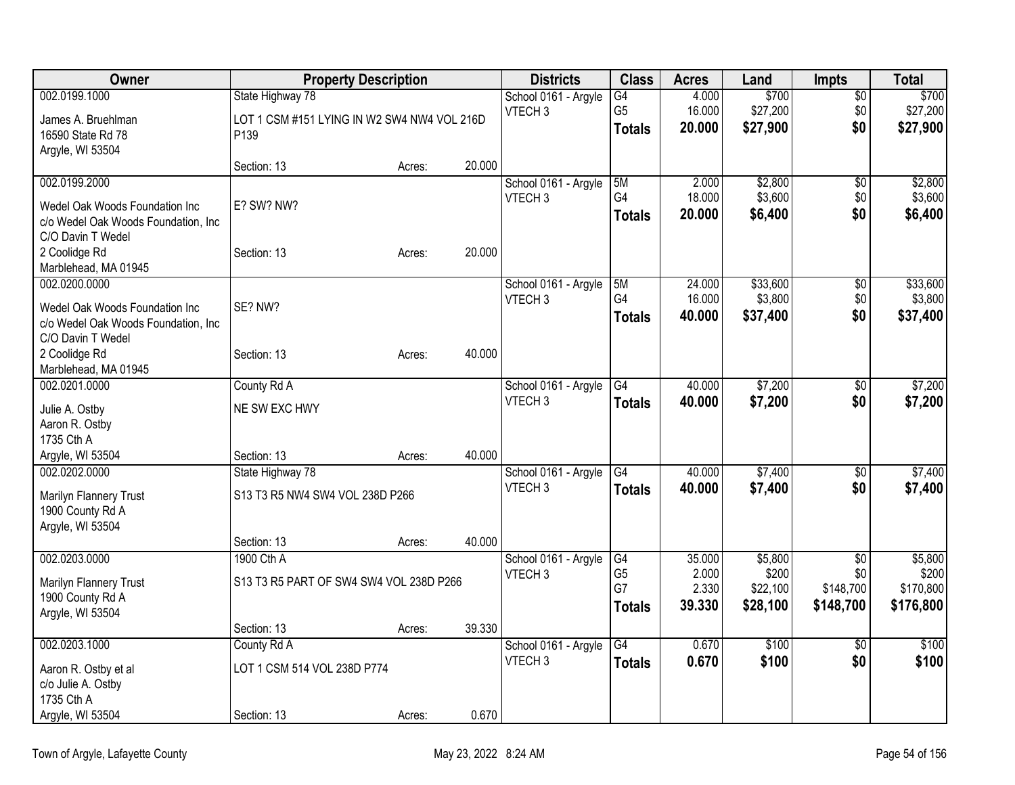| Owner                               |                                             | <b>Property Description</b> |        | <b>Districts</b>                           | <b>Class</b>         | <b>Acres</b>     | Land             | <b>Impts</b>    | <b>Total</b>     |
|-------------------------------------|---------------------------------------------|-----------------------------|--------|--------------------------------------------|----------------------|------------------|------------------|-----------------|------------------|
| 002.0199.1000                       | State Highway 78                            |                             |        | School 0161 - Argyle                       | G4                   | 4.000            | \$700            | \$0             | \$700            |
| James A. Bruehlman                  | LOT 1 CSM #151 LYING IN W2 SW4 NW4 VOL 216D |                             |        | VTECH <sub>3</sub>                         | G <sub>5</sub>       | 16.000           | \$27,200         | \$0             | \$27,200         |
| 16590 State Rd 78                   | P <sub>139</sub>                            |                             |        |                                            | <b>Totals</b>        | 20.000           | \$27,900         | \$0             | \$27,900         |
| Argyle, WI 53504                    |                                             |                             |        |                                            |                      |                  |                  |                 |                  |
|                                     | Section: 13                                 | Acres:                      | 20.000 |                                            |                      |                  |                  |                 |                  |
| 002.0199.2000                       |                                             |                             |        | School 0161 - Argyle                       | 5M                   | 2.000            | \$2,800          | \$0             | \$2,800          |
| Wedel Oak Woods Foundation Inc      | E? SW? NW?                                  |                             |        | VTECH <sub>3</sub>                         | G4                   | 18.000           | \$3,600          | \$0             | \$3,600          |
| c/o Wedel Oak Woods Foundation, Inc |                                             |                             |        |                                            | <b>Totals</b>        | 20.000           | \$6,400          | \$0             | \$6,400          |
| C/O Davin T Wedel                   |                                             |                             |        |                                            |                      |                  |                  |                 |                  |
| 2 Coolidge Rd                       | Section: 13                                 | Acres:                      | 20.000 |                                            |                      |                  |                  |                 |                  |
| Marblehead, MA 01945                |                                             |                             |        |                                            |                      |                  |                  |                 |                  |
| 002.0200.0000                       |                                             |                             |        | School 0161 - Argyle                       | 5M                   | 24.000           | \$33,600         | $\overline{50}$ | \$33,600         |
| Wedel Oak Woods Foundation Inc      | SE? NW?                                     |                             |        | VTECH <sub>3</sub>                         | G4                   | 16.000<br>40.000 | \$3,800          | \$0<br>\$0      | \$3,800          |
| c/o Wedel Oak Woods Foundation, Inc |                                             |                             |        |                                            | <b>Totals</b>        |                  | \$37,400         |                 | \$37,400         |
| C/O Davin T Wedel                   |                                             |                             |        |                                            |                      |                  |                  |                 |                  |
| 2 Coolidge Rd                       | Section: 13                                 | Acres:                      | 40.000 |                                            |                      |                  |                  |                 |                  |
| Marblehead, MA 01945                |                                             |                             |        |                                            |                      |                  |                  |                 |                  |
| 002.0201.0000                       | County Rd A                                 |                             |        | School 0161 - Argyle<br>VTECH <sub>3</sub> | G4                   | 40.000           | \$7,200          | \$0             | \$7,200          |
| Julie A. Ostby                      | NE SW EXC HWY                               |                             |        |                                            | <b>Totals</b>        | 40.000           | \$7,200          | \$0             | \$7,200          |
| Aaron R. Ostby                      |                                             |                             |        |                                            |                      |                  |                  |                 |                  |
| 1735 Cth A                          |                                             |                             |        |                                            |                      |                  |                  |                 |                  |
| Argyle, WI 53504                    | Section: 13                                 | Acres:                      | 40.000 |                                            |                      |                  |                  |                 |                  |
| 002.0202.0000                       | State Highway 78                            |                             |        | School 0161 - Argyle<br>VTECH <sub>3</sub> | G4                   | 40.000<br>40.000 | \$7,400          | \$0<br>\$0      | \$7,400          |
| Marilyn Flannery Trust              | S13 T3 R5 NW4 SW4 VOL 238D P266             |                             |        |                                            | <b>Totals</b>        |                  | \$7,400          |                 | \$7,400          |
| 1900 County Rd A                    |                                             |                             |        |                                            |                      |                  |                  |                 |                  |
| Argyle, WI 53504                    |                                             |                             |        |                                            |                      |                  |                  |                 |                  |
|                                     | Section: 13                                 | Acres:                      | 40.000 |                                            |                      |                  |                  |                 |                  |
| 002.0203.0000                       | 1900 Cth A                                  |                             |        | School 0161 - Argyle<br>VTECH <sub>3</sub> | G4<br>G <sub>5</sub> | 35.000<br>2.000  | \$5,800<br>\$200 | \$0<br>\$0      | \$5,800<br>\$200 |
| Marilyn Flannery Trust              | S13 T3 R5 PART OF SW4 SW4 VOL 238D P266     |                             |        |                                            | G7                   | 2.330            | \$22,100         | \$148,700       | \$170,800        |
| 1900 County Rd A                    |                                             |                             |        |                                            | <b>Totals</b>        | 39.330           | \$28,100         | \$148,700       | \$176,800        |
| Argyle, WI 53504                    |                                             |                             |        |                                            |                      |                  |                  |                 |                  |
|                                     | Section: 13                                 | Acres:                      | 39.330 |                                            |                      |                  |                  |                 |                  |
| 002.0203.1000                       | County Rd A                                 |                             |        | School 0161 - Argyle                       | $\overline{G4}$      | 0.670            | \$100            | \$0             | \$100            |
| Aaron R. Ostby et al                | LOT 1 CSM 514 VOL 238D P774                 |                             |        | VTECH <sub>3</sub>                         | <b>Totals</b>        | 0.670            | \$100            | \$0             | \$100            |
| c/o Julie A. Ostby                  |                                             |                             |        |                                            |                      |                  |                  |                 |                  |
| 1735 Cth A                          |                                             |                             |        |                                            |                      |                  |                  |                 |                  |
| Argyle, WI 53504                    | Section: 13                                 | Acres:                      | 0.670  |                                            |                      |                  |                  |                 |                  |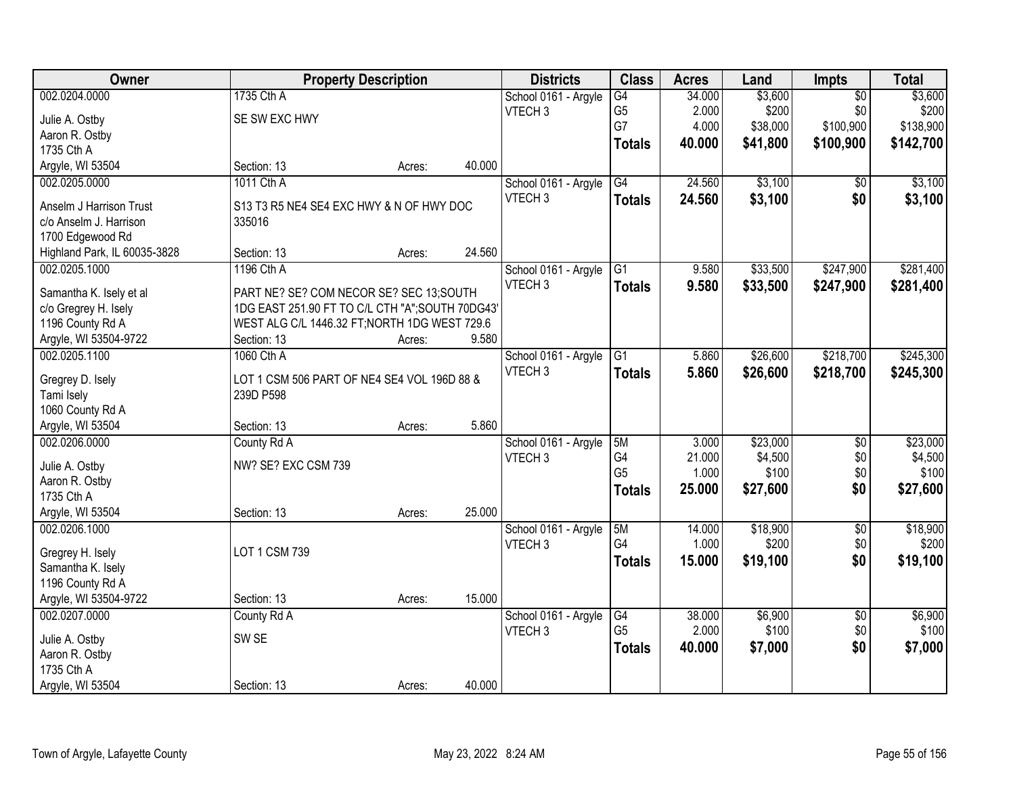| Owner                        |                                                 | <b>Property Description</b> |        | <b>Districts</b>     | <b>Class</b>   | <b>Acres</b> | Land     | Impts           | <b>Total</b> |
|------------------------------|-------------------------------------------------|-----------------------------|--------|----------------------|----------------|--------------|----------|-----------------|--------------|
| 002.0204.0000                | 1735 Cth A                                      |                             |        | School 0161 - Argyle | G4             | 34.000       | \$3,600  | $\overline{50}$ | \$3,600      |
| Julie A. Ostby               | SE SW EXC HWY                                   |                             |        | VTECH <sub>3</sub>   | G <sub>5</sub> | 2.000        | \$200    | \$0             | \$200        |
| Aaron R. Ostby               |                                                 |                             |        |                      | G7             | 4.000        | \$38,000 | \$100,900       | \$138,900    |
| 1735 Cth A                   |                                                 |                             |        |                      | <b>Totals</b>  | 40.000       | \$41,800 | \$100,900       | \$142,700    |
| Argyle, WI 53504             | Section: 13                                     | Acres:                      | 40.000 |                      |                |              |          |                 |              |
| 002.0205.0000                | 1011 Cth A                                      |                             |        | School 0161 - Argyle | G4             | 24.560       | \$3,100  | \$0             | \$3,100      |
|                              |                                                 |                             |        | VTECH <sub>3</sub>   | <b>Totals</b>  | 24.560       | \$3,100  | \$0             | \$3,100      |
| Anselm J Harrison Trust      | S13 T3 R5 NE4 SE4 EXC HWY & N OF HWY DOC        |                             |        |                      |                |              |          |                 |              |
| c/o Anselm J. Harrison       | 335016                                          |                             |        |                      |                |              |          |                 |              |
| 1700 Edgewood Rd             |                                                 |                             |        |                      |                |              |          |                 |              |
| Highland Park, IL 60035-3828 | Section: 13                                     | Acres:                      | 24.560 |                      |                |              |          |                 |              |
| 002.0205.1000                | 1196 Cth A                                      |                             |        | School 0161 - Argyle | G1             | 9.580        | \$33,500 | \$247,900       | \$281,400    |
| Samantha K. Isely et al      | PART NE? SE? COM NECOR SE? SEC 13;SOUTH         |                             |        | VTECH <sub>3</sub>   | <b>Totals</b>  | 9.580        | \$33,500 | \$247,900       | \$281,400    |
| c/o Gregrey H. Isely         | 1DG EAST 251.90 FT TO C/L CTH "A";SOUTH 70DG43' |                             |        |                      |                |              |          |                 |              |
| 1196 County Rd A             | WEST ALG C/L 1446.32 FT; NORTH 1DG WEST 729.6   |                             |        |                      |                |              |          |                 |              |
| Argyle, WI 53504-9722        | Section: 13                                     | Acres:                      | 9.580  |                      |                |              |          |                 |              |
| 002.0205.1100                | 1060 Cth A                                      |                             |        | School 0161 - Argyle | G1             | 5.860        | \$26,600 | \$218,700       | \$245,300    |
|                              |                                                 |                             |        | VTECH <sub>3</sub>   | <b>Totals</b>  | 5.860        | \$26,600 | \$218,700       | \$245,300    |
| Gregrey D. Isely             | LOT 1 CSM 506 PART OF NE4 SE4 VOL 196D 88 &     |                             |        |                      |                |              |          |                 |              |
| Tami Isely                   | 239D P598                                       |                             |        |                      |                |              |          |                 |              |
| 1060 County Rd A             |                                                 |                             |        |                      |                |              |          |                 |              |
| Argyle, WI 53504             | Section: 13                                     | Acres:                      | 5.860  |                      |                |              |          |                 |              |
| 002.0206.0000                | County Rd A                                     |                             |        | School 0161 - Argyle | 5M             | 3.000        | \$23,000 | $\overline{50}$ | \$23,000     |
| Julie A. Ostby               | NW? SE? EXC CSM 739                             |                             |        | VTECH <sub>3</sub>   | G <sub>4</sub> | 21.000       | \$4,500  | \$0             | \$4,500      |
| Aaron R. Ostby               |                                                 |                             |        |                      | G <sub>5</sub> | 1.000        | \$100    | \$0             | \$100        |
| 1735 Cth A                   |                                                 |                             |        |                      | <b>Totals</b>  | 25.000       | \$27,600 | \$0             | \$27,600     |
| Argyle, WI 53504             | Section: 13                                     | Acres:                      | 25.000 |                      |                |              |          |                 |              |
| 002.0206.1000                |                                                 |                             |        | School 0161 - Argyle | 5M             | 14.000       | \$18,900 | $\overline{60}$ | \$18,900     |
|                              |                                                 |                             |        | VTECH <sub>3</sub>   | G4             | 1.000        | \$200    | \$0             | \$200        |
| Gregrey H. Isely             | LOT 1 CSM 739                                   |                             |        |                      | <b>Totals</b>  | 15.000       | \$19,100 | \$0             | \$19,100     |
| Samantha K. Isely            |                                                 |                             |        |                      |                |              |          |                 |              |
| 1196 County Rd A             |                                                 |                             |        |                      |                |              |          |                 |              |
| Argyle, WI 53504-9722        | Section: 13                                     | Acres:                      | 15.000 |                      |                |              |          |                 |              |
| 002.0207.0000                | County Rd A                                     |                             |        | School 0161 - Argyle | G4             | 38.000       | \$6,900  | $\overline{50}$ | \$6,900      |
| Julie A. Ostby               | SW <sub>SE</sub>                                |                             |        | VTECH <sub>3</sub>   | G <sub>5</sub> | 2.000        | \$100    | \$0             | \$100        |
| Aaron R. Ostby               |                                                 |                             |        |                      | <b>Totals</b>  | 40.000       | \$7,000  | \$0             | \$7,000      |
| 1735 Cth A                   |                                                 |                             |        |                      |                |              |          |                 |              |
| Argyle, WI 53504             | Section: 13                                     | Acres:                      | 40.000 |                      |                |              |          |                 |              |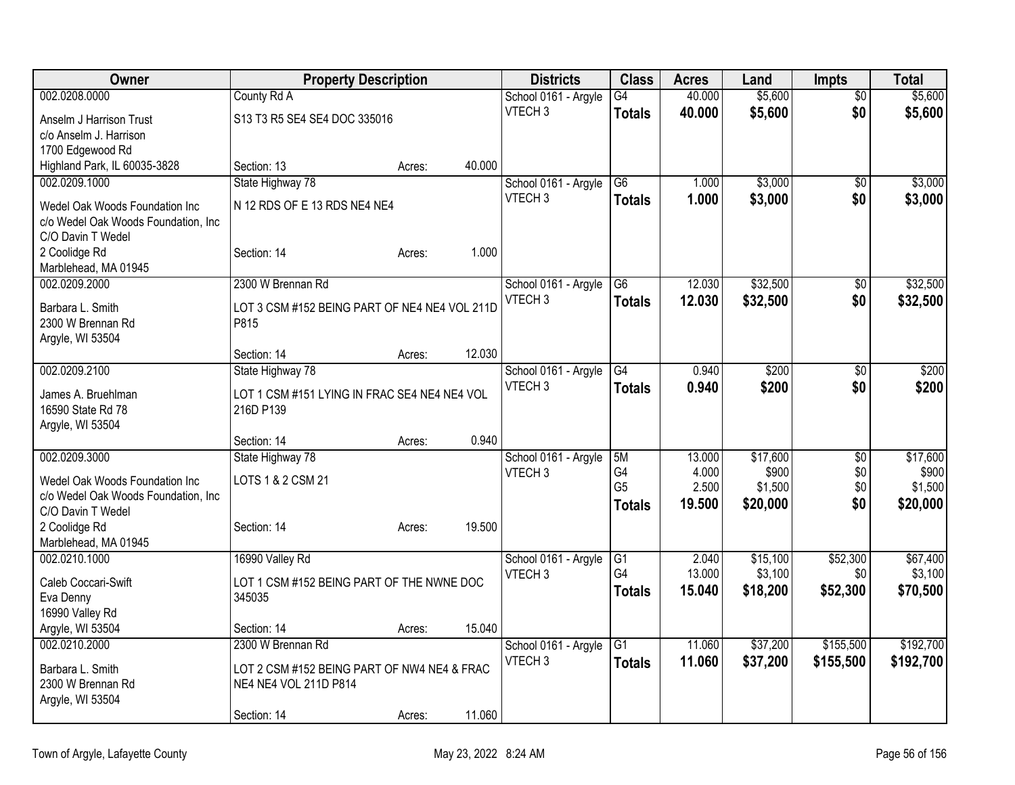| Owner                                 | <b>Property Description</b>                   |        |        | <b>Districts</b>                           | <b>Class</b>    | <b>Acres</b>    | Land              | <b>Impts</b>           | <b>Total</b>      |
|---------------------------------------|-----------------------------------------------|--------|--------|--------------------------------------------|-----------------|-----------------|-------------------|------------------------|-------------------|
| 002.0208.0000                         | County Rd A                                   |        |        | School 0161 - Argyle                       | $\overline{G4}$ | 40.000          | \$5,600           | $\overline{50}$        | \$5,600           |
| Anselm J Harrison Trust               | S13 T3 R5 SE4 SE4 DOC 335016                  |        |        | VTECH <sub>3</sub>                         | <b>Totals</b>   | 40.000          | \$5,600           | \$0                    | \$5,600           |
| c/o Anselm J. Harrison                |                                               |        |        |                                            |                 |                 |                   |                        |                   |
| 1700 Edgewood Rd                      |                                               |        |        |                                            |                 |                 |                   |                        |                   |
| Highland Park, IL 60035-3828          | Section: 13                                   | Acres: | 40.000 |                                            |                 |                 |                   |                        |                   |
| 002.0209.1000                         | State Highway 78                              |        |        | School 0161 - Argyle                       | G <sub>6</sub>  | 1.000           | \$3,000           | \$0                    | \$3,000           |
| Wedel Oak Woods Foundation Inc        | N 12 RDS OF E 13 RDS NE4 NE4                  |        |        | VTECH <sub>3</sub>                         | <b>Totals</b>   | 1.000           | \$3,000           | \$0                    | \$3,000           |
| c/o Wedel Oak Woods Foundation, Inc   |                                               |        |        |                                            |                 |                 |                   |                        |                   |
| C/O Davin T Wedel                     |                                               |        |        |                                            |                 |                 |                   |                        |                   |
| 2 Coolidge Rd                         | Section: 14                                   | Acres: | 1.000  |                                            |                 |                 |                   |                        |                   |
| Marblehead, MA 01945                  |                                               |        |        |                                            |                 |                 |                   |                        |                   |
| 002.0209.2000                         | 2300 W Brennan Rd                             |        |        | School 0161 - Argyle<br>VTECH <sub>3</sub> | $\overline{G6}$ | 12.030          | \$32,500          | $\overline{50}$        | \$32,500          |
| Barbara L. Smith                      | LOT 3 CSM #152 BEING PART OF NE4 NE4 VOL 211D |        |        |                                            | <b>Totals</b>   | 12.030          | \$32,500          | \$0                    | \$32,500          |
| 2300 W Brennan Rd                     | P815                                          |        |        |                                            |                 |                 |                   |                        |                   |
| Argyle, WI 53504                      |                                               |        |        |                                            |                 |                 |                   |                        |                   |
|                                       | Section: 14                                   | Acres: | 12.030 |                                            |                 |                 |                   |                        |                   |
| 002.0209.2100                         | State Highway 78                              |        |        | School 0161 - Argyle<br>VTECH <sub>3</sub> | $\overline{G4}$ | 0.940           | \$200             | $\overline{50}$        | \$200             |
| James A. Bruehlman                    | LOT 1 CSM #151 LYING IN FRAC SE4 NE4 NE4 VOL  |        |        |                                            | <b>Totals</b>   | 0.940           | \$200             | \$0                    | \$200             |
| 16590 State Rd 78                     | 216D P139                                     |        |        |                                            |                 |                 |                   |                        |                   |
| Argyle, WI 53504                      |                                               |        |        |                                            |                 |                 |                   |                        |                   |
|                                       | Section: 14                                   | Acres: | 0.940  |                                            |                 |                 |                   |                        |                   |
| 002.0209.3000                         | State Highway 78                              |        |        | School 0161 - Argyle<br>VTECH <sub>3</sub> | 5M<br>G4        | 13.000<br>4.000 | \$17,600<br>\$900 | $\overline{30}$<br>\$0 | \$17,600<br>\$900 |
| Wedel Oak Woods Foundation Inc        | LOTS 1 & 2 CSM 21                             |        |        |                                            | G <sub>5</sub>  | 2.500           | \$1,500           | \$0                    | \$1,500           |
| c/o Wedel Oak Woods Foundation, Inc   |                                               |        |        |                                            | <b>Totals</b>   | 19,500          | \$20,000          | \$0                    | \$20,000          |
| C/O Davin T Wedel                     |                                               |        |        |                                            |                 |                 |                   |                        |                   |
| 2 Coolidge Rd                         | Section: 14                                   | Acres: | 19.500 |                                            |                 |                 |                   |                        |                   |
| Marblehead, MA 01945<br>002.0210.1000 | 16990 Valley Rd                               |        |        | School 0161 - Argyle                       | $\overline{G1}$ | 2.040           | \$15,100          | \$52,300               | \$67,400          |
|                                       |                                               |        |        | VTECH <sub>3</sub>                         | G4              | 13.000          | \$3,100           | \$0                    | \$3,100           |
| Caleb Coccari-Swift                   | LOT 1 CSM #152 BEING PART OF THE NWNE DOC     |        |        |                                            | <b>Totals</b>   | 15.040          | \$18,200          | \$52,300               | \$70,500          |
| Eva Denny                             | 345035                                        |        |        |                                            |                 |                 |                   |                        |                   |
| 16990 Valley Rd                       |                                               |        | 15.040 |                                            |                 |                 |                   |                        |                   |
| Argyle, WI 53504<br>002.0210.2000     | Section: 14<br>2300 W Brennan Rd              | Acres: |        | School 0161 - Argyle                       | G1              | 11.060          | \$37,200          | \$155,500              | \$192,700         |
|                                       |                                               |        |        | VTECH <sub>3</sub>                         | <b>Totals</b>   | 11.060          | \$37,200          | \$155,500              | \$192,700         |
| Barbara L. Smith                      | LOT 2 CSM #152 BEING PART OF NW4 NE4 & FRAC   |        |        |                                            |                 |                 |                   |                        |                   |
| 2300 W Brennan Rd                     | NE4 NE4 VOL 211D P814                         |        |        |                                            |                 |                 |                   |                        |                   |
| Argyle, WI 53504                      |                                               |        | 11.060 |                                            |                 |                 |                   |                        |                   |
|                                       | Section: 14                                   | Acres: |        |                                            |                 |                 |                   |                        |                   |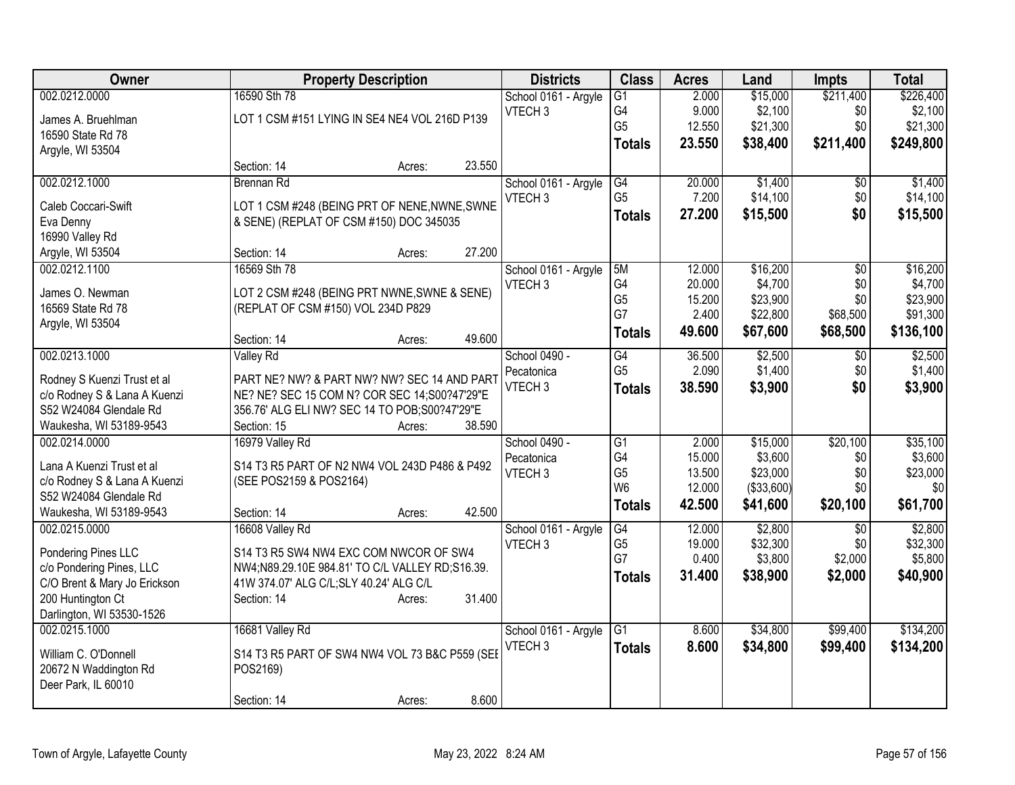| <b>Owner</b>                                                | <b>Property Description</b>                                                                 |                  | <b>Districts</b>     | <b>Class</b>    | <b>Acres</b> | Land       | <b>Impts</b>    | <b>Total</b> |
|-------------------------------------------------------------|---------------------------------------------------------------------------------------------|------------------|----------------------|-----------------|--------------|------------|-----------------|--------------|
| 002.0212.0000                                               | 16590 Sth 78                                                                                |                  | School 0161 - Argyle | $\overline{G1}$ | 2.000        | \$15,000   | \$211,400       | \$226,400    |
| James A. Bruehlman                                          | LOT 1 CSM #151 LYING IN SE4 NE4 VOL 216D P139                                               |                  | VTECH <sub>3</sub>   | G4              | 9.000        | \$2,100    | \$0             | \$2,100      |
| 16590 State Rd 78                                           |                                                                                             |                  |                      | G <sub>5</sub>  | 12.550       | \$21,300   | \$0             | \$21,300     |
| Argyle, WI 53504                                            |                                                                                             |                  |                      | <b>Totals</b>   | 23.550       | \$38,400   | \$211,400       | \$249,800    |
|                                                             | Section: 14                                                                                 | 23.550<br>Acres: |                      |                 |              |            |                 |              |
| 002.0212.1000                                               | <b>Brennan Rd</b>                                                                           |                  | School 0161 - Argyle | G4              | 20.000       | \$1,400    | $\overline{30}$ | \$1,400      |
| Caleb Coccari-Swift                                         | LOT 1 CSM #248 (BEING PRT OF NENE, NWNE, SWNE                                               |                  | VTECH <sub>3</sub>   | G <sub>5</sub>  | 7.200        | \$14,100   | \$0             | \$14,100     |
| Eva Denny                                                   | & SENE) (REPLAT OF CSM #150) DOC 345035                                                     |                  |                      | <b>Totals</b>   | 27.200       | \$15,500   | \$0             | \$15,500     |
| 16990 Valley Rd                                             |                                                                                             |                  |                      |                 |              |            |                 |              |
| Argyle, WI 53504                                            | Section: 14                                                                                 | 27.200<br>Acres: |                      |                 |              |            |                 |              |
| 002.0212.1100                                               | 16569 Sth 78                                                                                |                  | School 0161 - Argyle | 5M              | 12.000       | \$16,200   | \$0             | \$16,200     |
| James O. Newman                                             | LOT 2 CSM #248 (BEING PRT NWNE, SWNE & SENE)                                                |                  | VTECH <sub>3</sub>   | G4              | 20.000       | \$4,700    | \$0             | \$4,700      |
| 16569 State Rd 78                                           | (REPLAT OF CSM #150) VOL 234D P829                                                          |                  |                      | G <sub>5</sub>  | 15.200       | \$23,900   | \$0             | \$23,900     |
| Argyle, WI 53504                                            |                                                                                             |                  |                      | G7              | 2.400        | \$22,800   | \$68,500        | \$91,300     |
|                                                             | Section: 14                                                                                 | 49.600<br>Acres: |                      | <b>Totals</b>   | 49.600       | \$67,600   | \$68,500        | \$136,100    |
| 002.0213.1000                                               | <b>Valley Rd</b>                                                                            |                  | School 0490 -        | $\overline{G4}$ | 36.500       | \$2,500    | \$0             | \$2,500      |
|                                                             |                                                                                             |                  | Pecatonica           | G <sub>5</sub>  | 2.090        | \$1,400    | \$0             | \$1,400      |
| Rodney S Kuenzi Trust et al<br>c/o Rodney S & Lana A Kuenzi | PART NE? NW? & PART NW? NW? SEC 14 AND PART<br>NE? NE? SEC 15 COM N? COR SEC 14;S00?47'29"E |                  | VTECH <sub>3</sub>   | <b>Totals</b>   | 38.590       | \$3,900    | \$0             | \$3,900      |
| S52 W24084 Glendale Rd                                      | 356.76' ALG ELI NW? SEC 14 TO POB; S00?47'29"E                                              |                  |                      |                 |              |            |                 |              |
| Waukesha, WI 53189-9543                                     | Section: 15                                                                                 | 38.590<br>Acres: |                      |                 |              |            |                 |              |
| 002.0214.0000                                               | 16979 Valley Rd                                                                             |                  | School 0490 -        | $\overline{G1}$ | 2.000        | \$15,000   | \$20,100        | \$35,100     |
|                                                             |                                                                                             |                  | Pecatonica           | G4              | 15.000       | \$3,600    | \$0             | \$3,600      |
| Lana A Kuenzi Trust et al                                   | S14 T3 R5 PART OF N2 NW4 VOL 243D P486 & P492                                               |                  | VTECH <sub>3</sub>   | G <sub>5</sub>  | 13.500       | \$23,000   | \$0             | \$23,000     |
| c/o Rodney S & Lana A Kuenzi<br>S52 W24084 Glendale Rd      | (SEE POS2159 & POS2164)                                                                     |                  |                      | W <sub>6</sub>  | 12.000       | (\$33,600) | \$0             | \$0          |
| Waukesha, WI 53189-9543                                     | Section: 14                                                                                 | 42.500<br>Acres: |                      | <b>Totals</b>   | 42.500       | \$41,600   | \$20,100        | \$61,700     |
| 002.0215.0000                                               | 16608 Valley Rd                                                                             |                  | School 0161 - Argyle | G4              | 12.000       | \$2,800    | $\overline{50}$ | \$2,800      |
|                                                             |                                                                                             |                  | VTECH <sub>3</sub>   | G <sub>5</sub>  | 19.000       | \$32,300   | \$0             | \$32,300     |
| Pondering Pines LLC                                         | S14 T3 R5 SW4 NW4 EXC COM NWCOR OF SW4                                                      |                  |                      | G7              | 0.400        | \$3,800    | \$2,000         | \$5,800      |
| c/o Pondering Pines, LLC                                    | NW4:N89.29.10E 984.81' TO C/L VALLEY RD;S16.39.                                             |                  |                      | <b>Totals</b>   | 31.400       | \$38,900   | \$2,000         | \$40,900     |
| C/O Brent & Mary Jo Erickson<br>200 Huntington Ct           | 41W 374.07' ALG C/L;SLY 40.24' ALG C/L<br>Section: 14                                       | 31.400           |                      |                 |              |            |                 |              |
| Darlington, WI 53530-1526                                   |                                                                                             | Acres:           |                      |                 |              |            |                 |              |
| 002.0215.1000                                               | 16681 Valley Rd                                                                             |                  | School 0161 - Argyle | $\overline{G1}$ | 8.600        | \$34,800   | \$99,400        | \$134,200    |
|                                                             |                                                                                             |                  | VTECH <sub>3</sub>   | <b>Totals</b>   | 8.600        | \$34,800   | \$99,400        | \$134,200    |
| William C. O'Donnell                                        | S14 T3 R5 PART OF SW4 NW4 VOL 73 B&C P559 (SEE                                              |                  |                      |                 |              |            |                 |              |
| 20672 N Waddington Rd                                       | POS2169)                                                                                    |                  |                      |                 |              |            |                 |              |
| Deer Park, IL 60010                                         |                                                                                             |                  |                      |                 |              |            |                 |              |
|                                                             | Section: 14                                                                                 | 8.600<br>Acres:  |                      |                 |              |            |                 |              |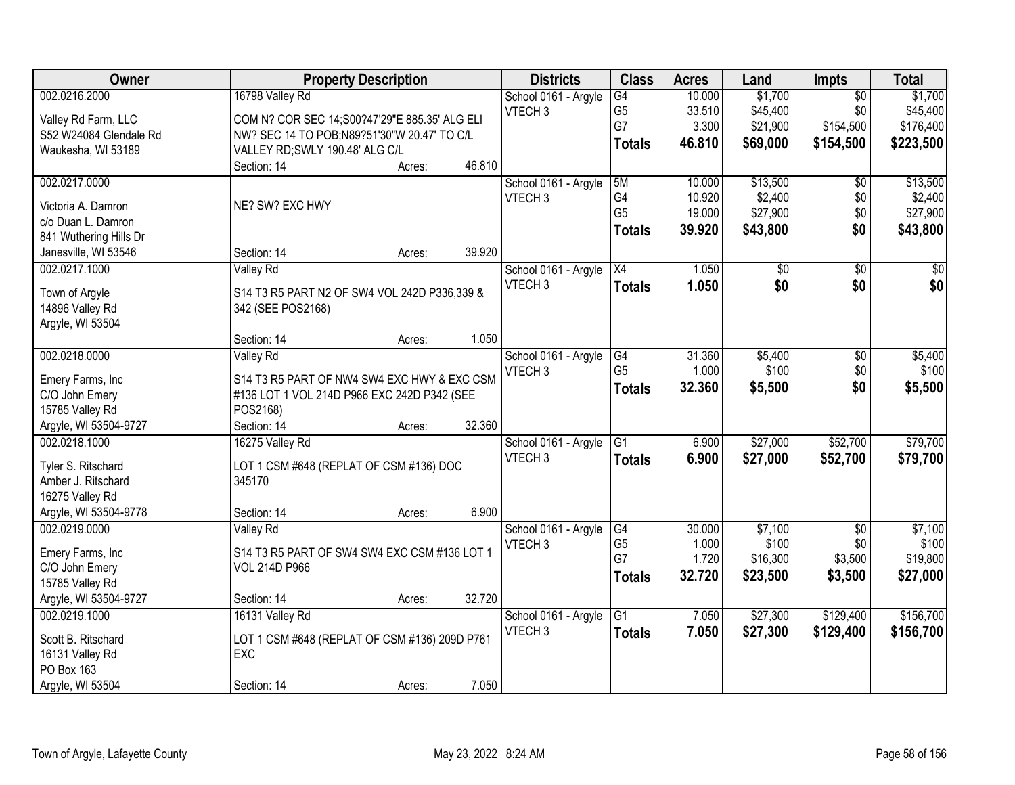| Owner                  | <b>Property Description</b>                    |        |        | <b>Districts</b>     | <b>Class</b>    | <b>Acres</b> | Land     | <b>Impts</b>    | <b>Total</b> |
|------------------------|------------------------------------------------|--------|--------|----------------------|-----------------|--------------|----------|-----------------|--------------|
| 002.0216.2000          | 16798 Valley Rd                                |        |        | School 0161 - Argyle | G4              | 10.000       | \$1,700  | $\overline{50}$ | \$1,700      |
| Valley Rd Farm, LLC    | COM N? COR SEC 14; S00?47'29"E 885.35' ALG ELI |        |        | VTECH <sub>3</sub>   | G <sub>5</sub>  | 33.510       | \$45,400 | \$0             | \$45,400     |
| S52 W24084 Glendale Rd | NW? SEC 14 TO POB;N89?51'30"W 20.47' TO C/L    |        |        |                      | G7              | 3.300        | \$21,900 | \$154,500       | \$176,400    |
| Waukesha, WI 53189     | VALLEY RD; SWLY 190.48' ALG C/L                |        |        |                      | <b>Totals</b>   | 46.810       | \$69,000 | \$154,500       | \$223,500    |
|                        | Section: 14                                    | Acres: | 46.810 |                      |                 |              |          |                 |              |
| 002.0217.0000          |                                                |        |        | School 0161 - Argyle | 5M              | 10.000       | \$13,500 | \$0             | \$13,500     |
|                        |                                                |        |        | VTECH <sub>3</sub>   | G4              | 10.920       | \$2,400  | \$0             | \$2,400      |
| Victoria A. Damron     | NE? SW? EXC HWY                                |        |        |                      | G <sub>5</sub>  | 19.000       | \$27,900 | \$0             | \$27,900     |
| c/o Duan L. Damron     |                                                |        |        |                      | <b>Totals</b>   | 39.920       | \$43,800 | \$0             | \$43,800     |
| 841 Wuthering Hills Dr |                                                |        |        |                      |                 |              |          |                 |              |
| Janesville, WI 53546   | Section: 14                                    | Acres: | 39.920 |                      |                 |              |          |                 |              |
| 002.0217.1000          | Valley Rd                                      |        |        | School 0161 - Argyle | X4              | 1.050        | \$0      | \$0             | $\sqrt{50}$  |
| Town of Argyle         | S14 T3 R5 PART N2 OF SW4 VOL 242D P336,339 &   |        |        | VTECH <sub>3</sub>   | <b>Totals</b>   | 1.050        | \$0      | \$0             | \$0          |
| 14896 Valley Rd        | 342 (SEE POS2168)                              |        |        |                      |                 |              |          |                 |              |
| Argyle, WI 53504       |                                                |        |        |                      |                 |              |          |                 |              |
|                        | Section: 14                                    | Acres: | 1.050  |                      |                 |              |          |                 |              |
| 002.0218.0000          | <b>Valley Rd</b>                               |        |        | School 0161 - Argyle | G4              | 31.360       | \$5,400  | $\sqrt[6]{3}$   | \$5,400      |
| Emery Farms, Inc       | S14 T3 R5 PART OF NW4 SW4 EXC HWY & EXC CSM    |        |        | VTECH <sub>3</sub>   | G <sub>5</sub>  | 1.000        | \$100    | \$0             | \$100        |
| C/O John Emery         | #136 LOT 1 VOL 214D P966 EXC 242D P342 (SEE    |        |        |                      | <b>Totals</b>   | 32.360       | \$5,500  | \$0             | \$5,500      |
| 15785 Valley Rd        | POS2168)                                       |        |        |                      |                 |              |          |                 |              |
| Argyle, WI 53504-9727  | Section: 14                                    | Acres: | 32.360 |                      |                 |              |          |                 |              |
| 002.0218.1000          | 16275 Valley Rd                                |        |        | School 0161 - Argyle | $\overline{G1}$ | 6.900        | \$27,000 | \$52,700        | \$79,700     |
|                        |                                                |        |        | VTECH <sub>3</sub>   | <b>Totals</b>   | 6.900        | \$27,000 | \$52,700        | \$79,700     |
| Tyler S. Ritschard     | LOT 1 CSM #648 (REPLAT OF CSM #136) DOC        |        |        |                      |                 |              |          |                 |              |
| Amber J. Ritschard     | 345170                                         |        |        |                      |                 |              |          |                 |              |
| 16275 Valley Rd        |                                                |        |        |                      |                 |              |          |                 |              |
| Argyle, WI 53504-9778  | Section: 14                                    | Acres: | 6.900  |                      |                 |              |          |                 |              |
| 002.0219.0000          | Valley Rd                                      |        |        | School 0161 - Argyle | G4              | 30.000       | \$7,100  | $\overline{50}$ | \$7,100      |
| Emery Farms, Inc       | S14 T3 R5 PART OF SW4 SW4 EXC CSM #136 LOT 1   |        |        | VTECH <sub>3</sub>   | G <sub>5</sub>  | 1.000        | \$100    | \$0             | \$100        |
| C/O John Emery         | <b>VOL 214D P966</b>                           |        |        |                      | G7              | 1.720        | \$16,300 | \$3,500         | \$19,800     |
| 15785 Valley Rd        |                                                |        |        |                      | <b>Totals</b>   | 32.720       | \$23,500 | \$3,500         | \$27,000     |
| Argyle, WI 53504-9727  | Section: 14                                    | Acres: | 32.720 |                      |                 |              |          |                 |              |
| 002.0219.1000          | 16131 Valley Rd                                |        |        | School 0161 - Argyle | $\overline{G1}$ | 7.050        | \$27,300 | \$129,400       | \$156,700    |
|                        |                                                |        |        | VTECH <sub>3</sub>   | <b>Totals</b>   | 7.050        | \$27,300 | \$129,400       | \$156,700    |
| Scott B. Ritschard     | LOT 1 CSM #648 (REPLAT OF CSM #136) 209D P761  |        |        |                      |                 |              |          |                 |              |
| 16131 Valley Rd        | EXC                                            |        |        |                      |                 |              |          |                 |              |
| PO Box 163             |                                                |        |        |                      |                 |              |          |                 |              |
| Argyle, WI 53504       | Section: 14                                    | Acres: | 7.050  |                      |                 |              |          |                 |              |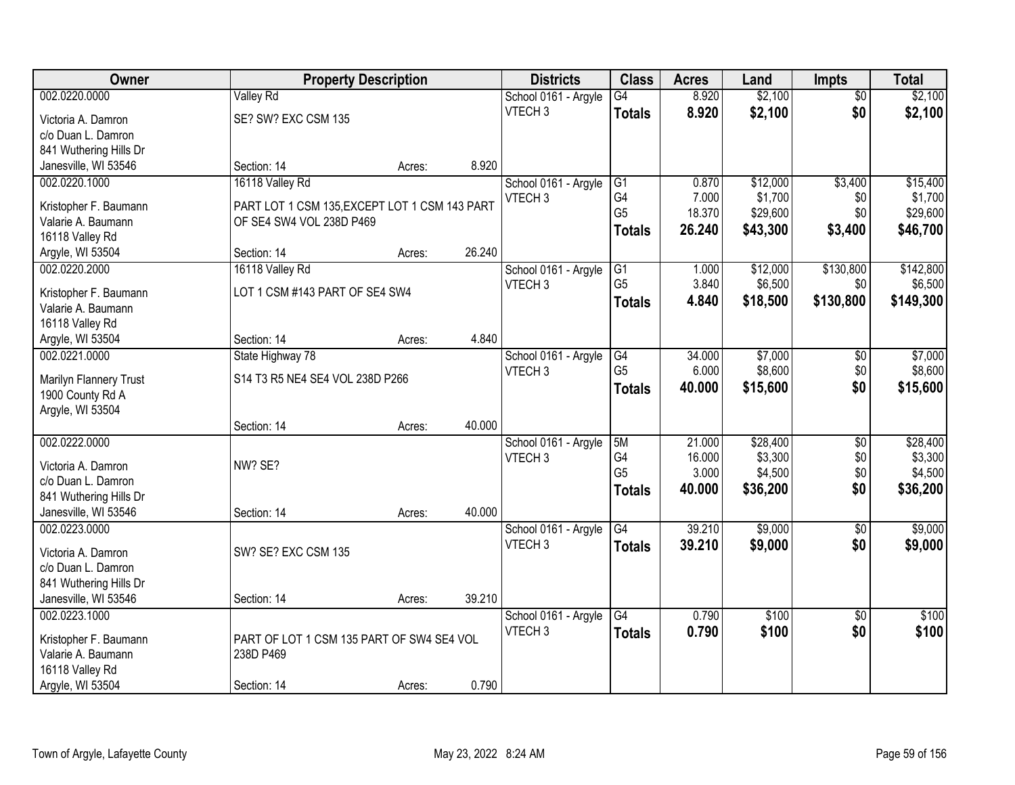| Owner                                 | <b>Property Description</b>                   |        |        | <b>Districts</b>                           | <b>Class</b>    | <b>Acres</b> | Land     | <b>Impts</b>    | <b>Total</b> |
|---------------------------------------|-----------------------------------------------|--------|--------|--------------------------------------------|-----------------|--------------|----------|-----------------|--------------|
| 002.0220.0000                         | <b>Valley Rd</b>                              |        |        | School 0161 - Argyle                       | G4              | 8.920        | \$2,100  | $\overline{50}$ | \$2,100      |
| Victoria A. Damron                    | SE? SW? EXC CSM 135                           |        |        | VTECH <sub>3</sub>                         | <b>Totals</b>   | 8.920        | \$2,100  | \$0             | \$2,100      |
| c/o Duan L. Damron                    |                                               |        |        |                                            |                 |              |          |                 |              |
| 841 Wuthering Hills Dr                |                                               |        |        |                                            |                 |              |          |                 |              |
| Janesville, WI 53546                  | Section: 14                                   | Acres: | 8.920  |                                            |                 |              |          |                 |              |
| 002.0220.1000                         | 16118 Valley Rd                               |        |        | School 0161 - Argyle                       | G1              | 0.870        | \$12,000 | \$3,400         | \$15,400     |
|                                       |                                               |        |        | VTECH <sub>3</sub>                         | G4              | 7.000        | \$1,700  | \$0             | \$1,700      |
| Kristopher F. Baumann                 | PART LOT 1 CSM 135, EXCEPT LOT 1 CSM 143 PART |        |        |                                            | G <sub>5</sub>  | 18.370       | \$29,600 | \$0             | \$29,600     |
| Valarie A. Baumann<br>16118 Valley Rd | OF SE4 SW4 VOL 238D P469                      |        |        |                                            | <b>Totals</b>   | 26.240       | \$43,300 | \$3,400         | \$46,700     |
| Argyle, WI 53504                      | Section: 14                                   |        | 26.240 |                                            |                 |              |          |                 |              |
| 002.0220.2000                         | 16118 Valley Rd                               | Acres: |        |                                            | G1              | 1.000        | \$12,000 | \$130,800       | \$142,800    |
|                                       |                                               |        |        | School 0161 - Argyle<br>VTECH <sub>3</sub> | G <sub>5</sub>  | 3.840        | \$6,500  | \$0             | \$6,500      |
| Kristopher F. Baumann                 | LOT 1 CSM #143 PART OF SE4 SW4                |        |        |                                            |                 |              |          |                 |              |
| Valarie A. Baumann                    |                                               |        |        |                                            | <b>Totals</b>   | 4.840        | \$18,500 | \$130,800       | \$149,300    |
| 16118 Valley Rd                       |                                               |        |        |                                            |                 |              |          |                 |              |
| Argyle, WI 53504                      | Section: 14                                   | Acres: | 4.840  |                                            |                 |              |          |                 |              |
| 002.0221.0000                         | State Highway 78                              |        |        | School 0161 - Argyle                       | G4              | 34.000       | \$7,000  | $\sqrt[6]{3}$   | \$7,000      |
| Marilyn Flannery Trust                | S14 T3 R5 NE4 SE4 VOL 238D P266               |        |        | VTECH <sub>3</sub>                         | G <sub>5</sub>  | 6.000        | \$8,600  | \$0             | \$8,600      |
| 1900 County Rd A                      |                                               |        |        |                                            | <b>Totals</b>   | 40.000       | \$15,600 | \$0             | \$15,600     |
| Argyle, WI 53504                      |                                               |        |        |                                            |                 |              |          |                 |              |
|                                       | Section: 14                                   | Acres: | 40.000 |                                            |                 |              |          |                 |              |
| 002.0222.0000                         |                                               |        |        | School 0161 - Argyle                       | 5M              | 21.000       | \$28,400 | $\overline{50}$ | \$28,400     |
|                                       |                                               |        |        | VTECH <sub>3</sub>                         | G4              | 16.000       | \$3,300  | \$0             | \$3,300      |
| Victoria A. Damron                    | NW? SE?                                       |        |        |                                            | G <sub>5</sub>  | 3.000        | \$4,500  | \$0             | \$4,500      |
| c/o Duan L. Damron                    |                                               |        |        |                                            | <b>Totals</b>   | 40.000       | \$36,200 | \$0             | \$36,200     |
| 841 Wuthering Hills Dr                |                                               |        |        |                                            |                 |              |          |                 |              |
| Janesville, WI 53546                  | Section: 14                                   | Acres: | 40.000 |                                            |                 |              |          |                 |              |
| 002.0223.0000                         |                                               |        |        | School 0161 - Argyle                       | $\overline{G4}$ | 39.210       | \$9,000  | $\overline{60}$ | \$9,000      |
| Victoria A. Damron                    | SW? SE? EXC CSM 135                           |        |        | VTECH <sub>3</sub>                         | <b>Totals</b>   | 39.210       | \$9,000  | \$0             | \$9,000      |
| c/o Duan L. Damron                    |                                               |        |        |                                            |                 |              |          |                 |              |
| 841 Wuthering Hills Dr                |                                               |        |        |                                            |                 |              |          |                 |              |
| Janesville, WI 53546                  | Section: 14                                   | Acres: | 39.210 |                                            |                 |              |          |                 |              |
| 002.0223.1000                         |                                               |        |        | School 0161 - Argyle                       | G4              | 0.790        | \$100    | $\overline{50}$ | \$100        |
|                                       |                                               |        |        | VTECH <sub>3</sub>                         | <b>Totals</b>   | 0.790        | \$100    | \$0             | \$100        |
| Kristopher F. Baumann                 | PART OF LOT 1 CSM 135 PART OF SW4 SE4 VOL     |        |        |                                            |                 |              |          |                 |              |
| Valarie A. Baumann                    | 238D P469                                     |        |        |                                            |                 |              |          |                 |              |
| 16118 Valley Rd                       |                                               |        |        |                                            |                 |              |          |                 |              |
| Argyle, WI 53504                      | Section: 14                                   | Acres: | 0.790  |                                            |                 |              |          |                 |              |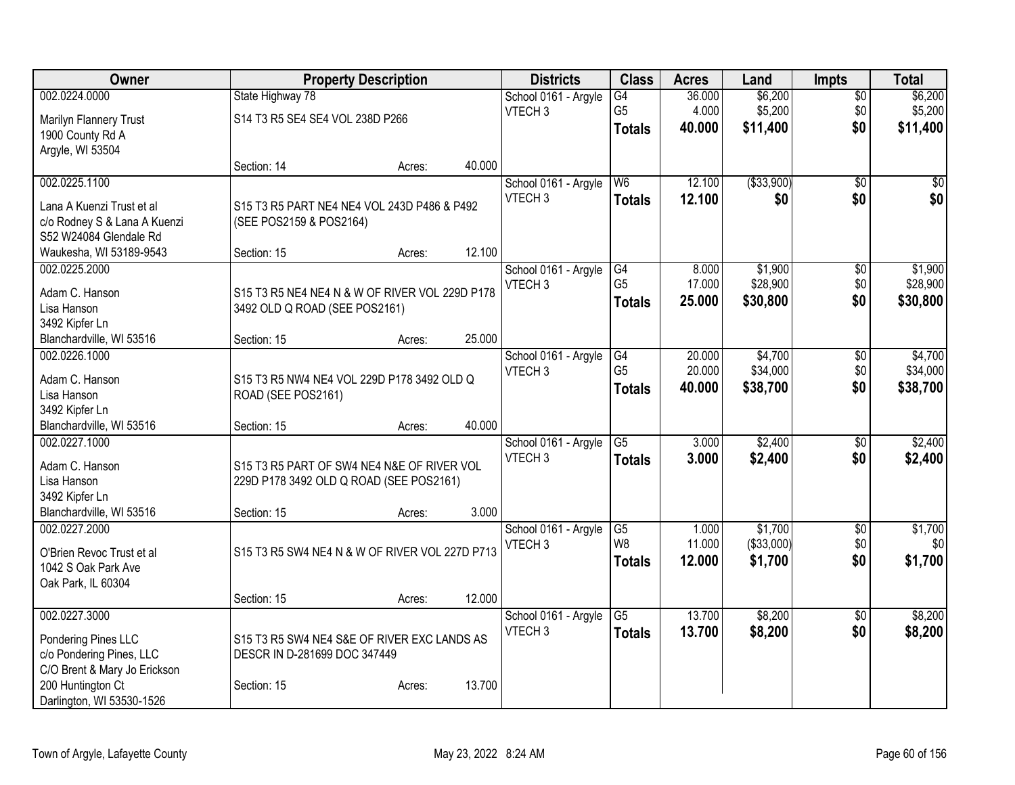| Owner                                      | <b>Property Description</b>                                                     |        |        | <b>Districts</b>     | <b>Class</b>         | <b>Acres</b> | Land        | <b>Impts</b>    | <b>Total</b> |
|--------------------------------------------|---------------------------------------------------------------------------------|--------|--------|----------------------|----------------------|--------------|-------------|-----------------|--------------|
| 002.0224.0000                              | State Highway 78                                                                |        |        | School 0161 - Argyle | $\overline{G4}$      | 36.000       | \$6,200     | $\overline{50}$ | \$6,200      |
| Marilyn Flannery Trust                     | S14 T3 R5 SE4 SE4 VOL 238D P266                                                 |        |        | VTECH <sub>3</sub>   | G <sub>5</sub>       | 4.000        | \$5,200     | \$0             | \$5,200      |
| 1900 County Rd A                           |                                                                                 |        |        |                      | <b>Totals</b>        | 40.000       | \$11,400    | \$0             | \$11,400     |
| Argyle, WI 53504                           |                                                                                 |        |        |                      |                      |              |             |                 |              |
|                                            | Section: 14                                                                     | Acres: | 40.000 |                      |                      |              |             |                 |              |
| 002.0225.1100                              |                                                                                 |        |        | School 0161 - Argyle | W <sub>6</sub>       | 12.100       | ( \$33,900) | $\overline{30}$ | \$0          |
| Lana A Kuenzi Trust et al                  | S15 T3 R5 PART NE4 NE4 VOL 243D P486 & P492                                     |        |        | VTECH <sub>3</sub>   | <b>Totals</b>        | 12.100       | \$0         | \$0             | \$0          |
| c/o Rodney S & Lana A Kuenzi               | (SEE POS2159 & POS2164)                                                         |        |        |                      |                      |              |             |                 |              |
| S52 W24084 Glendale Rd                     |                                                                                 |        |        |                      |                      |              |             |                 |              |
| Waukesha, WI 53189-9543                    | Section: 15                                                                     | Acres: | 12.100 |                      |                      |              |             |                 |              |
| 002.0225.2000                              |                                                                                 |        |        | School 0161 - Argyle | G4                   | 8.000        | \$1,900     | \$0             | \$1,900      |
|                                            |                                                                                 |        |        | VTECH <sub>3</sub>   | G <sub>5</sub>       | 17.000       | \$28,900    | \$0             | \$28,900     |
| Adam C. Hanson<br>Lisa Hanson              | S15 T3 R5 NE4 NE4 N & W OF RIVER VOL 229D P178<br>3492 OLD Q ROAD (SEE POS2161) |        |        |                      | <b>Totals</b>        | 25,000       | \$30,800    | \$0             | \$30,800     |
| 3492 Kipfer Ln                             |                                                                                 |        |        |                      |                      |              |             |                 |              |
| Blanchardville, WI 53516                   | Section: 15                                                                     | Acres: | 25.000 |                      |                      |              |             |                 |              |
| 002.0226.1000                              |                                                                                 |        |        | School 0161 - Argyle | G4                   | 20.000       | \$4,700     | \$0             | \$4,700      |
|                                            |                                                                                 |        |        | VTECH <sub>3</sub>   | G <sub>5</sub>       | 20.000       | \$34,000    | \$0             | \$34,000     |
| Adam C. Hanson                             | S15 T3 R5 NW4 NE4 VOL 229D P178 3492 OLD Q                                      |        |        |                      | <b>Totals</b>        | 40.000       | \$38,700    | \$0             | \$38,700     |
| Lisa Hanson                                | ROAD (SEE POS2161)                                                              |        |        |                      |                      |              |             |                 |              |
| 3492 Kipfer Ln<br>Blanchardville, WI 53516 | Section: 15                                                                     |        | 40.000 |                      |                      |              |             |                 |              |
| 002.0227.1000                              |                                                                                 | Acres: |        | School 0161 - Argyle | $\overline{G5}$      | 3.000        | \$2,400     | \$0             | \$2,400      |
|                                            |                                                                                 |        |        | VTECH <sub>3</sub>   | <b>Totals</b>        | 3.000        | \$2,400     | \$0             | \$2,400      |
| Adam C. Hanson                             | S15 T3 R5 PART OF SW4 NE4 N&E OF RIVER VOL                                      |        |        |                      |                      |              |             |                 |              |
| Lisa Hanson                                | 229D P178 3492 OLD Q ROAD (SEE POS2161)                                         |        |        |                      |                      |              |             |                 |              |
| 3492 Kipfer Ln                             |                                                                                 |        |        |                      |                      |              |             |                 |              |
| Blanchardville, WI 53516                   | Section: 15                                                                     | Acres: | 3.000  |                      |                      |              |             |                 |              |
| 002.0227.2000                              |                                                                                 |        |        | School 0161 - Argyle | G5<br>W <sub>8</sub> | 1.000        | \$1,700     | $\sqrt{$0}$     | \$1,700      |
| O'Brien Revoc Trust et al                  | S15 T3 R5 SW4 NE4 N & W OF RIVER VOL 227D P713                                  |        |        | VTECH <sub>3</sub>   |                      | 11.000       | (\$33,000)  | \$0             | \$0          |
| 1042 S Oak Park Ave                        |                                                                                 |        |        |                      | <b>Totals</b>        | 12.000       | \$1,700     | \$0             | \$1,700      |
| Oak Park, IL 60304                         |                                                                                 |        |        |                      |                      |              |             |                 |              |
|                                            | Section: 15                                                                     | Acres: | 12.000 |                      |                      |              |             |                 |              |
| 002.0227.3000                              |                                                                                 |        |        | School 0161 - Argyle | $\overline{G5}$      | 13.700       | \$8,200     | $\overline{50}$ | \$8,200      |
| Pondering Pines LLC                        | S15 T3 R5 SW4 NE4 S&E OF RIVER EXC LANDS AS                                     |        |        | VTECH <sub>3</sub>   | <b>Totals</b>        | 13.700       | \$8,200     | \$0             | \$8,200      |
| c/o Pondering Pines, LLC                   | DESCR IN D-281699 DOC 347449                                                    |        |        |                      |                      |              |             |                 |              |
| C/O Brent & Mary Jo Erickson               |                                                                                 |        |        |                      |                      |              |             |                 |              |
| 200 Huntington Ct                          | Section: 15                                                                     | Acres: | 13.700 |                      |                      |              |             |                 |              |
| Darlington, WI 53530-1526                  |                                                                                 |        |        |                      |                      |              |             |                 |              |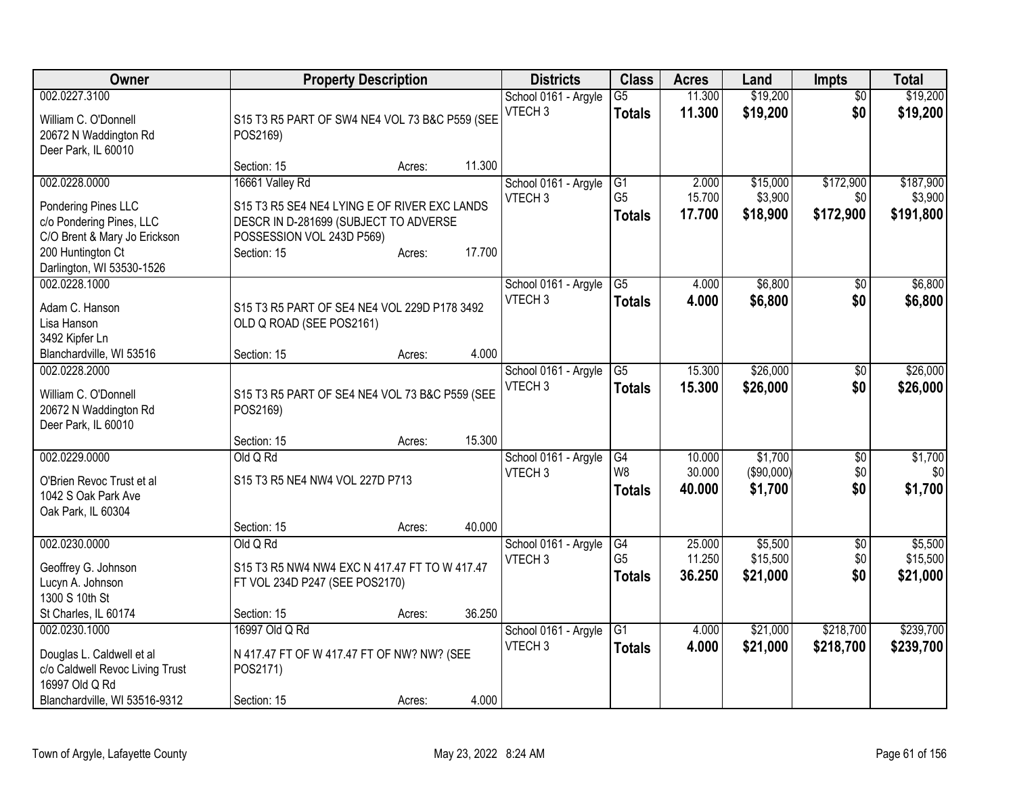| Owner                                                                                                                                              |                                                                                                                                                      | <b>Property Description</b> |        | <b>Districts</b>                           | <b>Class</b>                          | <b>Acres</b>               | Land                             | <b>Impts</b>                  | <b>Total</b>                      |
|----------------------------------------------------------------------------------------------------------------------------------------------------|------------------------------------------------------------------------------------------------------------------------------------------------------|-----------------------------|--------|--------------------------------------------|---------------------------------------|----------------------------|----------------------------------|-------------------------------|-----------------------------------|
| 002.0227.3100<br>William C. O'Donnell<br>20672 N Waddington Rd<br>Deer Park, IL 60010                                                              | S15 T3 R5 PART OF SW4 NE4 VOL 73 B&C P559 (SEE<br>POS2169)                                                                                           |                             |        | School 0161 - Argyle<br>VTECH <sub>3</sub> | $\overline{G5}$<br><b>Totals</b>      | 11.300<br>11.300           | \$19,200<br>\$19,200             | $\overline{50}$<br>\$0        | \$19,200<br>\$19,200              |
|                                                                                                                                                    | Section: 15                                                                                                                                          | Acres:                      | 11.300 |                                            |                                       |                            |                                  |                               |                                   |
| 002.0228.0000<br>Pondering Pines LLC<br>c/o Pondering Pines, LLC<br>C/O Brent & Mary Jo Erickson<br>200 Huntington Ct<br>Darlington, WI 53530-1526 | 16661 Valley Rd<br>S15 T3 R5 SE4 NE4 LYING E OF RIVER EXC LANDS<br>DESCR IN D-281699 (SUBJECT TO ADVERSE<br>POSSESSION VOL 243D P569)<br>Section: 15 | Acres:                      | 17.700 | School 0161 - Argyle<br>VTECH <sub>3</sub> | G1<br>G <sub>5</sub><br><b>Totals</b> | 2.000<br>15.700<br>17.700  | \$15,000<br>\$3,900<br>\$18,900  | \$172,900<br>\$0<br>\$172,900 | \$187,900<br>\$3,900<br>\$191,800 |
| 002.0228.1000<br>Adam C. Hanson<br>Lisa Hanson<br>3492 Kipfer Ln<br>Blanchardville, WI 53516                                                       | S15 T3 R5 PART OF SE4 NE4 VOL 229D P178 3492<br>OLD Q ROAD (SEE POS2161)<br>Section: 15                                                              | Acres:                      | 4.000  | School 0161 - Argyle<br>VTECH <sub>3</sub> | $\overline{G5}$<br><b>Totals</b>      | 4.000<br>4.000             | \$6,800<br>\$6,800               | $\sqrt{50}$<br>\$0            | \$6,800<br>\$6,800                |
| 002.0228.2000<br>William C. O'Donnell<br>20672 N Waddington Rd<br>Deer Park, IL 60010                                                              | S15 T3 R5 PART OF SE4 NE4 VOL 73 B&C P559 (SEE<br>POS2169)                                                                                           |                             |        | School 0161 - Argyle<br>VTECH <sub>3</sub> | G5<br><b>Totals</b>                   | 15.300<br>15.300           | \$26,000<br>\$26,000             | \$0<br>\$0                    | \$26,000<br>\$26,000              |
| 002.0229.0000<br>O'Brien Revoc Trust et al<br>1042 S Oak Park Ave                                                                                  | Section: 15<br>Old Q Rd<br>S15 T3 R5 NE4 NW4 VOL 227D P713                                                                                           | Acres:                      | 15.300 | School 0161 - Argyle<br>VTECH <sub>3</sub> | G4<br>W8<br><b>Totals</b>             | 10.000<br>30.000<br>40.000 | \$1,700<br>(\$90,000)<br>\$1,700 | \$0<br>\$0<br>\$0             | \$1,700<br>\$0<br>\$1,700         |
| Oak Park, IL 60304                                                                                                                                 | Section: 15                                                                                                                                          | Acres:                      | 40.000 |                                            |                                       |                            |                                  |                               |                                   |
| 002.0230.0000<br>Geoffrey G. Johnson<br>Lucyn A. Johnson<br>1300 S 10th St                                                                         | Old Q Rd<br>S15 T3 R5 NW4 NW4 EXC N 417.47 FT TO W 417.47<br>FT VOL 234D P247 (SEE POS2170)                                                          |                             |        | School 0161 - Argyle<br>VTECH <sub>3</sub> | G4<br>G <sub>5</sub><br>Totals        | 25.000<br>11.250<br>36.250 | \$5,500<br>\$15,500<br>\$21,000  | $\sqrt{6}$<br>\$0<br>\$0      | \$5,500<br>\$15,500<br>\$21,000   |
| St Charles, IL 60174                                                                                                                               | Section: 15                                                                                                                                          | Acres:                      | 36.250 |                                            |                                       |                            |                                  |                               |                                   |
| 002.0230.1000<br>Douglas L. Caldwell et al<br>c/o Caldwell Revoc Living Trust<br>16997 Old Q Rd                                                    | 16997 Old Q Rd<br>N 417.47 FT OF W 417.47 FT OF NW? NW? (SEE<br>POS2171)                                                                             |                             |        | School 0161 - Argyle<br>VTECH <sub>3</sub> | $\overline{G1}$<br><b>Totals</b>      | 4.000<br>4.000             | \$21,000<br>\$21,000             | \$218,700<br>\$218,700        | \$239,700<br>\$239,700            |
| Blanchardville, WI 53516-9312                                                                                                                      | Section: 15                                                                                                                                          | Acres:                      | 4.000  |                                            |                                       |                            |                                  |                               |                                   |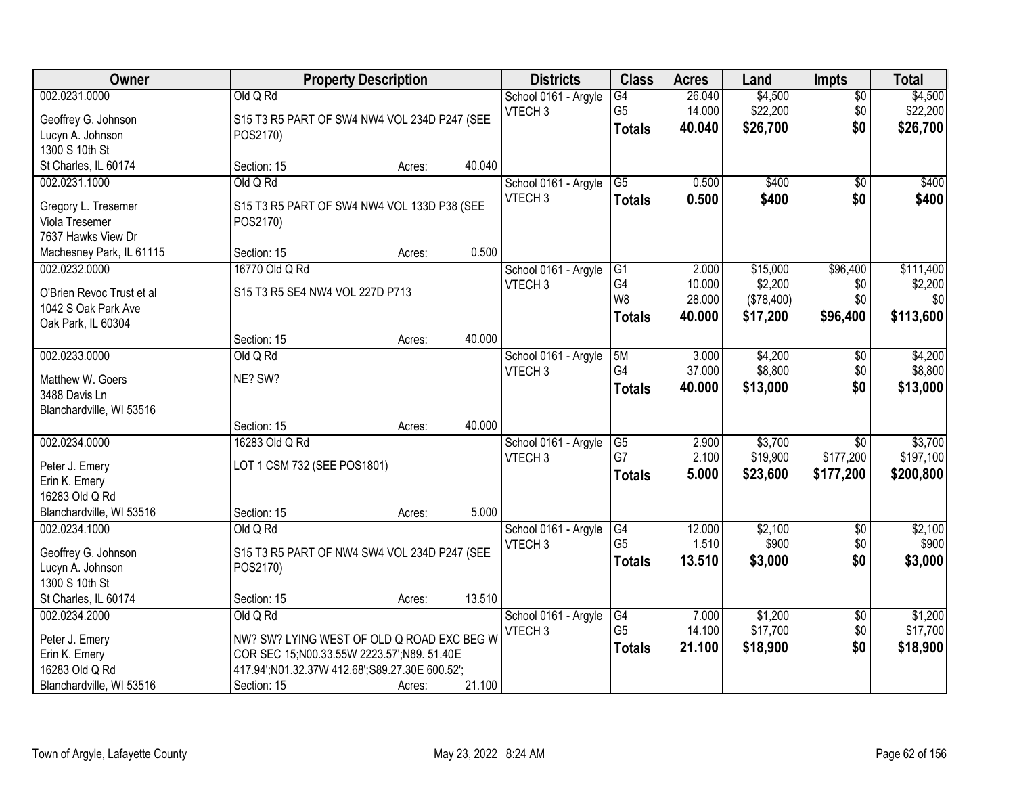| Owner                     |                                                | <b>Property Description</b> |        | <b>Districts</b>     | <b>Class</b>    | <b>Acres</b>     | Land                  | <b>Impts</b>    | <b>Total</b>   |
|---------------------------|------------------------------------------------|-----------------------------|--------|----------------------|-----------------|------------------|-----------------------|-----------------|----------------|
| 002.0231.0000             | Old Q Rd                                       |                             |        | School 0161 - Argyle | G4              | 26.040           | \$4,500               | $\sqrt{$0}$     | \$4,500        |
| Geoffrey G. Johnson       | S15 T3 R5 PART OF SW4 NW4 VOL 234D P247 (SEE   |                             |        | VTECH <sub>3</sub>   | G <sub>5</sub>  | 14.000<br>40.040 | \$22,200<br>\$26,700  | \$0<br>\$0      | \$22,200       |
| Lucyn A. Johnson          | POS2170)                                       |                             |        |                      | <b>Totals</b>   |                  |                       |                 | \$26,700       |
| 1300 S 10th St            |                                                |                             |        |                      |                 |                  |                       |                 |                |
| St Charles, IL 60174      | Section: 15                                    | Acres:                      | 40.040 |                      |                 |                  |                       |                 |                |
| 002.0231.1000             | Old Q Rd                                       |                             |        | School 0161 - Argyle | $\overline{G5}$ | 0.500            | \$400                 | $\overline{50}$ | \$400          |
| Gregory L. Tresemer       | S15 T3 R5 PART OF SW4 NW4 VOL 133D P38 (SEE    |                             |        | VTECH <sub>3</sub>   | <b>Totals</b>   | 0.500            | \$400                 | \$0             | \$400          |
| <b>Viola Tresemer</b>     | POS2170)                                       |                             |        |                      |                 |                  |                       |                 |                |
| 7637 Hawks View Dr        |                                                |                             |        |                      |                 |                  |                       |                 |                |
| Machesney Park, IL 61115  | Section: 15                                    | Acres:                      | 0.500  |                      |                 |                  |                       |                 |                |
| 002.0232.0000             | 16770 Old Q Rd                                 |                             |        | School 0161 - Argyle | G1<br>G4        | 2.000            | \$15,000              | \$96,400        | \$111,400      |
| O'Brien Revoc Trust et al | S15 T3 R5 SE4 NW4 VOL 227D P713                |                             |        | VTECH <sub>3</sub>   | W <sub>8</sub>  | 10.000<br>28.000 | \$2,200<br>(\$78,400) | \$0<br>\$0      | \$2,200<br>\$0 |
| 1042 S Oak Park Ave       |                                                |                             |        |                      | <b>Totals</b>   | 40.000           | \$17,200              | \$96,400        | \$113,600      |
| Oak Park, IL 60304        |                                                |                             |        |                      |                 |                  |                       |                 |                |
|                           | Section: 15                                    | Acres:                      | 40.000 |                      |                 |                  |                       |                 |                |
| 002.0233.0000             | Old Q Rd                                       |                             |        | School 0161 - Argyle | 5M              | 3.000            | \$4,200               | $\sqrt[6]{3}$   | \$4,200        |
| Matthew W. Goers          | NE? SW?                                        |                             |        | VTECH <sub>3</sub>   | G4              | 37.000           | \$8,800               | \$0             | \$8,800        |
| 3488 Davis Ln             |                                                |                             |        |                      | <b>Totals</b>   | 40.000           | \$13,000              | \$0             | \$13,000       |
| Blanchardville, WI 53516  |                                                |                             |        |                      |                 |                  |                       |                 |                |
|                           | Section: 15                                    | Acres:                      | 40.000 |                      |                 |                  |                       |                 |                |
| 002.0234.0000             | 16283 Old Q Rd                                 |                             |        | School 0161 - Argyle | G5              | 2.900            | \$3,700               | \$0             | \$3,700        |
| Peter J. Emery            | LOT 1 CSM 732 (SEE POS1801)                    |                             |        | VTECH <sub>3</sub>   | G7              | 2.100            | \$19,900              | \$177,200       | \$197,100      |
| Erin K. Emery             |                                                |                             |        |                      | <b>Totals</b>   | 5.000            | \$23,600              | \$177,200       | \$200,800      |
| 16283 Old Q Rd            |                                                |                             |        |                      |                 |                  |                       |                 |                |
| Blanchardville, WI 53516  | Section: 15                                    | Acres:                      | 5.000  |                      |                 |                  |                       |                 |                |
| 002.0234.1000             | Old Q Rd                                       |                             |        | School 0161 - Argyle | G4              | 12.000           | \$2,100               | $\overline{$0}$ | \$2,100        |
| Geoffrey G. Johnson       | S15 T3 R5 PART OF NW4 SW4 VOL 234D P247 (SEE   |                             |        | VTECH <sub>3</sub>   | G <sub>5</sub>  | 1.510            | \$900                 | \$0             | \$900          |
| Lucyn A. Johnson          | POS2170)                                       |                             |        |                      | <b>Totals</b>   | 13.510           | \$3,000               | \$0             | \$3,000        |
| 1300 S 10th St            |                                                |                             |        |                      |                 |                  |                       |                 |                |
| St Charles, IL 60174      | Section: 15                                    | Acres:                      | 13.510 |                      |                 |                  |                       |                 |                |
| 002.0234.2000             | Old Q Rd                                       |                             |        | School 0161 - Argyle | G4              | 7.000            | \$1,200               | $\overline{60}$ | \$1,200        |
| Peter J. Emery            | NW? SW? LYING WEST OF OLD Q ROAD EXC BEG W     |                             |        | VTECH <sub>3</sub>   | G <sub>5</sub>  | 14.100           | \$17,700              | \$0             | \$17,700       |
| Erin K. Emery             | COR SEC 15;N00.33.55W 2223.57';N89. 51.40E     |                             |        |                      | <b>Totals</b>   | 21.100           | \$18,900              | \$0             | \$18,900       |
| 16283 Old Q Rd            | 417.94';N01.32.37W 412.68';S89.27.30E 600.52'; |                             |        |                      |                 |                  |                       |                 |                |
| Blanchardville, WI 53516  | Section: 15                                    | Acres:                      | 21.100 |                      |                 |                  |                       |                 |                |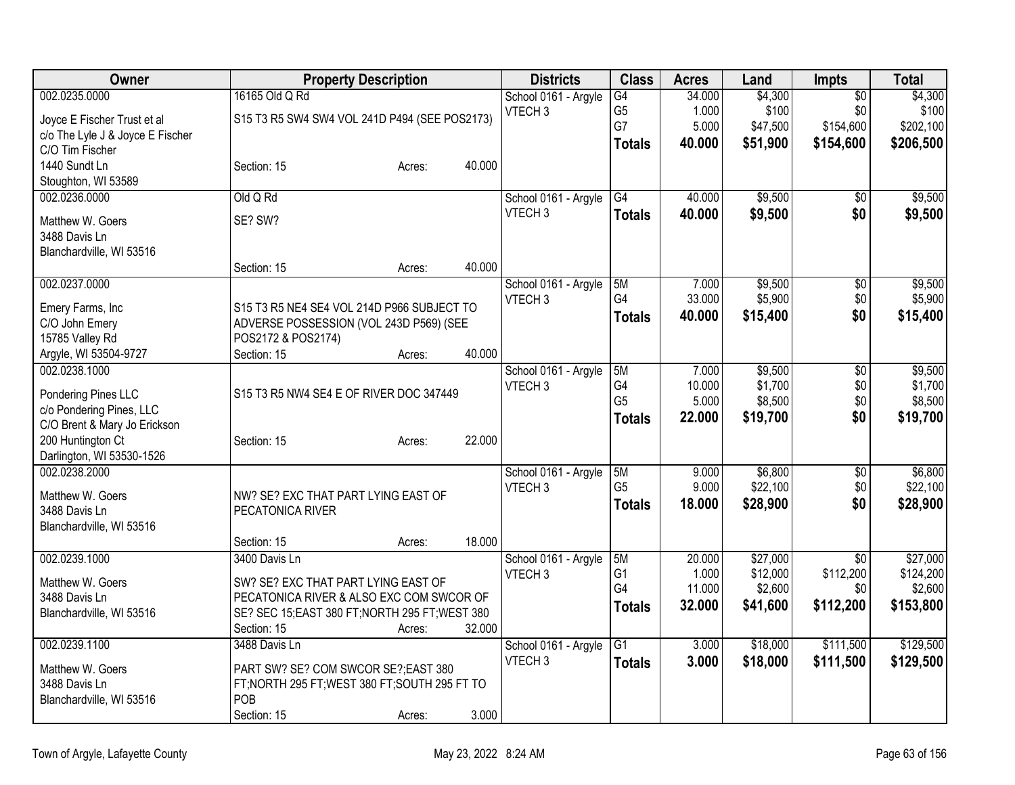| Owner                             | <b>Property Description</b>                                   |        |        | <b>Districts</b>     | <b>Class</b>    | <b>Acres</b> | Land     | Impts           | <b>Total</b> |
|-----------------------------------|---------------------------------------------------------------|--------|--------|----------------------|-----------------|--------------|----------|-----------------|--------------|
| 002.0235.0000                     | 16165 Old Q Rd                                                |        |        | School 0161 - Argyle | G4              | 34.000       | \$4,300  | $\overline{50}$ | \$4,300      |
| Joyce E Fischer Trust et al       | S15 T3 R5 SW4 SW4 VOL 241D P494 (SEE POS2173)                 |        |        | VTECH <sub>3</sub>   | G <sub>5</sub>  | 1.000        | \$100    | \$0             | \$100        |
| c/o The Lyle J & Joyce E Fischer  |                                                               |        |        |                      | G7              | 5.000        | \$47,500 | \$154,600       | \$202,100    |
| C/O Tim Fischer                   |                                                               |        |        |                      | <b>Totals</b>   | 40.000       | \$51,900 | \$154,600       | \$206,500    |
| 1440 Sundt Ln                     | Section: 15                                                   | Acres: | 40.000 |                      |                 |              |          |                 |              |
| Stoughton, WI 53589               |                                                               |        |        |                      |                 |              |          |                 |              |
| 002.0236.0000                     | Old Q Rd                                                      |        |        | School 0161 - Argyle | $\overline{G4}$ | 40.000       | \$9,500  | $\overline{30}$ | \$9,500      |
| Matthew W. Goers                  | SE? SW?                                                       |        |        | VTECH <sub>3</sub>   | <b>Totals</b>   | 40.000       | \$9,500  | \$0             | \$9,500      |
| 3488 Davis Ln                     |                                                               |        |        |                      |                 |              |          |                 |              |
| Blanchardville, WI 53516          |                                                               |        |        |                      |                 |              |          |                 |              |
|                                   | Section: 15                                                   | Acres: | 40.000 |                      |                 |              |          |                 |              |
| 002.0237.0000                     |                                                               |        |        | School 0161 - Argyle | 5M              | 7.000        | \$9,500  | $\overline{50}$ | \$9,500      |
|                                   |                                                               |        |        | VTECH <sub>3</sub>   | G4              | 33.000       | \$5,900  | \$0             | \$5,900      |
| Emery Farms, Inc                  | S15 T3 R5 NE4 SE4 VOL 214D P966 SUBJECT TO                    |        |        |                      | <b>Totals</b>   | 40.000       | \$15,400 | \$0             | \$15,400     |
| C/O John Emery<br>15785 Valley Rd | ADVERSE POSSESSION (VOL 243D P569) (SEE<br>POS2172 & POS2174) |        |        |                      |                 |              |          |                 |              |
| Argyle, WI 53504-9727             | Section: 15                                                   | Acres: | 40.000 |                      |                 |              |          |                 |              |
| 002.0238.1000                     |                                                               |        |        | School 0161 - Argyle | 5M              | 7.000        | \$9,500  | $\overline{50}$ | \$9,500      |
|                                   |                                                               |        |        | VTECH <sub>3</sub>   | G4              | 10.000       | \$1,700  | \$0             | \$1,700      |
| Pondering Pines LLC               | S15 T3 R5 NW4 SE4 E OF RIVER DOC 347449                       |        |        |                      | G <sub>5</sub>  | 5.000        | \$8,500  | \$0             | \$8,500      |
| c/o Pondering Pines, LLC          |                                                               |        |        |                      | <b>Totals</b>   | 22.000       | \$19,700 | \$0             | \$19,700     |
| C/O Brent & Mary Jo Erickson      |                                                               |        |        |                      |                 |              |          |                 |              |
| 200 Huntington Ct                 | Section: 15                                                   | Acres: | 22.000 |                      |                 |              |          |                 |              |
| Darlington, WI 53530-1526         |                                                               |        |        |                      |                 |              |          |                 |              |
| 002.0238.2000                     |                                                               |        |        | School 0161 - Argyle | 5M              | 9.000        | \$6,800  | \$0             | \$6,800      |
| Matthew W. Goers                  | NW? SE? EXC THAT PART LYING EAST OF                           |        |        | VTECH <sub>3</sub>   | G <sub>5</sub>  | 9.000        | \$22,100 | \$0             | \$22,100     |
| 3488 Davis Ln                     | PECATONICA RIVER                                              |        |        |                      | <b>Totals</b>   | 18.000       | \$28,900 | \$0             | \$28,900     |
| Blanchardville, WI 53516          |                                                               |        |        |                      |                 |              |          |                 |              |
|                                   | Section: 15                                                   | Acres: | 18.000 |                      |                 |              |          |                 |              |
| 002.0239.1000                     | 3400 Davis Ln                                                 |        |        | School 0161 - Argyle | 5M              | 20.000       | \$27,000 | $\overline{30}$ | \$27,000     |
| Matthew W. Goers                  | SW? SE? EXC THAT PART LYING EAST OF                           |        |        | VTECH <sub>3</sub>   | G <sub>1</sub>  | 1.000        | \$12,000 | \$112,200       | \$124,200    |
| 3488 Davis Ln                     | PECATONICA RIVER & ALSO EXC COM SWCOR OF                      |        |        |                      | G4              | 11.000       | \$2,600  | \$0             | \$2,600      |
| Blanchardville, WI 53516          | SE? SEC 15; EAST 380 FT; NORTH 295 FT; WEST 380               |        |        |                      | <b>Totals</b>   | 32.000       | \$41,600 | \$112,200       | \$153,800    |
|                                   | Section: 15                                                   | Acres: | 32.000 |                      |                 |              |          |                 |              |
| 002.0239.1100                     | 3488 Davis Ln                                                 |        |        | School 0161 - Argyle | $\overline{G1}$ | 3.000        | \$18,000 | \$111,500       | \$129,500    |
|                                   |                                                               |        |        | VTECH <sub>3</sub>   | <b>Totals</b>   | 3.000        | \$18,000 | \$111,500       | \$129,500    |
| Matthew W. Goers                  | PART SW? SE? COM SWCOR SE?; EAST 380                          |        |        |                      |                 |              |          |                 |              |
| 3488 Davis Ln                     | FT; NORTH 295 FT; WEST 380 FT; SOUTH 295 FT TO<br>POB         |        |        |                      |                 |              |          |                 |              |
| Blanchardville, WI 53516          |                                                               |        | 3.000  |                      |                 |              |          |                 |              |
|                                   | Section: 15                                                   | Acres: |        |                      |                 |              |          |                 |              |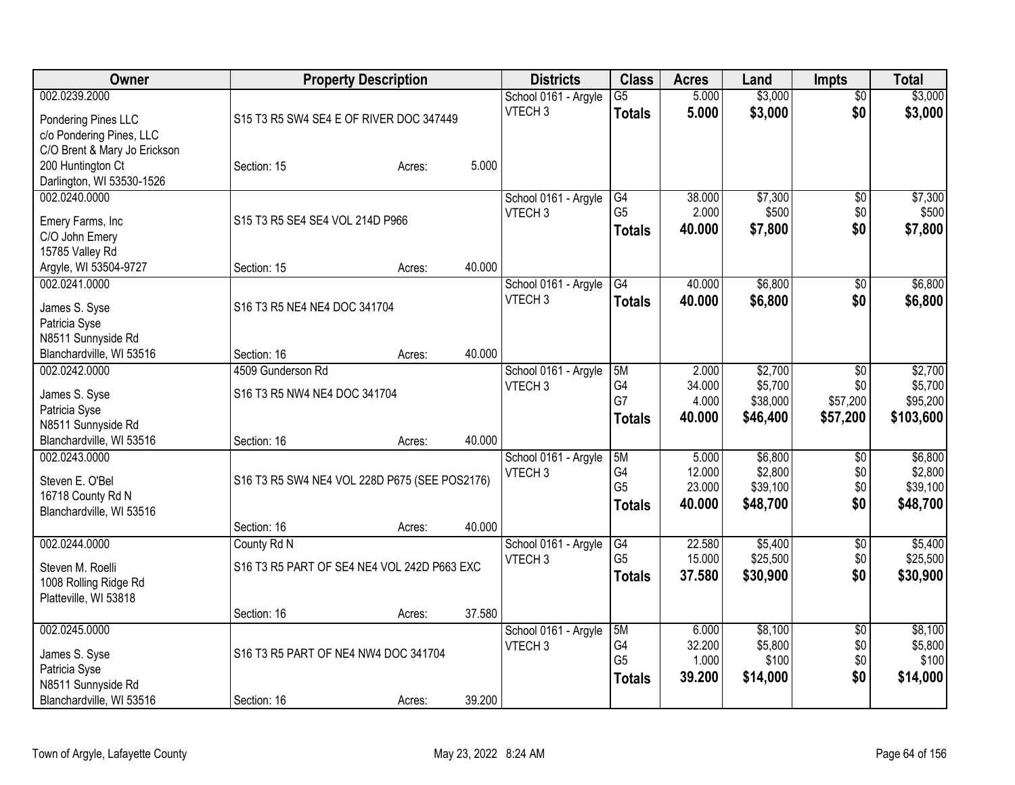| Owner                                                                                                      |                                                            | <b>Property Description</b> |        | <b>Districts</b>                           | <b>Class</b>                                | <b>Acres</b>                        | Land                                       | <b>Impts</b>                                   | <b>Total</b>                                |
|------------------------------------------------------------------------------------------------------------|------------------------------------------------------------|-----------------------------|--------|--------------------------------------------|---------------------------------------------|-------------------------------------|--------------------------------------------|------------------------------------------------|---------------------------------------------|
| 002.0239.2000<br>Pondering Pines LLC                                                                       | S15 T3 R5 SW4 SE4 E OF RIVER DOC 347449                    |                             |        | School 0161 - Argyle<br>VTECH <sub>3</sub> | $\overline{G5}$<br><b>Totals</b>            | 5.000<br>5.000                      | \$3,000<br>\$3,000                         | $\overline{50}$<br>\$0                         | \$3,000<br>\$3,000                          |
| c/o Pondering Pines, LLC<br>C/O Brent & Mary Jo Erickson<br>200 Huntington Ct<br>Darlington, WI 53530-1526 | Section: 15                                                | Acres:                      | 5.000  |                                            |                                             |                                     |                                            |                                                |                                             |
| 002.0240.0000<br>Emery Farms, Inc<br>C/O John Emery<br>15785 Valley Rd                                     | S15 T3 R5 SE4 SE4 VOL 214D P966                            |                             |        | School 0161 - Argyle<br>VTECH <sub>3</sub> | G4<br>G <sub>5</sub><br><b>Totals</b>       | 38.000<br>2.000<br>40.000           | \$7,300<br>\$500<br>\$7,800                | $\overline{60}$<br>\$0<br>\$0                  | \$7,300<br>\$500<br>\$7,800                 |
| Argyle, WI 53504-9727                                                                                      | Section: 15                                                | Acres:                      | 40.000 |                                            |                                             |                                     |                                            |                                                |                                             |
| 002.0241.0000<br>James S. Syse<br>Patricia Syse                                                            | S16 T3 R5 NE4 NE4 DOC 341704                               |                             |        | School 0161 - Argyle<br>VTECH <sub>3</sub> | G4<br><b>Totals</b>                         | 40.000<br>40.000                    | \$6,800<br>\$6,800                         | \$0<br>\$0                                     | \$6,800<br>\$6,800                          |
| N8511 Sunnyside Rd<br>Blanchardville, WI 53516                                                             | Section: 16                                                | Acres:                      | 40.000 |                                            |                                             |                                     |                                            |                                                |                                             |
| 002.0242.0000<br>James S. Syse<br>Patricia Syse<br>N8511 Sunnyside Rd                                      | 4509 Gunderson Rd<br>S16 T3 R5 NW4 NE4 DOC 341704          |                             |        | School 0161 - Argyle<br>VTECH <sub>3</sub> | 5M<br>G4<br>G7<br><b>Totals</b>             | 2.000<br>34.000<br>4.000<br>40.000  | \$2,700<br>\$5,700<br>\$38,000<br>\$46,400 | $\overline{50}$<br>\$0<br>\$57,200<br>\$57,200 | \$2,700<br>\$5,700<br>\$95,200<br>\$103,600 |
| Blanchardville, WI 53516                                                                                   | Section: 16                                                | Acres:                      | 40.000 |                                            |                                             |                                     |                                            |                                                |                                             |
| 002.0243.0000<br>Steven E. O'Bel<br>16718 County Rd N<br>Blanchardville, WI 53516                          | S16 T3 R5 SW4 NE4 VOL 228D P675 (SEE POS2176)              |                             |        | School 0161 - Argyle<br>VTECH <sub>3</sub> | 5M<br>G4<br>G <sub>5</sub><br><b>Totals</b> | 5.000<br>12.000<br>23.000<br>40.000 | \$6,800<br>\$2,800<br>\$39,100<br>\$48,700 | \$0<br>\$0<br>\$0<br>\$0                       | \$6,800<br>\$2,800<br>\$39,100<br>\$48,700  |
|                                                                                                            | Section: 16                                                | Acres:                      | 40.000 |                                            |                                             |                                     |                                            |                                                |                                             |
| 002.0244.0000<br>Steven M. Roelli<br>1008 Rolling Ridge Rd<br>Platteville, WI 53818                        | County Rd N<br>S16 T3 R5 PART OF SE4 NE4 VOL 242D P663 EXC |                             |        | School 0161 - Argyle<br>VTECH <sub>3</sub> | G4<br>G <sub>5</sub><br><b>Totals</b>       | 22.580<br>15.000<br>37.580          | \$5,400<br>\$25,500<br>\$30,900            | $\sqrt{6}$<br>\$0<br>\$0                       | \$5,400<br>\$25,500<br>\$30,900             |
|                                                                                                            | Section: 16                                                | Acres:                      | 37.580 |                                            |                                             |                                     |                                            |                                                |                                             |
| 002.0245.0000<br>James S. Syse<br>Patricia Syse<br>N8511 Sunnyside Rd                                      | S16 T3 R5 PART OF NE4 NW4 DOC 341704                       |                             |        | School 0161 - Argyle<br>VTECH <sub>3</sub> | 5M<br>G4<br>G <sub>5</sub><br><b>Totals</b> | 6.000<br>32.200<br>1.000<br>39.200  | \$8,100<br>\$5,800<br>\$100<br>\$14,000    | $\overline{50}$<br>\$0<br>\$0<br>\$0           | \$8,100<br>\$5,800<br>\$100<br>\$14,000     |
| Blanchardville, WI 53516                                                                                   | Section: 16                                                | Acres:                      | 39.200 |                                            |                                             |                                     |                                            |                                                |                                             |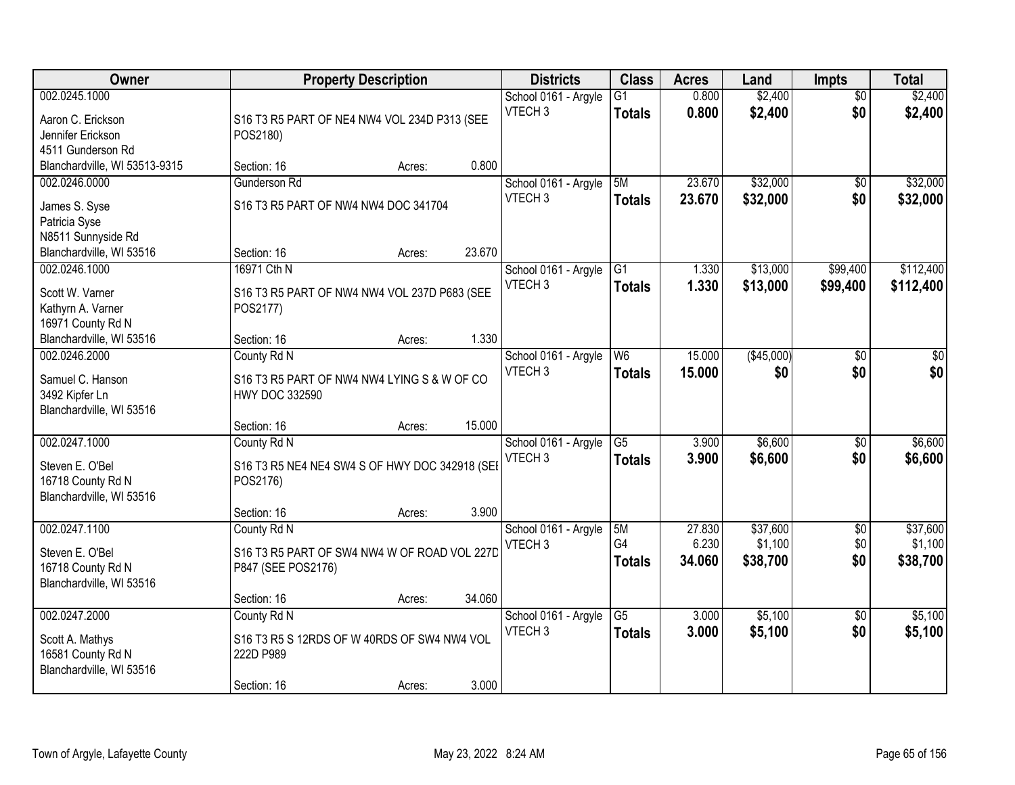| Owner                                                                                                  | <b>Property Description</b>                                                                               | <b>Districts</b>                           | <b>Class</b>                     | <b>Acres</b>     | Land                 | <b>Impts</b>           | <b>Total</b>           |
|--------------------------------------------------------------------------------------------------------|-----------------------------------------------------------------------------------------------------------|--------------------------------------------|----------------------------------|------------------|----------------------|------------------------|------------------------|
| 002.0245.1000<br>Aaron C. Erickson<br>Jennifer Erickson<br>4511 Gunderson Rd                           | S16 T3 R5 PART OF NE4 NW4 VOL 234D P313 (SEE<br>POS2180)                                                  | School 0161 - Argyle<br>VTECH <sub>3</sub> | $\overline{G1}$<br><b>Totals</b> | 0.800<br>0.800   | \$2,400<br>\$2,400   | $\overline{30}$<br>\$0 | \$2,400<br>\$2,400     |
| Blanchardville, WI 53513-9315                                                                          | 0.800<br>Section: 16<br>Acres:                                                                            |                                            |                                  |                  |                      |                        |                        |
| 002.0246.0000<br>James S. Syse<br>Patricia Syse<br>N8511 Sunnyside Rd                                  | <b>Gunderson Rd</b><br>S16 T3 R5 PART OF NW4 NW4 DOC 341704                                               | School 0161 - Argyle<br>VTECH <sub>3</sub> | 5M<br><b>Totals</b>              | 23.670<br>23.670 | \$32,000<br>\$32,000 | $\overline{50}$<br>\$0 | \$32,000<br>\$32,000   |
| Blanchardville, WI 53516                                                                               | 23.670<br>Section: 16<br>Acres:                                                                           |                                            |                                  |                  |                      |                        |                        |
| 002.0246.1000<br>Scott W. Varner<br>Kathyrn A. Varner<br>16971 County Rd N<br>Blanchardville, WI 53516 | 16971 Cth N<br>S16 T3 R5 PART OF NW4 NW4 VOL 237D P683 (SEE<br>POS2177)<br>1.330<br>Section: 16<br>Acres: | School 0161 - Argyle<br>VTECH <sub>3</sub> | G1<br><b>Totals</b>              | 1.330<br>1.330   | \$13,000<br>\$13,000 | \$99,400<br>\$99,400   | \$112,400<br>\$112,400 |
| 002.0246.2000<br>Samuel C. Hanson<br>3492 Kipfer Ln<br>Blanchardville, WI 53516                        | County Rd N<br>S16 T3 R5 PART OF NW4 NW4 LYING S & W OF CO<br><b>HWY DOC 332590</b>                       | School 0161 - Argyle<br>VTECH <sub>3</sub> | W <sub>6</sub><br><b>Totals</b>  | 15.000<br>15.000 | (\$45,000)<br>\$0    | \$0<br>\$0             | \$0<br>\$0             |
|                                                                                                        | 15.000<br>Section: 16<br>Acres:                                                                           |                                            |                                  |                  |                      |                        |                        |
| 002.0247.1000<br>Steven E. O'Bel<br>16718 County Rd N<br>Blanchardville, WI 53516                      | County Rd N<br>S16 T3 R5 NE4 NE4 SW4 S OF HWY DOC 342918 (SEI<br>POS2176)<br>3.900<br>Section: 16         | School 0161 - Argyle<br>VTECH <sub>3</sub> | $\overline{G5}$<br><b>Totals</b> | 3.900<br>3.900   | \$6,600<br>\$6,600   | $\overline{50}$<br>\$0 | \$6,600<br>\$6,600     |
| 002.0247.1100                                                                                          | Acres:<br>County Rd N                                                                                     | School 0161 - Argyle                       | 5M                               | 27.830           | \$37,600             | $\overline{60}$        | \$37,600               |
| Steven E. O'Bel<br>16718 County Rd N<br>Blanchardville, WI 53516                                       | S16 T3 R5 PART OF SW4 NW4 W OF ROAD VOL 227D<br>P847 (SEE POS2176)                                        | VTECH <sub>3</sub>                         | G4<br><b>Totals</b>              | 6.230<br>34.060  | \$1,100<br>\$38,700  | \$0<br>\$0             | \$1,100<br>\$38,700    |
|                                                                                                        | 34.060<br>Section: 16<br>Acres:                                                                           |                                            |                                  |                  |                      |                        |                        |
| 002.0247.2000<br>Scott A. Mathys<br>16581 County Rd N<br>Blanchardville, WI 53516                      | County Rd N<br>S16 T3 R5 S 12RDS OF W 40RDS OF SW4 NW4 VOL<br>222D P989<br>3.000<br>Section: 16<br>Acres: | School 0161 - Argyle<br>VTECH <sub>3</sub> | $\overline{G5}$<br><b>Totals</b> | 3.000<br>3.000   | \$5,100<br>\$5,100   | $\overline{50}$<br>\$0 | \$5,100<br>\$5,100     |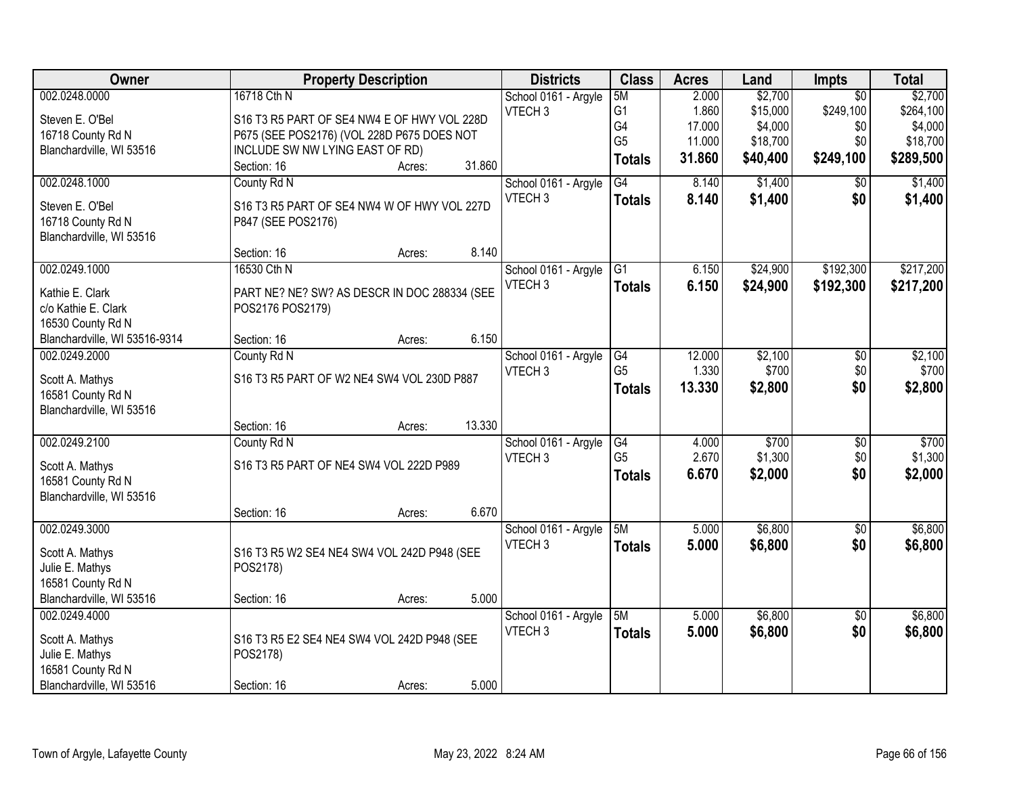| Owner                         | <b>Property Description</b>                  |        |        | <b>Districts</b>     | <b>Class</b>   | <b>Acres</b> | Land     | <b>Impts</b>    | <b>Total</b> |
|-------------------------------|----------------------------------------------|--------|--------|----------------------|----------------|--------------|----------|-----------------|--------------|
| 002.0248.0000                 | 16718 Cth N                                  |        |        | School 0161 - Argyle | 5M             | 2.000        | \$2,700  | $\overline{50}$ | \$2,700      |
| Steven E. O'Bel               | S16 T3 R5 PART OF SE4 NW4 E OF HWY VOL 228D  |        |        | VTECH <sub>3</sub>   | G <sub>1</sub> | 1.860        | \$15,000 | \$249,100       | \$264,100    |
| 16718 County Rd N             | P675 (SEE POS2176) (VOL 228D P675 DOES NOT   |        |        |                      | G4             | 17.000       | \$4,000  | \$0             | \$4,000      |
| Blanchardville, WI 53516      | INCLUDE SW NW LYING EAST OF RD)              |        |        |                      | G <sub>5</sub> | 11.000       | \$18,700 | \$0             | \$18,700     |
|                               | Section: 16                                  | Acres: | 31.860 |                      | <b>Totals</b>  | 31.860       | \$40,400 | \$249,100       | \$289,500    |
| 002.0248.1000                 | County Rd N                                  |        |        | School 0161 - Argyle | G4             | 8.140        | \$1,400  | \$0             | \$1,400      |
| Steven E. O'Bel               | S16 T3 R5 PART OF SE4 NW4 W OF HWY VOL 227D  |        |        | VTECH <sub>3</sub>   | <b>Totals</b>  | 8.140        | \$1,400  | \$0             | \$1,400      |
| 16718 County Rd N             | P847 (SEE POS2176)                           |        |        |                      |                |              |          |                 |              |
| Blanchardville, WI 53516      |                                              |        |        |                      |                |              |          |                 |              |
|                               | Section: 16                                  | Acres: | 8.140  |                      |                |              |          |                 |              |
| 002.0249.1000                 | 16530 Cth N                                  |        |        | School 0161 - Argyle | G1             | 6.150        | \$24,900 | \$192,300       | \$217,200    |
| Kathie E. Clark               |                                              |        |        | VTECH <sub>3</sub>   | <b>Totals</b>  | 6.150        | \$24,900 | \$192,300       | \$217,200    |
| c/o Kathie E. Clark           | PART NE? NE? SW? AS DESCR IN DOC 288334 (SEE |        |        |                      |                |              |          |                 |              |
| 16530 County Rd N             | POS2176 POS2179)                             |        |        |                      |                |              |          |                 |              |
| Blanchardville, WI 53516-9314 | Section: 16                                  | Acres: | 6.150  |                      |                |              |          |                 |              |
| 002.0249.2000                 | County Rd N                                  |        |        | School 0161 - Argyle | G4             | 12.000       | \$2,100  | \$0             | \$2,100      |
|                               |                                              |        |        | VTECH <sub>3</sub>   | G <sub>5</sub> | 1.330        | \$700    | \$0             | \$700        |
| Scott A. Mathys               | S16 T3 R5 PART OF W2 NE4 SW4 VOL 230D P887   |        |        |                      |                | 13.330       | \$2,800  | \$0             | \$2,800      |
| 16581 County Rd N             |                                              |        |        |                      | <b>Totals</b>  |              |          |                 |              |
| Blanchardville, WI 53516      |                                              |        |        |                      |                |              |          |                 |              |
|                               | Section: 16                                  | Acres: | 13.330 |                      |                |              |          |                 |              |
| 002.0249.2100                 | County Rd N                                  |        |        | School 0161 - Argyle | G4             | 4.000        | \$700    | $\overline{50}$ | \$700        |
| Scott A. Mathys               | S16 T3 R5 PART OF NE4 SW4 VOL 222D P989      |        |        | VTECH <sub>3</sub>   | G <sub>5</sub> | 2.670        | \$1,300  | \$0             | \$1,300      |
| 16581 County Rd N             |                                              |        |        |                      | <b>Totals</b>  | 6.670        | \$2,000  | \$0             | \$2,000      |
| Blanchardville, WI 53516      |                                              |        |        |                      |                |              |          |                 |              |
|                               | Section: 16                                  | Acres: | 6.670  |                      |                |              |          |                 |              |
| 002.0249.3000                 |                                              |        |        | School 0161 - Argyle | 5M             | 5.000        | \$6,800  | $\overline{60}$ | \$6,800      |
| Scott A. Mathys               | S16 T3 R5 W2 SE4 NE4 SW4 VOL 242D P948 (SEE  |        |        | VTECH <sub>3</sub>   | <b>Totals</b>  | 5.000        | \$6,800  | \$0             | \$6,800      |
| Julie E. Mathys               | POS2178)                                     |        |        |                      |                |              |          |                 |              |
| 16581 County Rd N             |                                              |        |        |                      |                |              |          |                 |              |
| Blanchardville, WI 53516      | Section: 16                                  | Acres: | 5.000  |                      |                |              |          |                 |              |
| 002.0249.4000                 |                                              |        |        | School 0161 - Argyle | 5M             | 5.000        | \$6,800  | $\overline{50}$ | \$6,800      |
|                               |                                              |        |        | VTECH <sub>3</sub>   | <b>Totals</b>  | 5.000        | \$6,800  | \$0             | \$6,800      |
| Scott A. Mathys               | S16 T3 R5 E2 SE4 NE4 SW4 VOL 242D P948 (SEE  |        |        |                      |                |              |          |                 |              |
| Julie E. Mathys               | POS2178)                                     |        |        |                      |                |              |          |                 |              |
| 16581 County Rd N             |                                              |        |        |                      |                |              |          |                 |              |
| Blanchardville, WI 53516      | Section: 16                                  | Acres: | 5.000  |                      |                |              |          |                 |              |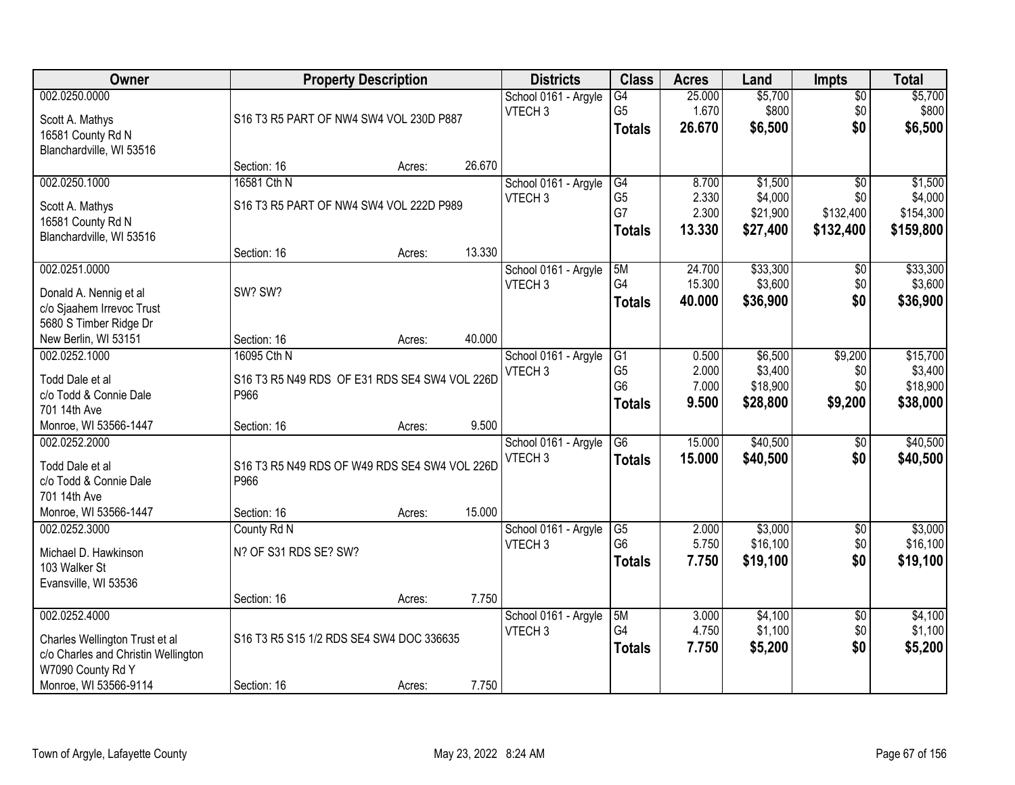| Owner                                                                                                                                |                                                                                     | <b>Property Description</b> |                  |                                            | <b>Class</b>                                            | <b>Acres</b>                      | Land                                       | <b>Impts</b>                         | <b>Total</b>                                 |
|--------------------------------------------------------------------------------------------------------------------------------------|-------------------------------------------------------------------------------------|-----------------------------|------------------|--------------------------------------------|---------------------------------------------------------|-----------------------------------|--------------------------------------------|--------------------------------------|----------------------------------------------|
| 002.0250.0000<br>Scott A. Mathys<br>16581 County Rd N                                                                                | S16 T3 R5 PART OF NW4 SW4 VOL 230D P887                                             |                             |                  | School 0161 - Argyle<br>VTECH <sub>3</sub> | $\overline{G4}$<br>G <sub>5</sub><br><b>Totals</b>      | 25.000<br>1.670<br>26.670         | \$5,700<br>\$800<br>\$6,500                | $\sqrt{$0}$<br>\$0<br>\$0            | \$5,700<br>\$800<br>\$6,500                  |
| Blanchardville, WI 53516                                                                                                             | Section: 16                                                                         | Acres:                      | 26.670           |                                            |                                                         |                                   |                                            |                                      |                                              |
| 002.0250.1000<br>Scott A. Mathys<br>16581 County Rd N<br>Blanchardville, WI 53516                                                    | 16581 Cth N<br>S16 T3 R5 PART OF NW4 SW4 VOL 222D P989                              |                             |                  | School 0161 - Argyle<br>VTECH <sub>3</sub> | G4<br>G <sub>5</sub><br>G7<br><b>Totals</b>             | 8.700<br>2.330<br>2.300<br>13.330 | \$1,500<br>\$4,000<br>\$21,900<br>\$27,400 | \$0<br>\$0<br>\$132,400<br>\$132,400 | \$1,500<br>\$4,000<br>\$154,300<br>\$159,800 |
| 002.0251.0000<br>Donald A. Nennig et al<br>c/o Sjaahem Irrevoc Trust<br>5680 S Timber Ridge Dr<br>New Berlin, WI 53151               | Section: 16<br>SW? SW?<br>Section: 16                                               | Acres:<br>Acres:            | 13.330<br>40.000 | School 0161 - Argyle<br>VTECH <sub>3</sub> | 5M<br>G4<br><b>Totals</b>                               | 24.700<br>15.300<br>40.000        | \$33,300<br>\$3,600<br>\$36,900            | \$0<br>\$0<br>\$0                    | \$33,300<br>\$3,600<br>\$36,900              |
| 002.0252.1000<br>Todd Dale et al<br>c/o Todd & Connie Dale<br>701 14th Ave                                                           | 16095 Cth N<br>S16 T3 R5 N49 RDS OF E31 RDS SE4 SW4 VOL 226D<br>P966                |                             |                  | School 0161 - Argyle<br>VTECH <sub>3</sub> | G1<br>G <sub>5</sub><br>G <sub>6</sub><br><b>Totals</b> | 0.500<br>2.000<br>7.000<br>9.500  | \$6,500<br>\$3,400<br>\$18,900<br>\$28,800 | \$9,200<br>\$0<br>\$0<br>\$9,200     | \$15,700<br>\$3,400<br>\$18,900<br>\$38,000  |
| Monroe, WI 53566-1447<br>002.0252.2000<br>Todd Dale et al<br>c/o Todd & Connie Dale<br>701 14th Ave<br>Monroe, WI 53566-1447         | Section: 16<br>S16 T3 R5 N49 RDS OF W49 RDS SE4 SW4 VOL 226D<br>P966<br>Section: 16 | Acres:<br>Acres:            | 9.500<br>15.000  | School 0161 - Argyle<br>VTECH <sub>3</sub> | $\overline{G6}$<br>Totals                               | 15.000<br>15.000                  | \$40,500<br>\$40,500                       | $\overline{60}$<br>\$0               | \$40,500<br>\$40,500                         |
| 002.0252.3000<br>Michael D. Hawkinson<br>103 Walker St<br>Evansville, WI 53536                                                       | County Rd N<br>N? OF S31 RDS SE? SW?<br>Section: 16                                 | Acres:                      | 7.750            | School 0161 - Argyle<br>VTECH <sub>3</sub> | G5<br>G <sub>6</sub><br><b>Totals</b>                   | 2.000<br>5.750<br>7.750           | \$3,000<br>\$16,100<br>\$19,100            | $\sqrt{6}$<br>\$0<br>\$0             | \$3,000<br>\$16,100<br>\$19,100              |
| 002.0252.4000<br>Charles Wellington Trust et al<br>c/o Charles and Christin Wellington<br>W7090 County Rd Y<br>Monroe, WI 53566-9114 | S16 T3 R5 S15 1/2 RDS SE4 SW4 DOC 336635<br>Section: 16                             | Acres:                      | 7.750            | School 0161 - Argyle<br>VTECH <sub>3</sub> | 5M<br>G <sub>4</sub><br><b>Totals</b>                   | 3.000<br>4.750<br>7.750           | \$4,100<br>\$1,100<br>\$5,200              | $\overline{60}$<br>\$0<br>\$0        | \$4,100<br>\$1,100<br>\$5,200                |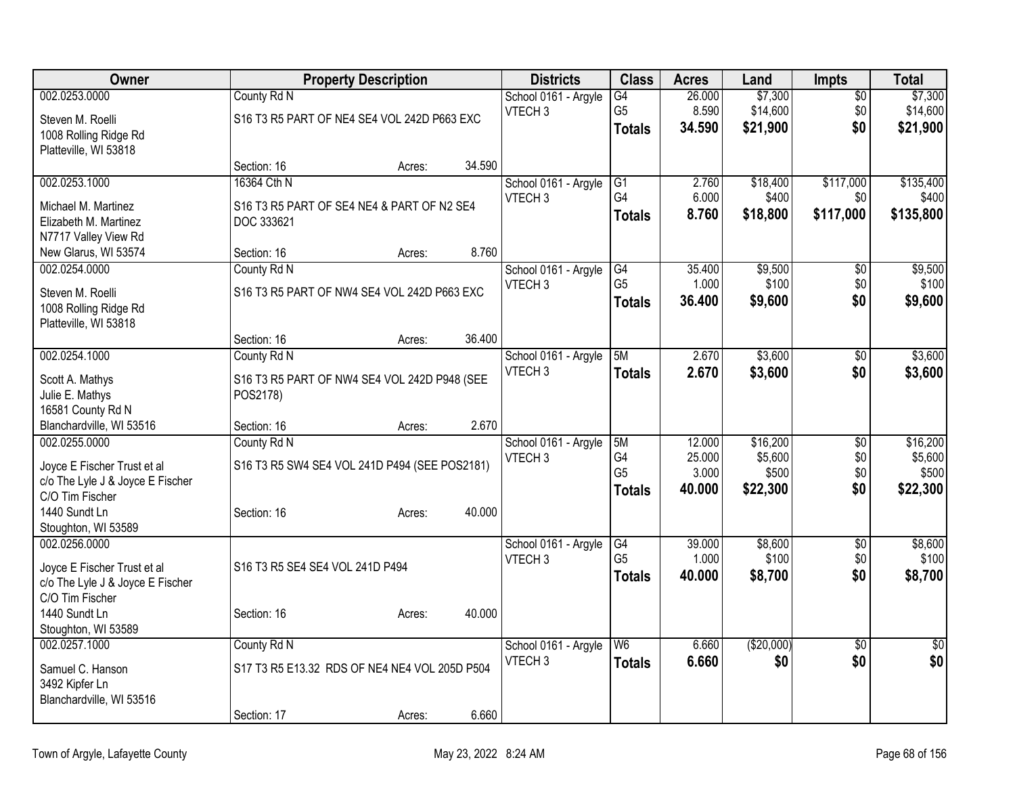| Owner                            |                                               | <b>Property Description</b> |        | <b>Districts</b>     | <b>Class</b>   | <b>Acres</b> | Land       | <b>Impts</b>    | <b>Total</b>   |
|----------------------------------|-----------------------------------------------|-----------------------------|--------|----------------------|----------------|--------------|------------|-----------------|----------------|
| 002.0253.0000                    | County Rd N                                   |                             |        | School 0161 - Argyle | G4             | 26.000       | \$7,300    | $\overline{50}$ | \$7,300        |
| Steven M. Roelli                 | S16 T3 R5 PART OF NE4 SE4 VOL 242D P663 EXC   |                             |        | VTECH <sub>3</sub>   | G <sub>5</sub> | 8.590        | \$14,600   | \$0             | \$14,600       |
| 1008 Rolling Ridge Rd            |                                               |                             |        |                      | <b>Totals</b>  | 34.590       | \$21,900   | \$0             | \$21,900       |
| Platteville, WI 53818            |                                               |                             |        |                      |                |              |            |                 |                |
|                                  | Section: 16                                   | Acres:                      | 34.590 |                      |                |              |            |                 |                |
| 002.0253.1000                    | 16364 Cth N                                   |                             |        | School 0161 - Argyle | G1             | 2.760        | \$18,400   | \$117,000       | \$135,400      |
| Michael M. Martinez              | S16 T3 R5 PART OF SE4 NE4 & PART OF N2 SE4    |                             |        | VTECH <sub>3</sub>   | G4             | 6.000        | \$400      | \$0             | \$400          |
| Elizabeth M. Martinez            | DOC 333621                                    |                             |        |                      | Totals         | 8.760        | \$18,800   | \$117,000       | \$135,800      |
| N7717 Valley View Rd             |                                               |                             |        |                      |                |              |            |                 |                |
| New Glarus, WI 53574             | Section: 16                                   | Acres:                      | 8.760  |                      |                |              |            |                 |                |
| 002.0254.0000                    | County Rd N                                   |                             |        | School 0161 - Argyle | G4             | 35.400       | \$9,500    | \$0             | \$9,500        |
| Steven M. Roelli                 | S16 T3 R5 PART OF NW4 SE4 VOL 242D P663 EXC   |                             |        | VTECH <sub>3</sub>   | G <sub>5</sub> | 1.000        | \$100      | \$0             | \$100          |
| 1008 Rolling Ridge Rd            |                                               |                             |        |                      | <b>Totals</b>  | 36.400       | \$9,600    | \$0             | \$9,600        |
| Platteville, WI 53818            |                                               |                             |        |                      |                |              |            |                 |                |
|                                  | Section: 16                                   | Acres:                      | 36.400 |                      |                |              |            |                 |                |
| 002.0254.1000                    | County Rd N                                   |                             |        | School 0161 - Argyle | 5M             | 2.670        | \$3,600    | $\overline{50}$ | \$3,600        |
| Scott A. Mathys                  | S16 T3 R5 PART OF NW4 SE4 VOL 242D P948 (SEE  |                             |        | VTECH <sub>3</sub>   | Totals         | 2.670        | \$3,600    | \$0             | \$3,600        |
| Julie E. Mathys                  | POS2178)                                      |                             |        |                      |                |              |            |                 |                |
| 16581 County Rd N                |                                               |                             |        |                      |                |              |            |                 |                |
| Blanchardville, WI 53516         | Section: 16                                   | Acres:                      | 2.670  |                      |                |              |            |                 |                |
| 002.0255.0000                    | County Rd N                                   |                             |        | School 0161 - Argyle | 5M             | 12.000       | \$16,200   | $\overline{50}$ | \$16,200       |
| Joyce E Fischer Trust et al      | S16 T3 R5 SW4 SE4 VOL 241D P494 (SEE POS2181) |                             |        | VTECH <sub>3</sub>   | G4             | 25.000       | \$5,600    | \$0             | \$5,600        |
| c/o The Lyle J & Joyce E Fischer |                                               |                             |        |                      | G <sub>5</sub> | 3.000        | \$500      | \$0             | \$500          |
| C/O Tim Fischer                  |                                               |                             |        |                      | <b>Totals</b>  | 40.000       | \$22,300   | \$0             | \$22,300       |
| 1440 Sundt Ln                    | Section: 16                                   | Acres:                      | 40.000 |                      |                |              |            |                 |                |
| Stoughton, WI 53589              |                                               |                             |        |                      |                |              |            |                 |                |
| 002.0256.0000                    |                                               |                             |        | School 0161 - Argyle | G4             | 39.000       | \$8,600    | $\overline{50}$ | \$8,600        |
| Joyce E Fischer Trust et al      | S16 T3 R5 SE4 SE4 VOL 241D P494               |                             |        | VTECH <sub>3</sub>   | G <sub>5</sub> | 1.000        | \$100      | \$0             | \$100          |
| c/o The Lyle J & Joyce E Fischer |                                               |                             |        |                      | <b>Totals</b>  | 40.000       | \$8,700    | \$0             | \$8,700        |
| C/O Tim Fischer                  |                                               |                             |        |                      |                |              |            |                 |                |
| 1440 Sundt Ln                    | Section: 16                                   | Acres:                      | 40.000 |                      |                |              |            |                 |                |
| Stoughton, WI 53589              |                                               |                             |        |                      |                |              |            |                 |                |
| 002.0257.1000                    | County Rd N                                   |                             |        | School 0161 - Argyle | W <sub>6</sub> | 6.660        | (\$20,000) | $\overline{50}$ | $\frac{1}{30}$ |
| Samuel C. Hanson                 | S17 T3 R5 E13.32 RDS OF NE4 NE4 VOL 205D P504 |                             |        | VTECH <sub>3</sub>   | <b>Totals</b>  | 6.660        | \$0        | \$0             | \$0            |
| 3492 Kipfer Ln                   |                                               |                             |        |                      |                |              |            |                 |                |
| Blanchardville, WI 53516         |                                               |                             |        |                      |                |              |            |                 |                |
|                                  | Section: 17                                   | Acres:                      | 6.660  |                      |                |              |            |                 |                |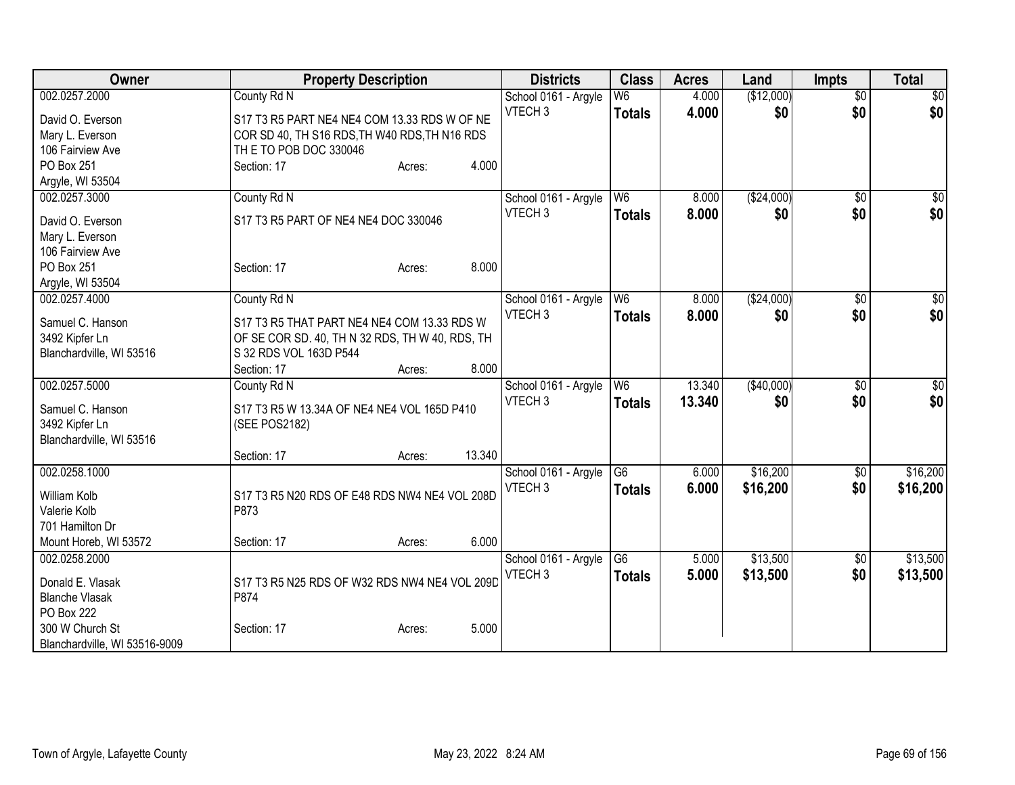| Owner                         | <b>Property Description</b>                     |                  | <b>Districts</b>     | <b>Class</b>    | <b>Acres</b> | Land        | <b>Impts</b>    | <b>Total</b> |
|-------------------------------|-------------------------------------------------|------------------|----------------------|-----------------|--------------|-------------|-----------------|--------------|
| 002.0257.2000                 | County Rd N                                     |                  | School 0161 - Argyle | W6              | 4.000        | (\$12,000)  | $\overline{50}$ | \$0          |
| David O. Everson              | S17 T3 R5 PART NE4 NE4 COM 13.33 RDS W OF NE    |                  | VTECH <sub>3</sub>   | <b>Totals</b>   | 4.000        | \$0         | \$0             | \$0          |
| Mary L. Everson               | COR SD 40, TH S16 RDS, TH W40 RDS, TH N16 RDS   |                  |                      |                 |              |             |                 |              |
| 106 Fairview Ave              | TH E TO POB DOC 330046                          |                  |                      |                 |              |             |                 |              |
| PO Box 251                    | Section: 17                                     | 4.000<br>Acres:  |                      |                 |              |             |                 |              |
| Argyle, WI 53504              |                                                 |                  |                      |                 |              |             |                 |              |
| 002.0257.3000                 | County Rd N                                     |                  | School 0161 - Argyle | W6              | 8.000        | (\$24,000)  | $\overline{50}$ | \$0          |
| David O. Everson              | S17 T3 R5 PART OF NE4 NE4 DOC 330046            |                  | VTECH <sub>3</sub>   | <b>Totals</b>   | 8.000        | \$0         | \$0             | \$0          |
| Mary L. Everson               |                                                 |                  |                      |                 |              |             |                 |              |
| 106 Fairview Ave              |                                                 |                  |                      |                 |              |             |                 |              |
| PO Box 251                    | Section: 17                                     | 8.000<br>Acres:  |                      |                 |              |             |                 |              |
| Argyle, WI 53504              |                                                 |                  |                      |                 |              |             |                 |              |
| 002.0257.4000                 | County Rd N                                     |                  | School 0161 - Argyle | W <sub>6</sub>  | 8.000        | ( \$24,000) | $\overline{50}$ | \$0          |
|                               |                                                 |                  | VTECH <sub>3</sub>   | <b>Totals</b>   | 8.000        | \$0         | \$0             | \$0          |
| Samuel C. Hanson              | S17 T3 R5 THAT PART NE4 NE4 COM 13.33 RDS W     |                  |                      |                 |              |             |                 |              |
| 3492 Kipfer Ln                | OF SE COR SD. 40, TH N 32 RDS, TH W 40, RDS, TH |                  |                      |                 |              |             |                 |              |
| Blanchardville, WI 53516      | S 32 RDS VOL 163D P544                          |                  |                      |                 |              |             |                 |              |
|                               | Section: 17                                     | 8.000<br>Acres:  |                      |                 |              |             |                 |              |
| 002.0257.5000                 | County Rd N                                     |                  | School 0161 - Argyle | W <sub>6</sub>  | 13.340       | ( \$40,000) | \$0             | \$0          |
| Samuel C. Hanson              | S17 T3 R5 W 13.34A OF NE4 NE4 VOL 165D P410     |                  | VTECH <sub>3</sub>   | <b>Totals</b>   | 13,340       | \$0         | \$0             | \$0          |
| 3492 Kipfer Ln                | (SEE POS2182)                                   |                  |                      |                 |              |             |                 |              |
| Blanchardville, WI 53516      |                                                 |                  |                      |                 |              |             |                 |              |
|                               | Section: 17                                     | 13.340<br>Acres: |                      |                 |              |             |                 |              |
| 002.0258.1000                 |                                                 |                  | School 0161 - Argyle | $\overline{G6}$ | 6.000        | \$16,200    | \$0             | \$16,200     |
| William Kolb                  | S17 T3 R5 N20 RDS OF E48 RDS NW4 NE4 VOL 208D   |                  | VTECH <sub>3</sub>   | <b>Totals</b>   | 6.000        | \$16,200    | \$0             | \$16,200     |
| Valerie Kolb                  | P873                                            |                  |                      |                 |              |             |                 |              |
| 701 Hamilton Dr               |                                                 |                  |                      |                 |              |             |                 |              |
| Mount Horeb, WI 53572         | Section: 17                                     | 6.000<br>Acres:  |                      |                 |              |             |                 |              |
| 002.0258.2000                 |                                                 |                  | School 0161 - Argyle | $\overline{G6}$ | 5.000        | \$13,500    | $\frac{1}{20}$  | \$13,500     |
|                               |                                                 |                  | VTECH <sub>3</sub>   | <b>Totals</b>   | 5.000        | \$13,500    | \$0             | \$13,500     |
| Donald E. Vlasak              | S17 T3 R5 N25 RDS OF W32 RDS NW4 NE4 VOL 209D   |                  |                      |                 |              |             |                 |              |
| <b>Blanche Vlasak</b>         | P874                                            |                  |                      |                 |              |             |                 |              |
| <b>PO Box 222</b>             |                                                 |                  |                      |                 |              |             |                 |              |
| 300 W Church St               | Section: 17                                     | 5.000<br>Acres:  |                      |                 |              |             |                 |              |
| Blanchardville, WI 53516-9009 |                                                 |                  |                      |                 |              |             |                 |              |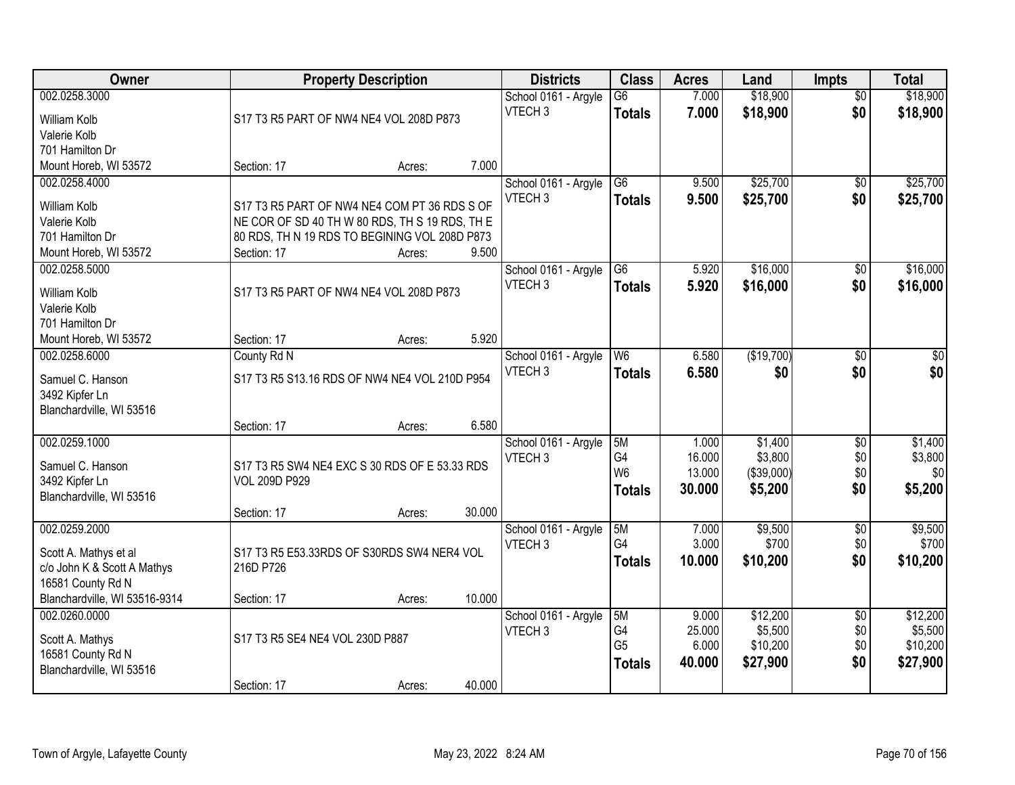| <b>Owner</b>                               |                                                | <b>Property Description</b> |        | <b>Districts</b>                           | <b>Class</b>    | <b>Acres</b>    | Land                | <b>Impts</b>           | <b>Total</b>        |
|--------------------------------------------|------------------------------------------------|-----------------------------|--------|--------------------------------------------|-----------------|-----------------|---------------------|------------------------|---------------------|
| 002.0258.3000                              |                                                |                             |        | School 0161 - Argyle                       | $\overline{G6}$ | 7.000           | \$18,900            | $\overline{50}$        | \$18,900            |
| William Kolb                               | S17 T3 R5 PART OF NW4 NE4 VOL 208D P873        |                             |        | VTECH <sub>3</sub>                         | <b>Totals</b>   | 7.000           | \$18,900            | \$0                    | \$18,900            |
| Valerie Kolb                               |                                                |                             |        |                                            |                 |                 |                     |                        |                     |
| 701 Hamilton Dr                            |                                                |                             |        |                                            |                 |                 |                     |                        |                     |
| Mount Horeb, WI 53572                      | Section: 17                                    | Acres:                      | 7.000  |                                            |                 |                 |                     |                        |                     |
| 002.0258.4000                              |                                                |                             |        | School 0161 - Argyle                       | $\overline{G6}$ | 9.500           | \$25,700            | \$0                    | \$25,700            |
| <b>William Kolb</b>                        | S17 T3 R5 PART OF NW4 NE4 COM PT 36 RDS S OF   |                             |        | VTECH <sub>3</sub>                         | <b>Totals</b>   | 9.500           | \$25,700            | \$0                    | \$25,700            |
| Valerie Kolb                               | NE COR OF SD 40 TH W 80 RDS, TH S 19 RDS, TH E |                             |        |                                            |                 |                 |                     |                        |                     |
| 701 Hamilton Dr                            | 80 RDS, TH N 19 RDS TO BEGINING VOL 208D P873  |                             |        |                                            |                 |                 |                     |                        |                     |
| Mount Horeb, WI 53572                      | Section: 17                                    | Acres:                      | 9.500  |                                            |                 |                 |                     |                        |                     |
| 002.0258.5000                              |                                                |                             |        | School 0161 - Argyle                       | G6              | 5.920           | \$16,000            | \$0                    | \$16,000            |
|                                            | S17 T3 R5 PART OF NW4 NE4 VOL 208D P873        |                             |        | VTECH <sub>3</sub>                         | <b>Totals</b>   | 5.920           | \$16,000            | \$0                    | \$16,000            |
| <b>William Kolb</b><br>Valerie Kolb        |                                                |                             |        |                                            |                 |                 |                     |                        |                     |
| 701 Hamilton Dr                            |                                                |                             |        |                                            |                 |                 |                     |                        |                     |
| Mount Horeb, WI 53572                      | Section: 17                                    | Acres:                      | 5.920  |                                            |                 |                 |                     |                        |                     |
| 002.0258.6000                              | County Rd N                                    |                             |        | School 0161 - Argyle                       | W <sub>6</sub>  | 6.580           | (\$19,700)          | $\sqrt[6]{3}$          | $\sqrt{50}$         |
|                                            |                                                |                             |        | VTECH <sub>3</sub>                         | <b>Totals</b>   | 6.580           | \$0                 | \$0                    | \$0                 |
| Samuel C. Hanson                           | S17 T3 R5 S13.16 RDS OF NW4 NE4 VOL 210D P954  |                             |        |                                            |                 |                 |                     |                        |                     |
| 3492 Kipfer Ln<br>Blanchardville, WI 53516 |                                                |                             |        |                                            |                 |                 |                     |                        |                     |
|                                            | Section: 17                                    | Acres:                      | 6.580  |                                            |                 |                 |                     |                        |                     |
| 002.0259.1000                              |                                                |                             |        | School 0161 - Argyle                       | 5M              | 1.000           | \$1,400             | $\overline{50}$        | \$1,400             |
|                                            |                                                |                             |        | VTECH <sub>3</sub>                         | G4              | 16.000          | \$3,800             | \$0                    | \$3,800             |
| Samuel C. Hanson                           | S17 T3 R5 SW4 NE4 EXC S 30 RDS OF E 53.33 RDS  |                             |        |                                            | W <sub>6</sub>  | 13.000          | (\$39,000)          | \$0                    | \$0                 |
| 3492 Kipfer Ln                             | <b>VOL 209D P929</b>                           |                             |        |                                            | <b>Totals</b>   | 30.000          | \$5,200             | \$0                    | \$5,200             |
| Blanchardville, WI 53516                   |                                                |                             | 30.000 |                                            |                 |                 |                     |                        |                     |
| 002.0259.2000                              | Section: 17                                    | Acres:                      |        |                                            | 5M              | 7.000           | \$9,500             | $\sqrt{6}$             | \$9,500             |
|                                            |                                                |                             |        | School 0161 - Argyle<br>VTECH <sub>3</sub> | G4              | 3.000           | \$700               | \$0                    | \$700               |
| Scott A. Mathys et al                      | S17 T3 R5 E53.33RDS OF S30RDS SW4 NER4 VOL     |                             |        |                                            | <b>Totals</b>   | 10.000          | \$10,200            | \$0                    | \$10,200            |
| c/o John K & Scott A Mathys                | 216D P726                                      |                             |        |                                            |                 |                 |                     |                        |                     |
| 16581 County Rd N                          |                                                |                             |        |                                            |                 |                 |                     |                        |                     |
| Blanchardville, WI 53516-9314              | Section: 17                                    | Acres:                      | 10.000 |                                            |                 |                 |                     |                        |                     |
| 002.0260.0000                              |                                                |                             |        | School 0161 - Argyle                       | 5M<br>G4        | 9.000<br>25.000 | \$12,200            | $\overline{50}$<br>\$0 | \$12,200<br>\$5,500 |
| Scott A. Mathys                            | S17 T3 R5 SE4 NE4 VOL 230D P887                |                             |        | VTECH <sub>3</sub>                         | G <sub>5</sub>  | 6.000           | \$5,500<br>\$10,200 | \$0                    | \$10,200            |
| 16581 County Rd N                          |                                                |                             |        |                                            | <b>Totals</b>   | 40.000          | \$27,900            | \$0                    | \$27,900            |
| Blanchardville, WI 53516                   |                                                |                             |        |                                            |                 |                 |                     |                        |                     |
|                                            | Section: 17                                    | Acres:                      | 40.000 |                                            |                 |                 |                     |                        |                     |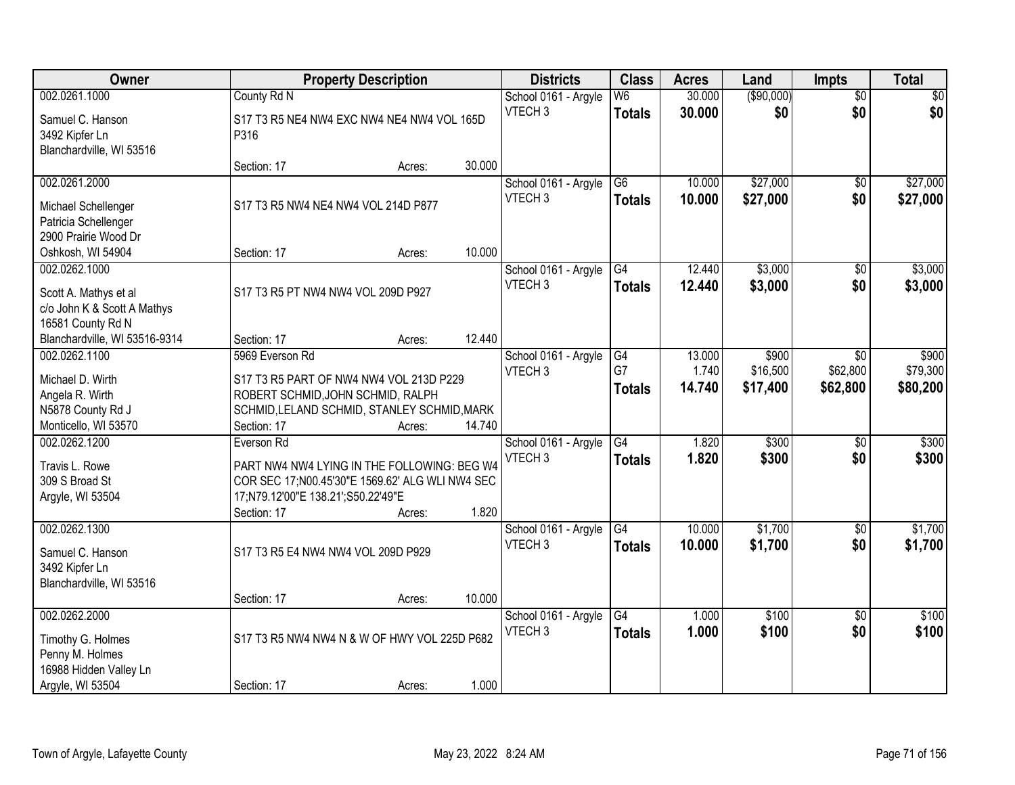| Owner                                |                                                  | <b>Property Description</b> |        | <b>Districts</b>     | <b>Class</b>             | <b>Acres</b> | Land       | <b>Impts</b>    | <b>Total</b> |
|--------------------------------------|--------------------------------------------------|-----------------------------|--------|----------------------|--------------------------|--------------|------------|-----------------|--------------|
| 002.0261.1000                        | County Rd N                                      |                             |        | School 0161 - Argyle | $\overline{\mathsf{W6}}$ | 30.000       | (\$90,000) | $\overline{50}$ | \$0          |
| Samuel C. Hanson                     | S17 T3 R5 NE4 NW4 EXC NW4 NE4 NW4 VOL 165D       |                             |        | VTECH <sub>3</sub>   | <b>Totals</b>            | 30.000       | \$0        | \$0             | \$0          |
| 3492 Kipfer Ln                       | P316                                             |                             |        |                      |                          |              |            |                 |              |
| Blanchardville, WI 53516             |                                                  |                             |        |                      |                          |              |            |                 |              |
|                                      | Section: 17                                      | Acres:                      | 30.000 |                      |                          |              |            |                 |              |
| 002.0261.2000                        |                                                  |                             |        | School 0161 - Argyle | G6                       | 10.000       | \$27,000   | $\overline{50}$ | \$27,000     |
| Michael Schellenger                  | S17 T3 R5 NW4 NE4 NW4 VOL 214D P877              |                             |        | VTECH <sub>3</sub>   | <b>Totals</b>            | 10.000       | \$27,000   | \$0             | \$27,000     |
| Patricia Schellenger                 |                                                  |                             |        |                      |                          |              |            |                 |              |
| 2900 Prairie Wood Dr                 |                                                  |                             |        |                      |                          |              |            |                 |              |
| Oshkosh, WI 54904                    | Section: 17                                      | Acres:                      | 10.000 |                      |                          |              |            |                 |              |
| 002.0262.1000                        |                                                  |                             |        | School 0161 - Argyle | G4                       | 12.440       | \$3,000    | $\overline{50}$ | \$3,000      |
| Scott A. Mathys et al                | S17 T3 R5 PT NW4 NW4 VOL 209D P927               |                             |        | VTECH <sub>3</sub>   | <b>Totals</b>            | 12.440       | \$3,000    | \$0             | \$3,000      |
| c/o John K & Scott A Mathys          |                                                  |                             |        |                      |                          |              |            |                 |              |
| 16581 County Rd N                    |                                                  |                             |        |                      |                          |              |            |                 |              |
| Blanchardville, WI 53516-9314        | Section: 17                                      | Acres:                      | 12.440 |                      |                          |              |            |                 |              |
| 002.0262.1100                        | 5969 Everson Rd                                  |                             |        | School 0161 - Argyle | G4                       | 13.000       | \$900      | \$0             | \$900        |
| Michael D. Wirth                     | S17 T3 R5 PART OF NW4 NW4 VOL 213D P229          |                             |        | VTECH <sub>3</sub>   | G7                       | 1.740        | \$16,500   | \$62,800        | \$79,300     |
| Angela R. Wirth                      | ROBERT SCHMID, JOHN SCHMID, RALPH                |                             |        |                      | <b>Totals</b>            | 14.740       | \$17,400   | \$62,800        | \$80,200     |
| N5878 County Rd J                    | SCHMID, LELAND SCHMID, STANLEY SCHMID, MARK      |                             |        |                      |                          |              |            |                 |              |
| Monticello, WI 53570                 | Section: 17                                      | Acres:                      | 14.740 |                      |                          |              |            |                 |              |
| 002.0262.1200                        | Everson Rd                                       |                             |        | School 0161 - Argyle | G4                       | 1.820        | \$300      | $\overline{50}$ | \$300        |
| Travis L. Rowe                       | PART NW4 NW4 LYING IN THE FOLLOWING: BEG W4      |                             |        | VTECH <sub>3</sub>   | <b>Totals</b>            | 1.820        | \$300      | \$0             | \$300        |
| 309 S Broad St                       | COR SEC 17; N00.45'30"E 1569.62' ALG WLI NW4 SEC |                             |        |                      |                          |              |            |                 |              |
| Argyle, WI 53504                     | 17;N79.12'00"E 138.21';S50.22'49"E               |                             |        |                      |                          |              |            |                 |              |
|                                      | Section: 17                                      | Acres:                      | 1.820  |                      |                          |              |            |                 |              |
| 002.0262.1300                        |                                                  |                             |        | School 0161 - Argyle | G4                       | 10.000       | \$1,700    | $\sqrt{6}$      | \$1,700      |
|                                      |                                                  |                             |        | VTECH <sub>3</sub>   | <b>Totals</b>            | 10.000       | \$1,700    | \$0             | \$1,700      |
| Samuel C. Hanson<br>3492 Kipfer Ln   | S17 T3 R5 E4 NW4 NW4 VOL 209D P929               |                             |        |                      |                          |              |            |                 |              |
| Blanchardville, WI 53516             |                                                  |                             |        |                      |                          |              |            |                 |              |
|                                      | Section: 17                                      | Acres:                      | 10.000 |                      |                          |              |            |                 |              |
| 002.0262.2000                        |                                                  |                             |        | School 0161 - Argyle | G4                       | 1.000        | \$100      | $\overline{50}$ | \$100        |
|                                      | S17 T3 R5 NW4 NW4 N & W OF HWY VOL 225D P682     |                             |        | VTECH <sub>3</sub>   | <b>Totals</b>            | 1.000        | \$100      | \$0             | \$100        |
| Timothy G. Holmes<br>Penny M. Holmes |                                                  |                             |        |                      |                          |              |            |                 |              |
| 16988 Hidden Valley Ln               |                                                  |                             |        |                      |                          |              |            |                 |              |
| Argyle, WI 53504                     | Section: 17                                      | Acres:                      | 1.000  |                      |                          |              |            |                 |              |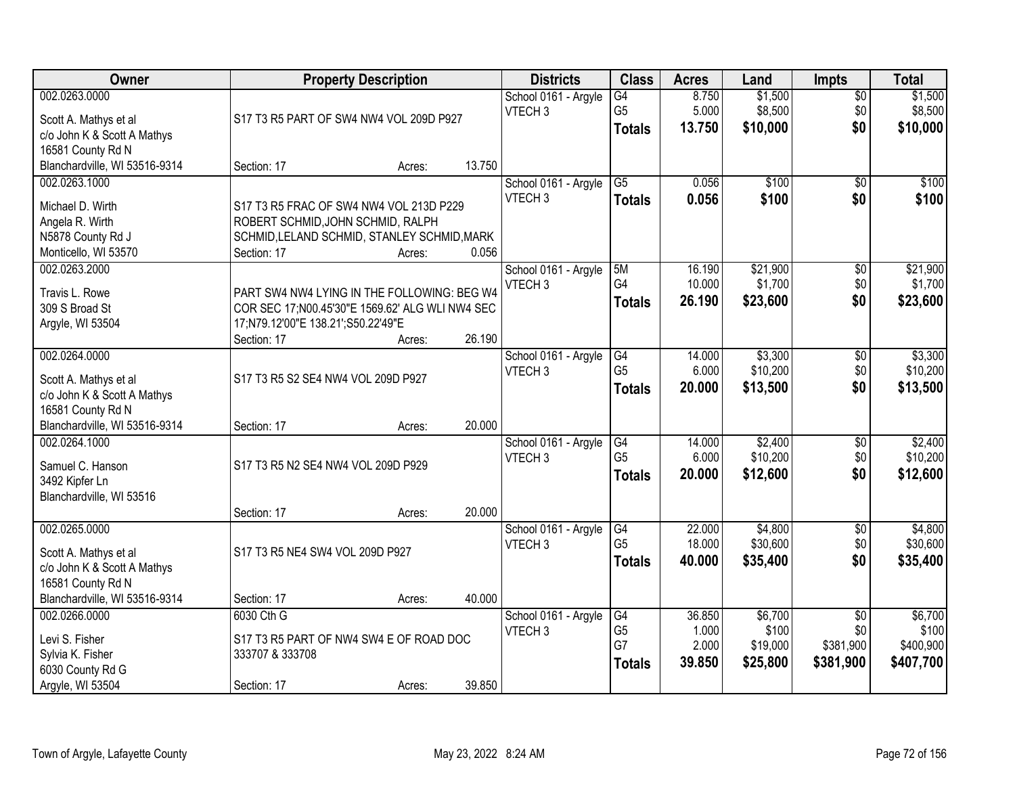| Owner                                                | <b>Property Description</b>                       |        |        | <b>Districts</b>                           | <b>Class</b>    | <b>Acres</b>   | Land           | <b>Impts</b>           | <b>Total</b>   |
|------------------------------------------------------|---------------------------------------------------|--------|--------|--------------------------------------------|-----------------|----------------|----------------|------------------------|----------------|
| 002.0263.0000                                        |                                                   |        |        | School 0161 - Argyle                       | $\overline{G4}$ | 8.750          | \$1,500        | $\sqrt{$0}$            | \$1,500        |
| Scott A. Mathys et al                                | S17 T3 R5 PART OF SW4 NW4 VOL 209D P927           |        |        | VTECH <sub>3</sub>                         | G <sub>5</sub>  | 5.000          | \$8,500        | \$0<br>\$0             | \$8,500        |
| c/o John K & Scott A Mathys                          |                                                   |        |        |                                            | <b>Totals</b>   | 13.750         | \$10,000       |                        | \$10,000       |
| 16581 County Rd N                                    |                                                   |        |        |                                            |                 |                |                |                        |                |
| Blanchardville, WI 53516-9314                        | Section: 17                                       | Acres: | 13.750 |                                            |                 |                |                |                        |                |
| 002.0263.1000                                        |                                                   |        |        | School 0161 - Argyle<br>VTECH <sub>3</sub> | $\overline{G5}$ | 0.056<br>0.056 | \$100<br>\$100 | $\overline{50}$<br>\$0 | \$100<br>\$100 |
| Michael D. Wirth                                     | S17 T3 R5 FRAC OF SW4 NW4 VOL 213D P229           |        |        |                                            | <b>Totals</b>   |                |                |                        |                |
| Angela R. Wirth                                      | ROBERT SCHMID, JOHN SCHMID, RALPH                 |        |        |                                            |                 |                |                |                        |                |
| N5878 County Rd J                                    | SCHMID, LELAND SCHMID, STANLEY SCHMID, MARK       |        |        |                                            |                 |                |                |                        |                |
| Monticello, WI 53570<br>002.0263.2000                | Section: 17                                       | Acres: | 0.056  | School 0161 - Argyle                       | 5M              | 16.190         | \$21,900       | $\overline{50}$        | \$21,900       |
|                                                      |                                                   |        |        | VTECH <sub>3</sub>                         | G4              | 10.000         | \$1,700        | \$0                    | \$1,700        |
| Travis L. Rowe                                       | PART SW4 NW4 LYING IN THE FOLLOWING: BEG W4       |        |        |                                            | <b>Totals</b>   | 26.190         | \$23,600       | \$0                    | \$23,600       |
| 309 S Broad St                                       | COR SEC 17; N00.45'30"E 1569.62' ALG WLI NW4 SEC  |        |        |                                            |                 |                |                |                        |                |
| Argyle, WI 53504                                     | 17;N79.12'00"E 138.21';S50.22'49"E<br>Section: 17 | Acres: | 26.190 |                                            |                 |                |                |                        |                |
| 002.0264.0000                                        |                                                   |        |        | School 0161 - Argyle                       | G4              | 14.000         | \$3,300        | \$0                    | \$3,300        |
|                                                      |                                                   |        |        | VTECH <sub>3</sub>                         | G <sub>5</sub>  | 6.000          | \$10,200       | \$0                    | \$10,200       |
| Scott A. Mathys et al                                | S17 T3 R5 S2 SE4 NW4 VOL 209D P927                |        |        |                                            | <b>Totals</b>   | 20.000         | \$13,500       | \$0                    | \$13,500       |
| c/o John K & Scott A Mathys<br>16581 County Rd N     |                                                   |        |        |                                            |                 |                |                |                        |                |
| Blanchardville, WI 53516-9314                        | Section: 17                                       | Acres: | 20.000 |                                            |                 |                |                |                        |                |
| 002.0264.1000                                        |                                                   |        |        | School 0161 - Argyle                       | G4              | 14.000         | \$2,400        | \$0                    | \$2,400        |
|                                                      |                                                   |        |        | VTECH <sub>3</sub>                         | G <sub>5</sub>  | 6.000          | \$10,200       | \$0                    | \$10,200       |
| Samuel C. Hanson                                     | S17 T3 R5 N2 SE4 NW4 VOL 209D P929                |        |        |                                            | <b>Totals</b>   | 20.000         | \$12,600       | \$0                    | \$12,600       |
| 3492 Kipfer Ln<br>Blanchardville, WI 53516           |                                                   |        |        |                                            |                 |                |                |                        |                |
|                                                      | Section: 17                                       | Acres: | 20.000 |                                            |                 |                |                |                        |                |
| 002.0265.0000                                        |                                                   |        |        | School 0161 - Argyle                       | G4              | 22.000         | \$4,800        | $\overline{$0}$        | \$4,800        |
|                                                      | S17 T3 R5 NE4 SW4 VOL 209D P927                   |        |        | VTECH <sub>3</sub>                         | G <sub>5</sub>  | 18.000         | \$30,600       | \$0                    | \$30,600       |
| Scott A. Mathys et al<br>c/o John K & Scott A Mathys |                                                   |        |        |                                            | <b>Totals</b>   | 40.000         | \$35,400       | \$0                    | \$35,400       |
| 16581 County Rd N                                    |                                                   |        |        |                                            |                 |                |                |                        |                |
| Blanchardville, WI 53516-9314                        | Section: 17                                       | Acres: | 40.000 |                                            |                 |                |                |                        |                |
| 002.0266.0000                                        | 6030 Cth G                                        |        |        | School 0161 - Argyle                       | G4              | 36.850         | \$6,700        | $\overline{50}$        | \$6,700        |
| Levi S. Fisher                                       | S17 T3 R5 PART OF NW4 SW4 E OF ROAD DOC           |        |        | VTECH <sub>3</sub>                         | G <sub>5</sub>  | 1.000          | \$100          | \$0                    | \$100          |
| Sylvia K. Fisher                                     | 333707 & 333708                                   |        |        |                                            | G7              | 2.000          | \$19,000       | \$381,900              | \$400,900      |
| 6030 County Rd G                                     |                                                   |        |        |                                            | <b>Totals</b>   | 39.850         | \$25,800       | \$381,900              | \$407,700      |
| Argyle, WI 53504                                     | Section: 17                                       | Acres: | 39.850 |                                            |                 |                |                |                        |                |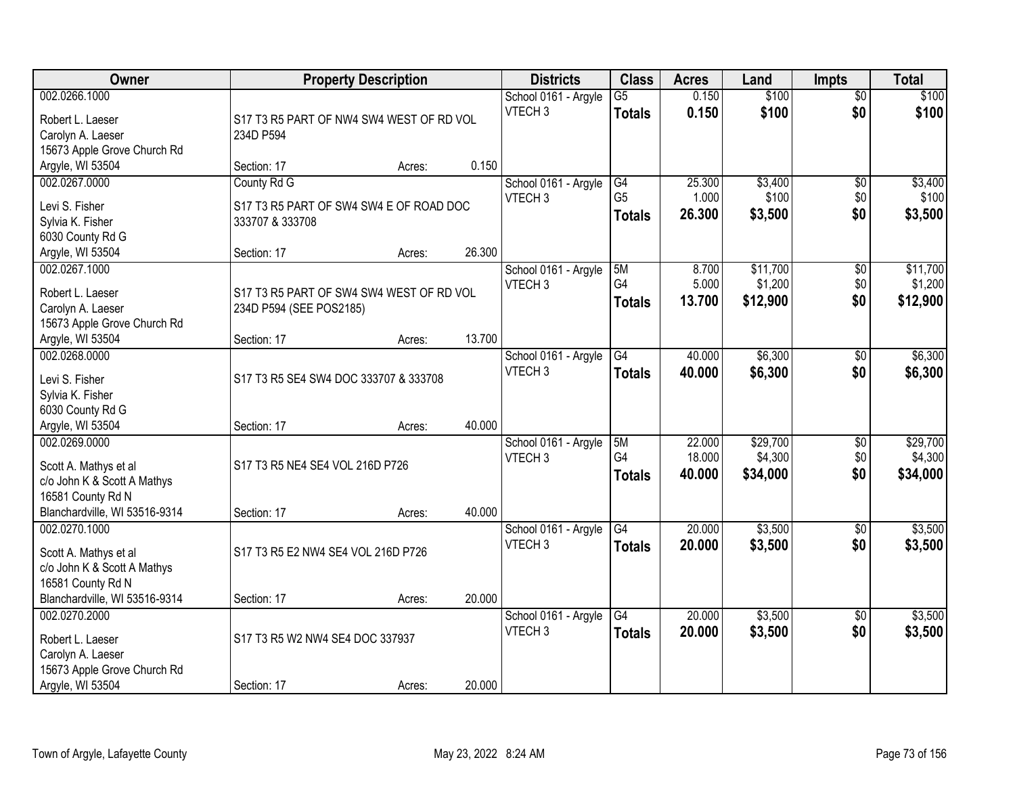| Owner                                                                                 |                                                       | <b>Property Description</b> |        | <b>Districts</b>                           | <b>Class</b>                     | <b>Acres</b>     | Land                | <b>Impts</b>           | <b>Total</b>        |
|---------------------------------------------------------------------------------------|-------------------------------------------------------|-----------------------------|--------|--------------------------------------------|----------------------------------|------------------|---------------------|------------------------|---------------------|
| 002.0266.1000<br>Robert L. Laeser<br>Carolyn A. Laeser<br>15673 Apple Grove Church Rd | S17 T3 R5 PART OF NW4 SW4 WEST OF RD VOL<br>234D P594 |                             |        | School 0161 - Argyle<br>VTECH <sub>3</sub> | $\overline{G5}$<br><b>Totals</b> | 0.150<br>0.150   | \$100<br>\$100      | $\overline{50}$<br>\$0 | \$100<br>\$100      |
| Argyle, WI 53504                                                                      | Section: 17                                           | Acres:                      | 0.150  |                                            |                                  |                  |                     |                        |                     |
| 002.0267.0000                                                                         | County Rd G                                           |                             |        | School 0161 - Argyle<br>VTECH <sub>3</sub> | G4<br>G <sub>5</sub>             | 25.300<br>1.000  | \$3,400<br>\$100    | \$0<br>\$0             | \$3,400<br>\$100    |
| Levi S. Fisher                                                                        | S17 T3 R5 PART OF SW4 SW4 E OF ROAD DOC               |                             |        |                                            | <b>Totals</b>                    | 26.300           | \$3,500             | \$0                    | \$3,500             |
| Sylvia K. Fisher                                                                      | 333707 & 333708                                       |                             |        |                                            |                                  |                  |                     |                        |                     |
| 6030 County Rd G                                                                      | Section: 17                                           |                             | 26.300 |                                            |                                  |                  |                     |                        |                     |
| Argyle, WI 53504<br>002.0267.1000                                                     |                                                       | Acres:                      |        | School 0161 - Argyle                       | 5M                               | 8.700            | \$11,700            | \$0                    | \$11,700            |
|                                                                                       |                                                       |                             |        | VTECH <sub>3</sub>                         | G4                               | 5.000            | \$1,200             | \$0                    | \$1,200             |
| Robert L. Laeser                                                                      | S17 T3 R5 PART OF SW4 SW4 WEST OF RD VOL              |                             |        |                                            | <b>Totals</b>                    | 13,700           | \$12,900            | \$0                    | \$12,900            |
| Carolyn A. Laeser                                                                     | 234D P594 (SEE POS2185)                               |                             |        |                                            |                                  |                  |                     |                        |                     |
| 15673 Apple Grove Church Rd                                                           |                                                       |                             |        |                                            |                                  |                  |                     |                        |                     |
| Argyle, WI 53504                                                                      | Section: 17                                           | Acres:                      | 13.700 |                                            |                                  |                  |                     |                        |                     |
| 002.0268.0000<br>Levi S. Fisher                                                       | S17 T3 R5 SE4 SW4 DOC 333707 & 333708                 |                             |        | School 0161 - Argyle<br>VTECH <sub>3</sub> | G4<br><b>Totals</b>              | 40.000<br>40.000 | \$6,300<br>\$6,300  | $\sqrt[6]{3}$<br>\$0   | \$6,300<br>\$6,300  |
| Sylvia K. Fisher                                                                      |                                                       |                             |        |                                            |                                  |                  |                     |                        |                     |
| 6030 County Rd G                                                                      |                                                       |                             |        |                                            |                                  |                  |                     |                        |                     |
| Argyle, WI 53504                                                                      | Section: 17                                           | Acres:                      | 40.000 |                                            |                                  |                  |                     |                        |                     |
| 002.0269.0000<br>Scott A. Mathys et al                                                | S17 T3 R5 NE4 SE4 VOL 216D P726                       |                             |        | School 0161 - Argyle<br>VTECH <sub>3</sub> | 5M<br>G4                         | 22.000<br>18.000 | \$29,700<br>\$4,300 | $\overline{50}$<br>\$0 | \$29,700<br>\$4,300 |
| c/o John K & Scott A Mathys                                                           |                                                       |                             |        |                                            | <b>Totals</b>                    | 40.000           | \$34,000            | \$0                    | \$34,000            |
| 16581 County Rd N                                                                     |                                                       |                             |        |                                            |                                  |                  |                     |                        |                     |
| Blanchardville, WI 53516-9314                                                         | Section: 17                                           | Acres:                      | 40.000 |                                            |                                  |                  |                     |                        |                     |
| 002.0270.1000                                                                         |                                                       |                             |        | School 0161 - Argyle                       | G4                               | 20.000           | \$3,500             | \$0                    | \$3,500             |
| Scott A. Mathys et al<br>c/o John K & Scott A Mathys                                  | S17 T3 R5 E2 NW4 SE4 VOL 216D P726                    |                             |        | VTECH <sub>3</sub>                         | <b>Totals</b>                    | 20.000           | \$3,500             | \$0                    | \$3,500             |
| 16581 County Rd N                                                                     |                                                       |                             |        |                                            |                                  |                  |                     |                        |                     |
| Blanchardville, WI 53516-9314                                                         | Section: 17                                           | Acres:                      | 20.000 |                                            |                                  |                  |                     |                        |                     |
| 002.0270.2000                                                                         |                                                       |                             |        | School 0161 - Argyle                       | G4                               | 20.000           | \$3,500             | $\overline{50}$        | \$3,500             |
| Robert L. Laeser                                                                      | S17 T3 R5 W2 NW4 SE4 DOC 337937                       |                             |        | VTECH <sub>3</sub>                         | <b>Totals</b>                    | 20.000           | \$3,500             | \$0                    | \$3,500             |
| Carolyn A. Laeser                                                                     |                                                       |                             |        |                                            |                                  |                  |                     |                        |                     |
| 15673 Apple Grove Church Rd                                                           |                                                       |                             |        |                                            |                                  |                  |                     |                        |                     |
| Argyle, WI 53504                                                                      | Section: 17                                           | Acres:                      | 20.000 |                                            |                                  |                  |                     |                        |                     |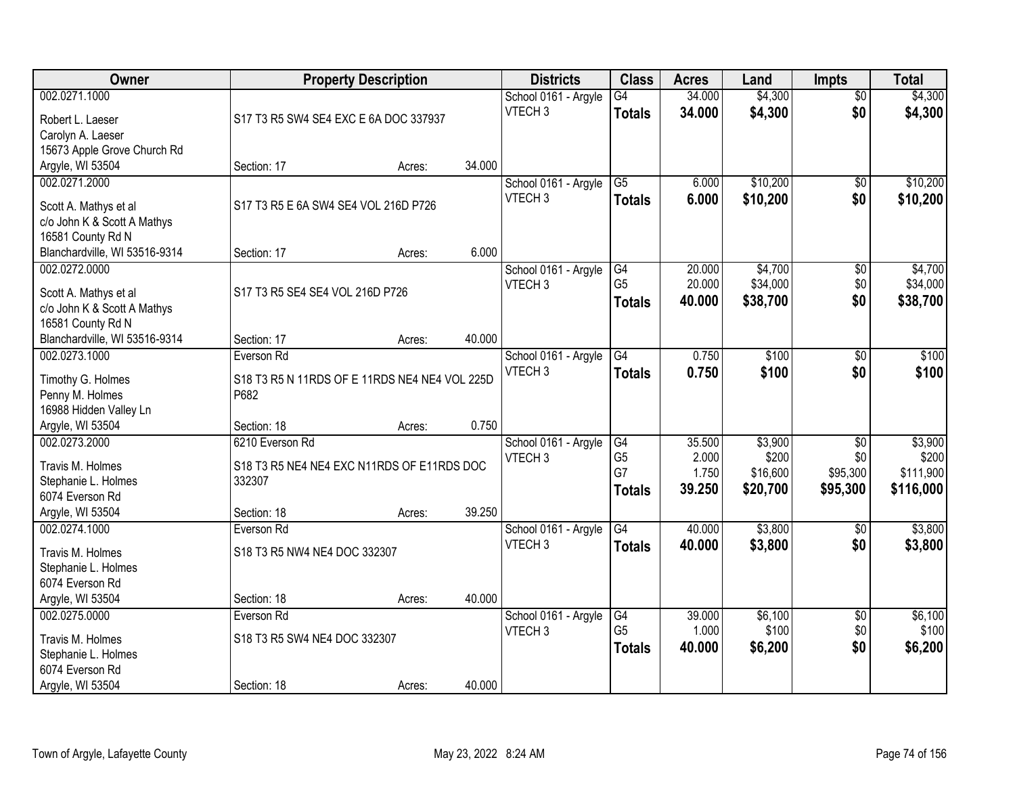| Owner                                          |                                               | <b>Property Description</b> |        | <b>Districts</b>                           | <b>Class</b>    | <b>Acres</b> | Land     | <b>Impts</b>    | <b>Total</b> |
|------------------------------------------------|-----------------------------------------------|-----------------------------|--------|--------------------------------------------|-----------------|--------------|----------|-----------------|--------------|
| 002.0271.1000                                  |                                               |                             |        | School 0161 - Argyle                       | $\overline{G4}$ | 34.000       | \$4,300  | $\overline{50}$ | \$4,300      |
| Robert L. Laeser                               | S17 T3 R5 SW4 SE4 EXC E 6A DOC 337937         |                             |        | VTECH <sub>3</sub>                         | <b>Totals</b>   | 34.000       | \$4,300  | \$0             | \$4,300      |
| Carolyn A. Laeser                              |                                               |                             |        |                                            |                 |              |          |                 |              |
| 15673 Apple Grove Church Rd                    |                                               |                             |        |                                            |                 |              |          |                 |              |
| Argyle, WI 53504                               | Section: 17                                   | Acres:                      | 34.000 |                                            |                 |              |          |                 |              |
| 002.0271.2000                                  |                                               |                             |        | School 0161 - Argyle                       | $\overline{G5}$ | 6.000        | \$10,200 | $\overline{50}$ | \$10,200     |
|                                                |                                               |                             |        | VTECH <sub>3</sub>                         | <b>Totals</b>   | 6.000        | \$10,200 | \$0             | \$10,200     |
| Scott A. Mathys et al                          | S17 T3 R5 E 6A SW4 SE4 VOL 216D P726          |                             |        |                                            |                 |              |          |                 |              |
| c/o John K & Scott A Mathys                    |                                               |                             |        |                                            |                 |              |          |                 |              |
| 16581 County Rd N                              |                                               |                             | 6.000  |                                            |                 |              |          |                 |              |
| Blanchardville, WI 53516-9314<br>002.0272.0000 | Section: 17                                   | Acres:                      |        |                                            | G4              | 20.000       | \$4,700  |                 | \$4,700      |
|                                                |                                               |                             |        | School 0161 - Argyle<br>VTECH <sub>3</sub> | G <sub>5</sub>  | 20.000       | \$34,000 | \$0<br>\$0      | \$34,000     |
| Scott A. Mathys et al                          | S17 T3 R5 SE4 SE4 VOL 216D P726               |                             |        |                                            |                 | 40.000       | \$38,700 | \$0             | \$38,700     |
| c/o John K & Scott A Mathys                    |                                               |                             |        |                                            | <b>Totals</b>   |              |          |                 |              |
| 16581 County Rd N                              |                                               |                             |        |                                            |                 |              |          |                 |              |
| Blanchardville, WI 53516-9314                  | Section: 17                                   | Acres:                      | 40.000 |                                            |                 |              |          |                 |              |
| 002.0273.1000                                  | Everson Rd                                    |                             |        | School 0161 - Argyle                       | G4              | 0.750        | \$100    | \$0             | \$100        |
| Timothy G. Holmes                              | S18 T3 R5 N 11RDS OF E 11RDS NE4 NE4 VOL 225D |                             |        | VTECH <sub>3</sub>                         | <b>Totals</b>   | 0.750        | \$100    | \$0             | \$100        |
| Penny M. Holmes                                | P682                                          |                             |        |                                            |                 |              |          |                 |              |
| 16988 Hidden Valley Ln                         |                                               |                             |        |                                            |                 |              |          |                 |              |
| Argyle, WI 53504                               | Section: 18                                   | Acres:                      | 0.750  |                                            |                 |              |          |                 |              |
| 002.0273.2000                                  | 6210 Everson Rd                               |                             |        | School 0161 - Argyle                       | G4              | 35.500       | \$3,900  | $\overline{30}$ | \$3,900      |
|                                                |                                               |                             |        | VTECH <sub>3</sub>                         | G <sub>5</sub>  | 2.000        | \$200    | \$0             | \$200        |
| Travis M. Holmes                               | S18 T3 R5 NE4 NE4 EXC N11RDS OF E11RDS DOC    |                             |        |                                            | G7              | 1.750        | \$16,600 | \$95,300        | \$111,900    |
| Stephanie L. Holmes                            | 332307                                        |                             |        |                                            | <b>Totals</b>   | 39.250       | \$20,700 | \$95,300        | \$116,000    |
| 6074 Everson Rd                                |                                               |                             | 39.250 |                                            |                 |              |          |                 |              |
| Argyle, WI 53504<br>002.0274.1000              | Section: 18                                   | Acres:                      |        |                                            | $\overline{G4}$ |              | \$3,800  |                 | \$3,800      |
|                                                | Everson Rd                                    |                             |        | School 0161 - Argyle<br>VTECH <sub>3</sub> |                 | 40.000       |          | $\sqrt{6}$      |              |
| Travis M. Holmes                               | S18 T3 R5 NW4 NE4 DOC 332307                  |                             |        |                                            | <b>Totals</b>   | 40.000       | \$3,800  | \$0             | \$3,800      |
| Stephanie L. Holmes                            |                                               |                             |        |                                            |                 |              |          |                 |              |
| 6074 Everson Rd                                |                                               |                             |        |                                            |                 |              |          |                 |              |
| Argyle, WI 53504                               | Section: 18                                   | Acres:                      | 40.000 |                                            |                 |              |          |                 |              |
| 002.0275.0000                                  | Everson Rd                                    |                             |        | School 0161 - Argyle                       | G4              | 39.000       | \$6,100  | $\overline{50}$ | \$6,100      |
| Travis M. Holmes                               | S18 T3 R5 SW4 NE4 DOC 332307                  |                             |        | VTECH <sub>3</sub>                         | G <sub>5</sub>  | 1.000        | \$100    | \$0             | \$100        |
| Stephanie L. Holmes                            |                                               |                             |        |                                            | <b>Totals</b>   | 40.000       | \$6,200  | \$0             | \$6,200      |
| 6074 Everson Rd                                |                                               |                             |        |                                            |                 |              |          |                 |              |
| Argyle, WI 53504                               | Section: 18                                   | Acres:                      | 40.000 |                                            |                 |              |          |                 |              |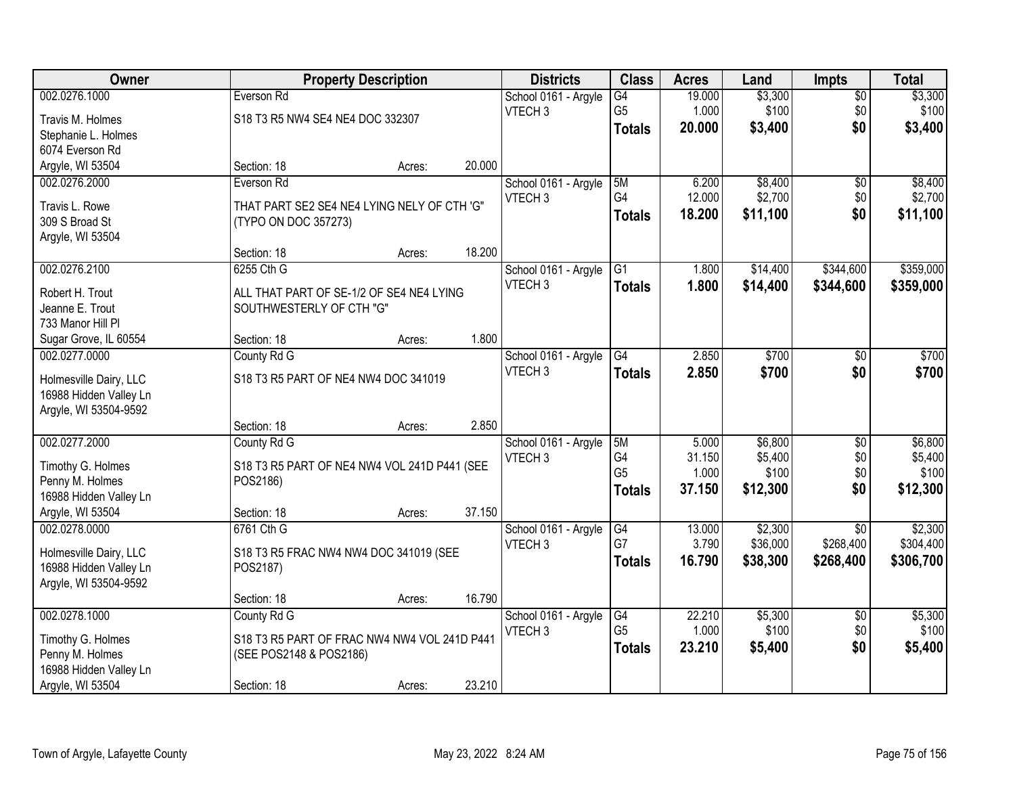| Owner                            | <b>Property Description</b>                  |        |        | <b>Districts</b>     | <b>Class</b>    | <b>Acres</b> | Land     | <b>Impts</b>    | <b>Total</b> |
|----------------------------------|----------------------------------------------|--------|--------|----------------------|-----------------|--------------|----------|-----------------|--------------|
| 002.0276.1000                    | Everson Rd                                   |        |        | School 0161 - Argyle | $\overline{G4}$ | 19.000       | \$3,300  | $\sqrt{$0}$     | \$3,300      |
| Travis M. Holmes                 | S18 T3 R5 NW4 SE4 NE4 DOC 332307             |        |        | VTECH <sub>3</sub>   | G <sub>5</sub>  | 1.000        | \$100    | \$0             | \$100        |
| Stephanie L. Holmes              |                                              |        |        |                      | <b>Totals</b>   | 20.000       | \$3,400  | \$0             | \$3,400      |
| 6074 Everson Rd                  |                                              |        |        |                      |                 |              |          |                 |              |
| Argyle, WI 53504                 | Section: 18                                  | Acres: | 20.000 |                      |                 |              |          |                 |              |
| 002.0276.2000                    | Everson Rd                                   |        |        | School 0161 - Argyle | 5M              | 6.200        | \$8,400  | $\overline{50}$ | \$8,400      |
|                                  |                                              |        |        | VTECH <sub>3</sub>   | G4              | 12.000       | \$2,700  | \$0             | \$2,700      |
| Travis L. Rowe<br>309 S Broad St | THAT PART SE2 SE4 NE4 LYING NELY OF CTH 'G"  |        |        |                      | <b>Totals</b>   | 18.200       | \$11,100 | \$0             | \$11,100     |
| Argyle, WI 53504                 | (TYPO ON DOC 357273)                         |        |        |                      |                 |              |          |                 |              |
|                                  | Section: 18                                  | Acres: | 18.200 |                      |                 |              |          |                 |              |
| 002.0276.2100                    | 6255 Cth G                                   |        |        | School 0161 - Argyle | G1              | 1.800        | \$14,400 | \$344,600       | \$359,000    |
|                                  |                                              |        |        | VTECH <sub>3</sub>   | <b>Totals</b>   | 1.800        | \$14,400 | \$344,600       | \$359,000    |
| Robert H. Trout                  | ALL THAT PART OF SE-1/2 OF SE4 NE4 LYING     |        |        |                      |                 |              |          |                 |              |
| Jeanne E. Trout                  | SOUTHWESTERLY OF CTH "G"                     |        |        |                      |                 |              |          |                 |              |
| 733 Manor Hill Pl                |                                              |        |        |                      |                 |              |          |                 |              |
| Sugar Grove, IL 60554            | Section: 18                                  | Acres: | 1.800  |                      |                 |              |          |                 |              |
| 002.0277.0000                    | County Rd G                                  |        |        | School 0161 - Argyle | G4              | 2.850        | \$700    | \$0             | \$700        |
| Holmesville Dairy, LLC           | S18 T3 R5 PART OF NE4 NW4 DOC 341019         |        |        | VTECH <sub>3</sub>   | <b>Totals</b>   | 2.850        | \$700    | \$0             | \$700        |
| 16988 Hidden Valley Ln           |                                              |        |        |                      |                 |              |          |                 |              |
| Argyle, WI 53504-9592            |                                              |        |        |                      |                 |              |          |                 |              |
|                                  | Section: 18                                  | Acres: | 2.850  |                      |                 |              |          |                 |              |
| 002.0277.2000                    | County Rd G                                  |        |        | School 0161 - Argyle | 5M              | 5.000        | \$6,800  | \$0             | \$6,800      |
| Timothy G. Holmes                | S18 T3 R5 PART OF NE4 NW4 VOL 241D P441 (SEE |        |        | VTECH <sub>3</sub>   | G4              | 31.150       | \$5,400  | \$0             | \$5,400      |
| Penny M. Holmes                  | POS2186)                                     |        |        |                      | G <sub>5</sub>  | 1.000        | \$100    | \$0             | \$100        |
| 16988 Hidden Valley Ln           |                                              |        |        |                      | <b>Totals</b>   | 37.150       | \$12,300 | \$0             | \$12,300     |
| Argyle, WI 53504                 | Section: 18                                  | Acres: | 37.150 |                      |                 |              |          |                 |              |
| 002.0278.0000                    | 6761 Cth G                                   |        |        | School 0161 - Argyle | G4              | 13.000       | \$2,300  | $\overline{50}$ | \$2,300      |
|                                  |                                              |        |        | VTECH <sub>3</sub>   | G7              | 3.790        | \$36,000 | \$268,400       | \$304,400    |
| Holmesville Dairy, LLC           | S18 T3 R5 FRAC NW4 NW4 DOC 341019 (SEE       |        |        |                      | <b>Totals</b>   | 16.790       | \$38,300 | \$268,400       | \$306,700    |
| 16988 Hidden Valley Ln           | POS2187)                                     |        |        |                      |                 |              |          |                 |              |
| Argyle, WI 53504-9592            |                                              |        |        |                      |                 |              |          |                 |              |
|                                  | Section: 18                                  | Acres: | 16.790 |                      |                 |              |          |                 |              |
| 002.0278.1000                    | County Rd G                                  |        |        | School 0161 - Argyle | $\overline{G4}$ | 22.210       | \$5,300  | $\overline{50}$ | \$5,300      |
| Timothy G. Holmes                | S18 T3 R5 PART OF FRAC NW4 NW4 VOL 241D P441 |        |        | VTECH <sub>3</sub>   | G <sub>5</sub>  | 1.000        | \$100    | \$0             | \$100        |
| Penny M. Holmes                  | (SEE POS2148 & POS2186)                      |        |        |                      | <b>Totals</b>   | 23.210       | \$5,400  | \$0             | \$5,400      |
| 16988 Hidden Valley Ln           |                                              |        |        |                      |                 |              |          |                 |              |
| Argyle, WI 53504                 | Section: 18                                  | Acres: | 23.210 |                      |                 |              |          |                 |              |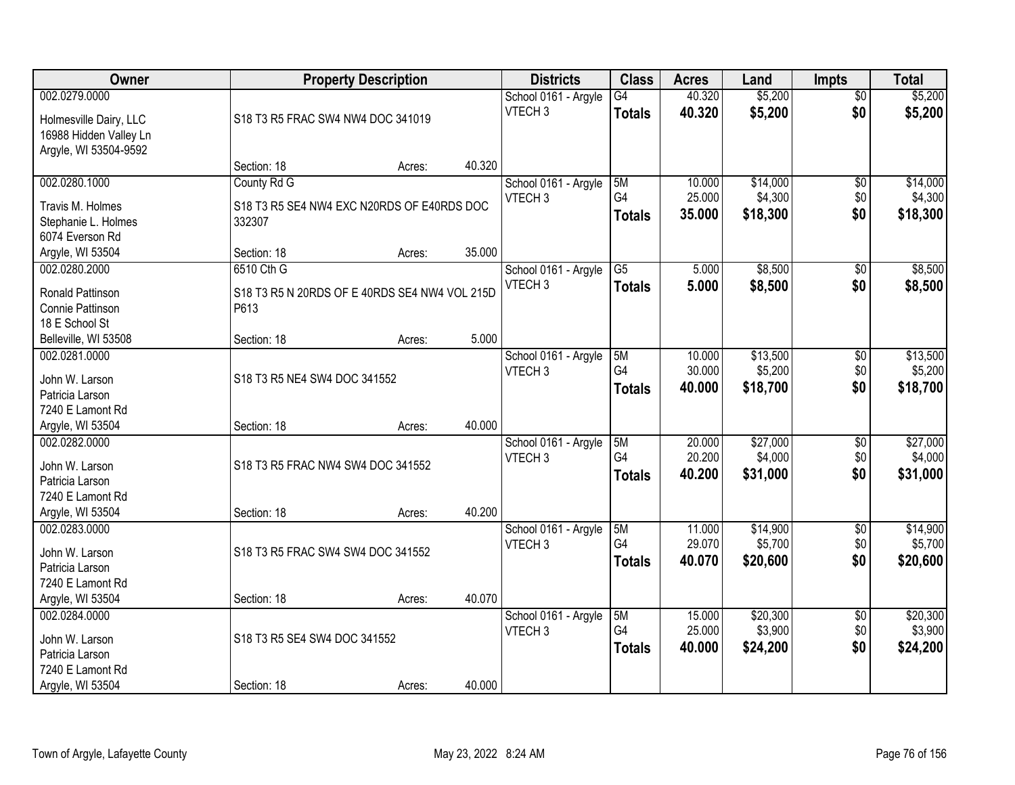| Owner                                |                                                       | <b>Property Description</b> |        | <b>Districts</b>     | <b>Class</b>    | <b>Acres</b> | Land     | <b>Impts</b>    | <b>Total</b> |
|--------------------------------------|-------------------------------------------------------|-----------------------------|--------|----------------------|-----------------|--------------|----------|-----------------|--------------|
| 002.0279.0000                        |                                                       |                             |        | School 0161 - Argyle | $\overline{G4}$ | 40.320       | \$5,200  | $\overline{50}$ | \$5,200      |
| Holmesville Dairy, LLC               | S18 T3 R5 FRAC SW4 NW4 DOC 341019                     |                             |        | VTECH <sub>3</sub>   | <b>Totals</b>   | 40.320       | \$5,200  | \$0             | \$5,200      |
| 16988 Hidden Valley Ln               |                                                       |                             |        |                      |                 |              |          |                 |              |
| Argyle, WI 53504-9592                |                                                       |                             |        |                      |                 |              |          |                 |              |
|                                      | Section: 18                                           | Acres:                      | 40.320 |                      |                 |              |          |                 |              |
| 002.0280.1000                        | County Rd G                                           |                             |        | School 0161 - Argyle | 5M              | 10.000       | \$14,000 | $\overline{50}$ | \$14,000     |
| Travis M. Holmes                     | S18 T3 R5 SE4 NW4 EXC N20RDS OF E40RDS DOC            |                             |        | VTECH <sub>3</sub>   | G4              | 25.000       | \$4,300  | \$0             | \$4,300      |
| Stephanie L. Holmes                  | 332307                                                |                             |        |                      | <b>Totals</b>   | 35.000       | \$18,300 | \$0             | \$18,300     |
| 6074 Everson Rd                      |                                                       |                             |        |                      |                 |              |          |                 |              |
| Argyle, WI 53504                     | Section: 18                                           | Acres:                      | 35.000 |                      |                 |              |          |                 |              |
| 002.0280.2000                        | 6510 Cth G                                            |                             |        | School 0161 - Argyle | $\overline{G5}$ | 5.000        | \$8,500  | \$0             | \$8,500      |
|                                      |                                                       |                             |        | VTECH <sub>3</sub>   | <b>Totals</b>   | 5.000        | \$8,500  | \$0             | \$8,500      |
| Ronald Pattinson<br>Connie Pattinson | S18 T3 R5 N 20RDS OF E 40RDS SE4 NW4 VOL 215D<br>P613 |                             |        |                      |                 |              |          |                 |              |
| 18 E School St                       |                                                       |                             |        |                      |                 |              |          |                 |              |
| Belleville, WI 53508                 | Section: 18                                           | Acres:                      | 5.000  |                      |                 |              |          |                 |              |
| 002.0281.0000                        |                                                       |                             |        | School 0161 - Argyle | 5M              | 10.000       | \$13,500 | \$0             | \$13,500     |
|                                      |                                                       |                             |        | VTECH <sub>3</sub>   | G4              | 30.000       | \$5,200  | \$0             | \$5,200      |
| John W. Larson                       | S18 T3 R5 NE4 SW4 DOC 341552                          |                             |        |                      | <b>Totals</b>   | 40.000       | \$18,700 | \$0             | \$18,700     |
| Patricia Larson                      |                                                       |                             |        |                      |                 |              |          |                 |              |
| 7240 E Lamont Rd                     |                                                       |                             |        |                      |                 |              |          |                 |              |
| Argyle, WI 53504                     | Section: 18                                           | Acres:                      | 40.000 |                      |                 |              |          |                 |              |
| 002.0282.0000                        |                                                       |                             |        | School 0161 - Argyle | 5M              | 20.000       | \$27,000 | $\overline{50}$ | \$27,000     |
| John W. Larson                       | S18 T3 R5 FRAC NW4 SW4 DOC 341552                     |                             |        | VTECH <sub>3</sub>   | G4              | 20.200       | \$4,000  | \$0             | \$4,000      |
| Patricia Larson                      |                                                       |                             |        |                      | <b>Totals</b>   | 40.200       | \$31,000 | \$0             | \$31,000     |
| 7240 E Lamont Rd                     |                                                       |                             |        |                      |                 |              |          |                 |              |
| Argyle, WI 53504                     | Section: 18                                           | Acres:                      | 40.200 |                      |                 |              |          |                 |              |
| 002.0283.0000                        |                                                       |                             |        | School 0161 - Argyle | 5M              | 11.000       | \$14,900 | $\overline{50}$ | \$14,900     |
| John W. Larson                       | S18 T3 R5 FRAC SW4 SW4 DOC 341552                     |                             |        | VTECH <sub>3</sub>   | G4              | 29.070       | \$5,700  | \$0             | \$5,700      |
| Patricia Larson                      |                                                       |                             |        |                      | <b>Totals</b>   | 40.070       | \$20,600 | \$0             | \$20,600     |
| 7240 E Lamont Rd                     |                                                       |                             |        |                      |                 |              |          |                 |              |
| Argyle, WI 53504                     | Section: 18                                           | Acres:                      | 40.070 |                      |                 |              |          |                 |              |
| 002.0284.0000                        |                                                       |                             |        | School 0161 - Argyle | 5M              | 15,000       | \$20,300 | $\overline{50}$ | \$20,300     |
|                                      |                                                       |                             |        | VTECH <sub>3</sub>   | G4              | 25.000       | \$3,900  | \$0             | \$3,900      |
| John W. Larson                       | S18 T3 R5 SE4 SW4 DOC 341552                          |                             |        |                      | <b>Totals</b>   | 40.000       | \$24,200 | \$0             | \$24,200     |
| Patricia Larson                      |                                                       |                             |        |                      |                 |              |          |                 |              |
| 7240 E Lamont Rd                     |                                                       |                             |        |                      |                 |              |          |                 |              |
| Argyle, WI 53504                     | Section: 18                                           | Acres:                      | 40.000 |                      |                 |              |          |                 |              |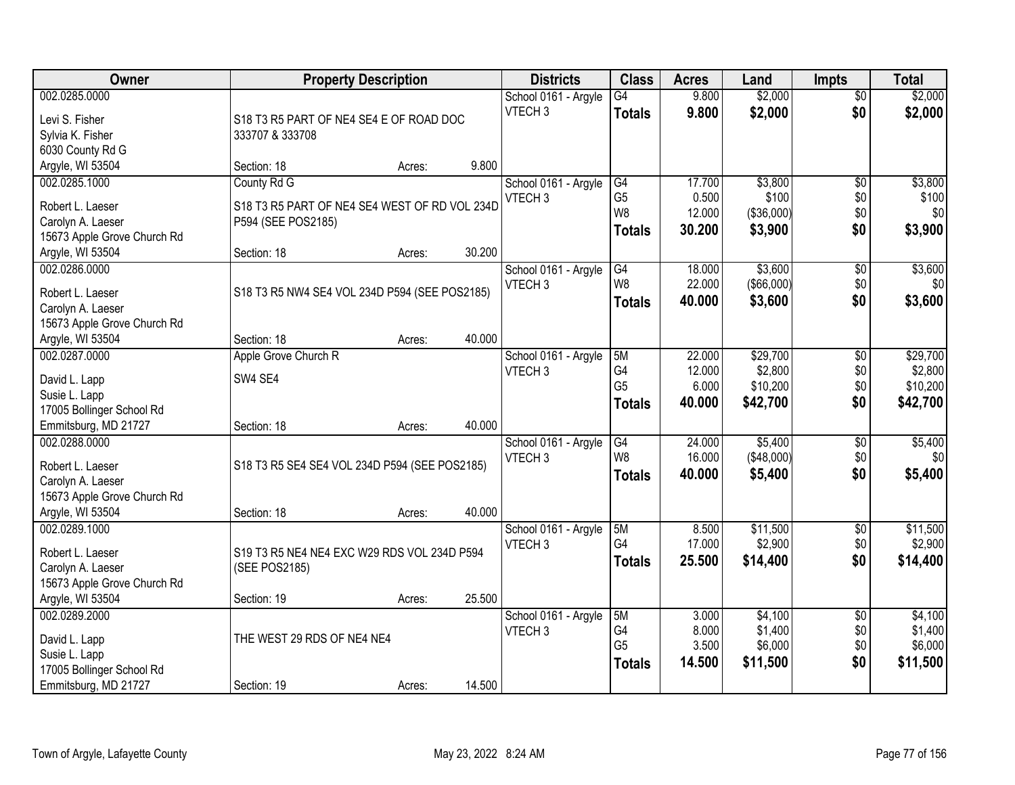| Owner                          | <b>Property Description</b>                   |        |        | <b>Districts</b>     | <b>Class</b>         | <b>Acres</b> | Land              | <b>Impts</b>    | <b>Total</b> |
|--------------------------------|-----------------------------------------------|--------|--------|----------------------|----------------------|--------------|-------------------|-----------------|--------------|
| 002.0285.0000                  |                                               |        |        | School 0161 - Argyle | G4                   | 9.800        | \$2,000           | $\overline{50}$ | \$2,000      |
| Levi S. Fisher                 | S18 T3 R5 PART OF NE4 SE4 E OF ROAD DOC       |        |        | VTECH <sub>3</sub>   | <b>Totals</b>        | 9.800        | \$2,000           | \$0             | \$2,000      |
| Sylvia K. Fisher               | 333707 & 333708                               |        |        |                      |                      |              |                   |                 |              |
| 6030 County Rd G               |                                               |        |        |                      |                      |              |                   |                 |              |
| Argyle, WI 53504               | Section: 18                                   | Acres: | 9.800  |                      |                      |              |                   |                 |              |
| 002.0285.1000                  | County Rd G                                   |        |        | School 0161 - Argyle | G4                   | 17.700       | \$3,800           | $\overline{50}$ | \$3,800      |
|                                |                                               |        |        | VTECH <sub>3</sub>   | G <sub>5</sub>       | 0.500        | \$100             | \$0             | \$100        |
| Robert L. Laeser               | S18 T3 R5 PART OF NE4 SE4 WEST OF RD VOL 234D |        |        |                      | W <sub>8</sub>       | 12.000       | (\$36,000)        | \$0             | \$0          |
| Carolyn A. Laeser              | P594 (SEE POS2185)                            |        |        |                      | <b>Totals</b>        | 30.200       | \$3,900           | \$0             | \$3,900      |
| 15673 Apple Grove Church Rd    |                                               |        |        |                      |                      |              |                   |                 |              |
| Argyle, WI 53504               | Section: 18                                   | Acres: | 30.200 |                      |                      |              |                   |                 |              |
| 002.0286.0000                  |                                               |        |        | School 0161 - Argyle | G4<br>W <sub>8</sub> | 18.000       | \$3,600           | \$0             | \$3,600      |
| Robert L. Laeser               | S18 T3 R5 NW4 SE4 VOL 234D P594 (SEE POS2185) |        |        | VTECH <sub>3</sub>   |                      | 22.000       | $($ \$66,000) $ $ | \$0             | \$0          |
| Carolyn A. Laeser              |                                               |        |        |                      | <b>Totals</b>        | 40.000       | \$3,600           | \$0             | \$3,600      |
| 15673 Apple Grove Church Rd    |                                               |        |        |                      |                      |              |                   |                 |              |
| Argyle, WI 53504               | Section: 18                                   | Acres: | 40.000 |                      |                      |              |                   |                 |              |
| 002.0287.0000                  | Apple Grove Church R                          |        |        | School 0161 - Argyle | 5M                   | 22.000       | \$29,700          | \$0             | \$29,700     |
|                                | SW4 SE4                                       |        |        | VTECH <sub>3</sub>   | G4                   | 12.000       | \$2,800           | \$0             | \$2,800      |
| David L. Lapp<br>Susie L. Lapp |                                               |        |        |                      | G <sub>5</sub>       | 6.000        | \$10,200          | \$0             | \$10,200     |
| 17005 Bollinger School Rd      |                                               |        |        |                      | <b>Totals</b>        | 40.000       | \$42,700          | \$0             | \$42,700     |
| Emmitsburg, MD 21727           | Section: 18                                   | Acres: | 40.000 |                      |                      |              |                   |                 |              |
| 002.0288.0000                  |                                               |        |        | School 0161 - Argyle | G4                   | 24.000       | \$5,400           | \$0             | \$5,400      |
|                                |                                               |        |        | VTECH <sub>3</sub>   | W <sub>8</sub>       | 16.000       | (\$48,000)        | \$0             | \$0          |
| Robert L. Laeser               | S18 T3 R5 SE4 SE4 VOL 234D P594 (SEE POS2185) |        |        |                      | <b>Totals</b>        | 40.000       | \$5,400           | \$0             | \$5,400      |
| Carolyn A. Laeser              |                                               |        |        |                      |                      |              |                   |                 |              |
| 15673 Apple Grove Church Rd    |                                               |        |        |                      |                      |              |                   |                 |              |
| Argyle, WI 53504               | Section: 18                                   | Acres: | 40.000 |                      |                      |              |                   |                 |              |
| 002.0289.1000                  |                                               |        |        | School 0161 - Argyle | 5M                   | 8.500        | \$11,500          | $\overline{50}$ | \$11,500     |
| Robert L. Laeser               | S19 T3 R5 NE4 NE4 EXC W29 RDS VOL 234D P594   |        |        | VTECH <sub>3</sub>   | G <sub>4</sub>       | 17.000       | \$2,900           | \$0             | \$2,900      |
| Carolyn A. Laeser              | (SEE POS2185)                                 |        |        |                      | <b>Totals</b>        | 25.500       | \$14,400          | \$0             | \$14,400     |
| 15673 Apple Grove Church Rd    |                                               |        |        |                      |                      |              |                   |                 |              |
| Argyle, WI 53504               | Section: 19                                   | Acres: | 25.500 |                      |                      |              |                   |                 |              |
| 002.0289.2000                  |                                               |        |        | School 0161 - Argyle | 5M                   | 3.000        | \$4,100           | $\overline{50}$ | \$4,100      |
|                                |                                               |        |        | VTECH <sub>3</sub>   | G4                   | 8.000        | \$1,400           | \$0             | \$1,400      |
| David L. Lapp                  | THE WEST 29 RDS OF NE4 NE4                    |        |        |                      | G <sub>5</sub>       | 3.500        | \$6,000           | \$0             | \$6,000      |
| Susie L. Lapp                  |                                               |        |        |                      | <b>Totals</b>        | 14.500       | \$11,500          | \$0             | \$11,500     |
| 17005 Bollinger School Rd      |                                               |        |        |                      |                      |              |                   |                 |              |
| Emmitsburg, MD 21727           | Section: 19                                   | Acres: | 14.500 |                      |                      |              |                   |                 |              |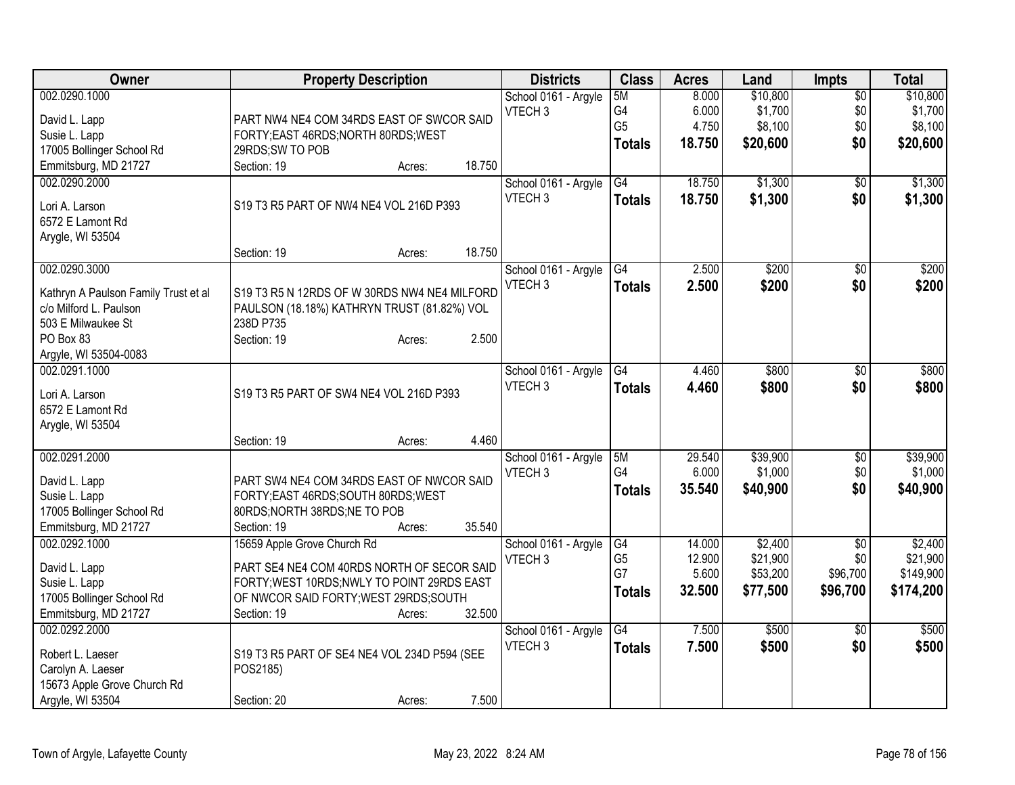| Owner                                | <b>Property Description</b>                  |        |        | <b>Districts</b>                           | <b>Class</b>         | <b>Acres</b> | Land     | <b>Impts</b>    | <b>Total</b> |
|--------------------------------------|----------------------------------------------|--------|--------|--------------------------------------------|----------------------|--------------|----------|-----------------|--------------|
| 002.0290.1000                        |                                              |        |        | School 0161 - Argyle                       | 5M                   | 8.000        | \$10,800 | $\overline{50}$ | \$10,800     |
| David L. Lapp                        | PART NW4 NE4 COM 34RDS EAST OF SWCOR SAID    |        |        | VTECH <sub>3</sub>                         | G4                   | 6.000        | \$1,700  | \$0             | \$1,700      |
| Susie L. Lapp                        | FORTY; EAST 46RDS; NORTH 80RDS; WEST         |        |        |                                            | G <sub>5</sub>       | 4.750        | \$8,100  | \$0             | \$8,100      |
| 17005 Bollinger School Rd            | 29RDS;SW TO POB                              |        |        |                                            | <b>Totals</b>        | 18.750       | \$20,600 | \$0             | \$20,600     |
| Emmitsburg, MD 21727                 | Section: 19                                  | Acres: | 18.750 |                                            |                      |              |          |                 |              |
| 002.0290.2000                        |                                              |        |        | School 0161 - Argyle                       | G4                   | 18.750       | \$1,300  | $\sqrt{6}$      | \$1,300      |
|                                      |                                              |        |        | VTECH <sub>3</sub>                         |                      | 18.750       | \$1,300  | \$0             | \$1,300      |
| Lori A. Larson                       | S19 T3 R5 PART OF NW4 NE4 VOL 216D P393      |        |        |                                            | <b>Totals</b>        |              |          |                 |              |
| 6572 E Lamont Rd                     |                                              |        |        |                                            |                      |              |          |                 |              |
| Arygle, WI 53504                     |                                              |        |        |                                            |                      |              |          |                 |              |
|                                      | Section: 19                                  | Acres: | 18.750 |                                            |                      |              |          |                 |              |
| 002.0290.3000                        |                                              |        |        | School 0161 - Argyle                       | G4                   | 2.500        | \$200    | $\sqrt{6}$      | \$200        |
| Kathryn A Paulson Family Trust et al | S19 T3 R5 N 12RDS OF W 30RDS NW4 NE4 MILFORD |        |        | VTECH <sub>3</sub>                         | <b>Totals</b>        | 2.500        | \$200    | \$0             | \$200        |
| c/o Milford L. Paulson               | PAULSON (18.18%) KATHRYN TRUST (81.82%) VOL  |        |        |                                            |                      |              |          |                 |              |
| 503 E Milwaukee St                   | 238D P735                                    |        |        |                                            |                      |              |          |                 |              |
| PO Box 83                            | Section: 19                                  | Acres: | 2.500  |                                            |                      |              |          |                 |              |
| Argyle, WI 53504-0083                |                                              |        |        |                                            |                      |              |          |                 |              |
| 002.0291.1000                        |                                              |        |        |                                            | G4                   | 4.460        | \$800    | \$0             | \$800        |
|                                      |                                              |        |        | School 0161 - Argyle<br>VTECH <sub>3</sub> |                      |              |          |                 |              |
| Lori A. Larson                       | S19 T3 R5 PART OF SW4 NE4 VOL 216D P393      |        |        |                                            | <b>Totals</b>        | 4.460        | \$800    | \$0             | \$800        |
| 6572 E Lamont Rd                     |                                              |        |        |                                            |                      |              |          |                 |              |
| Arygle, WI 53504                     |                                              |        |        |                                            |                      |              |          |                 |              |
|                                      | Section: 19                                  | Acres: | 4.460  |                                            |                      |              |          |                 |              |
| 002.0291.2000                        |                                              |        |        | School 0161 - Argyle                       | 5M                   | 29.540       | \$39,900 | \$0             | \$39,900     |
|                                      | PART SW4 NE4 COM 34RDS EAST OF NWCOR SAID    |        |        | VTECH <sub>3</sub>                         | G <sub>4</sub>       | 6.000        | \$1,000  | \$0             | \$1,000      |
| David L. Lapp<br>Susie L. Lapp       | FORTY; EAST 46RDS; SOUTH 80RDS; WEST         |        |        |                                            | <b>Totals</b>        | 35,540       | \$40,900 | \$0             | \$40,900     |
| 17005 Bollinger School Rd            | 80RDS;NORTH 38RDS;NE TO POB                  |        |        |                                            |                      |              |          |                 |              |
| Emmitsburg, MD 21727                 | Section: 19                                  |        | 35.540 |                                            |                      |              |          |                 |              |
| 002.0292.1000                        | 15659 Apple Grove Church Rd                  | Acres: |        |                                            |                      | 14.000       | \$2,400  |                 | \$2,400      |
|                                      |                                              |        |        | School 0161 - Argyle                       | G4<br>G <sub>5</sub> | 12.900       | \$21,900 | \$0<br>\$0      | \$21,900     |
| David L. Lapp                        | PART SE4 NE4 COM 40RDS NORTH OF SECOR SAID   |        |        | VTECH <sub>3</sub>                         | G7                   | 5.600        | \$53,200 | \$96,700        | \$149,900    |
| Susie L. Lapp                        | FORTY; WEST 10RDS; NWLY TO POINT 29RDS EAST  |        |        |                                            |                      | 32.500       |          |                 |              |
| 17005 Bollinger School Rd            | OF NWCOR SAID FORTY; WEST 29RDS; SOUTH       |        |        |                                            | <b>Totals</b>        |              | \$77,500 | \$96,700        | \$174,200    |
| Emmitsburg, MD 21727                 | Section: 19                                  | Acres: | 32.500 |                                            |                      |              |          |                 |              |
| 002.0292.2000                        |                                              |        |        | School 0161 - Argyle                       | $\overline{G4}$      | 7.500        | \$500    | $\overline{30}$ | \$500        |
|                                      |                                              |        |        | VTECH <sub>3</sub>                         | <b>Totals</b>        | 7.500        | \$500    | \$0             | \$500        |
| Robert L. Laeser                     | S19 T3 R5 PART OF SE4 NE4 VOL 234D P594 (SEE |        |        |                                            |                      |              |          |                 |              |
| Carolyn A. Laeser                    | POS2185)                                     |        |        |                                            |                      |              |          |                 |              |
| 15673 Apple Grove Church Rd          |                                              |        |        |                                            |                      |              |          |                 |              |
| Argyle, WI 53504                     | Section: 20                                  | Acres: | 7.500  |                                            |                      |              |          |                 |              |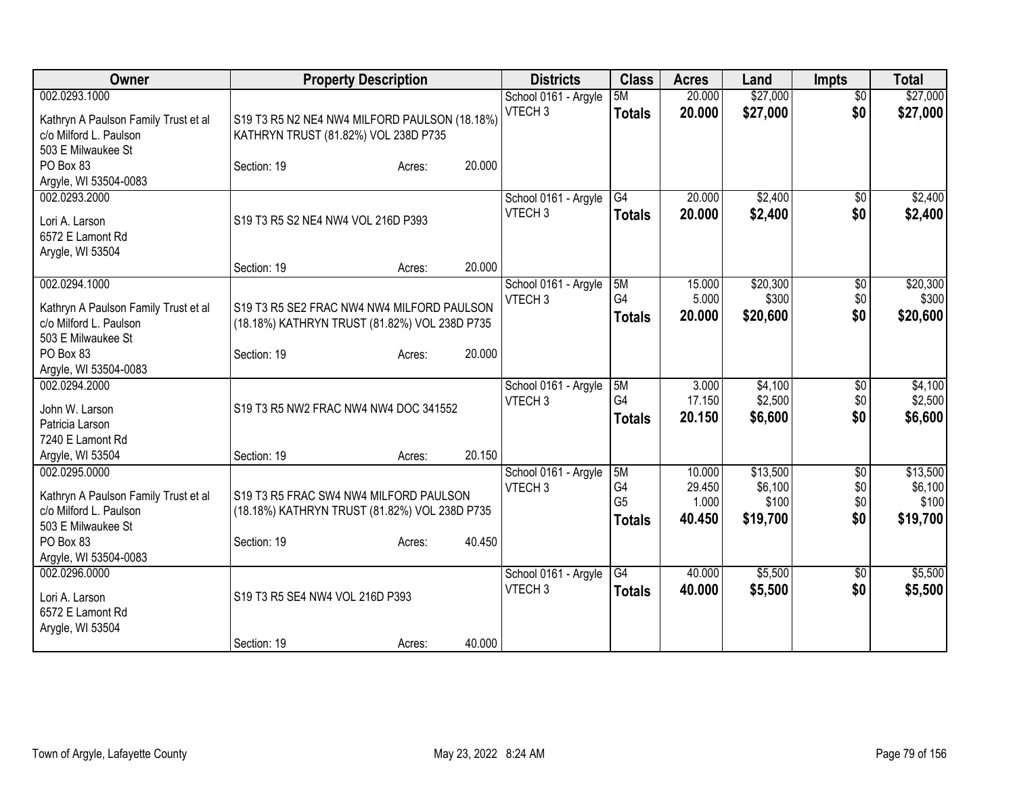| \$27,000<br>\$27,000<br>002.0293.1000<br>School 0161 - Argyle<br>20.000<br>$\overline{50}$<br>5M<br>VTECH <sub>3</sub><br>20.000<br>\$27,000<br>\$0<br>\$27,000<br><b>Totals</b><br>S19 T3 R5 N2 NE4 NW4 MILFORD PAULSON (18.18%)<br>Kathryn A Paulson Family Trust et al<br>c/o Milford L. Paulson<br>KATHRYN TRUST (81.82%) VOL 238D P735<br>503 E Milwaukee St<br>20.000<br>PO Box 83<br>Section: 19<br>Acres:<br>Argyle, WI 53504-0083<br>20.000<br>\$2,400<br>002.0293.2000<br>G4<br>$\overline{50}$<br>School 0161 - Argyle<br>20.000<br>\$2,400<br>VTECH <sub>3</sub><br>\$0<br>\$2,400<br><b>Totals</b><br>S19 T3 R5 S2 NE4 NW4 VOL 216D P393<br>Lori A. Larson<br>6572 E Lamont Rd<br>Arygle, WI 53504<br>20.000<br>Section: 19<br>Acres:<br>002.0294.1000<br>\$20,300<br>School 0161 - Argyle<br>5M<br>15.000<br>\$0<br>G4<br>\$300<br>\$0<br>VTECH <sub>3</sub><br>5.000<br>S19 T3 R5 SE2 FRAC NW4 NW4 MILFORD PAULSON<br>Kathryn A Paulson Family Trust et al<br>20.000<br>\$20,600<br>\$0<br>\$20,600<br><b>Totals</b><br>c/o Milford L. Paulson<br>(18.18%) KATHRYN TRUST (81.82%) VOL 238D P735<br>503 E Milwaukee St<br>20.000<br>PO Box 83<br>Section: 19<br>Acres:<br>Argyle, WI 53504-0083<br>002.0294.2000<br>5M<br>3.000<br>\$4,100<br>$\overline{50}$<br>School 0161 - Argyle<br>G4<br>\$2,500<br>17.150<br>\$0<br>VTECH <sub>3</sub><br>S19 T3 R5 NW2 FRAC NW4 NW4 DOC 341552<br>John W. Larson<br>20.150<br>\$6,600<br>\$0<br>\$6,600<br><b>Totals</b><br>Patricia Larson<br>7240 E Lamont Rd<br>20.150<br>Section: 19<br>Argyle, WI 53504<br>Acres:<br>\$13,500<br>002.0295.0000<br>School 0161 - Argyle<br>5M<br>10.000<br>\$0<br>G <sub>4</sub><br>\$6,100<br>\$0<br>VTECH <sub>3</sub><br>29.450<br>Kathryn A Paulson Family Trust et al<br>S19 T3 R5 FRAC SW4 NW4 MILFORD PAULSON<br>G <sub>5</sub><br>\$100<br>\$0<br>1.000<br>c/o Milford L. Paulson<br>(18.18%) KATHRYN TRUST (81.82%) VOL 238D P735<br>\$0<br>40.450<br>\$19,700<br><b>Totals</b><br>503 E Milwaukee St<br>40.450<br>PO Box 83<br>Section: 19<br>Acres:<br>Argyle, WI 53504-0083<br>\$5,500<br>002.0296.0000<br>G4<br>40.000<br>School 0161 - Argyle<br>\$0<br>VTECH <sub>3</sub><br>\$5,500<br>\$0<br>40.000<br><b>Totals</b><br>S19 T3 R5 SE4 NW4 VOL 216D P393<br>Lori A. Larson<br>6572 E Lamont Rd<br>Arygle, WI 53504 | Owner |             | <b>Property Description</b> |        | <b>Districts</b> | <b>Class</b> | <b>Acres</b> | Land | <b>Impts</b> | <b>Total</b> |
|------------------------------------------------------------------------------------------------------------------------------------------------------------------------------------------------------------------------------------------------------------------------------------------------------------------------------------------------------------------------------------------------------------------------------------------------------------------------------------------------------------------------------------------------------------------------------------------------------------------------------------------------------------------------------------------------------------------------------------------------------------------------------------------------------------------------------------------------------------------------------------------------------------------------------------------------------------------------------------------------------------------------------------------------------------------------------------------------------------------------------------------------------------------------------------------------------------------------------------------------------------------------------------------------------------------------------------------------------------------------------------------------------------------------------------------------------------------------------------------------------------------------------------------------------------------------------------------------------------------------------------------------------------------------------------------------------------------------------------------------------------------------------------------------------------------------------------------------------------------------------------------------------------------------------------------------------------------------------------------------------------------------------------------------------------------------------------------------------------------------------------------------------------------------------------------------------------------------------------------------------------------------------------------------------------------------------|-------|-------------|-----------------------------|--------|------------------|--------------|--------------|------|--------------|--------------|
|                                                                                                                                                                                                                                                                                                                                                                                                                                                                                                                                                                                                                                                                                                                                                                                                                                                                                                                                                                                                                                                                                                                                                                                                                                                                                                                                                                                                                                                                                                                                                                                                                                                                                                                                                                                                                                                                                                                                                                                                                                                                                                                                                                                                                                                                                                                              |       |             |                             |        |                  |              |              |      |              |              |
|                                                                                                                                                                                                                                                                                                                                                                                                                                                                                                                                                                                                                                                                                                                                                                                                                                                                                                                                                                                                                                                                                                                                                                                                                                                                                                                                                                                                                                                                                                                                                                                                                                                                                                                                                                                                                                                                                                                                                                                                                                                                                                                                                                                                                                                                                                                              |       |             |                             |        |                  |              |              |      |              |              |
| \$20,300<br>\$300<br>\$4,100<br>\$13,500<br>\$100<br>\$19,700<br>\$5,500<br>\$5,500                                                                                                                                                                                                                                                                                                                                                                                                                                                                                                                                                                                                                                                                                                                                                                                                                                                                                                                                                                                                                                                                                                                                                                                                                                                                                                                                                                                                                                                                                                                                                                                                                                                                                                                                                                                                                                                                                                                                                                                                                                                                                                                                                                                                                                          |       |             |                             |        |                  |              |              |      |              |              |
| \$2,400<br>\$2,500                                                                                                                                                                                                                                                                                                                                                                                                                                                                                                                                                                                                                                                                                                                                                                                                                                                                                                                                                                                                                                                                                                                                                                                                                                                                                                                                                                                                                                                                                                                                                                                                                                                                                                                                                                                                                                                                                                                                                                                                                                                                                                                                                                                                                                                                                                           |       |             |                             |        |                  |              |              |      |              |              |
|                                                                                                                                                                                                                                                                                                                                                                                                                                                                                                                                                                                                                                                                                                                                                                                                                                                                                                                                                                                                                                                                                                                                                                                                                                                                                                                                                                                                                                                                                                                                                                                                                                                                                                                                                                                                                                                                                                                                                                                                                                                                                                                                                                                                                                                                                                                              |       |             |                             |        |                  |              |              |      |              |              |
|                                                                                                                                                                                                                                                                                                                                                                                                                                                                                                                                                                                                                                                                                                                                                                                                                                                                                                                                                                                                                                                                                                                                                                                                                                                                                                                                                                                                                                                                                                                                                                                                                                                                                                                                                                                                                                                                                                                                                                                                                                                                                                                                                                                                                                                                                                                              |       |             |                             |        |                  |              |              |      |              |              |
|                                                                                                                                                                                                                                                                                                                                                                                                                                                                                                                                                                                                                                                                                                                                                                                                                                                                                                                                                                                                                                                                                                                                                                                                                                                                                                                                                                                                                                                                                                                                                                                                                                                                                                                                                                                                                                                                                                                                                                                                                                                                                                                                                                                                                                                                                                                              |       |             |                             |        |                  |              |              |      |              |              |
|                                                                                                                                                                                                                                                                                                                                                                                                                                                                                                                                                                                                                                                                                                                                                                                                                                                                                                                                                                                                                                                                                                                                                                                                                                                                                                                                                                                                                                                                                                                                                                                                                                                                                                                                                                                                                                                                                                                                                                                                                                                                                                                                                                                                                                                                                                                              |       |             |                             |        |                  |              |              |      |              |              |
|                                                                                                                                                                                                                                                                                                                                                                                                                                                                                                                                                                                                                                                                                                                                                                                                                                                                                                                                                                                                                                                                                                                                                                                                                                                                                                                                                                                                                                                                                                                                                                                                                                                                                                                                                                                                                                                                                                                                                                                                                                                                                                                                                                                                                                                                                                                              |       |             |                             |        |                  |              |              |      |              |              |
|                                                                                                                                                                                                                                                                                                                                                                                                                                                                                                                                                                                                                                                                                                                                                                                                                                                                                                                                                                                                                                                                                                                                                                                                                                                                                                                                                                                                                                                                                                                                                                                                                                                                                                                                                                                                                                                                                                                                                                                                                                                                                                                                                                                                                                                                                                                              |       |             |                             |        |                  |              |              |      |              |              |
|                                                                                                                                                                                                                                                                                                                                                                                                                                                                                                                                                                                                                                                                                                                                                                                                                                                                                                                                                                                                                                                                                                                                                                                                                                                                                                                                                                                                                                                                                                                                                                                                                                                                                                                                                                                                                                                                                                                                                                                                                                                                                                                                                                                                                                                                                                                              |       |             |                             |        |                  |              |              |      |              |              |
|                                                                                                                                                                                                                                                                                                                                                                                                                                                                                                                                                                                                                                                                                                                                                                                                                                                                                                                                                                                                                                                                                                                                                                                                                                                                                                                                                                                                                                                                                                                                                                                                                                                                                                                                                                                                                                                                                                                                                                                                                                                                                                                                                                                                                                                                                                                              |       |             |                             |        |                  |              |              |      |              |              |
|                                                                                                                                                                                                                                                                                                                                                                                                                                                                                                                                                                                                                                                                                                                                                                                                                                                                                                                                                                                                                                                                                                                                                                                                                                                                                                                                                                                                                                                                                                                                                                                                                                                                                                                                                                                                                                                                                                                                                                                                                                                                                                                                                                                                                                                                                                                              |       |             |                             |        |                  |              |              |      |              |              |
|                                                                                                                                                                                                                                                                                                                                                                                                                                                                                                                                                                                                                                                                                                                                                                                                                                                                                                                                                                                                                                                                                                                                                                                                                                                                                                                                                                                                                                                                                                                                                                                                                                                                                                                                                                                                                                                                                                                                                                                                                                                                                                                                                                                                                                                                                                                              |       |             |                             |        |                  |              |              |      |              |              |
|                                                                                                                                                                                                                                                                                                                                                                                                                                                                                                                                                                                                                                                                                                                                                                                                                                                                                                                                                                                                                                                                                                                                                                                                                                                                                                                                                                                                                                                                                                                                                                                                                                                                                                                                                                                                                                                                                                                                                                                                                                                                                                                                                                                                                                                                                                                              |       |             |                             |        |                  |              |              |      |              |              |
|                                                                                                                                                                                                                                                                                                                                                                                                                                                                                                                                                                                                                                                                                                                                                                                                                                                                                                                                                                                                                                                                                                                                                                                                                                                                                                                                                                                                                                                                                                                                                                                                                                                                                                                                                                                                                                                                                                                                                                                                                                                                                                                                                                                                                                                                                                                              |       |             |                             |        |                  |              |              |      |              |              |
|                                                                                                                                                                                                                                                                                                                                                                                                                                                                                                                                                                                                                                                                                                                                                                                                                                                                                                                                                                                                                                                                                                                                                                                                                                                                                                                                                                                                                                                                                                                                                                                                                                                                                                                                                                                                                                                                                                                                                                                                                                                                                                                                                                                                                                                                                                                              |       |             |                             |        |                  |              |              |      |              |              |
|                                                                                                                                                                                                                                                                                                                                                                                                                                                                                                                                                                                                                                                                                                                                                                                                                                                                                                                                                                                                                                                                                                                                                                                                                                                                                                                                                                                                                                                                                                                                                                                                                                                                                                                                                                                                                                                                                                                                                                                                                                                                                                                                                                                                                                                                                                                              |       |             |                             |        |                  |              |              |      |              |              |
|                                                                                                                                                                                                                                                                                                                                                                                                                                                                                                                                                                                                                                                                                                                                                                                                                                                                                                                                                                                                                                                                                                                                                                                                                                                                                                                                                                                                                                                                                                                                                                                                                                                                                                                                                                                                                                                                                                                                                                                                                                                                                                                                                                                                                                                                                                                              |       |             |                             |        |                  |              |              |      |              |              |
|                                                                                                                                                                                                                                                                                                                                                                                                                                                                                                                                                                                                                                                                                                                                                                                                                                                                                                                                                                                                                                                                                                                                                                                                                                                                                                                                                                                                                                                                                                                                                                                                                                                                                                                                                                                                                                                                                                                                                                                                                                                                                                                                                                                                                                                                                                                              |       |             |                             |        |                  |              |              |      |              |              |
|                                                                                                                                                                                                                                                                                                                                                                                                                                                                                                                                                                                                                                                                                                                                                                                                                                                                                                                                                                                                                                                                                                                                                                                                                                                                                                                                                                                                                                                                                                                                                                                                                                                                                                                                                                                                                                                                                                                                                                                                                                                                                                                                                                                                                                                                                                                              |       |             |                             |        |                  |              |              |      |              |              |
|                                                                                                                                                                                                                                                                                                                                                                                                                                                                                                                                                                                                                                                                                                                                                                                                                                                                                                                                                                                                                                                                                                                                                                                                                                                                                                                                                                                                                                                                                                                                                                                                                                                                                                                                                                                                                                                                                                                                                                                                                                                                                                                                                                                                                                                                                                                              |       |             |                             |        |                  |              |              |      |              |              |
| \$6,100                                                                                                                                                                                                                                                                                                                                                                                                                                                                                                                                                                                                                                                                                                                                                                                                                                                                                                                                                                                                                                                                                                                                                                                                                                                                                                                                                                                                                                                                                                                                                                                                                                                                                                                                                                                                                                                                                                                                                                                                                                                                                                                                                                                                                                                                                                                      |       |             |                             |        |                  |              |              |      |              |              |
|                                                                                                                                                                                                                                                                                                                                                                                                                                                                                                                                                                                                                                                                                                                                                                                                                                                                                                                                                                                                                                                                                                                                                                                                                                                                                                                                                                                                                                                                                                                                                                                                                                                                                                                                                                                                                                                                                                                                                                                                                                                                                                                                                                                                                                                                                                                              |       |             |                             |        |                  |              |              |      |              |              |
|                                                                                                                                                                                                                                                                                                                                                                                                                                                                                                                                                                                                                                                                                                                                                                                                                                                                                                                                                                                                                                                                                                                                                                                                                                                                                                                                                                                                                                                                                                                                                                                                                                                                                                                                                                                                                                                                                                                                                                                                                                                                                                                                                                                                                                                                                                                              |       |             |                             |        |                  |              |              |      |              |              |
|                                                                                                                                                                                                                                                                                                                                                                                                                                                                                                                                                                                                                                                                                                                                                                                                                                                                                                                                                                                                                                                                                                                                                                                                                                                                                                                                                                                                                                                                                                                                                                                                                                                                                                                                                                                                                                                                                                                                                                                                                                                                                                                                                                                                                                                                                                                              |       |             |                             |        |                  |              |              |      |              |              |
|                                                                                                                                                                                                                                                                                                                                                                                                                                                                                                                                                                                                                                                                                                                                                                                                                                                                                                                                                                                                                                                                                                                                                                                                                                                                                                                                                                                                                                                                                                                                                                                                                                                                                                                                                                                                                                                                                                                                                                                                                                                                                                                                                                                                                                                                                                                              |       |             |                             |        |                  |              |              |      |              |              |
|                                                                                                                                                                                                                                                                                                                                                                                                                                                                                                                                                                                                                                                                                                                                                                                                                                                                                                                                                                                                                                                                                                                                                                                                                                                                                                                                                                                                                                                                                                                                                                                                                                                                                                                                                                                                                                                                                                                                                                                                                                                                                                                                                                                                                                                                                                                              |       |             |                             |        |                  |              |              |      |              |              |
|                                                                                                                                                                                                                                                                                                                                                                                                                                                                                                                                                                                                                                                                                                                                                                                                                                                                                                                                                                                                                                                                                                                                                                                                                                                                                                                                                                                                                                                                                                                                                                                                                                                                                                                                                                                                                                                                                                                                                                                                                                                                                                                                                                                                                                                                                                                              |       |             |                             |        |                  |              |              |      |              |              |
|                                                                                                                                                                                                                                                                                                                                                                                                                                                                                                                                                                                                                                                                                                                                                                                                                                                                                                                                                                                                                                                                                                                                                                                                                                                                                                                                                                                                                                                                                                                                                                                                                                                                                                                                                                                                                                                                                                                                                                                                                                                                                                                                                                                                                                                                                                                              |       |             |                             |        |                  |              |              |      |              |              |
|                                                                                                                                                                                                                                                                                                                                                                                                                                                                                                                                                                                                                                                                                                                                                                                                                                                                                                                                                                                                                                                                                                                                                                                                                                                                                                                                                                                                                                                                                                                                                                                                                                                                                                                                                                                                                                                                                                                                                                                                                                                                                                                                                                                                                                                                                                                              |       |             |                             |        |                  |              |              |      |              |              |
|                                                                                                                                                                                                                                                                                                                                                                                                                                                                                                                                                                                                                                                                                                                                                                                                                                                                                                                                                                                                                                                                                                                                                                                                                                                                                                                                                                                                                                                                                                                                                                                                                                                                                                                                                                                                                                                                                                                                                                                                                                                                                                                                                                                                                                                                                                                              |       |             |                             |        |                  |              |              |      |              |              |
|                                                                                                                                                                                                                                                                                                                                                                                                                                                                                                                                                                                                                                                                                                                                                                                                                                                                                                                                                                                                                                                                                                                                                                                                                                                                                                                                                                                                                                                                                                                                                                                                                                                                                                                                                                                                                                                                                                                                                                                                                                                                                                                                                                                                                                                                                                                              |       | Section: 19 | Acres:                      | 40.000 |                  |              |              |      |              |              |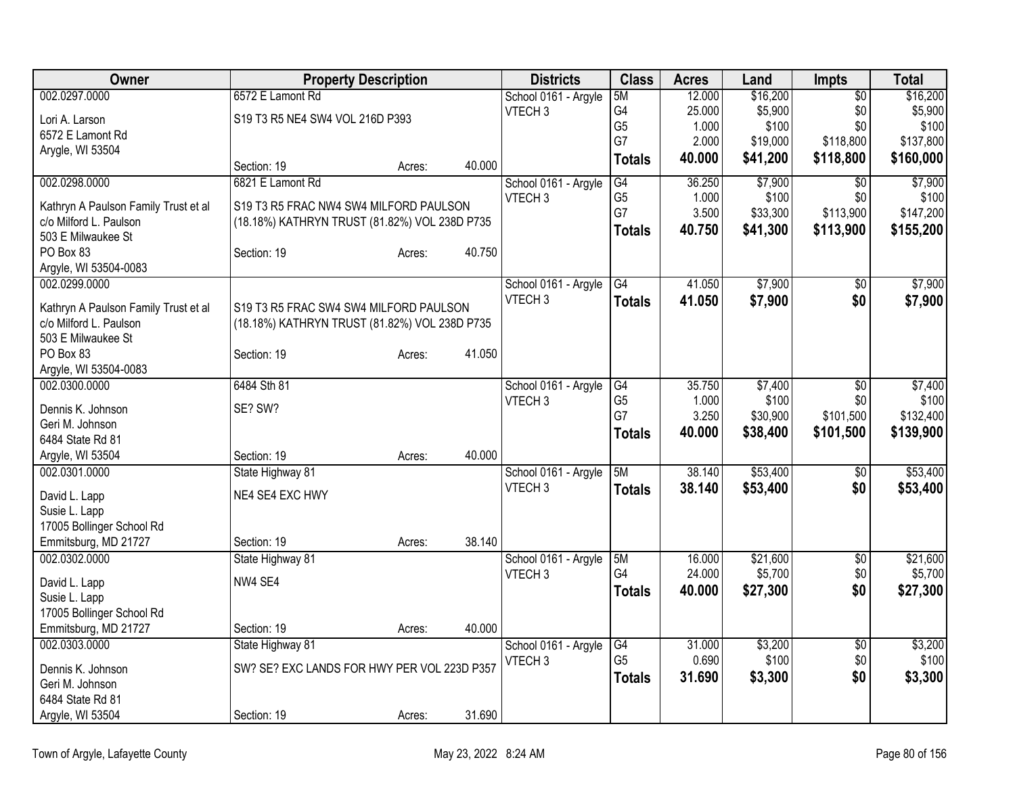| Owner                                                          |                                                                                         | <b>Property Description</b> |        | <b>Districts</b>                           | <b>Class</b>    | <b>Acres</b> | Land     | <b>Impts</b>    | <b>Total</b> |
|----------------------------------------------------------------|-----------------------------------------------------------------------------------------|-----------------------------|--------|--------------------------------------------|-----------------|--------------|----------|-----------------|--------------|
| 002.0297.0000                                                  | 6572 E Lamont Rd                                                                        |                             |        | School 0161 - Argyle                       | 5M              | 12.000       | \$16,200 | $\overline{50}$ | \$16,200     |
| Lori A. Larson                                                 | S19 T3 R5 NE4 SW4 VOL 216D P393                                                         |                             |        | VTECH <sub>3</sub>                         | G4              | 25.000       | \$5,900  | \$0             | \$5,900      |
| 6572 E Lamont Rd                                               |                                                                                         |                             |        |                                            | G <sub>5</sub>  | 1.000        | \$100    | \$0             | \$100        |
| Arygle, WI 53504                                               |                                                                                         |                             |        |                                            | G7              | 2.000        | \$19,000 | \$118,800       | \$137,800    |
|                                                                | Section: 19                                                                             | Acres:                      | 40.000 |                                            | <b>Totals</b>   | 40.000       | \$41,200 | \$118,800       | \$160,000    |
| 002.0298.0000                                                  | 6821 E Lamont Rd                                                                        |                             |        | School 0161 - Argyle                       | G4              | 36.250       | \$7,900  | \$0             | \$7,900      |
| Kathryn A Paulson Family Trust et al                           | S19 T3 R5 FRAC NW4 SW4 MILFORD PAULSON                                                  |                             |        | VTECH <sub>3</sub>                         | G <sub>5</sub>  | 1.000        | \$100    | \$0             | \$100        |
| c/o Milford L. Paulson                                         | (18.18%) KATHRYN TRUST (81.82%) VOL 238D P735                                           |                             |        |                                            | G7              | 3.500        | \$33,300 | \$113,900       | \$147,200    |
| 503 E Milwaukee St                                             |                                                                                         |                             |        |                                            | <b>Totals</b>   | 40.750       | \$41,300 | \$113,900       | \$155,200    |
| PO Box 83                                                      | Section: 19                                                                             | Acres:                      | 40.750 |                                            |                 |              |          |                 |              |
| Argyle, WI 53504-0083                                          |                                                                                         |                             |        |                                            |                 |              |          |                 |              |
| 002.0299.0000                                                  |                                                                                         |                             |        | School 0161 - Argyle                       | $\overline{G4}$ | 41.050       | \$7,900  | \$0             | \$7,900      |
|                                                                |                                                                                         |                             |        | VTECH <sub>3</sub>                         | <b>Totals</b>   | 41.050       | \$7,900  | \$0             | \$7,900      |
| Kathryn A Paulson Family Trust et al<br>c/o Milford L. Paulson | S19 T3 R5 FRAC SW4 SW4 MILFORD PAULSON<br>(18.18%) KATHRYN TRUST (81.82%) VOL 238D P735 |                             |        |                                            |                 |              |          |                 |              |
| 503 E Milwaukee St                                             |                                                                                         |                             |        |                                            |                 |              |          |                 |              |
| PO Box 83                                                      | Section: 19                                                                             | Acres:                      | 41.050 |                                            |                 |              |          |                 |              |
| Argyle, WI 53504-0083                                          |                                                                                         |                             |        |                                            |                 |              |          |                 |              |
| 002.0300.0000                                                  | 6484 Sth 81                                                                             |                             |        | School 0161 - Argyle                       | G4              | 35.750       | \$7,400  | $\overline{50}$ | \$7,400      |
|                                                                |                                                                                         |                             |        | VTECH <sub>3</sub>                         | G <sub>5</sub>  | 1.000        | \$100    | \$0             | \$100        |
| Dennis K. Johnson                                              | SE? SW?                                                                                 |                             |        |                                            | G7              | 3.250        | \$30,900 | \$101,500       | \$132,400    |
| Geri M. Johnson                                                |                                                                                         |                             |        |                                            | <b>Totals</b>   | 40.000       | \$38,400 | \$101,500       | \$139,900    |
| 6484 State Rd 81                                               |                                                                                         |                             | 40.000 |                                            |                 |              |          |                 |              |
| Argyle, WI 53504<br>002.0301.0000                              | Section: 19<br>State Highway 81                                                         | Acres:                      |        |                                            | 5M              | 38.140       | \$53,400 | \$0             | \$53,400     |
|                                                                |                                                                                         |                             |        | School 0161 - Argyle<br>VTECH <sub>3</sub> |                 | 38.140       |          | \$0             |              |
| David L. Lapp                                                  | NE4 SE4 EXC HWY                                                                         |                             |        |                                            | <b>Totals</b>   |              | \$53,400 |                 | \$53,400     |
| Susie L. Lapp                                                  |                                                                                         |                             |        |                                            |                 |              |          |                 |              |
| 17005 Bollinger School Rd                                      |                                                                                         |                             |        |                                            |                 |              |          |                 |              |
| Emmitsburg, MD 21727                                           | Section: 19                                                                             | Acres:                      | 38.140 |                                            |                 |              |          |                 |              |
| 002.0302.0000                                                  | State Highway 81                                                                        |                             |        | School 0161 - Argyle                       | 5M              | 16.000       | \$21,600 | $\overline{50}$ | \$21,600     |
| David L. Lapp                                                  | NW4 SE4                                                                                 |                             |        | VTECH <sub>3</sub>                         | G4              | 24.000       | \$5,700  | \$0             | \$5,700      |
| Susie L. Lapp                                                  |                                                                                         |                             |        |                                            | <b>Totals</b>   | 40.000       | \$27,300 | \$0             | \$27,300     |
| 17005 Bollinger School Rd                                      |                                                                                         |                             |        |                                            |                 |              |          |                 |              |
| Emmitsburg, MD 21727                                           | Section: 19                                                                             | Acres:                      | 40.000 |                                            |                 |              |          |                 |              |
| 002.0303.0000                                                  | State Highway 81                                                                        |                             |        | School 0161 - Argyle                       | G4              | 31.000       | \$3,200  | $\overline{50}$ | \$3,200      |
| Dennis K. Johnson                                              | SW? SE? EXC LANDS FOR HWY PER VOL 223D P357                                             |                             |        | VTECH <sub>3</sub>                         | G <sub>5</sub>  | 0.690        | \$100    | \$0             | \$100        |
| Geri M. Johnson                                                |                                                                                         |                             |        |                                            | <b>Totals</b>   | 31.690       | \$3,300  | \$0             | \$3,300      |
| 6484 State Rd 81                                               |                                                                                         |                             |        |                                            |                 |              |          |                 |              |
| Argyle, WI 53504                                               | Section: 19                                                                             | Acres:                      | 31.690 |                                            |                 |              |          |                 |              |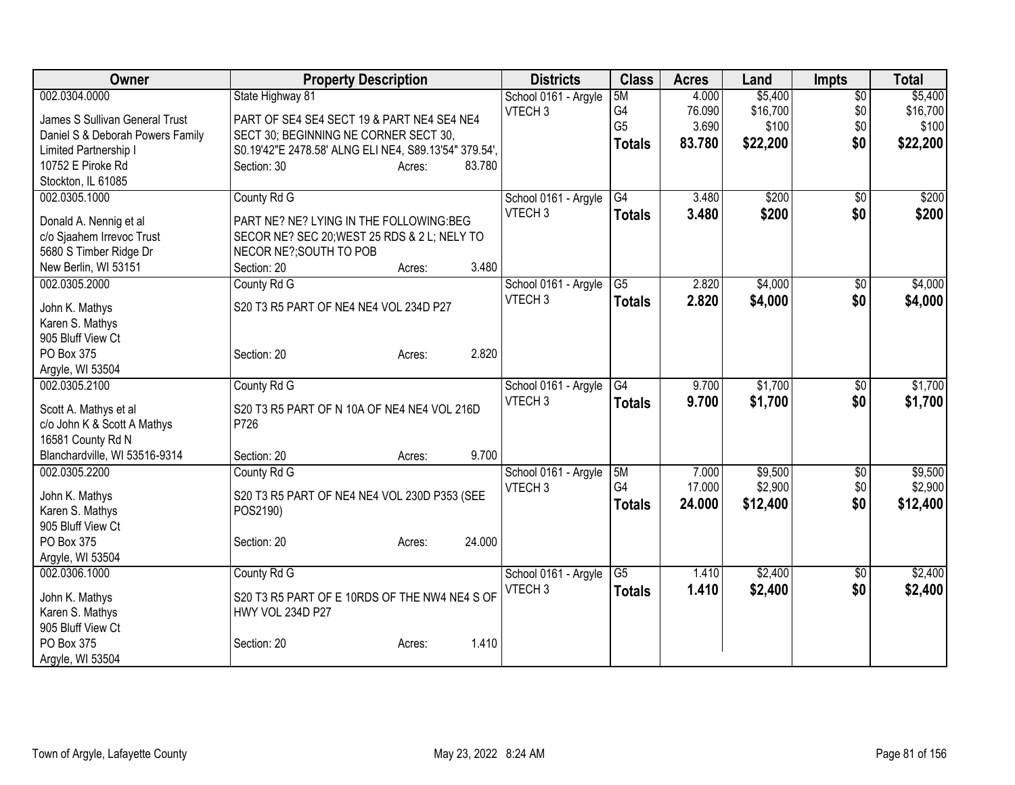| Owner                                               | <b>Property Description</b>                           | <b>Districts</b>                           | <b>Class</b>    | <b>Acres</b> | Land     | <b>Impts</b>    | <b>Total</b> |
|-----------------------------------------------------|-------------------------------------------------------|--------------------------------------------|-----------------|--------------|----------|-----------------|--------------|
| 002.0304.0000                                       | State Highway 81                                      | School 0161 - Argyle                       | 5M              | 4.000        | \$5,400  | $\overline{30}$ | \$5,400      |
| James S Sullivan General Trust                      | PART OF SE4 SE4 SECT 19 & PART NE4 SE4 NE4            | VTECH <sub>3</sub>                         | G4              | 76.090       | \$16,700 | \$0             | \$16,700     |
| Daniel S & Deborah Powers Family                    | SECT 30; BEGINNING NE CORNER SECT 30,                 |                                            | G <sub>5</sub>  | 3.690        | \$100    | \$0             | \$100        |
| Limited Partnership I                               | S0.19'42"E 2478.58' ALNG ELI NE4, S89.13'54" 379.54', |                                            | <b>Totals</b>   | 83.780       | \$22,200 | \$0             | \$22,200     |
| 10752 E Piroke Rd                                   | Section: 30<br>83.780<br>Acres:                       |                                            |                 |              |          |                 |              |
| Stockton, IL 61085                                  |                                                       |                                            |                 |              |          |                 |              |
| 002.0305.1000                                       | County Rd G                                           | School 0161 - Argyle                       | G4              | 3.480        | \$200    | $\overline{30}$ | \$200        |
|                                                     |                                                       | VTECH <sub>3</sub>                         | <b>Totals</b>   | 3.480        | \$200    | \$0             | \$200        |
| Donald A. Nennig et al                              | PART NE? NE? LYING IN THE FOLLOWING:BEG               |                                            |                 |              |          |                 |              |
| c/o Sjaahem Irrevoc Trust<br>5680 S Timber Ridge Dr | SECOR NE? SEC 20; WEST 25 RDS & 2 L; NELY TO          |                                            |                 |              |          |                 |              |
| New Berlin, WI 53151                                | NECOR NE?; SOUTH TO POB<br>3.480<br>Section: 20       |                                            |                 |              |          |                 |              |
| 002.0305.2000                                       | Acres:                                                |                                            | $\overline{G5}$ | 2.820        |          |                 | \$4,000      |
|                                                     | County Rd G                                           | School 0161 - Argyle<br>VTECH <sub>3</sub> |                 |              | \$4,000  | \$0             |              |
| John K. Mathys                                      | S20 T3 R5 PART OF NE4 NE4 VOL 234D P27                |                                            | <b>Totals</b>   | 2.820        | \$4,000  | \$0             | \$4,000      |
| Karen S. Mathys                                     |                                                       |                                            |                 |              |          |                 |              |
| 905 Bluff View Ct                                   |                                                       |                                            |                 |              |          |                 |              |
| PO Box 375                                          | 2.820<br>Section: 20<br>Acres:                        |                                            |                 |              |          |                 |              |
| Argyle, WI 53504                                    |                                                       |                                            |                 |              |          |                 |              |
| 002.0305.2100                                       | County Rd G                                           | School 0161 - Argyle                       | G4              | 9.700        | \$1,700  | $\sqrt{6}$      | \$1,700      |
| Scott A. Mathys et al                               | S20 T3 R5 PART OF N 10A OF NE4 NE4 VOL 216D           | VTECH <sub>3</sub>                         | <b>Totals</b>   | 9.700        | \$1,700  | \$0             | \$1,700      |
| c/o John K & Scott A Mathys                         | P726                                                  |                                            |                 |              |          |                 |              |
| 16581 County Rd N                                   |                                                       |                                            |                 |              |          |                 |              |
| Blanchardville, WI 53516-9314                       | 9.700<br>Section: 20<br>Acres:                        |                                            |                 |              |          |                 |              |
| 002.0305.2200                                       | County Rd G                                           | School 0161 - Argyle                       | 5M              | 7.000        | \$9,500  | $\sqrt[6]{}$    | \$9,500      |
|                                                     |                                                       | VTECH <sub>3</sub>                         | G <sub>4</sub>  | 17.000       | \$2,900  | \$0             | \$2,900      |
| John K. Mathys                                      | S20 T3 R5 PART OF NE4 NE4 VOL 230D P353 (SEE          |                                            | <b>Totals</b>   | 24.000       | \$12,400 | \$0             | \$12,400     |
| Karen S. Mathys                                     | POS2190)                                              |                                            |                 |              |          |                 |              |
| 905 Bluff View Ct<br>PO Box 375                     | 24.000                                                |                                            |                 |              |          |                 |              |
| Argyle, WI 53504                                    | Section: 20<br>Acres:                                 |                                            |                 |              |          |                 |              |
| 002.0306.1000                                       | County Rd G                                           | School 0161 - Argyle                       | $\overline{G5}$ | 1.410        | \$2,400  | \$0             | \$2,400      |
|                                                     |                                                       | VTECH <sub>3</sub>                         |                 | 1.410        |          | \$0             |              |
| John K. Mathys                                      | S20 T3 R5 PART OF E 10RDS OF THE NW4 NE4 S OF         |                                            | <b>Totals</b>   |              | \$2,400  |                 | \$2,400      |
| Karen S. Mathys                                     | HWY VOL 234D P27                                      |                                            |                 |              |          |                 |              |
| 905 Bluff View Ct                                   |                                                       |                                            |                 |              |          |                 |              |
| PO Box 375                                          | 1.410<br>Section: 20<br>Acres:                        |                                            |                 |              |          |                 |              |
| Argyle, WI 53504                                    |                                                       |                                            |                 |              |          |                 |              |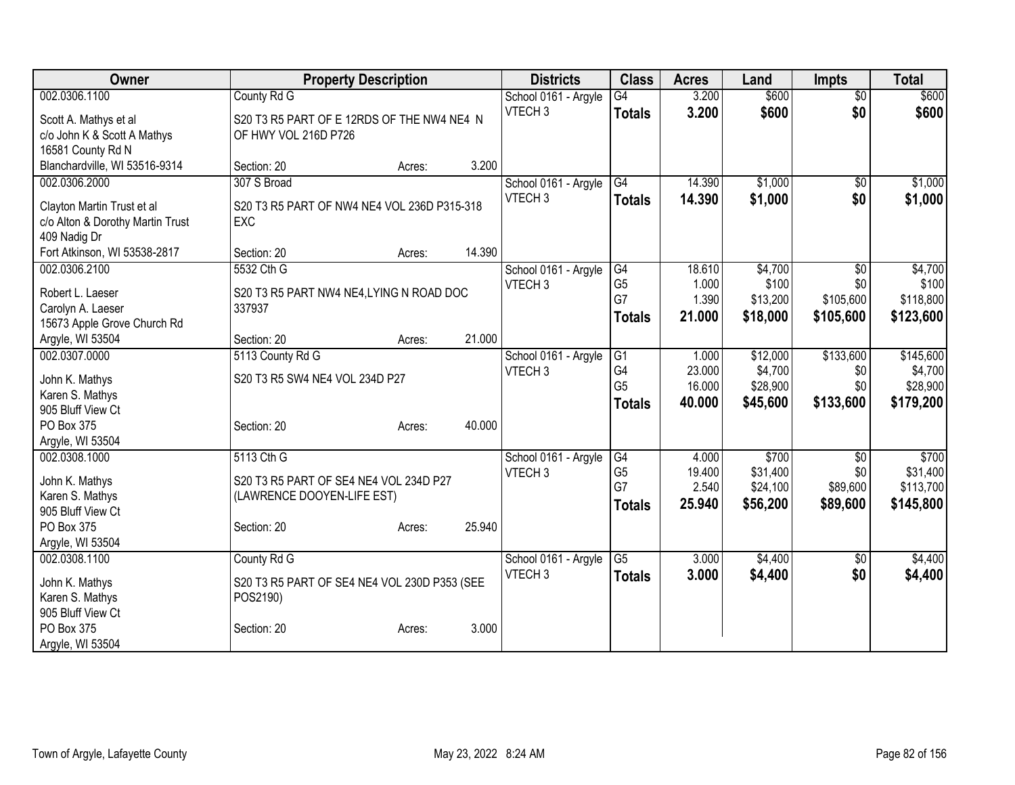| Owner                                            | <b>Property Description</b>                               |                  | <b>Districts</b>     | <b>Class</b>    | <b>Acres</b> | Land     | <b>Impts</b>    | <b>Total</b> |
|--------------------------------------------------|-----------------------------------------------------------|------------------|----------------------|-----------------|--------------|----------|-----------------|--------------|
| 002.0306.1100                                    | County Rd G                                               |                  | School 0161 - Argyle | $\overline{G4}$ | 3.200        | \$600    | $\overline{50}$ | \$600        |
| Scott A. Mathys et al                            | S20 T3 R5 PART OF E 12RDS OF THE NW4 NE4 N                |                  | VTECH <sub>3</sub>   | <b>Totals</b>   | 3.200        | \$600    | \$0             | \$600        |
| c/o John K & Scott A Mathys                      | OF HWY VOL 216D P726                                      |                  |                      |                 |              |          |                 |              |
| 16581 County Rd N                                |                                                           |                  |                      |                 |              |          |                 |              |
| Blanchardville, WI 53516-9314                    | Section: 20                                               | 3.200<br>Acres:  |                      |                 |              |          |                 |              |
| 002.0306.2000                                    | 307 S Broad                                               |                  | School 0161 - Argyle | G4              | 14.390       | \$1,000  | \$0             | \$1,000      |
|                                                  |                                                           |                  | VTECH <sub>3</sub>   | <b>Totals</b>   | 14.390       | \$1,000  | \$0             | \$1,000      |
| Clayton Martin Trust et al                       | S20 T3 R5 PART OF NW4 NE4 VOL 236D P315-318<br><b>EXC</b> |                  |                      |                 |              |          |                 |              |
| c/o Alton & Dorothy Martin Trust<br>409 Nadig Dr |                                                           |                  |                      |                 |              |          |                 |              |
| Fort Atkinson, WI 53538-2817                     | Section: 20                                               | 14.390<br>Acres: |                      |                 |              |          |                 |              |
| 002.0306.2100                                    | 5532 Cth G                                                |                  | School 0161 - Argyle | G4              | 18.610       | \$4,700  | $\overline{50}$ | \$4,700      |
|                                                  |                                                           |                  | VTECH <sub>3</sub>   | G <sub>5</sub>  | 1.000        | \$100    | \$0             | \$100        |
| Robert L. Laeser                                 | S20 T3 R5 PART NW4 NE4, LYING N ROAD DOC                  |                  |                      | G7              | 1.390        | \$13,200 | \$105,600       | \$118,800    |
| Carolyn A. Laeser                                | 337937                                                    |                  |                      | <b>Totals</b>   | 21.000       | \$18,000 | \$105,600       | \$123,600    |
| 15673 Apple Grove Church Rd                      |                                                           |                  |                      |                 |              |          |                 |              |
| Argyle, WI 53504                                 | Section: 20                                               | 21.000<br>Acres: |                      |                 |              |          |                 |              |
| 002.0307.0000                                    | 5113 County Rd G                                          |                  | School 0161 - Argyle | $\overline{G1}$ | 1.000        | \$12,000 | \$133,600       | \$145,600    |
| John K. Mathys                                   | S20 T3 R5 SW4 NE4 VOL 234D P27                            |                  | VTECH <sub>3</sub>   | G4              | 23.000       | \$4,700  | \$0             | \$4,700      |
| Karen S. Mathys                                  |                                                           |                  |                      | G <sub>5</sub>  | 16.000       | \$28,900 | \$0             | \$28,900     |
| 905 Bluff View Ct                                |                                                           |                  |                      | <b>Totals</b>   | 40.000       | \$45,600 | \$133,600       | \$179,200    |
| PO Box 375                                       | Section: 20                                               | 40.000<br>Acres: |                      |                 |              |          |                 |              |
| Argyle, WI 53504                                 |                                                           |                  |                      |                 |              |          |                 |              |
| 002.0308.1000                                    | 5113 Cth G                                                |                  | School 0161 - Argyle | G4              | 4.000        | \$700    | \$0             | \$700        |
|                                                  |                                                           |                  | VTECH <sub>3</sub>   | G <sub>5</sub>  | 19.400       | \$31,400 | \$0             | \$31,400     |
| John K. Mathys                                   | S20 T3 R5 PART OF SE4 NE4 VOL 234D P27                    |                  |                      | G7              | 2.540        | \$24,100 | \$89,600        | \$113,700    |
| Karen S. Mathys                                  | (LAWRENCE DOOYEN-LIFE EST)                                |                  |                      | <b>Totals</b>   | 25.940       | \$56,200 | \$89,600        | \$145,800    |
| 905 Bluff View Ct<br>PO Box 375                  | Section: 20                                               | 25.940           |                      |                 |              |          |                 |              |
| Argyle, WI 53504                                 |                                                           | Acres:           |                      |                 |              |          |                 |              |
| 002.0308.1100                                    | County Rd G                                               |                  | School 0161 - Argyle | $\overline{G5}$ | 3.000        | \$4,400  | $\overline{50}$ | \$4,400      |
|                                                  |                                                           |                  | VTECH <sub>3</sub>   | <b>Totals</b>   | 3.000        | \$4,400  | \$0             | \$4,400      |
| John K. Mathys                                   | S20 T3 R5 PART OF SE4 NE4 VOL 230D P353 (SEE              |                  |                      |                 |              |          |                 |              |
| Karen S. Mathys                                  | POS2190)                                                  |                  |                      |                 |              |          |                 |              |
| 905 Bluff View Ct                                |                                                           |                  |                      |                 |              |          |                 |              |
| PO Box 375                                       | Section: 20                                               | 3.000<br>Acres:  |                      |                 |              |          |                 |              |
| Argyle, WI 53504                                 |                                                           |                  |                      |                 |              |          |                 |              |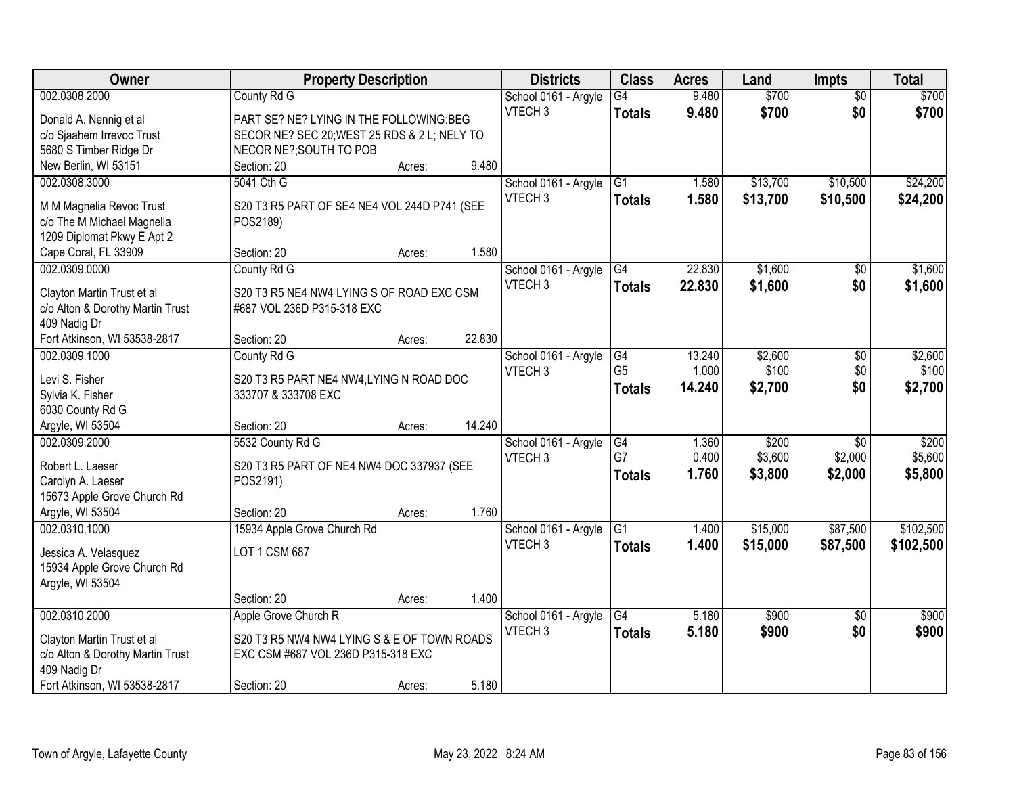| Owner                                         | <b>Property Description</b>                  |        |        | <b>Districts</b>                           | <b>Class</b>         | <b>Acres</b>    | Land             | <b>Impts</b>         | <b>Total</b>     |
|-----------------------------------------------|----------------------------------------------|--------|--------|--------------------------------------------|----------------------|-----------------|------------------|----------------------|------------------|
| 002.0308.2000                                 | County Rd G                                  |        |        | School 0161 - Argyle                       | G4                   | 9.480           | \$700            | $\overline{50}$      | \$700            |
| Donald A. Nennig et al                        | PART SE? NE? LYING IN THE FOLLOWING:BEG      |        |        | VTECH <sub>3</sub>                         | <b>Totals</b>        | 9.480           | \$700            | \$0                  | \$700            |
| c/o Sjaahem Irrevoc Trust                     | SECOR NE? SEC 20; WEST 25 RDS & 2 L; NELY TO |        |        |                                            |                      |                 |                  |                      |                  |
| 5680 S Timber Ridge Dr                        | NECOR NE?; SOUTH TO POB                      |        |        |                                            |                      |                 |                  |                      |                  |
| New Berlin, WI 53151                          | Section: 20                                  | Acres: | 9.480  |                                            |                      |                 |                  |                      |                  |
| 002.0308.3000                                 | 5041 Cth G                                   |        |        | School 0161 - Argyle                       | G1                   | 1.580           | \$13,700         | \$10,500             | \$24,200         |
| M M Magnelia Revoc Trust                      | S20 T3 R5 PART OF SE4 NE4 VOL 244D P741 (SEE |        |        | VTECH <sub>3</sub>                         | <b>Totals</b>        | 1.580           | \$13,700         | \$10,500             | \$24,200         |
| c/o The M Michael Magnelia                    | POS2189)                                     |        |        |                                            |                      |                 |                  |                      |                  |
| 1209 Diplomat Pkwy E Apt 2                    |                                              |        |        |                                            |                      |                 |                  |                      |                  |
| Cape Coral, FL 33909                          | Section: 20                                  | Acres: | 1.580  |                                            |                      |                 |                  |                      |                  |
| 002.0309.0000                                 | County Rd G                                  |        |        | School 0161 - Argyle                       | $\overline{G4}$      | 22.830          | \$1,600          | \$0                  | \$1,600          |
|                                               |                                              |        |        | VTECH <sub>3</sub>                         | <b>Totals</b>        | 22.830          | \$1,600          | \$0                  | \$1,600          |
| Clayton Martin Trust et al                    | S20 T3 R5 NE4 NW4 LYING S OF ROAD EXC CSM    |        |        |                                            |                      |                 |                  |                      |                  |
| c/o Alton & Dorothy Martin Trust              | #687 VOL 236D P315-318 EXC                   |        |        |                                            |                      |                 |                  |                      |                  |
| 409 Nadig Dr                                  |                                              |        |        |                                            |                      |                 |                  |                      |                  |
| Fort Atkinson, WI 53538-2817<br>002.0309.1000 | Section: 20                                  | Acres: | 22.830 |                                            |                      |                 |                  |                      |                  |
|                                               | County Rd G                                  |        |        | School 0161 - Argyle<br>VTECH <sub>3</sub> | G4<br>G <sub>5</sub> | 13.240<br>1.000 | \$2,600<br>\$100 | $\sqrt[6]{3}$<br>\$0 | \$2,600<br>\$100 |
| Levi S. Fisher                                | S20 T3 R5 PART NE4 NW4, LYING N ROAD DOC     |        |        |                                            |                      | 14.240          | \$2,700          | \$0                  | \$2,700          |
| Sylvia K. Fisher                              | 333707 & 333708 EXC                          |        |        |                                            | <b>Totals</b>        |                 |                  |                      |                  |
| 6030 County Rd G                              |                                              |        |        |                                            |                      |                 |                  |                      |                  |
| Argyle, WI 53504                              | Section: 20                                  | Acres: | 14.240 |                                            |                      |                 |                  |                      |                  |
| 002.0309.2000                                 | 5532 County Rd G                             |        |        | School 0161 - Argyle                       | $\overline{G4}$      | 1.360           | \$200            | $\overline{30}$      | \$200            |
| Robert L. Laeser                              | S20 T3 R5 PART OF NE4 NW4 DOC 337937 (SEE    |        |        | VTECH <sub>3</sub>                         | G7                   | 0.400           | \$3,600          | \$2,000              | \$5,600          |
| Carolyn A. Laeser                             | POS2191)                                     |        |        |                                            | <b>Totals</b>        | 1.760           | \$3,800          | \$2,000              | \$5,800          |
| 15673 Apple Grove Church Rd                   |                                              |        |        |                                            |                      |                 |                  |                      |                  |
| Argyle, WI 53504                              | Section: 20                                  | Acres: | 1.760  |                                            |                      |                 |                  |                      |                  |
| 002.0310.1000                                 | 15934 Apple Grove Church Rd                  |        |        | School 0161 - Argyle                       | G1                   | 1.400           | \$15,000         | \$87,500             | \$102,500        |
| Jessica A. Velasquez                          | LOT 1 CSM 687                                |        |        | VTECH <sub>3</sub>                         | <b>Totals</b>        | 1.400           | \$15,000         | \$87,500             | \$102,500        |
| 15934 Apple Grove Church Rd                   |                                              |        |        |                                            |                      |                 |                  |                      |                  |
| Argyle, WI 53504                              |                                              |        |        |                                            |                      |                 |                  |                      |                  |
|                                               | Section: 20                                  | Acres: | 1.400  |                                            |                      |                 |                  |                      |                  |
| 002.0310.2000                                 | Apple Grove Church R                         |        |        | School 0161 - Argyle                       | G4                   | 5.180           | \$900            | $\overline{50}$      | \$900            |
|                                               |                                              |        |        | VTECH <sub>3</sub>                         | <b>Totals</b>        | 5.180           | \$900            | \$0                  | \$900            |
| Clayton Martin Trust et al                    | S20 T3 R5 NW4 NW4 LYING S & E OF TOWN ROADS  |        |        |                                            |                      |                 |                  |                      |                  |
| c/o Alton & Dorothy Martin Trust              | EXC CSM #687 VOL 236D P315-318 EXC           |        |        |                                            |                      |                 |                  |                      |                  |
| 409 Nadig Dr<br>Fort Atkinson, WI 53538-2817  |                                              |        | 5.180  |                                            |                      |                 |                  |                      |                  |
|                                               | Section: 20                                  | Acres: |        |                                            |                      |                 |                  |                      |                  |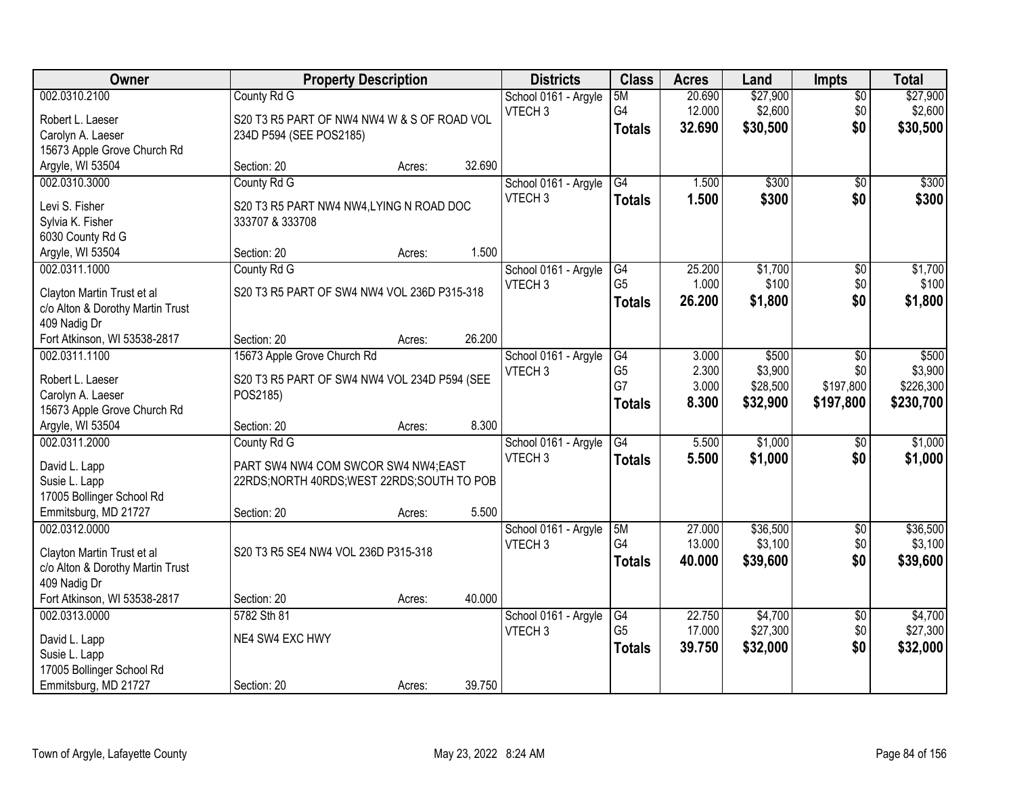| Owner                                      | <b>Property Description</b>                  |        |        | <b>Districts</b>     | <b>Class</b>    | <b>Acres</b> | Land     | <b>Impts</b>    | <b>Total</b> |
|--------------------------------------------|----------------------------------------------|--------|--------|----------------------|-----------------|--------------|----------|-----------------|--------------|
| 002.0310.2100                              | County Rd G                                  |        |        | School 0161 - Argyle | 5M              | 20.690       | \$27,900 | \$0             | \$27,900     |
| Robert L. Laeser                           | S20 T3 R5 PART OF NW4 NW4 W & S OF ROAD VOL  |        |        | VTECH <sub>3</sub>   | G4              | 12.000       | \$2,600  | \$0             | \$2,600      |
| Carolyn A. Laeser                          | 234D P594 (SEE POS2185)                      |        |        |                      | <b>Totals</b>   | 32.690       | \$30,500 | \$0             | \$30,500     |
| 15673 Apple Grove Church Rd                |                                              |        |        |                      |                 |              |          |                 |              |
| Argyle, WI 53504                           | Section: 20                                  | Acres: | 32.690 |                      |                 |              |          |                 |              |
| 002.0310.3000                              | County Rd G                                  |        |        | School 0161 - Argyle | G4              | 1.500        | \$300    | \$0             | \$300        |
|                                            |                                              |        |        | VTECH <sub>3</sub>   | <b>Totals</b>   | 1.500        | \$300    | \$0             | \$300        |
| Levi S. Fisher                             | S20 T3 R5 PART NW4 NW4, LYING N ROAD DOC     |        |        |                      |                 |              |          |                 |              |
| Sylvia K. Fisher<br>6030 County Rd G       | 333707 & 333708                              |        |        |                      |                 |              |          |                 |              |
| Argyle, WI 53504                           | Section: 20                                  | Acres: | 1.500  |                      |                 |              |          |                 |              |
| 002.0311.1000                              | County Rd G                                  |        |        | School 0161 - Argyle | G4              | 25.200       | \$1,700  | \$0             | \$1,700      |
|                                            |                                              |        |        | VTECH <sub>3</sub>   | G <sub>5</sub>  | 1.000        | \$100    | \$0             | \$100        |
| Clayton Martin Trust et al                 | S20 T3 R5 PART OF SW4 NW4 VOL 236D P315-318  |        |        |                      | <b>Totals</b>   | 26.200       | \$1,800  | \$0             | \$1,800      |
| c/o Alton & Dorothy Martin Trust           |                                              |        |        |                      |                 |              |          |                 |              |
| 409 Nadig Dr                               |                                              |        |        |                      |                 |              |          |                 |              |
| Fort Atkinson, WI 53538-2817               | Section: 20                                  | Acres: | 26.200 |                      |                 |              |          |                 |              |
| 002.0311.1100                              | 15673 Apple Grove Church Rd                  |        |        | School 0161 - Argyle | G4              | 3.000        | \$500    | $\sqrt{6}$      | \$500        |
| Robert L. Laeser                           | S20 T3 R5 PART OF SW4 NW4 VOL 234D P594 (SEE |        |        | VTECH <sub>3</sub>   | G <sub>5</sub>  | 2.300        | \$3,900  | \$0             | \$3,900      |
| Carolyn A. Laeser                          | POS2185)                                     |        |        |                      | G7              | 3.000        | \$28,500 | \$197,800       | \$226,300    |
| 15673 Apple Grove Church Rd                |                                              |        |        |                      | <b>Totals</b>   | 8.300        | \$32,900 | \$197,800       | \$230,700    |
| Argyle, WI 53504                           | Section: 20                                  | Acres: | 8.300  |                      |                 |              |          |                 |              |
| 002.0311.2000                              | County Rd G                                  |        |        | School 0161 - Argyle | $\overline{G4}$ | 5.500        | \$1,000  | $\overline{50}$ | \$1,000      |
|                                            |                                              |        |        | VTECH <sub>3</sub>   | <b>Totals</b>   | 5.500        | \$1,000  | \$0             | \$1,000      |
| David L. Lapp                              | PART SW4 NW4 COM SWCOR SW4 NW4:EAST          |        |        |                      |                 |              |          |                 |              |
| Susie L. Lapp<br>17005 Bollinger School Rd | 22RDS;NORTH 40RDS;WEST 22RDS;SOUTH TO POB    |        |        |                      |                 |              |          |                 |              |
| Emmitsburg, MD 21727                       | Section: 20                                  | Acres: | 5.500  |                      |                 |              |          |                 |              |
| 002.0312.0000                              |                                              |        |        | School 0161 - Argyle | 5M              | 27.000       | \$36,500 | $\sqrt{$0}$     | \$36,500     |
|                                            |                                              |        |        | VTECH <sub>3</sub>   | G <sub>4</sub>  | 13.000       | \$3,100  | \$0             | \$3,100      |
| Clayton Martin Trust et al                 | S20 T3 R5 SE4 NW4 VOL 236D P315-318          |        |        |                      | <b>Totals</b>   | 40.000       | \$39,600 | \$0             | \$39,600     |
| c/o Alton & Dorothy Martin Trust           |                                              |        |        |                      |                 |              |          |                 |              |
| 409 Nadig Dr                               |                                              |        |        |                      |                 |              |          |                 |              |
| Fort Atkinson, WI 53538-2817               | Section: 20                                  | Acres: | 40.000 |                      |                 |              |          |                 |              |
| 002.0313.0000                              | 5782 Sth 81                                  |        |        | School 0161 - Argyle | G4              | 22.750       | \$4,700  | $\overline{50}$ | \$4,700      |
| David L. Lapp                              | NE4 SW4 EXC HWY                              |        |        | VTECH <sub>3</sub>   | G <sub>5</sub>  | 17.000       | \$27,300 | \$0             | \$27,300     |
| Susie L. Lapp                              |                                              |        |        |                      | <b>Totals</b>   | 39.750       | \$32,000 | \$0             | \$32,000     |
| 17005 Bollinger School Rd                  |                                              |        |        |                      |                 |              |          |                 |              |
| Emmitsburg, MD 21727                       | Section: 20                                  | Acres: | 39.750 |                      |                 |              |          |                 |              |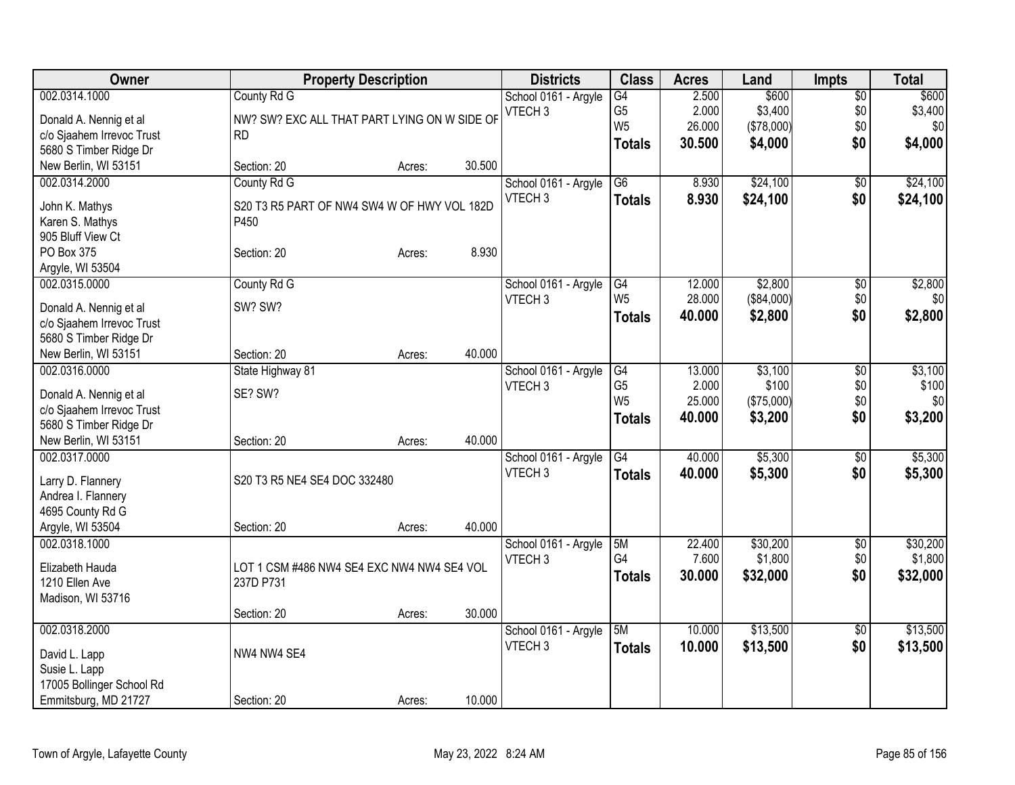| Owner                     | <b>Property Description</b>                  |        |        | <b>Districts</b>     | <b>Class</b>    | <b>Acres</b> | Land       | <b>Impts</b>    | <b>Total</b>     |
|---------------------------|----------------------------------------------|--------|--------|----------------------|-----------------|--------------|------------|-----------------|------------------|
| 002.0314.1000             | County Rd G                                  |        |        | School 0161 - Argyle | $\overline{G4}$ | 2.500        | \$600      | $\overline{$0}$ | \$600            |
| Donald A. Nennig et al    | NW? SW? EXC ALL THAT PART LYING ON W SIDE OF |        |        | VTECH <sub>3</sub>   | G <sub>5</sub>  | 2.000        | \$3,400    | \$0             | \$3,400          |
| c/o Sjaahem Irrevoc Trust | RD.                                          |        |        |                      | W <sub>5</sub>  | 26.000       | (\$78,000) | \$0             | \$0              |
| 5680 S Timber Ridge Dr    |                                              |        |        |                      | <b>Totals</b>   | 30.500       | \$4,000    | \$0             | \$4,000          |
| New Berlin, WI 53151      | Section: 20                                  | Acres: | 30.500 |                      |                 |              |            |                 |                  |
| 002.0314.2000             | County Rd G                                  |        |        | School 0161 - Argyle | $\overline{G6}$ | 8.930        | \$24,100   | $\sqrt{6}$      | \$24,100         |
|                           |                                              |        |        | VTECH <sub>3</sub>   | <b>Totals</b>   | 8.930        | \$24,100   | \$0             | \$24,100         |
| John K. Mathys            | S20 T3 R5 PART OF NW4 SW4 W OF HWY VOL 182D  |        |        |                      |                 |              |            |                 |                  |
| Karen S. Mathys           | P450                                         |        |        |                      |                 |              |            |                 |                  |
| 905 Bluff View Ct         |                                              |        |        |                      |                 |              |            |                 |                  |
| PO Box 375                | Section: 20                                  | Acres: | 8.930  |                      |                 |              |            |                 |                  |
| Argyle, WI 53504          |                                              |        |        |                      |                 |              |            |                 |                  |
| 002.0315.0000             | County Rd G                                  |        |        | School 0161 - Argyle | G4              | 12.000       | \$2,800    | $\overline{50}$ | \$2,800          |
| Donald A. Nennig et al    | SW? SW?                                      |        |        | VTECH <sub>3</sub>   | W <sub>5</sub>  | 28.000       | (\$84,000) | \$0             | \$0 <sub>1</sub> |
| c/o Sjaahem Irrevoc Trust |                                              |        |        |                      | <b>Totals</b>   | 40.000       | \$2,800    | \$0             | \$2,800          |
| 5680 S Timber Ridge Dr    |                                              |        |        |                      |                 |              |            |                 |                  |
| New Berlin, WI 53151      | Section: 20                                  | Acres: | 40.000 |                      |                 |              |            |                 |                  |
| 002.0316.0000             | State Highway 81                             |        |        | School 0161 - Argyle | G4              | 13.000       | \$3,100    | \$0             | \$3,100          |
|                           |                                              |        |        | VTECH <sub>3</sub>   | G <sub>5</sub>  | 2.000        | \$100      | \$0             | \$100            |
| Donald A. Nennig et al    | SE? SW?                                      |        |        |                      | W <sub>5</sub>  | 25.000       | (\$75,000) | \$0             | \$0              |
| c/o Sjaahem Irrevoc Trust |                                              |        |        |                      | <b>Totals</b>   | 40.000       | \$3,200    | \$0             | \$3,200          |
| 5680 S Timber Ridge Dr    |                                              |        |        |                      |                 |              |            |                 |                  |
| New Berlin, WI 53151      | Section: 20                                  | Acres: | 40.000 |                      |                 |              |            |                 |                  |
| 002.0317.0000             |                                              |        |        | School 0161 - Argyle | $\overline{G4}$ | 40.000       | \$5,300    | \$0             | \$5,300          |
| Larry D. Flannery         | S20 T3 R5 NE4 SE4 DOC 332480                 |        |        | VTECH <sub>3</sub>   | <b>Totals</b>   | 40.000       | \$5,300    | \$0             | \$5,300          |
| Andrea I. Flannery        |                                              |        |        |                      |                 |              |            |                 |                  |
| 4695 County Rd G          |                                              |        |        |                      |                 |              |            |                 |                  |
| Argyle, WI 53504          | Section: 20                                  | Acres: | 40.000 |                      |                 |              |            |                 |                  |
| 002.0318.1000             |                                              |        |        | School 0161 - Argyle | 5M              | 22.400       | \$30,200   | $\sqrt{6}$      | \$30,200         |
|                           |                                              |        |        | VTECH <sub>3</sub>   | G4              | 7.600        | \$1,800    | \$0             | \$1,800          |
| Elizabeth Hauda           | LOT 1 CSM #486 NW4 SE4 EXC NW4 NW4 SE4 VOL   |        |        |                      |                 | 30.000       | \$32,000   | \$0             |                  |
| 1210 Ellen Ave            | 237D P731                                    |        |        |                      | <b>Totals</b>   |              |            |                 | \$32,000         |
| Madison, WI 53716         |                                              |        |        |                      |                 |              |            |                 |                  |
|                           | Section: 20                                  | Acres: | 30.000 |                      |                 |              |            |                 |                  |
| 002.0318.2000             |                                              |        |        | School 0161 - Argyle | 5M              | 10.000       | \$13,500   | $\overline{60}$ | \$13,500         |
|                           | NW4 NW4 SE4                                  |        |        | VTECH <sub>3</sub>   | <b>Totals</b>   | 10.000       | \$13,500   | \$0             | \$13,500         |
| David L. Lapp             |                                              |        |        |                      |                 |              |            |                 |                  |
| Susie L. Lapp             |                                              |        |        |                      |                 |              |            |                 |                  |
| 17005 Bollinger School Rd |                                              |        | 10.000 |                      |                 |              |            |                 |                  |
| Emmitsburg, MD 21727      | Section: 20                                  | Acres: |        |                      |                 |              |            |                 |                  |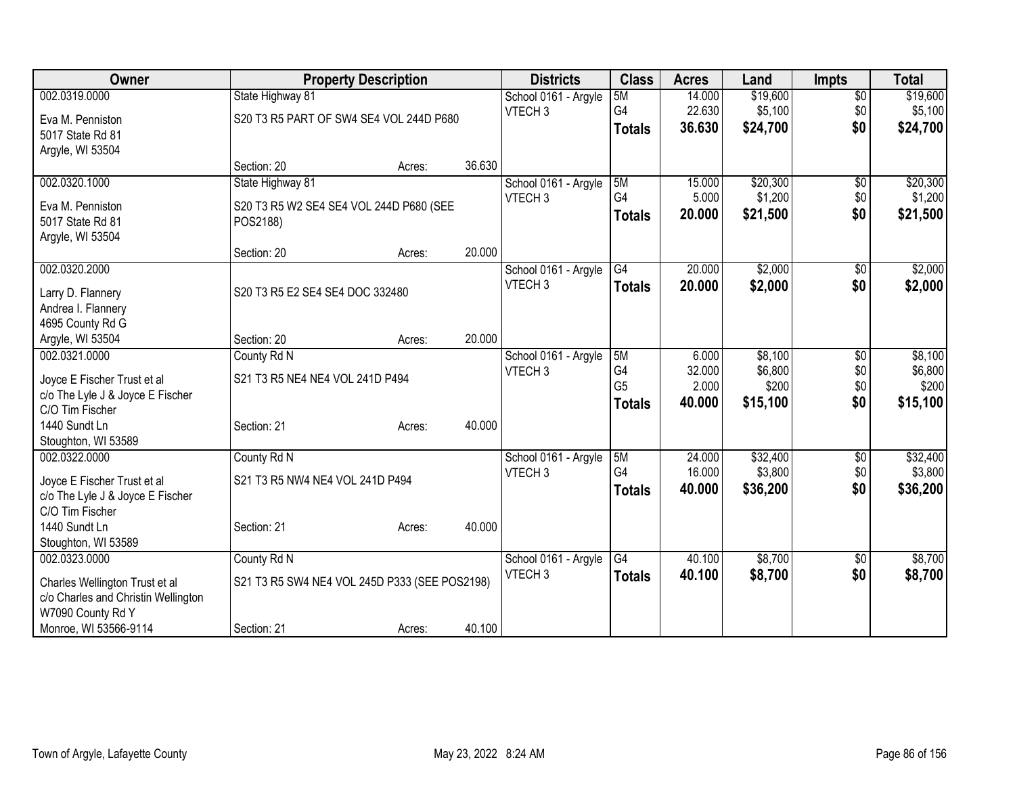| <b>Owner</b>                        | <b>Property Description</b>                   |        |        | <b>Districts</b>     | <b>Class</b>   | <b>Acres</b> | Land     | <b>Impts</b>    | <b>Total</b> |
|-------------------------------------|-----------------------------------------------|--------|--------|----------------------|----------------|--------------|----------|-----------------|--------------|
| 002.0319.0000                       | State Highway 81                              |        |        | School 0161 - Argyle | 5M             | 14.000       | \$19,600 | $\overline{50}$ | \$19,600     |
| Eva M. Penniston                    | S20 T3 R5 PART OF SW4 SE4 VOL 244D P680       |        |        | VTECH <sub>3</sub>   | G4             | 22.630       | \$5,100  | \$0             | \$5,100      |
| 5017 State Rd 81                    |                                               |        |        |                      | <b>Totals</b>  | 36.630       | \$24,700 | \$0             | \$24,700     |
| Argyle, WI 53504                    |                                               |        |        |                      |                |              |          |                 |              |
|                                     | Section: 20                                   | Acres: | 36.630 |                      |                |              |          |                 |              |
| 002.0320.1000                       | State Highway 81                              |        |        | School 0161 - Argyle | 5M             | 15.000       | \$20,300 | $\sqrt{6}$      | \$20,300     |
| Eva M. Penniston                    | S20 T3 R5 W2 SE4 SE4 VOL 244D P680 (SEE       |        |        | VTECH <sub>3</sub>   | G4             | 5.000        | \$1,200  | \$0             | \$1,200      |
| 5017 State Rd 81                    | POS2188)                                      |        |        |                      | <b>Totals</b>  | 20.000       | \$21,500 | \$0             | \$21,500     |
| Argyle, WI 53504                    |                                               |        |        |                      |                |              |          |                 |              |
|                                     | Section: 20                                   | Acres: | 20.000 |                      |                |              |          |                 |              |
| 002.0320.2000                       |                                               |        |        | School 0161 - Argyle | G4             | 20.000       | \$2,000  | $\sqrt[6]{}$    | \$2,000      |
| Larry D. Flannery                   | S20 T3 R5 E2 SE4 SE4 DOC 332480               |        |        | VTECH <sub>3</sub>   | <b>Totals</b>  | 20.000       | \$2,000  | \$0             | \$2,000      |
| Andrea I. Flannery                  |                                               |        |        |                      |                |              |          |                 |              |
| 4695 County Rd G                    |                                               |        |        |                      |                |              |          |                 |              |
| Argyle, WI 53504                    | Section: 20                                   | Acres: | 20.000 |                      |                |              |          |                 |              |
| 002.0321.0000                       | County Rd N                                   |        |        | School 0161 - Argyle | 5M             | 6.000        | \$8,100  | \$0             | \$8,100      |
| Joyce E Fischer Trust et al         | S21 T3 R5 NE4 NE4 VOL 241D P494               |        |        | VTECH <sub>3</sub>   | G4             | 32.000       | \$6,800  | \$0             | \$6,800      |
| c/o The Lyle J & Joyce E Fischer    |                                               |        |        |                      | G <sub>5</sub> | 2.000        | \$200    | \$0             | \$200        |
| C/O Tim Fischer                     |                                               |        |        |                      | <b>Totals</b>  | 40.000       | \$15,100 | \$0             | \$15,100     |
| 1440 Sundt Ln                       | Section: 21                                   | Acres: | 40.000 |                      |                |              |          |                 |              |
| Stoughton, WI 53589                 |                                               |        |        |                      |                |              |          |                 |              |
| 002.0322.0000                       | County Rd N                                   |        |        | School 0161 - Argyle | 5M             | 24.000       | \$32,400 | \$0             | \$32,400     |
| Joyce E Fischer Trust et al         | S21 T3 R5 NW4 NE4 VOL 241D P494               |        |        | VTECH <sub>3</sub>   | G4             | 16.000       | \$3,800  | \$0             | \$3,800      |
| c/o The Lyle J & Joyce E Fischer    |                                               |        |        |                      | <b>Totals</b>  | 40,000       | \$36,200 | \$0             | \$36,200     |
| C/O Tim Fischer                     |                                               |        |        |                      |                |              |          |                 |              |
| 1440 Sundt Ln                       | Section: 21                                   | Acres: | 40.000 |                      |                |              |          |                 |              |
| Stoughton, WI 53589                 |                                               |        |        |                      |                |              |          |                 |              |
| 002.0323.0000                       | County Rd N                                   |        |        | School 0161 - Argyle | G4             | 40.100       | \$8,700  | \$0             | \$8,700      |
| Charles Wellington Trust et al      | S21 T3 R5 SW4 NE4 VOL 245D P333 (SEE POS2198) |        |        | VTECH <sub>3</sub>   | <b>Totals</b>  | 40.100       | \$8,700  | \$0             | \$8,700      |
| c/o Charles and Christin Wellington |                                               |        |        |                      |                |              |          |                 |              |
| W7090 County Rd Y                   |                                               |        |        |                      |                |              |          |                 |              |
| Monroe, WI 53566-9114               | Section: 21                                   | Acres: | 40.100 |                      |                |              |          |                 |              |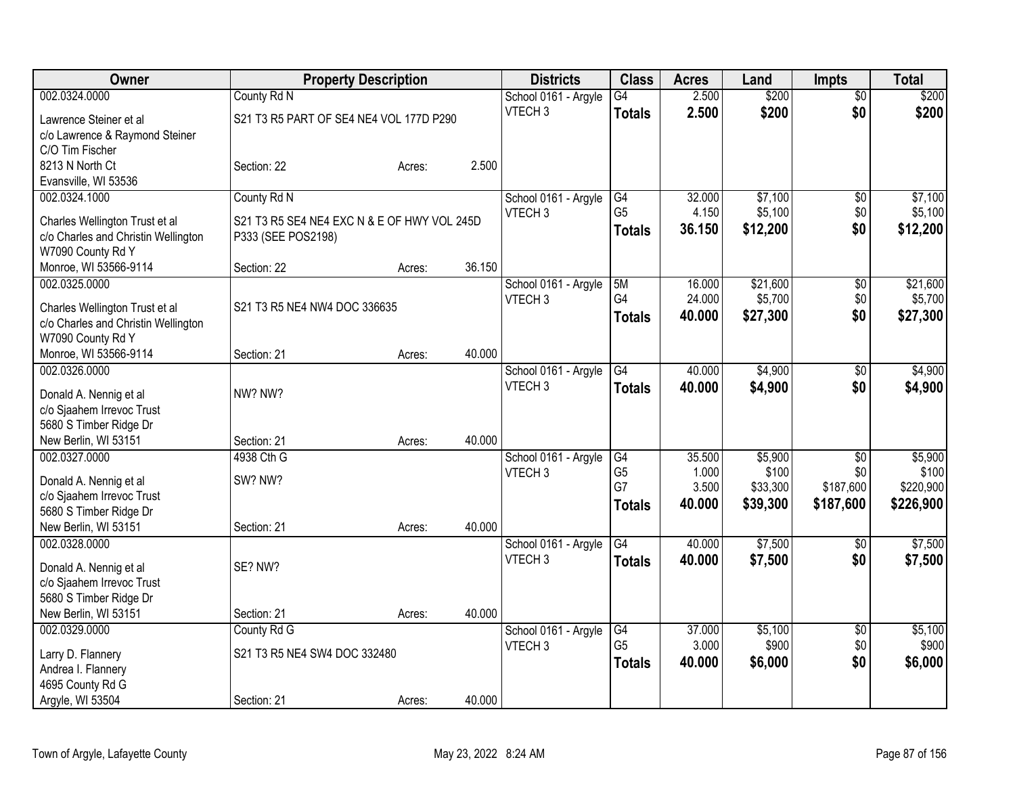| Owner                                                                 |                                             | <b>Property Description</b> |        | <b>Districts</b>     | <b>Class</b>    | <b>Acres</b> | Land     | <b>Impts</b>    | <b>Total</b> |
|-----------------------------------------------------------------------|---------------------------------------------|-----------------------------|--------|----------------------|-----------------|--------------|----------|-----------------|--------------|
| 002.0324.0000                                                         | County Rd N                                 |                             |        | School 0161 - Argyle | $\overline{G4}$ | 2.500        | \$200    | $\overline{50}$ | \$200        |
| Lawrence Steiner et al                                                | S21 T3 R5 PART OF SE4 NE4 VOL 177D P290     |                             |        | VTECH <sub>3</sub>   | <b>Totals</b>   | 2.500        | \$200    | \$0             | \$200        |
| c/o Lawrence & Raymond Steiner                                        |                                             |                             |        |                      |                 |              |          |                 |              |
| C/O Tim Fischer                                                       |                                             |                             |        |                      |                 |              |          |                 |              |
| 8213 N North Ct                                                       | Section: 22                                 | Acres:                      | 2.500  |                      |                 |              |          |                 |              |
| Evansville, WI 53536                                                  |                                             |                             |        |                      |                 |              |          |                 |              |
| 002.0324.1000                                                         | County Rd N                                 |                             |        | School 0161 - Argyle | G4              | 32.000       | \$7,100  | \$0             | \$7,100      |
| Charles Wellington Trust et al                                        | S21 T3 R5 SE4 NE4 EXC N & E OF HWY VOL 245D |                             |        | VTECH <sub>3</sub>   | G <sub>5</sub>  | 4.150        | \$5,100  | \$0             | \$5,100      |
| c/o Charles and Christin Wellington                                   | P333 (SEE POS2198)                          |                             |        |                      | <b>Totals</b>   | 36.150       | \$12,200 | \$0             | \$12,200     |
| W7090 County Rd Y                                                     |                                             |                             |        |                      |                 |              |          |                 |              |
| Monroe, WI 53566-9114                                                 | Section: 22                                 | Acres:                      | 36.150 |                      |                 |              |          |                 |              |
| 002.0325.0000                                                         |                                             |                             |        | School 0161 - Argyle | 5M              | 16.000       | \$21,600 | \$0             | \$21,600     |
|                                                                       |                                             |                             |        | VTECH <sub>3</sub>   | G4              | 24.000       | \$5,700  | \$0             | \$5,700      |
| Charles Wellington Trust et al<br>c/o Charles and Christin Wellington | S21 T3 R5 NE4 NW4 DOC 336635                |                             |        |                      | <b>Totals</b>   | 40.000       | \$27,300 | \$0             | \$27,300     |
| W7090 County Rd Y                                                     |                                             |                             |        |                      |                 |              |          |                 |              |
| Monroe, WI 53566-9114                                                 | Section: 21                                 | Acres:                      | 40.000 |                      |                 |              |          |                 |              |
| 002.0326.0000                                                         |                                             |                             |        | School 0161 - Argyle | G4              | 40.000       | \$4,900  | \$0             | \$4,900      |
|                                                                       |                                             |                             |        | VTECH <sub>3</sub>   | <b>Totals</b>   | 40.000       | \$4,900  | \$0             | \$4,900      |
| Donald A. Nennig et al                                                | NW? NW?                                     |                             |        |                      |                 |              |          |                 |              |
| c/o Sjaahem Irrevoc Trust                                             |                                             |                             |        |                      |                 |              |          |                 |              |
| 5680 S Timber Ridge Dr                                                |                                             |                             | 40.000 |                      |                 |              |          |                 |              |
| New Berlin, WI 53151<br>002.0327.0000                                 | Section: 21<br>4938 Cth G                   | Acres:                      |        | School 0161 - Argyle | G4              | 35.500       | \$5,900  | \$0             | \$5,900      |
|                                                                       |                                             |                             |        | VTECH <sub>3</sub>   | G <sub>5</sub>  | 1.000        | \$100    | \$0             | \$100        |
| Donald A. Nennig et al                                                | SW? NW?                                     |                             |        |                      | G7              | 3.500        | \$33,300 | \$187,600       | \$220,900    |
| c/o Sjaahem Irrevoc Trust                                             |                                             |                             |        |                      | <b>Totals</b>   | 40.000       | \$39,300 | \$187,600       | \$226,900    |
| 5680 S Timber Ridge Dr                                                |                                             |                             |        |                      |                 |              |          |                 |              |
| New Berlin, WI 53151                                                  | Section: 21                                 | Acres:                      | 40.000 |                      |                 |              |          |                 |              |
| 002.0328.0000                                                         |                                             |                             |        | School 0161 - Argyle | $\overline{G4}$ | 40.000       | \$7,500  | $\sqrt{6}$      | \$7,500      |
| Donald A. Nennig et al                                                | SE? NW?                                     |                             |        | VTECH <sub>3</sub>   | <b>Totals</b>   | 40.000       | \$7,500  | \$0             | \$7,500      |
| c/o Sjaahem Irrevoc Trust                                             |                                             |                             |        |                      |                 |              |          |                 |              |
| 5680 S Timber Ridge Dr                                                |                                             |                             |        |                      |                 |              |          |                 |              |
| New Berlin, WI 53151                                                  | Section: 21                                 | Acres:                      | 40.000 |                      |                 |              |          |                 |              |
| 002.0329.0000                                                         | County Rd G                                 |                             |        | School 0161 - Argyle | G4              | 37.000       | \$5,100  | $\overline{50}$ | \$5,100      |
| Larry D. Flannery                                                     | S21 T3 R5 NE4 SW4 DOC 332480                |                             |        | VTECH <sub>3</sub>   | G <sub>5</sub>  | 3.000        | \$900    | \$0             | \$900        |
| Andrea I. Flannery                                                    |                                             |                             |        |                      | <b>Totals</b>   | 40.000       | \$6,000  | \$0             | \$6,000      |
| 4695 County Rd G                                                      |                                             |                             |        |                      |                 |              |          |                 |              |
| Argyle, WI 53504                                                      | Section: 21                                 | Acres:                      | 40.000 |                      |                 |              |          |                 |              |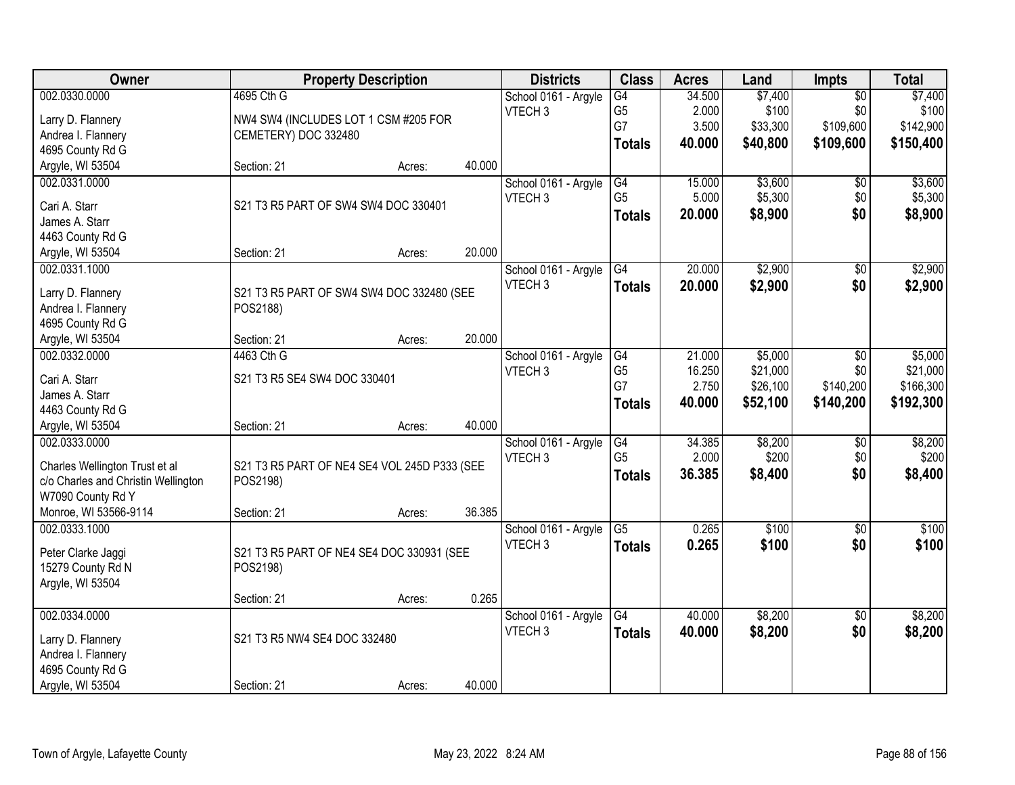| Owner                               |                                              | <b>Property Description</b> |        | <b>Districts</b>     | <b>Class</b>    | <b>Acres</b> | Land     | Impts           | <b>Total</b> |
|-------------------------------------|----------------------------------------------|-----------------------------|--------|----------------------|-----------------|--------------|----------|-----------------|--------------|
| 002.0330.0000                       | 4695 Cth G                                   |                             |        | School 0161 - Argyle | $\overline{G4}$ | 34.500       | \$7,400  | $\overline{50}$ | \$7,400      |
| Larry D. Flannery                   | NW4 SW4 (INCLUDES LOT 1 CSM #205 FOR         |                             |        | VTECH <sub>3</sub>   | G5              | 2.000        | \$100    | \$0             | \$100        |
| Andrea I. Flannery                  | CEMETERY) DOC 332480                         |                             |        |                      | G7              | 3.500        | \$33,300 | \$109,600       | \$142,900    |
| 4695 County Rd G                    |                                              |                             |        |                      | <b>Totals</b>   | 40.000       | \$40,800 | \$109,600       | \$150,400    |
| Argyle, WI 53504                    | Section: 21                                  | Acres:                      | 40.000 |                      |                 |              |          |                 |              |
| 002.0331.0000                       |                                              |                             |        | School 0161 - Argyle | $\overline{G4}$ | 15.000       | \$3,600  | \$0             | \$3,600      |
|                                     |                                              |                             |        | VTECH <sub>3</sub>   | G <sub>5</sub>  | 5.000        | \$5,300  | \$0             | \$5,300      |
| Cari A. Starr                       | S21 T3 R5 PART OF SW4 SW4 DOC 330401         |                             |        |                      | <b>Totals</b>   | 20.000       | \$8,900  | \$0             | \$8,900      |
| James A. Starr                      |                                              |                             |        |                      |                 |              |          |                 |              |
| 4463 County Rd G                    |                                              |                             |        |                      |                 |              |          |                 |              |
| Argyle, WI 53504                    | Section: 21                                  | Acres:                      | 20.000 |                      |                 |              |          |                 |              |
| 002.0331.1000                       |                                              |                             |        | School 0161 - Argyle | G4              | 20.000       | \$2,900  | \$0             | \$2,900      |
| Larry D. Flannery                   | S21 T3 R5 PART OF SW4 SW4 DOC 332480 (SEE    |                             |        | VTECH <sub>3</sub>   | <b>Totals</b>   | 20.000       | \$2,900  | \$0             | \$2,900      |
| Andrea I. Flannery                  | POS2188)                                     |                             |        |                      |                 |              |          |                 |              |
| 4695 County Rd G                    |                                              |                             |        |                      |                 |              |          |                 |              |
| Argyle, WI 53504                    | Section: 21                                  | Acres:                      | 20.000 |                      |                 |              |          |                 |              |
| 002.0332.0000                       | 4463 Cth G                                   |                             |        | School 0161 - Argyle | G4              | 21.000       | \$5,000  | \$0             | \$5,000      |
|                                     |                                              |                             |        | VTECH <sub>3</sub>   | G <sub>5</sub>  | 16.250       | \$21,000 | \$0             | \$21,000     |
| Cari A. Starr                       | S21 T3 R5 SE4 SW4 DOC 330401                 |                             |        |                      | G7              | 2.750        | \$26,100 | \$140,200       | \$166,300    |
| James A. Starr                      |                                              |                             |        |                      | <b>Totals</b>   | 40.000       | \$52,100 | \$140,200       | \$192,300    |
| 4463 County Rd G                    |                                              |                             |        |                      |                 |              |          |                 |              |
| Argyle, WI 53504                    | Section: 21                                  | Acres:                      | 40.000 |                      |                 |              |          |                 |              |
| 002.0333.0000                       |                                              |                             |        | School 0161 - Argyle | G4              | 34.385       | \$8,200  | $\overline{50}$ | \$8,200      |
| Charles Wellington Trust et al      | S21 T3 R5 PART OF NE4 SE4 VOL 245D P333 (SEE |                             |        | VTECH <sub>3</sub>   | G <sub>5</sub>  | 2.000        | \$200    | \$0             | \$200        |
| c/o Charles and Christin Wellington | POS2198)                                     |                             |        |                      | <b>Totals</b>   | 36.385       | \$8,400  | \$0             | \$8,400      |
| W7090 County Rd Y                   |                                              |                             |        |                      |                 |              |          |                 |              |
| Monroe, WI 53566-9114               | Section: 21                                  | Acres:                      | 36.385 |                      |                 |              |          |                 |              |
| 002.0333.1000                       |                                              |                             |        | School 0161 - Argyle | $\overline{G5}$ | 0.265        | \$100    | $\overline{50}$ | \$100        |
|                                     |                                              |                             |        | VTECH <sub>3</sub>   | <b>Totals</b>   | 0.265        | \$100    | \$0             | \$100        |
| Peter Clarke Jaggi                  | S21 T3 R5 PART OF NE4 SE4 DOC 330931 (SEE    |                             |        |                      |                 |              |          |                 |              |
| 15279 County Rd N                   | POS2198)                                     |                             |        |                      |                 |              |          |                 |              |
| Argyle, WI 53504                    |                                              |                             |        |                      |                 |              |          |                 |              |
|                                     | Section: 21                                  | Acres:                      | 0.265  |                      |                 |              |          |                 |              |
| 002.0334.0000                       |                                              |                             |        | School 0161 - Argyle | $\overline{G4}$ | 40.000       | \$8,200  | $\overline{50}$ | \$8,200      |
| Larry D. Flannery                   | S21 T3 R5 NW4 SE4 DOC 332480                 |                             |        | VTECH <sub>3</sub>   | <b>Totals</b>   | 40.000       | \$8,200  | \$0             | \$8,200      |
| Andrea I. Flannery                  |                                              |                             |        |                      |                 |              |          |                 |              |
| 4695 County Rd G                    |                                              |                             |        |                      |                 |              |          |                 |              |
| Argyle, WI 53504                    | Section: 21                                  | Acres:                      | 40.000 |                      |                 |              |          |                 |              |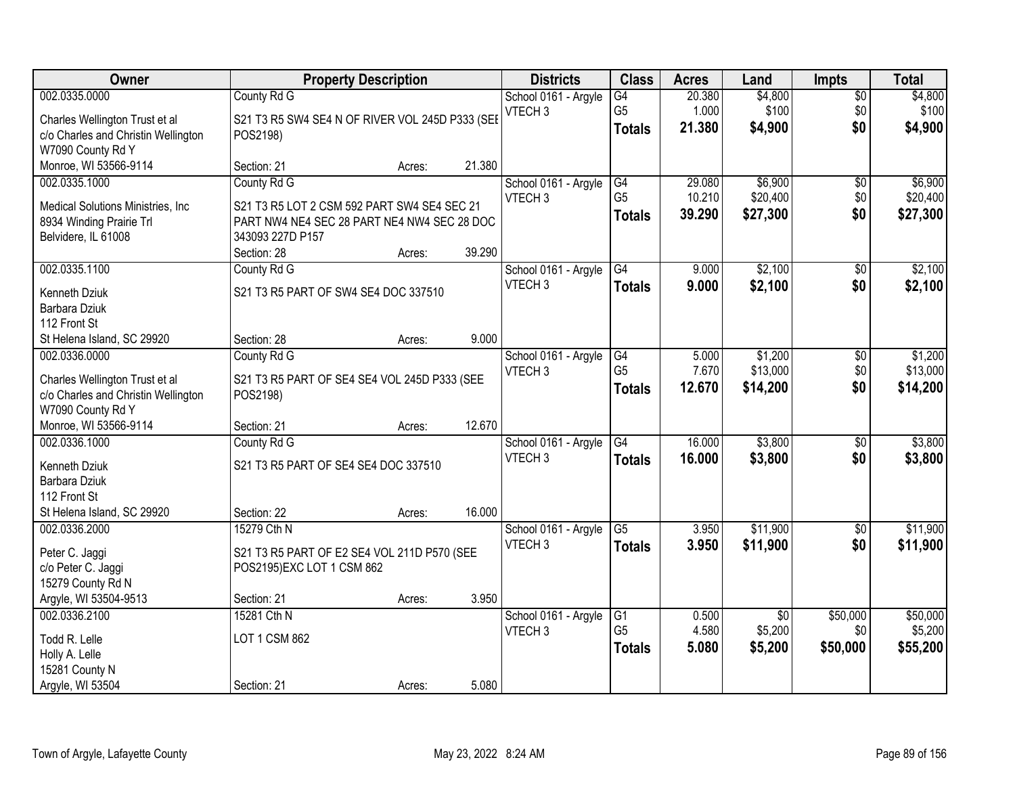| Owner                                                                                                                                     |                                                                                                                                              | <b>Property Description</b> |                  | <b>Districts</b>                           | <b>Class</b>                                       | <b>Acres</b>               | Land                                  | <b>Impts</b>                  | <b>Total</b>                    |
|-------------------------------------------------------------------------------------------------------------------------------------------|----------------------------------------------------------------------------------------------------------------------------------------------|-----------------------------|------------------|--------------------------------------------|----------------------------------------------------|----------------------------|---------------------------------------|-------------------------------|---------------------------------|
| 002.0335.0000<br>Charles Wellington Trust et al<br>c/o Charles and Christin Wellington<br>W7090 County Rd Y                               | County Rd G<br>S21 T3 R5 SW4 SE4 N OF RIVER VOL 245D P333 (SEE<br>POS2198)                                                                   |                             |                  | School 0161 - Argyle<br>VTECH <sub>3</sub> | $\overline{G4}$<br>G <sub>5</sub><br><b>Totals</b> | 20.380<br>1.000<br>21.380  | \$4,800<br>\$100<br>\$4,900           | $\overline{50}$<br>\$0<br>\$0 | \$4,800<br>\$100<br>\$4,900     |
| Monroe, WI 53566-9114                                                                                                                     | Section: 21                                                                                                                                  | Acres:                      | 21.380           |                                            |                                                    |                            |                                       |                               |                                 |
| 002.0335.1000<br>Medical Solutions Ministries, Inc.<br>8934 Winding Prairie Trl<br>Belvidere, IL 61008                                    | County Rd G<br>S21 T3 R5 LOT 2 CSM 592 PART SW4 SE4 SEC 21<br>PART NW4 NE4 SEC 28 PART NE4 NW4 SEC 28 DOC<br>343093 227D P157<br>Section: 28 | Acres:                      | 39.290           | School 0161 - Argyle<br>VTECH <sub>3</sub> | G4<br>G <sub>5</sub><br><b>Totals</b>              | 29.080<br>10.210<br>39.290 | \$6,900<br>\$20,400<br>\$27,300       | \$0<br>\$0<br>\$0             | \$6,900<br>\$20,400<br>\$27,300 |
| 002.0335.1100<br>Kenneth Dziuk<br>Barbara Dziuk<br>112 Front St                                                                           | County Rd G<br>S21 T3 R5 PART OF SW4 SE4 DOC 337510                                                                                          |                             |                  | School 0161 - Argyle<br>VTECH <sub>3</sub> | G4<br><b>Totals</b>                                | 9.000<br>9.000             | \$2,100<br>\$2,100                    | \$0<br>\$0                    | \$2,100<br>\$2,100              |
| St Helena Island, SC 29920<br>002.0336.0000<br>Charles Wellington Trust et al<br>c/o Charles and Christin Wellington<br>W7090 County Rd Y | Section: 28<br>County Rd G<br>S21 T3 R5 PART OF SE4 SE4 VOL 245D P333 (SEE<br>POS2198)                                                       | Acres:                      | 9.000            | School 0161 - Argyle<br>VTECH <sub>3</sub> | G4<br>G <sub>5</sub><br><b>Totals</b>              | 5.000<br>7.670<br>12.670   | \$1,200<br>\$13,000<br>\$14,200       | $\sqrt[6]{3}$<br>\$0<br>\$0   | \$1,200<br>\$13,000<br>\$14,200 |
| Monroe, WI 53566-9114<br>002.0336.1000<br>Kenneth Dziuk<br>Barbara Dziuk<br>112 Front St<br>St Helena Island, SC 29920                    | Section: 21<br>County Rd G<br>S21 T3 R5 PART OF SE4 SE4 DOC 337510<br>Section: 22                                                            | Acres:<br>Acres:            | 12.670<br>16.000 | School 0161 - Argyle<br>VTECH <sub>3</sub> | $\overline{G4}$<br><b>Totals</b>                   | 16.000<br>16,000           | \$3,800<br>\$3,800                    | \$0<br>\$0                    | \$3,800<br>\$3,800              |
| 002.0336.2000<br>Peter C. Jaggi<br>c/o Peter C. Jaggi<br>15279 County Rd N<br>Argyle, WI 53504-9513                                       | 15279 Cth N<br>S21 T3 R5 PART OF E2 SE4 VOL 211D P570 (SEE<br>POS2195)EXC LOT 1 CSM 862<br>Section: 21                                       | Acres:                      | 3.950            | School 0161 - Argyle<br>VTECH <sub>3</sub> | $\overline{G5}$<br><b>Totals</b>                   | 3.950<br>3.950             | \$11,900<br>\$11,900                  | \$0<br>\$0                    | \$11,900<br>\$11,900            |
| 002.0336.2100<br>Todd R. Lelle<br>Holly A. Lelle<br>15281 County N<br>Argyle, WI 53504                                                    | 15281 Cth N<br>LOT 1 CSM 862<br>Section: 21                                                                                                  | Acres:                      | 5.080            | School 0161 - Argyle<br>VTECH <sub>3</sub> | G1<br>G <sub>5</sub><br><b>Totals</b>              | 0.500<br>4.580<br>5.080    | $\overline{50}$<br>\$5,200<br>\$5,200 | \$50,000<br>\$0<br>\$50,000   | \$50,000<br>\$5,200<br>\$55,200 |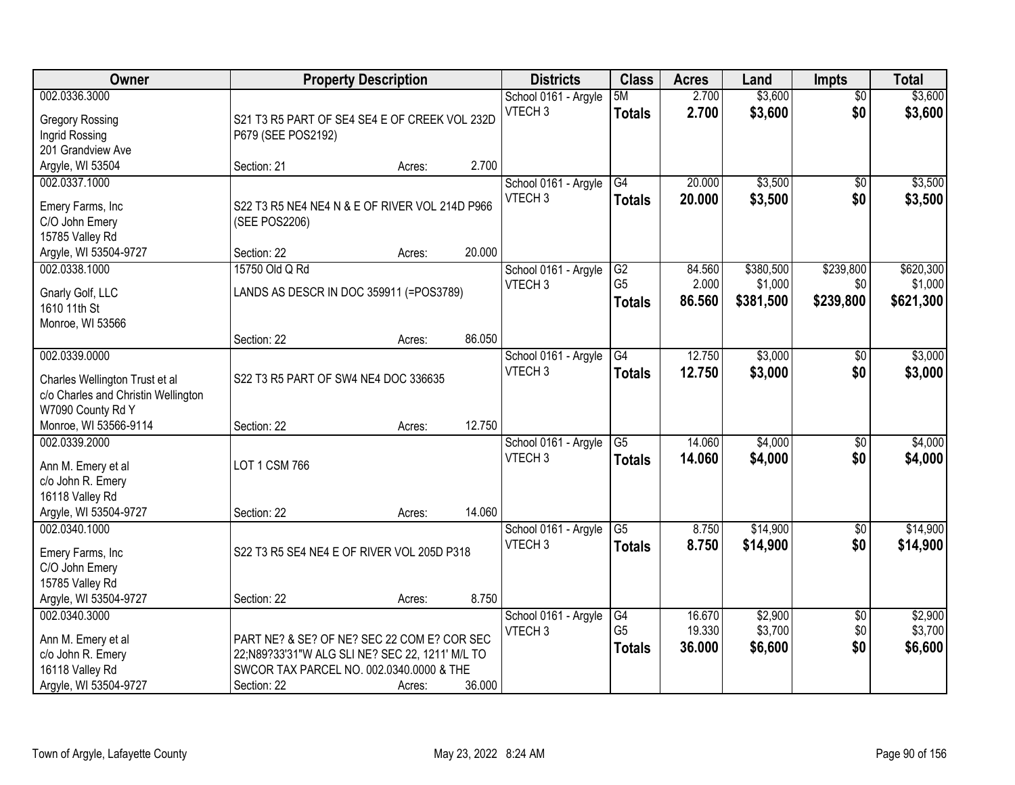| Owner                                                                                                       | <b>Property Description</b>                                                                                                                               |        |        | <b>Districts</b>                           | <b>Class</b>                          | <b>Acres</b>               | Land                              | <b>Impts</b>                  | <b>Total</b>                      |
|-------------------------------------------------------------------------------------------------------------|-----------------------------------------------------------------------------------------------------------------------------------------------------------|--------|--------|--------------------------------------------|---------------------------------------|----------------------------|-----------------------------------|-------------------------------|-----------------------------------|
| 002.0336.3000<br><b>Gregory Rossing</b><br>Ingrid Rossing<br>201 Grandview Ave                              | S21 T3 R5 PART OF SE4 SE4 E OF CREEK VOL 232D<br>P679 (SEE POS2192)                                                                                       |        |        | School 0161 - Argyle<br>VTECH <sub>3</sub> | 5M<br><b>Totals</b>                   | 2.700<br>2.700             | \$3,600<br>\$3,600                | $\overline{50}$<br>\$0        | \$3,600<br>\$3,600                |
| Argyle, WI 53504                                                                                            | Section: 21                                                                                                                                               | Acres: | 2.700  |                                            |                                       |                            |                                   |                               |                                   |
| 002.0337.1000<br>Emery Farms, Inc<br>C/O John Emery<br>15785 Valley Rd                                      | S22 T3 R5 NE4 NE4 N & E OF RIVER VOL 214D P966<br>(SEE POS2206)                                                                                           |        |        | School 0161 - Argyle<br>VTECH <sub>3</sub> | $\overline{G4}$<br><b>Totals</b>      | 20.000<br>20.000           | \$3,500<br>\$3,500                | $\overline{50}$<br>\$0        | \$3,500<br>\$3,500                |
| Argyle, WI 53504-9727                                                                                       | Section: 22                                                                                                                                               | Acres: | 20.000 |                                            |                                       |                            |                                   |                               |                                   |
| 002.0338.1000<br>Gnarly Golf, LLC<br>1610 11th St<br>Monroe, WI 53566                                       | 15750 Old Q Rd<br>LANDS AS DESCR IN DOC 359911 (=POS3789)                                                                                                 |        |        | School 0161 - Argyle<br>VTECH <sub>3</sub> | G2<br>G <sub>5</sub><br><b>Totals</b> | 84.560<br>2.000<br>86.560  | \$380,500<br>\$1,000<br>\$381,500 | \$239,800<br>\$0<br>\$239,800 | \$620,300<br>\$1,000<br>\$621,300 |
|                                                                                                             | Section: 22                                                                                                                                               | Acres: | 86.050 |                                            |                                       |                            |                                   |                               |                                   |
| 002.0339.0000<br>Charles Wellington Trust et al<br>c/o Charles and Christin Wellington<br>W7090 County Rd Y | S22 T3 R5 PART OF SW4 NE4 DOC 336635                                                                                                                      |        |        | School 0161 - Argyle<br>VTECH <sub>3</sub> | G4<br><b>Totals</b>                   | 12.750<br>12.750           | \$3,000<br>\$3,000                | $\sqrt[6]{3}$<br>\$0          | \$3,000<br>\$3,000                |
| Monroe, WI 53566-9114                                                                                       | Section: 22                                                                                                                                               | Acres: | 12.750 |                                            |                                       |                            |                                   |                               |                                   |
| 002.0339.2000<br>Ann M. Emery et al<br>c/o John R. Emery<br>16118 Valley Rd<br>Argyle, WI 53504-9727        | <b>LOT 1 CSM 766</b><br>Section: 22                                                                                                                       | Acres: | 14.060 | School 0161 - Argyle<br>VTECH <sub>3</sub> | $\overline{G5}$<br><b>Totals</b>      | 14.060<br>14.060           | \$4,000<br>\$4,000                | \$0<br>\$0                    | \$4,000<br>\$4,000                |
| 002.0340.1000<br>Emery Farms, Inc<br>C/O John Emery<br>15785 Valley Rd<br>Argyle, WI 53504-9727             | S22 T3 R5 SE4 NE4 E OF RIVER VOL 205D P318<br>Section: 22                                                                                                 | Acres: | 8.750  | School 0161 - Argyle<br>VTECH <sub>3</sub> | G5<br><b>Totals</b>                   | 8.750<br>8.750             | \$14,900<br>\$14,900              | $\sqrt{$0}$<br>\$0            | \$14,900<br>\$14,900              |
| 002.0340.3000<br>Ann M. Emery et al<br>c/o John R. Emery<br>16118 Valley Rd<br>Argyle, WI 53504-9727        | PART NE? & SE? OF NE? SEC 22 COM E? COR SEC<br>22;N89?33'31"W ALG SLI NE? SEC 22, 1211' M/L TO<br>SWCOR TAX PARCEL NO. 002.0340.0000 & THE<br>Section: 22 | Acres: | 36.000 | School 0161 - Argyle<br>VTECH <sub>3</sub> | G4<br>G <sub>5</sub><br><b>Totals</b> | 16.670<br>19.330<br>36.000 | \$2,900<br>\$3,700<br>\$6,600     | $\overline{50}$<br>\$0<br>\$0 | \$2,900<br>\$3,700<br>\$6,600     |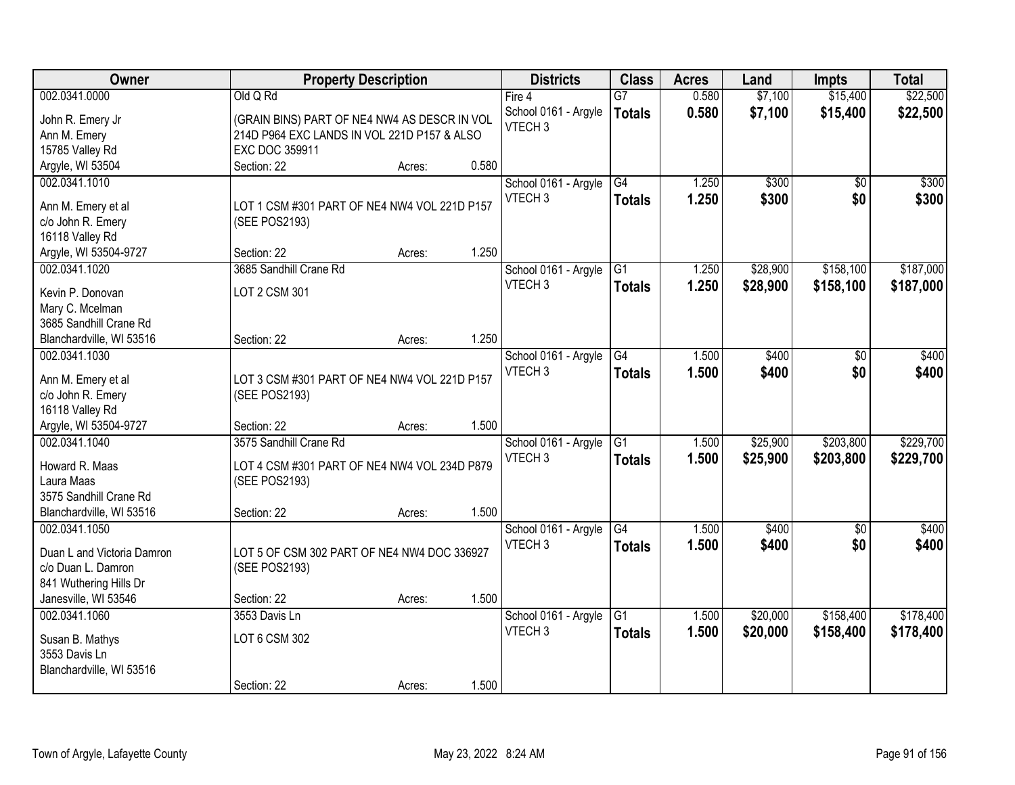| Owner                      |                                              | <b>Property Description</b> |       | <b>Districts</b>     | <b>Class</b>    | <b>Acres</b> | Land     | <b>Impts</b>    | <b>Total</b> |
|----------------------------|----------------------------------------------|-----------------------------|-------|----------------------|-----------------|--------------|----------|-----------------|--------------|
| 002.0341.0000              | Old Q Rd                                     |                             |       | Fire $4$             | $\overline{G7}$ | 0.580        | \$7,100  | \$15,400        | \$22,500     |
| John R. Emery Jr           | (GRAIN BINS) PART OF NE4 NW4 AS DESCR IN VOL |                             |       | School 0161 - Argyle | <b>Totals</b>   | 0.580        | \$7,100  | \$15,400        | \$22,500     |
| Ann M. Emery               | 214D P964 EXC LANDS IN VOL 221D P157 & ALSO  |                             |       | VTECH <sub>3</sub>   |                 |              |          |                 |              |
| 15785 Valley Rd            | EXC DOC 359911                               |                             |       |                      |                 |              |          |                 |              |
| Argyle, WI 53504           | Section: 22                                  | Acres:                      | 0.580 |                      |                 |              |          |                 |              |
| 002.0341.1010              |                                              |                             |       | School 0161 - Argyle | G4              | 1.250        | \$300    | $\overline{50}$ | \$300        |
|                            |                                              |                             |       | VTECH <sub>3</sub>   | <b>Totals</b>   | 1.250        | \$300    | \$0             | \$300        |
| Ann M. Emery et al         | LOT 1 CSM #301 PART OF NE4 NW4 VOL 221D P157 |                             |       |                      |                 |              |          |                 |              |
| c/o John R. Emery          | (SEE POS2193)                                |                             |       |                      |                 |              |          |                 |              |
| 16118 Valley Rd            |                                              |                             |       |                      |                 |              |          |                 |              |
| Argyle, WI 53504-9727      | Section: 22                                  | Acres:                      | 1.250 |                      |                 |              |          |                 |              |
| 002.0341.1020              | 3685 Sandhill Crane Rd                       |                             |       | School 0161 - Argyle | G1              | 1.250        | \$28,900 | \$158,100       | \$187,000    |
| Kevin P. Donovan           | LOT 2 CSM 301                                |                             |       | VTECH <sub>3</sub>   | <b>Totals</b>   | 1.250        | \$28,900 | \$158,100       | \$187,000    |
| Mary C. Mcelman            |                                              |                             |       |                      |                 |              |          |                 |              |
| 3685 Sandhill Crane Rd     |                                              |                             |       |                      |                 |              |          |                 |              |
| Blanchardville, WI 53516   | Section: 22                                  | Acres:                      | 1.250 |                      |                 |              |          |                 |              |
| 002.0341.1030              |                                              |                             |       | School 0161 - Argyle | G4              | 1.500        | \$400    | \$0             | \$400        |
|                            |                                              |                             |       | VTECH <sub>3</sub>   | <b>Totals</b>   | 1.500        | \$400    | \$0             | \$400        |
| Ann M. Emery et al         | LOT 3 CSM #301 PART OF NE4 NW4 VOL 221D P157 |                             |       |                      |                 |              |          |                 |              |
| c/o John R. Emery          | (SEE POS2193)                                |                             |       |                      |                 |              |          |                 |              |
| 16118 Valley Rd            |                                              |                             |       |                      |                 |              |          |                 |              |
| Argyle, WI 53504-9727      | Section: 22                                  | Acres:                      | 1.500 |                      |                 |              |          |                 |              |
| 002.0341.1040              | 3575 Sandhill Crane Rd                       |                             |       | School 0161 - Argyle | $\overline{G1}$ | 1.500        | \$25,900 | \$203,800       | \$229,700    |
| Howard R. Maas             | LOT 4 CSM #301 PART OF NE4 NW4 VOL 234D P879 |                             |       | VTECH <sub>3</sub>   | <b>Totals</b>   | 1.500        | \$25,900 | \$203,800       | \$229,700    |
| Laura Maas                 | (SEE POS2193)                                |                             |       |                      |                 |              |          |                 |              |
| 3575 Sandhill Crane Rd     |                                              |                             |       |                      |                 |              |          |                 |              |
| Blanchardville, WI 53516   | Section: 22                                  | Acres:                      | 1.500 |                      |                 |              |          |                 |              |
| 002.0341.1050              |                                              |                             |       | School 0161 - Argyle | G4              | 1.500        | \$400    | \$0             | \$400        |
|                            |                                              |                             |       | VTECH <sub>3</sub>   | <b>Totals</b>   | 1.500        | \$400    | \$0             | \$400        |
| Duan L and Victoria Damron | LOT 5 OF CSM 302 PART OF NE4 NW4 DOC 336927  |                             |       |                      |                 |              |          |                 |              |
| c/o Duan L. Damron         | (SEE POS2193)                                |                             |       |                      |                 |              |          |                 |              |
| 841 Wuthering Hills Dr     |                                              |                             |       |                      |                 |              |          |                 |              |
| Janesville, WI 53546       | Section: 22                                  | Acres:                      | 1.500 |                      |                 |              |          |                 |              |
| 002.0341.1060              | 3553 Davis Ln                                |                             |       | School 0161 - Argyle | $\overline{G1}$ | 1.500        | \$20,000 | \$158,400       | \$178,400    |
| Susan B. Mathys            | LOT 6 CSM 302                                |                             |       | VTECH <sub>3</sub>   | <b>Totals</b>   | 1.500        | \$20,000 | \$158,400       | \$178,400    |
| 3553 Davis Ln              |                                              |                             |       |                      |                 |              |          |                 |              |
| Blanchardville, WI 53516   |                                              |                             |       |                      |                 |              |          |                 |              |
|                            | Section: 22                                  | Acres:                      | 1.500 |                      |                 |              |          |                 |              |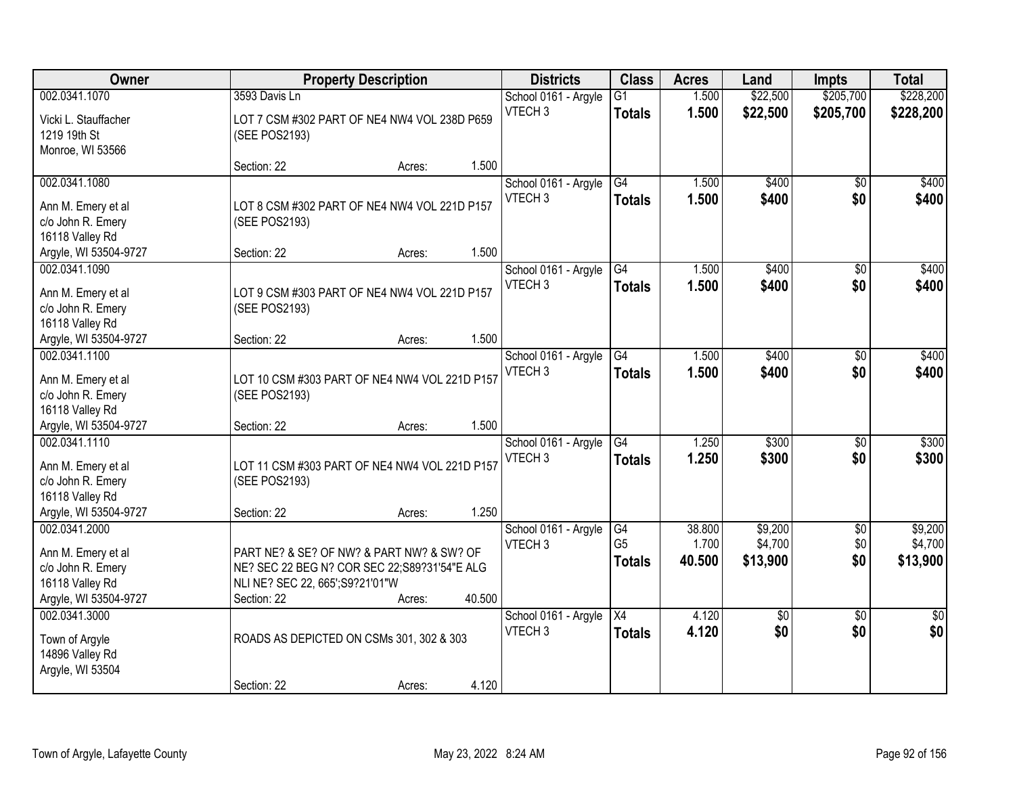| Owner                                                                               |                                                                                                                                               | <b>Property Description</b> |        | <b>Districts</b>                           | <b>Class</b>                     | <b>Acres</b>    | Land                   | <b>Impts</b>           | <b>Total</b>           |
|-------------------------------------------------------------------------------------|-----------------------------------------------------------------------------------------------------------------------------------------------|-----------------------------|--------|--------------------------------------------|----------------------------------|-----------------|------------------------|------------------------|------------------------|
| 002.0341.1070                                                                       | 3593 Davis Ln                                                                                                                                 |                             |        | School 0161 - Argyle                       | G1                               | 1.500           | \$22,500               | \$205,700              | \$228,200              |
| Vicki L. Stauffacher<br>1219 19th St<br>Monroe, WI 53566                            | LOT 7 CSM #302 PART OF NE4 NW4 VOL 238D P659<br>(SEE POS2193)                                                                                 |                             |        | VTECH <sub>3</sub>                         | <b>Totals</b>                    | 1.500           | \$22,500               | \$205,700              | \$228,200              |
|                                                                                     | Section: 22                                                                                                                                   | Acres:                      | 1.500  |                                            |                                  |                 |                        |                        |                        |
| 002.0341.1080<br>Ann M. Emery et al                                                 | LOT 8 CSM #302 PART OF NE4 NW4 VOL 221D P157                                                                                                  |                             |        | School 0161 - Argyle<br>VTECH <sub>3</sub> | G4<br>Totals                     | 1.500<br>1.500  | \$400<br>\$400         | \$0<br>\$0             | \$400<br>\$400         |
| c/o John R. Emery<br>16118 Valley Rd<br>Argyle, WI 53504-9727                       | (SEE POS2193)<br>Section: 22                                                                                                                  | Acres:                      | 1.500  |                                            |                                  |                 |                        |                        |                        |
| 002.0341.1090                                                                       |                                                                                                                                               |                             |        | School 0161 - Argyle                       | G4                               | 1.500           | \$400                  | \$0                    | \$400                  |
| Ann M. Emery et al<br>c/o John R. Emery<br>16118 Valley Rd                          | LOT 9 CSM #303 PART OF NE4 NW4 VOL 221D P157<br>(SEE POS2193)                                                                                 |                             |        | VTECH <sub>3</sub>                         | <b>Totals</b>                    | 1.500           | \$400                  | \$0                    | \$400                  |
| Argyle, WI 53504-9727                                                               | Section: 22                                                                                                                                   | Acres:                      | 1.500  |                                            |                                  |                 |                        |                        |                        |
| 002.0341.1100<br>Ann M. Emery et al                                                 | LOT 10 CSM #303 PART OF NE4 NW4 VOL 221D P157                                                                                                 |                             |        | School 0161 - Argyle<br>VTECH <sub>3</sub> | G4<br><b>Totals</b>              | 1.500<br>1.500  | \$400<br>\$400         | \$0<br>\$0             | \$400<br>\$400         |
| c/o John R. Emery<br>16118 Valley Rd<br>Argyle, WI 53504-9727                       | (SEE POS2193)<br>Section: 22                                                                                                                  |                             | 1.500  |                                            |                                  |                 |                        |                        |                        |
| 002.0341.1110                                                                       |                                                                                                                                               | Acres:                      |        | School 0161 - Argyle                       | $\overline{G4}$                  | 1.250           | \$300                  | \$0                    | \$300                  |
| Ann M. Emery et al<br>c/o John R. Emery<br>16118 Valley Rd                          | LOT 11 CSM #303 PART OF NE4 NW4 VOL 221D P157<br>(SEE POS2193)                                                                                |                             | 1.250  | VTECH <sub>3</sub>                         | <b>Totals</b>                    | 1.250           | \$300                  | \$0                    | \$300                  |
| Argyle, WI 53504-9727<br>002.0341.2000                                              | Section: 22                                                                                                                                   | Acres:                      |        | School 0161 - Argyle                       | G4                               | 38.800          | \$9,200                | $\sqrt{$0}$            | \$9,200                |
| Ann M. Emery et al<br>c/o John R. Emery<br>16118 Valley Rd<br>Argyle, WI 53504-9727 | PART NE? & SE? OF NW? & PART NW? & SW? OF<br>NE? SEC 22 BEG N? COR SEC 22; S89?31'54"E ALG<br>NLI NE? SEC 22, 665'; S9?21'01"W<br>Section: 22 | Acres:                      | 40.500 | VTECH <sub>3</sub>                         | G <sub>5</sub><br><b>Totals</b>  | 1.700<br>40.500 | \$4,700<br>\$13,900    | \$0<br>\$0             | \$4,700<br>\$13,900    |
| 002.0341.3000<br>Town of Argyle<br>14896 Valley Rd<br>Argyle, WI 53504              | ROADS AS DEPICTED ON CSMs 301, 302 & 303                                                                                                      |                             |        | School 0161 - Argyle<br>VTECH <sub>3</sub> | $\overline{X4}$<br><b>Totals</b> | 4.120<br>4.120  | $\overline{50}$<br>\$0 | $\overline{50}$<br>\$0 | $\overline{30}$<br>\$0 |
|                                                                                     | Section: 22                                                                                                                                   | Acres:                      | 4.120  |                                            |                                  |                 |                        |                        |                        |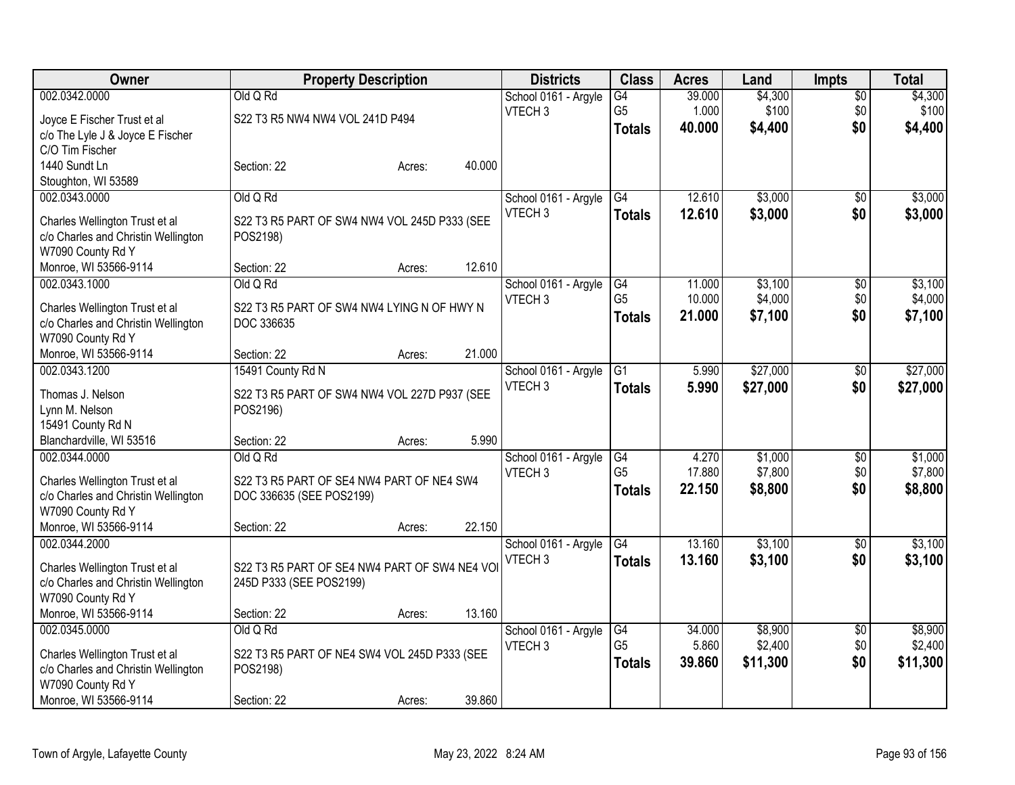| Owner                                      |                                               | <b>Property Description</b> |        | <b>Districts</b>     | <b>Class</b>         | <b>Acres</b> | Land               | <b>Impts</b>    | <b>Total</b> |
|--------------------------------------------|-----------------------------------------------|-----------------------------|--------|----------------------|----------------------|--------------|--------------------|-----------------|--------------|
| 002.0342.0000                              | Old Q Rd                                      |                             |        | School 0161 - Argyle | G4                   | 39.000       | \$4,300            | $\overline{50}$ | \$4,300      |
| Joyce E Fischer Trust et al                | S22 T3 R5 NW4 NW4 VOL 241D P494               |                             |        | VTECH <sub>3</sub>   | G <sub>5</sub>       | 1.000        | \$100              | \$0             | \$100        |
| c/o The Lyle J & Joyce E Fischer           |                                               |                             |        |                      | <b>Totals</b>        | 40.000       | \$4,400            | \$0             | \$4,400      |
| C/O Tim Fischer                            |                                               |                             |        |                      |                      |              |                    |                 |              |
| 1440 Sundt Ln                              | Section: 22                                   | Acres:                      | 40.000 |                      |                      |              |                    |                 |              |
| Stoughton, WI 53589                        |                                               |                             |        |                      |                      |              |                    |                 |              |
| 002.0343.0000                              | Old Q Rd                                      |                             |        | School 0161 - Argyle | G4                   | 12.610       | \$3,000            | \$0             | \$3,000      |
| Charles Wellington Trust et al             | S22 T3 R5 PART OF SW4 NW4 VOL 245D P333 (SEE  |                             |        | VTECH <sub>3</sub>   | <b>Totals</b>        | 12.610       | \$3,000            | \$0             | \$3,000      |
| c/o Charles and Christin Wellington        | POS2198)                                      |                             |        |                      |                      |              |                    |                 |              |
| W7090 County Rd Y                          |                                               |                             |        |                      |                      |              |                    |                 |              |
| Monroe, WI 53566-9114                      | Section: 22                                   | Acres:                      | 12.610 |                      |                      |              |                    |                 |              |
| 002.0343.1000                              | Old Q Rd                                      |                             |        | School 0161 - Argyle | G4                   | 11.000       | \$3,100            | $\overline{60}$ | \$3,100      |
| Charles Wellington Trust et al             | S22 T3 R5 PART OF SW4 NW4 LYING N OF HWY N    |                             |        | VTECH <sub>3</sub>   | G <sub>5</sub>       | 10.000       | \$4,000            | \$0             | \$4,000      |
| c/o Charles and Christin Wellington        | DOC 336635                                    |                             |        |                      | <b>Totals</b>        | 21.000       | \$7,100            | \$0             | \$7,100      |
| W7090 County Rd Y                          |                                               |                             |        |                      |                      |              |                    |                 |              |
| Monroe, WI 53566-9114                      | Section: 22                                   | Acres:                      | 21.000 |                      |                      |              |                    |                 |              |
| 002.0343.1200                              | 15491 County Rd N                             |                             |        | School 0161 - Argyle | G1                   | 5.990        | \$27,000           | \$0             | \$27,000     |
|                                            |                                               |                             |        | VTECH <sub>3</sub>   | <b>Totals</b>        | 5.990        | \$27,000           | \$0             | \$27,000     |
| Thomas J. Nelson                           | S22 T3 R5 PART OF SW4 NW4 VOL 227D P937 (SEE  |                             |        |                      |                      |              |                    |                 |              |
| Lynn M. Nelson<br>15491 County Rd N        | POS2196)                                      |                             |        |                      |                      |              |                    |                 |              |
| Blanchardville, WI 53516                   | Section: 22                                   | Acres:                      | 5.990  |                      |                      |              |                    |                 |              |
| 002.0344.0000                              | Old Q Rd                                      |                             |        | School 0161 - Argyle | G4                   | 4.270        | \$1,000            | \$0             | \$1,000      |
|                                            |                                               |                             |        | VTECH <sub>3</sub>   | G <sub>5</sub>       | 17.880       | \$7,800            | \$0             | \$7,800      |
| Charles Wellington Trust et al             | S22 T3 R5 PART OF SE4 NW4 PART OF NE4 SW4     |                             |        |                      | <b>Totals</b>        | 22.150       | \$8,800            | \$0             | \$8,800      |
| c/o Charles and Christin Wellington        | DOC 336635 (SEE POS2199)                      |                             |        |                      |                      |              |                    |                 |              |
| W7090 County Rd Y<br>Monroe, WI 53566-9114 | Section: 22                                   |                             | 22.150 |                      |                      |              |                    |                 |              |
| 002.0344.2000                              |                                               | Acres:                      |        | School 0161 - Argyle | G4                   | 13.160       | \$3,100            | $\sqrt{6}$      | \$3,100      |
|                                            |                                               |                             |        | VTECH <sub>3</sub>   |                      | 13.160       | \$3,100            | \$0             | \$3,100      |
| Charles Wellington Trust et al             | S22 T3 R5 PART OF SE4 NW4 PART OF SW4 NE4 VOI |                             |        |                      | <b>Totals</b>        |              |                    |                 |              |
| c/o Charles and Christin Wellington        | 245D P333 (SEE POS2199)                       |                             |        |                      |                      |              |                    |                 |              |
| W7090 County Rd Y                          |                                               |                             |        |                      |                      |              |                    |                 |              |
| Monroe, WI 53566-9114                      | Section: 22                                   | Acres:                      | 13.160 |                      |                      |              |                    |                 |              |
| 002.0345.0000                              | Old Q Rd                                      |                             |        | School 0161 - Argyle | G4<br>G <sub>5</sub> | 34.000       | \$8,900<br>\$2,400 | $\overline{50}$ | \$8,900      |
| Charles Wellington Trust et al             | S22 T3 R5 PART OF NE4 SW4 VOL 245D P333 (SEE  |                             |        | VTECH <sub>3</sub>   |                      | 5.860        |                    | \$0             | \$2,400      |
| c/o Charles and Christin Wellington        | POS2198)                                      |                             |        |                      | <b>Totals</b>        | 39.860       | \$11,300           | \$0             | \$11,300     |
| W7090 County Rd Y                          |                                               |                             |        |                      |                      |              |                    |                 |              |
| Monroe, WI 53566-9114                      | Section: 22                                   | Acres:                      | 39.860 |                      |                      |              |                    |                 |              |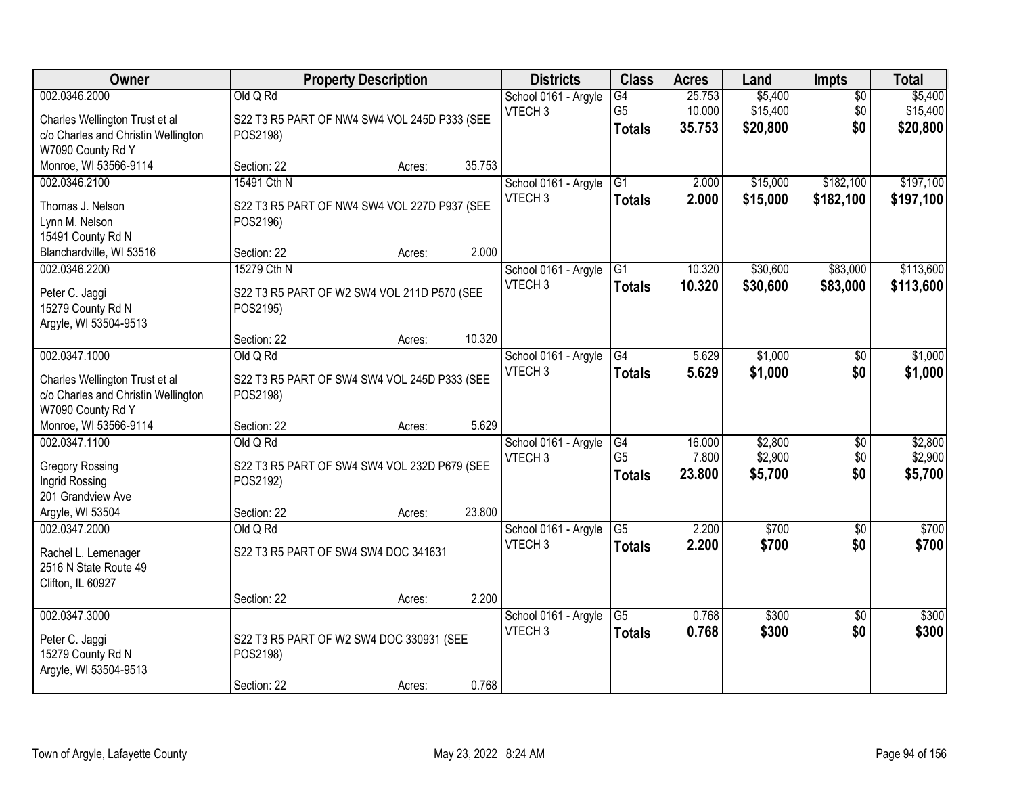| Owner                               | <b>Property Description</b>                  |        |        | <b>Districts</b>                           | <b>Class</b>         | <b>Acres</b>    | Land               | Impts                  | <b>Total</b>       |
|-------------------------------------|----------------------------------------------|--------|--------|--------------------------------------------|----------------------|-----------------|--------------------|------------------------|--------------------|
| 002.0346.2000                       | Old Q Rd                                     |        |        | School 0161 - Argyle                       | $\overline{G4}$      | 25.753          | \$5,400            | $\overline{50}$        | \$5,400            |
| Charles Wellington Trust et al      | S22 T3 R5 PART OF NW4 SW4 VOL 245D P333 (SEE |        |        | VTECH <sub>3</sub>                         | G <sub>5</sub>       | 10.000          | \$15,400           | \$0                    | \$15,400           |
| c/o Charles and Christin Wellington | POS2198)                                     |        |        |                                            | <b>Totals</b>        | 35.753          | \$20,800           | \$0                    | \$20,800           |
| W7090 County Rd Y                   |                                              |        |        |                                            |                      |                 |                    |                        |                    |
| Monroe, WI 53566-9114               | Section: 22                                  | Acres: | 35.753 |                                            |                      |                 |                    |                        |                    |
| 002.0346.2100                       | 15491 Cth N                                  |        |        | School 0161 - Argyle<br>VTECH <sub>3</sub> | $\overline{G1}$      | 2.000           | \$15,000           | \$182,100              | \$197,100          |
| Thomas J. Nelson                    | S22 T3 R5 PART OF NW4 SW4 VOL 227D P937 (SEE |        |        |                                            | <b>Totals</b>        | 2.000           | \$15,000           | \$182,100              | \$197,100          |
| Lynn M. Nelson                      | POS2196)                                     |        |        |                                            |                      |                 |                    |                        |                    |
| 15491 County Rd N                   |                                              |        |        |                                            |                      |                 |                    |                        |                    |
| Blanchardville, WI 53516            | Section: 22                                  | Acres: | 2.000  |                                            |                      |                 |                    |                        |                    |
| 002.0346.2200                       | 15279 Cth N                                  |        |        | School 0161 - Argyle<br>VTECH <sub>3</sub> | G1                   | 10.320          | \$30,600           | \$83,000               | \$113,600          |
| Peter C. Jaggi                      | S22 T3 R5 PART OF W2 SW4 VOL 211D P570 (SEE  |        |        |                                            | <b>Totals</b>        | 10.320          | \$30,600           | \$83,000               | \$113,600          |
| 15279 County Rd N                   | POS2195)                                     |        |        |                                            |                      |                 |                    |                        |                    |
| Argyle, WI 53504-9513               |                                              |        |        |                                            |                      |                 |                    |                        |                    |
|                                     | Section: 22                                  | Acres: | 10.320 |                                            |                      |                 |                    |                        |                    |
| 002.0347.1000                       | Old Q Rd                                     |        |        | School 0161 - Argyle<br>VTECH <sub>3</sub> | G4                   | 5.629           | \$1,000            | $\frac{1}{20}$         | \$1,000            |
| Charles Wellington Trust et al      | S22 T3 R5 PART OF SW4 SW4 VOL 245D P333 (SEE |        |        |                                            | <b>Totals</b>        | 5.629           | \$1,000            | \$0                    | \$1,000            |
| c/o Charles and Christin Wellington | POS2198)                                     |        |        |                                            |                      |                 |                    |                        |                    |
| W7090 County Rd Y                   |                                              |        |        |                                            |                      |                 |                    |                        |                    |
| Monroe, WI 53566-9114               | Section: 22                                  | Acres: | 5.629  |                                            |                      |                 |                    |                        |                    |
| 002.0347.1100                       | Old Q Rd                                     |        |        | School 0161 - Argyle                       | G4<br>G <sub>5</sub> | 16.000<br>7.800 | \$2,800<br>\$2,900 | $\overline{50}$<br>\$0 | \$2,800<br>\$2,900 |
| <b>Gregory Rossing</b>              | S22 T3 R5 PART OF SW4 SW4 VOL 232D P679 (SEE |        |        | VTECH <sub>3</sub>                         | <b>Totals</b>        | 23.800          | \$5,700            | \$0                    | \$5,700            |
| Ingrid Rossing                      | POS2192)                                     |        |        |                                            |                      |                 |                    |                        |                    |
| 201 Grandview Ave                   |                                              |        |        |                                            |                      |                 |                    |                        |                    |
| Argyle, WI 53504                    | Section: 22                                  | Acres: | 23.800 |                                            |                      |                 |                    |                        |                    |
| 002.0347.2000                       | Old Q Rd                                     |        |        | School 0161 - Argyle                       | $\overline{G5}$      | 2.200           | \$700              | $\overline{50}$        | \$700              |
| Rachel L. Lemenager                 | S22 T3 R5 PART OF SW4 SW4 DOC 341631         |        |        | VTECH <sub>3</sub>                         | <b>Totals</b>        | 2.200           | \$700              | \$0                    | \$700              |
| 2516 N State Route 49               |                                              |        |        |                                            |                      |                 |                    |                        |                    |
| Clifton, IL 60927                   |                                              |        |        |                                            |                      |                 |                    |                        |                    |
|                                     | Section: 22                                  | Acres: | 2.200  |                                            |                      |                 |                    |                        |                    |
| 002.0347.3000                       |                                              |        |        | School 0161 - Argyle                       | $\overline{G5}$      | 0.768           | \$300              | $\overline{50}$        | \$300              |
| Peter C. Jaggi                      | S22 T3 R5 PART OF W2 SW4 DOC 330931 (SEE     |        |        | VTECH <sub>3</sub>                         | <b>Totals</b>        | 0.768           | \$300              | \$0                    | \$300              |
| 15279 County Rd N                   | POS2198)                                     |        |        |                                            |                      |                 |                    |                        |                    |
| Argyle, WI 53504-9513               |                                              |        |        |                                            |                      |                 |                    |                        |                    |
|                                     | Section: 22                                  | Acres: | 0.768  |                                            |                      |                 |                    |                        |                    |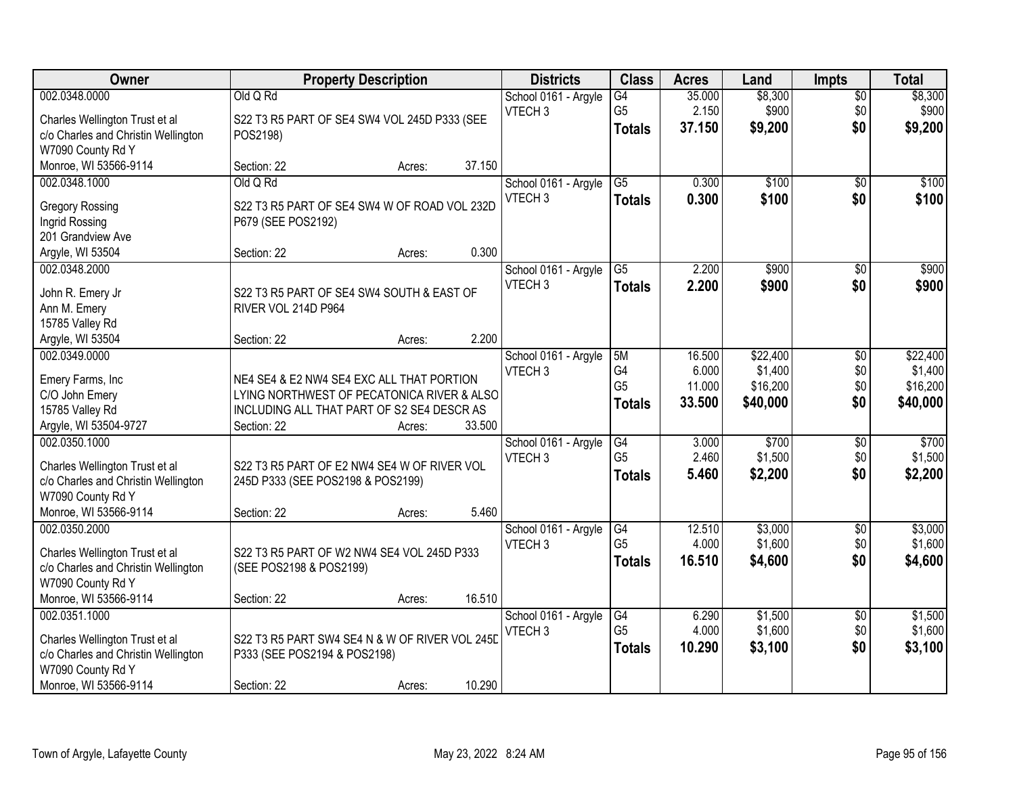| Owner                               |                                                | <b>Property Description</b> |        | <b>Districts</b>     | <b>Class</b>         | <b>Acres</b> | Land     | <b>Impts</b>    | <b>Total</b> |
|-------------------------------------|------------------------------------------------|-----------------------------|--------|----------------------|----------------------|--------------|----------|-----------------|--------------|
| 002.0348.0000                       | Old Q Rd                                       |                             |        | School 0161 - Argyle | $\overline{G4}$      | 35.000       | \$8,300  | $\overline{50}$ | \$8,300      |
| Charles Wellington Trust et al      | S22 T3 R5 PART OF SE4 SW4 VOL 245D P333 (SEE   |                             |        | VTECH <sub>3</sub>   | G <sub>5</sub>       | 2.150        | \$900    | \$0             | \$900        |
| c/o Charles and Christin Wellington | POS2198)                                       |                             |        |                      | <b>Totals</b>        | 37.150       | \$9,200  | \$0             | \$9,200      |
| W7090 County Rd Y                   |                                                |                             |        |                      |                      |              |          |                 |              |
| Monroe, WI 53566-9114               | Section: 22                                    | Acres:                      | 37.150 |                      |                      |              |          |                 |              |
| 002.0348.1000                       | Old Q Rd                                       |                             |        | School 0161 - Argyle | $\overline{G5}$      | 0.300        | \$100    | $\overline{50}$ | \$100        |
|                                     |                                                |                             |        | VTECH <sub>3</sub>   | <b>Totals</b>        | 0.300        | \$100    | \$0             | \$100        |
| <b>Gregory Rossing</b>              | S22 T3 R5 PART OF SE4 SW4 W OF ROAD VOL 232D   |                             |        |                      |                      |              |          |                 |              |
| Ingrid Rossing<br>201 Grandview Ave | P679 (SEE POS2192)                             |                             |        |                      |                      |              |          |                 |              |
| Argyle, WI 53504                    | Section: 22                                    | Acres:                      | 0.300  |                      |                      |              |          |                 |              |
| 002.0348.2000                       |                                                |                             |        | School 0161 - Argyle | G5                   | 2.200        | \$900    | \$0             | \$900        |
|                                     |                                                |                             |        | VTECH <sub>3</sub>   |                      |              | \$900    | \$0             | \$900        |
| John R. Emery Jr                    | S22 T3 R5 PART OF SE4 SW4 SOUTH & EAST OF      |                             |        |                      | <b>Totals</b>        | 2.200        |          |                 |              |
| Ann M. Emery                        | RIVER VOL 214D P964                            |                             |        |                      |                      |              |          |                 |              |
| 15785 Valley Rd                     |                                                |                             |        |                      |                      |              |          |                 |              |
| Argyle, WI 53504                    | Section: 22                                    | Acres:                      | 2.200  |                      |                      |              |          |                 |              |
| 002.0349.0000                       |                                                |                             |        | School 0161 - Argyle | 5M                   | 16.500       | \$22,400 | \$0             | \$22,400     |
| Emery Farms, Inc                    | NE4 SE4 & E2 NW4 SE4 EXC ALL THAT PORTION      |                             |        | VTECH <sub>3</sub>   | G4                   | 6.000        | \$1,400  | \$0             | \$1,400      |
| C/O John Emery                      | LYING NORTHWEST OF PECATONICA RIVER & ALSO     |                             |        |                      | G <sub>5</sub>       | 11.000       | \$16,200 | \$0             | \$16,200     |
| 15785 Valley Rd                     | INCLUDING ALL THAT PART OF S2 SE4 DESCR AS     |                             |        |                      | <b>Totals</b>        | 33.500       | \$40,000 | \$0             | \$40,000     |
| Argyle, WI 53504-9727               | Section: 22                                    | Acres:                      | 33.500 |                      |                      |              |          |                 |              |
| 002.0350.1000                       |                                                |                             |        | School 0161 - Argyle | G4                   | 3.000        | \$700    | \$0             | \$700        |
|                                     |                                                |                             |        | VTECH <sub>3</sub>   | G <sub>5</sub>       | 2.460        | \$1,500  | \$0             | \$1,500      |
| Charles Wellington Trust et al      | S22 T3 R5 PART OF E2 NW4 SE4 W OF RIVER VOL    |                             |        |                      | <b>Totals</b>        | 5.460        | \$2,200  | \$0             | \$2,200      |
| c/o Charles and Christin Wellington | 245D P333 (SEE POS2198 & POS2199)              |                             |        |                      |                      |              |          |                 |              |
| W7090 County Rd Y                   |                                                |                             |        |                      |                      |              |          |                 |              |
| Monroe, WI 53566-9114               | Section: 22                                    | Acres:                      | 5.460  |                      |                      |              |          |                 |              |
| 002.0350.2000                       |                                                |                             |        | School 0161 - Argyle | G4<br>G <sub>5</sub> | 12.510       | \$3,000  | $\sqrt{$0}$     | \$3,000      |
| Charles Wellington Trust et al      | S22 T3 R5 PART OF W2 NW4 SE4 VOL 245D P333     |                             |        | VTECH <sub>3</sub>   |                      | 4.000        | \$1,600  | \$0             | \$1,600      |
| c/o Charles and Christin Wellington | (SEE POS2198 & POS2199)                        |                             |        |                      | <b>Totals</b>        | 16.510       | \$4,600  | \$0             | \$4,600      |
| W7090 County Rd Y                   |                                                |                             |        |                      |                      |              |          |                 |              |
| Monroe, WI 53566-9114               | Section: 22                                    | Acres:                      | 16.510 |                      |                      |              |          |                 |              |
| 002.0351.1000                       |                                                |                             |        | School 0161 - Argyle | G4                   | 6.290        | \$1,500  | $\overline{50}$ | \$1,500      |
| Charles Wellington Trust et al      | S22 T3 R5 PART SW4 SE4 N & W OF RIVER VOL 245D |                             |        | VTECH <sub>3</sub>   | G <sub>5</sub>       | 4.000        | \$1,600  | \$0             | \$1,600      |
| c/o Charles and Christin Wellington | P333 (SEE POS2194 & POS2198)                   |                             |        |                      | <b>Totals</b>        | 10.290       | \$3,100  | \$0             | \$3,100      |
| W7090 County Rd Y                   |                                                |                             |        |                      |                      |              |          |                 |              |
| Monroe, WI 53566-9114               | Section: 22                                    | Acres:                      | 10.290 |                      |                      |              |          |                 |              |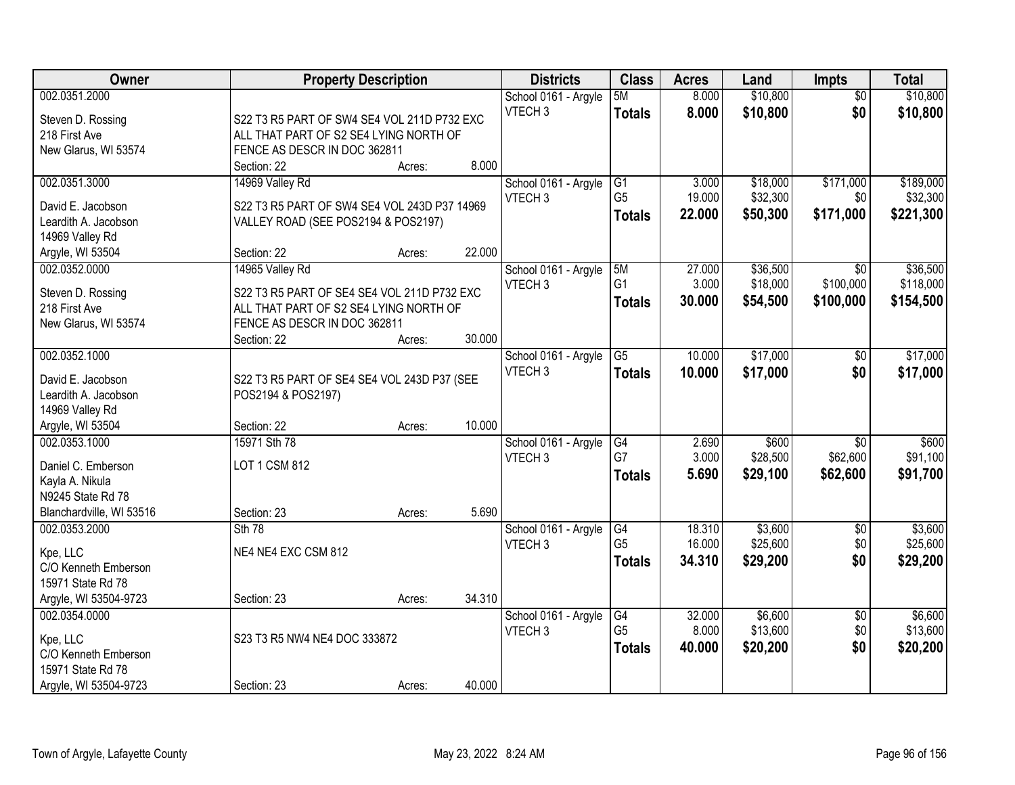| Owner                                     | <b>Property Description</b>                  |        |        | <b>Districts</b>     | <b>Class</b>   | <b>Acres</b> | Land     | <b>Impts</b>    | <b>Total</b> |
|-------------------------------------------|----------------------------------------------|--------|--------|----------------------|----------------|--------------|----------|-----------------|--------------|
| 002.0351.2000                             |                                              |        |        | School 0161 - Argyle | 5M             | 8.000        | \$10,800 | $\overline{30}$ | \$10,800     |
| Steven D. Rossing                         | S22 T3 R5 PART OF SW4 SE4 VOL 211D P732 EXC  |        |        | VTECH <sub>3</sub>   | <b>Totals</b>  | 8.000        | \$10,800 | \$0             | \$10,800     |
| 218 First Ave                             | ALL THAT PART OF S2 SE4 LYING NORTH OF       |        |        |                      |                |              |          |                 |              |
| New Glarus, WI 53574                      | FENCE AS DESCR IN DOC 362811                 |        |        |                      |                |              |          |                 |              |
|                                           | Section: 22                                  | Acres: | 8.000  |                      |                |              |          |                 |              |
| 002.0351.3000                             | 14969 Valley Rd                              |        |        | School 0161 - Argyle | G1             | 3.000        | \$18,000 | \$171,000       | \$189,000    |
|                                           |                                              |        |        | VTECH <sub>3</sub>   | G <sub>5</sub> | 19.000       | \$32,300 | \$0             | \$32,300     |
| David E. Jacobson<br>Leardith A. Jacobson | S22 T3 R5 PART OF SW4 SE4 VOL 243D P37 14969 |        |        |                      | <b>Totals</b>  | 22.000       | \$50,300 | \$171,000       | \$221,300    |
| 14969 Valley Rd                           | VALLEY ROAD (SEE POS2194 & POS2197)          |        |        |                      |                |              |          |                 |              |
| Argyle, WI 53504                          | Section: 22                                  | Acres: | 22.000 |                      |                |              |          |                 |              |
| 002.0352.0000                             | 14965 Valley Rd                              |        |        | School 0161 - Argyle | 5M             | 27.000       | \$36,500 | \$0             | \$36,500     |
|                                           |                                              |        |        | VTECH <sub>3</sub>   | G <sub>1</sub> | 3.000        | \$18,000 | \$100,000       | \$118,000    |
| Steven D. Rossing                         | S22 T3 R5 PART OF SE4 SE4 VOL 211D P732 EXC  |        |        |                      | <b>Totals</b>  | 30,000       | \$54,500 | \$100,000       | \$154,500    |
| 218 First Ave                             | ALL THAT PART OF S2 SE4 LYING NORTH OF       |        |        |                      |                |              |          |                 |              |
| New Glarus, WI 53574                      | FENCE AS DESCR IN DOC 362811                 |        |        |                      |                |              |          |                 |              |
|                                           | Section: 22                                  | Acres: | 30.000 |                      |                |              |          |                 |              |
| 002.0352.1000                             |                                              |        |        | School 0161 - Argyle | G5             | 10.000       | \$17,000 | $\sqrt[6]{}$    | \$17,000     |
| David E. Jacobson                         | S22 T3 R5 PART OF SE4 SE4 VOL 243D P37 (SEE  |        |        | VTECH <sub>3</sub>   | <b>Totals</b>  | 10.000       | \$17,000 | \$0             | \$17,000     |
| Leardith A. Jacobson                      | POS2194 & POS2197)                           |        |        |                      |                |              |          |                 |              |
| 14969 Valley Rd                           |                                              |        |        |                      |                |              |          |                 |              |
| Argyle, WI 53504                          | Section: 22                                  | Acres: | 10.000 |                      |                |              |          |                 |              |
| 002.0353.1000                             | 15971 Sth 78                                 |        |        | School 0161 - Argyle | G4             | 2.690        | \$600    | $\overline{50}$ | \$600        |
| Daniel C. Emberson                        | LOT 1 CSM 812                                |        |        | VTECH <sub>3</sub>   | G7             | 3.000        | \$28,500 | \$62,600        | \$91,100     |
| Kayla A. Nikula                           |                                              |        |        |                      | <b>Totals</b>  | 5.690        | \$29,100 | \$62,600        | \$91,700     |
| N9245 State Rd 78                         |                                              |        |        |                      |                |              |          |                 |              |
| Blanchardville, WI 53516                  | Section: 23                                  | Acres: | 5.690  |                      |                |              |          |                 |              |
| 002.0353.2000                             | Sth 78                                       |        |        | School 0161 - Argyle | G4             | 18.310       | \$3,600  | $\sqrt{$0}$     | \$3,600      |
|                                           |                                              |        |        | VTECH <sub>3</sub>   | G <sub>5</sub> | 16.000       | \$25,600 | \$0             | \$25,600     |
| Kpe, LLC                                  | NE4 NE4 EXC CSM 812                          |        |        |                      | <b>Totals</b>  | 34.310       | \$29,200 | \$0             | \$29,200     |
| C/O Kenneth Emberson                      |                                              |        |        |                      |                |              |          |                 |              |
| 15971 State Rd 78                         |                                              |        |        |                      |                |              |          |                 |              |
| Argyle, WI 53504-9723                     | Section: 23                                  | Acres: | 34.310 |                      |                |              |          |                 |              |
| 002.0354.0000                             |                                              |        |        | School 0161 - Argyle | G4             | 32.000       | \$6,600  | $\overline{30}$ | \$6,600      |
| Kpe, LLC                                  | S23 T3 R5 NW4 NE4 DOC 333872                 |        |        | VTECH <sub>3</sub>   | G <sub>5</sub> | 8.000        | \$13,600 | \$0             | \$13,600     |
| C/O Kenneth Emberson                      |                                              |        |        |                      | <b>Totals</b>  | 40.000       | \$20,200 | \$0             | \$20,200     |
| 15971 State Rd 78                         |                                              |        |        |                      |                |              |          |                 |              |
| Argyle, WI 53504-9723                     | Section: 23                                  | Acres: | 40.000 |                      |                |              |          |                 |              |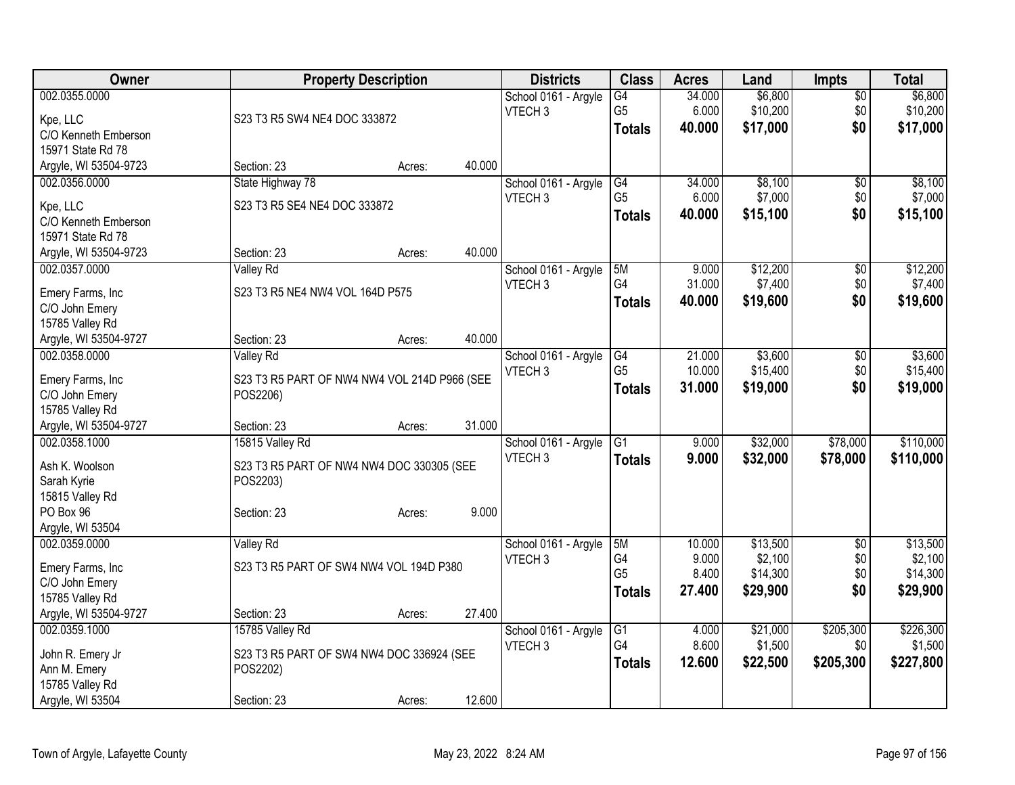| <b>Owner</b>                             | <b>Property Description</b>                  |                  | <b>Districts</b>     | <b>Class</b>    | <b>Acres</b> | Land     | <b>Impts</b>    | <b>Total</b> |
|------------------------------------------|----------------------------------------------|------------------|----------------------|-----------------|--------------|----------|-----------------|--------------|
| 002.0355.0000                            |                                              |                  | School 0161 - Argyle | G4              | 34.000       | \$6,800  | $\overline{50}$ | \$6,800      |
| Kpe, LLC                                 | S23 T3 R5 SW4 NE4 DOC 333872                 |                  | VTECH <sub>3</sub>   | G <sub>5</sub>  | 6.000        | \$10,200 | \$0             | \$10,200     |
| C/O Kenneth Emberson                     |                                              |                  |                      | <b>Totals</b>   | 40.000       | \$17,000 | \$0             | \$17,000     |
| 15971 State Rd 78                        |                                              |                  |                      |                 |              |          |                 |              |
| Argyle, WI 53504-9723                    | Section: 23                                  | 40.000<br>Acres: |                      |                 |              |          |                 |              |
| 002.0356.0000                            | State Highway 78                             |                  | School 0161 - Argyle | G4              | 34.000       | \$8,100  | \$0             | \$8,100      |
| Kpe, LLC                                 | S23 T3 R5 SE4 NE4 DOC 333872                 |                  | VTECH <sub>3</sub>   | G <sub>5</sub>  | 6.000        | \$7,000  | \$0             | \$7,000      |
| C/O Kenneth Emberson                     |                                              |                  |                      | <b>Totals</b>   | 40.000       | \$15,100 | \$0             | \$15,100     |
| 15971 State Rd 78                        |                                              |                  |                      |                 |              |          |                 |              |
| Argyle, WI 53504-9723                    | Section: 23                                  | 40.000<br>Acres: |                      |                 |              |          |                 |              |
| 002.0357.0000                            | <b>Valley Rd</b>                             |                  | School 0161 - Argyle | 5M              | 9.000        | \$12,200 | \$0             | \$12,200     |
|                                          |                                              |                  | VTECH <sub>3</sub>   | G4              | 31.000       | \$7,400  | \$0             | \$7,400      |
| Emery Farms, Inc                         | S23 T3 R5 NE4 NW4 VOL 164D P575              |                  |                      | <b>Totals</b>   | 40.000       | \$19,600 | \$0             | \$19,600     |
| C/O John Emery                           |                                              |                  |                      |                 |              |          |                 |              |
| 15785 Valley Rd<br>Argyle, WI 53504-9727 | Section: 23                                  | 40.000<br>Acres: |                      |                 |              |          |                 |              |
| 002.0358.0000                            | <b>Valley Rd</b>                             |                  | School 0161 - Argyle | G4              | 21.000       | \$3,600  | \$0             | \$3,600      |
|                                          |                                              |                  | VTECH <sub>3</sub>   | G <sub>5</sub>  | 10.000       | \$15,400 | \$0             | \$15,400     |
| Emery Farms, Inc                         | S23 T3 R5 PART OF NW4 NW4 VOL 214D P966 (SEE |                  |                      | <b>Totals</b>   | 31.000       | \$19,000 | \$0             | \$19,000     |
| C/O John Emery                           | POS2206)                                     |                  |                      |                 |              |          |                 |              |
| 15785 Valley Rd                          |                                              |                  |                      |                 |              |          |                 |              |
| Argyle, WI 53504-9727                    | Section: 23                                  | 31.000<br>Acres: |                      |                 |              |          |                 |              |
| 002.0358.1000                            | 15815 Valley Rd                              |                  | School 0161 - Argyle | $\overline{G1}$ | 9.000        | \$32,000 | \$78,000        | \$110,000    |
| Ash K. Woolson                           | S23 T3 R5 PART OF NW4 NW4 DOC 330305 (SEE    |                  | VTECH <sub>3</sub>   | <b>Totals</b>   | 9.000        | \$32,000 | \$78,000        | \$110,000    |
| Sarah Kyrie                              | POS2203)                                     |                  |                      |                 |              |          |                 |              |
| 15815 Valley Rd                          |                                              |                  |                      |                 |              |          |                 |              |
| PO Box 96                                | Section: 23                                  | 9.000<br>Acres:  |                      |                 |              |          |                 |              |
| Argyle, WI 53504                         |                                              |                  |                      |                 |              |          |                 |              |
| 002.0359.0000                            | Valley Rd                                    |                  | School 0161 - Argyle | 5M              | 10.000       | \$13,500 | $\overline{50}$ | \$13,500     |
| Emery Farms, Inc                         | S23 T3 R5 PART OF SW4 NW4 VOL 194D P380      |                  | VTECH <sub>3</sub>   | G4              | 9.000        | \$2,100  | \$0             | \$2,100      |
| C/O John Emery                           |                                              |                  |                      | G <sub>5</sub>  | 8.400        | \$14,300 | \$0             | \$14,300     |
| 15785 Valley Rd                          |                                              |                  |                      | <b>Totals</b>   | 27.400       | \$29,900 | \$0             | \$29,900     |
| Argyle, WI 53504-9727                    | Section: 23                                  | 27.400<br>Acres: |                      |                 |              |          |                 |              |
| 002.0359.1000                            | 15785 Valley Rd                              |                  | School 0161 - Argyle | $\overline{G1}$ | 4.000        | \$21,000 | \$205,300       | \$226,300    |
| John R. Emery Jr                         | S23 T3 R5 PART OF SW4 NW4 DOC 336924 (SEE    |                  | VTECH <sub>3</sub>   | G4              | 8.600        | \$1,500  | \$0             | \$1,500      |
| Ann M. Emery                             | POS2202)                                     |                  |                      | <b>Totals</b>   | 12.600       | \$22,500 | \$205,300       | \$227,800    |
| 15785 Valley Rd                          |                                              |                  |                      |                 |              |          |                 |              |
| Argyle, WI 53504                         | Section: 23                                  | 12.600<br>Acres: |                      |                 |              |          |                 |              |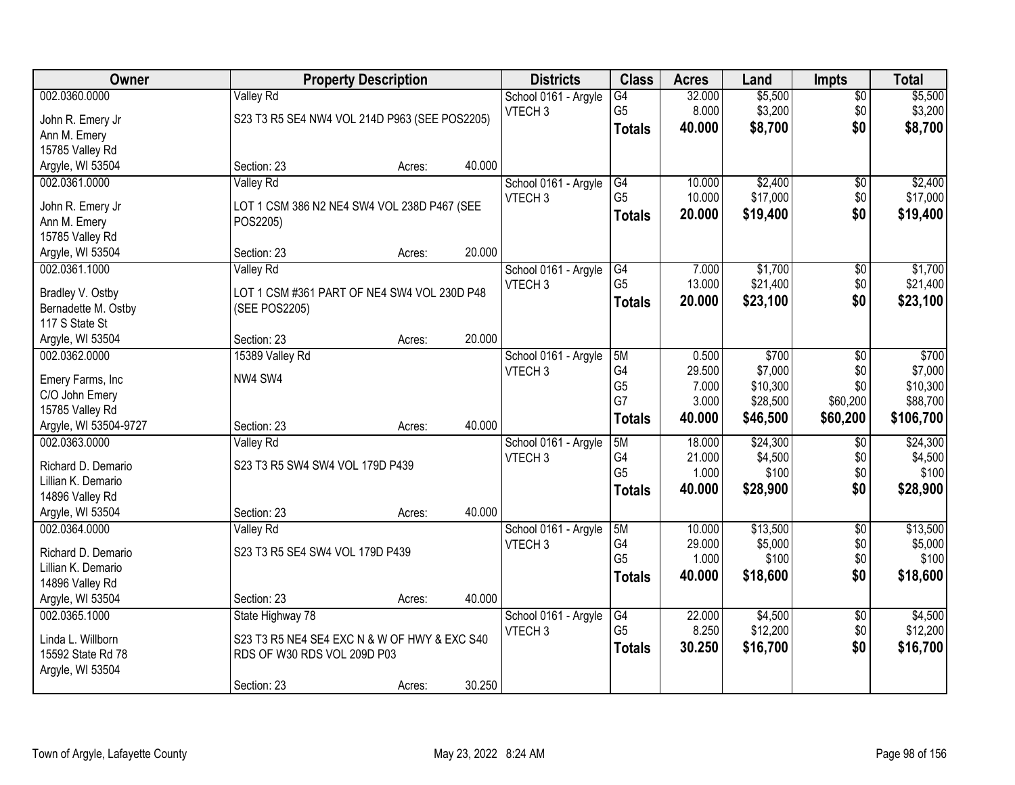| Owner                           |                                               | <b>Property Description</b> |        | <b>Districts</b>     | <b>Class</b>    | <b>Acres</b> | Land     | <b>Impts</b>    | <b>Total</b> |
|---------------------------------|-----------------------------------------------|-----------------------------|--------|----------------------|-----------------|--------------|----------|-----------------|--------------|
| 002.0360.0000                   | <b>Valley Rd</b>                              |                             |        | School 0161 - Argyle | $\overline{G4}$ | 32.000       | \$5,500  | $\overline{50}$ | \$5,500      |
| John R. Emery Jr                | S23 T3 R5 SE4 NW4 VOL 214D P963 (SEE POS2205) |                             |        | VTECH <sub>3</sub>   | G <sub>5</sub>  | 8.000        | \$3,200  | \$0             | \$3,200      |
| Ann M. Emery                    |                                               |                             |        |                      | <b>Totals</b>   | 40.000       | \$8,700  | \$0             | \$8,700      |
| 15785 Valley Rd                 |                                               |                             |        |                      |                 |              |          |                 |              |
| Argyle, WI 53504                | Section: 23                                   | Acres:                      | 40.000 |                      |                 |              |          |                 |              |
| 002.0361.0000                   | Valley Rd                                     |                             |        | School 0161 - Argyle | G4              | 10.000       | \$2,400  | $\overline{50}$ | \$2,400      |
|                                 |                                               |                             |        | VTECH <sub>3</sub>   | G <sub>5</sub>  | 10.000       | \$17,000 | \$0             | \$17,000     |
| John R. Emery Jr                | LOT 1 CSM 386 N2 NE4 SW4 VOL 238D P467 (SEE   |                             |        |                      | <b>Totals</b>   | 20.000       | \$19,400 | \$0             | \$19,400     |
| Ann M. Emery<br>15785 Valley Rd | POS2205)                                      |                             |        |                      |                 |              |          |                 |              |
| Argyle, WI 53504                | Section: 23                                   | Acres:                      | 20.000 |                      |                 |              |          |                 |              |
| 002.0361.1000                   | Valley Rd                                     |                             |        | School 0161 - Argyle | G4              | 7.000        | \$1,700  | \$0             | \$1,700      |
|                                 |                                               |                             |        | VTECH <sub>3</sub>   | G <sub>5</sub>  | 13.000       | \$21,400 | \$0             | \$21,400     |
| Bradley V. Ostby                | LOT 1 CSM #361 PART OF NE4 SW4 VOL 230D P48   |                             |        |                      | <b>Totals</b>   | 20.000       | \$23,100 | \$0             | \$23,100     |
| Bernadette M. Ostby             | (SEE POS2205)                                 |                             |        |                      |                 |              |          |                 |              |
| 117 S State St                  |                                               |                             |        |                      |                 |              |          |                 |              |
| Argyle, WI 53504                | Section: 23                                   | Acres:                      | 20.000 |                      |                 |              |          |                 |              |
| 002.0362.0000                   | 15389 Valley Rd                               |                             |        | School 0161 - Argyle | 5M              | 0.500        | \$700    | \$0             | \$700        |
| Emery Farms, Inc                | NW4 SW4                                       |                             |        | VTECH <sub>3</sub>   | G4              | 29.500       | \$7,000  | \$0             | \$7,000      |
| C/O John Emery                  |                                               |                             |        |                      | G <sub>5</sub>  | 7.000        | \$10,300 | \$0             | \$10,300     |
| 15785 Valley Rd                 |                                               |                             |        |                      | G7              | 3.000        | \$28,500 | \$60,200        | \$88,700     |
| Argyle, WI 53504-9727           | Section: 23                                   | Acres:                      | 40.000 |                      | <b>Totals</b>   | 40.000       | \$46,500 | \$60,200        | \$106,700    |
| 002.0363.0000                   | <b>Valley Rd</b>                              |                             |        | School 0161 - Argyle | 5M              | 18.000       | \$24,300 | \$0             | \$24,300     |
| Richard D. Demario              | S23 T3 R5 SW4 SW4 VOL 179D P439               |                             |        | VTECH <sub>3</sub>   | G4              | 21.000       | \$4,500  | \$0             | \$4,500      |
| Lillian K. Demario              |                                               |                             |        |                      | G <sub>5</sub>  | 1.000        | \$100    | \$0             | \$100        |
| 14896 Valley Rd                 |                                               |                             |        |                      | <b>Totals</b>   | 40.000       | \$28,900 | \$0             | \$28,900     |
| Argyle, WI 53504                | Section: 23                                   | Acres:                      | 40.000 |                      |                 |              |          |                 |              |
| 002.0364.0000                   | Valley Rd                                     |                             |        | School 0161 - Argyle | 5M              | 10.000       | \$13,500 | $\overline{50}$ | \$13,500     |
|                                 |                                               |                             |        | VTECH <sub>3</sub>   | G4              | 29.000       | \$5,000  | \$0             | \$5,000      |
| Richard D. Demario              | S23 T3 R5 SE4 SW4 VOL 179D P439               |                             |        |                      | G <sub>5</sub>  | 1.000        | \$100    | \$0             | \$100        |
| Lillian K. Demario              |                                               |                             |        |                      | <b>Totals</b>   | 40.000       | \$18,600 | \$0             | \$18,600     |
| 14896 Valley Rd                 |                                               |                             |        |                      |                 |              |          |                 |              |
| Argyle, WI 53504                | Section: 23                                   | Acres:                      | 40.000 |                      |                 |              |          |                 |              |
| 002.0365.1000                   | State Highway 78                              |                             |        | School 0161 - Argyle | G4              | 22.000       | \$4,500  | $\overline{60}$ | \$4,500      |
| Linda L. Willborn               | S23 T3 R5 NE4 SE4 EXC N & W OF HWY & EXC S40  |                             |        | VTECH <sub>3</sub>   | G <sub>5</sub>  | 8.250        | \$12,200 | \$0             | \$12,200     |
| 15592 State Rd 78               | RDS OF W30 RDS VOL 209D P03                   |                             |        |                      | <b>Totals</b>   | 30.250       | \$16,700 | \$0             | \$16,700     |
| Argyle, WI 53504                |                                               |                             |        |                      |                 |              |          |                 |              |
|                                 | Section: 23                                   | Acres:                      | 30.250 |                      |                 |              |          |                 |              |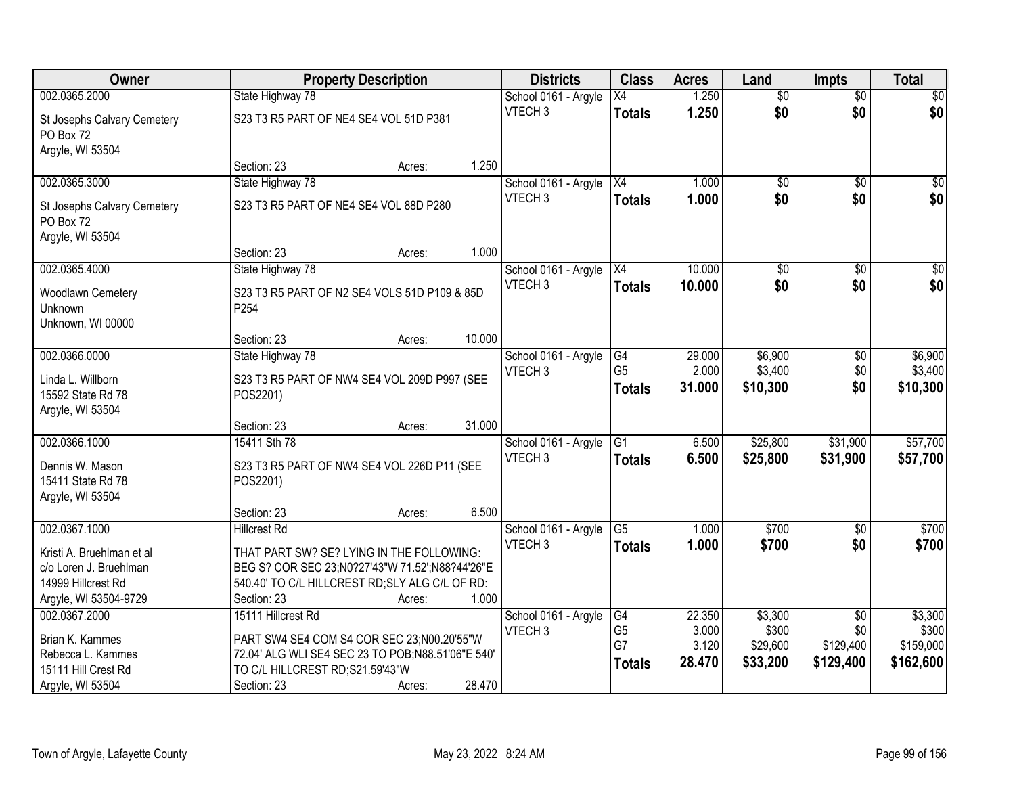| Owner                                    |                                                     | <b>Property Description</b> |        | <b>Districts</b>     | <b>Class</b>           | <b>Acres</b>    | Land               | <b>Impts</b>    | <b>Total</b>        |
|------------------------------------------|-----------------------------------------------------|-----------------------------|--------|----------------------|------------------------|-----------------|--------------------|-----------------|---------------------|
| 002.0365.2000                            | State Highway 78                                    |                             |        | School 0161 - Argyle | $\overline{X4}$        | 1.250           | $\overline{50}$    | $\overline{50}$ | \$0                 |
| St Josephs Calvary Cemetery<br>PO Box 72 | S23 T3 R5 PART OF NE4 SE4 VOL 51D P381              |                             |        | VTECH <sub>3</sub>   | <b>Totals</b>          | 1.250           | \$0                | \$0             | \$0                 |
| Argyle, WI 53504                         |                                                     |                             |        |                      |                        |                 |                    |                 |                     |
|                                          | Section: 23                                         | Acres:                      | 1.250  |                      |                        |                 |                    |                 |                     |
| 002.0365.3000                            | State Highway 78                                    |                             |        | School 0161 - Argyle | $\overline{X4}$        | 1.000           | $\overline{50}$    | $\overline{50}$ | \$0                 |
| St Josephs Calvary Cemetery<br>PO Box 72 | S23 T3 R5 PART OF NE4 SE4 VOL 88D P280              |                             |        | VTECH <sub>3</sub>   | <b>Totals</b>          | 1.000           | \$0                | \$0             | \$0                 |
| Argyle, WI 53504                         | Section: 23                                         |                             | 1.000  |                      |                        |                 |                    |                 |                     |
| 002.0365.4000                            | State Highway 78                                    | Acres:                      |        | School 0161 - Argyle | X4                     | 10.000          | $\overline{50}$    | $\overline{50}$ | $\overline{30}$     |
|                                          |                                                     |                             |        | VTECH <sub>3</sub>   |                        | 10,000          | \$0                | \$0             | \$0                 |
| Woodlawn Cemetery                        | S23 T3 R5 PART OF N2 SE4 VOLS 51D P109 & 85D        |                             |        |                      | <b>Totals</b>          |                 |                    |                 |                     |
| Unknown                                  | P254                                                |                             |        |                      |                        |                 |                    |                 |                     |
| Unknown, WI 00000                        |                                                     |                             |        |                      |                        |                 |                    |                 |                     |
|                                          | Section: 23                                         | Acres:                      | 10.000 |                      |                        |                 |                    |                 |                     |
| 002.0366.0000                            | State Highway 78                                    |                             |        | School 0161 - Argyle | G4<br>G <sub>5</sub>   | 29.000<br>2.000 | \$6,900<br>\$3,400 | \$0             | \$6,900             |
| Linda L. Willborn                        | S23 T3 R5 PART OF NW4 SE4 VOL 209D P997 (SEE        |                             |        | VTECH <sub>3</sub>   |                        | 31.000          | \$10,300           | \$0<br>\$0      | \$3,400<br>\$10,300 |
| 15592 State Rd 78                        | POS2201)                                            |                             |        |                      | <b>Totals</b>          |                 |                    |                 |                     |
| Argyle, WI 53504                         |                                                     |                             |        |                      |                        |                 |                    |                 |                     |
|                                          | Section: 23                                         | Acres:                      | 31.000 |                      |                        |                 |                    |                 |                     |
| 002.0366.1000                            | 15411 Sth 78                                        |                             |        | School 0161 - Argyle | $\overline{G1}$        | 6.500           | \$25,800           | \$31,900        | \$57,700            |
| Dennis W. Mason                          | S23 T3 R5 PART OF NW4 SE4 VOL 226D P11 (SEE         |                             |        | VTECH <sub>3</sub>   | <b>Totals</b>          | 6.500           | \$25,800           | \$31,900        | \$57,700            |
| 15411 State Rd 78                        | POS2201)                                            |                             |        |                      |                        |                 |                    |                 |                     |
| Argyle, WI 53504                         |                                                     |                             |        |                      |                        |                 |                    |                 |                     |
|                                          | Section: 23                                         | Acres:                      | 6.500  |                      |                        |                 |                    |                 |                     |
| 002.0367.1000                            | <b>Hillcrest Rd</b>                                 |                             |        | School 0161 - Argyle | $\overline{\text{G5}}$ | 1.000           | $\overline{$700}$  | $\overline{50}$ | \$700               |
| Kristi A. Bruehlman et al                | THAT PART SW? SE? LYING IN THE FOLLOWING:           |                             |        | VTECH <sub>3</sub>   | <b>Totals</b>          | 1.000           | \$700              | \$0             | \$700               |
| c/o Loren J. Bruehlman                   | BEG S? COR SEC 23;N0?27'43"W 71.52';N88?44'26"E     |                             |        |                      |                        |                 |                    |                 |                     |
| 14999 Hillcrest Rd                       | 540.40' TO C/L HILLCREST RD; SLY ALG C/L OF RD:     |                             |        |                      |                        |                 |                    |                 |                     |
| Argyle, WI 53504-9729                    | Section: 23                                         | Acres:                      | 1.000  |                      |                        |                 |                    |                 |                     |
| 002.0367.2000                            | 15111 Hillcrest Rd                                  |                             |        | School 0161 - Argyle | G4                     | 22.350          | \$3,300            | $\overline{50}$ | \$3,300             |
| Brian K. Kammes                          | PART SW4 SE4 COM S4 COR SEC 23;N00.20'55"W          |                             |        | VTECH <sub>3</sub>   | G <sub>5</sub>         | 3.000           | \$300              | \$0             | \$300               |
| Rebecca L. Kammes                        | 72.04' ALG WLI SE4 SEC 23 TO POB; N88.51'06" E 540' |                             |        |                      | G7                     | 3.120           | \$29,600           | \$129,400       | \$159,000           |
| 15111 Hill Crest Rd                      | TO C/L HILLCREST RD;S21.59'43"W                     |                             |        |                      | <b>Totals</b>          | 28.470          | \$33,200           | \$129,400       | \$162,600           |
| Argyle, WI 53504                         | Section: 23                                         | Acres:                      | 28.470 |                      |                        |                 |                    |                 |                     |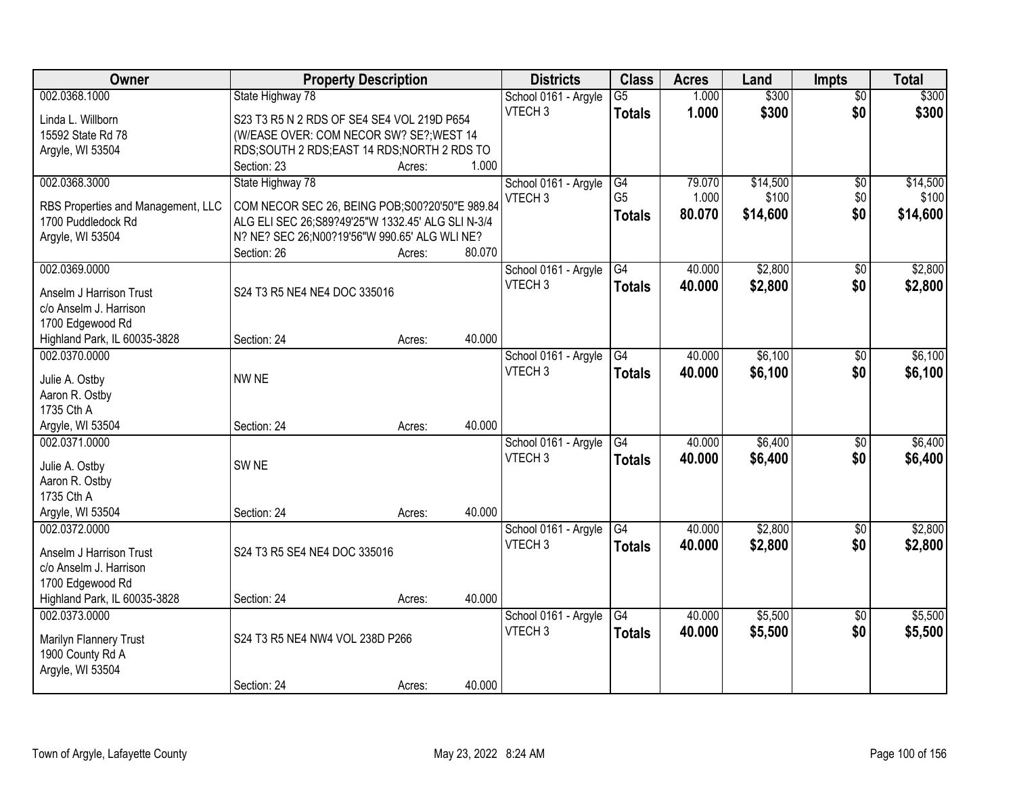|                                                                                                                                       | <b>Total</b> |
|---------------------------------------------------------------------------------------------------------------------------------------|--------------|
| 002.0368.1000<br>1.000<br>\$300<br>State Highway 78<br>$\overline{G5}$<br>$\overline{50}$<br>School 0161 - Argyle                     | \$300        |
| VTECH <sub>3</sub><br>1.000<br>\$300<br>\$0<br><b>Totals</b><br>S23 T3 R5 N 2 RDS OF SE4 SE4 VOL 219D P654<br>Linda L. Willborn       | \$300        |
| (W/EASE OVER: COM NECOR SW? SE?; WEST 14<br>15592 State Rd 78                                                                         |              |
| RDS;SOUTH 2 RDS;EAST 14 RDS;NORTH 2 RDS TO<br>Argyle, WI 53504                                                                        |              |
| 1.000<br>Section: 23<br>Acres:                                                                                                        |              |
| \$14,500<br>002.0368.3000<br>State Highway 78<br>School 0161 - Argyle<br>G4<br>79.070<br>$\overline{50}$                              | \$14,500     |
| G <sub>5</sub><br>VTECH <sub>3</sub><br>1.000<br>\$100<br>\$0                                                                         | \$100        |
| COM NECOR SEC 26, BEING POB; S00? 20'50" E 989.84<br>RBS Properties and Management, LLC<br>\$0<br>80.070<br>\$14,600<br><b>Totals</b> | \$14,600     |
| 1700 Puddledock Rd<br>ALG ELI SEC 26;S89?49'25"W 1332.45' ALG SLI N-3/4                                                               |              |
| Argyle, WI 53504<br>N? NE? SEC 26; N00?19'56"W 990.65' ALG WLI NE?<br>80.070<br>Section: 26<br>Acres:                                 |              |
| 002.0369.0000<br>\$2,800<br>School 0161 - Argyle<br>G4<br>40.000<br>$\sqrt[6]{3}$                                                     | \$2,800      |
| \$0<br>VTECH <sub>3</sub><br>\$2,800<br>40.000                                                                                        |              |
| <b>Totals</b><br>S24 T3 R5 NE4 NE4 DOC 335016<br>Anselm J Harrison Trust                                                              | \$2,800      |
| c/o Anselm J. Harrison                                                                                                                |              |
| 1700 Edgewood Rd                                                                                                                      |              |
| 40.000<br>Highland Park, IL 60035-3828<br>Section: 24<br>Acres:                                                                       |              |
| \$6,100<br>002.0370.0000<br>40.000<br>School 0161 - Argyle<br>G4<br>$\sqrt[6]{3}$                                                     | \$6,100      |
| VTECH <sub>3</sub><br>\$0<br>40.000<br>\$6,100<br><b>Totals</b><br>NW NE<br>Julie A. Ostby                                            | \$6,100      |
| Aaron R. Ostby                                                                                                                        |              |
| 1735 Cth A                                                                                                                            |              |
| 40.000<br>Argyle, WI 53504<br>Section: 24<br>Acres:                                                                                   |              |
| 40.000<br>\$6,400<br>002.0371.0000<br>G4<br>$\overline{60}$<br>School 0161 - Argyle                                                   | \$6,400      |
| VTECH <sub>3</sub><br>40.000<br>\$6,400<br>\$0<br><b>Totals</b>                                                                       | \$6,400      |
| SW <sub>NE</sub><br>Julie A. Ostby                                                                                                    |              |
| Aaron R. Ostby                                                                                                                        |              |
| 1735 Cth A<br>40.000                                                                                                                  |              |
| Argyle, WI 53504<br>Section: 24<br>Acres:<br>G4                                                                                       |              |
| \$2,800<br>002.0372.0000<br>School 0161 - Argyle<br>40.000<br>$\sqrt{6}$<br>VTECH <sub>3</sub>                                        | \$2,800      |
| \$2,800<br>\$0<br>40.000<br><b>Totals</b><br>S24 T3 R5 SE4 NE4 DOC 335016<br>Anselm J Harrison Trust                                  | \$2,800      |
| c/o Anselm J. Harrison                                                                                                                |              |
| 1700 Edgewood Rd                                                                                                                      |              |
| 40.000<br>Highland Park, IL 60035-3828<br>Section: 24<br>Acres:                                                                       |              |
| \$5,500<br>002.0373.0000<br>40.000<br>School 0161 - Argyle<br>G4<br>$\overline{30}$                                                   | \$5,500      |
| \$0<br>VTECH <sub>3</sub><br>40.000<br>\$5,500<br><b>Totals</b><br>S24 T3 R5 NE4 NW4 VOL 238D P266<br>Marilyn Flannery Trust          | \$5,500      |
| 1900 County Rd A                                                                                                                      |              |
| Argyle, WI 53504                                                                                                                      |              |
| 40.000<br>Section: 24<br>Acres:                                                                                                       |              |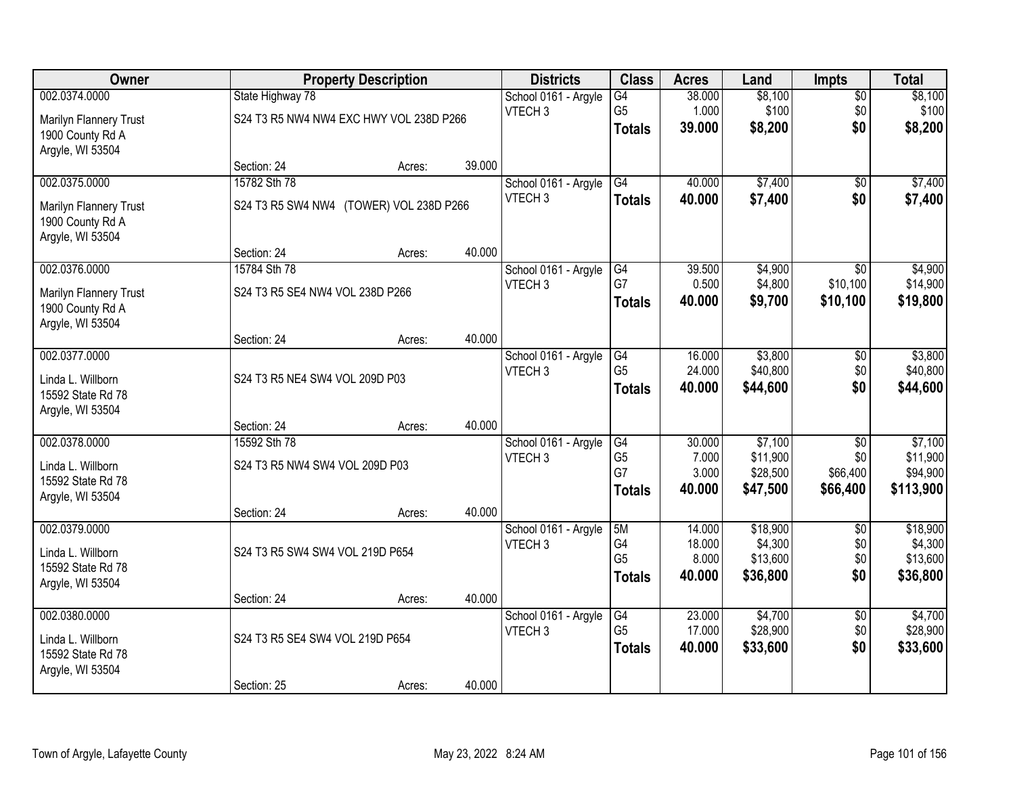| <b>Owner</b>                          |                                         | <b>Property Description</b> |        | <b>Districts</b>                           | <b>Class</b>         | <b>Acres</b>    | Land               | Impts           | <b>Total</b>        |
|---------------------------------------|-----------------------------------------|-----------------------------|--------|--------------------------------------------|----------------------|-----------------|--------------------|-----------------|---------------------|
| 002.0374.0000                         | State Highway 78                        |                             |        | School 0161 - Argyle                       | $\overline{G4}$      | 38.000          | \$8,100            | $\overline{50}$ | \$8,100             |
| Marilyn Flannery Trust                | S24 T3 R5 NW4 NW4 EXC HWY VOL 238D P266 |                             |        | VTECH <sub>3</sub>                         | G <sub>5</sub>       | 1.000           | \$100              | \$0             | \$100               |
| 1900 County Rd A                      |                                         |                             |        |                                            | <b>Totals</b>        | 39.000          | \$8,200            | \$0             | \$8,200             |
| Argyle, WI 53504                      |                                         |                             |        |                                            |                      |                 |                    |                 |                     |
|                                       | Section: 24                             | Acres:                      | 39.000 |                                            |                      |                 |                    |                 |                     |
| 002.0375.0000                         | 15782 Sth 78                            |                             |        | School 0161 - Argyle                       | G4                   | 40.000          | \$7,400            | $\overline{50}$ | \$7,400             |
| Marilyn Flannery Trust                | S24 T3 R5 SW4 NW4 (TOWER) VOL 238D P266 |                             |        | VTECH <sub>3</sub>                         | <b>Totals</b>        | 40.000          | \$7,400            | \$0             | \$7,400             |
| 1900 County Rd A                      |                                         |                             |        |                                            |                      |                 |                    |                 |                     |
| Argyle, WI 53504                      |                                         |                             |        |                                            |                      |                 |                    |                 |                     |
|                                       | Section: 24                             | Acres:                      | 40.000 |                                            |                      |                 |                    |                 |                     |
| 002.0376.0000                         | 15784 Sth 78                            |                             |        | School 0161 - Argyle<br>VTECH <sub>3</sub> | G4<br>G7             | 39.500<br>0.500 | \$4,900<br>\$4,800 | \$0<br>\$10,100 | \$4,900<br>\$14,900 |
| Marilyn Flannery Trust                | S24 T3 R5 SE4 NW4 VOL 238D P266         |                             |        |                                            | <b>Totals</b>        | 40.000          | \$9,700            | \$10,100        | \$19,800            |
| 1900 County Rd A                      |                                         |                             |        |                                            |                      |                 |                    |                 |                     |
| Argyle, WI 53504                      | Section: 24                             | Acres:                      | 40.000 |                                            |                      |                 |                    |                 |                     |
| 002.0377.0000                         |                                         |                             |        | School 0161 - Argyle                       | G4                   | 16.000          | \$3,800            | \$0             | \$3,800             |
|                                       |                                         | VTECH <sub>3</sub>          |        |                                            | G <sub>5</sub>       | 24.000          | \$40,800           | \$0             | \$40,800            |
| Linda L. Willborn                     | S24 T3 R5 NE4 SW4 VOL 209D P03          |                             |        |                                            | <b>Totals</b>        | 40.000          | \$44,600           | \$0             | \$44,600            |
| 15592 State Rd 78<br>Argyle, WI 53504 |                                         |                             |        |                                            |                      |                 |                    |                 |                     |
|                                       | Section: 24                             | Acres:                      | 40.000 |                                            |                      |                 |                    |                 |                     |
| 002.0378.0000                         | 15592 Sth 78                            |                             |        | School 0161 - Argyle                       | G4                   | 30.000          | \$7,100            | $\overline{50}$ | \$7,100             |
| Linda L. Willborn                     | S24 T3 R5 NW4 SW4 VOL 209D P03          |                             |        | VTECH <sub>3</sub>                         | G <sub>5</sub>       | 7.000           | \$11,900           | \$0             | \$11,900            |
| 15592 State Rd 78                     |                                         |                             |        |                                            | G7                   | 3.000           | \$28,500           | \$66,400        | \$94,900            |
| Argyle, WI 53504                      |                                         |                             |        |                                            | <b>Totals</b>        | 40.000          | \$47,500           | \$66,400        | \$113,900           |
|                                       | Section: 24                             | Acres:                      | 40.000 |                                            |                      |                 |                    |                 |                     |
| 002.0379.0000                         |                                         |                             |        | School 0161 - Argyle                       | 5M                   | 14.000          | \$18,900           | $\overline{50}$ | \$18,900            |
| Linda L. Willborn                     | S24 T3 R5 SW4 SW4 VOL 219D P654         |                             |        | VTECH <sub>3</sub>                         | G4                   | 18.000          | \$4,300            | \$0             | \$4,300             |
| 15592 State Rd 78                     |                                         |                             |        |                                            | G <sub>5</sub>       | 8.000<br>40.000 | \$13,600           | \$0<br>\$0      | \$13,600            |
| Argyle, WI 53504                      |                                         |                             |        |                                            | <b>Totals</b>        |                 | \$36,800           |                 | \$36,800            |
|                                       | Section: 24                             | Acres:                      | 40.000 |                                            |                      |                 |                    |                 |                     |
| 002.0380.0000                         |                                         |                             |        | School 0161 - Argyle                       | G4<br>G <sub>5</sub> | 23,000          | \$4,700            | $\overline{50}$ | \$4,700             |
| Linda L. Willborn                     | S24 T3 R5 SE4 SW4 VOL 219D P654         |                             |        | VTECH <sub>3</sub>                         |                      | 17.000          | \$28,900           | \$0<br>\$0      | \$28,900            |
| 15592 State Rd 78                     |                                         |                             |        |                                            | <b>Totals</b>        | 40.000          | \$33,600           |                 | \$33,600            |
| Argyle, WI 53504                      |                                         |                             |        |                                            |                      |                 |                    |                 |                     |
|                                       | Section: 25                             | Acres:                      | 40.000 |                                            |                      |                 |                    |                 |                     |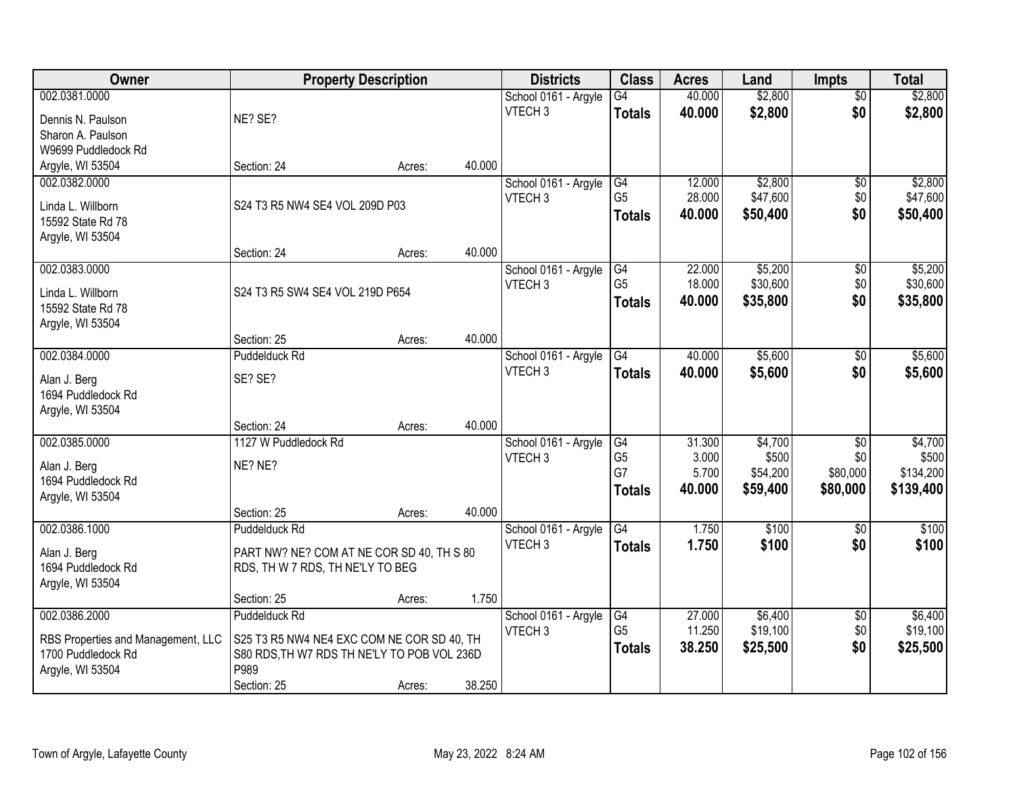| Owner                              | <b>Property Description</b>                 |        |        | <b>Districts</b>     | <b>Class</b>         | <b>Acres</b>    | Land                 | <b>Impts</b>         | <b>Total</b>           |
|------------------------------------|---------------------------------------------|--------|--------|----------------------|----------------------|-----------------|----------------------|----------------------|------------------------|
| 002.0381.0000                      |                                             |        |        | School 0161 - Argyle | $\overline{G4}$      | 40.000          | \$2,800              | $\overline{50}$      | \$2,800                |
| Dennis N. Paulson                  | NE? SE?                                     |        |        | VTECH <sub>3</sub>   | <b>Totals</b>        | 40.000          | \$2,800              | \$0                  | \$2,800                |
| Sharon A. Paulson                  |                                             |        |        |                      |                      |                 |                      |                      |                        |
| W9699 Puddledock Rd                |                                             |        |        |                      |                      |                 |                      |                      |                        |
| Argyle, WI 53504                   | Section: 24                                 | Acres: | 40.000 |                      |                      |                 |                      |                      |                        |
| 002.0382.0000                      |                                             |        |        | School 0161 - Argyle | G4                   | 12.000          | \$2,800              | \$0                  | \$2,800                |
| Linda L. Willborn                  | S24 T3 R5 NW4 SE4 VOL 209D P03              |        |        | VTECH <sub>3</sub>   | G <sub>5</sub>       | 28.000          | \$47,600             | \$0                  | \$47,600               |
| 15592 State Rd 78                  |                                             |        |        |                      | <b>Totals</b>        | 40.000          | \$50,400             | \$0                  | \$50,400               |
| Argyle, WI 53504                   |                                             |        |        |                      |                      |                 |                      |                      |                        |
|                                    | Section: 24                                 | Acres: | 40.000 |                      |                      |                 |                      |                      |                        |
| 002.0383.0000                      |                                             |        |        | School 0161 - Argyle | G4                   | 22.000          | \$5,200              | $\sqrt[6]{3}$        | \$5,200                |
| Linda L. Willborn                  | S24 T3 R5 SW4 SE4 VOL 219D P654             |        |        | VTECH <sub>3</sub>   | G <sub>5</sub>       | 18.000          | \$30,600             | \$0                  | \$30,600               |
| 15592 State Rd 78                  |                                             |        |        |                      | <b>Totals</b>        | 40.000          | \$35,800             | \$0                  | \$35,800               |
| Argyle, WI 53504                   |                                             |        |        |                      |                      |                 |                      |                      |                        |
|                                    | Section: 25                                 | Acres: | 40.000 |                      |                      |                 |                      |                      |                        |
| 002.0384.0000                      | Puddelduck Rd                               |        |        | School 0161 - Argyle | G4                   | 40.000          | \$5,600              | $\sqrt[6]{3}$        | \$5,600                |
| Alan J. Berg                       | SE? SE?                                     |        |        | VTECH <sub>3</sub>   | <b>Totals</b>        | 40.000          | \$5,600              | \$0                  | \$5,600                |
| 1694 Puddledock Rd                 |                                             |        |        |                      |                      |                 |                      |                      |                        |
| Argyle, WI 53504                   |                                             |        |        |                      |                      |                 |                      |                      |                        |
|                                    | Section: 24                                 | Acres: | 40.000 |                      |                      |                 |                      |                      |                        |
| 002.0385.0000                      | 1127 W Puddledock Rd                        |        |        | School 0161 - Argyle | G4                   | 31.300          | \$4,700              | \$0                  | \$4,700                |
| Alan J. Berg                       | NE? NE?                                     |        |        | VTECH <sub>3</sub>   | G <sub>5</sub><br>G7 | 3.000           | \$500                | \$0                  | \$500                  |
| 1694 Puddledock Rd                 |                                             |        |        |                      |                      | 5.700<br>40.000 | \$54,200<br>\$59,400 | \$80,000<br>\$80,000 | \$134,200<br>\$139,400 |
| Argyle, WI 53504                   |                                             |        |        |                      | <b>Totals</b>        |                 |                      |                      |                        |
|                                    | Section: 25                                 | Acres: | 40.000 |                      |                      |                 |                      |                      |                        |
| 002.0386.1000                      | Puddelduck Rd                               |        |        | School 0161 - Argyle | G4                   | 1.750           | $\overline{$100}$    | \$0                  | \$100                  |
| Alan J. Berg                       | PART NW? NE? COM AT NE COR SD 40, TH S 80   |        |        | VTECH <sub>3</sub>   | <b>Totals</b>        | 1.750           | \$100                | \$0                  | \$100                  |
| 1694 Puddledock Rd                 | RDS, TH W 7 RDS, TH NE'LY TO BEG            |        |        |                      |                      |                 |                      |                      |                        |
| Argyle, WI 53504                   |                                             |        |        |                      |                      |                 |                      |                      |                        |
|                                    | Section: 25                                 | Acres: | 1.750  |                      |                      |                 |                      |                      |                        |
| 002.0386.2000                      | Puddelduck Rd                               |        |        | School 0161 - Argyle | G4                   | 27.000          | \$6,400              | $\overline{60}$      | \$6,400                |
| RBS Properties and Management, LLC | S25 T3 R5 NW4 NE4 EXC COM NE COR SD 40, TH  |        |        | VTECH <sub>3</sub>   | G <sub>5</sub>       | 11.250          | \$19,100             | \$0                  | \$19,100               |
| 1700 Puddledock Rd                 | S80 RDS, TH W7 RDS TH NE'LY TO POB VOL 236D |        |        |                      | <b>Totals</b>        | 38.250          | \$25,500             | \$0                  | \$25,500               |
| Argyle, WI 53504                   | P989                                        |        |        |                      |                      |                 |                      |                      |                        |
|                                    | Section: 25                                 | Acres: | 38.250 |                      |                      |                 |                      |                      |                        |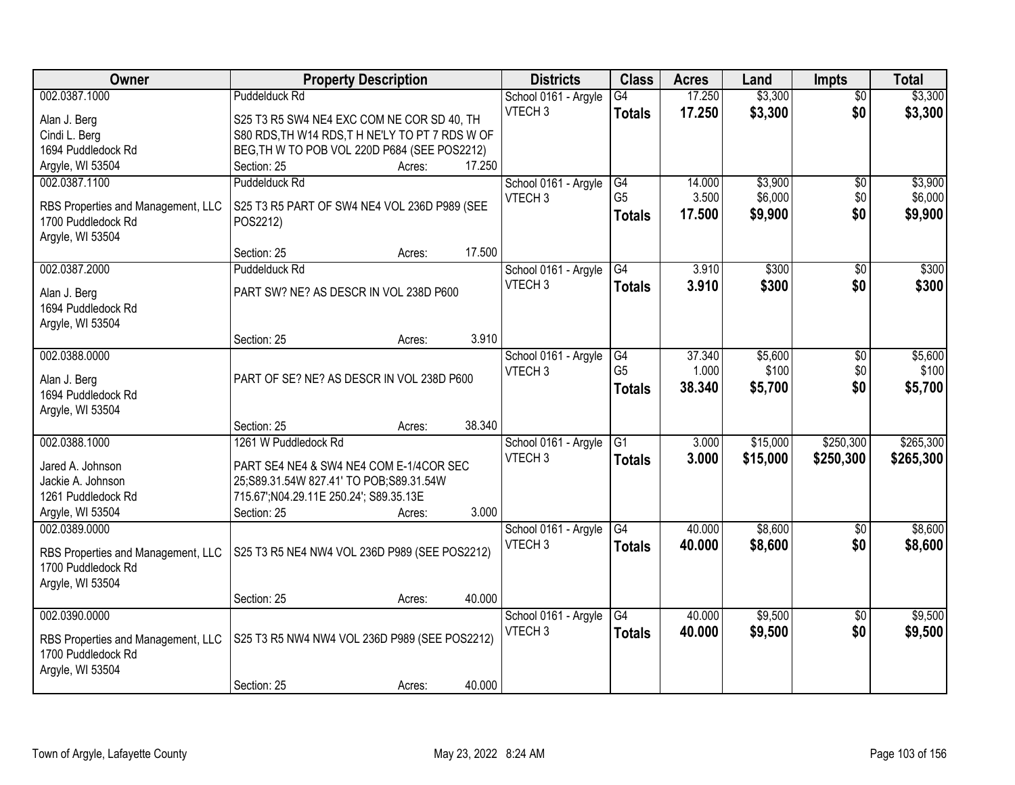| Owner                                   | <b>Property Description</b>                                                        |        |        | <b>Districts</b>     | <b>Class</b>    | <b>Acres</b> | Land     | <b>Impts</b>           | <b>Total</b> |
|-----------------------------------------|------------------------------------------------------------------------------------|--------|--------|----------------------|-----------------|--------------|----------|------------------------|--------------|
| 002.0387.1000                           | <b>Puddelduck Rd</b>                                                               |        |        | School 0161 - Argyle | $\overline{G4}$ | 17.250       | \$3,300  | $\overline{30}$        | \$3,300      |
| Alan J. Berg                            | S25 T3 R5 SW4 NE4 EXC COM NE COR SD 40, TH                                         |        |        | VTECH <sub>3</sub>   | <b>Totals</b>   | 17.250       | \$3,300  | \$0                    | \$3,300      |
| Cindi L. Berg                           | S80 RDS, TH W14 RDS, THNE'LY TO PT 7 RDS WOF                                       |        |        |                      |                 |              |          |                        |              |
| 1694 Puddledock Rd                      | BEG, TH W TO POB VOL 220D P684 (SEE POS2212)                                       |        |        |                      |                 |              |          |                        |              |
| Argyle, WI 53504                        | Section: 25                                                                        | Acres: | 17.250 |                      |                 |              |          |                        |              |
| 002.0387.1100                           | <b>Puddelduck Rd</b>                                                               |        |        | School 0161 - Argyle | G4              | 14.000       | \$3,900  | \$0                    | \$3,900      |
| RBS Properties and Management, LLC      | S25 T3 R5 PART OF SW4 NE4 VOL 236D P989 (SEE                                       |        |        | VTECH <sub>3</sub>   | G <sub>5</sub>  | 3.500        | \$6,000  | \$0                    | \$6,000      |
| 1700 Puddledock Rd                      | POS2212)                                                                           |        |        |                      | <b>Totals</b>   | 17.500       | \$9,900  | \$0                    | \$9,900      |
| Argyle, WI 53504                        |                                                                                    |        |        |                      |                 |              |          |                        |              |
|                                         | Section: 25                                                                        | Acres: | 17.500 |                      |                 |              |          |                        |              |
| 002.0387.2000                           | Puddelduck Rd                                                                      |        |        | School 0161 - Argyle | G4              | 3.910        | \$300    | \$0                    | \$300        |
| Alan J. Berg                            | PART SW? NE? AS DESCR IN VOL 238D P600                                             |        |        | VTECH <sub>3</sub>   | <b>Totals</b>   | 3.910        | \$300    | \$0                    | \$300        |
| 1694 Puddledock Rd                      |                                                                                    |        |        |                      |                 |              |          |                        |              |
| Argyle, WI 53504                        |                                                                                    |        |        |                      |                 |              |          |                        |              |
|                                         | Section: 25                                                                        | Acres: | 3.910  |                      |                 |              |          |                        |              |
| 002.0388.0000                           |                                                                                    |        |        | School 0161 - Argyle | G4              | 37.340       | \$5,600  | \$0                    | \$5,600      |
|                                         | PART OF SE? NE? AS DESCR IN VOL 238D P600                                          |        |        | VTECH <sub>3</sub>   | G <sub>5</sub>  | 1.000        | \$100    | \$0                    | \$100        |
| Alan J. Berg<br>1694 Puddledock Rd      |                                                                                    |        |        |                      | <b>Totals</b>   | 38.340       | \$5,700  | \$0                    | \$5,700      |
| Argyle, WI 53504                        |                                                                                    |        |        |                      |                 |              |          |                        |              |
|                                         | Section: 25                                                                        | Acres: | 38.340 |                      |                 |              |          |                        |              |
| 002.0388.1000                           | 1261 W Puddledock Rd                                                               |        |        | School 0161 - Argyle | $\overline{G1}$ | 3.000        | \$15,000 | \$250,300              | \$265,300    |
|                                         |                                                                                    |        |        | VTECH <sub>3</sub>   | <b>Totals</b>   | 3.000        | \$15,000 | \$250,300              | \$265,300    |
| Jared A. Johnson                        | PART SE4 NE4 & SW4 NE4 COM E-1/4COR SEC                                            |        |        |                      |                 |              |          |                        |              |
| Jackie A. Johnson<br>1261 Puddledock Rd | 25;S89.31.54W 827.41' TO POB;S89.31.54W<br>715.67'; N04.29.11E 250.24'; S89.35.13E |        |        |                      |                 |              |          |                        |              |
| Argyle, WI 53504                        | Section: 25                                                                        | Acres: | 3.000  |                      |                 |              |          |                        |              |
| 002.0389.0000                           |                                                                                    |        |        | School 0161 - Argyle | G4              | 40.000       | \$8,600  | \$0                    | \$8,600      |
|                                         |                                                                                    |        |        | VTECH <sub>3</sub>   | <b>Totals</b>   | 40.000       | \$8,600  | \$0                    | \$8,600      |
| RBS Properties and Management, LLC      | S25 T3 R5 NE4 NW4 VOL 236D P989 (SEE POS2212)                                      |        |        |                      |                 |              |          |                        |              |
| 1700 Puddledock Rd                      |                                                                                    |        |        |                      |                 |              |          |                        |              |
| Argyle, WI 53504                        |                                                                                    |        | 40.000 |                      |                 |              |          |                        |              |
| 002.0390.0000                           | Section: 25                                                                        | Acres: |        | School 0161 - Argyle | $\overline{G4}$ | 40.000       | \$9,500  |                        | \$9,500      |
|                                         |                                                                                    |        |        | VTECH <sub>3</sub>   | <b>Totals</b>   | 40.000       | \$9,500  | $\overline{30}$<br>\$0 | \$9,500      |
| RBS Properties and Management, LLC      | S25 T3 R5 NW4 NW4 VOL 236D P989 (SEE POS2212)                                      |        |        |                      |                 |              |          |                        |              |
| 1700 Puddledock Rd                      |                                                                                    |        |        |                      |                 |              |          |                        |              |
| Argyle, WI 53504                        |                                                                                    |        |        |                      |                 |              |          |                        |              |
|                                         | Section: 25                                                                        | Acres: | 40.000 |                      |                 |              |          |                        |              |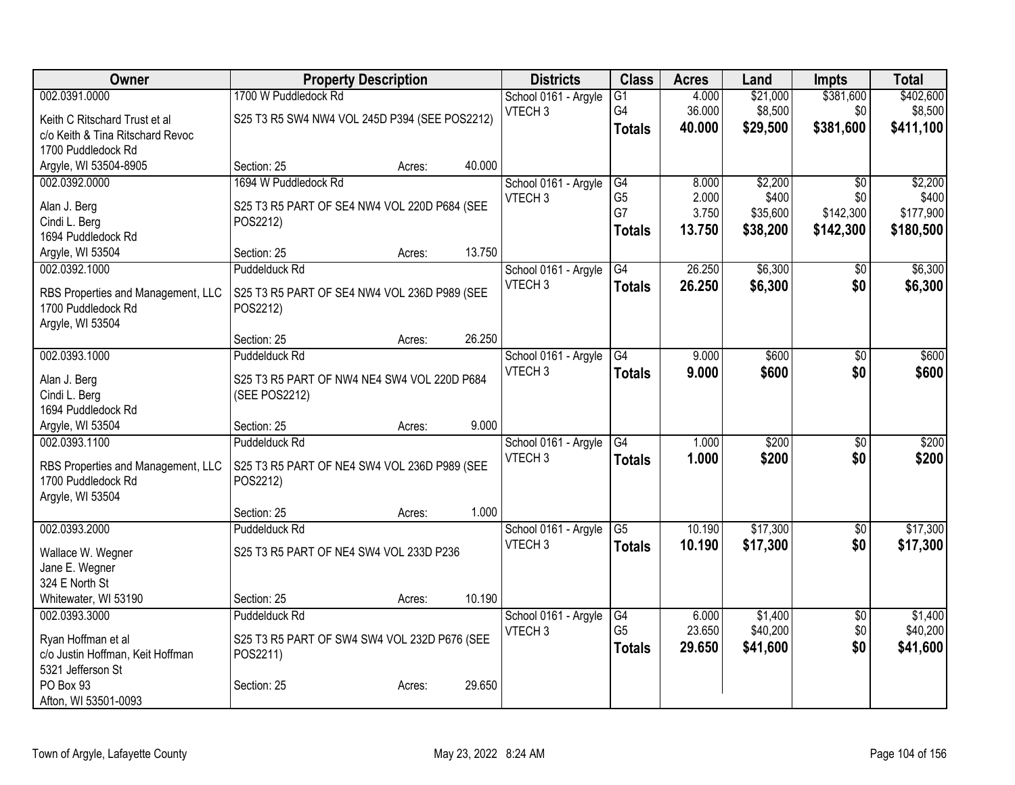| Owner                              |                                               | <b>Property Description</b> |        | <b>Districts</b>     | <b>Class</b>    | <b>Acres</b> | Land     | <b>Impts</b>    | <b>Total</b> |
|------------------------------------|-----------------------------------------------|-----------------------------|--------|----------------------|-----------------|--------------|----------|-----------------|--------------|
| 002.0391.0000                      | 1700 W Puddledock Rd                          |                             |        | School 0161 - Argyle | $\overline{G1}$ | 4.000        | \$21,000 | \$381,600       | \$402,600    |
| Keith C Ritschard Trust et al      | S25 T3 R5 SW4 NW4 VOL 245D P394 (SEE POS2212) |                             |        | VTECH <sub>3</sub>   | G4              | 36.000       | \$8,500  | \$0             | \$8,500      |
| c/o Keith & Tina Ritschard Revoc   |                                               |                             |        |                      | <b>Totals</b>   | 40.000       | \$29,500 | \$381,600       | \$411,100    |
| 1700 Puddledock Rd                 |                                               |                             |        |                      |                 |              |          |                 |              |
| Argyle, WI 53504-8905              | Section: 25                                   | Acres:                      | 40.000 |                      |                 |              |          |                 |              |
| 002.0392.0000                      | 1694 W Puddledock Rd                          |                             |        | School 0161 - Argyle | G4              | 8.000        | \$2,200  | $\sqrt{$0}$     | \$2,200      |
| Alan J. Berg                       | S25 T3 R5 PART OF SE4 NW4 VOL 220D P684 (SEE  |                             |        | VTECH <sub>3</sub>   | G <sub>5</sub>  | 2.000        | \$400    | \$0             | \$400        |
| Cindi L. Berg                      | POS2212)                                      |                             |        |                      | G7              | 3.750        | \$35,600 | \$142,300       | \$177,900    |
| 1694 Puddledock Rd                 |                                               |                             |        |                      | <b>Totals</b>   | 13.750       | \$38,200 | \$142,300       | \$180,500    |
| Argyle, WI 53504                   | Section: 25                                   | Acres:                      | 13.750 |                      |                 |              |          |                 |              |
| 002.0392.1000                      | Puddelduck Rd                                 |                             |        | School 0161 - Argyle | $\overline{G4}$ | 26.250       | \$6,300  | \$0             | \$6,300      |
|                                    |                                               |                             |        | VTECH <sub>3</sub>   | <b>Totals</b>   | 26.250       | \$6,300  | \$0             | \$6,300      |
| RBS Properties and Management, LLC | S25 T3 R5 PART OF SE4 NW4 VOL 236D P989 (SEE  |                             |        |                      |                 |              |          |                 |              |
| 1700 Puddledock Rd                 | POS2212)                                      |                             |        |                      |                 |              |          |                 |              |
| Argyle, WI 53504                   | Section: 25                                   | Acres:                      | 26.250 |                      |                 |              |          |                 |              |
| 002.0393.1000                      | Puddelduck Rd                                 |                             |        | School 0161 - Argyle | G4              | 9.000        | \$600    | $\overline{30}$ | \$600        |
|                                    |                                               |                             |        | VTECH <sub>3</sub>   | <b>Totals</b>   | 9.000        | \$600    | \$0             | \$600        |
| Alan J. Berg                       | S25 T3 R5 PART OF NW4 NE4 SW4 VOL 220D P684   |                             |        |                      |                 |              |          |                 |              |
| Cindi L. Berg                      | (SEE POS2212)                                 |                             |        |                      |                 |              |          |                 |              |
| 1694 Puddledock Rd                 |                                               |                             |        |                      |                 |              |          |                 |              |
| Argyle, WI 53504                   | Section: 25                                   | Acres:                      | 9.000  |                      |                 |              |          |                 |              |
| 002.0393.1100                      | Puddelduck Rd                                 |                             |        | School 0161 - Argyle | $\overline{G4}$ | 1.000        | \$200    | $\overline{50}$ | \$200        |
| RBS Properties and Management, LLC | S25 T3 R5 PART OF NE4 SW4 VOL 236D P989 (SEE  |                             |        | VTECH <sub>3</sub>   | <b>Totals</b>   | 1.000        | \$200    | \$0             | \$200        |
| 1700 Puddledock Rd                 | POS2212)                                      |                             |        |                      |                 |              |          |                 |              |
| Argyle, WI 53504                   |                                               |                             |        |                      |                 |              |          |                 |              |
|                                    | Section: 25                                   | Acres:                      | 1.000  |                      |                 |              |          |                 |              |
| 002.0393.2000                      | Puddelduck Rd                                 |                             |        | School 0161 - Argyle | $\overline{G5}$ | 10.190       | \$17,300 | $\overline{50}$ | \$17,300     |
| Wallace W. Wegner                  | S25 T3 R5 PART OF NE4 SW4 VOL 233D P236       |                             |        | VTECH <sub>3</sub>   | <b>Totals</b>   | 10.190       | \$17,300 | \$0             | \$17,300     |
| Jane E. Wegner                     |                                               |                             |        |                      |                 |              |          |                 |              |
| 324 E North St                     |                                               |                             |        |                      |                 |              |          |                 |              |
| Whitewater, WI 53190               | Section: 25                                   | Acres:                      | 10.190 |                      |                 |              |          |                 |              |
| 002.0393.3000                      | Puddelduck Rd                                 |                             |        | School 0161 - Argyle | G4              | 6.000        | \$1,400  | $\overline{50}$ | \$1,400      |
| Ryan Hoffman et al                 | S25 T3 R5 PART OF SW4 SW4 VOL 232D P676 (SEE  |                             |        | VTECH <sub>3</sub>   | G <sub>5</sub>  | 23.650       | \$40,200 | \$0             | \$40,200     |
| c/o Justin Hoffman, Keit Hoffman   | POS2211)                                      |                             |        |                      | <b>Totals</b>   | 29.650       | \$41,600 | \$0             | \$41,600     |
| 5321 Jefferson St                  |                                               |                             |        |                      |                 |              |          |                 |              |
| PO Box 93                          | Section: 25                                   | Acres:                      | 29.650 |                      |                 |              |          |                 |              |
| Afton, WI 53501-0093               |                                               |                             |        |                      |                 |              |          |                 |              |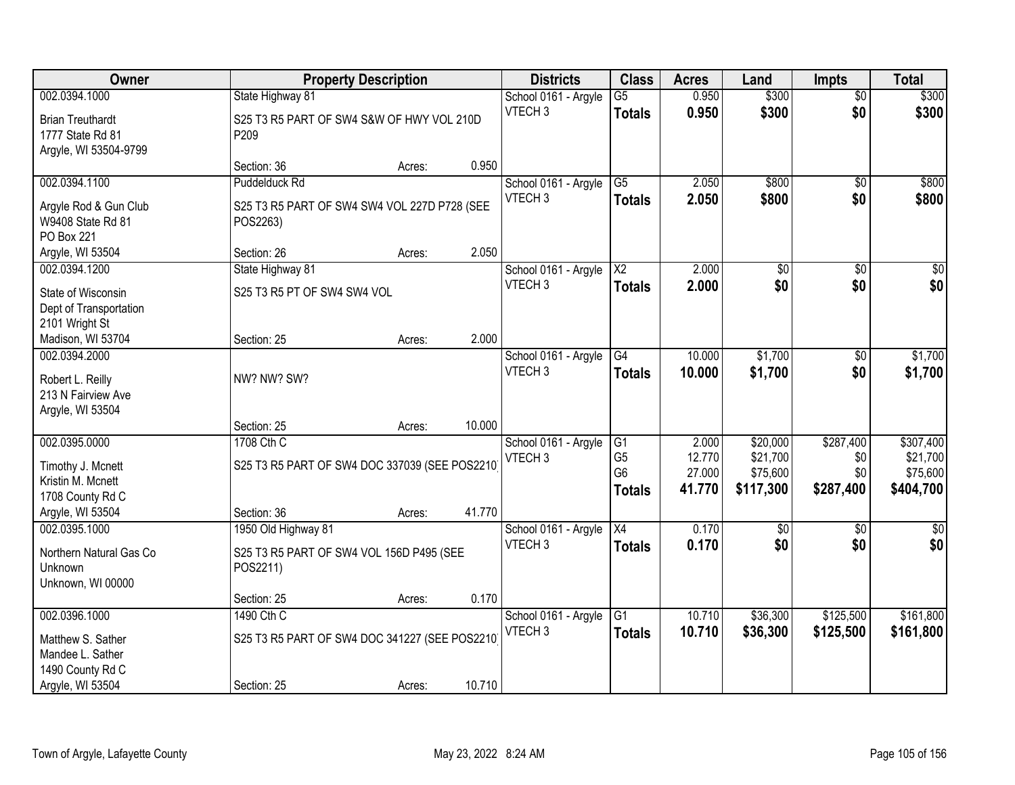| Owner                                  |                                                | <b>Property Description</b> |        |                                            | <b>Class</b>    | <b>Acres</b> | Land            | <b>Impts</b>    | <b>Total</b>    |
|----------------------------------------|------------------------------------------------|-----------------------------|--------|--------------------------------------------|-----------------|--------------|-----------------|-----------------|-----------------|
| 002.0394.1000                          | State Highway 81                               |                             |        | School 0161 - Argyle                       | $\overline{G5}$ | 0.950        | \$300           | $\overline{50}$ | \$300           |
| <b>Brian Treuthardt</b>                | S25 T3 R5 PART OF SW4 S&W OF HWY VOL 210D      |                             |        | VTECH <sub>3</sub>                         | <b>Totals</b>   | 0.950        | \$300           | \$0             | \$300           |
| 1777 State Rd 81                       | P209                                           |                             |        |                                            |                 |              |                 |                 |                 |
| Argyle, WI 53504-9799                  |                                                |                             |        |                                            |                 |              |                 |                 |                 |
|                                        | Section: 36                                    | Acres:                      | 0.950  |                                            |                 |              |                 |                 |                 |
| 002.0394.1100                          | Puddelduck Rd                                  |                             |        | School 0161 - Argyle                       | $\overline{G5}$ | 2.050        | \$800           | $\overline{50}$ | \$800           |
| Argyle Rod & Gun Club                  | S25 T3 R5 PART OF SW4 SW4 VOL 227D P728 (SEE   |                             |        | VTECH <sub>3</sub>                         | <b>Totals</b>   | 2.050        | \$800           | \$0             | \$800           |
| W9408 State Rd 81                      | POS2263)                                       |                             |        |                                            |                 |              |                 |                 |                 |
| PO Box 221                             |                                                |                             |        |                                            |                 |              |                 |                 |                 |
| Argyle, WI 53504                       | Section: 26                                    | Acres:                      | 2.050  |                                            |                 |              |                 |                 |                 |
| 002.0394.1200                          | State Highway 81                               |                             |        | School 0161 - Argyle                       | X <sub>2</sub>  | 2.000        | \$0             | \$0             | $\overline{50}$ |
| State of Wisconsin                     | S25 T3 R5 PT OF SW4 SW4 VOL                    |                             |        | VTECH <sub>3</sub>                         | <b>Totals</b>   | 2.000        | \$0             | \$0             | \$0             |
| Dept of Transportation                 |                                                |                             |        |                                            |                 |              |                 |                 |                 |
| 2101 Wright St                         |                                                |                             |        |                                            |                 |              |                 |                 |                 |
| Madison, WI 53704                      | Section: 25                                    | Acres:                      | 2.000  |                                            |                 |              |                 |                 |                 |
| 002.0394.2000                          |                                                |                             |        | School 0161 - Argyle                       | G4              | 10.000       | \$1,700         | $\sqrt[6]{3}$   | \$1,700         |
| Robert L. Reilly                       | NW? NW? SW?                                    |                             |        | VTECH <sub>3</sub>                         | <b>Totals</b>   | 10,000       | \$1,700         | \$0             | \$1,700         |
| 213 N Fairview Ave                     |                                                |                             |        |                                            |                 |              |                 |                 |                 |
| Argyle, WI 53504                       |                                                |                             |        |                                            |                 |              |                 |                 |                 |
|                                        | Section: 25                                    | Acres:                      | 10.000 |                                            |                 |              |                 |                 |                 |
| 002.0395.0000                          | 1708 Cth C                                     |                             |        | School 0161 - Argyle                       | G1              | 2.000        | \$20,000        | \$287,400       | \$307,400       |
|                                        |                                                |                             |        | VTECH <sub>3</sub>                         | G <sub>5</sub>  | 12.770       | \$21,700        | \$0             | \$21,700        |
| Timothy J. Mcnett<br>Kristin M. Mcnett | S25 T3 R5 PART OF SW4 DOC 337039 (SEE POS2210  |                             |        |                                            | G <sub>6</sub>  | 27.000       | \$75,600        | \$0             | \$75,600        |
| 1708 County Rd C                       |                                                |                             |        |                                            | <b>Totals</b>   | 41.770       | \$117,300       | \$287,400       | \$404,700       |
| Argyle, WI 53504                       | Section: 36                                    | Acres:                      | 41.770 |                                            |                 |              |                 |                 |                 |
| 002.0395.1000                          | 1950 Old Highway 81                            |                             |        | School 0161 - Argyle                       | X4              | 0.170        | $\overline{50}$ | $\overline{50}$ | \$0             |
|                                        |                                                |                             |        | VTECH <sub>3</sub>                         | <b>Totals</b>   | 0.170        | \$0             | \$0             | \$0             |
| Northern Natural Gas Co                | S25 T3 R5 PART OF SW4 VOL 156D P495 (SEE       |                             |        |                                            |                 |              |                 |                 |                 |
| Unknown                                | POS2211)                                       |                             |        |                                            |                 |              |                 |                 |                 |
| Unknown, WI 00000                      |                                                |                             |        |                                            |                 |              |                 |                 |                 |
|                                        | Section: 25                                    | Acres:                      | 0.170  |                                            |                 |              |                 |                 |                 |
| 002.0396.1000                          | 1490 Cth C                                     |                             |        | School 0161 - Argyle<br>VTECH <sub>3</sub> | G1              | 10.710       | \$36,300        | \$125,500       | \$161,800       |
| Matthew S. Sather                      | S25 T3 R5 PART OF SW4 DOC 341227 (SEE POS2210) |                             |        |                                            | <b>Totals</b>   | 10.710       | \$36,300        | \$125,500       | \$161,800       |
| Mandee L. Sather                       |                                                |                             |        |                                            |                 |              |                 |                 |                 |
| 1490 County Rd C                       |                                                |                             |        |                                            |                 |              |                 |                 |                 |
| Argyle, WI 53504                       | Section: 25                                    | Acres:                      | 10.710 |                                            |                 |              |                 |                 |                 |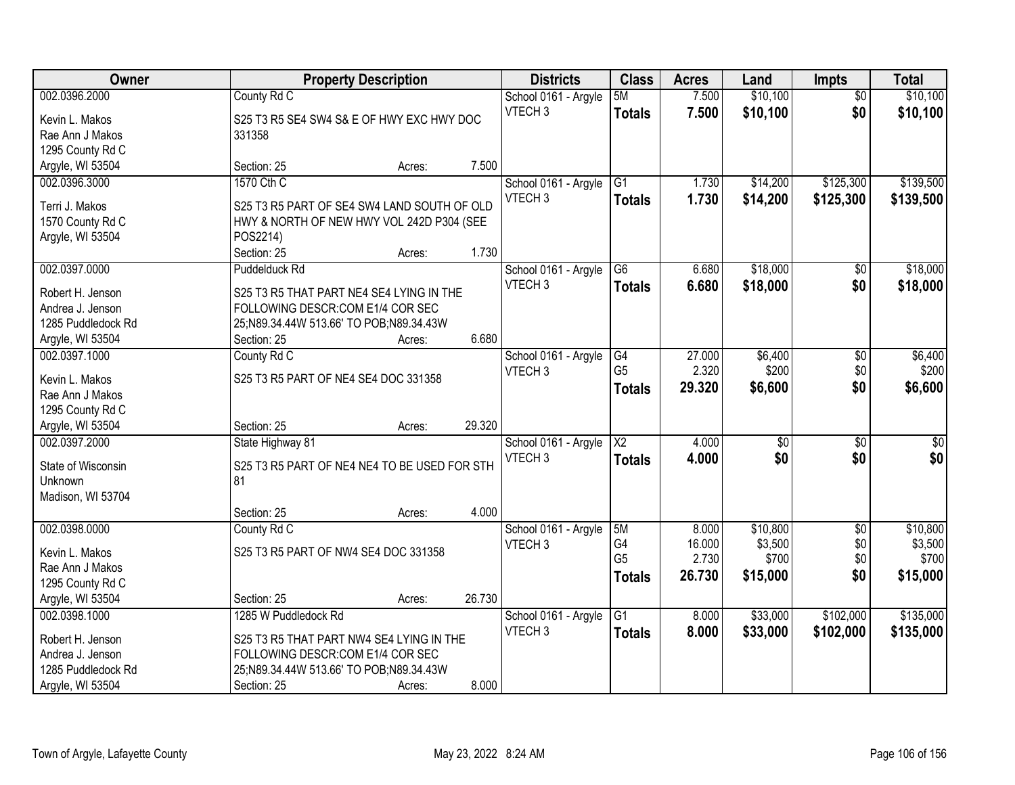| Owner                                | <b>Property Description</b>                  |                  | <b>Districts</b>     | <b>Class</b>           | <b>Acres</b> | Land            | <b>Impts</b>    | <b>Total</b> |
|--------------------------------------|----------------------------------------------|------------------|----------------------|------------------------|--------------|-----------------|-----------------|--------------|
| 002.0396.2000                        | County Rd C                                  |                  | School 0161 - Argyle | 5M                     | 7.500        | \$10,100        | $\overline{50}$ | \$10,100     |
| Kevin L. Makos                       | S25 T3 R5 SE4 SW4 S& E OF HWY EXC HWY DOC    |                  | VTECH <sub>3</sub>   | <b>Totals</b>          | 7.500        | \$10,100        | \$0             | \$10,100     |
| Rae Ann J Makos                      | 331358                                       |                  |                      |                        |              |                 |                 |              |
| 1295 County Rd C                     |                                              |                  |                      |                        |              |                 |                 |              |
| Argyle, WI 53504                     | Section: 25                                  | 7.500<br>Acres:  |                      |                        |              |                 |                 |              |
| 002.0396.3000                        | 1570 Cth C                                   |                  | School 0161 - Argyle | $\overline{G1}$        | 1.730        | \$14,200        | \$125,300       | \$139,500    |
|                                      |                                              |                  | VTECH <sub>3</sub>   | <b>Totals</b>          | 1.730        | \$14,200        | \$125,300       | \$139,500    |
| Terri J. Makos                       | S25 T3 R5 PART OF SE4 SW4 LAND SOUTH OF OLD  |                  |                      |                        |              |                 |                 |              |
| 1570 County Rd C                     | HWY & NORTH OF NEW HWY VOL 242D P304 (SEE    |                  |                      |                        |              |                 |                 |              |
| Argyle, WI 53504                     | POS2214)                                     |                  |                      |                        |              |                 |                 |              |
|                                      | Section: 25                                  | 1.730<br>Acres:  |                      |                        |              |                 |                 |              |
| 002.0397.0000                        | Puddelduck Rd                                |                  | School 0161 - Argyle | G6                     | 6.680        | \$18,000        | \$0             | \$18,000     |
| Robert H. Jenson                     | S25 T3 R5 THAT PART NE4 SE4 LYING IN THE     |                  | VTECH <sub>3</sub>   | <b>Totals</b>          | 6.680        | \$18,000        | \$0             | \$18,000     |
| Andrea J. Jenson                     | FOLLOWING DESCR:COM E1/4 COR SEC             |                  |                      |                        |              |                 |                 |              |
| 1285 Puddledock Rd                   | 25;N89.34.44W 513.66' TO POB;N89.34.43W      |                  |                      |                        |              |                 |                 |              |
| Argyle, WI 53504                     | Section: 25                                  | 6.680<br>Acres:  |                      |                        |              |                 |                 |              |
| 002.0397.1000                        | County Rd C                                  |                  | School 0161 - Argyle | G4                     | 27.000       | \$6,400         | $\sqrt[6]{3}$   | \$6,400      |
|                                      |                                              |                  | VTECH <sub>3</sub>   | G <sub>5</sub>         | 2.320        | \$200           | \$0             | \$200        |
| Kevin L. Makos                       | S25 T3 R5 PART OF NE4 SE4 DOC 331358         |                  |                      | <b>Totals</b>          | 29.320       | \$6,600         | \$0             | \$6,600      |
| Rae Ann J Makos                      |                                              |                  |                      |                        |              |                 |                 |              |
| 1295 County Rd C                     |                                              |                  |                      |                        |              |                 |                 |              |
| Argyle, WI 53504                     | Section: 25                                  | 29.320<br>Acres: |                      |                        |              |                 |                 |              |
| 002.0397.2000                        | State Highway 81                             |                  | School 0161 - Argyle | $\overline{\text{X2}}$ | 4.000        | $\overline{50}$ | $\overline{50}$ | $\sqrt{50}$  |
| State of Wisconsin                   | S25 T3 R5 PART OF NE4 NE4 TO BE USED FOR STH |                  | VTECH <sub>3</sub>   | <b>Totals</b>          | 4.000        | \$0             | \$0             | \$0          |
| Unknown                              | 81                                           |                  |                      |                        |              |                 |                 |              |
| Madison, WI 53704                    |                                              |                  |                      |                        |              |                 |                 |              |
|                                      | Section: 25                                  | 4.000<br>Acres:  |                      |                        |              |                 |                 |              |
| 002.0398.0000                        | County Rd C                                  |                  | School 0161 - Argyle | 5M                     | 8.000        | \$10,800        | $\sqrt{6}$      | \$10,800     |
| Kevin L. Makos                       | S25 T3 R5 PART OF NW4 SE4 DOC 331358         |                  | VTECH <sub>3</sub>   | G4                     | 16.000       | \$3,500         | \$0             | \$3,500      |
| Rae Ann J Makos                      |                                              |                  |                      | G <sub>5</sub>         | 2.730        | \$700           | \$0             | \$700        |
|                                      |                                              |                  |                      | Totals                 | 26.730       | \$15,000        | \$0             | \$15,000     |
| 1295 County Rd C<br>Argyle, WI 53504 | Section: 25                                  | 26.730           |                      |                        |              |                 |                 |              |
| 002.0398.1000                        | 1285 W Puddledock Rd                         | Acres:           |                      |                        |              |                 |                 |              |
|                                      |                                              |                  | School 0161 - Argyle | $\overline{G1}$        | 8.000        | \$33,000        | \$102,000       | \$135,000    |
| Robert H. Jenson                     | S25 T3 R5 THAT PART NW4 SE4 LYING IN THE     |                  | VTECH <sub>3</sub>   | <b>Totals</b>          | 8.000        | \$33,000        | \$102,000       | \$135,000    |
| Andrea J. Jenson                     | FOLLOWING DESCR:COM E1/4 COR SEC             |                  |                      |                        |              |                 |                 |              |
| 1285 Puddledock Rd                   | 25;N89.34.44W 513.66' TO POB;N89.34.43W      |                  |                      |                        |              |                 |                 |              |
| Argyle, WI 53504                     | Section: 25                                  | 8.000<br>Acres:  |                      |                        |              |                 |                 |              |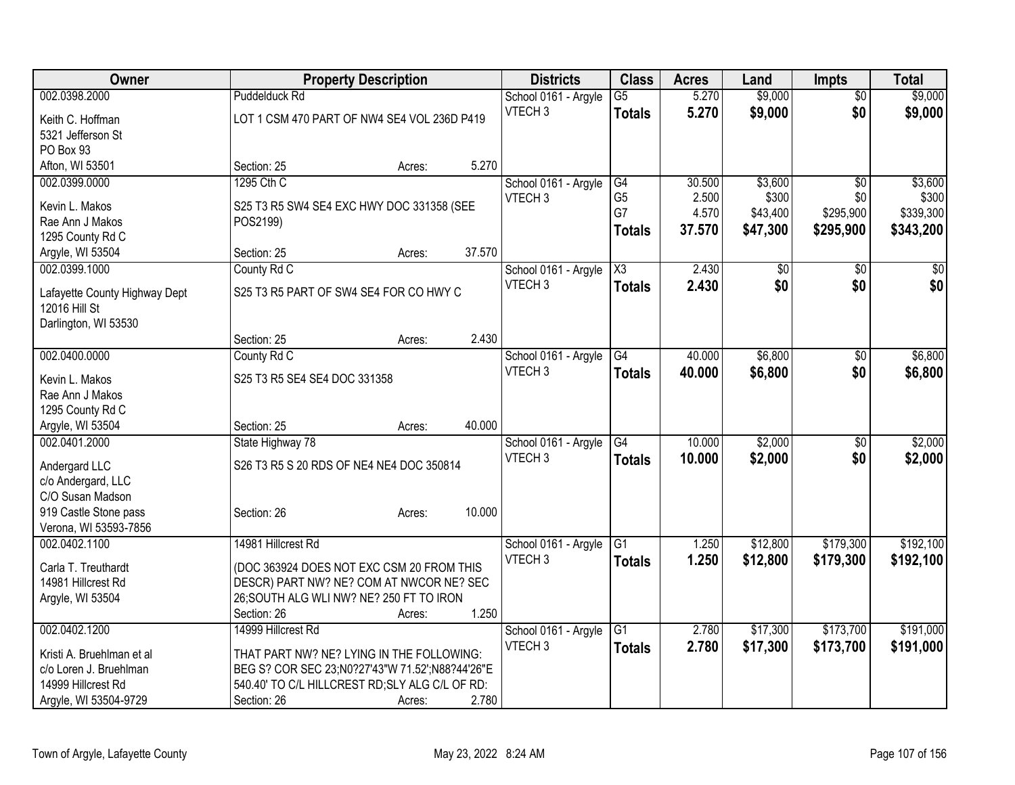| Owner                         |                                                 | <b>Property Description</b> |        | <b>Districts</b>     | <b>Class</b>        | <b>Acres</b> | Land     | <b>Impts</b>    | <b>Total</b> |
|-------------------------------|-------------------------------------------------|-----------------------------|--------|----------------------|---------------------|--------------|----------|-----------------|--------------|
| 002.0398.2000                 | <b>Puddelduck Rd</b>                            |                             |        | School 0161 - Argyle | $\overline{G5}$     | 5.270        | \$9,000  | $\overline{50}$ | \$9,000      |
| Keith C. Hoffman              | LOT 1 CSM 470 PART OF NW4 SE4 VOL 236D P419     |                             |        | VTECH <sub>3</sub>   | <b>Totals</b>       | 5.270        | \$9,000  | \$0             | \$9,000      |
| 5321 Jefferson St             |                                                 |                             |        |                      |                     |              |          |                 |              |
| PO Box 93                     |                                                 |                             |        |                      |                     |              |          |                 |              |
| Afton, WI 53501               | Section: 25                                     | Acres:                      | 5.270  |                      |                     |              |          |                 |              |
| 002.0399.0000                 | 1295 Cth C                                      |                             |        | School 0161 - Argyle | G4                  | 30.500       | \$3,600  | $\overline{50}$ | \$3,600      |
| Kevin L. Makos                | S25 T3 R5 SW4 SE4 EXC HWY DOC 331358 (SEE       |                             |        | VTECH <sub>3</sub>   | G <sub>5</sub>      | 2.500        | \$300    | \$0             | \$300        |
| Rae Ann J Makos               | POS2199)                                        |                             |        |                      | G7                  | 4.570        | \$43,400 | \$295,900       | \$339,300    |
| 1295 County Rd C              |                                                 |                             |        |                      | <b>Totals</b>       | 37.570       | \$47,300 | \$295,900       | \$343,200    |
| Argyle, WI 53504              | Section: 25                                     | Acres:                      | 37.570 |                      |                     |              |          |                 |              |
| 002.0399.1000                 | County Rd C                                     |                             |        | School 0161 - Argyle | $\overline{\chi_3}$ | 2.430        | \$0      | $\overline{50}$ | \$0          |
|                               |                                                 |                             |        | VTECH <sub>3</sub>   | <b>Totals</b>       | 2.430        | \$0      | \$0             | \$0          |
| Lafayette County Highway Dept | S25 T3 R5 PART OF SW4 SE4 FOR CO HWY C          |                             |        |                      |                     |              |          |                 |              |
| 12016 Hill St                 |                                                 |                             |        |                      |                     |              |          |                 |              |
| Darlington, WI 53530          | Section: 25                                     | Acres:                      | 2.430  |                      |                     |              |          |                 |              |
| 002.0400.0000                 | County Rd C                                     |                             |        | School 0161 - Argyle | G4                  | 40.000       | \$6,800  | $\sqrt{6}$      | \$6,800      |
|                               |                                                 |                             |        | VTECH <sub>3</sub>   |                     | 40.000       | \$6,800  | \$0             |              |
| Kevin L. Makos                | S25 T3 R5 SE4 SE4 DOC 331358                    |                             |        |                      | <b>Totals</b>       |              |          |                 | \$6,800      |
| Rae Ann J Makos               |                                                 |                             |        |                      |                     |              |          |                 |              |
| 1295 County Rd C              |                                                 |                             |        |                      |                     |              |          |                 |              |
| Argyle, WI 53504              | Section: 25                                     | Acres:                      | 40.000 |                      |                     |              |          |                 |              |
| 002.0401.2000                 | State Highway 78                                |                             |        | School 0161 - Argyle | $\overline{G4}$     | 10.000       | \$2,000  | \$0             | \$2,000      |
| Andergard LLC                 | S26 T3 R5 S 20 RDS OF NE4 NE4 DOC 350814        |                             |        | VTECH <sub>3</sub>   | <b>Totals</b>       | 10.000       | \$2,000  | \$0             | \$2,000      |
| c/o Andergard, LLC            |                                                 |                             |        |                      |                     |              |          |                 |              |
| C/O Susan Madson              |                                                 |                             |        |                      |                     |              |          |                 |              |
| 919 Castle Stone pass         | Section: 26                                     | Acres:                      | 10.000 |                      |                     |              |          |                 |              |
| Verona, WI 53593-7856         |                                                 |                             |        |                      |                     |              |          |                 |              |
| 002.0402.1100                 | 14981 Hillcrest Rd                              |                             |        | School 0161 - Argyle | $\overline{G1}$     | 1.250        | \$12,800 | \$179,300       | \$192,100    |
| Carla T. Treuthardt           | (DOC 363924 DOES NOT EXC CSM 20 FROM THIS       |                             |        | VTECH <sub>3</sub>   | <b>Totals</b>       | 1.250        | \$12,800 | \$179,300       | \$192,100    |
| 14981 Hillcrest Rd            | DESCR) PART NW? NE? COM AT NWCOR NE? SEC        |                             |        |                      |                     |              |          |                 |              |
| Argyle, WI 53504              | 26; SOUTH ALG WLI NW? NE? 250 FT TO IRON        |                             |        |                      |                     |              |          |                 |              |
|                               | Section: 26                                     | Acres:                      | 1.250  |                      |                     |              |          |                 |              |
| 002.0402.1200                 | 14999 Hillcrest Rd                              |                             |        | School 0161 - Argyle | $\overline{G1}$     | 2.780        | \$17,300 | \$173,700       | \$191,000    |
| Kristi A. Bruehlman et al     | THAT PART NW? NE? LYING IN THE FOLLOWING:       |                             |        | VTECH <sub>3</sub>   | <b>Totals</b>       | 2.780        | \$17,300 | \$173,700       | \$191,000    |
| c/o Loren J. Bruehlman        | BEG S? COR SEC 23;N0?27'43"W 71.52';N88?44'26"E |                             |        |                      |                     |              |          |                 |              |
| 14999 Hillcrest Rd            | 540.40' TO C/L HILLCREST RD; SLY ALG C/L OF RD: |                             |        |                      |                     |              |          |                 |              |
| Argyle, WI 53504-9729         | Section: 26                                     | Acres:                      | 2.780  |                      |                     |              |          |                 |              |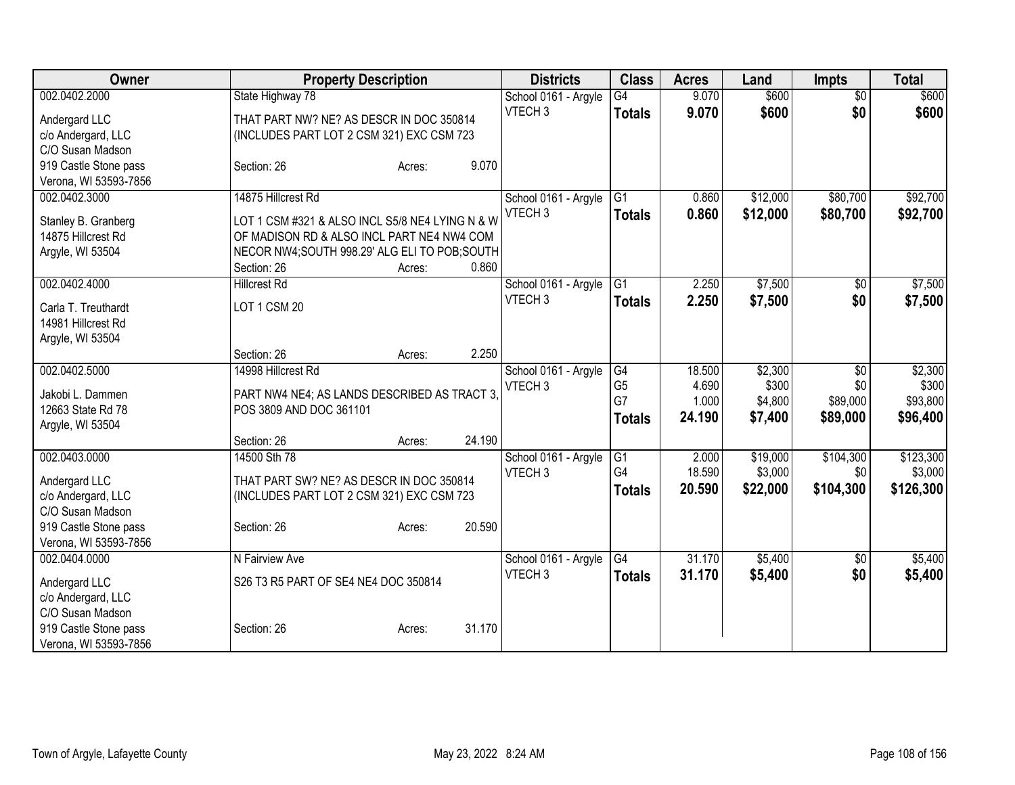| Owner                                  | <b>Property Description</b>                     |                  | <b>Districts</b>     | <b>Class</b>    | <b>Acres</b> | Land     | <b>Impts</b>    | <b>Total</b> |
|----------------------------------------|-------------------------------------------------|------------------|----------------------|-----------------|--------------|----------|-----------------|--------------|
| 002.0402.2000                          | State Highway 78                                |                  | School 0161 - Argyle | $\overline{G4}$ | 9.070        | \$600    | $\overline{50}$ | \$600        |
| Andergard LLC                          | THAT PART NW? NE? AS DESCR IN DOC 350814        |                  | VTECH <sub>3</sub>   | <b>Totals</b>   | 9.070        | \$600    | \$0             | \$600        |
| c/o Andergard, LLC                     | (INCLUDES PART LOT 2 CSM 321) EXC CSM 723       |                  |                      |                 |              |          |                 |              |
| C/O Susan Madson                       |                                                 |                  |                      |                 |              |          |                 |              |
| 919 Castle Stone pass                  | Section: 26                                     | 9.070<br>Acres:  |                      |                 |              |          |                 |              |
| Verona, WI 53593-7856                  |                                                 |                  |                      |                 |              |          |                 |              |
| 002.0402.3000                          | 14875 Hillcrest Rd                              |                  | School 0161 - Argyle | $\overline{G1}$ | 0.860        | \$12,000 | \$80,700        | \$92,700     |
| Stanley B. Granberg                    | LOT 1 CSM #321 & ALSO INCL S5/8 NE4 LYING N & W |                  | VTECH <sub>3</sub>   | <b>Totals</b>   | 0.860        | \$12,000 | \$80,700        | \$92,700     |
| 14875 Hillcrest Rd                     | OF MADISON RD & ALSO INCL PART NE4 NW4 COM      |                  |                      |                 |              |          |                 |              |
| Argyle, WI 53504                       | NECOR NW4;SOUTH 998.29' ALG ELI TO POB;SOUTH    |                  |                      |                 |              |          |                 |              |
|                                        | Section: 26                                     | 0.860<br>Acres:  |                      |                 |              |          |                 |              |
| 002.0402.4000                          | <b>Hillcrest Rd</b>                             |                  | School 0161 - Argyle | G1              | 2.250        | \$7,500  | $\sqrt{6}$      | \$7,500      |
| Carla T. Treuthardt                    | LOT 1 CSM 20                                    |                  | VTECH <sub>3</sub>   | <b>Totals</b>   | 2.250        | \$7,500  | \$0             | \$7,500      |
| 14981 Hillcrest Rd                     |                                                 |                  |                      |                 |              |          |                 |              |
| Argyle, WI 53504                       |                                                 |                  |                      |                 |              |          |                 |              |
|                                        | Section: 26                                     | 2.250<br>Acres:  |                      |                 |              |          |                 |              |
| 002.0402.5000                          | 14998 Hillcrest Rd                              |                  | School 0161 - Argyle | G4              | 18.500       | \$2,300  | \$0             | \$2,300      |
|                                        |                                                 |                  | VTECH <sub>3</sub>   | G <sub>5</sub>  | 4.690        | \$300    | \$0             | \$300        |
| Jakobi L. Dammen                       | PART NW4 NE4; AS LANDS DESCRIBED AS TRACT 3,    |                  |                      | G7              | 1.000        | \$4,800  | \$89,000        | \$93,800     |
| 12663 State Rd 78                      | POS 3809 AND DOC 361101                         |                  |                      | <b>Totals</b>   | 24.190       | \$7,400  | \$89,000        | \$96,400     |
| Argyle, WI 53504                       | Section: 26                                     | 24.190<br>Acres: |                      |                 |              |          |                 |              |
| 002.0403.0000                          | 14500 Sth 78                                    |                  | School 0161 - Argyle | G1              | 2.000        | \$19,000 | \$104,300       | \$123,300    |
|                                        |                                                 |                  | VTECH <sub>3</sub>   | G4              | 18.590       | \$3,000  | \$0             | \$3,000      |
| Andergard LLC                          | THAT PART SW? NE? AS DESCR IN DOC 350814        |                  |                      | <b>Totals</b>   | 20.590       | \$22,000 | \$104,300       | \$126,300    |
| c/o Andergard, LLC<br>C/O Susan Madson | (INCLUDES PART LOT 2 CSM 321) EXC CSM 723       |                  |                      |                 |              |          |                 |              |
| 919 Castle Stone pass                  | Section: 26                                     | 20.590<br>Acres: |                      |                 |              |          |                 |              |
| Verona, WI 53593-7856                  |                                                 |                  |                      |                 |              |          |                 |              |
| 002.0404.0000                          | N Fairview Ave                                  |                  | School 0161 - Argyle | G4              | 31.170       | \$5,400  | $\sqrt[6]{3}$   | \$5,400      |
|                                        |                                                 |                  | VTECH <sub>3</sub>   | <b>Totals</b>   | 31.170       | \$5,400  | \$0             | \$5,400      |
| Andergard LLC                          | S26 T3 R5 PART OF SE4 NE4 DOC 350814            |                  |                      |                 |              |          |                 |              |
| c/o Andergard, LLC                     |                                                 |                  |                      |                 |              |          |                 |              |
| C/O Susan Madson                       |                                                 |                  |                      |                 |              |          |                 |              |
| 919 Castle Stone pass                  | Section: 26                                     | 31.170<br>Acres: |                      |                 |              |          |                 |              |
| Verona, WI 53593-7856                  |                                                 |                  |                      |                 |              |          |                 |              |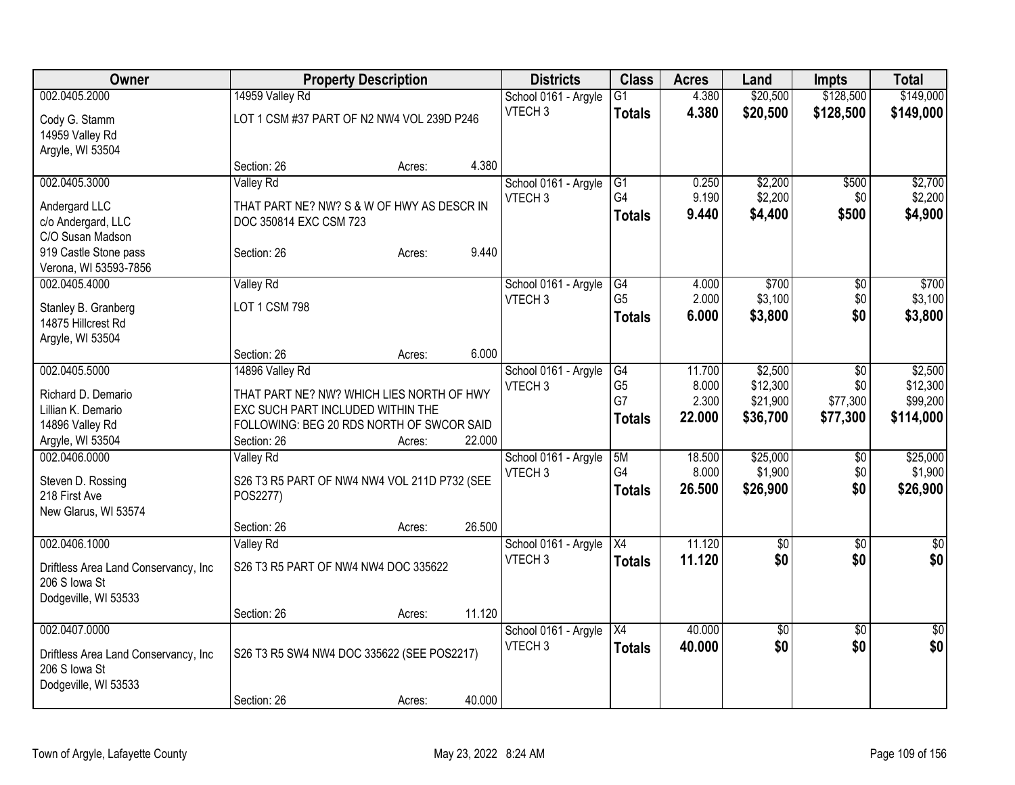| Owner                                |                                              | <b>Property Description</b> |        | <b>Districts</b>     | <b>Class</b>    | <b>Acres</b> | Land            | <b>Impts</b>    | <b>Total</b>    |
|--------------------------------------|----------------------------------------------|-----------------------------|--------|----------------------|-----------------|--------------|-----------------|-----------------|-----------------|
| 002.0405.2000                        | 14959 Valley Rd                              |                             |        | School 0161 - Argyle | $\overline{G1}$ | 4.380        | \$20,500        | \$128,500       | \$149,000       |
| Cody G. Stamm                        | LOT 1 CSM #37 PART OF N2 NW4 VOL 239D P246   |                             |        | VTECH <sub>3</sub>   | <b>Totals</b>   | 4.380        | \$20,500        | \$128,500       | \$149,000       |
| 14959 Valley Rd                      |                                              |                             |        |                      |                 |              |                 |                 |                 |
| Argyle, WI 53504                     |                                              |                             |        |                      |                 |              |                 |                 |                 |
|                                      | Section: 26                                  | Acres:                      | 4.380  |                      |                 |              |                 |                 |                 |
| 002.0405.3000                        | <b>Valley Rd</b>                             |                             |        | School 0161 - Argyle | G1              | 0.250        | \$2,200         | \$500           | \$2,700         |
| Andergard LLC                        | THAT PART NE? NW? S & W OF HWY AS DESCR IN   |                             |        | VTECH <sub>3</sub>   | G4              | 9.190        | \$2,200         | \$0             | \$2,200         |
| c/o Andergard, LLC                   | DOC 350814 EXC CSM 723                       |                             |        |                      | <b>Totals</b>   | 9.440        | \$4,400         | \$500           | \$4,900         |
| C/O Susan Madson                     |                                              |                             |        |                      |                 |              |                 |                 |                 |
| 919 Castle Stone pass                | Section: 26                                  | Acres:                      | 9.440  |                      |                 |              |                 |                 |                 |
| Verona, WI 53593-7856                |                                              |                             |        |                      |                 |              |                 |                 |                 |
| 002.0405.4000                        | Valley Rd                                    |                             |        | School 0161 - Argyle | G4              | 4.000        | \$700           | \$0             | \$700           |
| Stanley B. Granberg                  | LOT 1 CSM 798                                |                             |        | VTECH <sub>3</sub>   | G <sub>5</sub>  | 2.000        | \$3,100         | \$0             | \$3,100         |
| 14875 Hillcrest Rd                   |                                              |                             |        |                      | <b>Totals</b>   | 6.000        | \$3,800         | \$0             | \$3,800         |
| Argyle, WI 53504                     |                                              |                             |        |                      |                 |              |                 |                 |                 |
|                                      | Section: 26                                  | Acres:                      | 6.000  |                      |                 |              |                 |                 |                 |
| 002.0405.5000                        | 14896 Valley Rd                              |                             |        | School 0161 - Argyle | G4              | 11.700       | \$2,500         | \$0             | \$2,500         |
| Richard D. Demario                   | THAT PART NE? NW? WHICH LIES NORTH OF HWY    |                             |        | VTECH <sub>3</sub>   | G <sub>5</sub>  | 8.000        | \$12,300        | \$0             | \$12,300        |
| Lillian K. Demario                   | EXC SUCH PART INCLUDED WITHIN THE            |                             |        |                      | G7              | 2.300        | \$21,900        | \$77,300        | \$99,200        |
| 14896 Valley Rd                      | FOLLOWING: BEG 20 RDS NORTH OF SWCOR SAID    |                             |        |                      | <b>Totals</b>   | 22.000       | \$36,700        | \$77,300        | \$114,000       |
| Argyle, WI 53504                     | Section: 26                                  | Acres:                      | 22.000 |                      |                 |              |                 |                 |                 |
| 002.0406.0000                        | <b>Valley Rd</b>                             |                             |        | School 0161 - Argyle | 5M              | 18.500       | \$25,000        | \$0             | \$25,000        |
| Steven D. Rossing                    | S26 T3 R5 PART OF NW4 NW4 VOL 211D P732 (SEE |                             |        | VTECH <sub>3</sub>   | G <sub>4</sub>  | 8.000        | \$1,900         | \$0             | \$1,900         |
| 218 First Ave                        | POS2277)                                     |                             |        |                      | <b>Totals</b>   | 26.500       | \$26,900        | \$0             | \$26,900        |
| New Glarus, WI 53574                 |                                              |                             |        |                      |                 |              |                 |                 |                 |
|                                      | Section: 26                                  | Acres:                      | 26.500 |                      |                 |              |                 |                 |                 |
| 002.0406.1000                        | Valley Rd                                    |                             |        | School 0161 - Argyle | $\overline{X4}$ | 11.120       | $\sqrt{6}$      | $\sqrt{6}$      | $\sqrt{30}$     |
| Driftless Area Land Conservancy, Inc | S26 T3 R5 PART OF NW4 NW4 DOC 335622         |                             |        | VTECH <sub>3</sub>   | <b>Totals</b>   | 11.120       | \$0             | \$0             | \$0             |
| 206 S Iowa St                        |                                              |                             |        |                      |                 |              |                 |                 |                 |
| Dodgeville, WI 53533                 |                                              |                             |        |                      |                 |              |                 |                 |                 |
|                                      | Section: 26                                  | Acres:                      | 11.120 |                      |                 |              |                 |                 |                 |
| 002.0407.0000                        |                                              |                             |        | School 0161 - Argyle | $\overline{X4}$ | 40.000       | $\overline{50}$ | $\overline{50}$ | $\overline{50}$ |
| Driftless Area Land Conservancy, Inc | S26 T3 R5 SW4 NW4 DOC 335622 (SEE POS2217)   |                             |        | VTECH <sub>3</sub>   | <b>Totals</b>   | 40.000       | \$0             | \$0             | \$0             |
| 206 S Iowa St                        |                                              |                             |        |                      |                 |              |                 |                 |                 |
| Dodgeville, WI 53533                 |                                              |                             |        |                      |                 |              |                 |                 |                 |
|                                      | Section: 26                                  | Acres:                      | 40.000 |                      |                 |              |                 |                 |                 |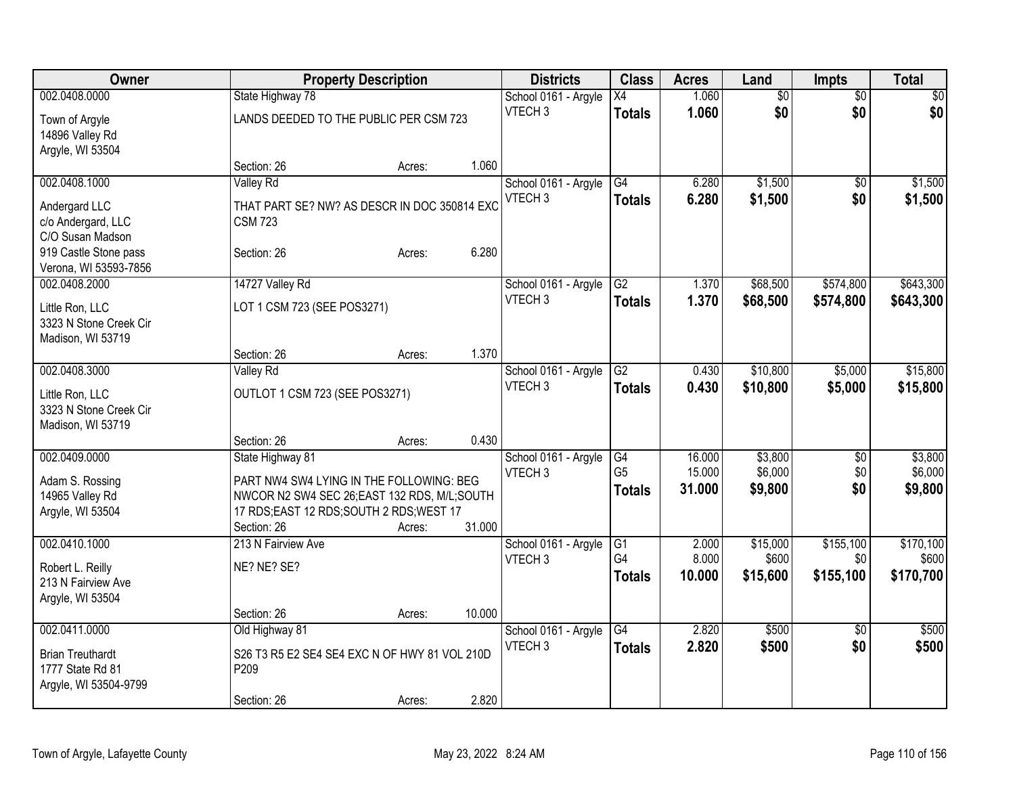| Owner                                       |                                               | <b>Property Description</b> |        | <b>Districts</b>                           | <b>Class</b>    | <b>Acres</b> | Land            | <b>Impts</b>    | <b>Total</b>    |
|---------------------------------------------|-----------------------------------------------|-----------------------------|--------|--------------------------------------------|-----------------|--------------|-----------------|-----------------|-----------------|
| 002.0408.0000                               | State Highway 78                              |                             |        | School 0161 - Argyle                       | $\overline{X4}$ | 1.060        | $\overline{50}$ | $\overline{50}$ | $\overline{50}$ |
| Town of Argyle                              | LANDS DEEDED TO THE PUBLIC PER CSM 723        |                             |        | VTECH <sub>3</sub>                         | <b>Totals</b>   | 1.060        | \$0             | \$0             | \$0             |
| 14896 Valley Rd                             |                                               |                             |        |                                            |                 |              |                 |                 |                 |
| Argyle, WI 53504                            |                                               |                             |        |                                            |                 |              |                 |                 |                 |
|                                             | Section: 26                                   | Acres:                      | 1.060  |                                            |                 |              |                 |                 |                 |
| 002.0408.1000                               | Valley Rd                                     |                             |        | School 0161 - Argyle                       | G4              | 6.280        | \$1,500         | $\overline{50}$ | \$1,500         |
| Andergard LLC                               | THAT PART SE? NW? AS DESCR IN DOC 350814 EXC  |                             |        | VTECH <sub>3</sub>                         | <b>Totals</b>   | 6.280        | \$1,500         | \$0             | \$1,500         |
| c/o Andergard, LLC                          | <b>CSM 723</b>                                |                             |        |                                            |                 |              |                 |                 |                 |
| C/O Susan Madson                            |                                               |                             |        |                                            |                 |              |                 |                 |                 |
| 919 Castle Stone pass                       | Section: 26                                   | Acres:                      | 6.280  |                                            |                 |              |                 |                 |                 |
| Verona, WI 53593-7856<br>002.0408.2000      | 14727 Valley Rd                               |                             |        | School 0161 - Argyle                       | G2              | 1.370        | \$68,500        | \$574,800       | \$643,300       |
|                                             |                                               |                             |        | VTECH <sub>3</sub>                         | <b>Totals</b>   | 1.370        | \$68,500        | \$574,800       | \$643,300       |
| Little Ron, LLC                             | LOT 1 CSM 723 (SEE POS3271)                   |                             |        |                                            |                 |              |                 |                 |                 |
| 3323 N Stone Creek Cir<br>Madison, WI 53719 |                                               |                             |        |                                            |                 |              |                 |                 |                 |
|                                             | Section: 26                                   | Acres:                      | 1.370  |                                            |                 |              |                 |                 |                 |
| 002.0408.3000                               | <b>Valley Rd</b>                              |                             |        | School 0161 - Argyle                       | G2              | 0.430        | \$10,800        | \$5,000         | \$15,800        |
|                                             |                                               |                             |        | VTECH <sub>3</sub>                         | <b>Totals</b>   | 0.430        | \$10,800        | \$5,000         | \$15,800        |
| Little Ron, LLC<br>3323 N Stone Creek Cir   | OUTLOT 1 CSM 723 (SEE POS3271)                |                             |        |                                            |                 |              |                 |                 |                 |
| Madison, WI 53719                           |                                               |                             |        |                                            |                 |              |                 |                 |                 |
|                                             | Section: 26                                   | Acres:                      | 0.430  |                                            |                 |              |                 |                 |                 |
| 002.0409.0000                               | State Highway 81                              |                             |        | School 0161 - Argyle                       | G4              | 16.000       | \$3,800         | $\sqrt{6}$      | \$3,800         |
| Adam S. Rossing                             | PART NW4 SW4 LYING IN THE FOLLOWING: BEG      |                             |        | VTECH <sub>3</sub>                         | G <sub>5</sub>  | 15.000       | \$6,000         | \$0             | \$6,000         |
| 14965 Valley Rd                             | NWCOR N2 SW4 SEC 26; EAST 132 RDS, M/L; SOUTH |                             |        |                                            | <b>Totals</b>   | 31.000       | \$9,800         | \$0             | \$9,800         |
| Argyle, WI 53504                            | 17 RDS; EAST 12 RDS; SOUTH 2 RDS; WEST 17     |                             |        |                                            |                 |              |                 |                 |                 |
|                                             | Section: 26                                   | Acres:                      | 31.000 |                                            |                 |              |                 |                 |                 |
| 002.0410.1000                               | 213 N Fairview Ave                            |                             |        | School 0161 - Argyle                       | $\overline{G1}$ | 2.000        | \$15,000        | \$155,100       | \$170,100       |
| Robert L. Reilly                            | NE? NE? SE?                                   |                             |        | VTECH <sub>3</sub>                         | G4              | 8.000        | \$600           | \$0             | \$600           |
| 213 N Fairview Ave                          |                                               |                             |        |                                            | <b>Totals</b>   | 10.000       | \$15,600        | \$155,100       | \$170,700       |
| Argyle, WI 53504                            |                                               |                             |        |                                            |                 |              |                 |                 |                 |
|                                             | Section: 26                                   | Acres:                      | 10.000 |                                            |                 |              |                 |                 |                 |
| 002.0411.0000                               | Old Highway 81                                |                             |        | School 0161 - Argyle<br>VTECH <sub>3</sub> | $\overline{G4}$ | 2.820        | \$500           | $\overline{30}$ | \$500           |
| <b>Brian Treuthardt</b>                     | S26 T3 R5 E2 SE4 SE4 EXC N OF HWY 81 VOL 210D |                             |        |                                            | <b>Totals</b>   | 2.820        | \$500           | \$0             | \$500           |
| 1777 State Rd 81                            | P209                                          |                             |        |                                            |                 |              |                 |                 |                 |
| Argyle, WI 53504-9799                       |                                               |                             |        |                                            |                 |              |                 |                 |                 |
|                                             | Section: 26                                   | Acres:                      | 2.820  |                                            |                 |              |                 |                 |                 |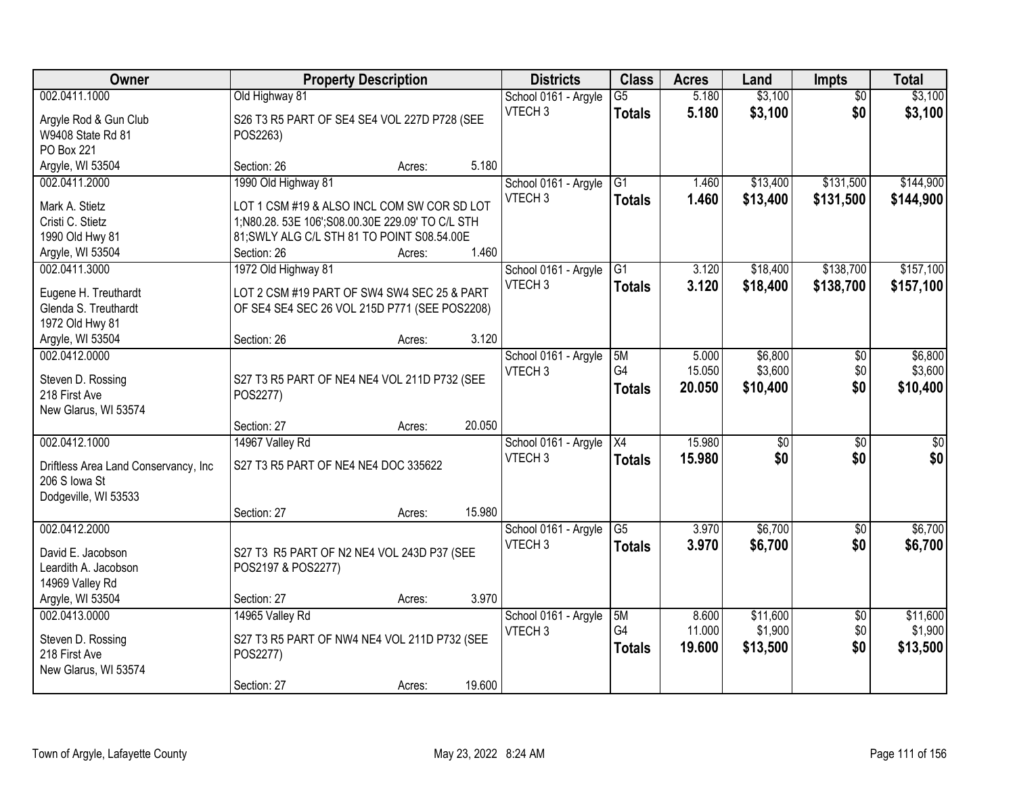| Owner                                | <b>Property Description</b>                                                                     |        |        | <b>Districts</b>     | <b>Class</b>    | <b>Acres</b> | Land            | <b>Impts</b>    | <b>Total</b>     |
|--------------------------------------|-------------------------------------------------------------------------------------------------|--------|--------|----------------------|-----------------|--------------|-----------------|-----------------|------------------|
| 002.0411.1000                        | Old Highway 81                                                                                  |        |        | School 0161 - Argyle | $\overline{G5}$ | 5.180        | \$3,100         | $\overline{30}$ | \$3,100          |
| Argyle Rod & Gun Club                | S26 T3 R5 PART OF SE4 SE4 VOL 227D P728 (SEE                                                    |        |        | VTECH <sub>3</sub>   | <b>Totals</b>   | 5.180        | \$3,100         | \$0             | \$3,100          |
| W9408 State Rd 81                    | POS2263)                                                                                        |        |        |                      |                 |              |                 |                 |                  |
| PO Box 221                           |                                                                                                 |        |        |                      |                 |              |                 |                 |                  |
| Argyle, WI 53504                     | Section: 26                                                                                     | Acres: | 5.180  |                      |                 |              |                 |                 |                  |
| 002.0411.2000                        | 1990 Old Highway 81                                                                             |        |        | School 0161 - Argyle | $\overline{G1}$ | 1.460        | \$13,400        | \$131,500       | \$144,900        |
|                                      |                                                                                                 |        |        | VTECH <sub>3</sub>   | Totals          | 1.460        | \$13,400        | \$131,500       | \$144,900        |
| Mark A. Stietz<br>Cristi C. Stietz   | LOT 1 CSM #19 & ALSO INCL COM SW COR SD LOT<br>1;N80.28. 53E 106';S08.00.30E 229.09' TO C/L STH |        |        |                      |                 |              |                 |                 |                  |
| 1990 Old Hwy 81                      | 81; SWLY ALG C/L STH 81 TO POINT S08.54.00E                                                     |        |        |                      |                 |              |                 |                 |                  |
| Argyle, WI 53504                     | Section: 26                                                                                     | Acres: | 1.460  |                      |                 |              |                 |                 |                  |
| 002.0411.3000                        | 1972 Old Highway 81                                                                             |        |        | School 0161 - Argyle | G1              | 3.120        | \$18,400        | \$138,700       | \$157,100        |
|                                      |                                                                                                 |        |        | VTECH <sub>3</sub>   |                 |              |                 |                 |                  |
| Eugene H. Treuthardt                 | LOT 2 CSM #19 PART OF SW4 SW4 SEC 25 & PART                                                     |        |        |                      | <b>Totals</b>   | 3.120        | \$18,400        | \$138,700       | \$157,100        |
| Glenda S. Treuthardt                 | OF SE4 SE4 SEC 26 VOL 215D P771 (SEE POS2208)                                                   |        |        |                      |                 |              |                 |                 |                  |
| 1972 Old Hwy 81                      |                                                                                                 |        |        |                      |                 |              |                 |                 |                  |
| Argyle, WI 53504                     | Section: 26                                                                                     | Acres: | 3.120  |                      |                 |              |                 |                 |                  |
| 002.0412.0000                        |                                                                                                 |        |        | School 0161 - Argyle | 5M              | 5.000        | \$6,800         | \$0             | \$6,800          |
| Steven D. Rossing                    | S27 T3 R5 PART OF NE4 NE4 VOL 211D P732 (SEE                                                    |        |        | VTECH <sub>3</sub>   | G4              | 15.050       | \$3,600         | \$0             | \$3,600          |
| 218 First Ave                        | POS2277)                                                                                        |        |        |                      | <b>Totals</b>   | 20.050       | \$10,400        | \$0             | \$10,400         |
| New Glarus, WI 53574                 |                                                                                                 |        |        |                      |                 |              |                 |                 |                  |
|                                      | Section: 27                                                                                     | Acres: | 20.050 |                      |                 |              |                 |                 |                  |
| 002.0412.1000                        | 14967 Valley Rd                                                                                 |        |        | School 0161 - Argyle | $\overline{X4}$ | 15.980       | $\overline{30}$ | $\overline{30}$ | $\overline{\$0}$ |
|                                      |                                                                                                 |        |        | VTECH <sub>3</sub>   | <b>Totals</b>   | 15.980       | \$0             | \$0             | \$0              |
| Driftless Area Land Conservancy, Inc | S27 T3 R5 PART OF NE4 NE4 DOC 335622                                                            |        |        |                      |                 |              |                 |                 |                  |
| 206 S Iowa St                        |                                                                                                 |        |        |                      |                 |              |                 |                 |                  |
| Dodgeville, WI 53533                 |                                                                                                 |        |        |                      |                 |              |                 |                 |                  |
|                                      | Section: 27                                                                                     | Acres: | 15.980 |                      |                 |              |                 |                 |                  |
| 002.0412.2000                        |                                                                                                 |        |        | School 0161 - Argyle | $\overline{G5}$ | 3.970        | \$6,700         | \$0             | \$6,700          |
| David E. Jacobson                    | S27 T3 R5 PART OF N2 NE4 VOL 243D P37 (SEE                                                      |        |        | VTECH <sub>3</sub>   | <b>Totals</b>   | 3.970        | \$6,700         | \$0             | \$6,700          |
| Leardith A. Jacobson                 | POS2197 & POS2277)                                                                              |        |        |                      |                 |              |                 |                 |                  |
| 14969 Valley Rd                      |                                                                                                 |        |        |                      |                 |              |                 |                 |                  |
| Argyle, WI 53504                     | Section: 27                                                                                     | Acres: | 3.970  |                      |                 |              |                 |                 |                  |
| 002.0413.0000                        | 14965 Valley Rd                                                                                 |        |        | School 0161 - Argyle | 5M              | 8.600        | \$11,600        | $\overline{30}$ | \$11,600         |
| Steven D. Rossing                    |                                                                                                 |        |        | VTECH <sub>3</sub>   | G4              | 11.000       | \$1,900         | \$0             | \$1,900          |
| 218 First Ave                        | S27 T3 R5 PART OF NW4 NE4 VOL 211D P732 (SEE<br>POS2277)                                        |        |        |                      | <b>Totals</b>   | 19.600       | \$13,500        | \$0             | \$13,500         |
| New Glarus, WI 53574                 |                                                                                                 |        |        |                      |                 |              |                 |                 |                  |
|                                      | Section: 27                                                                                     | Acres: | 19.600 |                      |                 |              |                 |                 |                  |
|                                      |                                                                                                 |        |        |                      |                 |              |                 |                 |                  |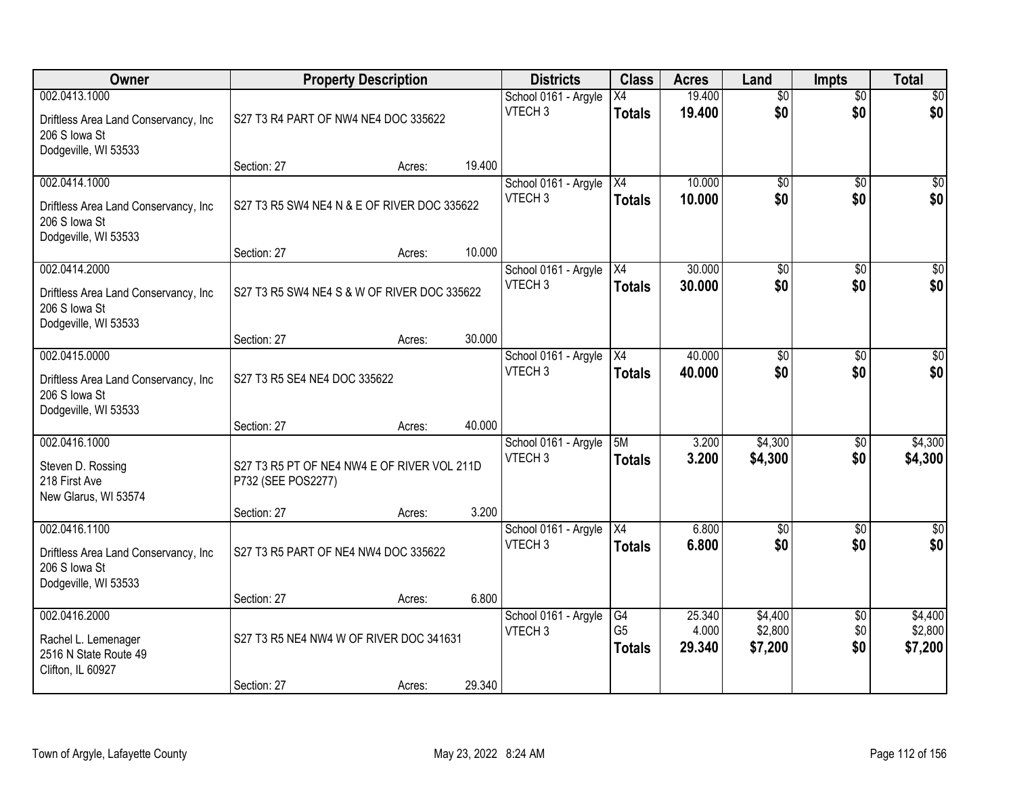| Owner                                                                                          |                                                                                  | <b>Property Description</b> |        | <b>Districts</b>                           | <b>Class</b>                          | <b>Acres</b>              | Land                          | <b>Impts</b>                  | <b>Total</b>                  |
|------------------------------------------------------------------------------------------------|----------------------------------------------------------------------------------|-----------------------------|--------|--------------------------------------------|---------------------------------------|---------------------------|-------------------------------|-------------------------------|-------------------------------|
| 002.0413.1000<br>Driftless Area Land Conservancy, Inc<br>206 S Iowa St<br>Dodgeville, WI 53533 | S27 T3 R4 PART OF NW4 NE4 DOC 335622                                             |                             |        | School 0161 - Argyle<br>VTECH <sub>3</sub> | Х4<br><b>Totals</b>                   | 19.400<br>19.400          | $\overline{50}$<br>\$0        | $\overline{50}$<br>\$0        | \$0<br>\$0                    |
|                                                                                                | Section: 27                                                                      | Acres:                      | 19.400 |                                            |                                       |                           |                               |                               |                               |
| 002.0414.1000<br>Driftless Area Land Conservancy, Inc<br>206 S Iowa St<br>Dodgeville, WI 53533 | S27 T3 R5 SW4 NE4 N & E OF RIVER DOC 335622<br>Section: 27                       | Acres:                      | 10.000 | School 0161 - Argyle<br>VTECH <sub>3</sub> | $\overline{X4}$<br><b>Totals</b>      | 10.000<br>10.000          | $\overline{50}$<br>\$0        | $\overline{50}$<br>\$0        | \$0<br>\$0                    |
| 002.0414.2000                                                                                  |                                                                                  |                             |        | School 0161 - Argyle                       | X4                                    | 30,000                    | \$0                           | \$0                           | $\overline{30}$               |
| Driftless Area Land Conservancy, Inc<br>206 S Iowa St<br>Dodgeville, WI 53533                  | S27 T3 R5 SW4 NE4 S & W OF RIVER DOC 335622                                      |                             |        | VTECH <sub>3</sub>                         | <b>Totals</b>                         | 30.000                    | \$0                           | \$0                           | \$0                           |
|                                                                                                | Section: 27                                                                      | Acres:                      | 30.000 |                                            |                                       |                           |                               |                               |                               |
| 002.0415.0000<br>Driftless Area Land Conservancy, Inc<br>206 S Iowa St<br>Dodgeville, WI 53533 | S27 T3 R5 SE4 NE4 DOC 335622                                                     |                             |        | School 0161 - Argyle<br>VTECH <sub>3</sub> | X4<br><b>Totals</b>                   | 40.000<br>40,000          | \$0<br>\$0                    | $\sqrt{6}$<br>\$0             | $\sqrt{50}$<br>\$0            |
|                                                                                                | Section: 27                                                                      | Acres:                      | 40.000 |                                            |                                       |                           |                               |                               |                               |
| 002.0416.1000<br>Steven D. Rossing<br>218 First Ave<br>New Glarus, WI 53574                    | S27 T3 R5 PT OF NE4 NW4 E OF RIVER VOL 211D<br>P732 (SEE POS2277)<br>Section: 27 | Acres:                      | 3.200  | School 0161 - Argyle<br>VTECH <sub>3</sub> | 5M<br><b>Totals</b>                   | 3.200<br>3.200            | \$4,300<br>\$4,300            | \$0<br>\$0                    | \$4,300<br>\$4,300            |
| 002.0416.1100<br>Driftless Area Land Conservancy, Inc<br>206 S Iowa St<br>Dodgeville, WI 53533 | S27 T3 R5 PART OF NE4 NW4 DOC 335622                                             |                             |        | School 0161 - Argyle<br>VTECH <sub>3</sub> | X4<br><b>Totals</b>                   | 6.800<br>6.800            | $\overline{50}$<br>\$0        | $\overline{50}$<br>\$0        | $\overline{\$0}$<br>\$0       |
|                                                                                                | Section: 27                                                                      | Acres:                      | 6.800  |                                            |                                       |                           |                               |                               |                               |
| 002.0416.2000<br>Rachel L. Lemenager<br>2516 N State Route 49<br>Clifton, IL 60927             | S27 T3 R5 NE4 NW4 W OF RIVER DOC 341631                                          |                             |        | School 0161 - Argyle<br>VTECH <sub>3</sub> | G4<br>G <sub>5</sub><br><b>Totals</b> | 25.340<br>4.000<br>29.340 | \$4,400<br>\$2,800<br>\$7,200 | $\overline{50}$<br>\$0<br>\$0 | \$4,400<br>\$2,800<br>\$7,200 |
|                                                                                                | Section: 27                                                                      | Acres:                      | 29.340 |                                            |                                       |                           |                               |                               |                               |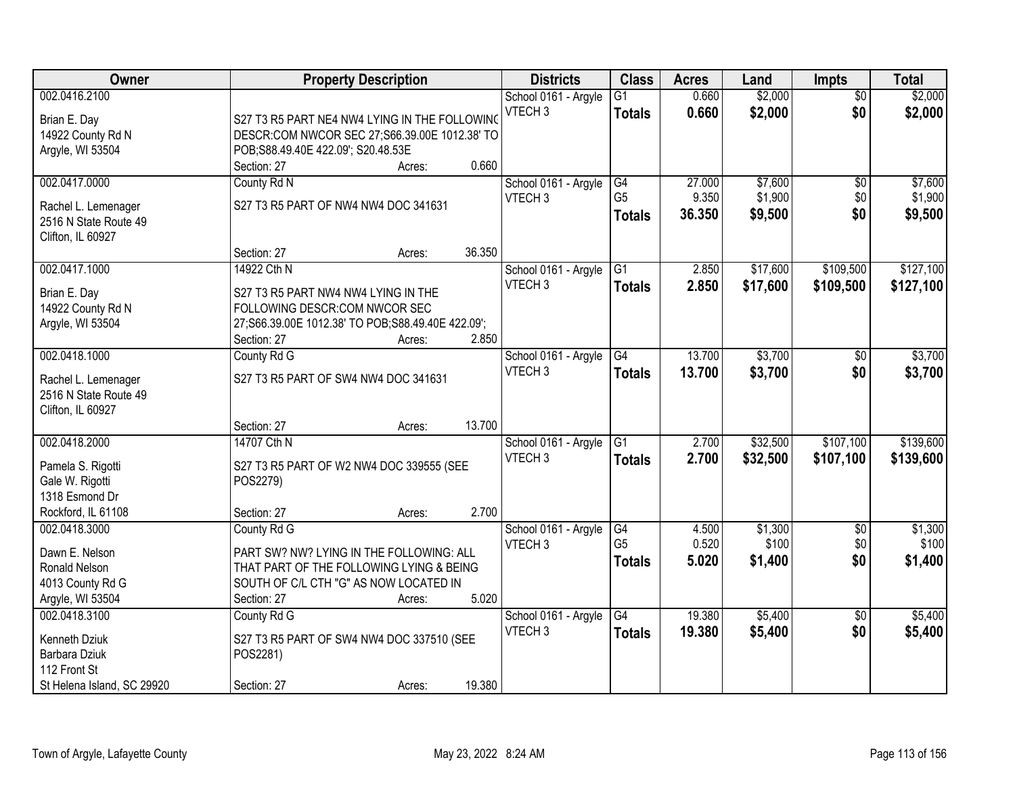| Owner                      | <b>Property Description</b>                       | <b>Districts</b>                           | <b>Class</b>    | <b>Acres</b> | Land     | <b>Impts</b>    | <b>Total</b> |
|----------------------------|---------------------------------------------------|--------------------------------------------|-----------------|--------------|----------|-----------------|--------------|
| 002.0416.2100              |                                                   | School 0161 - Argyle                       | $\overline{G1}$ | 0.660        | \$2,000  | $\overline{50}$ | \$2,000      |
| Brian E. Day               | S27 T3 R5 PART NE4 NW4 LYING IN THE FOLLOWING     | VTECH <sub>3</sub>                         | <b>Totals</b>   | 0.660        | \$2,000  | \$0             | \$2,000      |
| 14922 County Rd N          | DESCR:COM NWCOR SEC 27;S66.39.00E 1012.38' TO     |                                            |                 |              |          |                 |              |
| Argyle, WI 53504           | POB;S88.49.40E 422.09'; S20.48.53E                |                                            |                 |              |          |                 |              |
|                            | 0.660<br>Section: 27<br>Acres:                    |                                            |                 |              |          |                 |              |
| 002.0417.0000              | County Rd N                                       | School 0161 - Argyle                       | G4              | 27.000       | \$7,600  | $\overline{50}$ | \$7,600      |
|                            |                                                   | VTECH <sub>3</sub>                         | G <sub>5</sub>  | 9.350        | \$1,900  | \$0             | \$1,900      |
| Rachel L. Lemenager        | S27 T3 R5 PART OF NW4 NW4 DOC 341631              |                                            | <b>Totals</b>   | 36.350       | \$9,500  | \$0             | \$9,500      |
| 2516 N State Route 49      |                                                   |                                            |                 |              |          |                 |              |
| Clifton, IL 60927          |                                                   |                                            |                 |              |          |                 |              |
|                            | 36.350<br>Section: 27<br>Acres:                   |                                            |                 |              |          |                 |              |
| 002.0417.1000              | 14922 Cth N                                       | School 0161 - Argyle                       | $\overline{G1}$ | 2.850        | \$17,600 | \$109,500       | \$127,100    |
| Brian E. Day               | S27 T3 R5 PART NW4 NW4 LYING IN THE               | VTECH <sub>3</sub>                         | <b>Totals</b>   | 2.850        | \$17,600 | \$109,500       | \$127,100    |
| 14922 County Rd N          | FOLLOWING DESCR:COM NWCOR SEC                     |                                            |                 |              |          |                 |              |
| Argyle, WI 53504           | 27;S66.39.00E 1012.38' TO POB;S88.49.40E 422.09'; |                                            |                 |              |          |                 |              |
|                            | Section: 27<br>2.850<br>Acres:                    |                                            |                 |              |          |                 |              |
| 002.0418.1000              | County Rd G                                       | School 0161 - Argyle                       | G4              | 13.700       | \$3,700  | $\sqrt[6]{}$    | \$3,700      |
|                            |                                                   | VTECH <sub>3</sub>                         | <b>Totals</b>   | 13.700       | \$3,700  | \$0             | \$3,700      |
| Rachel L. Lemenager        | S27 T3 R5 PART OF SW4 NW4 DOC 341631              |                                            |                 |              |          |                 |              |
| 2516 N State Route 49      |                                                   |                                            |                 |              |          |                 |              |
| Clifton, IL 60927          | 13.700<br>Section: 27                             |                                            |                 |              |          |                 |              |
| 002.0418.2000              | Acres:<br>14707 Cth N                             |                                            | $\overline{G1}$ | 2.700        | \$32,500 | \$107,100       | \$139,600    |
|                            |                                                   | School 0161 - Argyle<br>VTECH <sub>3</sub> |                 |              |          |                 |              |
| Pamela S. Rigotti          | S27 T3 R5 PART OF W2 NW4 DOC 339555 (SEE          |                                            | <b>Totals</b>   | 2.700        | \$32,500 | \$107,100       | \$139,600    |
| Gale W. Rigotti            | POS2279)                                          |                                            |                 |              |          |                 |              |
| 1318 Esmond Dr             |                                                   |                                            |                 |              |          |                 |              |
| Rockford, IL 61108         | 2.700<br>Section: 27<br>Acres:                    |                                            |                 |              |          |                 |              |
| 002.0418.3000              | County Rd G                                       | School 0161 - Argyle                       | G4              | 4.500        | \$1,300  | $\sqrt{$0}$     | \$1,300      |
| Dawn E. Nelson             | PART SW? NW? LYING IN THE FOLLOWING: ALL          | VTECH <sub>3</sub>                         | G <sub>5</sub>  | 0.520        | \$100    | \$0             | \$100        |
| Ronald Nelson              | THAT PART OF THE FOLLOWING LYING & BEING          |                                            | <b>Totals</b>   | 5.020        | \$1,400  | \$0             | \$1,400      |
| 4013 County Rd G           | SOUTH OF C/L CTH "G" AS NOW LOCATED IN            |                                            |                 |              |          |                 |              |
| Argyle, WI 53504           | 5.020<br>Section: 27<br>Acres:                    |                                            |                 |              |          |                 |              |
| 002.0418.3100              | County Rd G                                       | School 0161 - Argyle                       | $\overline{G4}$ | 19.380       | \$5,400  | $\overline{30}$ | \$5,400      |
|                            |                                                   | VTECH <sub>3</sub>                         | <b>Totals</b>   | 19.380       | \$5,400  | \$0             | \$5,400      |
| Kenneth Dziuk              | S27 T3 R5 PART OF SW4 NW4 DOC 337510 (SEE         |                                            |                 |              |          |                 |              |
| Barbara Dziuk              | POS2281)                                          |                                            |                 |              |          |                 |              |
| 112 Front St               |                                                   |                                            |                 |              |          |                 |              |
| St Helena Island, SC 29920 | 19.380<br>Section: 27<br>Acres:                   |                                            |                 |              |          |                 |              |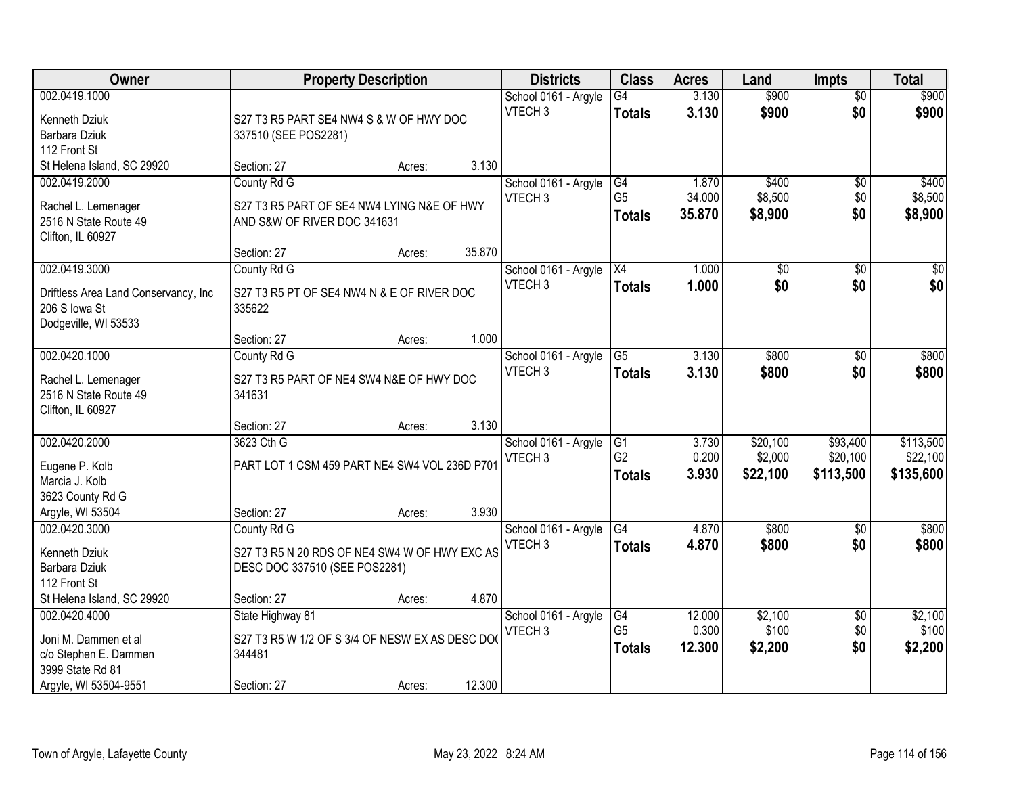| Owner                                |                                                | <b>Property Description</b> |        | <b>Districts</b>     | <b>Class</b>    | <b>Acres</b> | Land            | <b>Impts</b>    | <b>Total</b>    |
|--------------------------------------|------------------------------------------------|-----------------------------|--------|----------------------|-----------------|--------------|-----------------|-----------------|-----------------|
| 002.0419.1000                        |                                                |                             |        | School 0161 - Argyle | $\overline{G4}$ | 3.130        | \$900           | $\overline{50}$ | \$900           |
| Kenneth Dziuk                        | S27 T3 R5 PART SE4 NW4 S & W OF HWY DOC        |                             |        | VTECH <sub>3</sub>   | <b>Totals</b>   | 3.130        | \$900           | \$0             | \$900           |
| Barbara Dziuk                        | 337510 (SEE POS2281)                           |                             |        |                      |                 |              |                 |                 |                 |
| 112 Front St                         |                                                |                             |        |                      |                 |              |                 |                 |                 |
| St Helena Island, SC 29920           | Section: 27                                    | Acres:                      | 3.130  |                      |                 |              |                 |                 |                 |
| 002.0419.2000                        | County Rd G                                    |                             |        | School 0161 - Argyle | G4              | 1.870        | \$400           | \$0             | \$400           |
| Rachel L. Lemenager                  | S27 T3 R5 PART OF SE4 NW4 LYING N&E OF HWY     |                             |        | VTECH <sub>3</sub>   | G <sub>5</sub>  | 34.000       | \$8,500         | \$0             | \$8,500         |
| 2516 N State Route 49                | AND S&W OF RIVER DOC 341631                    |                             |        |                      | <b>Totals</b>   | 35.870       | \$8,900         | \$0             | \$8,900         |
| Clifton, IL 60927                    |                                                |                             |        |                      |                 |              |                 |                 |                 |
|                                      | Section: 27                                    | Acres:                      | 35.870 |                      |                 |              |                 |                 |                 |
| 002.0419.3000                        | County Rd G                                    |                             |        | School 0161 - Argyle | X4              | 1.000        | $\overline{50}$ | \$0             | $\overline{50}$ |
| Driftless Area Land Conservancy, Inc | S27 T3 R5 PT OF SE4 NW4 N & E OF RIVER DOC     |                             |        | VTECH <sub>3</sub>   | <b>Totals</b>   | 1.000        | \$0             | \$0             | \$0             |
| 206 S Iowa St                        | 335622                                         |                             |        |                      |                 |              |                 |                 |                 |
| Dodgeville, WI 53533                 |                                                |                             |        |                      |                 |              |                 |                 |                 |
|                                      | Section: 27                                    | Acres:                      | 1.000  |                      |                 |              |                 |                 |                 |
| 002.0420.1000                        | County Rd G                                    |                             |        | School 0161 - Argyle | $\overline{G5}$ | 3.130        | \$800           | $\sqrt[6]{}$    | \$800           |
| Rachel L. Lemenager                  | S27 T3 R5 PART OF NE4 SW4 N&E OF HWY DOC       |                             |        | VTECH <sub>3</sub>   | <b>Totals</b>   | 3.130        | \$800           | \$0             | \$800           |
| 2516 N State Route 49                | 341631                                         |                             |        |                      |                 |              |                 |                 |                 |
| Clifton, IL 60927                    |                                                |                             |        |                      |                 |              |                 |                 |                 |
|                                      | Section: 27                                    | Acres:                      | 3.130  |                      |                 |              |                 |                 |                 |
| 002.0420.2000                        | 3623 Cth G                                     |                             |        | School 0161 - Argyle | G1              | 3.730        | \$20,100        | \$93,400        | \$113,500       |
| Eugene P. Kolb                       | PART LOT 1 CSM 459 PART NE4 SW4 VOL 236D P701  |                             |        | VTECH <sub>3</sub>   | G <sub>2</sub>  | 0.200        | \$2,000         | \$20,100        | \$22,100        |
| Marcia J. Kolb                       |                                                |                             |        |                      | <b>Totals</b>   | 3.930        | \$22,100        | \$113,500       | \$135,600       |
| 3623 County Rd G                     |                                                |                             |        |                      |                 |              |                 |                 |                 |
| Argyle, WI 53504                     | Section: 27                                    | Acres:                      | 3.930  |                      |                 |              |                 |                 |                 |
| 002.0420.3000                        | County Rd G                                    |                             |        | School 0161 - Argyle | G4              | 4.870        | \$800           | \$0             | \$800           |
| Kenneth Dziuk                        | S27 T3 R5 N 20 RDS OF NE4 SW4 W OF HWY EXC AS  |                             |        | VTECH <sub>3</sub>   | <b>Totals</b>   | 4.870        | \$800           | \$0             | \$800           |
| Barbara Dziuk                        | DESC DOC 337510 (SEE POS2281)                  |                             |        |                      |                 |              |                 |                 |                 |
| 112 Front St                         |                                                |                             |        |                      |                 |              |                 |                 |                 |
| St Helena Island, SC 29920           | Section: 27                                    | Acres:                      | 4.870  |                      |                 |              |                 |                 |                 |
| 002.0420.4000                        | State Highway 81                               |                             |        | School 0161 - Argyle | G4              | 12.000       | \$2,100         | $\overline{60}$ | \$2,100         |
| Joni M. Dammen et al                 | S27 T3 R5 W 1/2 OF S 3/4 OF NESW EX AS DESC DO |                             |        | VTECH <sub>3</sub>   | G <sub>5</sub>  | 0.300        | \$100           | \$0             | \$100           |
| c/o Stephen E. Dammen                | 344481                                         |                             |        |                      | <b>Totals</b>   | 12.300       | \$2,200         | \$0             | \$2,200         |
| 3999 State Rd 81                     |                                                |                             |        |                      |                 |              |                 |                 |                 |
| Argyle, WI 53504-9551                | Section: 27                                    | Acres:                      | 12.300 |                      |                 |              |                 |                 |                 |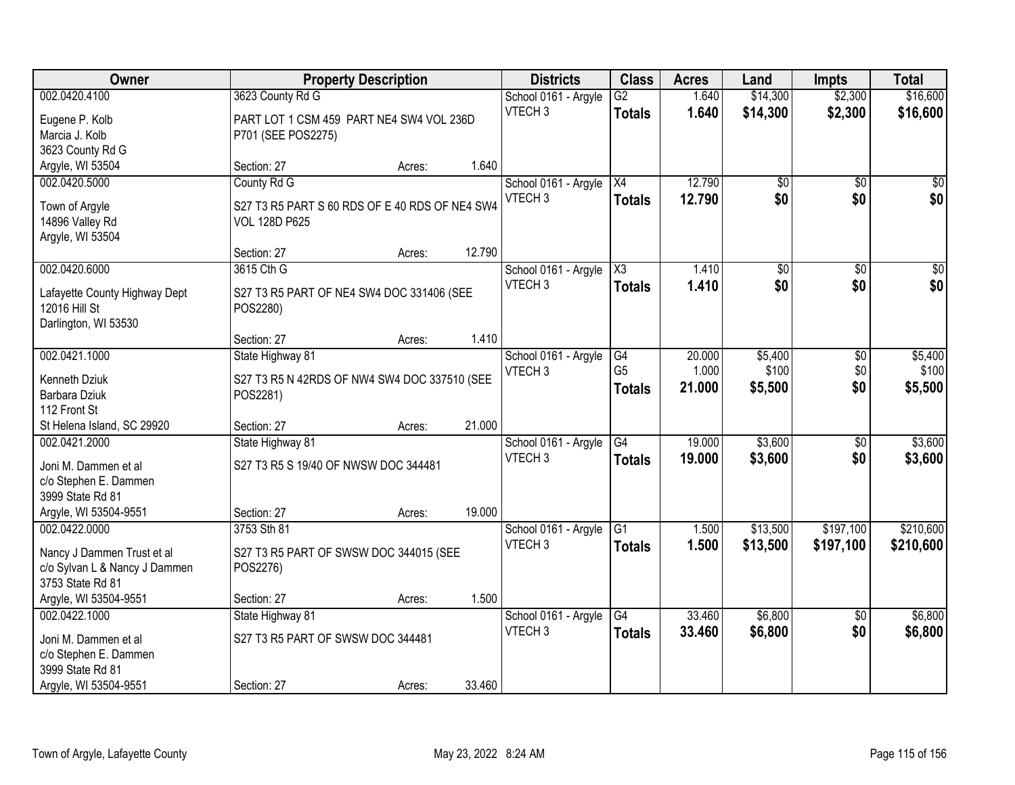| Owner                          |                                                | <b>Property Description</b> |        | <b>Districts</b>     | <b>Class</b>    | <b>Acres</b> | Land            | <b>Impts</b>    | <b>Total</b>     |
|--------------------------------|------------------------------------------------|-----------------------------|--------|----------------------|-----------------|--------------|-----------------|-----------------|------------------|
| 002.0420.4100                  | 3623 County Rd G                               |                             |        | School 0161 - Argyle | $\overline{G2}$ | 1.640        | \$14,300        | \$2,300         | \$16,600         |
| Eugene P. Kolb                 | PART LOT 1 CSM 459 PART NE4 SW4 VOL 236D       |                             |        | VTECH <sub>3</sub>   | <b>Totals</b>   | 1.640        | \$14,300        | \$2,300         | \$16,600         |
| Marcia J. Kolb                 | P701 (SEE POS2275)                             |                             |        |                      |                 |              |                 |                 |                  |
| 3623 County Rd G               |                                                |                             |        |                      |                 |              |                 |                 |                  |
| Argyle, WI 53504               | Section: 27                                    | Acres:                      | 1.640  |                      |                 |              |                 |                 |                  |
| 002.0420.5000                  | County Rd G                                    |                             |        | School 0161 - Argyle | $\overline{X4}$ | 12.790       | \$0             | \$0             | \$0              |
| Town of Argyle                 | S27 T3 R5 PART S 60 RDS OF E 40 RDS OF NE4 SW4 |                             |        | VTECH <sub>3</sub>   | <b>Totals</b>   | 12.790       | \$0             | \$0             | \$0              |
| 14896 Valley Rd                | <b>VOL 128D P625</b>                           |                             |        |                      |                 |              |                 |                 |                  |
| Argyle, WI 53504               |                                                |                             |        |                      |                 |              |                 |                 |                  |
|                                | Section: 27                                    | Acres:                      | 12.790 |                      |                 |              |                 |                 |                  |
| 002.0420.6000                  | 3615 Cth G                                     |                             |        | School 0161 - Argyle | X3              | 1.410        | $\overline{50}$ | \$0             | $\overline{\$0}$ |
| Lafayette County Highway Dept  | S27 T3 R5 PART OF NE4 SW4 DOC 331406 (SEE      |                             |        | VTECH <sub>3</sub>   | <b>Totals</b>   | 1.410        | \$0             | \$0             | \$0              |
| 12016 Hill St                  | POS2280)                                       |                             |        |                      |                 |              |                 |                 |                  |
| Darlington, WI 53530           |                                                |                             |        |                      |                 |              |                 |                 |                  |
|                                | Section: 27                                    | Acres:                      | 1.410  |                      |                 |              |                 |                 |                  |
| 002.0421.1000                  | State Highway 81                               |                             |        | School 0161 - Argyle | G4              | 20.000       | \$5,400         | $\sqrt[6]{3}$   | \$5,400          |
|                                |                                                |                             |        | VTECH <sub>3</sub>   | G <sub>5</sub>  | 1.000        | \$100           | \$0             | \$100            |
| Kenneth Dziuk<br>Barbara Dziuk | S27 T3 R5 N 42RDS OF NW4 SW4 DOC 337510 (SEE   |                             |        |                      | <b>Totals</b>   | 21.000       | \$5,500         | \$0             | \$5,500          |
| 112 Front St                   | POS2281)                                       |                             |        |                      |                 |              |                 |                 |                  |
| St Helena Island, SC 29920     | Section: 27                                    | Acres:                      | 21.000 |                      |                 |              |                 |                 |                  |
| 002.0421.2000                  | State Highway 81                               |                             |        | School 0161 - Argyle | $\overline{G4}$ | 19.000       | \$3,600         | $\overline{50}$ | \$3,600          |
|                                |                                                |                             |        | VTECH <sub>3</sub>   | <b>Totals</b>   | 19,000       | \$3,600         | \$0             | \$3,600          |
| Joni M. Dammen et al           | S27 T3 R5 S 19/40 OF NWSW DOC 344481           |                             |        |                      |                 |              |                 |                 |                  |
| c/o Stephen E. Dammen          |                                                |                             |        |                      |                 |              |                 |                 |                  |
| 3999 State Rd 81               |                                                |                             |        |                      |                 |              |                 |                 |                  |
| Argyle, WI 53504-9551          | Section: 27                                    | Acres:                      | 19.000 |                      |                 |              |                 |                 |                  |
| 002.0422.0000                  | 3753 Sth 81                                    |                             |        | School 0161 - Argyle | G1              | 1.500        | \$13,500        | \$197,100       | \$210,600        |
| Nancy J Dammen Trust et al     | S27 T3 R5 PART OF SWSW DOC 344015 (SEE         |                             |        | VTECH <sub>3</sub>   | <b>Totals</b>   | 1.500        | \$13,500        | \$197,100       | \$210,600        |
| c/o Sylvan L & Nancy J Dammen  | POS2276)                                       |                             |        |                      |                 |              |                 |                 |                  |
| 3753 State Rd 81               |                                                |                             |        |                      |                 |              |                 |                 |                  |
| Argyle, WI 53504-9551          | Section: 27                                    | Acres:                      | 1.500  |                      |                 |              |                 |                 |                  |
| 002.0422.1000                  | State Highway 81                               |                             |        | School 0161 - Argyle | G4              | 33.460       | \$6,800         | $\overline{30}$ | \$6,800          |
| Joni M. Dammen et al           | S27 T3 R5 PART OF SWSW DOC 344481              |                             |        | VTECH <sub>3</sub>   | <b>Totals</b>   | 33.460       | \$6,800         | \$0             | \$6,800          |
| c/o Stephen E. Dammen          |                                                |                             |        |                      |                 |              |                 |                 |                  |
| 3999 State Rd 81               |                                                |                             |        |                      |                 |              |                 |                 |                  |
| Argyle, WI 53504-9551          | Section: 27                                    | Acres:                      | 33.460 |                      |                 |              |                 |                 |                  |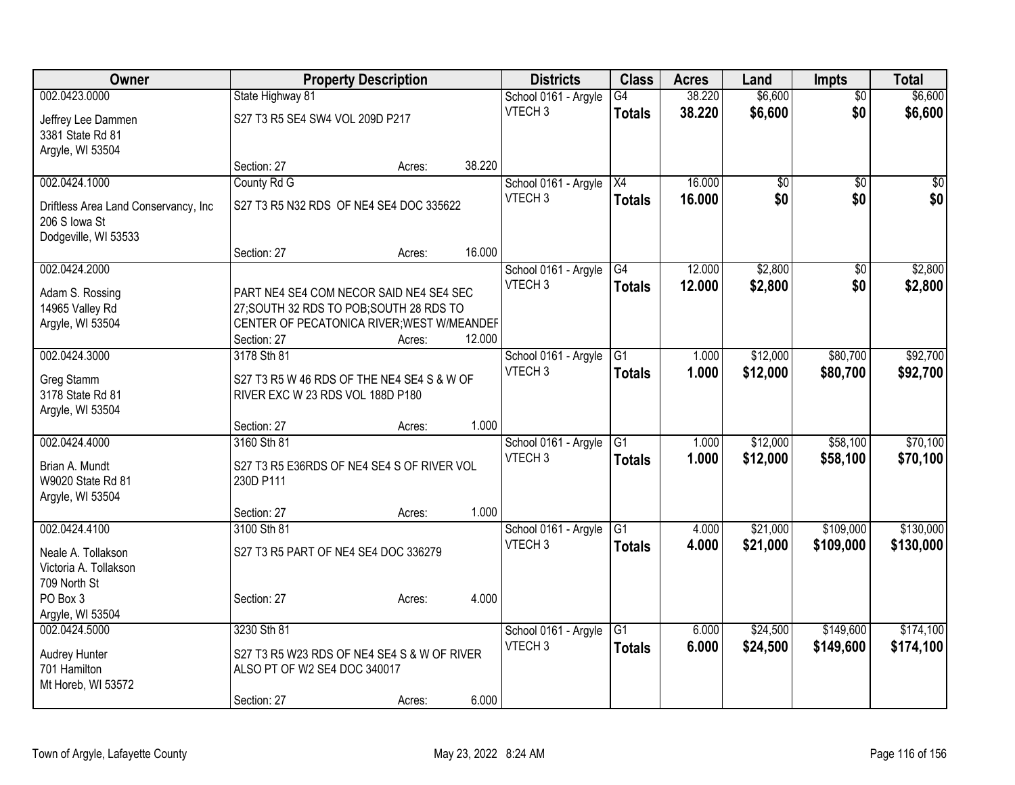| Owner                                |                                             | <b>Property Description</b> |        | <b>Districts</b>     | <b>Class</b>    | <b>Acres</b> | Land     | <b>Impts</b>    | <b>Total</b> |
|--------------------------------------|---------------------------------------------|-----------------------------|--------|----------------------|-----------------|--------------|----------|-----------------|--------------|
| 002.0423.0000                        | State Highway 81                            |                             |        | School 0161 - Argyle | $\overline{G4}$ | 38.220       | \$6,600  | $\overline{50}$ | \$6,600      |
| Jeffrey Lee Dammen                   | S27 T3 R5 SE4 SW4 VOL 209D P217             |                             |        | VTECH <sub>3</sub>   | <b>Totals</b>   | 38.220       | \$6,600  | \$0             | \$6,600      |
| 3381 State Rd 81                     |                                             |                             |        |                      |                 |              |          |                 |              |
| Argyle, WI 53504                     |                                             |                             |        |                      |                 |              |          |                 |              |
|                                      | Section: 27                                 | Acres:                      | 38.220 |                      |                 |              |          |                 |              |
| 002.0424.1000                        | County Rd G                                 |                             |        | School 0161 - Argyle | X4              | 16.000       | \$0      | $\overline{50}$ | $\sqrt{50}$  |
| Driftless Area Land Conservancy, Inc | S27 T3 R5 N32 RDS OF NE4 SE4 DOC 335622     |                             |        | VTECH <sub>3</sub>   | <b>Totals</b>   | 16.000       | \$0      | \$0             | \$0          |
| 206 S lowa St                        |                                             |                             |        |                      |                 |              |          |                 |              |
| Dodgeville, WI 53533                 |                                             |                             |        |                      |                 |              |          |                 |              |
|                                      | Section: 27                                 | Acres:                      | 16.000 |                      |                 |              |          |                 |              |
| 002.0424.2000                        |                                             |                             |        | School 0161 - Argyle | G4              | 12.000       | \$2,800  | \$0             | \$2,800      |
| Adam S. Rossing                      | PART NE4 SE4 COM NECOR SAID NE4 SE4 SEC     |                             |        | VTECH <sub>3</sub>   | <b>Totals</b>   | 12.000       | \$2,800  | \$0             | \$2,800      |
| 14965 Valley Rd                      | 27; SOUTH 32 RDS TO POB; SOUTH 28 RDS TO    |                             |        |                      |                 |              |          |                 |              |
| Argyle, WI 53504                     | CENTER OF PECATONICA RIVER; WEST W/MEANDEF  |                             |        |                      |                 |              |          |                 |              |
|                                      | Section: 27                                 | Acres:                      | 12.000 |                      |                 |              |          |                 |              |
| 002.0424.3000                        | 3178 Sth 81                                 |                             |        | School 0161 - Argyle | $\overline{G1}$ | 1.000        | \$12,000 | \$80,700        | \$92,700     |
| Greg Stamm                           | S27 T3 R5 W 46 RDS OF THE NE4 SE4 S & W OF  |                             |        | VTECH <sub>3</sub>   | Totals          | 1.000        | \$12,000 | \$80,700        | \$92,700     |
| 3178 State Rd 81                     | RIVER EXC W 23 RDS VOL 188D P180            |                             |        |                      |                 |              |          |                 |              |
| Argyle, WI 53504                     |                                             |                             |        |                      |                 |              |          |                 |              |
|                                      | Section: 27                                 | Acres:                      | 1.000  |                      |                 |              |          |                 |              |
| 002.0424.4000                        | 3160 Sth 81                                 |                             |        | School 0161 - Argyle | $\overline{G1}$ | 1.000        | \$12,000 | \$58,100        | \$70,100     |
| Brian A. Mundt                       | S27 T3 R5 E36RDS OF NE4 SE4 S OF RIVER VOL  |                             |        | VTECH <sub>3</sub>   | <b>Totals</b>   | 1.000        | \$12,000 | \$58,100        | \$70,100     |
| W9020 State Rd 81                    | 230D P111                                   |                             |        |                      |                 |              |          |                 |              |
| Argyle, WI 53504                     |                                             |                             |        |                      |                 |              |          |                 |              |
|                                      | Section: 27                                 | Acres:                      | 1.000  |                      |                 |              |          |                 |              |
| 002.0424.4100                        | 3100 Sth 81                                 |                             |        | School 0161 - Argyle | $\overline{G1}$ | 4.000        | \$21,000 | \$109,000       | \$130,000    |
| Neale A. Tollakson                   | S27 T3 R5 PART OF NE4 SE4 DOC 336279        |                             |        | VTECH <sub>3</sub>   | <b>Totals</b>   | 4.000        | \$21,000 | \$109,000       | \$130,000    |
| Victoria A. Tollakson                |                                             |                             |        |                      |                 |              |          |                 |              |
| 709 North St                         |                                             |                             |        |                      |                 |              |          |                 |              |
| PO Box 3                             | Section: 27                                 | Acres:                      | 4.000  |                      |                 |              |          |                 |              |
| Argyle, WI 53504<br>002.0424.5000    | 3230 Sth 81                                 |                             |        | School 0161 - Argyle | $\overline{G1}$ | 6.000        | \$24,500 | \$149,600       | \$174,100    |
|                                      |                                             |                             |        | VTECH <sub>3</sub>   | <b>Totals</b>   | 6.000        | \$24,500 | \$149,600       | \$174,100    |
| <b>Audrey Hunter</b>                 | S27 T3 R5 W23 RDS OF NE4 SE4 S & W OF RIVER |                             |        |                      |                 |              |          |                 |              |
| 701 Hamilton                         | ALSO PT OF W2 SE4 DOC 340017                |                             |        |                      |                 |              |          |                 |              |
| Mt Horeb, WI 53572                   | Section: 27                                 |                             | 6.000  |                      |                 |              |          |                 |              |
|                                      |                                             | Acres:                      |        |                      |                 |              |          |                 |              |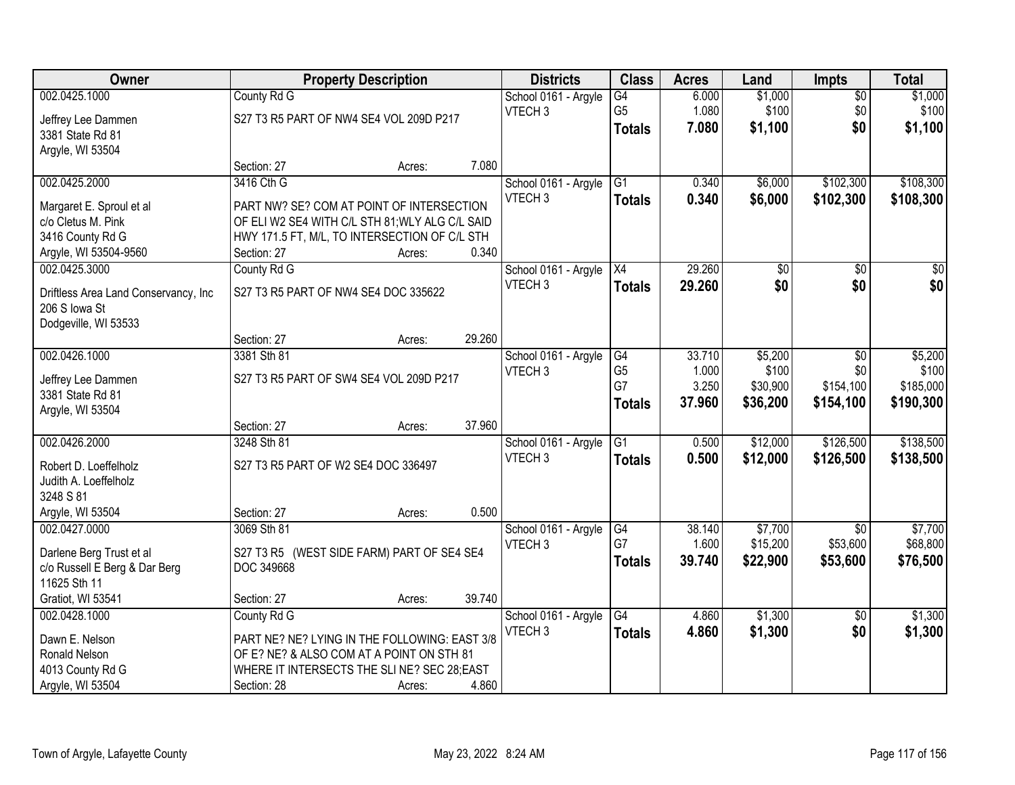| <b>Owner</b>                                          |                                                            | <b>Property Description</b> |        | <b>Districts</b>     | <b>Class</b>    | <b>Acres</b> | Land            | <b>Impts</b>    | <b>Total</b>    |
|-------------------------------------------------------|------------------------------------------------------------|-----------------------------|--------|----------------------|-----------------|--------------|-----------------|-----------------|-----------------|
| 002.0425.1000                                         | County Rd G                                                |                             |        | School 0161 - Argyle | $\overline{G4}$ | 6.000        | \$1,000         | $\overline{50}$ | \$1,000         |
| Jeffrey Lee Dammen                                    | S27 T3 R5 PART OF NW4 SE4 VOL 209D P217                    |                             |        | VTECH <sub>3</sub>   | G <sub>5</sub>  | 1.080        | \$100           | \$0             | \$100           |
| 3381 State Rd 81                                      |                                                            |                             |        |                      | <b>Totals</b>   | 7.080        | \$1,100         | \$0             | \$1,100         |
| Argyle, WI 53504                                      |                                                            |                             |        |                      |                 |              |                 |                 |                 |
|                                                       | Section: 27                                                | Acres:                      | 7.080  |                      |                 |              |                 |                 |                 |
| 002.0425.2000                                         | 3416 Cth G                                                 |                             |        | School 0161 - Argyle | $\overline{G1}$ | 0.340        | \$6,000         | \$102,300       | \$108,300       |
| Margaret E. Sproul et al                              | PART NW? SE? COM AT POINT OF INTERSECTION                  |                             |        | VTECH <sub>3</sub>   | <b>Totals</b>   | 0.340        | \$6,000         | \$102,300       | \$108,300       |
| c/o Cletus M. Pink                                    | OF ELI W2 SE4 WITH C/L STH 81; WLY ALG C/L SAID            |                             |        |                      |                 |              |                 |                 |                 |
| 3416 County Rd G                                      | HWY 171.5 FT, M/L, TO INTERSECTION OF C/L STH              |                             |        |                      |                 |              |                 |                 |                 |
| Argyle, WI 53504-9560                                 | Section: 27                                                | Acres:                      | 0.340  |                      |                 |              |                 |                 |                 |
| 002.0425.3000                                         | County Rd G                                                |                             |        | School 0161 - Argyle | X4              | 29.260       | $\overline{50}$ | $\sqrt[6]{}$    | $\overline{30}$ |
|                                                       | S27 T3 R5 PART OF NW4 SE4 DOC 335622                       |                             |        | VTECH <sub>3</sub>   | <b>Totals</b>   | 29.260       | \$0             | \$0             | \$0             |
| Driftless Area Land Conservancy, Inc<br>206 S Iowa St |                                                            |                             |        |                      |                 |              |                 |                 |                 |
| Dodgeville, WI 53533                                  |                                                            |                             |        |                      |                 |              |                 |                 |                 |
|                                                       | Section: 27                                                | Acres:                      | 29.260 |                      |                 |              |                 |                 |                 |
| 002.0426.1000                                         | 3381 Sth 81                                                |                             |        | School 0161 - Argyle | G4              | 33.710       | \$5,200         | \$0             | \$5,200         |
|                                                       |                                                            |                             |        | VTECH <sub>3</sub>   | G <sub>5</sub>  | 1.000        | \$100           | \$0             | \$100           |
| Jeffrey Lee Dammen<br>3381 State Rd 81                | S27 T3 R5 PART OF SW4 SE4 VOL 209D P217                    |                             |        |                      | G7              | 3.250        | \$30,900        | \$154,100       | \$185,000       |
| Argyle, WI 53504                                      |                                                            |                             |        |                      | <b>Totals</b>   | 37.960       | \$36,200        | \$154,100       | \$190,300       |
|                                                       | Section: 27                                                | Acres:                      | 37.960 |                      |                 |              |                 |                 |                 |
| 002.0426.2000                                         | 3248 Sth 81                                                |                             |        | School 0161 - Argyle | $\overline{G1}$ | 0.500        | \$12,000        | \$126,500       | \$138,500       |
|                                                       |                                                            |                             |        | VTECH <sub>3</sub>   | <b>Totals</b>   | 0.500        | \$12,000        | \$126,500       | \$138,500       |
| Robert D. Loeffelholz<br>Judith A. Loeffelholz        | S27 T3 R5 PART OF W2 SE4 DOC 336497                        |                             |        |                      |                 |              |                 |                 |                 |
| 3248 S 81                                             |                                                            |                             |        |                      |                 |              |                 |                 |                 |
| Argyle, WI 53504                                      | Section: 27                                                | Acres:                      | 0.500  |                      |                 |              |                 |                 |                 |
| 002.0427.0000                                         | 3069 Sth 81                                                |                             |        | School 0161 - Argyle | G4              | 38.140       | \$7,700         | $\overline{50}$ | \$7,700         |
|                                                       |                                                            |                             |        | VTECH <sub>3</sub>   | G7              | 1.600        | \$15,200        | \$53,600        | \$68,800        |
| Darlene Berg Trust et al                              | S27 T3 R5 (WEST SIDE FARM) PART OF SE4 SE4                 |                             |        |                      | Totals          | 39.740       | \$22,900        | \$53,600        | \$76,500        |
| c/o Russell E Berg & Dar Berg<br>11625 Sth 11         | DOC 349668                                                 |                             |        |                      |                 |              |                 |                 |                 |
| Gratiot, WI 53541                                     | Section: 27                                                | Acres:                      | 39.740 |                      |                 |              |                 |                 |                 |
| 002.0428.1000                                         | County Rd G                                                |                             |        | School 0161 - Argyle | G4              | 4.860        | \$1,300         | $\overline{30}$ | \$1,300         |
|                                                       |                                                            |                             |        | VTECH <sub>3</sub>   | <b>Totals</b>   | 4.860        | \$1,300         | \$0             | \$1,300         |
| Dawn E. Nelson                                        | PART NE? NE? LYING IN THE FOLLOWING: EAST 3/8              |                             |        |                      |                 |              |                 |                 |                 |
| Ronald Nelson                                         | OF E? NE? & ALSO COM AT A POINT ON STH 81                  |                             |        |                      |                 |              |                 |                 |                 |
| 4013 County Rd G                                      | WHERE IT INTERSECTS THE SLINE? SEC 28; EAST<br>Section: 28 |                             | 4.860  |                      |                 |              |                 |                 |                 |
| Argyle, WI 53504                                      |                                                            | Acres:                      |        |                      |                 |              |                 |                 |                 |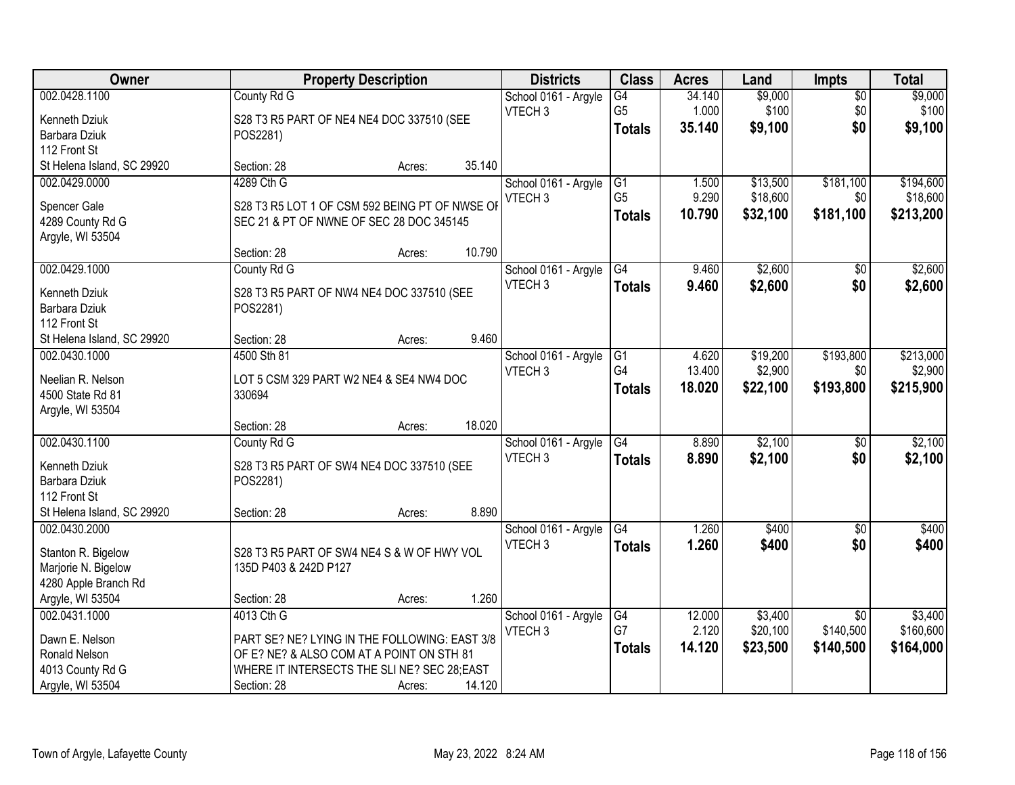| Owner                      |                                                | <b>Property Description</b> |        | <b>Districts</b>     | <b>Class</b>    | <b>Acres</b> | Land     | Impts           | <b>Total</b> |
|----------------------------|------------------------------------------------|-----------------------------|--------|----------------------|-----------------|--------------|----------|-----------------|--------------|
| 002.0428.1100              | County Rd G                                    |                             |        | School 0161 - Argyle | $\overline{G4}$ | 34.140       | \$9,000  | $\overline{50}$ | \$9,000      |
| Kenneth Dziuk              | S28 T3 R5 PART OF NE4 NE4 DOC 337510 (SEE      |                             |        | VTECH <sub>3</sub>   | G <sub>5</sub>  | 1.000        | \$100    | \$0             | \$100        |
| Barbara Dziuk              | POS2281)                                       |                             |        |                      | <b>Totals</b>   | 35.140       | \$9,100  | \$0             | \$9,100      |
| 112 Front St               |                                                |                             |        |                      |                 |              |          |                 |              |
| St Helena Island, SC 29920 | Section: 28                                    | Acres:                      | 35.140 |                      |                 |              |          |                 |              |
| 002.0429.0000              | 4289 Cth G                                     |                             |        | School 0161 - Argyle | $\overline{G1}$ | 1.500        | \$13,500 | \$181,100       | \$194,600    |
|                            |                                                |                             |        | VTECH <sub>3</sub>   | G <sub>5</sub>  | 9.290        | \$18,600 | \$0             | \$18,600     |
| Spencer Gale               | S28 T3 R5 LOT 1 OF CSM 592 BEING PT OF NWSE OF |                             |        |                      | <b>Totals</b>   | 10.790       | \$32,100 | \$181,100       | \$213,200    |
| 4289 County Rd G           | SEC 21 & PT OF NWNE OF SEC 28 DOC 345145       |                             |        |                      |                 |              |          |                 |              |
| Argyle, WI 53504           |                                                |                             | 10.790 |                      |                 |              |          |                 |              |
|                            | Section: 28                                    | Acres:                      |        |                      |                 |              |          |                 |              |
| 002.0429.1000              | County Rd G                                    |                             |        | School 0161 - Argyle | G4              | 9.460        | \$2,600  | $\sqrt[6]{}$    | \$2,600      |
| Kenneth Dziuk              | S28 T3 R5 PART OF NW4 NE4 DOC 337510 (SEE      |                             |        | VTECH <sub>3</sub>   | <b>Totals</b>   | 9.460        | \$2,600  | \$0             | \$2,600      |
| Barbara Dziuk              | POS2281)                                       |                             |        |                      |                 |              |          |                 |              |
| 112 Front St               |                                                |                             |        |                      |                 |              |          |                 |              |
| St Helena Island, SC 29920 | Section: 28                                    | Acres:                      | 9.460  |                      |                 |              |          |                 |              |
| 002.0430.1000              | 4500 Sth 81                                    |                             |        | School 0161 - Argyle | G1              | 4.620        | \$19,200 | \$193,800       | \$213,000    |
| Neelian R. Nelson          | LOT 5 CSM 329 PART W2 NE4 & SE4 NW4 DOC        |                             |        | VTECH <sub>3</sub>   | G <sub>4</sub>  | 13.400       | \$2,900  | \$0             | \$2,900      |
| 4500 State Rd 81           | 330694                                         |                             |        |                      | <b>Totals</b>   | 18.020       | \$22,100 | \$193,800       | \$215,900    |
| Argyle, WI 53504           |                                                |                             |        |                      |                 |              |          |                 |              |
|                            | Section: 28                                    | Acres:                      | 18.020 |                      |                 |              |          |                 |              |
| 002.0430.1100              | County Rd G                                    |                             |        | School 0161 - Argyle | G4              | 8.890        | \$2,100  | \$0             | \$2,100      |
|                            |                                                |                             |        | VTECH <sub>3</sub>   | <b>Totals</b>   | 8.890        | \$2,100  | \$0             | \$2,100      |
| Kenneth Dziuk              | S28 T3 R5 PART OF SW4 NE4 DOC 337510 (SEE      |                             |        |                      |                 |              |          |                 |              |
| Barbara Dziuk              | POS2281)                                       |                             |        |                      |                 |              |          |                 |              |
| 112 Front St               |                                                |                             |        |                      |                 |              |          |                 |              |
| St Helena Island, SC 29920 | Section: 28                                    | Acres:                      | 8.890  |                      |                 |              |          |                 |              |
| 002.0430.2000              |                                                |                             |        | School 0161 - Argyle | G4              | 1.260        | \$400    | $\sqrt{$0}$     | \$400        |
| Stanton R. Bigelow         | S28 T3 R5 PART OF SW4 NE4 S & W OF HWY VOL     |                             |        | VTECH <sub>3</sub>   | <b>Totals</b>   | 1.260        | \$400    | \$0             | \$400        |
| Marjorie N. Bigelow        | 135D P403 & 242D P127                          |                             |        |                      |                 |              |          |                 |              |
| 4280 Apple Branch Rd       |                                                |                             |        |                      |                 |              |          |                 |              |
| Argyle, WI 53504           | Section: 28                                    | Acres:                      | 1.260  |                      |                 |              |          |                 |              |
| 002.0431.1000              | 4013 Cth G                                     |                             |        | School 0161 - Argyle | G4              | 12.000       | \$3,400  | $\overline{30}$ | \$3,400      |
| Dawn E. Nelson             | PART SE? NE? LYING IN THE FOLLOWING: EAST 3/8  |                             |        | VTECH <sub>3</sub>   | G7              | 2.120        | \$20,100 | \$140,500       | \$160,600    |
| Ronald Nelson              | OF E? NE? & ALSO COM AT A POINT ON STH 81      |                             |        |                      | <b>Totals</b>   | 14.120       | \$23,500 | \$140,500       | \$164,000    |
| 4013 County Rd G           | WHERE IT INTERSECTS THE SLINE? SEC 28; EAST    |                             |        |                      |                 |              |          |                 |              |
| Argyle, WI 53504           | Section: 28                                    | Acres:                      | 14.120 |                      |                 |              |          |                 |              |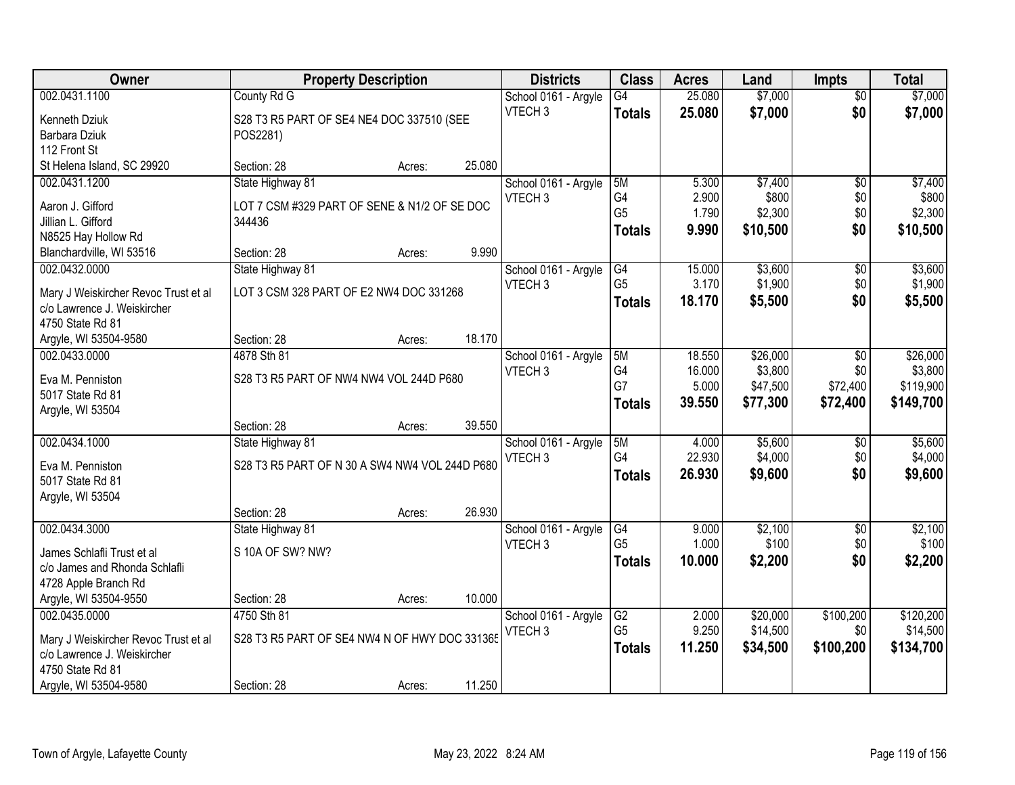| Owner                                  | <b>Property Description</b>                    |        |        | <b>Districts</b>                           | <b>Class</b>   | <b>Acres</b> | Land     | <b>Impts</b>    | <b>Total</b> |
|----------------------------------------|------------------------------------------------|--------|--------|--------------------------------------------|----------------|--------------|----------|-----------------|--------------|
| 002.0431.1100                          | County Rd G                                    |        |        | School 0161 - Argyle                       | G4             | 25.080       | \$7,000  | $\overline{30}$ | \$7,000      |
| Kenneth Dziuk                          | S28 T3 R5 PART OF SE4 NE4 DOC 337510 (SEE      |        |        | VTECH <sub>3</sub>                         | <b>Totals</b>  | 25.080       | \$7,000  | \$0             | \$7,000      |
| Barbara Dziuk                          | POS2281)                                       |        |        |                                            |                |              |          |                 |              |
| 112 Front St                           |                                                |        |        |                                            |                |              |          |                 |              |
| St Helena Island, SC 29920             | Section: 28                                    | Acres: | 25.080 |                                            |                |              |          |                 |              |
| 002.0431.1200                          | State Highway 81                               |        |        | School 0161 - Argyle                       | 5M             | 5.300        | \$7,400  | $\overline{50}$ | \$7,400      |
| Aaron J. Gifford                       | LOT 7 CSM #329 PART OF SENE & N1/2 OF SE DOC   |        |        | VTECH <sub>3</sub>                         | G4             | 2.900        | \$800    | \$0             | \$800        |
| Jillian L. Gifford                     | 344436                                         |        |        |                                            | G <sub>5</sub> | 1.790        | \$2,300  | \$0             | \$2,300      |
| N8525 Hay Hollow Rd                    |                                                |        |        |                                            | <b>Totals</b>  | 9.990        | \$10,500 | \$0             | \$10,500     |
| Blanchardville, WI 53516               | Section: 28                                    | Acres: | 9.990  |                                            |                |              |          |                 |              |
| 002.0432.0000                          | State Highway 81                               |        |        | School 0161 - Argyle                       | G4             | 15.000       | \$3,600  | $\overline{50}$ | \$3,600      |
|                                        |                                                |        |        | VTECH <sub>3</sub>                         | G <sub>5</sub> | 3.170        | \$1,900  | \$0             | \$1,900      |
| Mary J Weiskircher Revoc Trust et al   | LOT 3 CSM 328 PART OF E2 NW4 DOC 331268        |        |        |                                            | <b>Totals</b>  | 18.170       | \$5,500  | \$0             | \$5,500      |
| c/o Lawrence J. Weiskircher            |                                                |        |        |                                            |                |              |          |                 |              |
| 4750 State Rd 81                       |                                                |        | 18.170 |                                            |                |              |          |                 |              |
| Argyle, WI 53504-9580<br>002.0433.0000 | Section: 28<br>4878 Sth 81                     | Acres: |        |                                            | 5M             | 18.550       | \$26,000 |                 | \$26,000     |
|                                        |                                                |        |        | School 0161 - Argyle<br>VTECH <sub>3</sub> | G4             | 16.000       | \$3,800  | \$0<br>\$0      | \$3,800      |
| Eva M. Penniston                       | S28 T3 R5 PART OF NW4 NW4 VOL 244D P680        |        |        |                                            | G7             | 5.000        | \$47,500 | \$72,400        | \$119,900    |
| 5017 State Rd 81                       |                                                |        |        |                                            | <b>Totals</b>  | 39.550       | \$77,300 | \$72,400        | \$149,700    |
| Argyle, WI 53504                       |                                                |        |        |                                            |                |              |          |                 |              |
|                                        | Section: 28                                    | Acres: | 39.550 |                                            |                |              |          |                 |              |
| 002.0434.1000                          | State Highway 81                               |        |        | School 0161 - Argyle                       | 5M             | 4.000        | \$5,600  | $\overline{50}$ | \$5,600      |
| Eva M. Penniston                       | S28 T3 R5 PART OF N 30 A SW4 NW4 VOL 244D P680 |        |        | VTECH <sub>3</sub>                         | G4             | 22.930       | \$4,000  | \$0             | \$4,000      |
| 5017 State Rd 81                       |                                                |        |        |                                            | <b>Totals</b>  | 26.930       | \$9,600  | \$0             | \$9,600      |
| Argyle, WI 53504                       |                                                |        |        |                                            |                |              |          |                 |              |
|                                        | Section: 28                                    | Acres: | 26.930 |                                            |                |              |          |                 |              |
| 002.0434.3000                          | State Highway 81                               |        |        | School 0161 - Argyle                       | G4             | 9.000        | \$2,100  | $\sqrt{6}$      | \$2,100      |
| James Schlafli Trust et al             | S 10A OF SW? NW?                               |        |        | VTECH <sub>3</sub>                         | G <sub>5</sub> | 1.000        | \$100    | \$0             | \$100        |
| c/o James and Rhonda Schlafli          |                                                |        |        |                                            | <b>Totals</b>  | 10.000       | \$2,200  | \$0             | \$2,200      |
| 4728 Apple Branch Rd                   |                                                |        |        |                                            |                |              |          |                 |              |
| Argyle, WI 53504-9550                  | Section: 28                                    | Acres: | 10.000 |                                            |                |              |          |                 |              |
| 002.0435.0000                          | 4750 Sth 81                                    |        |        | School 0161 - Argyle                       | G2             | 2.000        | \$20,000 | \$100,200       | \$120,200    |
|                                        |                                                |        |        | VTECH <sub>3</sub>                         | G <sub>5</sub> | 9.250        | \$14,500 | \$0             | \$14,500     |
| Mary J Weiskircher Revoc Trust et al   | S28 T3 R5 PART OF SE4 NW4 N OF HWY DOC 331365  |        |        |                                            | <b>Totals</b>  | 11.250       | \$34,500 | \$100,200       | \$134,700    |
| c/o Lawrence J. Weiskircher            |                                                |        |        |                                            |                |              |          |                 |              |
| 4750 State Rd 81                       |                                                |        | 11.250 |                                            |                |              |          |                 |              |
| Argyle, WI 53504-9580                  | Section: 28                                    | Acres: |        |                                            |                |              |          |                 |              |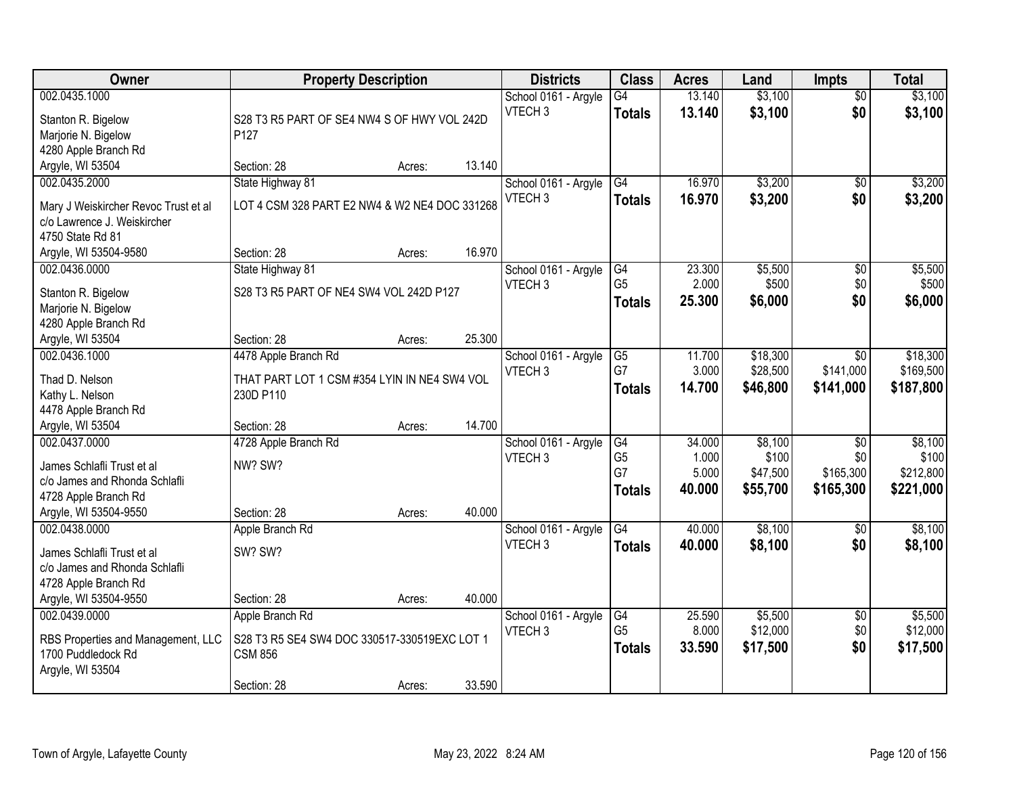| Owner                                                               |                                               | <b>Property Description</b> |        | <b>Districts</b>     | <b>Class</b>    | <b>Acres</b> | Land     | <b>Impts</b>    | <b>Total</b> |
|---------------------------------------------------------------------|-----------------------------------------------|-----------------------------|--------|----------------------|-----------------|--------------|----------|-----------------|--------------|
| 002.0435.1000                                                       |                                               |                             |        | School 0161 - Argyle | $\overline{G4}$ | 13.140       | \$3,100  | $\overline{30}$ | \$3,100      |
| Stanton R. Bigelow                                                  | S28 T3 R5 PART OF SE4 NW4 S OF HWY VOL 242D   |                             |        | VTECH <sub>3</sub>   | <b>Totals</b>   | 13.140       | \$3,100  | \$0             | \$3,100      |
| Marjorie N. Bigelow                                                 | P127                                          |                             |        |                      |                 |              |          |                 |              |
| 4280 Apple Branch Rd                                                |                                               |                             |        |                      |                 |              |          |                 |              |
| Argyle, WI 53504                                                    | Section: 28                                   | Acres:                      | 13.140 |                      |                 |              |          |                 |              |
| 002.0435.2000                                                       | State Highway 81                              |                             |        | School 0161 - Argyle | $\overline{G4}$ | 16.970       | \$3,200  | $\overline{50}$ | \$3,200      |
|                                                                     | LOT 4 CSM 328 PART E2 NW4 & W2 NE4 DOC 331268 |                             |        | VTECH <sub>3</sub>   | <b>Totals</b>   | 16.970       | \$3,200  | \$0             | \$3,200      |
| Mary J Weiskircher Revoc Trust et al<br>c/o Lawrence J. Weiskircher |                                               |                             |        |                      |                 |              |          |                 |              |
| 4750 State Rd 81                                                    |                                               |                             |        |                      |                 |              |          |                 |              |
| Argyle, WI 53504-9580                                               | Section: 28                                   | Acres:                      | 16.970 |                      |                 |              |          |                 |              |
| 002.0436.0000                                                       | State Highway 81                              |                             |        | School 0161 - Argyle | G4              | 23.300       | \$5,500  | $\overline{50}$ | \$5,500      |
|                                                                     |                                               |                             |        | VTECH <sub>3</sub>   | G <sub>5</sub>  | 2.000        | \$500    | \$0             | \$500        |
| Stanton R. Bigelow                                                  | S28 T3 R5 PART OF NE4 SW4 VOL 242D P127       |                             |        |                      | <b>Totals</b>   | 25.300       | \$6,000  | \$0             | \$6,000      |
| Marjorie N. Bigelow                                                 |                                               |                             |        |                      |                 |              |          |                 |              |
| 4280 Apple Branch Rd                                                |                                               |                             |        |                      |                 |              |          |                 |              |
| Argyle, WI 53504                                                    | Section: 28                                   | Acres:                      | 25.300 |                      |                 |              |          |                 |              |
| 002.0436.1000                                                       | 4478 Apple Branch Rd                          |                             |        | School 0161 - Argyle | G5              | 11.700       | \$18,300 | $\sqrt{6}$      | \$18,300     |
| Thad D. Nelson                                                      | THAT PART LOT 1 CSM #354 LYIN IN NE4 SW4 VOL  |                             |        | VTECH <sub>3</sub>   | G7              | 3.000        | \$28,500 | \$141,000       | \$169,500    |
| Kathy L. Nelson                                                     | 230D P110                                     |                             |        |                      | <b>Totals</b>   | 14.700       | \$46,800 | \$141,000       | \$187,800    |
| 4478 Apple Branch Rd                                                |                                               |                             |        |                      |                 |              |          |                 |              |
| Argyle, WI 53504                                                    | Section: 28                                   | Acres:                      | 14.700 |                      |                 |              |          |                 |              |
| 002.0437.0000                                                       | 4728 Apple Branch Rd                          |                             |        | School 0161 - Argyle | G4              | 34.000       | \$8,100  | $\overline{50}$ | \$8,100      |
|                                                                     |                                               |                             |        | VTECH <sub>3</sub>   | G <sub>5</sub>  | 1.000        | \$100    | \$0             | \$100        |
| James Schlafli Trust et al<br>c/o James and Rhonda Schlafli         | NW? SW?                                       |                             |        |                      | G7              | 5.000        | \$47,500 | \$165,300       | \$212,800    |
| 4728 Apple Branch Rd                                                |                                               |                             |        |                      | <b>Totals</b>   | 40.000       | \$55,700 | \$165,300       | \$221,000    |
| Argyle, WI 53504-9550                                               | Section: 28                                   | Acres:                      | 40.000 |                      |                 |              |          |                 |              |
| 002.0438.0000                                                       | Apple Branch Rd                               |                             |        | School 0161 - Argyle | G4              | 40.000       | \$8,100  | $\overline{50}$ | \$8,100      |
|                                                                     |                                               |                             |        | VTECH <sub>3</sub>   | <b>Totals</b>   | 40.000       | \$8,100  | \$0             | \$8,100      |
| James Schlafli Trust et al                                          | SW? SW?                                       |                             |        |                      |                 |              |          |                 |              |
| c/o James and Rhonda Schlafli                                       |                                               |                             |        |                      |                 |              |          |                 |              |
| 4728 Apple Branch Rd                                                |                                               |                             |        |                      |                 |              |          |                 |              |
| Argyle, WI 53504-9550                                               | Section: 28                                   | Acres:                      | 40.000 |                      |                 |              |          |                 |              |
| 002.0439.0000                                                       | Apple Branch Rd                               |                             |        | School 0161 - Argyle | G4              | 25.590       | \$5,500  | $\overline{30}$ | \$5,500      |
| RBS Properties and Management, LLC                                  | S28 T3 R5 SE4 SW4 DOC 330517-330519EXC LOT 1  |                             |        | VTECH <sub>3</sub>   | G <sub>5</sub>  | 8.000        | \$12,000 | \$0             | \$12,000     |
| 1700 Puddledock Rd                                                  | <b>CSM 856</b>                                |                             |        |                      | <b>Totals</b>   | 33.590       | \$17,500 | \$0             | \$17,500     |
| Argyle, WI 53504                                                    |                                               |                             |        |                      |                 |              |          |                 |              |
|                                                                     | Section: 28                                   | Acres:                      | 33.590 |                      |                 |              |          |                 |              |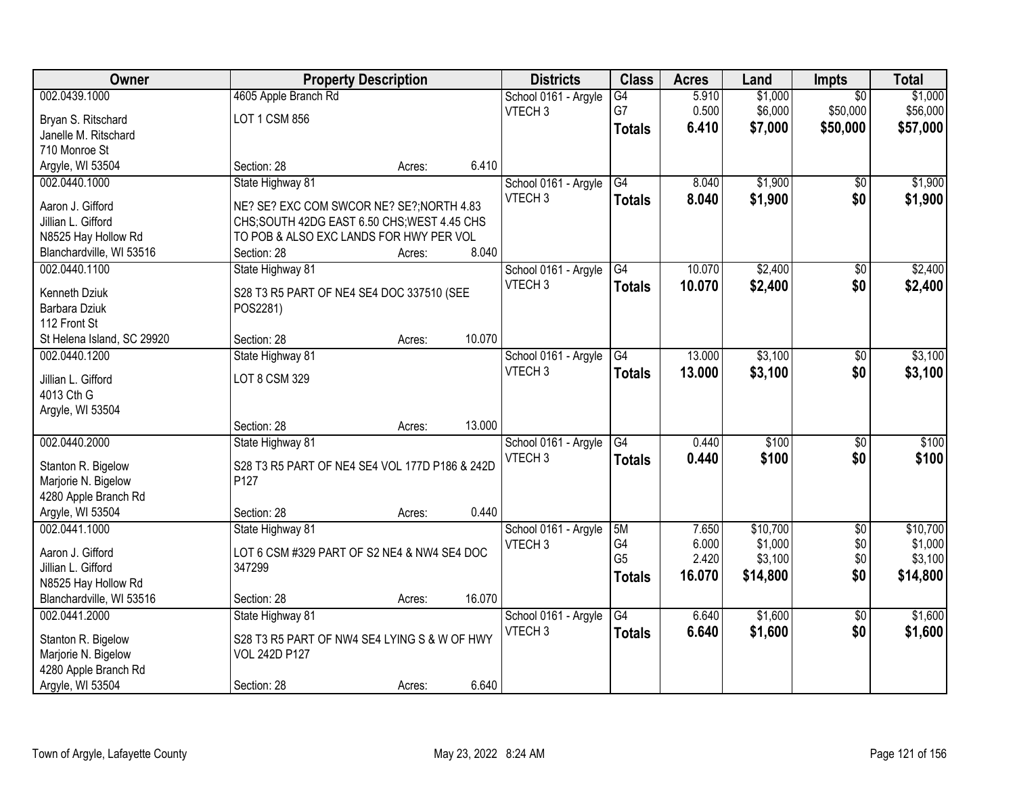| Owner                      |                                                | <b>Property Description</b> |        | <b>Districts</b>     | <b>Class</b>    | <b>Acres</b> | Land     | <b>Impts</b>    | <b>Total</b> |
|----------------------------|------------------------------------------------|-----------------------------|--------|----------------------|-----------------|--------------|----------|-----------------|--------------|
| 002.0439.1000              | 4605 Apple Branch Rd                           |                             |        | School 0161 - Argyle | $\overline{G4}$ | 5.910        | \$1,000  | $\overline{30}$ | \$1,000      |
| Bryan S. Ritschard         | LOT 1 CSM 856                                  |                             |        | VTECH <sub>3</sub>   | G7              | 0.500        | \$6,000  | \$50,000        | \$56,000     |
| Janelle M. Ritschard       |                                                |                             |        |                      | <b>Totals</b>   | 6.410        | \$7,000  | \$50,000        | \$57,000     |
| 710 Monroe St              |                                                |                             |        |                      |                 |              |          |                 |              |
| Argyle, WI 53504           | Section: 28                                    | Acres:                      | 6.410  |                      |                 |              |          |                 |              |
| 002.0440.1000              | State Highway 81                               |                             |        | School 0161 - Argyle | $\overline{G4}$ | 8.040        | \$1,900  | $\overline{50}$ | \$1,900      |
|                            |                                                |                             |        | VTECH <sub>3</sub>   | <b>Totals</b>   | 8.040        | \$1,900  | \$0             | \$1,900      |
| Aaron J. Gifford           | NE? SE? EXC COM SWCOR NE? SE?; NORTH 4.83      |                             |        |                      |                 |              |          |                 |              |
| Jillian L. Gifford         | CHS; SOUTH 42DG EAST 6.50 CHS; WEST 4.45 CHS   |                             |        |                      |                 |              |          |                 |              |
| N8525 Hay Hollow Rd        | TO POB & ALSO EXC LANDS FOR HWY PER VOL        |                             |        |                      |                 |              |          |                 |              |
| Blanchardville, WI 53516   | Section: 28                                    | Acres:                      | 8.040  |                      |                 |              |          |                 |              |
| 002.0440.1100              | State Highway 81                               |                             |        | School 0161 - Argyle | G4              | 10.070       | \$2,400  | \$0             | \$2,400      |
| Kenneth Dziuk              | S28 T3 R5 PART OF NE4 SE4 DOC 337510 (SEE      |                             |        | VTECH <sub>3</sub>   | <b>Totals</b>   | 10.070       | \$2,400  | \$0             | \$2,400      |
| Barbara Dziuk              | POS2281)                                       |                             |        |                      |                 |              |          |                 |              |
| 112 Front St               |                                                |                             |        |                      |                 |              |          |                 |              |
| St Helena Island, SC 29920 | Section: 28                                    | Acres:                      | 10.070 |                      |                 |              |          |                 |              |
| 002.0440.1200              | State Highway 81                               |                             |        | School 0161 - Argyle | G4              | 13.000       | \$3,100  | \$0             | \$3,100      |
|                            |                                                |                             |        | VTECH <sub>3</sub>   | <b>Totals</b>   | 13.000       | \$3,100  | \$0             | \$3,100      |
| Jillian L. Gifford         | LOT 8 CSM 329                                  |                             |        |                      |                 |              |          |                 |              |
| 4013 Cth G                 |                                                |                             |        |                      |                 |              |          |                 |              |
| Argyle, WI 53504           |                                                |                             |        |                      |                 |              |          |                 |              |
|                            | Section: 28                                    | Acres:                      | 13.000 |                      |                 |              |          |                 |              |
| 002.0440.2000              | State Highway 81                               |                             |        | School 0161 - Argyle | G4              | 0.440        | \$100    | $\overline{50}$ | \$100        |
| Stanton R. Bigelow         | S28 T3 R5 PART OF NE4 SE4 VOL 177D P186 & 242D |                             |        | VTECH <sub>3</sub>   | <b>Totals</b>   | 0.440        | \$100    | \$0             | \$100        |
| Marjorie N. Bigelow        | P <sub>127</sub>                               |                             |        |                      |                 |              |          |                 |              |
| 4280 Apple Branch Rd       |                                                |                             |        |                      |                 |              |          |                 |              |
| Argyle, WI 53504           | Section: 28                                    | Acres:                      | 0.440  |                      |                 |              |          |                 |              |
| 002.0441.1000              | State Highway 81                               |                             |        | School 0161 - Argyle | 5M              | 7.650        | \$10,700 | $\sqrt{6}$      | \$10,700     |
|                            |                                                |                             |        | VTECH <sub>3</sub>   | G4              | 6.000        | \$1,000  | \$0             | \$1,000      |
| Aaron J. Gifford           | LOT 6 CSM #329 PART OF S2 NE4 & NW4 SE4 DOC    |                             |        |                      | G <sub>5</sub>  | 2.420        | \$3,100  | \$0             | \$3,100      |
| Jillian L. Gifford         | 347299                                         |                             |        |                      | <b>Totals</b>   | 16.070       | \$14,800 | \$0             | \$14,800     |
| N8525 Hay Hollow Rd        |                                                |                             | 16.070 |                      |                 |              |          |                 |              |
| Blanchardville, WI 53516   | Section: 28                                    | Acres:                      |        |                      |                 |              |          |                 |              |
| 002.0441.2000              | State Highway 81                               |                             |        | School 0161 - Argyle | $\overline{G4}$ | 6.640        | \$1,600  | $\overline{50}$ | \$1,600      |
| Stanton R. Bigelow         | S28 T3 R5 PART OF NW4 SE4 LYING S & W OF HWY   |                             |        | VTECH <sub>3</sub>   | <b>Totals</b>   | 6.640        | \$1,600  | \$0             | \$1,600      |
| Marjorie N. Bigelow        | <b>VOL 242D P127</b>                           |                             |        |                      |                 |              |          |                 |              |
| 4280 Apple Branch Rd       |                                                |                             |        |                      |                 |              |          |                 |              |
| Argyle, WI 53504           | Section: 28                                    | Acres:                      | 6.640  |                      |                 |              |          |                 |              |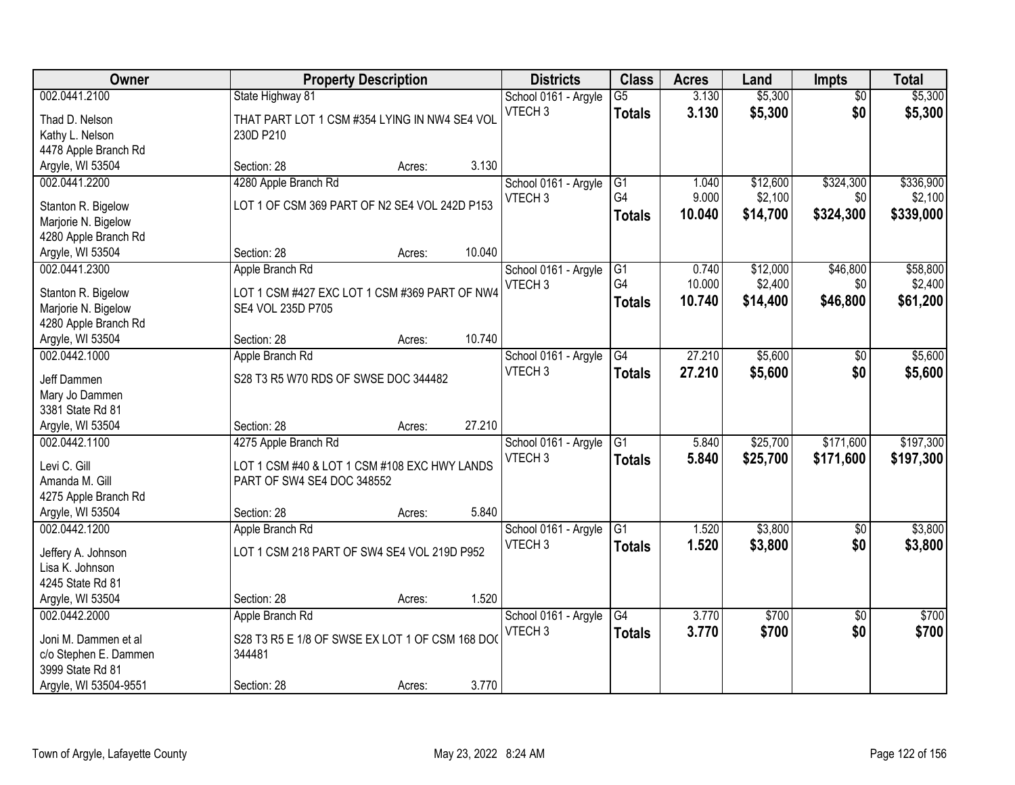| Owner                 |                                                | <b>Property Description</b> |        | <b>Districts</b>     | <b>Class</b>         | <b>Acres</b> | Land     | <b>Impts</b>    | <b>Total</b> |
|-----------------------|------------------------------------------------|-----------------------------|--------|----------------------|----------------------|--------------|----------|-----------------|--------------|
| 002.0441.2100         | State Highway 81                               |                             |        | School 0161 - Argyle | $\overline{G5}$      | 3.130        | \$5,300  | $\overline{30}$ | \$5,300      |
| Thad D. Nelson        | THAT PART LOT 1 CSM #354 LYING IN NW4 SE4 VOL  |                             |        | VTECH <sub>3</sub>   | <b>Totals</b>        | 3.130        | \$5,300  | \$0             | \$5,300      |
| Kathy L. Nelson       | 230D P210                                      |                             |        |                      |                      |              |          |                 |              |
| 4478 Apple Branch Rd  |                                                |                             |        |                      |                      |              |          |                 |              |
| Argyle, WI 53504      | Section: 28                                    | Acres:                      | 3.130  |                      |                      |              |          |                 |              |
| 002.0441.2200         | 4280 Apple Branch Rd                           |                             |        | School 0161 - Argyle | $\overline{G1}$      | 1.040        | \$12,600 | \$324,300       | \$336,900    |
|                       |                                                |                             |        | VTECH <sub>3</sub>   | G4                   | 9.000        | \$2,100  | \$0             | \$2,100      |
| Stanton R. Bigelow    | LOT 1 OF CSM 369 PART OF N2 SE4 VOL 242D P153  |                             |        |                      | <b>Totals</b>        | 10.040       | \$14,700 | \$324,300       | \$339,000    |
| Marjorie N. Bigelow   |                                                |                             |        |                      |                      |              |          |                 |              |
| 4280 Apple Branch Rd  |                                                |                             | 10.040 |                      |                      |              |          |                 |              |
| Argyle, WI 53504      | Section: 28                                    | Acres:                      |        |                      |                      |              |          |                 |              |
| 002.0441.2300         | Apple Branch Rd                                |                             |        | School 0161 - Argyle | G <sub>1</sub><br>G4 | 0.740        | \$12,000 | \$46,800        | \$58,800     |
| Stanton R. Bigelow    | LOT 1 CSM #427 EXC LOT 1 CSM #369 PART OF NW4  |                             |        | VTECH <sub>3</sub>   |                      | 10.000       | \$2,400  | \$0             | \$2,400      |
| Marjorie N. Bigelow   | SE4 VOL 235D P705                              |                             |        |                      | <b>Totals</b>        | 10.740       | \$14,400 | \$46,800        | \$61,200     |
| 4280 Apple Branch Rd  |                                                |                             |        |                      |                      |              |          |                 |              |
| Argyle, WI 53504      | Section: 28                                    | Acres:                      | 10.740 |                      |                      |              |          |                 |              |
| 002.0442.1000         | Apple Branch Rd                                |                             |        | School 0161 - Argyle | G4                   | 27.210       | \$5,600  | \$0             | \$5,600      |
| Jeff Dammen           | S28 T3 R5 W70 RDS OF SWSE DOC 344482           |                             |        | VTECH <sub>3</sub>   | <b>Totals</b>        | 27.210       | \$5,600  | \$0             | \$5,600      |
| Mary Jo Dammen        |                                                |                             |        |                      |                      |              |          |                 |              |
| 3381 State Rd 81      |                                                |                             |        |                      |                      |              |          |                 |              |
| Argyle, WI 53504      | Section: 28                                    | Acres:                      | 27.210 |                      |                      |              |          |                 |              |
| 002.0442.1100         | 4275 Apple Branch Rd                           |                             |        | School 0161 - Argyle | $\overline{G1}$      | 5.840        | \$25,700 | \$171,600       | \$197,300    |
|                       |                                                |                             |        | VTECH <sub>3</sub>   | <b>Totals</b>        | 5.840        | \$25,700 | \$171,600       | \$197,300    |
| Levi C. Gill          | LOT 1 CSM #40 & LOT 1 CSM #108 EXC HWY LANDS   |                             |        |                      |                      |              |          |                 |              |
| Amanda M. Gill        | PART OF SW4 SE4 DOC 348552                     |                             |        |                      |                      |              |          |                 |              |
| 4275 Apple Branch Rd  |                                                |                             |        |                      |                      |              |          |                 |              |
| Argyle, WI 53504      | Section: 28                                    | Acres:                      | 5.840  |                      |                      |              |          |                 |              |
| 002.0442.1200         | Apple Branch Rd                                |                             |        | School 0161 - Argyle | G1                   | 1.520        | \$3,800  | $\sqrt{6}$      | \$3,800      |
| Jeffery A. Johnson    | LOT 1 CSM 218 PART OF SW4 SE4 VOL 219D P952    |                             |        | VTECH <sub>3</sub>   | <b>Totals</b>        | 1.520        | \$3,800  | \$0             | \$3,800      |
| Lisa K. Johnson       |                                                |                             |        |                      |                      |              |          |                 |              |
| 4245 State Rd 81      |                                                |                             |        |                      |                      |              |          |                 |              |
| Argyle, WI 53504      | Section: 28                                    | Acres:                      | 1.520  |                      |                      |              |          |                 |              |
| 002.0442.2000         | Apple Branch Rd                                |                             |        | School 0161 - Argyle | $\overline{G4}$      | 3.770        | \$700    | $\overline{30}$ | \$700        |
|                       |                                                |                             |        | VTECH <sub>3</sub>   | <b>Totals</b>        | 3.770        | \$700    | \$0             | \$700        |
| Joni M. Dammen et al  | S28 T3 R5 E 1/8 OF SWSE EX LOT 1 OF CSM 168 DO |                             |        |                      |                      |              |          |                 |              |
| c/o Stephen E. Dammen | 344481                                         |                             |        |                      |                      |              |          |                 |              |
| 3999 State Rd 81      |                                                |                             |        |                      |                      |              |          |                 |              |
| Argyle, WI 53504-9551 | Section: 28                                    | Acres:                      | 3.770  |                      |                      |              |          |                 |              |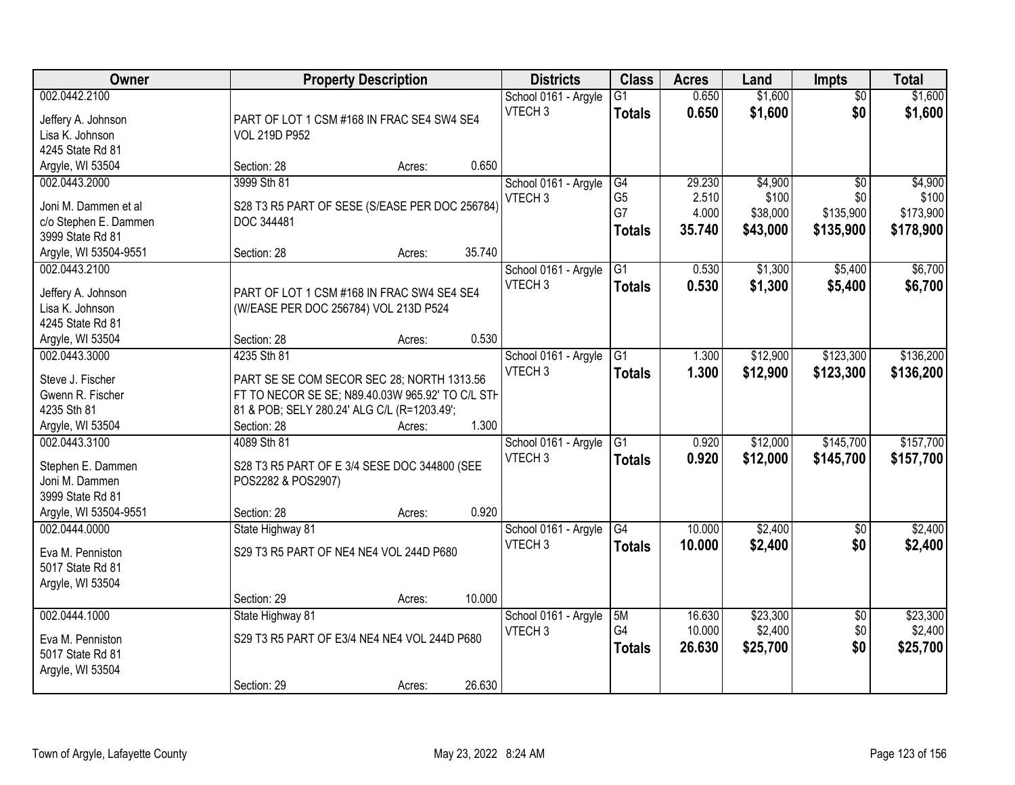| Owner                                                  | <b>Property Description</b>                                        |        | <b>Districts</b>                           | <b>Class</b>                     | <b>Acres</b>   | Land               | <b>Impts</b>           | <b>Total</b>       |
|--------------------------------------------------------|--------------------------------------------------------------------|--------|--------------------------------------------|----------------------------------|----------------|--------------------|------------------------|--------------------|
| 002.0442.2100<br>Jeffery A. Johnson<br>Lisa K. Johnson | PART OF LOT 1 CSM #168 IN FRAC SE4 SW4 SE4<br><b>VOL 219D P952</b> |        | School 0161 - Argyle<br>VTECH <sub>3</sub> | $\overline{G1}$<br><b>Totals</b> | 0.650<br>0.650 | \$1,600<br>\$1,600 | $\overline{50}$<br>\$0 | \$1,600<br>\$1,600 |
| 4245 State Rd 81                                       |                                                                    |        |                                            |                                  |                |                    |                        |                    |
| Argyle, WI 53504                                       | Section: 28<br>Acres:                                              | 0.650  |                                            |                                  |                |                    |                        |                    |
| 002.0443.2000                                          | 3999 Sth 81                                                        |        | School 0161 - Argyle                       | G4                               | 29.230         | \$4,900            | $\overline{50}$        | \$4,900            |
| Joni M. Dammen et al                                   | S28 T3 R5 PART OF SESE (S/EASE PER DOC 256784)                     |        | VTECH <sub>3</sub>                         | G <sub>5</sub>                   | 2.510          | \$100              | \$0                    | \$100              |
| c/o Stephen E. Dammen                                  | DOC 344481                                                         |        |                                            | G7                               | 4.000          | \$38,000           | \$135,900              | \$173,900          |
| 3999 State Rd 81                                       |                                                                    |        |                                            | <b>Totals</b>                    | 35.740         | \$43,000           | \$135,900              | \$178,900          |
| Argyle, WI 53504-9551                                  | Section: 28<br>Acres:                                              | 35.740 |                                            |                                  |                |                    |                        |                    |
| 002.0443.2100                                          |                                                                    |        | School 0161 - Argyle                       | G1                               | 0.530          | \$1,300            | \$5,400                | \$6,700            |
|                                                        |                                                                    |        | VTECH <sub>3</sub>                         | <b>Totals</b>                    | 0.530          | \$1,300            | \$5,400                | \$6,700            |
| Jeffery A. Johnson                                     | PART OF LOT 1 CSM #168 IN FRAC SW4 SE4 SE4                         |        |                                            |                                  |                |                    |                        |                    |
| Lisa K. Johnson                                        | (W/EASE PER DOC 256784) VOL 213D P524                              |        |                                            |                                  |                |                    |                        |                    |
| 4245 State Rd 81                                       |                                                                    | 0.530  |                                            |                                  |                |                    |                        |                    |
| Argyle, WI 53504                                       | Section: 28<br>Acres:                                              |        |                                            |                                  |                |                    |                        |                    |
| 002.0443.3000                                          | 4235 Sth 81                                                        |        | School 0161 - Argyle<br>VTECH <sub>3</sub> | G1                               | 1.300          | \$12,900           | \$123,300              | \$136,200          |
| Steve J. Fischer                                       | PART SE SE COM SECOR SEC 28; NORTH 1313.56                         |        |                                            | <b>Totals</b>                    | 1.300          | \$12,900           | \$123,300              | \$136,200          |
| Gwenn R. Fischer                                       | FT TO NECOR SE SE; N89.40.03W 965.92' TO C/L STH                   |        |                                            |                                  |                |                    |                        |                    |
| 4235 Sth 81                                            | 81 & POB; SELY 280.24' ALG C/L (R=1203.49';                        |        |                                            |                                  |                |                    |                        |                    |
| Argyle, WI 53504                                       | Section: 28<br>Acres:                                              | 1.300  |                                            |                                  |                |                    |                        |                    |
| 002.0443.3100                                          | 4089 Sth 81                                                        |        | School 0161 - Argyle                       | $\overline{G1}$                  | 0.920          | \$12,000           | \$145,700              | \$157,700          |
| Stephen E. Dammen                                      | S28 T3 R5 PART OF E 3/4 SESE DOC 344800 (SEE                       |        | VTECH <sub>3</sub>                         | <b>Totals</b>                    | 0.920          | \$12,000           | \$145,700              | \$157,700          |
| Joni M. Dammen                                         | POS2282 & POS2907)                                                 |        |                                            |                                  |                |                    |                        |                    |
| 3999 State Rd 81                                       |                                                                    |        |                                            |                                  |                |                    |                        |                    |
| Argyle, WI 53504-9551                                  | Section: 28<br>Acres:                                              | 0.920  |                                            |                                  |                |                    |                        |                    |
| 002.0444.0000                                          | State Highway 81                                                   |        | School 0161 - Argyle                       | G4                               | 10.000         | \$2,400            | $\overline{50}$        | \$2,400            |
|                                                        |                                                                    |        | VTECH <sub>3</sub>                         | <b>Totals</b>                    | 10.000         | \$2,400            | \$0                    | \$2,400            |
| Eva M. Penniston                                       | S29 T3 R5 PART OF NE4 NE4 VOL 244D P680                            |        |                                            |                                  |                |                    |                        |                    |
| 5017 State Rd 81                                       |                                                                    |        |                                            |                                  |                |                    |                        |                    |
| Argyle, WI 53504                                       | Section: 29                                                        | 10.000 |                                            |                                  |                |                    |                        |                    |
| 002.0444.1000                                          | Acres:<br>State Highway 81                                         |        | School 0161 - Argyle                       | 5M                               | 16.630         | \$23,300           | $\overline{50}$        | \$23,300           |
|                                                        |                                                                    |        | VTECH <sub>3</sub>                         | G4                               | 10.000         | \$2,400            | \$0                    | \$2,400            |
| Eva M. Penniston                                       | S29 T3 R5 PART OF E3/4 NE4 NE4 VOL 244D P680                       |        |                                            |                                  | 26.630         | \$25,700           | \$0                    | \$25,700           |
| 5017 State Rd 81                                       |                                                                    |        |                                            | <b>Totals</b>                    |                |                    |                        |                    |
| Argyle, WI 53504                                       |                                                                    |        |                                            |                                  |                |                    |                        |                    |
|                                                        | Section: 29<br>Acres:                                              | 26.630 |                                            |                                  |                |                    |                        |                    |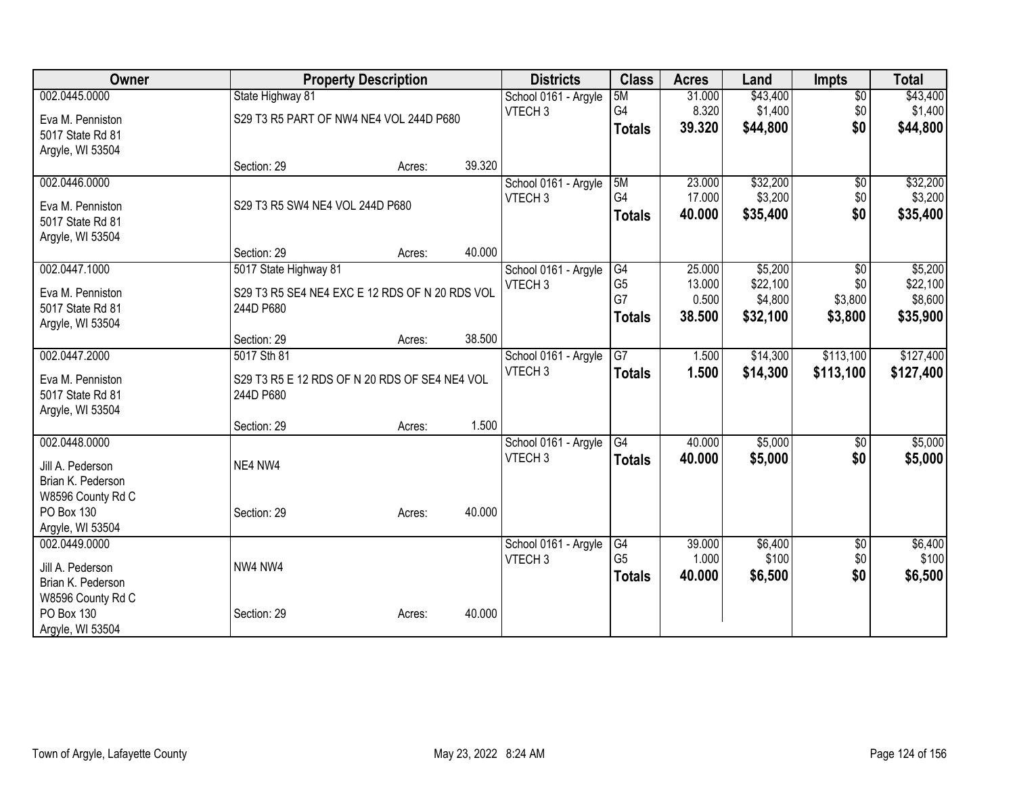| Owner             |                                                | <b>Property Description</b> |        | <b>Districts</b>     | <b>Class</b>    | <b>Acres</b> | Land     | <b>Impts</b>    | <b>Total</b> |
|-------------------|------------------------------------------------|-----------------------------|--------|----------------------|-----------------|--------------|----------|-----------------|--------------|
| 002.0445.0000     | State Highway 81                               |                             |        | School 0161 - Argyle | 5M              | 31.000       | \$43,400 | $\overline{50}$ | \$43,400     |
| Eva M. Penniston  | S29 T3 R5 PART OF NW4 NE4 VOL 244D P680        |                             |        | VTECH <sub>3</sub>   | G4              | 8.320        | \$1,400  | \$0             | \$1,400      |
| 5017 State Rd 81  |                                                |                             |        |                      | <b>Totals</b>   | 39.320       | \$44,800 | \$0             | \$44,800     |
| Argyle, WI 53504  |                                                |                             |        |                      |                 |              |          |                 |              |
|                   | Section: 29                                    | Acres:                      | 39.320 |                      |                 |              |          |                 |              |
| 002.0446.0000     |                                                |                             |        | School 0161 - Argyle | 5M              | 23.000       | \$32,200 | $\sqrt{6}$      | \$32,200     |
| Eva M. Penniston  | S29 T3 R5 SW4 NE4 VOL 244D P680                |                             |        | VTECH <sub>3</sub>   | G4              | 17.000       | \$3,200  | \$0             | \$3,200      |
| 5017 State Rd 81  |                                                |                             |        |                      | <b>Totals</b>   | 40.000       | \$35,400 | \$0             | \$35,400     |
| Argyle, WI 53504  |                                                |                             |        |                      |                 |              |          |                 |              |
|                   | Section: 29                                    | Acres:                      | 40.000 |                      |                 |              |          |                 |              |
| 002.0447.1000     | 5017 State Highway 81                          |                             |        | School 0161 - Argyle | G4              | 25.000       | \$5,200  | \$0             | \$5,200      |
| Eva M. Penniston  | S29 T3 R5 SE4 NE4 EXC E 12 RDS OF N 20 RDS VOL |                             |        | VTECH <sub>3</sub>   | G <sub>5</sub>  | 13.000       | \$22,100 | \$0             | \$22,100     |
| 5017 State Rd 81  | 244D P680                                      |                             |        |                      | G7              | 0.500        | \$4,800  | \$3,800         | \$8,600      |
| Argyle, WI 53504  |                                                |                             |        |                      | <b>Totals</b>   | 38.500       | \$32,100 | \$3,800         | \$35,900     |
|                   | Section: 29                                    | Acres:                      | 38.500 |                      |                 |              |          |                 |              |
| 002.0447.2000     | 5017 Sth 81                                    |                             |        | School 0161 - Argyle | $\overline{G7}$ | 1.500        | \$14,300 | \$113,100       | \$127,400    |
| Eva M. Penniston  | S29 T3 R5 E 12 RDS OF N 20 RDS OF SE4 NE4 VOL  |                             |        | VTECH <sub>3</sub>   | <b>Totals</b>   | 1.500        | \$14,300 | \$113,100       | \$127,400    |
| 5017 State Rd 81  | 244D P680                                      |                             |        |                      |                 |              |          |                 |              |
| Argyle, WI 53504  |                                                |                             |        |                      |                 |              |          |                 |              |
|                   | Section: 29                                    | Acres:                      | 1.500  |                      |                 |              |          |                 |              |
| 002.0448.0000     |                                                |                             |        | School 0161 - Argyle | G4              | 40.000       | \$5,000  | \$0             | \$5,000      |
| Jill A. Pederson  | NE4 NW4                                        |                             |        | VTECH <sub>3</sub>   | <b>Totals</b>   | 40.000       | \$5,000  | \$0             | \$5,000      |
| Brian K. Pederson |                                                |                             |        |                      |                 |              |          |                 |              |
| W8596 County Rd C |                                                |                             |        |                      |                 |              |          |                 |              |
| PO Box 130        | Section: 29                                    | Acres:                      | 40.000 |                      |                 |              |          |                 |              |
| Argyle, WI 53504  |                                                |                             |        |                      |                 |              |          |                 |              |
| 002.0449.0000     |                                                |                             |        | School 0161 - Argyle | G4              | 39.000       | \$6,400  | $\sqrt{6}$      | \$6,400      |
| Jill A. Pederson  | NW4 NW4                                        |                             |        | VTECH <sub>3</sub>   | G <sub>5</sub>  | 1.000        | \$100    | \$0             | \$100        |
| Brian K. Pederson |                                                |                             |        |                      | <b>Totals</b>   | 40.000       | \$6,500  | \$0             | \$6,500      |
| W8596 County Rd C |                                                |                             |        |                      |                 |              |          |                 |              |
| PO Box 130        | Section: 29                                    | Acres:                      | 40.000 |                      |                 |              |          |                 |              |
| Argyle, WI 53504  |                                                |                             |        |                      |                 |              |          |                 |              |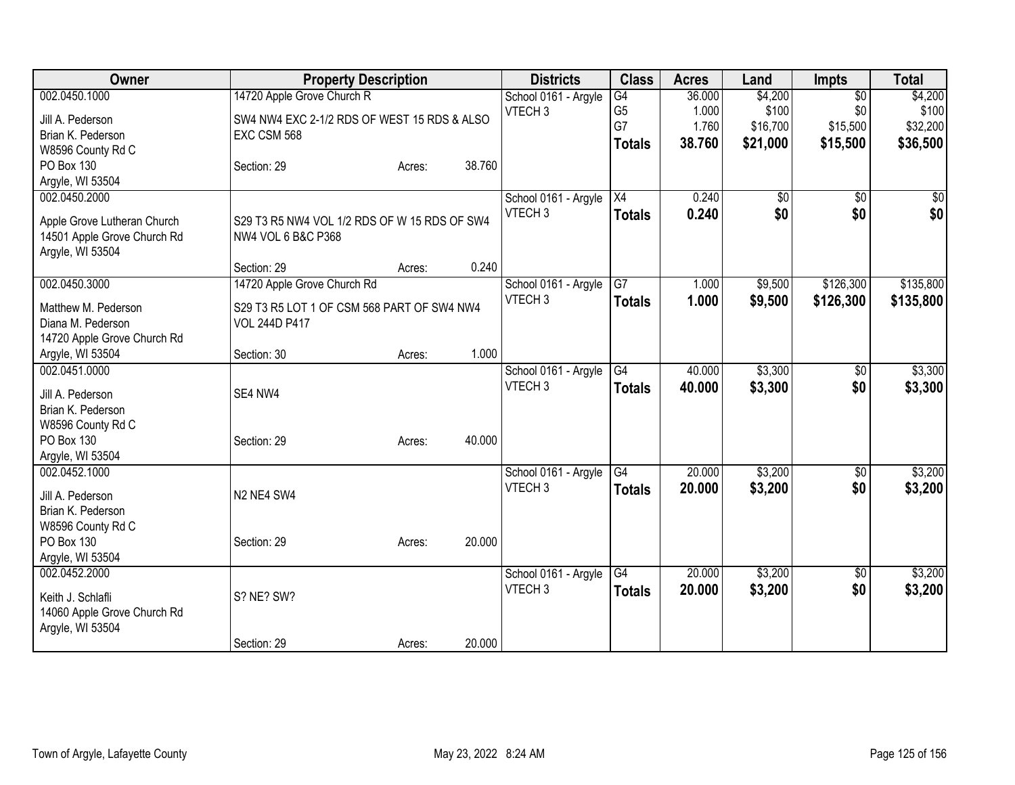| Owner                                  | <b>Property Description</b>                  |        |        | <b>Districts</b>     | <b>Class</b>    | <b>Acres</b> | Land     | <b>Impts</b>    | <b>Total</b> |
|----------------------------------------|----------------------------------------------|--------|--------|----------------------|-----------------|--------------|----------|-----------------|--------------|
| 002.0450.1000                          | 14720 Apple Grove Church R                   |        |        | School 0161 - Argyle | G4              | 36.000       | \$4,200  | $\overline{30}$ | \$4,200      |
| Jill A. Pederson                       | SW4 NW4 EXC 2-1/2 RDS OF WEST 15 RDS & ALSO  |        |        | VTECH <sub>3</sub>   | G <sub>5</sub>  | 1.000        | \$100    | \$0             | \$100        |
| Brian K. Pederson                      | EXC CSM 568                                  |        |        |                      | G7              | 1.760        | \$16,700 | \$15,500        | \$32,200     |
| W8596 County Rd C                      |                                              |        |        |                      | <b>Totals</b>   | 38.760       | \$21,000 | \$15,500        | \$36,500     |
| PO Box 130                             | Section: 29                                  | Acres: | 38.760 |                      |                 |              |          |                 |              |
| Argyle, WI 53504                       |                                              |        |        |                      |                 |              |          |                 |              |
| 002.0450.2000                          |                                              |        |        | School 0161 - Argyle | $\overline{X4}$ | 0.240        | \$0      | $\overline{50}$ | \$0          |
| Apple Grove Lutheran Church            | S29 T3 R5 NW4 VOL 1/2 RDS OF W 15 RDS OF SW4 |        |        | VTECH <sub>3</sub>   | <b>Totals</b>   | 0.240        | \$0      | \$0             | \$0          |
| 14501 Apple Grove Church Rd            | NW4 VOL 6 B&C P368                           |        |        |                      |                 |              |          |                 |              |
| Argyle, WI 53504                       |                                              |        |        |                      |                 |              |          |                 |              |
|                                        | Section: 29                                  | Acres: | 0.240  |                      |                 |              |          |                 |              |
| 002.0450.3000                          | 14720 Apple Grove Church Rd                  |        |        | School 0161 - Argyle | G7              | 1.000        | \$9,500  | \$126,300       | \$135,800    |
| Matthew M. Pederson                    | S29 T3 R5 LOT 1 OF CSM 568 PART OF SW4 NW4   |        |        | VTECH <sub>3</sub>   | <b>Totals</b>   | 1.000        | \$9,500  | \$126,300       | \$135,800    |
| Diana M. Pederson                      | <b>VOL 244D P417</b>                         |        |        |                      |                 |              |          |                 |              |
| 14720 Apple Grove Church Rd            |                                              |        |        |                      |                 |              |          |                 |              |
| Argyle, WI 53504                       | Section: 30                                  | Acres: | 1.000  |                      |                 |              |          |                 |              |
| 002.0451.0000                          |                                              |        |        | School 0161 - Argyle | G4              | 40.000       | \$3,300  | \$0             | \$3,300      |
|                                        |                                              |        |        | VTECH <sub>3</sub>   | <b>Totals</b>   | 40.000       | \$3,300  | \$0             | \$3,300      |
| Jill A. Pederson                       | SE4 NW4                                      |        |        |                      |                 |              |          |                 |              |
| Brian K. Pederson<br>W8596 County Rd C |                                              |        |        |                      |                 |              |          |                 |              |
| PO Box 130                             | Section: 29                                  | Acres: | 40.000 |                      |                 |              |          |                 |              |
| Argyle, WI 53504                       |                                              |        |        |                      |                 |              |          |                 |              |
| 002.0452.1000                          |                                              |        |        | School 0161 - Argyle | G4              | 20.000       | \$3,200  | \$0             | \$3,200      |
|                                        |                                              |        |        | VTECH <sub>3</sub>   | <b>Totals</b>   | 20.000       | \$3,200  | \$0             | \$3,200      |
| Jill A. Pederson                       | N2 NE4 SW4                                   |        |        |                      |                 |              |          |                 |              |
| Brian K. Pederson                      |                                              |        |        |                      |                 |              |          |                 |              |
| W8596 County Rd C<br>PO Box 130        | Section: 29                                  | Acres: | 20.000 |                      |                 |              |          |                 |              |
| Argyle, WI 53504                       |                                              |        |        |                      |                 |              |          |                 |              |
| 002.0452.2000                          |                                              |        |        | School 0161 - Argyle | G4              | 20.000       | \$3,200  | $\overline{60}$ | \$3,200      |
|                                        |                                              |        |        | VTECH <sub>3</sub>   | <b>Totals</b>   | 20.000       | \$3,200  | \$0             | \$3,200      |
| Keith J. Schlafli                      | S? NE? SW?                                   |        |        |                      |                 |              |          |                 |              |
| 14060 Apple Grove Church Rd            |                                              |        |        |                      |                 |              |          |                 |              |
| Argyle, WI 53504                       |                                              |        | 20.000 |                      |                 |              |          |                 |              |
|                                        | Section: 29                                  | Acres: |        |                      |                 |              |          |                 |              |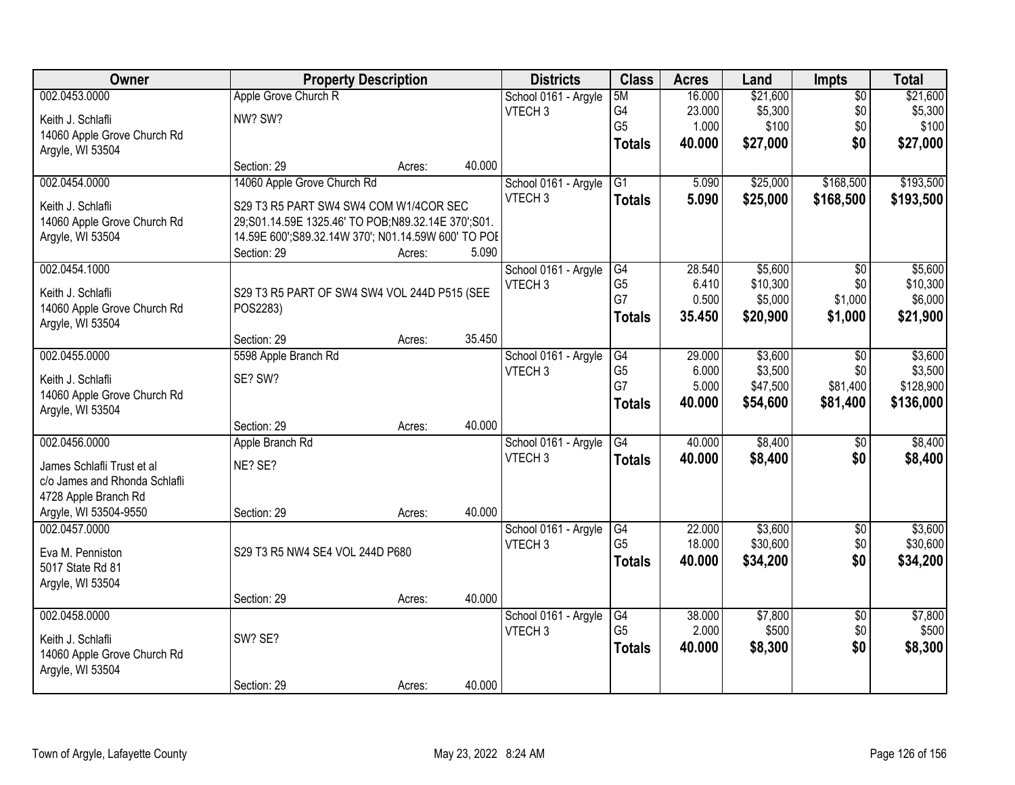| Owner                         |                                                     | <b>Property Description</b> |        | <b>Districts</b>     | <b>Class</b>         | <b>Acres</b>     | Land                 | Impts                  | <b>Total</b>           |
|-------------------------------|-----------------------------------------------------|-----------------------------|--------|----------------------|----------------------|------------------|----------------------|------------------------|------------------------|
| 002.0453.0000                 | Apple Grove Church R                                |                             |        | School 0161 - Argyle | 5M                   | 16.000           | \$21,600             | $\overline{50}$        | \$21,600               |
| Keith J. Schlafli             | NW? SW?                                             |                             |        | VTECH <sub>3</sub>   | G4                   | 23.000           | \$5,300              | \$0                    | \$5,300                |
| 14060 Apple Grove Church Rd   |                                                     |                             |        |                      | G <sub>5</sub>       | 1.000            | \$100                | \$0                    | \$100                  |
| Argyle, WI 53504              |                                                     |                             |        |                      | <b>Totals</b>        | 40.000           | \$27,000             | \$0                    | \$27,000               |
|                               | Section: 29                                         | Acres:                      | 40.000 |                      |                      |                  |                      |                        |                        |
| 002.0454.0000                 | 14060 Apple Grove Church Rd                         |                             |        | School 0161 - Argyle | $\overline{G1}$      | 5.090            | \$25,000             | \$168,500              | \$193,500              |
| Keith J. Schlafli             | S29 T3 R5 PART SW4 SW4 COM W1/4COR SEC              |                             |        | VTECH <sub>3</sub>   | <b>Totals</b>        | 5.090            | \$25,000             | \$168,500              | \$193,500              |
| 14060 Apple Grove Church Rd   | 29;S01.14.59E 1325.46' TO POB;N89.32.14E 370';S01.  |                             |        |                      |                      |                  |                      |                        |                        |
| Argyle, WI 53504              | 14.59E 600';S89.32.14W 370'; N01.14.59W 600' TO POE |                             |        |                      |                      |                  |                      |                        |                        |
|                               | Section: 29                                         | Acres:                      | 5.090  |                      |                      |                  |                      |                        |                        |
| 002.0454.1000                 |                                                     |                             |        | School 0161 - Argyle | G4                   | 28.540           | \$5,600              | $\overline{50}$        | \$5,600                |
| Keith J. Schlafli             | S29 T3 R5 PART OF SW4 SW4 VOL 244D P515 (SEE        |                             |        | VTECH <sub>3</sub>   | G <sub>5</sub><br>G7 | 6.410            | \$10,300             | \$0                    | \$10,300               |
| 14060 Apple Grove Church Rd   | POS2283)                                            |                             |        |                      |                      | 0.500            | \$5,000              | \$1,000                | \$6,000                |
| Argyle, WI 53504              |                                                     |                             |        |                      | <b>Totals</b>        | 35.450           | \$20,900             | \$1,000                | \$21,900               |
|                               | Section: 29                                         | Acres:                      | 35.450 |                      |                      |                  |                      |                        |                        |
| 002.0455.0000                 | 5598 Apple Branch Rd                                |                             |        | School 0161 - Argyle | G4                   | 29.000           | \$3,600              | \$0                    | \$3,600                |
| Keith J. Schlafli             | SE? SW?                                             |                             |        | VTECH <sub>3</sub>   | G <sub>5</sub><br>G7 | 6.000            | \$3,500              | \$0                    | \$3,500                |
| 14060 Apple Grove Church Rd   |                                                     |                             |        |                      |                      | 5.000<br>40.000  | \$47,500<br>\$54,600 | \$81,400<br>\$81,400   | \$128,900<br>\$136,000 |
| Argyle, WI 53504              |                                                     |                             |        |                      | <b>Totals</b>        |                  |                      |                        |                        |
|                               | Section: 29                                         | Acres:                      | 40.000 |                      |                      |                  |                      |                        |                        |
| 002.0456.0000                 | Apple Branch Rd                                     |                             |        | School 0161 - Argyle | G4                   | 40.000           | \$8,400              | $\overline{50}$        | \$8,400                |
| James Schlafli Trust et al    | NE? SE?                                             |                             |        | VTECH <sub>3</sub>   | <b>Totals</b>        | 40.000           | \$8,400              | \$0                    | \$8,400                |
| c/o James and Rhonda Schlafli |                                                     |                             |        |                      |                      |                  |                      |                        |                        |
| 4728 Apple Branch Rd          |                                                     |                             |        |                      |                      |                  |                      |                        |                        |
| Argyle, WI 53504-9550         | Section: 29                                         | Acres:                      | 40.000 |                      |                      |                  |                      |                        |                        |
| 002.0457.0000                 |                                                     |                             |        | School 0161 - Argyle | G4<br>G <sub>5</sub> | 22.000           | \$3,600              | $\overline{50}$        | \$3,600                |
| Eva M. Penniston              | S29 T3 R5 NW4 SE4 VOL 244D P680                     |                             |        | VTECH <sub>3</sub>   |                      | 18.000<br>40.000 | \$30,600             | \$0<br>\$0             | \$30,600               |
| 5017 State Rd 81              |                                                     |                             |        |                      | <b>Totals</b>        |                  | \$34,200             |                        | \$34,200               |
| Argyle, WI 53504              |                                                     |                             |        |                      |                      |                  |                      |                        |                        |
|                               | Section: 29                                         | Acres:                      | 40.000 |                      |                      |                  |                      |                        |                        |
| 002.0458.0000                 |                                                     |                             |        | School 0161 - Argyle | G4<br>G <sub>5</sub> | 38,000<br>2.000  | \$7,800<br>\$500     | $\overline{50}$<br>\$0 | \$7,800<br>\$500       |
| Keith J. Schlafli             | SW? SE?                                             |                             |        | VTECH <sub>3</sub>   |                      | 40.000           |                      | \$0                    | \$8,300                |
| 14060 Apple Grove Church Rd   |                                                     |                             |        |                      | <b>Totals</b>        |                  | \$8,300              |                        |                        |
| Argyle, WI 53504              |                                                     |                             |        |                      |                      |                  |                      |                        |                        |
|                               | Section: 29                                         | Acres:                      | 40.000 |                      |                      |                  |                      |                        |                        |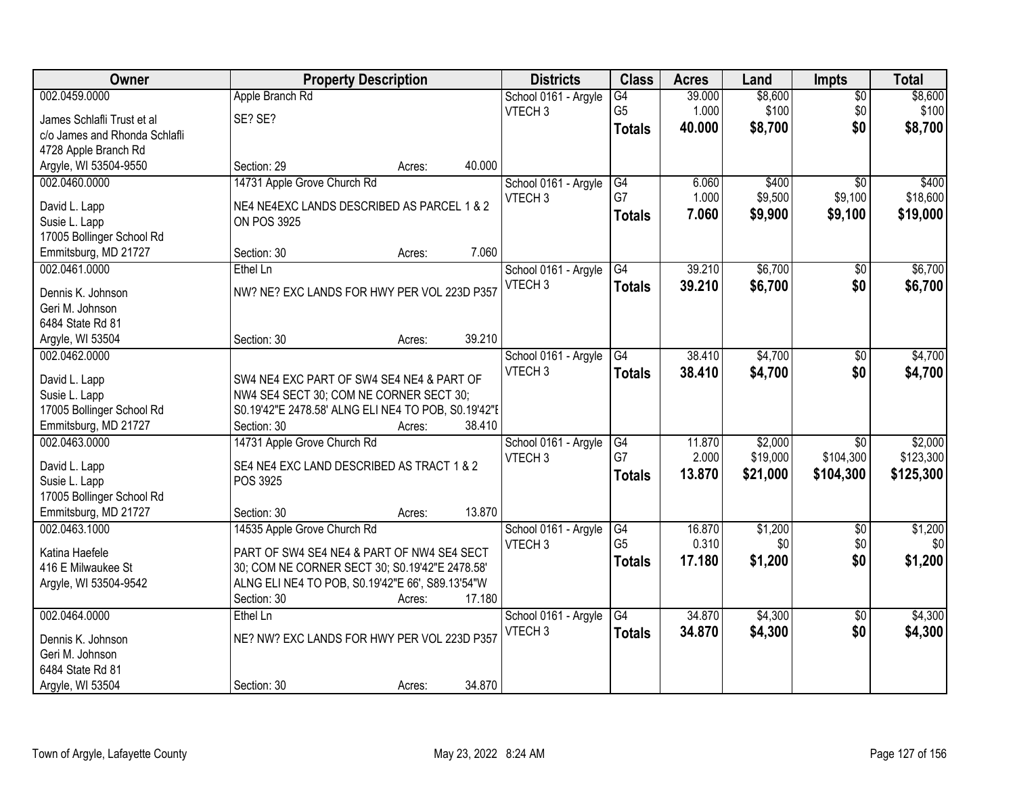| Owner                         | <b>Property Description</b>                         |        |        | <b>Districts</b>                           | <b>Class</b>    | <b>Acres</b> | Land     | <b>Impts</b>    | <b>Total</b>     |
|-------------------------------|-----------------------------------------------------|--------|--------|--------------------------------------------|-----------------|--------------|----------|-----------------|------------------|
| 002.0459.0000                 | Apple Branch Rd                                     |        |        | School 0161 - Argyle                       | $\overline{G4}$ | 39.000       | \$8,600  | $\overline{50}$ | \$8,600          |
| James Schlafli Trust et al    | SE? SE?                                             |        |        | VTECH <sub>3</sub>                         | G <sub>5</sub>  | 1.000        | \$100    | \$0             | \$100            |
| c/o James and Rhonda Schlafli |                                                     |        |        |                                            | <b>Totals</b>   | 40.000       | \$8,700  | \$0             | \$8,700          |
| 4728 Apple Branch Rd          |                                                     |        |        |                                            |                 |              |          |                 |                  |
| Argyle, WI 53504-9550         | Section: 29                                         | Acres: | 40.000 |                                            |                 |              |          |                 |                  |
| 002.0460.0000                 | 14731 Apple Grove Church Rd                         |        |        | School 0161 - Argyle                       | G4              | 6.060        | \$400    | $\overline{50}$ | \$400            |
|                               |                                                     |        |        | VTECH <sub>3</sub>                         | G7              | 1.000        | \$9,500  | \$9,100         | \$18,600         |
| David L. Lapp                 | NE4 NE4EXC LANDS DESCRIBED AS PARCEL 1 & 2          |        |        |                                            |                 |              |          |                 |                  |
| Susie L. Lapp                 | <b>ON POS 3925</b>                                  |        |        |                                            | <b>Totals</b>   | 7.060        | \$9,900  | \$9,100         | \$19,000         |
| 17005 Bollinger School Rd     |                                                     |        |        |                                            |                 |              |          |                 |                  |
| Emmitsburg, MD 21727          | Section: 30                                         | Acres: | 7.060  |                                            |                 |              |          |                 |                  |
| 002.0461.0000                 | Ethel Ln                                            |        |        | School 0161 - Argyle                       | G4              | 39.210       | \$6,700  | $\sqrt{6}$      | \$6,700          |
|                               |                                                     |        |        | VTECH <sub>3</sub>                         | <b>Totals</b>   | 39.210       | \$6,700  | \$0             | \$6,700          |
| Dennis K. Johnson             | NW? NE? EXC LANDS FOR HWY PER VOL 223D P357         |        |        |                                            |                 |              |          |                 |                  |
| Geri M. Johnson               |                                                     |        |        |                                            |                 |              |          |                 |                  |
| 6484 State Rd 81              |                                                     |        |        |                                            |                 |              |          |                 |                  |
| Argyle, WI 53504              | Section: 30                                         | Acres: | 39.210 |                                            |                 |              |          |                 |                  |
| 002.0462.0000                 |                                                     |        |        | School 0161 - Argyle                       | G4              | 38.410       | \$4,700  | $\sqrt{6}$      | \$4,700          |
| David L. Lapp                 | SW4 NE4 EXC PART OF SW4 SE4 NE4 & PART OF           |        |        | VTECH <sub>3</sub>                         | <b>Totals</b>   | 38.410       | \$4,700  | \$0             | \$4,700          |
| Susie L. Lapp                 | NW4 SE4 SECT 30; COM NE CORNER SECT 30;             |        |        |                                            |                 |              |          |                 |                  |
| 17005 Bollinger School Rd     | S0.19'42"E 2478.58' ALNG ELI NE4 TO POB, S0.19'42"E |        |        |                                            |                 |              |          |                 |                  |
| Emmitsburg, MD 21727          | Section: 30                                         | Acres: | 38.410 |                                            |                 |              |          |                 |                  |
| 002.0463.0000                 | 14731 Apple Grove Church Rd                         |        |        | School 0161 - Argyle                       | $\overline{G4}$ | 11.870       | \$2,000  | $\overline{30}$ | \$2,000          |
|                               |                                                     |        |        | VTECH <sub>3</sub>                         | G7              | 2.000        | \$19,000 | \$104,300       | \$123,300        |
| David L. Lapp                 | SE4 NE4 EXC LAND DESCRIBED AS TRACT 1 & 2           |        |        |                                            | <b>Totals</b>   | 13.870       | \$21,000 | \$104,300       | \$125,300        |
| Susie L. Lapp                 | POS 3925                                            |        |        |                                            |                 |              |          |                 |                  |
| 17005 Bollinger School Rd     |                                                     |        |        |                                            |                 |              |          |                 |                  |
| Emmitsburg, MD 21727          | Section: 30                                         | Acres: | 13.870 |                                            |                 |              |          |                 |                  |
| 002.0463.1000                 | 14535 Apple Grove Church Rd                         |        |        | School 0161 - Argyle                       | G4              | 16.870       | \$1,200  | $\overline{50}$ | \$1,200          |
| Katina Haefele                | PART OF SW4 SE4 NE4 & PART OF NW4 SE4 SECT          |        |        | VTECH <sub>3</sub>                         | G <sub>5</sub>  | 0.310        | \$0      | \$0             | \$0 <sub>l</sub> |
| 416 E Milwaukee St            | 30; COM NE CORNER SECT 30; S0.19'42"E 2478.58'      |        |        |                                            | <b>Totals</b>   | 17.180       | \$1,200  | \$0             | \$1,200          |
| Argyle, WI 53504-9542         | ALNG ELINE4 TO POB, S0.19'42"E 66', S89.13'54"W     |        |        |                                            |                 |              |          |                 |                  |
|                               | Section: 30                                         | Acres: | 17.180 |                                            |                 |              |          |                 |                  |
| 002.0464.0000                 | Ethel Ln                                            |        |        |                                            | $\overline{G4}$ | 34.870       | \$4,300  | $\overline{50}$ | \$4,300          |
|                               |                                                     |        |        | School 0161 - Argyle<br>VTECH <sub>3</sub> |                 |              |          |                 |                  |
| Dennis K. Johnson             | NE? NW? EXC LANDS FOR HWY PER VOL 223D P357         |        |        |                                            | <b>Totals</b>   | 34.870       | \$4,300  | \$0             | \$4,300          |
| Geri M. Johnson               |                                                     |        |        |                                            |                 |              |          |                 |                  |
| 6484 State Rd 81              |                                                     |        |        |                                            |                 |              |          |                 |                  |
| Argyle, WI 53504              | Section: 30                                         | Acres: | 34.870 |                                            |                 |              |          |                 |                  |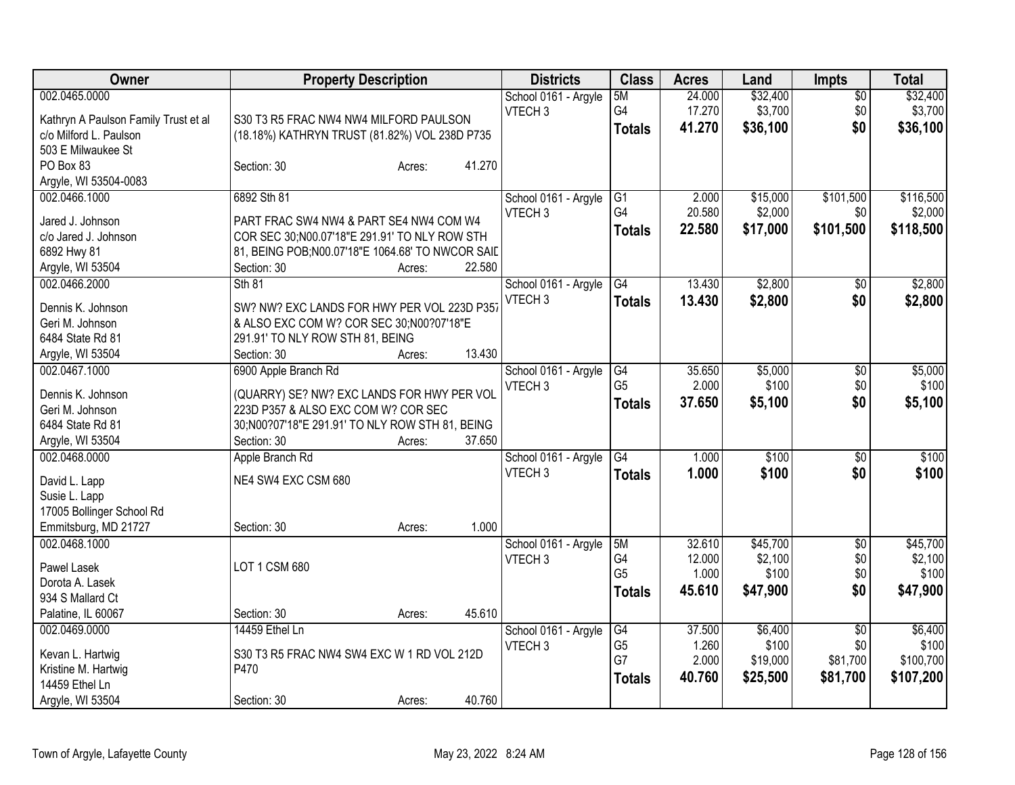| \$32,400<br>\$32,400<br>002.0465.0000<br>24.000<br>School 0161 - Argyle<br>5M<br>$\overline{50}$<br>G4<br>VTECH <sub>3</sub><br>17.270<br>\$3,700<br>\$0<br>\$3,700<br>Kathryn A Paulson Family Trust et al<br>S30 T3 R5 FRAC NW4 NW4 MILFORD PAULSON<br>\$0<br>41.270<br>\$36,100<br>\$36,100<br><b>Totals</b><br>c/o Milford L. Paulson<br>(18.18%) KATHRYN TRUST (81.82%) VOL 238D P735<br>503 E Milwaukee St<br>41.270<br>PO Box 83<br>Section: 30<br>Acres:<br>Argyle, WI 53504-0083<br>\$116,500<br>002.0466.1000<br>6892 Sth 81<br>\$15,000<br>\$101,500<br>School 0161 - Argyle<br>G1<br>2.000<br>G <sub>4</sub><br>20.580<br>\$2,000<br>\$0<br>\$2,000<br>VTECH <sub>3</sub><br>Jared J. Johnson<br>PART FRAC SW4 NW4 & PART SE4 NW4 COM W4<br>22.580<br>\$17,000<br>\$101,500<br>\$118,500<br><b>Totals</b><br>COR SEC 30;N00.07'18"E 291.91' TO NLY ROW STH<br>c/o Jared J. Johnson<br>6892 Hwy 81<br>81, BEING POB; N00.07'18" E 1064.68' TO NWCOR SAIL |
|---------------------------------------------------------------------------------------------------------------------------------------------------------------------------------------------------------------------------------------------------------------------------------------------------------------------------------------------------------------------------------------------------------------------------------------------------------------------------------------------------------------------------------------------------------------------------------------------------------------------------------------------------------------------------------------------------------------------------------------------------------------------------------------------------------------------------------------------------------------------------------------------------------------------------------------------------------------------|
|                                                                                                                                                                                                                                                                                                                                                                                                                                                                                                                                                                                                                                                                                                                                                                                                                                                                                                                                                                     |
|                                                                                                                                                                                                                                                                                                                                                                                                                                                                                                                                                                                                                                                                                                                                                                                                                                                                                                                                                                     |
|                                                                                                                                                                                                                                                                                                                                                                                                                                                                                                                                                                                                                                                                                                                                                                                                                                                                                                                                                                     |
|                                                                                                                                                                                                                                                                                                                                                                                                                                                                                                                                                                                                                                                                                                                                                                                                                                                                                                                                                                     |
|                                                                                                                                                                                                                                                                                                                                                                                                                                                                                                                                                                                                                                                                                                                                                                                                                                                                                                                                                                     |
|                                                                                                                                                                                                                                                                                                                                                                                                                                                                                                                                                                                                                                                                                                                                                                                                                                                                                                                                                                     |
|                                                                                                                                                                                                                                                                                                                                                                                                                                                                                                                                                                                                                                                                                                                                                                                                                                                                                                                                                                     |
|                                                                                                                                                                                                                                                                                                                                                                                                                                                                                                                                                                                                                                                                                                                                                                                                                                                                                                                                                                     |
|                                                                                                                                                                                                                                                                                                                                                                                                                                                                                                                                                                                                                                                                                                                                                                                                                                                                                                                                                                     |
|                                                                                                                                                                                                                                                                                                                                                                                                                                                                                                                                                                                                                                                                                                                                                                                                                                                                                                                                                                     |
|                                                                                                                                                                                                                                                                                                                                                                                                                                                                                                                                                                                                                                                                                                                                                                                                                                                                                                                                                                     |
| Argyle, WI 53504<br>Section: 30<br>22.580<br>Acres:                                                                                                                                                                                                                                                                                                                                                                                                                                                                                                                                                                                                                                                                                                                                                                                                                                                                                                                 |
| 002.0466.2000<br>13.430<br>\$2,800<br>\$2,800<br>Sth 81<br>G4<br>School 0161 - Argyle<br>\$0                                                                                                                                                                                                                                                                                                                                                                                                                                                                                                                                                                                                                                                                                                                                                                                                                                                                        |
| VTECH <sub>3</sub><br>13.430<br>\$2,800<br>\$0<br>\$2,800<br><b>Totals</b><br>SW? NW? EXC LANDS FOR HWY PER VOL 223D P357<br>Dennis K. Johnson                                                                                                                                                                                                                                                                                                                                                                                                                                                                                                                                                                                                                                                                                                                                                                                                                      |
| & ALSO EXC COM W? COR SEC 30;N00?07'18"E<br>Geri M. Johnson                                                                                                                                                                                                                                                                                                                                                                                                                                                                                                                                                                                                                                                                                                                                                                                                                                                                                                         |
| 6484 State Rd 81<br>291.91' TO NLY ROW STH 81, BEING                                                                                                                                                                                                                                                                                                                                                                                                                                                                                                                                                                                                                                                                                                                                                                                                                                                                                                                |
| 13.430<br>Argyle, WI 53504<br>Section: 30<br>Acres:                                                                                                                                                                                                                                                                                                                                                                                                                                                                                                                                                                                                                                                                                                                                                                                                                                                                                                                 |
| 002.0467.1000<br>6900 Apple Branch Rd<br>35.650<br>\$5,000<br>\$5,000<br>School 0161 - Argyle<br>G4<br>\$0                                                                                                                                                                                                                                                                                                                                                                                                                                                                                                                                                                                                                                                                                                                                                                                                                                                          |
| G <sub>5</sub><br>2.000<br>\$100<br>\$100<br>VTECH <sub>3</sub><br>\$0                                                                                                                                                                                                                                                                                                                                                                                                                                                                                                                                                                                                                                                                                                                                                                                                                                                                                              |
| (QUARRY) SE? NW? EXC LANDS FOR HWY PER VOL<br>Dennis K. Johnson<br>37,650<br>\$5,100<br>\$0<br>\$5,100<br><b>Totals</b>                                                                                                                                                                                                                                                                                                                                                                                                                                                                                                                                                                                                                                                                                                                                                                                                                                             |
| 223D P357 & ALSO EXC COM W? COR SEC<br>Geri M. Johnson                                                                                                                                                                                                                                                                                                                                                                                                                                                                                                                                                                                                                                                                                                                                                                                                                                                                                                              |
| 30; N00?07'18"E 291.91' TO NLY ROW STH 81, BEING<br>6484 State Rd 81                                                                                                                                                                                                                                                                                                                                                                                                                                                                                                                                                                                                                                                                                                                                                                                                                                                                                                |
| 37.650<br>Argyle, WI 53504<br>Section: 30<br>Acres:                                                                                                                                                                                                                                                                                                                                                                                                                                                                                                                                                                                                                                                                                                                                                                                                                                                                                                                 |
| 002.0468.0000<br>\$100<br>\$100<br>Apple Branch Rd<br>G4<br>1.000<br>School 0161 - Argyle<br>\$0                                                                                                                                                                                                                                                                                                                                                                                                                                                                                                                                                                                                                                                                                                                                                                                                                                                                    |
| VTECH <sub>3</sub><br>\$100<br>1.000<br>\$100<br>\$0<br><b>Totals</b><br>NE4 SW4 EXC CSM 680<br>David L. Lapp                                                                                                                                                                                                                                                                                                                                                                                                                                                                                                                                                                                                                                                                                                                                                                                                                                                       |
| Susie L. Lapp                                                                                                                                                                                                                                                                                                                                                                                                                                                                                                                                                                                                                                                                                                                                                                                                                                                                                                                                                       |
| 17005 Bollinger School Rd                                                                                                                                                                                                                                                                                                                                                                                                                                                                                                                                                                                                                                                                                                                                                                                                                                                                                                                                           |
| 1.000<br>Emmitsburg, MD 21727<br>Section: 30<br>Acres:                                                                                                                                                                                                                                                                                                                                                                                                                                                                                                                                                                                                                                                                                                                                                                                                                                                                                                              |
| 002.0468.1000<br>32.610<br>\$45,700<br>\$45,700<br>School 0161 - Argyle<br>5M<br>$\sqrt{6}$                                                                                                                                                                                                                                                                                                                                                                                                                                                                                                                                                                                                                                                                                                                                                                                                                                                                         |
| \$2,100<br>G4<br>12.000<br>\$0<br>\$2,100<br>VTECH <sub>3</sub>                                                                                                                                                                                                                                                                                                                                                                                                                                                                                                                                                                                                                                                                                                                                                                                                                                                                                                     |
| LOT 1 CSM 680<br>Pawel Lasek<br>G <sub>5</sub><br>1.000<br>\$100<br>\$0<br>\$100                                                                                                                                                                                                                                                                                                                                                                                                                                                                                                                                                                                                                                                                                                                                                                                                                                                                                    |
| Dorota A. Lasek<br>45.610<br>\$47,900<br>\$0<br>\$47,900<br><b>Totals</b>                                                                                                                                                                                                                                                                                                                                                                                                                                                                                                                                                                                                                                                                                                                                                                                                                                                                                           |
| 934 S Mallard Ct                                                                                                                                                                                                                                                                                                                                                                                                                                                                                                                                                                                                                                                                                                                                                                                                                                                                                                                                                    |
| 45.610<br>Palatine, IL 60067<br>Section: 30<br>Acres:                                                                                                                                                                                                                                                                                                                                                                                                                                                                                                                                                                                                                                                                                                                                                                                                                                                                                                               |
| \$6,400<br>\$6,400<br>002.0469.0000<br>14459 Ethel Ln<br>37.500<br>School 0161 - Argyle<br>G4<br>\$0                                                                                                                                                                                                                                                                                                                                                                                                                                                                                                                                                                                                                                                                                                                                                                                                                                                                |
| G <sub>5</sub><br>1.260<br>\$100<br>\$0<br>\$100<br>VTECH <sub>3</sub><br>S30 T3 R5 FRAC NW4 SW4 EXC W 1 RD VOL 212D<br>Kevan L. Hartwig                                                                                                                                                                                                                                                                                                                                                                                                                                                                                                                                                                                                                                                                                                                                                                                                                            |
| G7<br>2.000<br>\$81,700<br>\$100,700<br>\$19,000<br>P470<br>Kristine M. Hartwig                                                                                                                                                                                                                                                                                                                                                                                                                                                                                                                                                                                                                                                                                                                                                                                                                                                                                     |
| 40.760<br>\$25,500<br>\$81,700<br>\$107,200<br><b>Totals</b><br>14459 Ethel Ln                                                                                                                                                                                                                                                                                                                                                                                                                                                                                                                                                                                                                                                                                                                                                                                                                                                                                      |
| 40.760<br>Argyle, WI 53504<br>Section: 30<br>Acres:                                                                                                                                                                                                                                                                                                                                                                                                                                                                                                                                                                                                                                                                                                                                                                                                                                                                                                                 |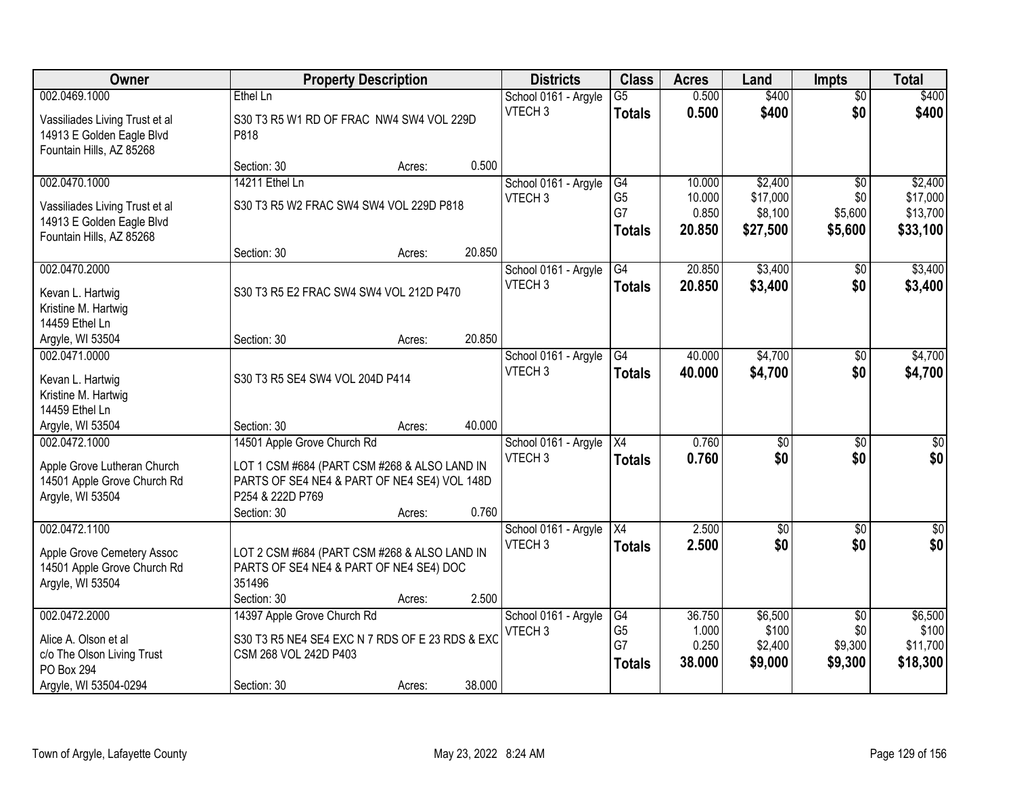| <b>Owner</b>                                                                            |                                                                                              | <b>Property Description</b> |        | <b>Districts</b>                           | <b>Class</b>         | <b>Acres</b>    | Land                | <b>Impts</b>           | <b>Total</b>         |
|-----------------------------------------------------------------------------------------|----------------------------------------------------------------------------------------------|-----------------------------|--------|--------------------------------------------|----------------------|-----------------|---------------------|------------------------|----------------------|
| 002.0469.1000                                                                           | Ethel Ln                                                                                     |                             |        | School 0161 - Argyle                       | $\overline{G5}$      | 0.500           | \$400               | $\overline{50}$        | \$400                |
| Vassiliades Living Trust et al<br>14913 E Golden Eagle Blvd<br>Fountain Hills, AZ 85268 | S30 T3 R5 W1 RD OF FRAC NW4 SW4 VOL 229D<br>P818                                             |                             |        | VTECH <sub>3</sub>                         | <b>Totals</b>        | 0.500           | \$400               | \$0                    | \$400                |
|                                                                                         | Section: 30                                                                                  | Acres:                      | 0.500  |                                            |                      |                 |                     |                        |                      |
| 002.0470.1000                                                                           | 14211 Ethel Ln                                                                               |                             |        | School 0161 - Argyle                       | G4                   | 10.000          | \$2,400             | \$0                    | \$2,400              |
| Vassiliades Living Trust et al                                                          | S30 T3 R5 W2 FRAC SW4 SW4 VOL 229D P818                                                      |                             |        | VTECH <sub>3</sub>                         | G <sub>5</sub><br>G7 | 10.000<br>0.850 | \$17,000<br>\$8,100 | \$0<br>\$5,600         | \$17,000<br>\$13,700 |
| 14913 E Golden Eagle Blvd                                                               |                                                                                              |                             |        |                                            | <b>Totals</b>        | 20.850          | \$27,500            | \$5,600                | \$33,100             |
| Fountain Hills, AZ 85268                                                                | Section: 30                                                                                  | Acres:                      | 20.850 |                                            |                      |                 |                     |                        |                      |
| 002.0470.2000                                                                           |                                                                                              |                             |        | School 0161 - Argyle                       | G4                   | 20.850          | \$3,400             | \$0                    | \$3,400              |
| Kevan L. Hartwig                                                                        | S30 T3 R5 E2 FRAC SW4 SW4 VOL 212D P470                                                      |                             |        | VTECH <sub>3</sub>                         | <b>Totals</b>        | 20.850          | \$3,400             | \$0                    | \$3,400              |
| Kristine M. Hartwig                                                                     |                                                                                              |                             |        |                                            |                      |                 |                     |                        |                      |
| 14459 Ethel Ln                                                                          |                                                                                              |                             |        |                                            |                      |                 |                     |                        |                      |
| Argyle, WI 53504                                                                        | Section: 30                                                                                  | Acres:                      | 20.850 |                                            |                      |                 |                     |                        |                      |
| 002.0471.0000                                                                           |                                                                                              |                             |        | School 0161 - Argyle                       | G4                   | 40.000          | \$4,700             | $\sqrt[6]{3}$          | \$4,700              |
| Kevan L. Hartwig                                                                        | S30 T3 R5 SE4 SW4 VOL 204D P414                                                              |                             |        | VTECH <sub>3</sub>                         | <b>Totals</b>        | 40.000          | \$4,700             | \$0                    | \$4,700              |
| Kristine M. Hartwig                                                                     |                                                                                              |                             |        |                                            |                      |                 |                     |                        |                      |
| 14459 Ethel Ln<br>Argyle, WI 53504                                                      | Section: 30                                                                                  | Acres:                      | 40.000 |                                            |                      |                 |                     |                        |                      |
| 002.0472.1000                                                                           | 14501 Apple Grove Church Rd                                                                  |                             |        | School 0161 - Argyle                       | $\overline{X4}$      | 0.760           | $\overline{50}$     | $\overline{50}$        | $\overline{50}$      |
|                                                                                         |                                                                                              |                             |        | VTECH <sub>3</sub>                         | <b>Totals</b>        | 0.760           | \$0                 | \$0                    | \$0                  |
| Apple Grove Lutheran Church<br>14501 Apple Grove Church Rd                              | LOT 1 CSM #684 (PART CSM #268 & ALSO LAND IN<br>PARTS OF SE4 NE4 & PART OF NE4 SE4) VOL 148D |                             |        |                                            |                      |                 |                     |                        |                      |
| Argyle, WI 53504                                                                        | P254 & 222D P769                                                                             |                             |        |                                            |                      |                 |                     |                        |                      |
|                                                                                         | Section: 30                                                                                  | Acres:                      | 0.760  |                                            |                      |                 |                     |                        |                      |
| 002.0472.1100                                                                           |                                                                                              |                             |        | School 0161 - Argyle                       | $\overline{X4}$      | 2.500           | $\sqrt{$0}$         | \$0                    | \$0                  |
| Apple Grove Cemetery Assoc                                                              | LOT 2 CSM #684 (PART CSM #268 & ALSO LAND IN                                                 |                             |        | VTECH <sub>3</sub>                         | <b>Totals</b>        | 2.500           | \$0                 | \$0                    | \$0                  |
| 14501 Apple Grove Church Rd                                                             | PARTS OF SE4 NE4 & PART OF NE4 SE4) DOC                                                      |                             |        |                                            |                      |                 |                     |                        |                      |
| Argyle, WI 53504                                                                        | 351496                                                                                       |                             |        |                                            |                      |                 |                     |                        |                      |
|                                                                                         | Section: 30                                                                                  | Acres:                      | 2.500  |                                            |                      |                 |                     |                        |                      |
| 002.0472.2000                                                                           | 14397 Apple Grove Church Rd                                                                  |                             |        | School 0161 - Argyle<br>VTECH <sub>3</sub> | G4<br>G <sub>5</sub> | 36.750<br>1.000 | \$6,500<br>\$100    | $\overline{50}$<br>\$0 | \$6,500<br>\$100     |
| Alice A. Olson et al                                                                    | S30 T3 R5 NE4 SE4 EXC N 7 RDS OF E 23 RDS & EXC                                              |                             |        |                                            | G7                   | 0.250           | \$2,400             | \$9,300                | \$11,700             |
| c/o The Olson Living Trust<br>PO Box 294                                                | CSM 268 VOL 242D P403                                                                        |                             |        |                                            | <b>Totals</b>        | 38.000          | \$9,000             | \$9,300                | \$18,300             |
| Argyle, WI 53504-0294                                                                   | Section: 30                                                                                  | Acres:                      | 38.000 |                                            |                      |                 |                     |                        |                      |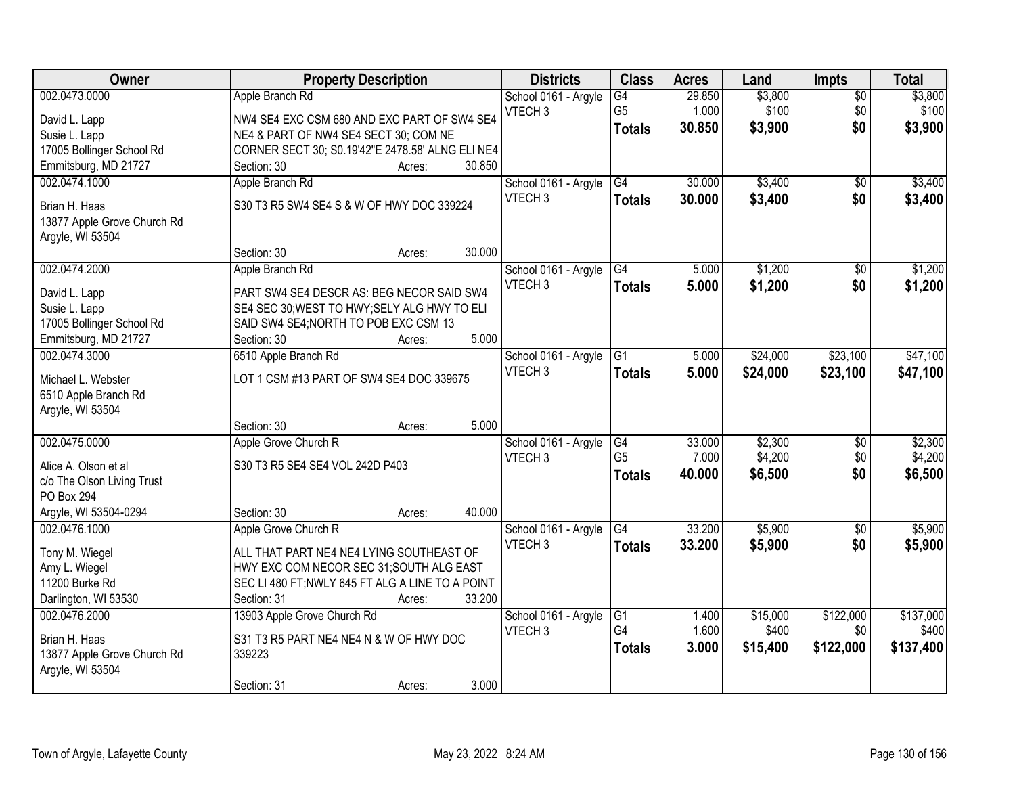| Owner                                           | <b>Property Description</b>                      | <b>Districts</b>     | <b>Class</b>    | <b>Acres</b> | Land     | <b>Impts</b>    | <b>Total</b> |
|-------------------------------------------------|--------------------------------------------------|----------------------|-----------------|--------------|----------|-----------------|--------------|
| 002.0473.0000                                   | Apple Branch Rd                                  | School 0161 - Argyle | G4              | 29.850       | \$3,800  | $\overline{50}$ | \$3,800      |
| David L. Lapp                                   | NW4 SE4 EXC CSM 680 AND EXC PART OF SW4 SE4      | VTECH <sub>3</sub>   | G <sub>5</sub>  | 1.000        | \$100    | \$0             | \$100        |
| Susie L. Lapp                                   | NE4 & PART OF NW4 SE4 SECT 30; COM NE            |                      | <b>Totals</b>   | 30.850       | \$3,900  | \$0             | \$3,900      |
| 17005 Bollinger School Rd                       | CORNER SECT 30; S0.19'42"E 2478.58' ALNG ELI NE4 |                      |                 |              |          |                 |              |
| Emmitsburg, MD 21727                            | 30.850<br>Section: 30<br>Acres:                  |                      |                 |              |          |                 |              |
| 002.0474.1000                                   | Apple Branch Rd                                  | School 0161 - Argyle | G4              | 30.000       | \$3,400  | \$0             | \$3,400      |
|                                                 | S30 T3 R5 SW4 SE4 S & W OF HWY DOC 339224        | VTECH <sub>3</sub>   | <b>Totals</b>   | 30.000       | \$3,400  | \$0             | \$3,400      |
| Brian H. Haas                                   |                                                  |                      |                 |              |          |                 |              |
| 13877 Apple Grove Church Rd<br>Argyle, WI 53504 |                                                  |                      |                 |              |          |                 |              |
|                                                 | 30.000<br>Section: 30<br>Acres:                  |                      |                 |              |          |                 |              |
| 002.0474.2000                                   | Apple Branch Rd                                  | School 0161 - Argyle | G4              | 5.000        | \$1,200  | \$0             | \$1,200      |
|                                                 |                                                  | VTECH <sub>3</sub>   |                 | 5.000        | \$1,200  | \$0             | \$1,200      |
| David L. Lapp                                   | PART SW4 SE4 DESCR AS: BEG NECOR SAID SW4        |                      | <b>Totals</b>   |              |          |                 |              |
| Susie L. Lapp                                   | SE4 SEC 30; WEST TO HWY; SELY ALG HWY TO ELI     |                      |                 |              |          |                 |              |
| 17005 Bollinger School Rd                       | SAID SW4 SE4; NORTH TO POB EXC CSM 13            |                      |                 |              |          |                 |              |
| Emmitsburg, MD 21727                            | 5.000<br>Section: 30<br>Acres:                   |                      |                 |              |          |                 |              |
| 002.0474.3000                                   | 6510 Apple Branch Rd                             | School 0161 - Argyle | G1              | 5.000        | \$24,000 | \$23,100        | \$47,100     |
| Michael L. Webster                              | LOT 1 CSM #13 PART OF SW4 SE4 DOC 339675         | VTECH <sub>3</sub>   | <b>Totals</b>   | 5.000        | \$24,000 | \$23,100        | \$47,100     |
| 6510 Apple Branch Rd                            |                                                  |                      |                 |              |          |                 |              |
| Argyle, WI 53504                                |                                                  |                      |                 |              |          |                 |              |
|                                                 | 5.000<br>Section: 30<br>Acres:                   |                      |                 |              |          |                 |              |
| 002.0475.0000                                   | Apple Grove Church R                             | School 0161 - Argyle | G4              | 33.000       | \$2,300  | $\overline{50}$ | \$2,300      |
| Alice A. Olson et al                            | S30 T3 R5 SE4 SE4 VOL 242D P403                  | VTECH <sub>3</sub>   | G <sub>5</sub>  | 7.000        | \$4,200  | \$0             | \$4,200      |
| c/o The Olson Living Trust                      |                                                  |                      | <b>Totals</b>   | 40.000       | \$6,500  | \$0             | \$6,500      |
| PO Box 294                                      |                                                  |                      |                 |              |          |                 |              |
| Argyle, WI 53504-0294                           | 40.000<br>Section: 30<br>Acres:                  |                      |                 |              |          |                 |              |
| 002.0476.1000                                   | Apple Grove Church R                             | School 0161 - Argyle | $\overline{G4}$ | 33.200       | \$5,900  | $\overline{50}$ | \$5,900      |
|                                                 |                                                  | VTECH <sub>3</sub>   | <b>Totals</b>   | 33.200       | \$5,900  | \$0             | \$5,900      |
| Tony M. Wiegel                                  | ALL THAT PART NE4 NE4 LYING SOUTHEAST OF         |                      |                 |              |          |                 |              |
| Amy L. Wiegel                                   | HWY EXC COM NECOR SEC 31; SOUTH ALG EAST         |                      |                 |              |          |                 |              |
| 11200 Burke Rd                                  | SEC LI 480 FT; NWLY 645 FT ALG A LINE TO A POINT |                      |                 |              |          |                 |              |
| Darlington, WI 53530                            | 33.200<br>Section: 31<br>Acres:                  |                      |                 |              |          |                 |              |
| 002.0476.2000                                   | 13903 Apple Grove Church Rd                      | School 0161 - Argyle | G1              | 1.400        | \$15,000 | \$122,000       | \$137,000    |
| Brian H. Haas                                   | S31 T3 R5 PART NE4 NE4 N & W OF HWY DOC          | VTECH <sub>3</sub>   | G <sub>4</sub>  | 1.600        | \$400    | \$0             | \$400        |
| 13877 Apple Grove Church Rd                     | 339223                                           |                      | <b>Totals</b>   | 3.000        | \$15,400 | \$122,000       | \$137,400    |
| Argyle, WI 53504                                |                                                  |                      |                 |              |          |                 |              |
|                                                 | 3.000<br>Section: 31<br>Acres:                   |                      |                 |              |          |                 |              |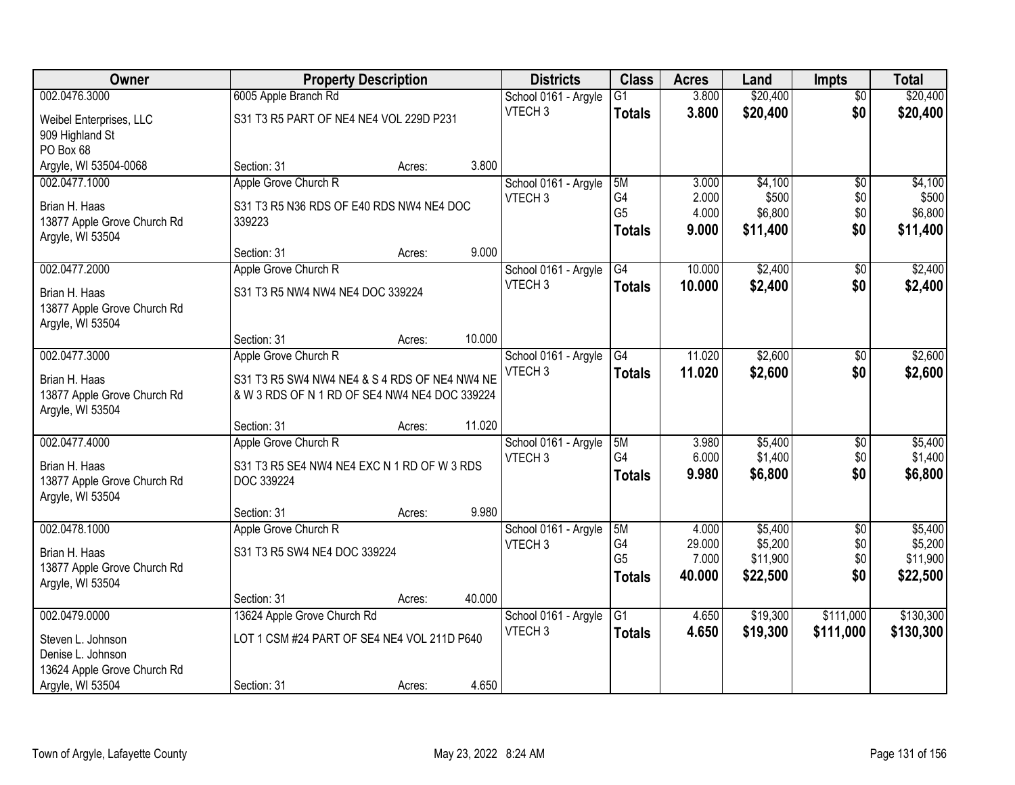| Owner                                           |                                               | <b>Property Description</b> |        | <b>Districts</b>                           | <b>Class</b>         | <b>Acres</b>   | Land             | <b>Impts</b>    | <b>Total</b>     |
|-------------------------------------------------|-----------------------------------------------|-----------------------------|--------|--------------------------------------------|----------------------|----------------|------------------|-----------------|------------------|
| 002.0476.3000                                   | 6005 Apple Branch Rd                          |                             |        | School 0161 - Argyle                       | $\overline{G1}$      | 3.800          | \$20,400         | $\overline{30}$ | \$20,400         |
| Weibel Enterprises, LLC                         | S31 T3 R5 PART OF NE4 NE4 VOL 229D P231       |                             |        | VTECH <sub>3</sub>                         | <b>Totals</b>        | 3.800          | \$20,400         | \$0             | \$20,400         |
| 909 Highland St                                 |                                               |                             |        |                                            |                      |                |                  |                 |                  |
| PO Box 68                                       |                                               |                             |        |                                            |                      |                |                  |                 |                  |
| Argyle, WI 53504-0068                           | Section: 31                                   | Acres:                      | 3.800  |                                            |                      |                |                  |                 |                  |
| 002.0477.1000                                   | Apple Grove Church R                          |                             |        | School 0161 - Argyle                       | 5M                   | 3.000          | \$4,100          | $\overline{50}$ | \$4,100          |
| Brian H. Haas                                   | S31 T3 R5 N36 RDS OF E40 RDS NW4 NE4 DOC      |                             |        | VTECH <sub>3</sub>                         | G4<br>G <sub>5</sub> | 2.000<br>4.000 | \$500<br>\$6,800 | \$0<br>\$0      | \$500<br>\$6,800 |
| 13877 Apple Grove Church Rd                     | 339223                                        |                             |        |                                            | <b>Totals</b>        | 9.000          | \$11,400         | \$0             | \$11,400         |
| Argyle, WI 53504                                |                                               |                             |        |                                            |                      |                |                  |                 |                  |
|                                                 | Section: 31                                   | Acres:                      | 9.000  |                                            |                      |                |                  |                 |                  |
| 002.0477.2000                                   | Apple Grove Church R                          |                             |        | School 0161 - Argyle                       | $\overline{G4}$      | 10.000         | \$2,400          | \$0             | \$2,400          |
| Brian H. Haas                                   | S31 T3 R5 NW4 NW4 NE4 DOC 339224              |                             |        | VTECH <sub>3</sub>                         | <b>Totals</b>        | 10.000         | \$2,400          | \$0             | \$2,400          |
| 13877 Apple Grove Church Rd                     |                                               |                             |        |                                            |                      |                |                  |                 |                  |
| Argyle, WI 53504                                |                                               |                             |        |                                            |                      |                |                  |                 |                  |
| 002.0477.3000                                   | Section: 31<br>Apple Grove Church R           | Acres:                      | 10.000 |                                            | G4                   | 11.020         | \$2,600          |                 | \$2,600          |
|                                                 |                                               |                             |        | School 0161 - Argyle<br>VTECH <sub>3</sub> | <b>Totals</b>        | 11.020         | \$2,600          | \$0<br>\$0      | \$2,600          |
| Brian H. Haas                                   | S31 T3 R5 SW4 NW4 NE4 & S 4 RDS OF NE4 NW4 NE |                             |        |                                            |                      |                |                  |                 |                  |
| 13877 Apple Grove Church Rd                     | & W 3 RDS OF N 1 RD OF SE4 NW4 NE4 DOC 339224 |                             |        |                                            |                      |                |                  |                 |                  |
| Argyle, WI 53504                                | Section: 31                                   |                             | 11.020 |                                            |                      |                |                  |                 |                  |
| 002.0477.4000                                   | Apple Grove Church R                          | Acres:                      |        | School 0161 - Argyle                       | 5M                   | 3.980          | \$5,400          | \$0             | \$5,400          |
|                                                 |                                               |                             |        | VTECH <sub>3</sub>                         | G4                   | 6.000          | \$1,400          | \$0             | \$1,400          |
| Brian H. Haas                                   | S31 T3 R5 SE4 NW4 NE4 EXC N 1 RD OF W 3 RDS   |                             |        |                                            | <b>Totals</b>        | 9.980          | \$6,800          | \$0             | \$6,800          |
| 13877 Apple Grove Church Rd<br>Argyle, WI 53504 | DOC 339224                                    |                             |        |                                            |                      |                |                  |                 |                  |
|                                                 | Section: 31                                   | Acres:                      | 9.980  |                                            |                      |                |                  |                 |                  |
| 002.0478.1000                                   | Apple Grove Church R                          |                             |        | School 0161 - Argyle                       | 5M                   | 4.000          | \$5,400          | $\overline{50}$ | \$5,400          |
|                                                 | S31 T3 R5 SW4 NE4 DOC 339224                  |                             |        | VTECH <sub>3</sub>                         | G4                   | 29.000         | \$5,200          | \$0             | \$5,200          |
| Brian H. Haas<br>13877 Apple Grove Church Rd    |                                               |                             |        |                                            | G <sub>5</sub>       | 7.000          | \$11,900         | \$0             | \$11,900         |
| Argyle, WI 53504                                |                                               |                             |        |                                            | <b>Totals</b>        | 40.000         | \$22,500         | \$0             | \$22,500         |
|                                                 | Section: 31                                   | Acres:                      | 40.000 |                                            |                      |                |                  |                 |                  |
| 002.0479.0000                                   | 13624 Apple Grove Church Rd                   |                             |        | School 0161 - Argyle                       | $\overline{G1}$      | 4.650          | \$19,300         | \$111,000       | \$130,300        |
| Steven L. Johnson                               | LOT 1 CSM #24 PART OF SE4 NE4 VOL 211D P640   |                             |        | VTECH <sub>3</sub>                         | <b>Totals</b>        | 4.650          | \$19,300         | \$111,000       | \$130,300        |
| Denise L. Johnson                               |                                               |                             |        |                                            |                      |                |                  |                 |                  |
| 13624 Apple Grove Church Rd                     |                                               |                             |        |                                            |                      |                |                  |                 |                  |
| Argyle, WI 53504                                | Section: 31                                   | Acres:                      | 4.650  |                                            |                      |                |                  |                 |                  |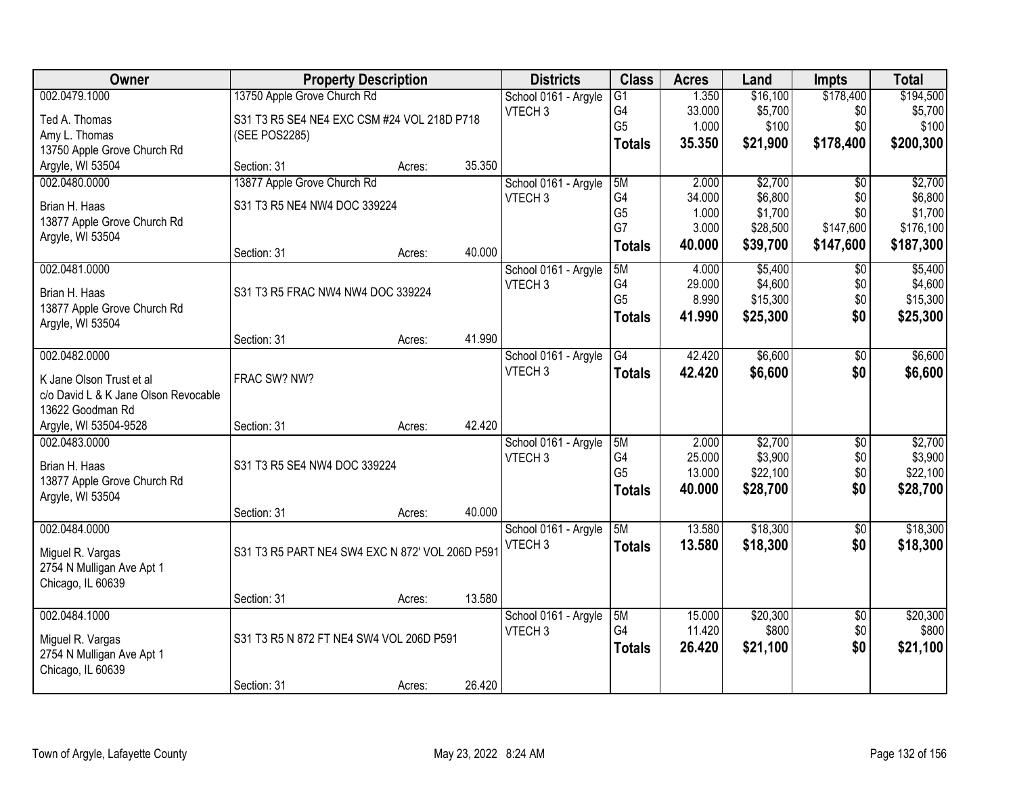| Owner                                | <b>Property Description</b>                     |        |        | <b>Districts</b>     | <b>Class</b>    | <b>Acres</b> | Land     | <b>Impts</b>    | <b>Total</b> |
|--------------------------------------|-------------------------------------------------|--------|--------|----------------------|-----------------|--------------|----------|-----------------|--------------|
| 002.0479.1000                        | 13750 Apple Grove Church Rd                     |        |        | School 0161 - Argyle | $\overline{G1}$ | 1.350        | \$16,100 | \$178,400       | \$194,500    |
| Ted A. Thomas                        | S31 T3 R5 SE4 NE4 EXC CSM #24 VOL 218D P718     |        |        | VTECH <sub>3</sub>   | G4              | 33.000       | \$5,700  | \$0             | \$5,700      |
| Amy L. Thomas                        | (SEE POS2285)                                   |        |        |                      | G <sub>5</sub>  | 1.000        | \$100    | \$0             | \$100        |
| 13750 Apple Grove Church Rd          |                                                 |        |        |                      | <b>Totals</b>   | 35.350       | \$21,900 | \$178,400       | \$200,300    |
| Argyle, WI 53504                     | Section: 31                                     | Acres: | 35.350 |                      |                 |              |          |                 |              |
| 002.0480.0000                        | 13877 Apple Grove Church Rd                     |        |        | School 0161 - Argyle | 5M              | 2.000        | \$2,700  | $\overline{50}$ | \$2,700      |
| Brian H. Haas                        | S31 T3 R5 NE4 NW4 DOC 339224                    |        |        | VTECH <sub>3</sub>   | G4              | 34.000       | \$6,800  | \$0             | \$6,800      |
| 13877 Apple Grove Church Rd          |                                                 |        |        |                      | G <sub>5</sub>  | 1.000        | \$1,700  | \$0             | \$1,700      |
| Argyle, WI 53504                     |                                                 |        |        |                      | G7              | 3.000        | \$28,500 | \$147,600       | \$176,100    |
|                                      | Section: 31                                     | Acres: | 40.000 |                      | <b>Totals</b>   | 40.000       | \$39,700 | \$147,600       | \$187,300    |
| 002.0481.0000                        |                                                 |        |        | School 0161 - Argyle | 5M              | 4.000        | \$5,400  | \$0             | \$5,400      |
| Brian H. Haas                        | S31 T3 R5 FRAC NW4 NW4 DOC 339224               |        |        | VTECH <sub>3</sub>   | G4              | 29.000       | \$4,600  | \$0             | \$4,600      |
| 13877 Apple Grove Church Rd          |                                                 |        |        |                      | G <sub>5</sub>  | 8.990        | \$15,300 | \$0             | \$15,300     |
| Argyle, WI 53504                     |                                                 |        |        |                      | <b>Totals</b>   | 41.990       | \$25,300 | \$0             | \$25,300     |
|                                      | Section: 31                                     | Acres: | 41.990 |                      |                 |              |          |                 |              |
| 002.0482.0000                        |                                                 |        |        | School 0161 - Argyle | G4              | 42.420       | \$6,600  | \$0             | \$6,600      |
| K Jane Olson Trust et al             | FRAC SW? NW?                                    |        |        | VTECH <sub>3</sub>   | <b>Totals</b>   | 42.420       | \$6,600  | \$0             | \$6,600      |
| c/o David L & K Jane Olson Revocable |                                                 |        |        |                      |                 |              |          |                 |              |
| 13622 Goodman Rd                     |                                                 |        |        |                      |                 |              |          |                 |              |
| Argyle, WI 53504-9528                | Section: 31                                     | Acres: | 42.420 |                      |                 |              |          |                 |              |
| 002.0483.0000                        |                                                 |        |        | School 0161 - Argyle | 5M              | 2.000        | \$2,700  | $\overline{50}$ | \$2,700      |
| Brian H. Haas                        | S31 T3 R5 SE4 NW4 DOC 339224                    |        |        | VTECH <sub>3</sub>   | G <sub>4</sub>  | 25.000       | \$3,900  | \$0             | \$3,900      |
| 13877 Apple Grove Church Rd          |                                                 |        |        |                      | G <sub>5</sub>  | 13.000       | \$22,100 | \$0             | \$22,100     |
| Argyle, WI 53504                     |                                                 |        |        |                      | <b>Totals</b>   | 40.000       | \$28,700 | \$0             | \$28,700     |
|                                      | Section: 31                                     | Acres: | 40.000 |                      |                 |              |          |                 |              |
| 002.0484.0000                        |                                                 |        |        | School 0161 - Argyle | 5M              | 13.580       | \$18,300 | $\sqrt{6}$      | \$18,300     |
| Miguel R. Vargas                     | S31 T3 R5 PART NE4 SW4 EXC N 872' VOL 206D P591 |        |        | VTECH <sub>3</sub>   | <b>Totals</b>   | 13.580       | \$18,300 | \$0             | \$18,300     |
| 2754 N Mulligan Ave Apt 1            |                                                 |        |        |                      |                 |              |          |                 |              |
| Chicago, IL 60639                    |                                                 |        |        |                      |                 |              |          |                 |              |
|                                      | Section: 31                                     | Acres: | 13.580 |                      |                 |              |          |                 |              |
| 002.0484.1000                        |                                                 |        |        | School 0161 - Argyle | 5M              | 15.000       | \$20,300 | $\overline{30}$ | \$20,300     |
| Miguel R. Vargas                     | S31 T3 R5 N 872 FT NE4 SW4 VOL 206D P591        |        |        | VTECH <sub>3</sub>   | G <sub>4</sub>  | 11.420       | \$800    | \$0             | \$800        |
| 2754 N Mulligan Ave Apt 1            |                                                 |        |        |                      | <b>Totals</b>   | 26.420       | \$21,100 | \$0             | \$21,100     |
| Chicago, IL 60639                    |                                                 |        |        |                      |                 |              |          |                 |              |
|                                      | Section: 31                                     | Acres: | 26.420 |                      |                 |              |          |                 |              |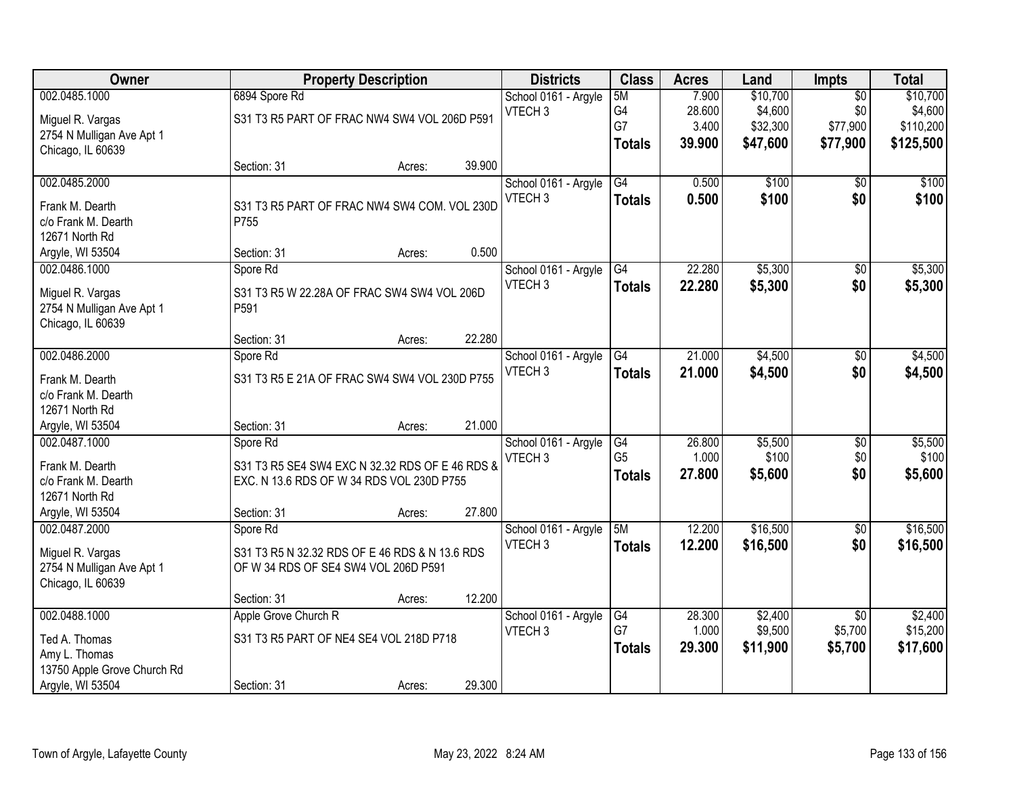| <b>Class</b><br>Owner<br><b>Property Description</b><br><b>Districts</b><br><b>Acres</b><br>Land                                        | Impts           | <b>Total</b> |
|-----------------------------------------------------------------------------------------------------------------------------------------|-----------------|--------------|
| 002.0485.1000<br>7.900<br>\$10,700<br>6894 Spore Rd<br>5M<br>School 0161 - Argyle                                                       | $\overline{50}$ | \$10,700     |
| G4<br>28.600<br>\$4,600<br>VTECH <sub>3</sub><br>S31 T3 R5 PART OF FRAC NW4 SW4 VOL 206D P591<br>Miguel R. Vargas                       | \$0             | \$4,600      |
| G7<br>3.400<br>\$32,300<br>2754 N Mulligan Ave Apt 1                                                                                    | \$77,900        | \$110,200    |
| 39.900<br>\$47,600<br><b>Totals</b><br>Chicago, IL 60639                                                                                | \$77,900        | \$125,500    |
| 39.900<br>Section: 31<br>Acres:                                                                                                         |                 |              |
| G4<br>\$100<br>002.0485.2000<br>School 0161 - Argyle<br>0.500                                                                           | \$0             | \$100        |
| VTECH <sub>3</sub><br>0.500<br>\$100<br><b>Totals</b><br>S31 T3 R5 PART OF FRAC NW4 SW4 COM. VOL 230D<br>Frank M. Dearth                | \$0             | \$100        |
| c/o Frank M. Dearth<br>P755                                                                                                             |                 |              |
| 12671 North Rd                                                                                                                          |                 |              |
| 0.500<br>Argyle, WI 53504<br>Section: 31<br>Acres:                                                                                      |                 |              |
| 002.0486.1000<br>G4<br>22.280<br>\$5,300<br>School 0161 - Argyle<br>Spore Rd                                                            | \$0             | \$5,300      |
| VTECH <sub>3</sub><br>22.280<br>\$5,300<br><b>Totals</b><br>Miguel R. Vargas<br>S31 T3 R5 W 22.28A OF FRAC SW4 SW4 VOL 206D             | \$0             | \$5,300      |
| 2754 N Mulligan Ave Apt 1<br>P591                                                                                                       |                 |              |
| Chicago, IL 60639                                                                                                                       |                 |              |
| 22.280<br>Section: 31<br>Acres:                                                                                                         |                 |              |
| 21.000<br>\$4,500<br>002.0486.2000<br>School 0161 - Argyle<br>G4<br>Spore Rd                                                            | \$0             | \$4,500      |
| VTECH <sub>3</sub><br>21.000<br>\$4,500<br><b>Totals</b><br>S31 T3 R5 E 21A OF FRAC SW4 SW4 VOL 230D P755<br>Frank M. Dearth            | \$0             | \$4,500      |
| c/o Frank M. Dearth                                                                                                                     |                 |              |
| 12671 North Rd                                                                                                                          |                 |              |
| 21.000<br>Argyle, WI 53504<br>Section: 31<br>Acres:                                                                                     |                 |              |
| \$5,500<br>002.0487.1000<br>26.800<br>Spore Rd<br>School 0161 - Argyle<br>G4                                                            | $\overline{60}$ | \$5,500      |
| G <sub>5</sub><br>\$100<br>1.000<br>VTECH <sub>3</sub><br>S31 T3 R5 SE4 SW4 EXC N 32.32 RDS OF E 46 RDS &                               | \$0             | \$100        |
| Frank M. Dearth<br>27.800<br>\$5,600<br><b>Totals</b><br>c/o Frank M. Dearth<br>EXC. N 13.6 RDS OF W 34 RDS VOL 230D P755               | \$0             | \$5,600      |
| 12671 North Rd                                                                                                                          |                 |              |
| 27.800<br>Argyle, WI 53504<br>Section: 31<br>Acres:                                                                                     |                 |              |
| 002.0487.2000<br>5M<br>12.200<br>\$16,500<br>School 0161 - Argyle<br>Spore Rd                                                           | $\sqrt{6}$      | \$16,500     |
| VTECH <sub>3</sub><br>12.200<br>\$16,500<br><b>Totals</b>                                                                               | \$0             | \$16,500     |
| Miguel R. Vargas<br>S31 T3 R5 N 32.32 RDS OF E 46 RDS & N 13.6 RDS<br>2754 N Mulligan Ave Apt 1<br>OF W 34 RDS OF SE4 SW4 VOL 206D P591 |                 |              |
| Chicago, IL 60639                                                                                                                       |                 |              |
| 12.200<br>Section: 31<br>Acres:                                                                                                         |                 |              |
| 002.0488.1000<br>Apple Grove Church R<br>\$2,400<br>School 0161 - Argyle<br>G4<br>28.300                                                | $\overline{50}$ | \$2,400      |
| G7<br>\$9,500<br>1.000<br>VTECH <sub>3</sub>                                                                                            | \$5,700         | \$15,200     |
| S31 T3 R5 PART OF NE4 SE4 VOL 218D P718<br>Ted A. Thomas<br>29.300<br>\$11,900<br><b>Totals</b><br>Amy L. Thomas                        | \$5,700         | \$17,600     |
| 13750 Apple Grove Church Rd                                                                                                             |                 |              |
| Argyle, WI 53504<br>29.300<br>Section: 31<br>Acres:                                                                                     |                 |              |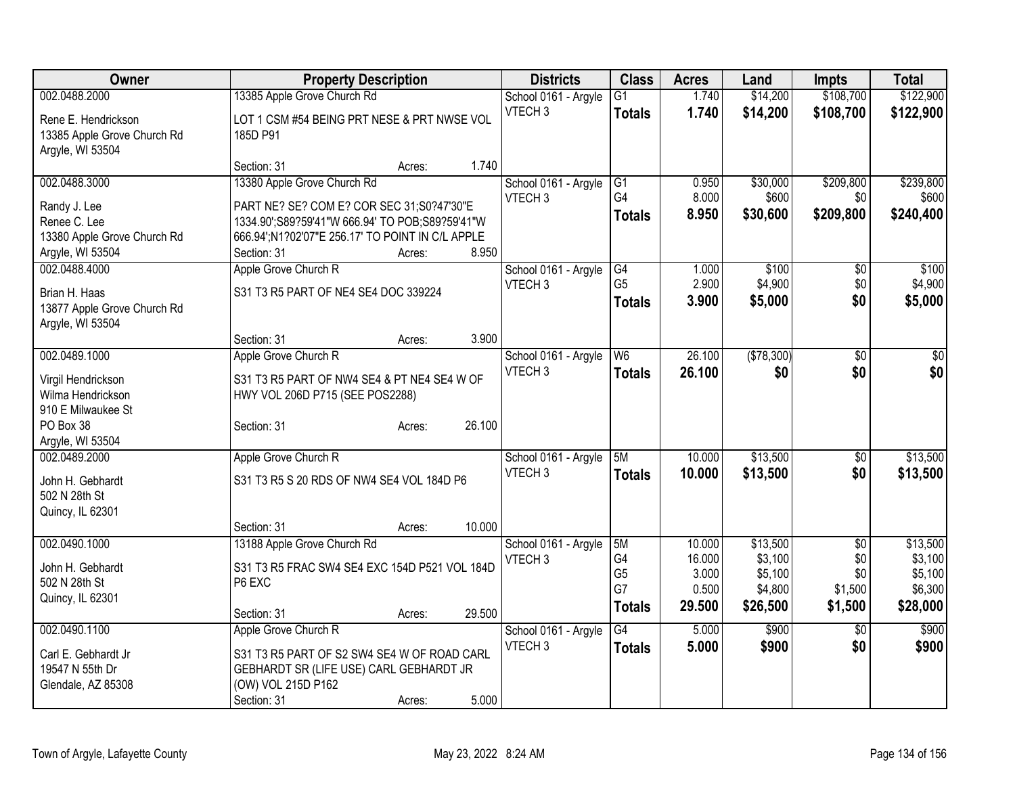| <b>Owner</b>                | <b>Property Description</b>                      |        |        | <b>Districts</b>     | <b>Class</b>         | <b>Acres</b>   | Land               | <b>Impts</b>    | <b>Total</b>       |
|-----------------------------|--------------------------------------------------|--------|--------|----------------------|----------------------|----------------|--------------------|-----------------|--------------------|
| 002.0488.2000               | 13385 Apple Grove Church Rd                      |        |        | School 0161 - Argyle | G1                   | 1.740          | \$14,200           | \$108,700       | \$122,900          |
| Rene E. Hendrickson         | LOT 1 CSM #54 BEING PRT NESE & PRT NWSE VOL      |        |        | VTECH <sub>3</sub>   | <b>Totals</b>        | 1.740          | \$14,200           | \$108,700       | \$122,900          |
| 13385 Apple Grove Church Rd | 185D P91                                         |        |        |                      |                      |                |                    |                 |                    |
| Argyle, WI 53504            |                                                  |        |        |                      |                      |                |                    |                 |                    |
|                             | Section: 31                                      | Acres: | 1.740  |                      |                      |                |                    |                 |                    |
| 002.0488.3000               | 13380 Apple Grove Church Rd                      |        |        | School 0161 - Argyle | G1                   | 0.950          | \$30,000           | \$209,800       | \$239,800          |
| Randy J. Lee                | PART NE? SE? COM E? COR SEC 31;S0?47'30"E        |        |        | VTECH <sub>3</sub>   | G <sub>4</sub>       | 8.000          | \$600              | \$0             | \$600              |
| Renee C. Lee                | 1334.90';S89?59'41"W 666.94' TO POB;S89?59'41"W  |        |        |                      | <b>Totals</b>        | 8.950          | \$30,600           | \$209,800       | \$240,400          |
| 13380 Apple Grove Church Rd | 666.94';N1?02'07"E 256.17' TO POINT IN C/L APPLE |        |        |                      |                      |                |                    |                 |                    |
| Argyle, WI 53504            | Section: 31                                      | Acres: | 8.950  |                      |                      |                |                    |                 |                    |
| 002.0488.4000               | Apple Grove Church R                             |        |        | School 0161 - Argyle | G4                   | 1.000          | \$100              | \$0             | \$100              |
| Brian H. Haas               | S31 T3 R5 PART OF NE4 SE4 DOC 339224             |        |        | VTECH <sub>3</sub>   | G <sub>5</sub>       | 2.900          | \$4,900            | \$0             | \$4,900            |
| 13877 Apple Grove Church Rd |                                                  |        |        |                      | <b>Totals</b>        | 3.900          | \$5,000            | \$0             | \$5,000            |
| Argyle, WI 53504            |                                                  |        |        |                      |                      |                |                    |                 |                    |
|                             | Section: 31                                      | Acres: | 3.900  |                      |                      |                |                    |                 |                    |
| 002.0489.1000               | Apple Grove Church R                             |        |        | School 0161 - Argyle | W <sub>6</sub>       | 26.100         | (\$78,300)         | \$0             | \$0                |
| Virgil Hendrickson          | S31 T3 R5 PART OF NW4 SE4 & PT NE4 SE4 W OF      |        |        | VTECH <sub>3</sub>   | <b>Totals</b>        | 26.100         | \$0                | \$0             | \$0                |
| Wilma Hendrickson           | HWY VOL 206D P715 (SEE POS2288)                  |        |        |                      |                      |                |                    |                 |                    |
| 910 E Milwaukee St          |                                                  |        |        |                      |                      |                |                    |                 |                    |
| PO Box 38                   | Section: 31                                      | Acres: | 26.100 |                      |                      |                |                    |                 |                    |
| Argyle, WI 53504            |                                                  |        |        |                      |                      |                |                    |                 |                    |
| 002.0489.2000               | Apple Grove Church R                             |        |        | School 0161 - Argyle | 5M                   | 10.000         | \$13,500           | $\frac{1}{20}$  | \$13,500           |
| John H. Gebhardt            | S31 T3 R5 S 20 RDS OF NW4 SE4 VOL 184D P6        |        |        | VTECH <sub>3</sub>   | <b>Totals</b>        | 10.000         | \$13,500           | \$0             | \$13,500           |
| 502 N 28th St               |                                                  |        |        |                      |                      |                |                    |                 |                    |
| Quincy, IL 62301            |                                                  |        |        |                      |                      |                |                    |                 |                    |
|                             | Section: 31                                      | Acres: | 10.000 |                      |                      |                |                    |                 |                    |
| 002.0490.1000               | 13188 Apple Grove Church Rd                      |        |        | School 0161 - Argyle | 5M                   | 10.000         | \$13,500           | $\overline{50}$ | \$13,500           |
| John H. Gebhardt            | S31 T3 R5 FRAC SW4 SE4 EXC 154D P521 VOL 184D    |        |        | VTECH <sub>3</sub>   | G4                   | 16.000         | \$3,100            | \$0             | \$3,100            |
| 502 N 28th St               | P6 EXC                                           |        |        |                      | G <sub>5</sub><br>G7 | 3.000<br>0.500 | \$5,100<br>\$4,800 | \$0<br>\$1,500  | \$5,100<br>\$6,300 |
| Quincy, IL 62301            |                                                  |        |        |                      | <b>Totals</b>        | 29.500         | \$26,500           | \$1,500         | \$28,000           |
|                             | Section: 31                                      | Acres: | 29.500 |                      |                      |                |                    |                 |                    |
| 002.0490.1100               | Apple Grove Church R                             |        |        | School 0161 - Argyle | $\overline{G4}$      | 5.000          | \$900              | $\overline{50}$ | \$900              |
| Carl E. Gebhardt Jr         | S31 T3 R5 PART OF S2 SW4 SE4 W OF ROAD CARL      |        |        | VTECH <sub>3</sub>   | <b>Totals</b>        | 5.000          | \$900              | \$0             | \$900              |
| 19547 N 55th Dr             | GEBHARDT SR (LIFE USE) CARL GEBHARDT JR          |        |        |                      |                      |                |                    |                 |                    |
| Glendale, AZ 85308          | (OW) VOL 215D P162                               |        |        |                      |                      |                |                    |                 |                    |
|                             | Section: 31                                      | Acres: | 5.000  |                      |                      |                |                    |                 |                    |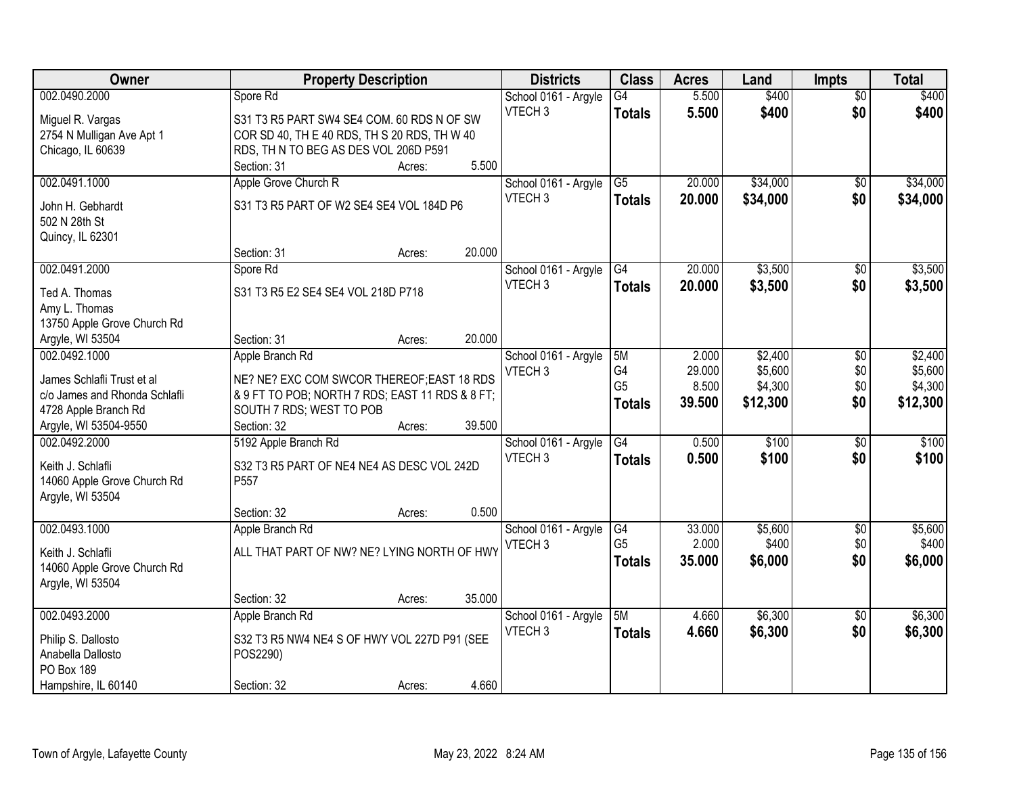| Owner                                                       |                                                                             | <b>Property Description</b> |        | <b>Districts</b>     | <b>Class</b>    | <b>Acres</b> | Land     | <b>Impts</b>    | <b>Total</b> |
|-------------------------------------------------------------|-----------------------------------------------------------------------------|-----------------------------|--------|----------------------|-----------------|--------------|----------|-----------------|--------------|
| 002.0490.2000                                               | Spore Rd                                                                    |                             |        | School 0161 - Argyle | $\overline{G4}$ | 5.500        | \$400    | $\overline{50}$ | \$400        |
| Miguel R. Vargas                                            | S31 T3 R5 PART SW4 SE4 COM. 60 RDS N OF SW                                  |                             |        | VTECH <sub>3</sub>   | <b>Totals</b>   | 5.500        | \$400    | \$0             | \$400        |
| 2754 N Mulligan Ave Apt 1                                   | COR SD 40, TH E 40 RDS, TH S 20 RDS, TH W 40                                |                             |        |                      |                 |              |          |                 |              |
| Chicago, IL 60639                                           | RDS, TH N TO BEG AS DES VOL 206D P591                                       |                             |        |                      |                 |              |          |                 |              |
|                                                             | Section: 31                                                                 | Acres:                      | 5.500  |                      |                 |              |          |                 |              |
| 002.0491.1000                                               | Apple Grove Church R                                                        |                             |        | School 0161 - Argyle | $\overline{G5}$ | 20.000       | \$34,000 | \$0             | \$34,000     |
|                                                             |                                                                             |                             |        | VTECH <sub>3</sub>   | <b>Totals</b>   | 20.000       | \$34,000 | \$0             | \$34,000     |
| John H. Gebhardt                                            | S31 T3 R5 PART OF W2 SE4 SE4 VOL 184D P6                                    |                             |        |                      |                 |              |          |                 |              |
| 502 N 28th St                                               |                                                                             |                             |        |                      |                 |              |          |                 |              |
| Quincy, IL 62301                                            |                                                                             |                             | 20.000 |                      |                 |              |          |                 |              |
|                                                             | Section: 31                                                                 | Acres:                      |        |                      |                 |              |          |                 |              |
| 002.0491.2000                                               | Spore Rd                                                                    |                             |        | School 0161 - Argyle | G4              | 20.000       | \$3,500  | \$0             | \$3,500      |
| Ted A. Thomas                                               | S31 T3 R5 E2 SE4 SE4 VOL 218D P718                                          |                             |        | VTECH <sub>3</sub>   | <b>Totals</b>   | 20.000       | \$3,500  | \$0             | \$3,500      |
| Amy L. Thomas                                               |                                                                             |                             |        |                      |                 |              |          |                 |              |
| 13750 Apple Grove Church Rd                                 |                                                                             |                             |        |                      |                 |              |          |                 |              |
| Argyle, WI 53504                                            | Section: 31                                                                 | Acres:                      | 20.000 |                      |                 |              |          |                 |              |
| 002.0492.1000                                               | Apple Branch Rd                                                             |                             |        | School 0161 - Argyle | 5M              | 2.000        | \$2,400  | \$0             | \$2,400      |
|                                                             |                                                                             |                             |        | VTECH <sub>3</sub>   | G4              | 29.000       | \$5,600  | \$0             | \$5,600      |
| James Schlafli Trust et al<br>c/o James and Rhonda Schlafli | NE? NE? EXC COM SWCOR THEREOF; EAST 18 RDS                                  |                             |        |                      | G <sub>5</sub>  | 8.500        | \$4,300  | \$0             | \$4,300      |
| 4728 Apple Branch Rd                                        | & 9 FT TO POB; NORTH 7 RDS; EAST 11 RDS & 8 FT;<br>SOUTH 7 RDS; WEST TO POB |                             |        |                      | <b>Totals</b>   | 39.500       | \$12,300 | \$0             | \$12,300     |
| Argyle, WI 53504-9550                                       | Section: 32                                                                 | Acres:                      | 39.500 |                      |                 |              |          |                 |              |
| 002.0492.2000                                               | 5192 Apple Branch Rd                                                        |                             |        | School 0161 - Argyle | $\overline{G4}$ | 0.500        | \$100    | $\overline{50}$ | \$100        |
|                                                             |                                                                             |                             |        | VTECH <sub>3</sub>   |                 |              |          |                 |              |
| Keith J. Schlafli                                           | S32 T3 R5 PART OF NE4 NE4 AS DESC VOL 242D                                  |                             |        |                      | Totals          | 0.500        | \$100    | \$0             | \$100        |
| 14060 Apple Grove Church Rd                                 | P <sub>557</sub>                                                            |                             |        |                      |                 |              |          |                 |              |
| Argyle, WI 53504                                            |                                                                             |                             |        |                      |                 |              |          |                 |              |
|                                                             | Section: 32                                                                 | Acres:                      | 0.500  |                      |                 |              |          |                 |              |
| 002.0493.1000                                               | Apple Branch Rd                                                             |                             |        | School 0161 - Argyle | G4              | 33.000       | \$5,600  | $\sqrt{$0}$     | \$5,600      |
| Keith J. Schlafli                                           | ALL THAT PART OF NW? NE? LYING NORTH OF HWY                                 |                             |        | VTECH <sub>3</sub>   | G <sub>5</sub>  | 2.000        | \$400    | \$0             | \$400        |
| 14060 Apple Grove Church Rd                                 |                                                                             |                             |        |                      | <b>Totals</b>   | 35.000       | \$6,000  | \$0             | \$6,000      |
| Argyle, WI 53504                                            |                                                                             |                             |        |                      |                 |              |          |                 |              |
|                                                             | Section: 32                                                                 | Acres:                      | 35.000 |                      |                 |              |          |                 |              |
| 002.0493.2000                                               | Apple Branch Rd                                                             |                             |        | School 0161 - Argyle | 5M              | 4.660        | \$6,300  | $\overline{30}$ | \$6,300      |
|                                                             |                                                                             |                             |        | VTECH <sub>3</sub>   | <b>Totals</b>   | 4.660        | \$6,300  | \$0             | \$6,300      |
| Philip S. Dallosto                                          | S32 T3 R5 NW4 NE4 S OF HWY VOL 227D P91 (SEE                                |                             |        |                      |                 |              |          |                 |              |
| Anabella Dallosto                                           | POS2290)                                                                    |                             |        |                      |                 |              |          |                 |              |
| PO Box 189                                                  |                                                                             |                             |        |                      |                 |              |          |                 |              |
| Hampshire, IL 60140                                         | Section: 32                                                                 | Acres:                      | 4.660  |                      |                 |              |          |                 |              |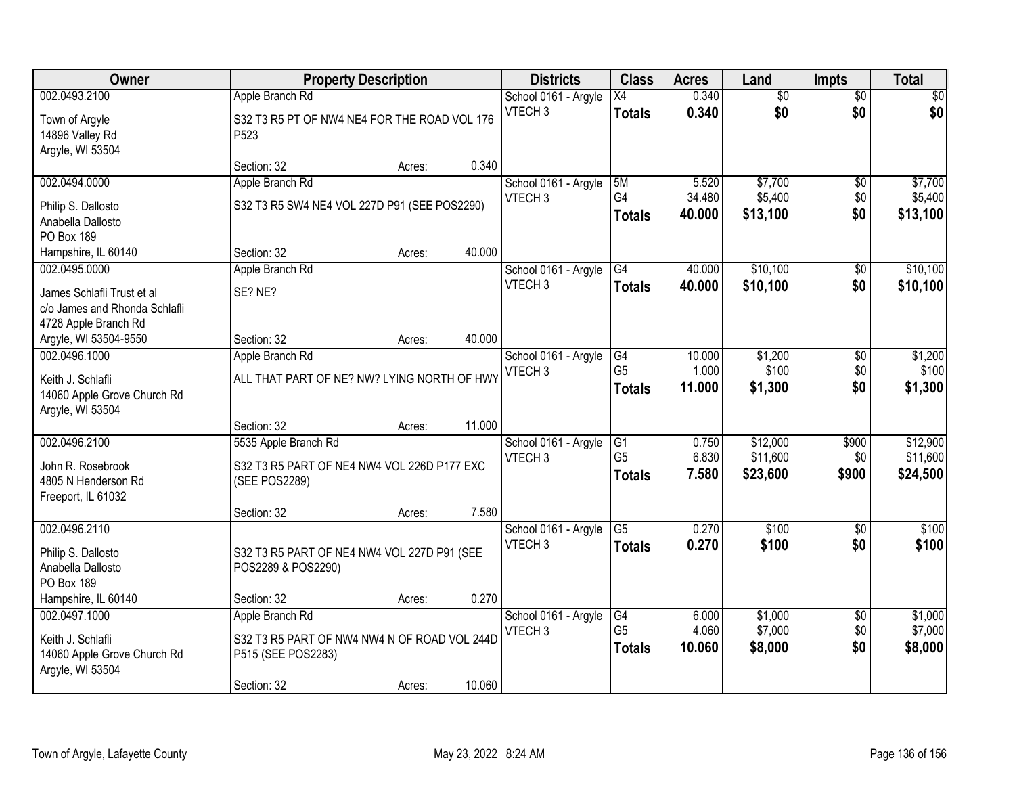| Owner                         |                                              | <b>Property Description</b> |        | <b>Districts</b>     | <b>Class</b>    | <b>Acres</b> | Land            | <b>Impts</b>    | <b>Total</b>    |
|-------------------------------|----------------------------------------------|-----------------------------|--------|----------------------|-----------------|--------------|-----------------|-----------------|-----------------|
| 002.0493.2100                 | Apple Branch Rd                              |                             |        | School 0161 - Argyle | X4              | 0.340        | $\overline{50}$ | $\overline{50}$ | $\overline{50}$ |
| Town of Argyle                | S32 T3 R5 PT OF NW4 NE4 FOR THE ROAD VOL 176 |                             |        | VTECH <sub>3</sub>   | <b>Totals</b>   | 0.340        | \$0             | \$0             | \$0             |
| 14896 Valley Rd               | P <sub>523</sub>                             |                             |        |                      |                 |              |                 |                 |                 |
| Argyle, WI 53504              |                                              |                             |        |                      |                 |              |                 |                 |                 |
|                               | Section: 32                                  | Acres:                      | 0.340  |                      |                 |              |                 |                 |                 |
| 002.0494.0000                 | Apple Branch Rd                              |                             |        | School 0161 - Argyle | 5M              | 5.520        | \$7,700         | $\overline{50}$ | \$7,700         |
| Philip S. Dallosto            | S32 T3 R5 SW4 NE4 VOL 227D P91 (SEE POS2290) |                             |        | VTECH <sub>3</sub>   | G4              | 34.480       | \$5,400         | \$0             | \$5,400         |
| Anabella Dallosto             |                                              |                             |        |                      | <b>Totals</b>   | 40.000       | \$13,100        | \$0             | \$13,100        |
| PO Box 189                    |                                              |                             |        |                      |                 |              |                 |                 |                 |
| Hampshire, IL 60140           | Section: 32                                  | Acres:                      | 40.000 |                      |                 |              |                 |                 |                 |
| 002.0495.0000                 | Apple Branch Rd                              |                             |        | School 0161 - Argyle | G4              | 40.000       | \$10,100        | \$0             | \$10,100        |
| James Schlafli Trust et al    | SE? NE?                                      |                             |        | VTECH <sub>3</sub>   | <b>Totals</b>   | 40.000       | \$10,100        | \$0             | \$10,100        |
| c/o James and Rhonda Schlafli |                                              |                             |        |                      |                 |              |                 |                 |                 |
| 4728 Apple Branch Rd          |                                              |                             |        |                      |                 |              |                 |                 |                 |
| Argyle, WI 53504-9550         | Section: 32                                  | Acres:                      | 40.000 |                      |                 |              |                 |                 |                 |
| 002.0496.1000                 | Apple Branch Rd                              |                             |        | School 0161 - Argyle | G4              | 10.000       | \$1,200         | \$0             | \$1,200         |
| Keith J. Schlafli             | ALL THAT PART OF NE? NW? LYING NORTH OF HWY  |                             |        | VTECH <sub>3</sub>   | G <sub>5</sub>  | 1.000        | \$100           | \$0             | \$100           |
| 14060 Apple Grove Church Rd   |                                              |                             |        |                      | <b>Totals</b>   | 11.000       | \$1,300         | \$0             | \$1,300         |
| Argyle, WI 53504              |                                              |                             |        |                      |                 |              |                 |                 |                 |
|                               | Section: 32                                  | Acres:                      | 11.000 |                      |                 |              |                 |                 |                 |
| 002.0496.2100                 | 5535 Apple Branch Rd                         |                             |        | School 0161 - Argyle | G1              | 0.750        | \$12,000        | \$900           | \$12,900        |
| John R. Rosebrook             | S32 T3 R5 PART OF NE4 NW4 VOL 226D P177 EXC  |                             |        | VTECH <sub>3</sub>   | G <sub>5</sub>  | 6.830        | \$11,600        | \$0             | \$11,600        |
| 4805 N Henderson Rd           | (SEE POS2289)                                |                             |        |                      | <b>Totals</b>   | 7.580        | \$23,600        | \$900           | \$24,500        |
| Freeport, IL 61032            |                                              |                             |        |                      |                 |              |                 |                 |                 |
|                               | Section: 32                                  | Acres:                      | 7.580  |                      |                 |              |                 |                 |                 |
| 002.0496.2110                 |                                              |                             |        | School 0161 - Argyle | $\overline{G5}$ | 0.270        | \$100           | $\overline{50}$ | \$100           |
| Philip S. Dallosto            | S32 T3 R5 PART OF NE4 NW4 VOL 227D P91 (SEE  |                             |        | VTECH <sub>3</sub>   | <b>Totals</b>   | 0.270        | \$100           | \$0             | \$100           |
| Anabella Dallosto             | POS2289 & POS2290)                           |                             |        |                      |                 |              |                 |                 |                 |
| PO Box 189                    |                                              |                             |        |                      |                 |              |                 |                 |                 |
| Hampshire, IL 60140           | Section: 32                                  | Acres:                      | 0.270  |                      |                 |              |                 |                 |                 |
| 002.0497.1000                 | Apple Branch Rd                              |                             |        | School 0161 - Argyle | G4              | 6.000        | \$1,000         | $\overline{50}$ | \$1,000         |
| Keith J. Schlafli             | S32 T3 R5 PART OF NW4 NW4 N OF ROAD VOL 244D |                             |        | VTECH <sub>3</sub>   | G <sub>5</sub>  | 4.060        | \$7,000         | \$0             | \$7,000         |
| 14060 Apple Grove Church Rd   | P515 (SEE POS2283)                           |                             |        |                      | <b>Totals</b>   | 10.060       | \$8,000         | \$0             | \$8,000         |
| Argyle, WI 53504              |                                              |                             |        |                      |                 |              |                 |                 |                 |
|                               | Section: 32                                  | Acres:                      | 10.060 |                      |                 |              |                 |                 |                 |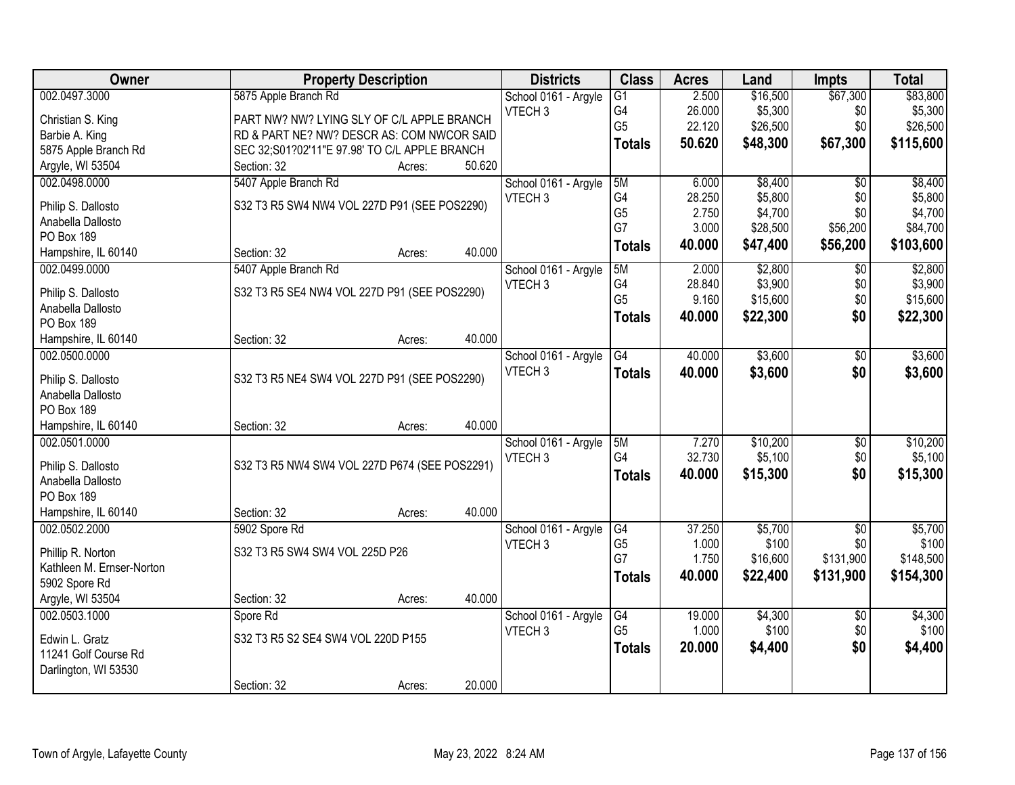| Owner                     |                                               | <b>Property Description</b> |        | <b>Districts</b>     | <b>Class</b>   | <b>Acres</b> | Land     | Impts           | <b>Total</b> |
|---------------------------|-----------------------------------------------|-----------------------------|--------|----------------------|----------------|--------------|----------|-----------------|--------------|
| 002.0497.3000             | 5875 Apple Branch Rd                          |                             |        | School 0161 - Argyle | G1             | 2.500        | \$16,500 | \$67,300        | \$83,800     |
| Christian S. King         | PART NW? NW? LYING SLY OF C/L APPLE BRANCH    |                             |        | VTECH <sub>3</sub>   | G4             | 26.000       | \$5,300  | \$0             | \$5,300      |
| Barbie A. King            | RD & PART NE? NW? DESCR AS: COM NWCOR SAID    |                             |        |                      | G <sub>5</sub> | 22.120       | \$26,500 | \$0             | \$26,500     |
| 5875 Apple Branch Rd      | SEC 32;S01?02'11"E 97.98' TO C/L APPLE BRANCH |                             |        |                      | <b>Totals</b>  | 50.620       | \$48,300 | \$67,300        | \$115,600    |
| Argyle, WI 53504          | Section: 32                                   | Acres:                      | 50.620 |                      |                |              |          |                 |              |
| 002.0498.0000             | 5407 Apple Branch Rd                          |                             |        | School 0161 - Argyle | 5M             | 6.000        | \$8,400  | $\overline{30}$ | \$8,400      |
|                           |                                               |                             |        | VTECH <sub>3</sub>   | G4             | 28.250       | \$5,800  | \$0             | \$5,800      |
| Philip S. Dallosto        | S32 T3 R5 SW4 NW4 VOL 227D P91 (SEE POS2290)  |                             |        |                      | G <sub>5</sub> | 2.750        | \$4,700  | \$0             | \$4,700      |
| Anabella Dallosto         |                                               |                             |        |                      | G7             | 3.000        | \$28,500 | \$56,200        | \$84,700     |
| PO Box 189                |                                               |                             |        |                      | <b>Totals</b>  | 40.000       | \$47,400 | \$56,200        | \$103,600    |
| Hampshire, IL 60140       | Section: 32                                   | Acres:                      | 40.000 |                      |                |              |          |                 |              |
| 002.0499.0000             | 5407 Apple Branch Rd                          |                             |        | School 0161 - Argyle | 5M             | 2.000        | \$2,800  | \$0             | \$2,800      |
| Philip S. Dallosto        | S32 T3 R5 SE4 NW4 VOL 227D P91 (SEE POS2290)  |                             |        | VTECH <sub>3</sub>   | G4             | 28.840       | \$3,900  | \$0             | \$3,900      |
| Anabella Dallosto         |                                               |                             |        |                      | G <sub>5</sub> | 9.160        | \$15,600 | \$0             | \$15,600     |
| PO Box 189                |                                               |                             |        |                      | <b>Totals</b>  | 40.000       | \$22,300 | \$0             | \$22,300     |
| Hampshire, IL 60140       | Section: 32                                   | Acres:                      | 40.000 |                      |                |              |          |                 |              |
| 002.0500.0000             |                                               |                             |        | School 0161 - Argyle | G4             | 40.000       | \$3,600  | $\sqrt[6]{}$    | \$3,600      |
|                           |                                               |                             |        | VTECH <sub>3</sub>   | <b>Totals</b>  | 40.000       | \$3,600  | \$0             | \$3,600      |
| Philip S. Dallosto        | S32 T3 R5 NE4 SW4 VOL 227D P91 (SEE POS2290)  |                             |        |                      |                |              |          |                 |              |
| Anabella Dallosto         |                                               |                             |        |                      |                |              |          |                 |              |
| PO Box 189                |                                               |                             |        |                      |                |              |          |                 |              |
| Hampshire, IL 60140       | Section: 32                                   | Acres:                      | 40.000 |                      |                |              |          |                 |              |
| 002.0501.0000             |                                               |                             |        | School 0161 - Argyle | 5M             | 7.270        | \$10,200 | $\overline{50}$ | \$10,200     |
| Philip S. Dallosto        | S32 T3 R5 NW4 SW4 VOL 227D P674 (SEE POS2291) |                             |        | VTECH <sub>3</sub>   | G4             | 32.730       | \$5,100  | \$0             | \$5,100      |
| Anabella Dallosto         |                                               |                             |        |                      | <b>Totals</b>  | 40.000       | \$15,300 | \$0             | \$15,300     |
| PO Box 189                |                                               |                             |        |                      |                |              |          |                 |              |
| Hampshire, IL 60140       | Section: 32                                   | Acres:                      | 40.000 |                      |                |              |          |                 |              |
| 002.0502.2000             | 5902 Spore Rd                                 |                             |        | School 0161 - Argyle | G4             | 37.250       | \$5,700  | $\sqrt{6}$      | \$5,700      |
|                           |                                               |                             |        | VTECH <sub>3</sub>   | G <sub>5</sub> | 1.000        | \$100    | \$0             | \$100        |
| Phillip R. Norton         | S32 T3 R5 SW4 SW4 VOL 225D P26                |                             |        |                      | G7             | 1.750        | \$16,600 | \$131,900       | \$148,500    |
| Kathleen M. Ernser-Norton |                                               |                             |        |                      | Totals         | 40.000       | \$22,400 | \$131,900       | \$154,300    |
| 5902 Spore Rd             |                                               |                             |        |                      |                |              |          |                 |              |
| Argyle, WI 53504          | Section: 32                                   | Acres:                      | 40.000 |                      |                |              |          |                 |              |
| 002.0503.1000             | Spore Rd                                      |                             |        | School 0161 - Argyle | G4             | 19.000       | \$4,300  | $\overline{30}$ | \$4,300      |
| Edwin L. Gratz            | S32 T3 R5 S2 SE4 SW4 VOL 220D P155            |                             |        | VTECH <sub>3</sub>   | G <sub>5</sub> | 1.000        | \$100    | \$0             | \$100        |
| 11241 Golf Course Rd      |                                               |                             |        |                      | <b>Totals</b>  | 20.000       | \$4,400  | \$0             | \$4,400      |
| Darlington, WI 53530      |                                               |                             |        |                      |                |              |          |                 |              |
|                           | Section: 32                                   | Acres:                      | 20.000 |                      |                |              |          |                 |              |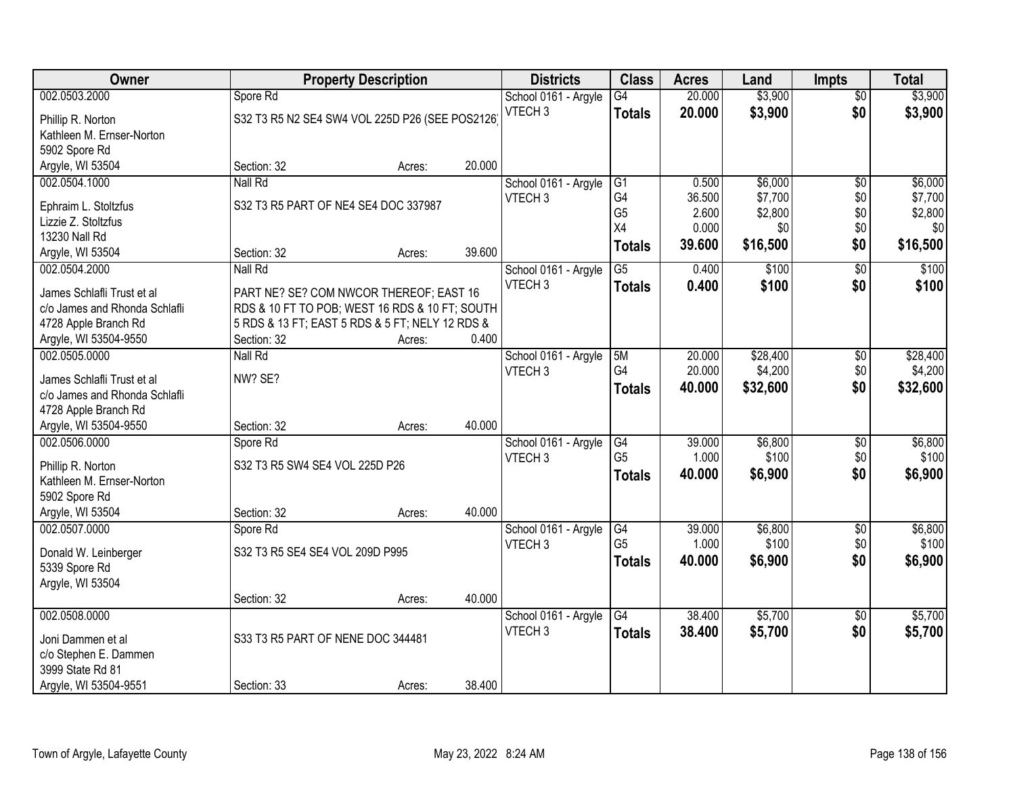| Owner                                     |                                                 | <b>Property Description</b> |        | <b>Districts</b>     | <b>Class</b>    | <b>Acres</b> | Land     | <b>Impts</b>    | <b>Total</b> |
|-------------------------------------------|-------------------------------------------------|-----------------------------|--------|----------------------|-----------------|--------------|----------|-----------------|--------------|
| 002.0503.2000                             | Spore Rd                                        |                             |        | School 0161 - Argyle | $\overline{G4}$ | 20.000       | \$3,900  | $\overline{50}$ | \$3,900      |
| Phillip R. Norton                         | S32 T3 R5 N2 SE4 SW4 VOL 225D P26 (SEE POS2126) |                             |        | VTECH <sub>3</sub>   | <b>Totals</b>   | 20.000       | \$3,900  | \$0             | \$3,900      |
| Kathleen M. Ernser-Norton                 |                                                 |                             |        |                      |                 |              |          |                 |              |
| 5902 Spore Rd                             |                                                 |                             |        |                      |                 |              |          |                 |              |
| Argyle, WI 53504                          | Section: 32                                     | Acres:                      | 20.000 |                      |                 |              |          |                 |              |
| 002.0504.1000                             | Nall Rd                                         |                             |        | School 0161 - Argyle | G1              | 0.500        | \$6,000  | $\overline{50}$ | \$6,000      |
|                                           |                                                 |                             |        | VTECH <sub>3</sub>   | G <sub>4</sub>  | 36.500       | \$7,700  | \$0             | \$7,700      |
| Ephraim L. Stoltzfus                      | S32 T3 R5 PART OF NE4 SE4 DOC 337987            |                             |        |                      | G <sub>5</sub>  | 2.600        | \$2,800  | \$0             | \$2,800      |
| Lizzie Z. Stoltzfus                       |                                                 |                             |        |                      | X4              | 0.000        | \$0      | \$0             | \$0          |
| 13230 Nall Rd                             |                                                 |                             |        |                      | <b>Totals</b>   | 39.600       | \$16,500 | \$0             | \$16,500     |
| Argyle, WI 53504                          | Section: 32                                     | Acres:                      | 39.600 |                      |                 |              |          |                 |              |
| 002.0504.2000                             | Nall Rd                                         |                             |        | School 0161 - Argyle | $\overline{G5}$ | 0.400        | \$100    | $\overline{60}$ | \$100        |
| James Schlafli Trust et al                | PART NE? SE? COM NWCOR THEREOF; EAST 16         |                             |        | VTECH <sub>3</sub>   | <b>Totals</b>   | 0.400        | \$100    | \$0             | \$100        |
| c/o James and Rhonda Schlafli             | RDS & 10 FT TO POB; WEST 16 RDS & 10 FT; SOUTH  |                             |        |                      |                 |              |          |                 |              |
| 4728 Apple Branch Rd                      | 5 RDS & 13 FT; EAST 5 RDS & 5 FT; NELY 12 RDS & |                             |        |                      |                 |              |          |                 |              |
| Argyle, WI 53504-9550                     | Section: 32                                     | Acres:                      | 0.400  |                      |                 |              |          |                 |              |
| 002.0505.0000                             | Nall Rd                                         |                             |        | School 0161 - Argyle | 5M              | 20.000       | \$28,400 | \$0             | \$28,400     |
| James Schlafli Trust et al                | NW? SE?                                         |                             |        | VTECH <sub>3</sub>   | G4              | 20.000       | \$4,200  | \$0             | \$4,200      |
| c/o James and Rhonda Schlafli             |                                                 |                             |        |                      | <b>Totals</b>   | 40.000       | \$32,600 | \$0             | \$32,600     |
| 4728 Apple Branch Rd                      |                                                 |                             |        |                      |                 |              |          |                 |              |
| Argyle, WI 53504-9550                     | Section: 32                                     | Acres:                      | 40.000 |                      |                 |              |          |                 |              |
| 002.0506.0000                             | Spore Rd                                        |                             |        | School 0161 - Argyle | G4              | 39.000       | \$6,800  | $\overline{50}$ | \$6,800      |
|                                           |                                                 |                             |        | VTECH <sub>3</sub>   | G <sub>5</sub>  | 1.000        | \$100    | \$0             | \$100        |
| Phillip R. Norton                         | S32 T3 R5 SW4 SE4 VOL 225D P26                  |                             |        |                      | <b>Totals</b>   | 40.000       | \$6,900  | \$0             | \$6,900      |
| Kathleen M. Ernser-Norton                 |                                                 |                             |        |                      |                 |              |          |                 |              |
| 5902 Spore Rd                             |                                                 |                             |        |                      |                 |              |          |                 |              |
| Argyle, WI 53504                          | Section: 32                                     | Acres:                      | 40.000 |                      |                 |              |          |                 |              |
| 002.0507.0000                             | Spore Rd                                        |                             |        | School 0161 - Argyle | G4              | 39.000       | \$6,800  | $\overline{50}$ | \$6,800      |
| Donald W. Leinberger                      | S32 T3 R5 SE4 SE4 VOL 209D P995                 |                             |        | VTECH <sub>3</sub>   | G <sub>5</sub>  | 1.000        | \$100    | \$0             | \$100        |
| 5339 Spore Rd                             |                                                 |                             |        |                      | <b>Totals</b>   | 40.000       | \$6,900  | \$0             | \$6,900      |
| Argyle, WI 53504                          |                                                 |                             |        |                      |                 |              |          |                 |              |
|                                           | Section: 32                                     | Acres:                      | 40.000 |                      |                 |              |          |                 |              |
| 002.0508.0000                             |                                                 |                             |        | School 0161 - Argyle | G4              | 38.400       | \$5,700  | $\overline{60}$ | \$5,700      |
|                                           |                                                 |                             |        | VTECH <sub>3</sub>   | <b>Totals</b>   | 38.400       | \$5,700  | \$0             | \$5,700      |
| Joni Dammen et al                         | S33 T3 R5 PART OF NENE DOC 344481               |                             |        |                      |                 |              |          |                 |              |
| c/o Stephen E. Dammen<br>3999 State Rd 81 |                                                 |                             |        |                      |                 |              |          |                 |              |
|                                           |                                                 |                             |        |                      |                 |              |          |                 |              |
| Argyle, WI 53504-9551                     | Section: 33                                     | Acres:                      | 38.400 |                      |                 |              |          |                 |              |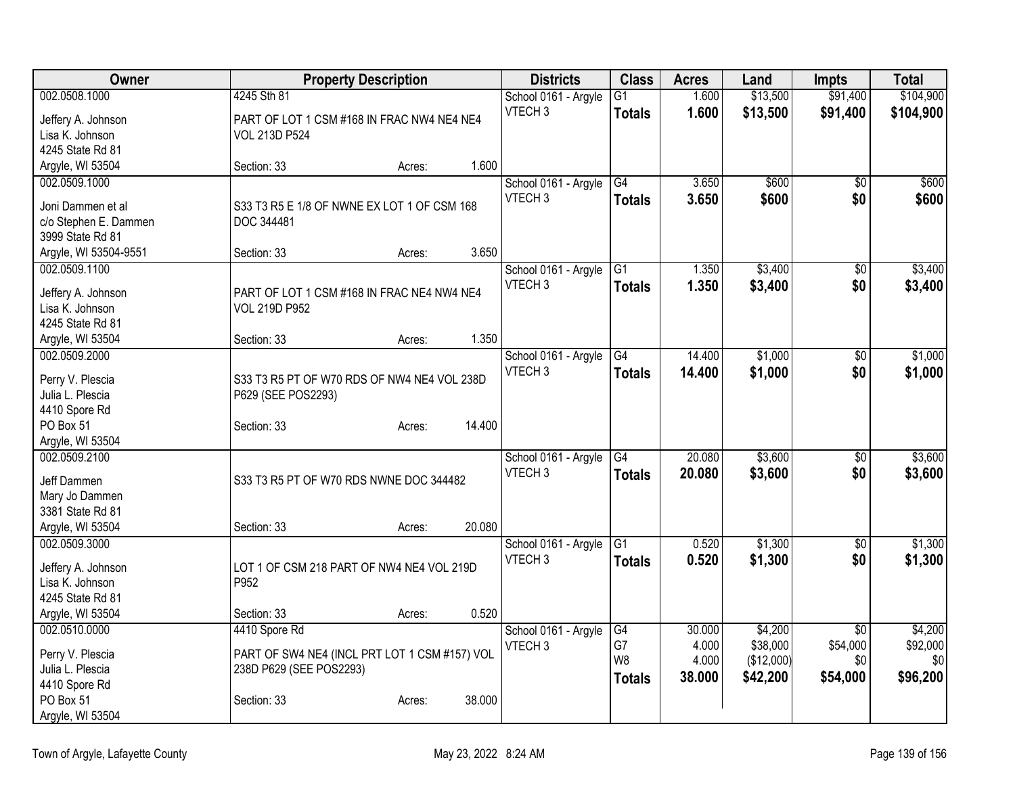| Owner                 |                                               | <b>Property Description</b> |        | <b>Districts</b>     | <b>Class</b>    | <b>Acres</b> | Land       | <b>Impts</b>    | <b>Total</b> |
|-----------------------|-----------------------------------------------|-----------------------------|--------|----------------------|-----------------|--------------|------------|-----------------|--------------|
| 002.0508.1000         | 4245 Sth 81                                   |                             |        | School 0161 - Argyle | G1              | 1.600        | \$13,500   | \$91,400        | \$104,900    |
| Jeffery A. Johnson    | PART OF LOT 1 CSM #168 IN FRAC NW4 NE4 NE4    |                             |        | VTECH <sub>3</sub>   | <b>Totals</b>   | 1.600        | \$13,500   | \$91,400        | \$104,900    |
| Lisa K. Johnson       | <b>VOL 213D P524</b>                          |                             |        |                      |                 |              |            |                 |              |
| 4245 State Rd 81      |                                               |                             |        |                      |                 |              |            |                 |              |
| Argyle, WI 53504      | Section: 33                                   | Acres:                      | 1.600  |                      |                 |              |            |                 |              |
| 002.0509.1000         |                                               |                             |        | School 0161 - Argyle | G4              | 3.650        | \$600      | $\overline{50}$ | \$600        |
| Joni Dammen et al     | S33 T3 R5 E 1/8 OF NWNE EX LOT 1 OF CSM 168   |                             |        | VTECH <sub>3</sub>   | <b>Totals</b>   | 3.650        | \$600      | \$0             | \$600        |
| c/o Stephen E. Dammen | DOC 344481                                    |                             |        |                      |                 |              |            |                 |              |
| 3999 State Rd 81      |                                               |                             |        |                      |                 |              |            |                 |              |
| Argyle, WI 53504-9551 | Section: 33                                   | Acres:                      | 3.650  |                      |                 |              |            |                 |              |
| 002.0509.1100         |                                               |                             |        | School 0161 - Argyle | G1              | 1.350        | \$3,400    | $\overline{50}$ | \$3,400      |
|                       |                                               |                             |        | VTECH <sub>3</sub>   | <b>Totals</b>   | 1.350        | \$3,400    | \$0             | \$3,400      |
| Jeffery A. Johnson    | PART OF LOT 1 CSM #168 IN FRAC NE4 NW4 NE4    |                             |        |                      |                 |              |            |                 |              |
| Lisa K. Johnson       | <b>VOL 219D P952</b>                          |                             |        |                      |                 |              |            |                 |              |
| 4245 State Rd 81      |                                               |                             | 1.350  |                      |                 |              |            |                 |              |
| Argyle, WI 53504      | Section: 33                                   | Acres:                      |        |                      |                 |              |            |                 |              |
| 002.0509.2000         |                                               |                             |        | School 0161 - Argyle | $\overline{G4}$ | 14.400       | \$1,000    | \$0             | \$1,000      |
| Perry V. Plescia      | S33 T3 R5 PT OF W70 RDS OF NW4 NE4 VOL 238D   |                             |        | VTECH <sub>3</sub>   | <b>Totals</b>   | 14.400       | \$1,000    | \$0             | \$1,000      |
| Julia L. Plescia      | P629 (SEE POS2293)                            |                             |        |                      |                 |              |            |                 |              |
| 4410 Spore Rd         |                                               |                             |        |                      |                 |              |            |                 |              |
| PO Box 51             | Section: 33                                   | Acres:                      | 14.400 |                      |                 |              |            |                 |              |
| Argyle, WI 53504      |                                               |                             |        |                      |                 |              |            |                 |              |
| 002.0509.2100         |                                               |                             |        | School 0161 - Argyle | G4              | 20.080       | \$3,600    | \$0             | \$3,600      |
| Jeff Dammen           | S33 T3 R5 PT OF W70 RDS NWNE DOC 344482       |                             |        | VTECH <sub>3</sub>   | <b>Totals</b>   | 20.080       | \$3,600    | \$0             | \$3,600      |
| Mary Jo Dammen        |                                               |                             |        |                      |                 |              |            |                 |              |
| 3381 State Rd 81      |                                               |                             |        |                      |                 |              |            |                 |              |
| Argyle, WI 53504      | Section: 33                                   | Acres:                      | 20.080 |                      |                 |              |            |                 |              |
| 002.0509.3000         |                                               |                             |        | School 0161 - Argyle | $\overline{G1}$ | 0.520        | \$1,300    | $\sqrt{6}$      | \$1,300      |
| Jeffery A. Johnson    | LOT 1 OF CSM 218 PART OF NW4 NE4 VOL 219D     |                             |        | VTECH <sub>3</sub>   | <b>Totals</b>   | 0.520        | \$1,300    | \$0             | \$1,300      |
| Lisa K. Johnson       | P952                                          |                             |        |                      |                 |              |            |                 |              |
| 4245 State Rd 81      |                                               |                             |        |                      |                 |              |            |                 |              |
| Argyle, WI 53504      | Section: 33                                   | Acres:                      | 0.520  |                      |                 |              |            |                 |              |
| 002.0510.0000         | 4410 Spore Rd                                 |                             |        | School 0161 - Argyle | G4              | 30.000       | \$4,200    | $\overline{50}$ | \$4,200      |
| Perry V. Plescia      | PART OF SW4 NE4 (INCL PRT LOT 1 CSM #157) VOL |                             |        | VTECH <sub>3</sub>   | G7              | 4.000        | \$38,000   | \$54,000        | \$92,000     |
| Julia L. Plescia      | 238D P629 (SEE POS2293)                       |                             |        |                      | W <sub>8</sub>  | 4.000        | (\$12,000) | \$0             | \$0          |
| 4410 Spore Rd         |                                               |                             |        |                      | <b>Totals</b>   | 38.000       | \$42,200   | \$54,000        | \$96,200     |
| PO Box 51             | Section: 33                                   | Acres:                      | 38.000 |                      |                 |              |            |                 |              |
| Argyle, WI 53504      |                                               |                             |        |                      |                 |              |            |                 |              |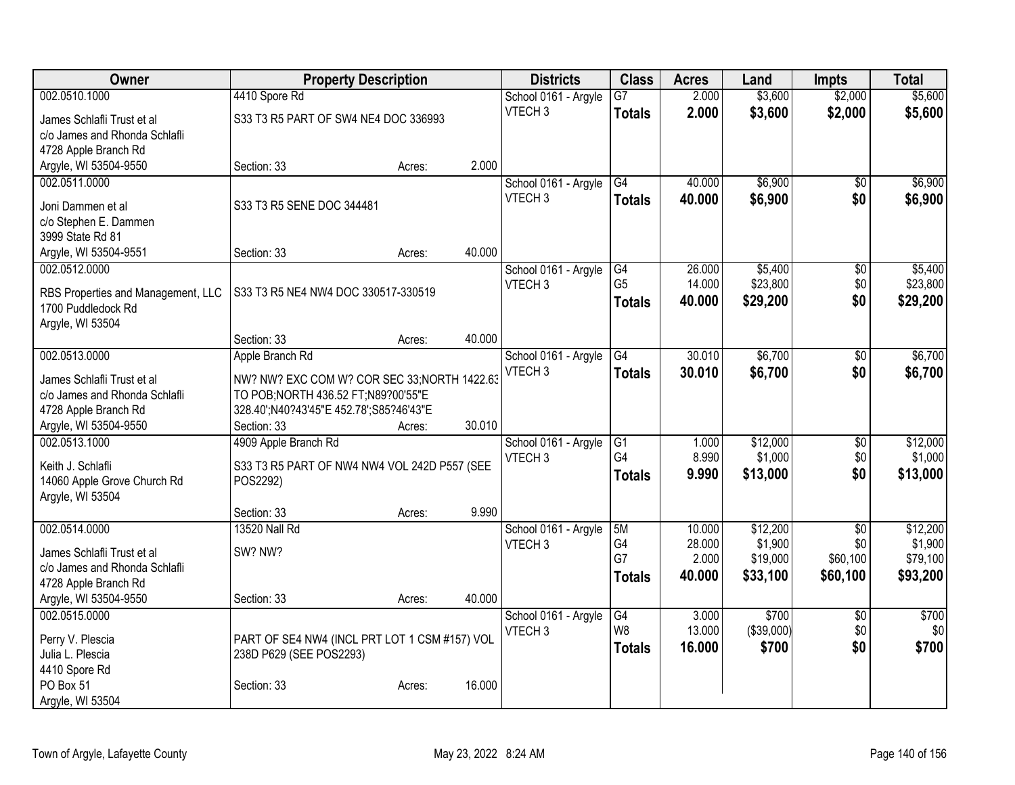| Owner                                      | <b>Property Description</b>                   |        |        | <b>Districts</b>                           | <b>Class</b>    | <b>Acres</b> | Land       | <b>Impts</b>    | <b>Total</b> |
|--------------------------------------------|-----------------------------------------------|--------|--------|--------------------------------------------|-----------------|--------------|------------|-----------------|--------------|
| 002.0510.1000                              | 4410 Spore Rd                                 |        |        | School 0161 - Argyle                       | $\overline{G7}$ | 2.000        | \$3,600    | \$2,000         | \$5,600      |
| James Schlafli Trust et al                 | S33 T3 R5 PART OF SW4 NE4 DOC 336993          |        |        | VTECH <sub>3</sub>                         | <b>Totals</b>   | 2.000        | \$3,600    | \$2,000         | \$5,600      |
| c/o James and Rhonda Schlafli              |                                               |        |        |                                            |                 |              |            |                 |              |
| 4728 Apple Branch Rd                       |                                               |        |        |                                            |                 |              |            |                 |              |
| Argyle, WI 53504-9550                      | Section: 33                                   | Acres: | 2.000  |                                            |                 |              |            |                 |              |
| 002.0511.0000                              |                                               |        |        | School 0161 - Argyle                       | G4              | 40.000       | \$6,900    | $\overline{30}$ | \$6,900      |
|                                            | S33 T3 R5 SENE DOC 344481                     |        |        | VTECH <sub>3</sub>                         | <b>Totals</b>   | 40.000       | \$6,900    | \$0             | \$6,900      |
| Joni Dammen et al<br>c/o Stephen E. Dammen |                                               |        |        |                                            |                 |              |            |                 |              |
| 3999 State Rd 81                           |                                               |        |        |                                            |                 |              |            |                 |              |
| Argyle, WI 53504-9551                      | Section: 33                                   | Acres: | 40.000 |                                            |                 |              |            |                 |              |
| 002.0512.0000                              |                                               |        |        | School 0161 - Argyle                       | G4              | 26.000       | \$5,400    | \$0             | \$5,400      |
|                                            |                                               |        |        | VTECH <sub>3</sub>                         | G <sub>5</sub>  | 14.000       | \$23,800   | \$0             | \$23,800     |
| RBS Properties and Management, LLC         | S33 T3 R5 NE4 NW4 DOC 330517-330519           |        |        |                                            | <b>Totals</b>   | 40.000       | \$29,200   | \$0             | \$29,200     |
| 1700 Puddledock Rd                         |                                               |        |        |                                            |                 |              |            |                 |              |
| Argyle, WI 53504                           |                                               |        | 40.000 |                                            |                 |              |            |                 |              |
|                                            | Section: 33                                   | Acres: |        |                                            | G4              | 30.010       | \$6,700    |                 | \$6,700      |
| 002.0513.0000                              | Apple Branch Rd                               |        |        | School 0161 - Argyle<br>VTECH <sub>3</sub> |                 |              |            | $\sqrt[6]{}$    |              |
| James Schlafli Trust et al                 | NW? NW? EXC COM W? COR SEC 33; NORTH 1422.63  |        |        |                                            | <b>Totals</b>   | 30.010       | \$6,700    | \$0             | \$6,700      |
| c/o James and Rhonda Schlafli              | TO POB; NORTH 436.52 FT; N89?00'55"E          |        |        |                                            |                 |              |            |                 |              |
| 4728 Apple Branch Rd                       | 328.40';N40?43'45"E 452.78';S85?46'43"E       |        |        |                                            |                 |              |            |                 |              |
| Argyle, WI 53504-9550                      | Section: 33                                   | Acres: | 30.010 |                                            |                 |              |            |                 |              |
| 002.0513.1000                              | 4909 Apple Branch Rd                          |        |        | School 0161 - Argyle                       | G1              | 1.000        | \$12,000   | \$0             | \$12,000     |
| Keith J. Schlafli                          | S33 T3 R5 PART OF NW4 NW4 VOL 242D P557 (SEE  |        |        | VTECH <sub>3</sub>                         | G4              | 8.990        | \$1,000    | \$0             | \$1,000      |
| 14060 Apple Grove Church Rd                | POS2292)                                      |        |        |                                            | <b>Totals</b>   | 9.990        | \$13,000   | \$0             | \$13,000     |
| Argyle, WI 53504                           |                                               |        |        |                                            |                 |              |            |                 |              |
|                                            | Section: 33                                   | Acres: | 9.990  |                                            |                 |              |            |                 |              |
| 002.0514.0000                              | 13520 Nall Rd                                 |        |        | School 0161 - Argyle                       | 5M              | 10.000       | \$12,200   | $\overline{50}$ | \$12,200     |
| James Schlafli Trust et al                 | SW? NW?                                       |        |        | VTECH <sub>3</sub>                         | G4              | 28.000       | \$1,900    | \$0             | \$1,900      |
| c/o James and Rhonda Schlafli              |                                               |        |        |                                            | G7              | 2.000        | \$19,000   | \$60,100        | \$79,100     |
| 4728 Apple Branch Rd                       |                                               |        |        |                                            | <b>Totals</b>   | 40.000       | \$33,100   | \$60,100        | \$93,200     |
| Argyle, WI 53504-9550                      | Section: 33                                   | Acres: | 40.000 |                                            |                 |              |            |                 |              |
| 002.0515.0000                              |                                               |        |        | School 0161 - Argyle                       | G4              | 3.000        | \$700      | $\overline{60}$ | \$700        |
|                                            |                                               |        |        | VTECH <sub>3</sub>                         | W <sub>8</sub>  | 13.000       | (\$39,000) | \$0             | \$0          |
| Perry V. Plescia<br>Julia L. Plescia       | PART OF SE4 NW4 (INCL PRT LOT 1 CSM #157) VOL |        |        |                                            | <b>Totals</b>   | 16.000       | \$700      | \$0             | \$700        |
| 4410 Spore Rd                              | 238D P629 (SEE POS2293)                       |        |        |                                            |                 |              |            |                 |              |
| PO Box 51                                  | Section: 33                                   | Acres: | 16.000 |                                            |                 |              |            |                 |              |
| Argyle, WI 53504                           |                                               |        |        |                                            |                 |              |            |                 |              |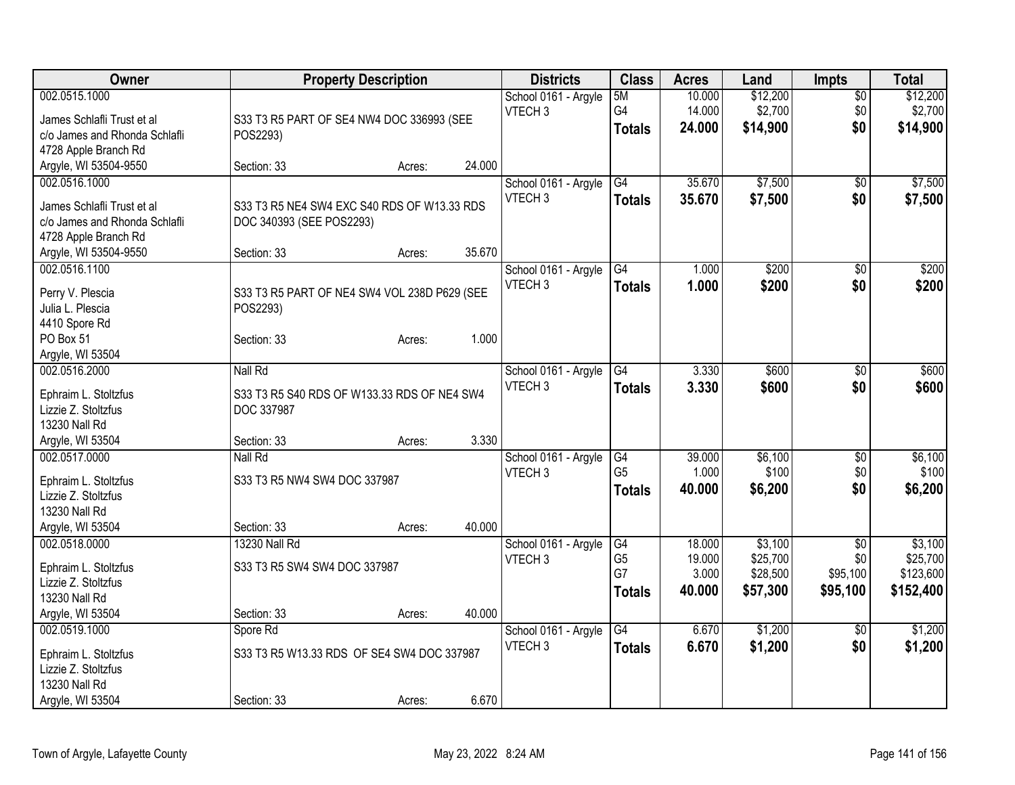| Owner                                                 |                                              | <b>Property Description</b> |        | <b>Districts</b>     | <b>Class</b>         | <b>Acres</b>    | Land                 | <b>Impts</b>    | <b>Total</b>          |
|-------------------------------------------------------|----------------------------------------------|-----------------------------|--------|----------------------|----------------------|-----------------|----------------------|-----------------|-----------------------|
| 002.0515.1000                                         |                                              |                             |        | School 0161 - Argyle | 5M                   | 10.000          | \$12,200             | $\overline{50}$ | \$12,200              |
| James Schlafli Trust et al                            | S33 T3 R5 PART OF SE4 NW4 DOC 336993 (SEE    |                             |        | VTECH <sub>3</sub>   | G4                   | 14.000          | \$2,700              | \$0             | \$2,700               |
| c/o James and Rhonda Schlafli                         | POS2293)                                     |                             |        |                      | <b>Totals</b>        | 24.000          | \$14,900             | \$0             | \$14,900              |
| 4728 Apple Branch Rd                                  |                                              |                             |        |                      |                      |                 |                      |                 |                       |
| Argyle, WI 53504-9550                                 | Section: 33                                  | Acres:                      | 24.000 |                      |                      |                 |                      |                 |                       |
| 002.0516.1000                                         |                                              |                             |        | School 0161 - Argyle | G4                   | 35.670          | \$7,500              | $\sqrt{$0}$     | \$7,500               |
|                                                       |                                              |                             |        | VTECH <sub>3</sub>   | <b>Totals</b>        | 35.670          | \$7,500              | \$0             | \$7,500               |
| James Schlafli Trust et al                            | S33 T3 R5 NE4 SW4 EXC S40 RDS OF W13.33 RDS  |                             |        |                      |                      |                 |                      |                 |                       |
| c/o James and Rhonda Schlafli<br>4728 Apple Branch Rd | DOC 340393 (SEE POS2293)                     |                             |        |                      |                      |                 |                      |                 |                       |
| Argyle, WI 53504-9550                                 | Section: 33                                  | Acres:                      | 35.670 |                      |                      |                 |                      |                 |                       |
| 002.0516.1100                                         |                                              |                             |        | School 0161 - Argyle | G4                   | 1.000           | \$200                | \$0             | \$200                 |
|                                                       |                                              |                             |        | VTECH <sub>3</sub>   |                      | 1.000           | \$200                | \$0             |                       |
| Perry V. Plescia                                      | S33 T3 R5 PART OF NE4 SW4 VOL 238D P629 (SEE |                             |        |                      | <b>Totals</b>        |                 |                      |                 | \$200                 |
| Julia L. Plescia                                      | POS2293)                                     |                             |        |                      |                      |                 |                      |                 |                       |
| 4410 Spore Rd                                         |                                              |                             |        |                      |                      |                 |                      |                 |                       |
| PO Box 51                                             | Section: 33                                  | Acres:                      | 1.000  |                      |                      |                 |                      |                 |                       |
| Argyle, WI 53504                                      |                                              |                             |        |                      |                      |                 |                      |                 |                       |
| 002.0516.2000                                         | Nall Rd                                      |                             |        | School 0161 - Argyle | G4                   | 3.330           | \$600                | \$0             | \$600                 |
| Ephraim L. Stoltzfus                                  | S33 T3 R5 S40 RDS OF W133.33 RDS OF NE4 SW4  |                             |        | VTECH <sub>3</sub>   | <b>Totals</b>        | 3.330           | \$600                | \$0             | \$600                 |
| Lizzie Z. Stoltzfus                                   | DOC 337987                                   |                             |        |                      |                      |                 |                      |                 |                       |
| 13230 Nall Rd                                         |                                              |                             |        |                      |                      |                 |                      |                 |                       |
| Argyle, WI 53504                                      | Section: 33                                  | Acres:                      | 3.330  |                      |                      |                 |                      |                 |                       |
| 002.0517.0000                                         | Nall Rd                                      |                             |        | School 0161 - Argyle | G4                   | 39.000          | \$6,100              | $\sqrt[6]{3}$   | \$6,100               |
|                                                       |                                              |                             |        | VTECH <sub>3</sub>   | G <sub>5</sub>       | 1.000           | \$100                | \$0             | \$100                 |
| Ephraim L. Stoltzfus                                  | S33 T3 R5 NW4 SW4 DOC 337987                 |                             |        |                      | <b>Totals</b>        | 40.000          | \$6,200              | \$0             | \$6,200               |
| Lizzie Z. Stoltzfus                                   |                                              |                             |        |                      |                      |                 |                      |                 |                       |
| 13230 Nall Rd                                         |                                              |                             |        |                      |                      |                 |                      |                 |                       |
| Argyle, WI 53504                                      | Section: 33                                  | Acres:                      | 40.000 |                      |                      |                 |                      |                 |                       |
| 002.0518.0000                                         | 13230 Nall Rd                                |                             |        | School 0161 - Argyle | G4                   | 18.000          | \$3,100              | $\sqrt{6}$      | \$3,100               |
| Ephraim L. Stoltzfus                                  | S33 T3 R5 SW4 SW4 DOC 337987                 |                             |        | VTECH <sub>3</sub>   | G <sub>5</sub><br>G7 | 19.000<br>3.000 | \$25,700<br>\$28,500 | \$0             | \$25,700<br>\$123,600 |
| Lizzie Z. Stoltzfus                                   |                                              |                             |        |                      |                      |                 |                      | \$95,100        |                       |
| 13230 Nall Rd                                         |                                              |                             |        |                      | <b>Totals</b>        | 40.000          | \$57,300             | \$95,100        | \$152,400             |
| Argyle, WI 53504                                      | Section: 33                                  | Acres:                      | 40.000 |                      |                      |                 |                      |                 |                       |
| 002.0519.1000                                         | Spore Rd                                     |                             |        | School 0161 - Argyle | $\overline{G4}$      | 6.670           | \$1,200              | \$0             | \$1,200               |
| Ephraim L. Stoltzfus                                  | S33 T3 R5 W13.33 RDS OF SE4 SW4 DOC 337987   |                             |        | VTECH <sub>3</sub>   | <b>Totals</b>        | 6.670           | \$1,200              | \$0             | \$1,200               |
| Lizzie Z. Stoltzfus                                   |                                              |                             |        |                      |                      |                 |                      |                 |                       |
| 13230 Nall Rd                                         |                                              |                             |        |                      |                      |                 |                      |                 |                       |
| Argyle, WI 53504                                      | Section: 33                                  | Acres:                      | 6.670  |                      |                      |                 |                      |                 |                       |
|                                                       |                                              |                             |        |                      |                      |                 |                      |                 |                       |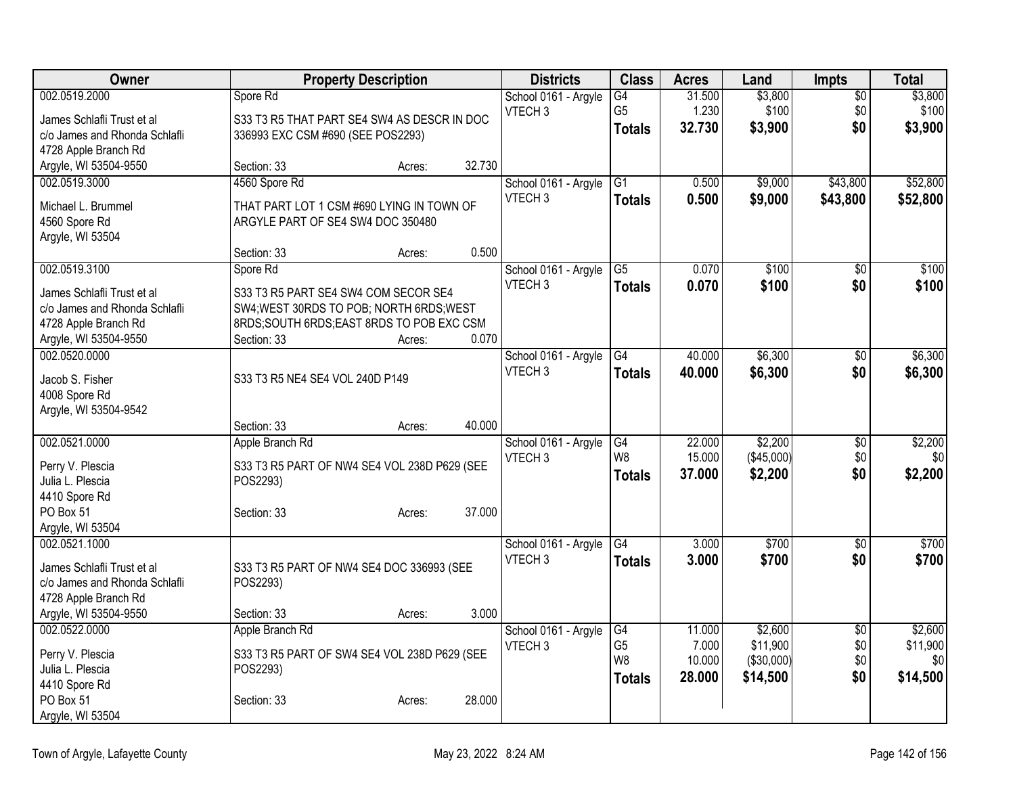| Owner                             |                                              | <b>Property Description</b> |        | <b>Districts</b>                           | <b>Class</b>                             | <b>Acres</b>    | Land                | <b>Impts</b>           | <b>Total</b>        |
|-----------------------------------|----------------------------------------------|-----------------------------|--------|--------------------------------------------|------------------------------------------|-----------------|---------------------|------------------------|---------------------|
| 002.0519.2000                     | Spore Rd                                     |                             |        | School 0161 - Argyle                       | G4                                       | 31.500          | \$3,800             | $\overline{50}$        | \$3,800             |
| James Schlafli Trust et al        | S33 T3 R5 THAT PART SE4 SW4 AS DESCR IN DOC  |                             |        | VTECH <sub>3</sub>                         | G <sub>5</sub>                           | 1.230           | \$100               | \$0                    | \$100               |
| c/o James and Rhonda Schlafli     | 336993 EXC CSM #690 (SEE POS2293)            |                             |        |                                            | <b>Totals</b>                            | 32.730          | \$3,900             | \$0                    | \$3,900             |
| 4728 Apple Branch Rd              |                                              |                             |        |                                            |                                          |                 |                     |                        |                     |
| Argyle, WI 53504-9550             | Section: 33                                  | Acres:                      | 32.730 |                                            |                                          |                 |                     |                        |                     |
| 002.0519.3000                     | 4560 Spore Rd                                |                             |        | School 0161 - Argyle                       | G1                                       | 0.500           | \$9,000             | \$43,800               | \$52,800            |
| Michael L. Brummel                | THAT PART LOT 1 CSM #690 LYING IN TOWN OF    |                             |        | VTECH <sub>3</sub>                         | <b>Totals</b>                            | 0.500           | \$9,000             | \$43,800               | \$52,800            |
| 4560 Spore Rd                     | ARGYLE PART OF SE4 SW4 DOC 350480            |                             |        |                                            |                                          |                 |                     |                        |                     |
| Argyle, WI 53504                  |                                              |                             |        |                                            |                                          |                 |                     |                        |                     |
|                                   | Section: 33                                  | Acres:                      | 0.500  |                                            |                                          |                 |                     |                        |                     |
| 002.0519.3100                     | Spore Rd                                     |                             |        | School 0161 - Argyle                       | G5                                       | 0.070           | \$100               | \$0                    | \$100               |
| James Schlafli Trust et al        | S33 T3 R5 PART SE4 SW4 COM SECOR SE4         |                             |        | VTECH <sub>3</sub>                         | <b>Totals</b>                            | 0.070           | \$100               | \$0                    | \$100               |
| c/o James and Rhonda Schlafli     | SW4; WEST 30RDS TO POB; NORTH 6RDS; WEST     |                             |        |                                            |                                          |                 |                     |                        |                     |
| 4728 Apple Branch Rd              | 8RDS;SOUTH 6RDS;EAST 8RDS TO POB EXC CSM     |                             |        |                                            |                                          |                 |                     |                        |                     |
| Argyle, WI 53504-9550             | Section: 33                                  | Acres:                      | 0.070  |                                            |                                          |                 |                     |                        |                     |
| 002.0520.0000                     |                                              |                             |        | School 0161 - Argyle                       | $\overline{G4}$                          | 40.000          | \$6,300             | \$0                    | \$6,300             |
|                                   | S33 T3 R5 NE4 SE4 VOL 240D P149              |                             |        | VTECH <sub>3</sub>                         | <b>Totals</b>                            | 40.000          | \$6,300             | \$0                    | \$6,300             |
| Jacob S. Fisher<br>4008 Spore Rd  |                                              |                             |        |                                            |                                          |                 |                     |                        |                     |
| Argyle, WI 53504-9542             |                                              |                             |        |                                            |                                          |                 |                     |                        |                     |
|                                   | Section: 33                                  | Acres:                      | 40.000 |                                            |                                          |                 |                     |                        |                     |
| 002.0521.0000                     | Apple Branch Rd                              |                             |        | School 0161 - Argyle                       | G4                                       | 22.000          | \$2,200             | $\overline{50}$        | \$2,200             |
|                                   |                                              |                             |        | VTECH <sub>3</sub>                         | W8                                       | 15.000          | (\$45,000)          | \$0                    | \$0                 |
| Perry V. Plescia                  | S33 T3 R5 PART OF NW4 SE4 VOL 238D P629 (SEE |                             |        |                                            | <b>Totals</b>                            | 37.000          | \$2,200             | \$0                    | \$2,200             |
| Julia L. Plescia<br>4410 Spore Rd | POS2293)                                     |                             |        |                                            |                                          |                 |                     |                        |                     |
| PO Box 51                         | Section: 33                                  | Acres:                      | 37.000 |                                            |                                          |                 |                     |                        |                     |
| Argyle, WI 53504                  |                                              |                             |        |                                            |                                          |                 |                     |                        |                     |
| 002.0521.1000                     |                                              |                             |        | School 0161 - Argyle                       | G4                                       | 3.000           | \$700               | $\sqrt{6}$             | \$700               |
|                                   |                                              |                             |        | VTECH <sub>3</sub>                         | <b>Totals</b>                            | 3.000           | \$700               | \$0                    | \$700               |
| James Schlafli Trust et al        | S33 T3 R5 PART OF NW4 SE4 DOC 336993 (SEE    |                             |        |                                            |                                          |                 |                     |                        |                     |
| c/o James and Rhonda Schlafli     | POS2293)                                     |                             |        |                                            |                                          |                 |                     |                        |                     |
| 4728 Apple Branch Rd              |                                              |                             | 3.000  |                                            |                                          |                 |                     |                        |                     |
| Argyle, WI 53504-9550             | Section: 33                                  | Acres:                      |        |                                            |                                          |                 |                     |                        |                     |
| 002.0522.0000                     | Apple Branch Rd                              |                             |        | School 0161 - Argyle<br>VTECH <sub>3</sub> | $\overline{\text{G4}}$<br>G <sub>5</sub> | 11.000<br>7.000 | \$2,600<br>\$11,900 | $\overline{50}$<br>\$0 | \$2,600<br>\$11,900 |
| Perry V. Plescia                  | S33 T3 R5 PART OF SW4 SE4 VOL 238D P629 (SEE |                             |        |                                            | W <sub>8</sub>                           | 10.000          | (\$30,000)          | \$0                    | \$0 <sub>0</sub>    |
| Julia L. Plescia                  | POS2293)                                     |                             |        |                                            | <b>Totals</b>                            | 28.000          | \$14,500            | \$0                    | \$14,500            |
| 4410 Spore Rd                     |                                              |                             |        |                                            |                                          |                 |                     |                        |                     |
| PO Box 51                         | Section: 33                                  | Acres:                      | 28.000 |                                            |                                          |                 |                     |                        |                     |
| Argyle, WI 53504                  |                                              |                             |        |                                            |                                          |                 |                     |                        |                     |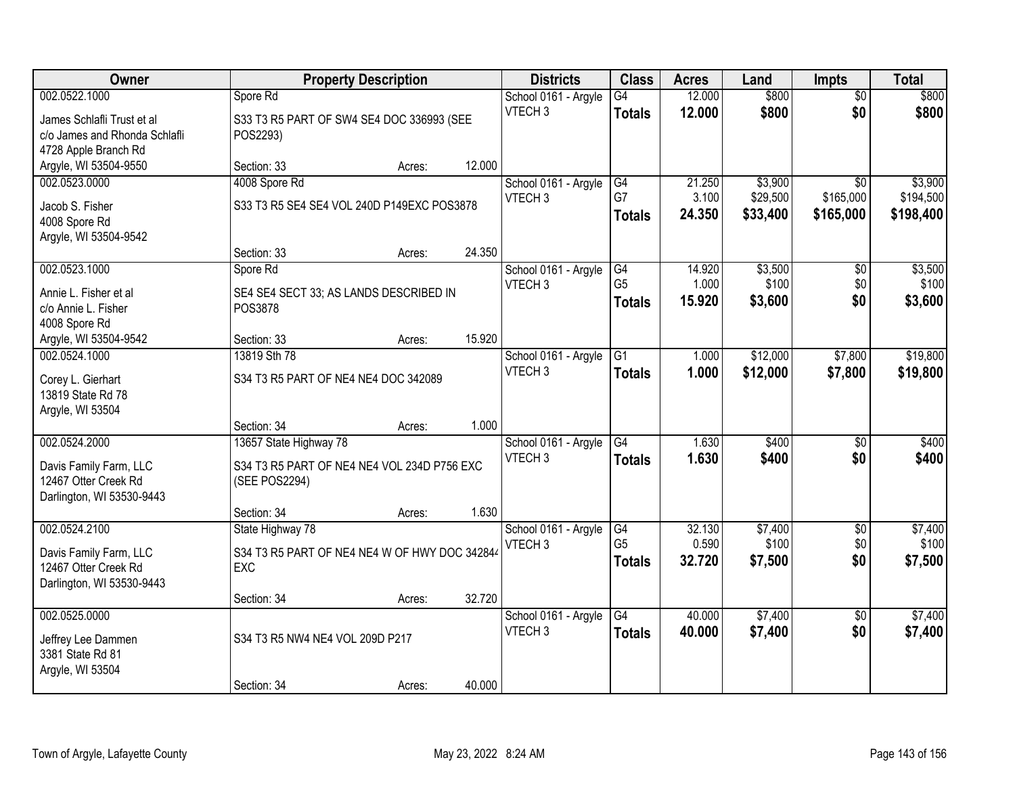| Owner                                                                                                            | <b>Property Description</b>                                                                                          |                  |                | <b>Districts</b>                           | <b>Class</b>                          | <b>Acres</b>              | Land                            | <b>Impts</b>                              | <b>Total</b>                      |
|------------------------------------------------------------------------------------------------------------------|----------------------------------------------------------------------------------------------------------------------|------------------|----------------|--------------------------------------------|---------------------------------------|---------------------------|---------------------------------|-------------------------------------------|-----------------------------------|
| 002.0522.1000<br>James Schlafli Trust et al<br>c/o James and Rhonda Schlafli                                     | Spore Rd<br>S33 T3 R5 PART OF SW4 SE4 DOC 336993 (SEE<br>POS2293)                                                    |                  |                | School 0161 - Argyle<br>VTECH <sub>3</sub> | G4<br><b>Totals</b>                   | 12.000<br>12.000          | \$800<br>\$800                  | $\overline{50}$<br>\$0                    | \$800<br>\$800                    |
| 4728 Apple Branch Rd<br>Argyle, WI 53504-9550                                                                    | Section: 33                                                                                                          | Acres:           | 12.000         |                                            |                                       |                           |                                 |                                           |                                   |
| 002.0523.0000<br>Jacob S. Fisher<br>4008 Spore Rd<br>Argyle, WI 53504-9542                                       | 4008 Spore Rd<br>S33 T3 R5 SE4 SE4 VOL 240D P149EXC POS3878                                                          |                  |                | School 0161 - Argyle<br>VTECH <sub>3</sub> | G4<br>G7<br><b>Totals</b>             | 21.250<br>3.100<br>24.350 | \$3,900<br>\$29,500<br>\$33,400 | $\overline{50}$<br>\$165,000<br>\$165,000 | \$3,900<br>\$194,500<br>\$198,400 |
| 002.0523.1000<br>Annie L. Fisher et al<br>c/o Annie L. Fisher<br>4008 Spore Rd                                   | Section: 33<br>Spore Rd<br>SE4 SE4 SECT 33; AS LANDS DESCRIBED IN<br>POS3878                                         | Acres:           | 24.350         | School 0161 - Argyle<br>VTECH <sub>3</sub> | G4<br>G <sub>5</sub><br><b>Totals</b> | 14.920<br>1.000<br>15.920 | \$3,500<br>\$100<br>\$3,600     | \$0<br>\$0<br>\$0                         | \$3,500<br>\$100<br>\$3,600       |
| Argyle, WI 53504-9542<br>002.0524.1000<br>Corey L. Gierhart<br>13819 State Rd 78                                 | Section: 33<br>13819 Sth 78<br>S34 T3 R5 PART OF NE4 NE4 DOC 342089                                                  | Acres:           | 15.920         | School 0161 - Argyle<br>VTECH <sub>3</sub> | G1<br><b>Totals</b>                   | 1.000<br>1.000            | \$12,000<br>\$12,000            | \$7,800<br>\$7,800                        | \$19,800<br>\$19,800              |
| Argyle, WI 53504<br>002.0524.2000<br>Davis Family Farm, LLC<br>12467 Otter Creek Rd<br>Darlington, WI 53530-9443 | Section: 34<br>13657 State Highway 78<br>S34 T3 R5 PART OF NE4 NE4 VOL 234D P756 EXC<br>(SEE POS2294)<br>Section: 34 | Acres:<br>Acres: | 1.000<br>1.630 | School 0161 - Argyle<br>VTECH <sub>3</sub> | $\overline{G4}$<br><b>Totals</b>      | 1.630<br>1.630            | \$400<br>\$400                  | $\overline{50}$<br>\$0                    | \$400<br>\$400                    |
| 002.0524.2100<br>Davis Family Farm, LLC<br>12467 Otter Creek Rd<br>Darlington, WI 53530-9443                     | State Highway 78<br>S34 T3 R5 PART OF NE4 NE4 W OF HWY DOC 342844<br>EXC<br>Section: 34                              | Acres:           | 32.720         | School 0161 - Argyle<br>VTECH <sub>3</sub> | G4<br>G <sub>5</sub><br><b>Totals</b> | 32.130<br>0.590<br>32.720 | \$7,400<br>\$100<br>\$7,500     | $\overline{50}$<br>\$0<br>\$0             | \$7,400<br>\$100<br>\$7,500       |
| 002.0525.0000<br>Jeffrey Lee Dammen<br>3381 State Rd 81<br>Argyle, WI 53504                                      | S34 T3 R5 NW4 NE4 VOL 209D P217<br>Section: 34                                                                       | Acres:           | 40.000         | School 0161 - Argyle<br>VTECH <sub>3</sub> | G4<br><b>Totals</b>                   | 40.000<br>40.000          | \$7,400<br>\$7,400              | $\overline{50}$<br>\$0                    | \$7,400<br>\$7,400                |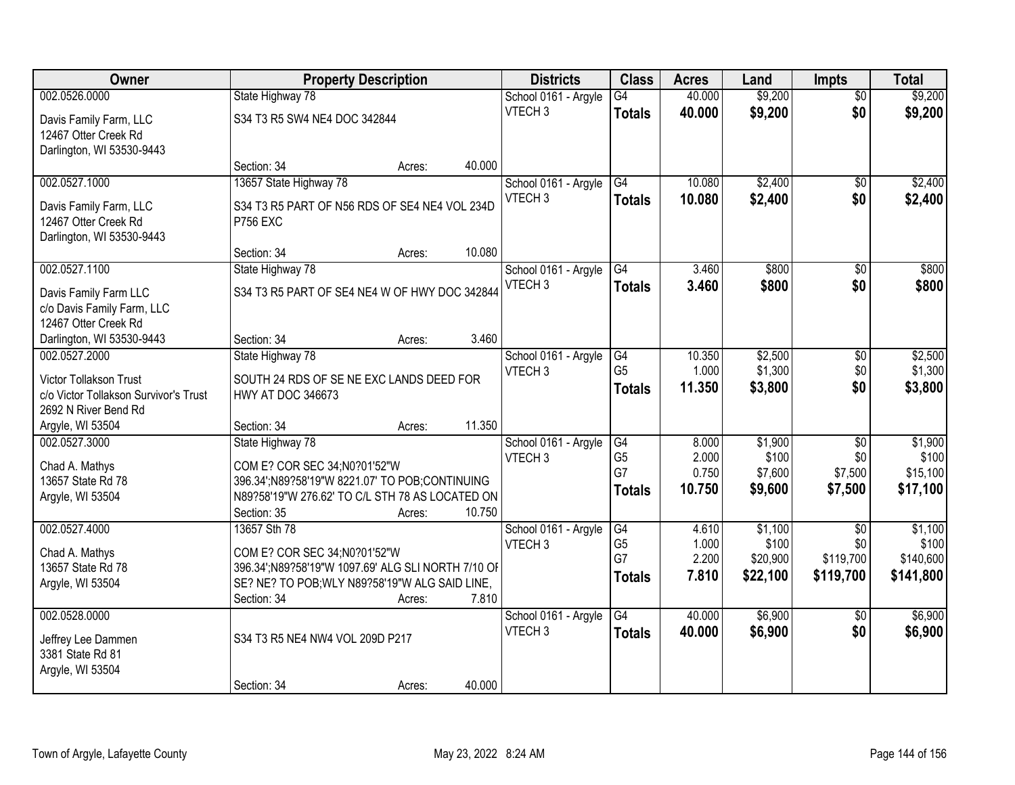| Owner                                 |                                                    | <b>Property Description</b> |        | <b>Districts</b>                           | <b>Class</b>         | <b>Acres</b>    | Land               | <b>Impts</b>           | <b>Total</b>       |
|---------------------------------------|----------------------------------------------------|-----------------------------|--------|--------------------------------------------|----------------------|-----------------|--------------------|------------------------|--------------------|
| 002.0526.0000                         | State Highway 78                                   |                             |        | School 0161 - Argyle                       | G4                   | 40.000          | \$9,200            | $\overline{50}$        | \$9,200            |
| Davis Family Farm, LLC                | S34 T3 R5 SW4 NE4 DOC 342844                       |                             |        | VTECH <sub>3</sub>                         | <b>Totals</b>        | 40.000          | \$9,200            | \$0                    | \$9,200            |
| 12467 Otter Creek Rd                  |                                                    |                             |        |                                            |                      |                 |                    |                        |                    |
| Darlington, WI 53530-9443             |                                                    |                             |        |                                            |                      |                 |                    |                        |                    |
|                                       | Section: 34                                        | Acres:                      | 40.000 |                                            |                      |                 |                    |                        |                    |
| 002.0527.1000                         | 13657 State Highway 78                             |                             |        | School 0161 - Argyle                       | G4                   | 10.080          | \$2,400            | \$0                    | \$2,400            |
| Davis Family Farm, LLC                | S34 T3 R5 PART OF N56 RDS OF SE4 NE4 VOL 234D      |                             |        | VTECH <sub>3</sub>                         | <b>Totals</b>        | 10.080          | \$2,400            | \$0                    | \$2,400            |
| 12467 Otter Creek Rd                  | <b>P756 EXC</b>                                    |                             |        |                                            |                      |                 |                    |                        |                    |
| Darlington, WI 53530-9443             |                                                    |                             |        |                                            |                      |                 |                    |                        |                    |
|                                       | Section: 34                                        | Acres:                      | 10.080 |                                            |                      |                 |                    |                        |                    |
| 002.0527.1100                         | State Highway 78                                   |                             |        | School 0161 - Argyle                       | G4                   | 3.460           | \$800              | \$0                    | \$800              |
| Davis Family Farm LLC                 | S34 T3 R5 PART OF SE4 NE4 W OF HWY DOC 342844      |                             |        | VTECH <sub>3</sub>                         | <b>Totals</b>        | 3.460           | \$800              | \$0                    | \$800              |
| c/o Davis Family Farm, LLC            |                                                    |                             |        |                                            |                      |                 |                    |                        |                    |
| 12467 Otter Creek Rd                  |                                                    |                             |        |                                            |                      |                 |                    |                        |                    |
| Darlington, WI 53530-9443             | Section: 34                                        | Acres:                      | 3.460  |                                            |                      |                 |                    |                        |                    |
| 002.0527.2000                         | State Highway 78                                   |                             |        | School 0161 - Argyle<br>VTECH <sub>3</sub> | G4<br>G <sub>5</sub> | 10.350<br>1.000 | \$2,500<br>\$1,300 | $\sqrt[6]{3}$<br>\$0   | \$2,500<br>\$1,300 |
| Victor Tollakson Trust                | SOUTH 24 RDS OF SE NE EXC LANDS DEED FOR           |                             |        |                                            | <b>Totals</b>        | 11.350          | \$3,800            | \$0                    | \$3,800            |
| c/o Victor Tollakson Survivor's Trust | <b>HWY AT DOC 346673</b>                           |                             |        |                                            |                      |                 |                    |                        |                    |
| 2692 N River Bend Rd                  |                                                    |                             |        |                                            |                      |                 |                    |                        |                    |
| Argyle, WI 53504                      | Section: 34                                        | Acres:                      | 11.350 |                                            |                      |                 |                    |                        |                    |
| 002.0527.3000                         | State Highway 78                                   |                             |        | School 0161 - Argyle                       | G4<br>G <sub>5</sub> | 8.000<br>2.000  | \$1,900<br>\$100   | $\overline{30}$<br>\$0 | \$1,900<br>\$100   |
| Chad A. Mathys                        | COM E? COR SEC 34;N0?01'52"W                       |                             |        | VTECH <sub>3</sub>                         | G7                   | 0.750           | \$7,600            | \$7,500                | \$15,100           |
| 13657 State Rd 78                     | 396.34':N89?58'19"W 8221.07' TO POB;CONTINUING     |                             |        |                                            | <b>Totals</b>        | 10.750          | \$9,600            | \$7,500                | \$17,100           |
| Argyle, WI 53504                      | N89?58'19"W 276.62' TO C/L STH 78 AS LOCATED ON    |                             |        |                                            |                      |                 |                    |                        |                    |
|                                       | Section: 35                                        | Acres:                      | 10.750 |                                            |                      |                 |                    |                        |                    |
| 002.0527.4000                         | 13657 Sth 78                                       |                             |        | School 0161 - Argyle<br>VTECH <sub>3</sub> | G4<br>G <sub>5</sub> | 4.610<br>1.000  | \$1,100<br>\$100   | $\overline{50}$<br>\$0 | \$1,100<br>\$100   |
| Chad A. Mathys                        | COM E? COR SEC 34;N0?01'52"W                       |                             |        |                                            | G7                   | 2.200           | \$20,900           | \$119,700              | \$140,600          |
| 13657 State Rd 78                     | 396.34';N89?58'19"W 1097.69' ALG SLI NORTH 7/10 OF |                             |        |                                            | <b>Totals</b>        | 7.810           | \$22,100           | \$119,700              | \$141,800          |
| Argyle, WI 53504                      | SE? NE? TO POB; WLY N89?58'19"W ALG SAID LINE,     |                             |        |                                            |                      |                 |                    |                        |                    |
|                                       | Section: 34                                        | Acres:                      | 7.810  |                                            |                      |                 |                    |                        |                    |
| 002.0528.0000                         |                                                    |                             |        | School 0161 - Argyle<br>VTECH <sub>3</sub> | $\overline{G4}$      | 40.000          | \$6,900            | $\overline{50}$        | \$6,900            |
| Jeffrey Lee Dammen                    | S34 T3 R5 NE4 NW4 VOL 209D P217                    |                             |        |                                            | <b>Totals</b>        | 40.000          | \$6,900            | \$0                    | \$6,900            |
| 3381 State Rd 81                      |                                                    |                             |        |                                            |                      |                 |                    |                        |                    |
| Argyle, WI 53504                      |                                                    |                             |        |                                            |                      |                 |                    |                        |                    |
|                                       | Section: 34                                        | Acres:                      | 40.000 |                                            |                      |                 |                    |                        |                    |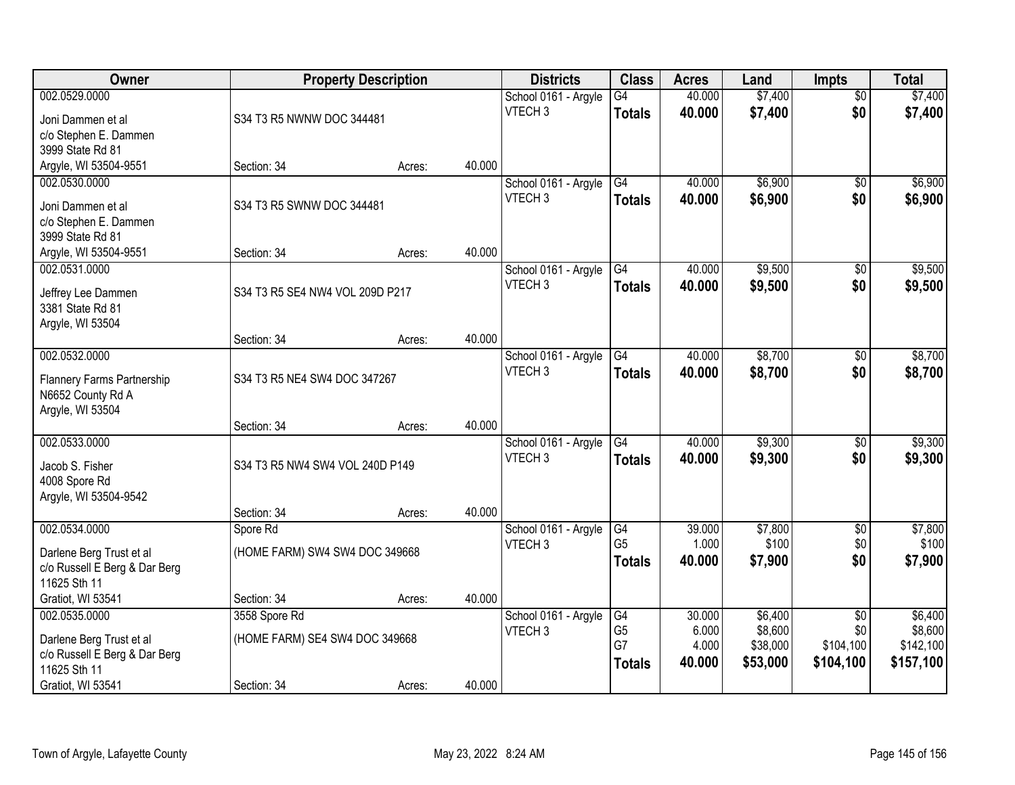| Owner                                     |                                 | <b>Property Description</b> |        | <b>Districts</b>                           | <b>Class</b>         | <b>Acres</b>     | Land                | <b>Impts</b>           | <b>Total</b>         |
|-------------------------------------------|---------------------------------|-----------------------------|--------|--------------------------------------------|----------------------|------------------|---------------------|------------------------|----------------------|
| 002.0529.0000<br>Joni Dammen et al        | S34 T3 R5 NWNW DOC 344481       |                             |        | School 0161 - Argyle<br>VTECH <sub>3</sub> | G4<br><b>Totals</b>  | 40.000<br>40.000 | \$7,400<br>\$7,400  | $\overline{50}$<br>\$0 | \$7,400<br>\$7,400   |
| c/o Stephen E. Dammen<br>3999 State Rd 81 |                                 |                             |        |                                            |                      |                  |                     |                        |                      |
| Argyle, WI 53504-9551                     | Section: 34                     | Acres:                      | 40.000 |                                            |                      |                  |                     |                        |                      |
| 002.0530.0000                             |                                 |                             |        | School 0161 - Argyle                       | G4                   | 40.000           | \$6,900             | $\overline{50}$        | \$6,900              |
| Joni Dammen et al                         | S34 T3 R5 SWNW DOC 344481       |                             |        | VTECH <sub>3</sub>                         | <b>Totals</b>        | 40.000           | \$6,900             | \$0                    | \$6,900              |
| c/o Stephen E. Dammen                     |                                 |                             |        |                                            |                      |                  |                     |                        |                      |
| 3999 State Rd 81                          |                                 |                             |        |                                            |                      |                  |                     |                        |                      |
| Argyle, WI 53504-9551<br>002.0531.0000    | Section: 34                     | Acres:                      | 40.000 | School 0161 - Argyle                       | $\overline{G4}$      | 40.000           | \$9,500             | $\overline{50}$        | \$9,500              |
|                                           |                                 |                             |        | VTECH <sub>3</sub>                         | <b>Totals</b>        | 40.000           | \$9,500             | \$0                    | \$9,500              |
| Jeffrey Lee Dammen                        | S34 T3 R5 SE4 NW4 VOL 209D P217 |                             |        |                                            |                      |                  |                     |                        |                      |
| 3381 State Rd 81                          |                                 |                             |        |                                            |                      |                  |                     |                        |                      |
| Argyle, WI 53504                          | Section: 34                     | Acres:                      | 40.000 |                                            |                      |                  |                     |                        |                      |
| 002.0532.0000                             |                                 |                             |        | School 0161 - Argyle                       | G4                   | 40.000           | \$8,700             | \$0                    | \$8,700              |
|                                           |                                 |                             |        | VTECH <sub>3</sub>                         | <b>Totals</b>        | 40.000           | \$8,700             | \$0                    | \$8,700              |
| Flannery Farms Partnership                | S34 T3 R5 NE4 SW4 DOC 347267    |                             |        |                                            |                      |                  |                     |                        |                      |
| N6652 County Rd A<br>Argyle, WI 53504     |                                 |                             |        |                                            |                      |                  |                     |                        |                      |
|                                           | Section: 34                     | Acres:                      | 40.000 |                                            |                      |                  |                     |                        |                      |
| 002.0533.0000                             |                                 |                             |        | School 0161 - Argyle                       | $\overline{G4}$      | 40.000           | \$9,300             | \$0                    | \$9,300              |
| Jacob S. Fisher                           | S34 T3 R5 NW4 SW4 VOL 240D P149 |                             |        | VTECH <sub>3</sub>                         | <b>Totals</b>        | 40.000           | \$9,300             | \$0                    | \$9,300              |
| 4008 Spore Rd                             |                                 |                             |        |                                            |                      |                  |                     |                        |                      |
| Argyle, WI 53504-9542                     |                                 |                             |        |                                            |                      |                  |                     |                        |                      |
|                                           | Section: 34                     | Acres:                      | 40.000 |                                            |                      |                  |                     |                        |                      |
| 002.0534.0000                             | Spore Rd                        |                             |        | School 0161 - Argyle                       | G4                   | 39.000           | \$7,800             | $\overline{60}$        | \$7,800              |
| Darlene Berg Trust et al                  | (HOME FARM) SW4 SW4 DOC 349668  |                             |        | VTECH <sub>3</sub>                         | G <sub>5</sub>       | 1.000            | \$100               | \$0                    | \$100                |
| c/o Russell E Berg & Dar Berg             |                                 |                             |        |                                            | <b>Totals</b>        | 40.000           | \$7,900             | \$0                    | \$7,900              |
| 11625 Sth 11                              |                                 |                             |        |                                            |                      |                  |                     |                        |                      |
| Gratiot, WI 53541                         | Section: 34                     | Acres:                      | 40.000 |                                            |                      |                  |                     |                        |                      |
| 002.0535.0000                             | 3558 Spore Rd                   |                             |        | School 0161 - Argyle                       | G4                   | 30.000           | \$6,400             | $\overline{30}$        | \$6,400              |
| Darlene Berg Trust et al                  | (HOME FARM) SE4 SW4 DOC 349668  |                             |        | VTECH <sub>3</sub>                         | G <sub>5</sub><br>G7 | 6.000<br>4.000   | \$8,600<br>\$38,000 | \$0<br>\$104,100       | \$8,600<br>\$142,100 |
| c/o Russell E Berg & Dar Berg             |                                 |                             |        |                                            | <b>Totals</b>        | 40.000           | \$53,000            | \$104,100              | \$157,100            |
| 11625 Sth 11                              |                                 |                             |        |                                            |                      |                  |                     |                        |                      |
| Gratiot, WI 53541                         | Section: 34                     | Acres:                      | 40.000 |                                            |                      |                  |                     |                        |                      |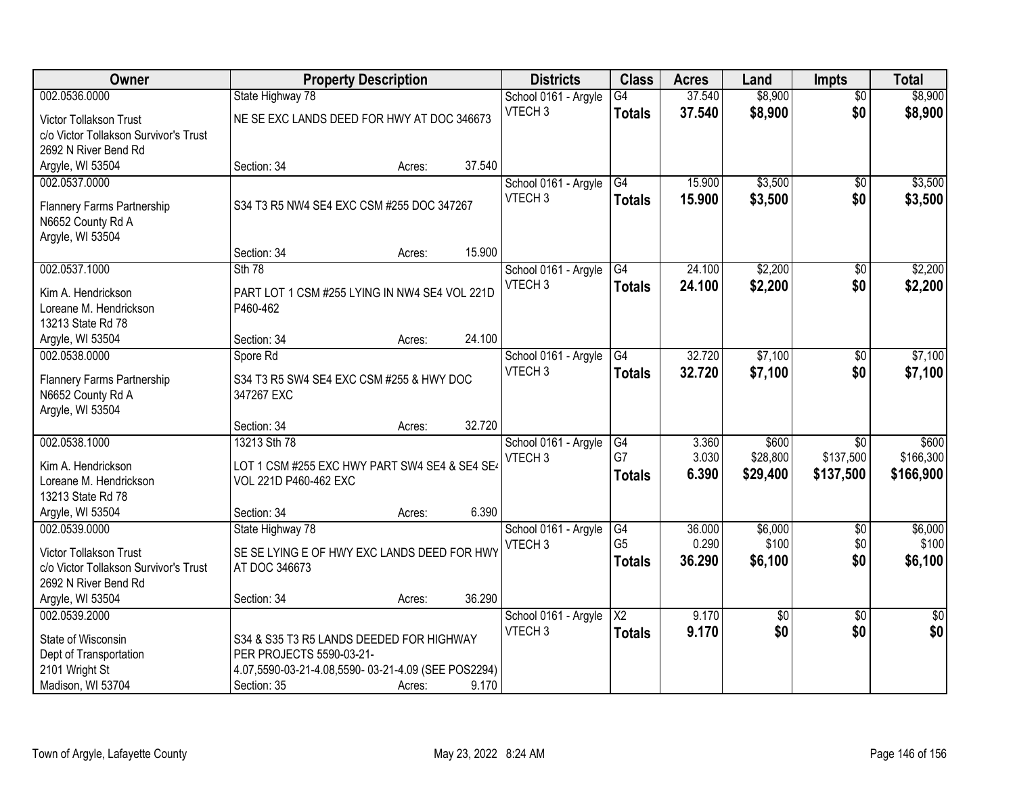| Owner                                                                  | <b>Property Description</b>                                          |                  | <b>Districts</b>     | <b>Class</b>           | <b>Acres</b> | Land            | <b>Impts</b>    | <b>Total</b>    |
|------------------------------------------------------------------------|----------------------------------------------------------------------|------------------|----------------------|------------------------|--------------|-----------------|-----------------|-----------------|
| 002.0536.0000                                                          | State Highway 78                                                     |                  | School 0161 - Argyle | $\overline{G4}$        | 37.540       | \$8,900         | $\overline{30}$ | \$8,900         |
| Victor Tollakson Trust                                                 | NE SE EXC LANDS DEED FOR HWY AT DOC 346673                           |                  | VTECH <sub>3</sub>   | <b>Totals</b>          | 37.540       | \$8,900         | \$0             | \$8,900         |
| c/o Victor Tollakson Survivor's Trust                                  |                                                                      |                  |                      |                        |              |                 |                 |                 |
| 2692 N River Bend Rd                                                   |                                                                      |                  |                      |                        |              |                 |                 |                 |
| Argyle, WI 53504                                                       | Section: 34                                                          | 37.540<br>Acres: |                      |                        |              |                 |                 |                 |
| 002.0537.0000                                                          |                                                                      |                  | School 0161 - Argyle | $\overline{G4}$        | 15.900       | \$3,500         | $\overline{50}$ | \$3,500         |
| Flannery Farms Partnership                                             | S34 T3 R5 NW4 SE4 EXC CSM #255 DOC 347267                            |                  | VTECH <sub>3</sub>   | <b>Totals</b>          | 15.900       | \$3,500         | \$0             | \$3,500         |
| N6652 County Rd A                                                      |                                                                      |                  |                      |                        |              |                 |                 |                 |
| Argyle, WI 53504                                                       |                                                                      |                  |                      |                        |              |                 |                 |                 |
|                                                                        | Section: 34                                                          | 15.900<br>Acres: |                      |                        |              |                 |                 |                 |
| 002.0537.1000                                                          | Sth 78                                                               |                  | School 0161 - Argyle | G4                     | 24.100       | \$2,200         | $\overline{50}$ | \$2,200         |
| Kim A. Hendrickson                                                     | PART LOT 1 CSM #255 LYING IN NW4 SE4 VOL 221D                        |                  | VTECH <sub>3</sub>   | <b>Totals</b>          | 24.100       | \$2,200         | \$0             | \$2,200         |
| Loreane M. Hendrickson                                                 | P460-462                                                             |                  |                      |                        |              |                 |                 |                 |
| 13213 State Rd 78                                                      |                                                                      |                  |                      |                        |              |                 |                 |                 |
| Argyle, WI 53504                                                       | Section: 34                                                          | 24.100<br>Acres: |                      |                        |              |                 |                 |                 |
| 002.0538.0000                                                          | Spore Rd                                                             |                  | School 0161 - Argyle | G4                     | 32.720       | \$7,100         | \$0             | \$7,100         |
| <b>Flannery Farms Partnership</b>                                      | S34 T3 R5 SW4 SE4 EXC CSM #255 & HWY DOC                             |                  | VTECH <sub>3</sub>   | <b>Totals</b>          | 32.720       | \$7,100         | \$0             | \$7,100         |
| N6652 County Rd A                                                      | 347267 EXC                                                           |                  |                      |                        |              |                 |                 |                 |
| Argyle, WI 53504                                                       |                                                                      |                  |                      |                        |              |                 |                 |                 |
|                                                                        | Section: 34                                                          | 32.720<br>Acres: |                      |                        |              |                 |                 |                 |
| 002.0538.1000                                                          | 13213 Sth 78                                                         |                  | School 0161 - Argyle | G4                     | 3.360        | \$600           | $\overline{50}$ | \$600           |
| Kim A. Hendrickson                                                     | LOT 1 CSM #255 EXC HWY PART SW4 SE4 & SE4 SE4                        |                  | VTECH <sub>3</sub>   | G7                     | 3.030        | \$28,800        | \$137,500       | \$166,300       |
| Loreane M. Hendrickson                                                 | VOL 221D P460-462 EXC                                                |                  |                      | <b>Totals</b>          | 6.390        | \$29,400        | \$137,500       | \$166,900       |
| 13213 State Rd 78                                                      |                                                                      |                  |                      |                        |              |                 |                 |                 |
| Argyle, WI 53504                                                       | Section: 34                                                          | 6.390<br>Acres:  |                      |                        |              |                 |                 |                 |
| 002.0539.0000                                                          | State Highway 78                                                     |                  | School 0161 - Argyle | G4                     | 36.000       | \$6,000         | $\overline{60}$ | \$6,000         |
|                                                                        | SE SE LYING E OF HWY EXC LANDS DEED FOR HWY                          |                  | VTECH <sub>3</sub>   | G <sub>5</sub>         | 0.290        | \$100           | \$0             | \$100           |
| <b>Victor Tollakson Trust</b><br>c/o Victor Tollakson Survivor's Trust | AT DOC 346673                                                        |                  |                      | <b>Totals</b>          | 36.290       | \$6,100         | \$0             | \$6,100         |
| 2692 N River Bend Rd                                                   |                                                                      |                  |                      |                        |              |                 |                 |                 |
| Argyle, WI 53504                                                       | Section: 34                                                          | 36.290<br>Acres: |                      |                        |              |                 |                 |                 |
| 002.0539.2000                                                          |                                                                      |                  | School 0161 - Argyle | $\overline{\text{X2}}$ | 9.170        | $\overline{50}$ | $\overline{30}$ | $\overline{50}$ |
|                                                                        |                                                                      |                  | VTECH <sub>3</sub>   | <b>Totals</b>          | 9.170        | \$0             | \$0             | \$0             |
| State of Wisconsin                                                     | S34 & S35 T3 R5 LANDS DEEDED FOR HIGHWAY<br>PER PROJECTS 5590-03-21- |                  |                      |                        |              |                 |                 |                 |
| Dept of Transportation<br>2101 Wright St                               | 4.07,5590-03-21-4.08,5590-03-21-4.09 (SEE POS2294)                   |                  |                      |                        |              |                 |                 |                 |
| Madison, WI 53704                                                      | Section: 35                                                          | 9.170<br>Acres:  |                      |                        |              |                 |                 |                 |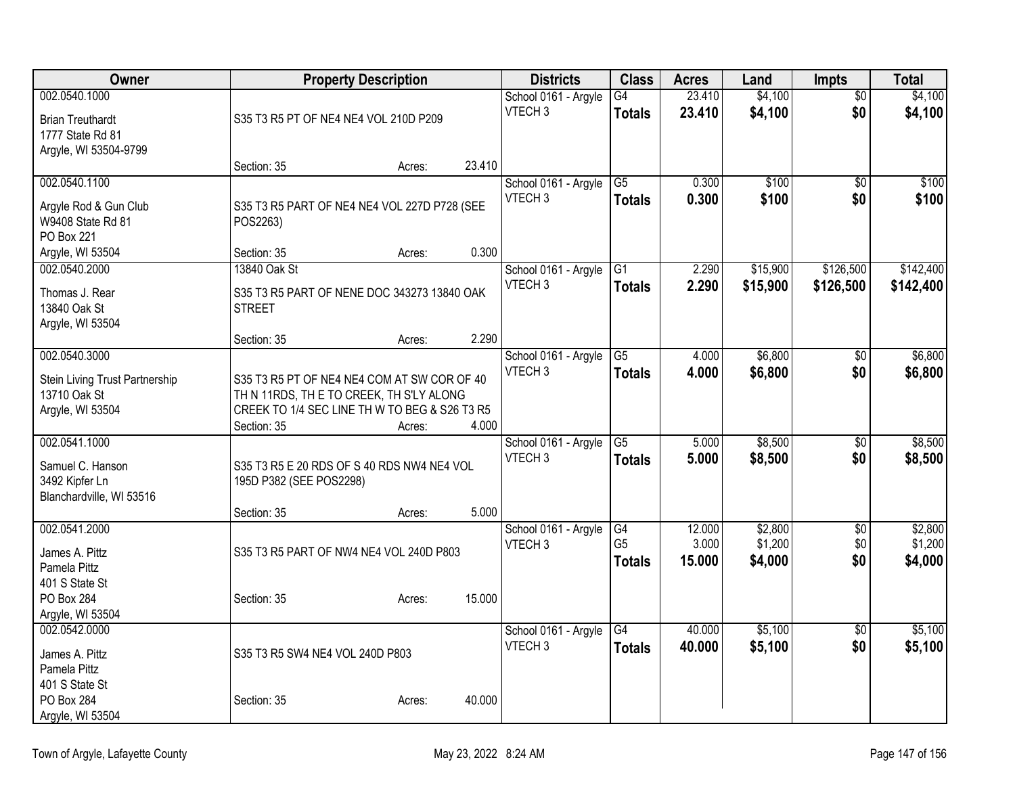| Owner                          |                                               | <b>Property Description</b> |        | <b>Districts</b>     | <b>Class</b>    | <b>Acres</b> | Land     | <b>Impts</b>    | <b>Total</b> |
|--------------------------------|-----------------------------------------------|-----------------------------|--------|----------------------|-----------------|--------------|----------|-----------------|--------------|
| 002.0540.1000                  |                                               |                             |        | School 0161 - Argyle | G4              | 23.410       | \$4,100  | $\overline{50}$ | \$4,100      |
| <b>Brian Treuthardt</b>        | S35 T3 R5 PT OF NE4 NE4 VOL 210D P209         |                             |        | VTECH <sub>3</sub>   | <b>Totals</b>   | 23.410       | \$4,100  | \$0             | \$4,100      |
| 1777 State Rd 81               |                                               |                             |        |                      |                 |              |          |                 |              |
| Argyle, WI 53504-9799          |                                               |                             |        |                      |                 |              |          |                 |              |
|                                | Section: 35                                   | Acres:                      | 23.410 |                      |                 |              |          |                 |              |
| 002.0540.1100                  |                                               |                             |        | School 0161 - Argyle | G <sub>5</sub>  | 0.300        | \$100    | \$0             | \$100        |
| Argyle Rod & Gun Club          | S35 T3 R5 PART OF NE4 NE4 VOL 227D P728 (SEE  |                             |        | VTECH <sub>3</sub>   | <b>Totals</b>   | 0.300        | \$100    | \$0             | \$100        |
| W9408 State Rd 81              | POS2263)                                      |                             |        |                      |                 |              |          |                 |              |
| PO Box 221                     |                                               |                             |        |                      |                 |              |          |                 |              |
| Argyle, WI 53504               | Section: 35                                   | Acres:                      | 0.300  |                      |                 |              |          |                 |              |
| 002.0540.2000                  | 13840 Oak St                                  |                             |        | School 0161 - Argyle | G1              | 2.290        | \$15,900 | \$126,500       | \$142,400    |
| Thomas J. Rear                 | S35 T3 R5 PART OF NENE DOC 343273 13840 OAK   |                             |        | VTECH <sub>3</sub>   | <b>Totals</b>   | 2.290        | \$15,900 | \$126,500       | \$142,400    |
| 13840 Oak St                   | <b>STREET</b>                                 |                             |        |                      |                 |              |          |                 |              |
| Argyle, WI 53504               |                                               |                             |        |                      |                 |              |          |                 |              |
|                                | Section: 35                                   | Acres:                      | 2.290  |                      |                 |              |          |                 |              |
| 002.0540.3000                  |                                               |                             |        | School 0161 - Argyle | $\overline{G5}$ | 4.000        | \$6,800  | \$0             | \$6,800      |
| Stein Living Trust Partnership | S35 T3 R5 PT OF NE4 NE4 COM AT SW COR OF 40   |                             |        | VTECH <sub>3</sub>   | <b>Totals</b>   | 4.000        | \$6,800  | \$0             | \$6,800      |
| 13710 Oak St                   | TH N 11RDS, TH E TO CREEK, TH S'LY ALONG      |                             |        |                      |                 |              |          |                 |              |
| Argyle, WI 53504               | CREEK TO 1/4 SEC LINE TH W TO BEG & S26 T3 R5 |                             |        |                      |                 |              |          |                 |              |
|                                | Section: 35                                   | Acres:                      | 4.000  |                      |                 |              |          |                 |              |
| 002.0541.1000                  |                                               |                             |        | School 0161 - Argyle | $\overline{G5}$ | 5.000        | \$8,500  | $\overline{50}$ | \$8,500      |
| Samuel C. Hanson               | S35 T3 R5 E 20 RDS OF S 40 RDS NW4 NE4 VOL    |                             |        | VTECH <sub>3</sub>   | <b>Totals</b>   | 5.000        | \$8,500  | \$0             | \$8,500      |
| 3492 Kipfer Ln                 | 195D P382 (SEE POS2298)                       |                             |        |                      |                 |              |          |                 |              |
| Blanchardville, WI 53516       |                                               |                             |        |                      |                 |              |          |                 |              |
|                                | Section: 35                                   | Acres:                      | 5.000  |                      |                 |              |          |                 |              |
| 002.0541.2000                  |                                               |                             |        | School 0161 - Argyle | G4              | 12.000       | \$2,800  | $\overline{30}$ | \$2,800      |
| James A. Pittz                 | S35 T3 R5 PART OF NW4 NE4 VOL 240D P803       |                             |        | VTECH <sub>3</sub>   | G <sub>5</sub>  | 3.000        | \$1,200  | \$0             | \$1,200      |
| Pamela Pittz                   |                                               |                             |        |                      | <b>Totals</b>   | 15.000       | \$4,000  | \$0             | \$4,000      |
| 401 S State St                 |                                               |                             |        |                      |                 |              |          |                 |              |
| <b>PO Box 284</b>              | Section: 35                                   | Acres:                      | 15.000 |                      |                 |              |          |                 |              |
| Argyle, WI 53504               |                                               |                             |        |                      |                 |              |          |                 |              |
| 002.0542.0000                  |                                               |                             |        | School 0161 - Argyle | G4              | 40.000       | \$5,100  | $\overline{50}$ | \$5,100      |
| James A. Pittz                 | S35 T3 R5 SW4 NE4 VOL 240D P803               |                             |        | VTECH <sub>3</sub>   | <b>Totals</b>   | 40.000       | \$5,100  | \$0             | \$5,100      |
| Pamela Pittz                   |                                               |                             |        |                      |                 |              |          |                 |              |
| 401 S State St                 |                                               |                             |        |                      |                 |              |          |                 |              |
| <b>PO Box 284</b>              | Section: 35                                   | Acres:                      | 40.000 |                      |                 |              |          |                 |              |
| Argyle, WI 53504               |                                               |                             |        |                      |                 |              |          |                 |              |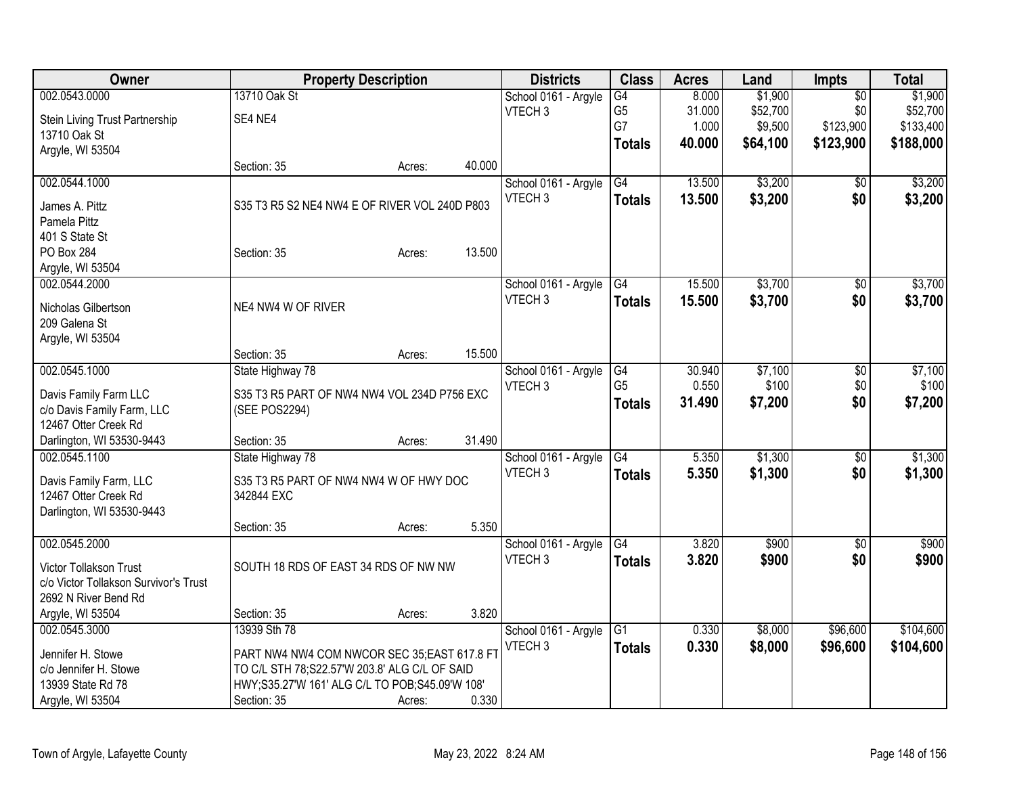| Owner                                 |                                                | <b>Property Description</b> |        | <b>Districts</b>     | <b>Class</b>    | <b>Acres</b> | Land     | <b>Impts</b>    | <b>Total</b> |
|---------------------------------------|------------------------------------------------|-----------------------------|--------|----------------------|-----------------|--------------|----------|-----------------|--------------|
| 002.0543.0000                         | 13710 Oak St                                   |                             |        | School 0161 - Argyle | G4              | 8.000        | \$1,900  | $\overline{50}$ | \$1,900      |
| Stein Living Trust Partnership        | SE4 NE4                                        |                             |        | VTECH <sub>3</sub>   | G <sub>5</sub>  | 31.000       | \$52,700 | \$0             | \$52,700     |
| 13710 Oak St                          |                                                |                             |        |                      | G7              | 1.000        | \$9,500  | \$123,900       | \$133,400    |
| Argyle, WI 53504                      |                                                |                             |        |                      | <b>Totals</b>   | 40.000       | \$64,100 | \$123,900       | \$188,000    |
|                                       | Section: 35                                    | Acres:                      | 40.000 |                      |                 |              |          |                 |              |
| 002.0544.1000                         |                                                |                             |        | School 0161 - Argyle | G4              | 13.500       | \$3,200  | \$0             | \$3,200      |
|                                       | S35 T3 R5 S2 NE4 NW4 E OF RIVER VOL 240D P803  |                             |        | VTECH <sub>3</sub>   | <b>Totals</b>   | 13.500       | \$3,200  | \$0             | \$3,200      |
| James A. Pittz<br>Pamela Pittz        |                                                |                             |        |                      |                 |              |          |                 |              |
| 401 S State St                        |                                                |                             |        |                      |                 |              |          |                 |              |
| <b>PO Box 284</b>                     | Section: 35                                    | Acres:                      | 13.500 |                      |                 |              |          |                 |              |
| Argyle, WI 53504                      |                                                |                             |        |                      |                 |              |          |                 |              |
| 002.0544.2000                         |                                                |                             |        | School 0161 - Argyle | G4              | 15.500       | \$3,700  | \$0             | \$3,700      |
|                                       |                                                |                             |        | VTECH <sub>3</sub>   | <b>Totals</b>   | 15.500       | \$3,700  | \$0             | \$3,700      |
| Nicholas Gilbertson                   | NE4 NW4 W OF RIVER                             |                             |        |                      |                 |              |          |                 |              |
| 209 Galena St                         |                                                |                             |        |                      |                 |              |          |                 |              |
| Argyle, WI 53504                      |                                                |                             |        |                      |                 |              |          |                 |              |
|                                       | Section: 35                                    | Acres:                      | 15.500 |                      |                 |              |          |                 |              |
| 002.0545.1000                         | State Highway 78                               |                             |        | School 0161 - Argyle | G4              | 30.940       | \$7,100  | \$0             | \$7,100      |
| Davis Family Farm LLC                 | S35 T3 R5 PART OF NW4 NW4 VOL 234D P756 EXC    |                             |        | VTECH <sub>3</sub>   | G <sub>5</sub>  | 0.550        | \$100    | \$0             | \$100        |
| c/o Davis Family Farm, LLC            | (SEE POS2294)                                  |                             |        |                      | <b>Totals</b>   | 31.490       | \$7,200  | \$0             | \$7,200      |
| 12467 Otter Creek Rd                  |                                                |                             |        |                      |                 |              |          |                 |              |
| Darlington, WI 53530-9443             | Section: 35                                    | Acres:                      | 31.490 |                      |                 |              |          |                 |              |
| 002.0545.1100                         | State Highway 78                               |                             |        | School 0161 - Argyle | $\overline{G4}$ | 5.350        | \$1,300  | \$0             | \$1,300      |
| Davis Family Farm, LLC                | S35 T3 R5 PART OF NW4 NW4 W OF HWY DOC         |                             |        | VTECH <sub>3</sub>   | <b>Totals</b>   | 5.350        | \$1,300  | \$0             | \$1,300      |
| 12467 Otter Creek Rd                  | 342844 EXC                                     |                             |        |                      |                 |              |          |                 |              |
| Darlington, WI 53530-9443             |                                                |                             |        |                      |                 |              |          |                 |              |
|                                       | Section: 35                                    | Acres:                      | 5.350  |                      |                 |              |          |                 |              |
| 002.0545.2000                         |                                                |                             |        | School 0161 - Argyle | G4              | 3.820        | \$900    | $\overline{50}$ | \$900        |
|                                       |                                                |                             |        | VTECH <sub>3</sub>   | <b>Totals</b>   | 3.820        | \$900    | \$0             | \$900        |
| Victor Tollakson Trust                | SOUTH 18 RDS OF EAST 34 RDS OF NW NW           |                             |        |                      |                 |              |          |                 |              |
| c/o Victor Tollakson Survivor's Trust |                                                |                             |        |                      |                 |              |          |                 |              |
| 2692 N River Bend Rd                  |                                                |                             |        |                      |                 |              |          |                 |              |
| Argyle, WI 53504                      | Section: 35                                    | Acres:                      | 3.820  |                      |                 |              |          |                 |              |
| 002.0545.3000                         | 13939 Sth 78                                   |                             |        | School 0161 - Argyle | G1              | 0.330        | \$8,000  | \$96,600        | \$104,600    |
| Jennifer H. Stowe                     | PART NW4 NW4 COM NWCOR SEC 35;EAST 617.8 FT    |                             |        | VTECH <sub>3</sub>   | <b>Totals</b>   | 0.330        | \$8,000  | \$96,600        | \$104,600    |
| c/o Jennifer H. Stowe                 | TO C/L STH 78;S22.57'W 203.8' ALG C/L OF SAID  |                             |        |                      |                 |              |          |                 |              |
| 13939 State Rd 78                     | HWY;S35.27'W 161' ALG C/L TO POB;S45.09'W 108' |                             |        |                      |                 |              |          |                 |              |
| Argyle, WI 53504                      | Section: 35                                    | Acres:                      | 0.330  |                      |                 |              |          |                 |              |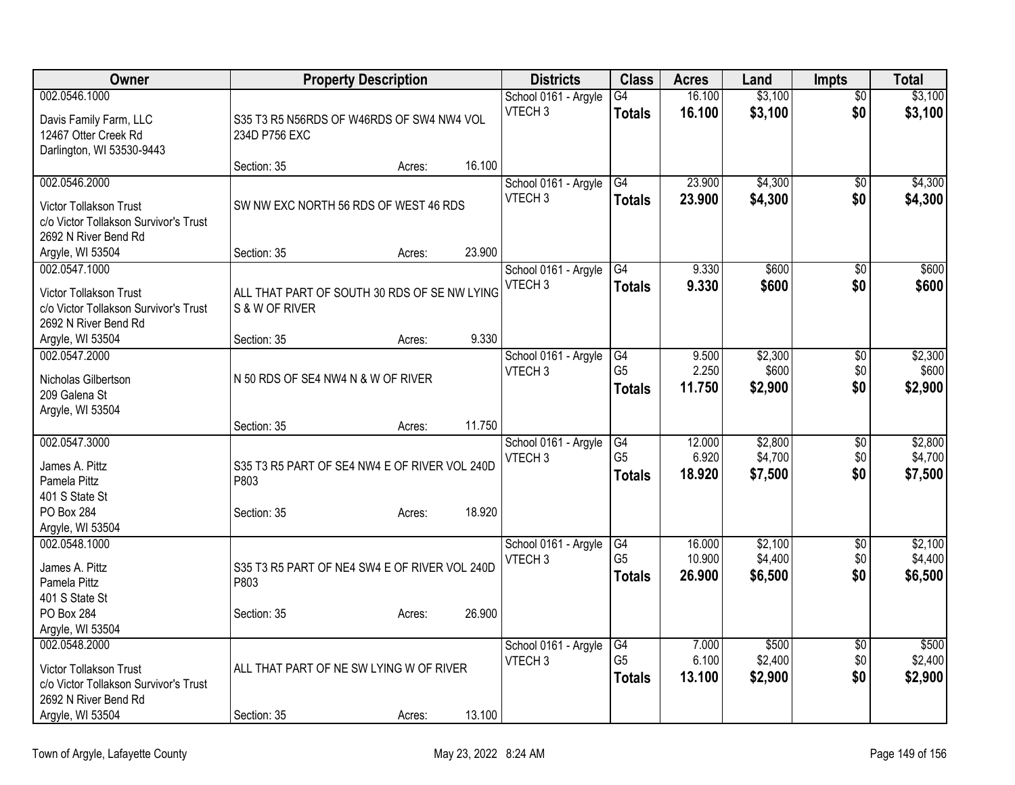| Owner                                                                                                    |                                                                | <b>Property Description</b> |        | <b>Districts</b>                           | <b>Class</b>                          | <b>Acres</b>               | Land                          | <b>Impts</b>                  | <b>Total</b>                  |
|----------------------------------------------------------------------------------------------------------|----------------------------------------------------------------|-----------------------------|--------|--------------------------------------------|---------------------------------------|----------------------------|-------------------------------|-------------------------------|-------------------------------|
| 002.0546.1000                                                                                            |                                                                |                             |        | School 0161 - Argyle                       | G4                                    | 16.100                     | \$3,100                       | \$0                           | \$3,100                       |
| Davis Family Farm, LLC<br>12467 Otter Creek Rd<br>Darlington, WI 53530-9443                              | S35 T3 R5 N56RDS OF W46RDS OF SW4 NW4 VOL<br>234D P756 EXC     |                             |        | VTECH <sub>3</sub>                         | <b>Totals</b>                         | 16.100                     | \$3,100                       | \$0                           | \$3,100                       |
|                                                                                                          | Section: 35                                                    | Acres:                      | 16.100 |                                            |                                       |                            |                               |                               |                               |
| 002.0546.2000<br>Victor Tollakson Trust<br>c/o Victor Tollakson Survivor's Trust<br>2692 N River Bend Rd | SW NW EXC NORTH 56 RDS OF WEST 46 RDS                          |                             |        | School 0161 - Argyle<br>VTECH <sub>3</sub> | G4<br><b>Totals</b>                   | 23.900<br>23.900           | \$4,300<br>\$4,300            | \$0<br>\$0                    | \$4,300<br>\$4,300            |
| Argyle, WI 53504                                                                                         | Section: 35                                                    | Acres:                      | 23.900 |                                            |                                       |                            |                               |                               |                               |
| 002.0547.1000<br>Victor Tollakson Trust<br>c/o Victor Tollakson Survivor's Trust<br>2692 N River Bend Rd | ALL THAT PART OF SOUTH 30 RDS OF SE NW LYING<br>S & W OF RIVER |                             |        | School 0161 - Argyle<br>VTECH <sub>3</sub> | G4<br><b>Totals</b>                   | 9.330<br>9.330             | \$600<br>\$600                | $\overline{50}$<br>\$0        | \$600<br>\$600                |
| Argyle, WI 53504                                                                                         | Section: 35                                                    | Acres:                      | 9.330  |                                            |                                       |                            |                               |                               |                               |
| 002.0547.2000<br>Nicholas Gilbertson<br>209 Galena St<br>Argyle, WI 53504                                | N 50 RDS OF SE4 NW4 N & W OF RIVER                             |                             |        | School 0161 - Argyle<br>VTECH <sub>3</sub> | G4<br>G <sub>5</sub><br><b>Totals</b> | 9.500<br>2.250<br>11.750   | \$2,300<br>\$600<br>\$2,900   | $\overline{50}$<br>\$0<br>\$0 | \$2,300<br>\$600<br>\$2,900   |
|                                                                                                          | Section: 35                                                    | Acres:                      | 11.750 |                                            |                                       |                            |                               |                               |                               |
| 002.0547.3000<br>James A. Pittz<br>Pamela Pittz<br>401 S State St                                        | S35 T3 R5 PART OF SE4 NW4 E OF RIVER VOL 240D<br>P803          |                             |        | School 0161 - Argyle<br>VTECH 3            | G4<br>G <sub>5</sub><br><b>Totals</b> | 12.000<br>6.920<br>18.920  | \$2,800<br>\$4,700<br>\$7,500 | \$0<br>\$0<br>\$0             | \$2,800<br>\$4,700<br>\$7,500 |
| <b>PO Box 284</b><br>Argyle, WI 53504                                                                    | Section: 35                                                    | Acres:                      | 18.920 |                                            |                                       |                            |                               |                               |                               |
| 002.0548.1000<br>James A. Pittz<br>Pamela Pittz<br>401 S State St                                        | S35 T3 R5 PART OF NE4 SW4 E OF RIVER VOL 240D<br>P803          |                             |        | School 0161 - Argyle<br>VTECH <sub>3</sub> | G4<br>G <sub>5</sub><br><b>Totals</b> | 16.000<br>10.900<br>26,900 | \$2,100<br>\$4,400<br>\$6,500 | $\sqrt{6}$<br>\$0<br>\$0      | \$2,100<br>\$4,400<br>\$6,500 |
| <b>PO Box 284</b><br>Argyle, WI 53504                                                                    | Section: 35                                                    | Acres:                      | 26.900 |                                            |                                       |                            |                               |                               |                               |
| 002.0548.2000<br>Victor Tollakson Trust<br>c/o Victor Tollakson Survivor's Trust<br>2692 N River Bend Rd | ALL THAT PART OF NE SW LYING W OF RIVER                        |                             |        | School 0161 - Argyle<br>VTECH <sub>3</sub> | G4<br>G <sub>5</sub><br><b>Totals</b> | 7.000<br>6.100<br>13.100   | \$500<br>\$2,400<br>\$2,900   | $\overline{50}$<br>\$0<br>\$0 | \$500<br>\$2,400<br>\$2,900   |
| Argyle, WI 53504                                                                                         | Section: 35                                                    | Acres:                      | 13.100 |                                            |                                       |                            |                               |                               |                               |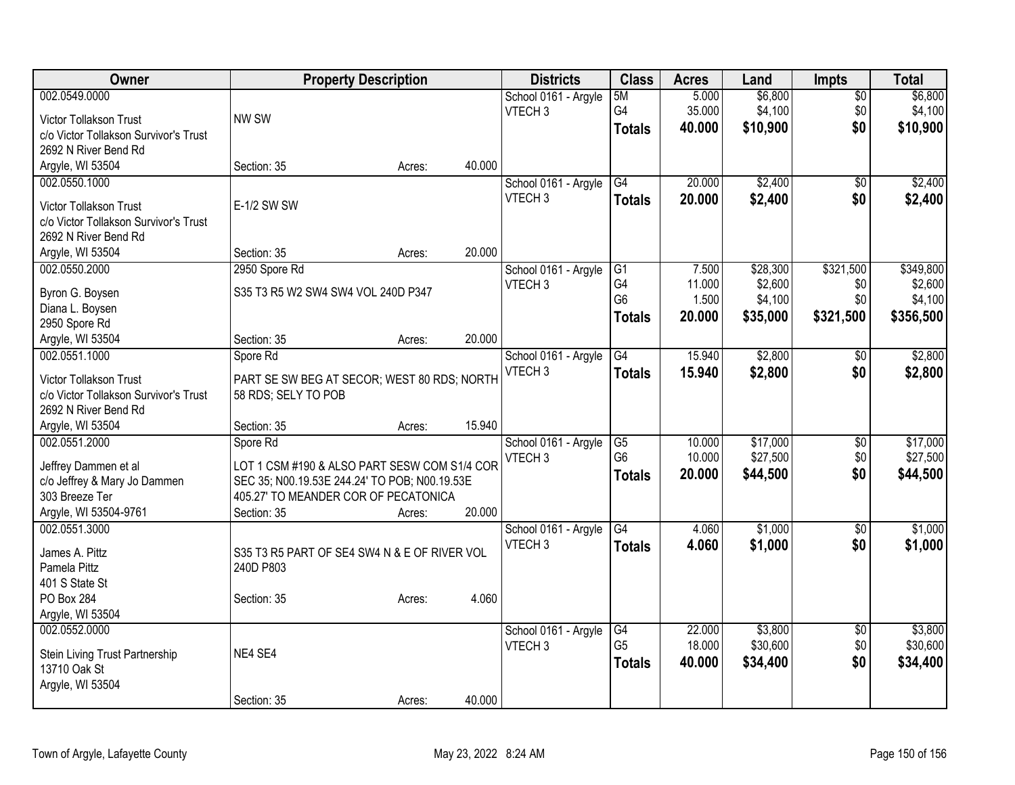| Owner                                                         |                                               | <b>Property Description</b> |        | <b>Districts</b>                           | <b>Class</b>         | <b>Acres</b> | Land     | <b>Impts</b>    | <b>Total</b> |
|---------------------------------------------------------------|-----------------------------------------------|-----------------------------|--------|--------------------------------------------|----------------------|--------------|----------|-----------------|--------------|
| 002.0549.0000                                                 |                                               |                             |        | School 0161 - Argyle                       | 5M                   | 5.000        | \$6,800  | $\overline{30}$ | \$6,800      |
| Victor Tollakson Trust                                        | NW SW                                         |                             |        | VTECH <sub>3</sub>                         | G4                   | 35.000       | \$4,100  | \$0             | \$4,100      |
| c/o Victor Tollakson Survivor's Trust                         |                                               |                             |        |                                            | <b>Totals</b>        | 40.000       | \$10,900 | \$0             | \$10,900     |
| 2692 N River Bend Rd                                          |                                               |                             |        |                                            |                      |              |          |                 |              |
| Argyle, WI 53504                                              | Section: 35                                   | Acres:                      | 40.000 |                                            |                      |              |          |                 |              |
| 002.0550.1000                                                 |                                               |                             |        | School 0161 - Argyle                       | G4                   | 20.000       | \$2,400  | $\overline{50}$ | \$2,400      |
|                                                               |                                               |                             |        | VTECH <sub>3</sub>                         | <b>Totals</b>        | 20.000       | \$2,400  | \$0             | \$2,400      |
| Victor Tollakson Trust                                        | E-1/2 SW SW                                   |                             |        |                                            |                      |              |          |                 |              |
| c/o Victor Tollakson Survivor's Trust                         |                                               |                             |        |                                            |                      |              |          |                 |              |
| 2692 N River Bend Rd                                          |                                               |                             |        |                                            |                      |              |          |                 |              |
| Argyle, WI 53504                                              | Section: 35                                   | Acres:                      | 20.000 |                                            |                      |              |          |                 |              |
| 002.0550.2000                                                 | 2950 Spore Rd                                 |                             |        | School 0161 - Argyle                       | G1                   | 7.500        | \$28,300 | \$321,500       | \$349,800    |
| Byron G. Boysen                                               | S35 T3 R5 W2 SW4 SW4 VOL 240D P347            |                             |        | VTECH <sub>3</sub>                         | G4<br>G <sub>6</sub> | 11.000       | \$2,600  | \$0             | \$2,600      |
| Diana L. Boysen                                               |                                               |                             |        |                                            |                      | 1.500        | \$4,100  | \$0             | \$4,100      |
| 2950 Spore Rd                                                 |                                               |                             |        |                                            | <b>Totals</b>        | 20.000       | \$35,000 | \$321,500       | \$356,500    |
| Argyle, WI 53504                                              | Section: 35                                   | Acres:                      | 20.000 |                                            |                      |              |          |                 |              |
| 002.0551.1000                                                 | Spore Rd                                      |                             |        | School 0161 - Argyle                       | G4                   | 15.940       | \$2,800  | $\sqrt{6}$      | \$2,800      |
|                                                               |                                               |                             |        | VTECH <sub>3</sub>                         | <b>Totals</b>        | 15.940       | \$2,800  | \$0             | \$2,800      |
| Victor Tollakson Trust                                        | PART SE SW BEG AT SECOR; WEST 80 RDS; NORTH   |                             |        |                                            |                      |              |          |                 |              |
| c/o Victor Tollakson Survivor's Trust<br>2692 N River Bend Rd | 58 RDS; SELY TO POB                           |                             |        |                                            |                      |              |          |                 |              |
|                                                               | Section: 35                                   |                             | 15.940 |                                            |                      |              |          |                 |              |
| Argyle, WI 53504<br>002.0551.2000                             | Spore Rd                                      | Acres:                      |        |                                            | G5                   | 10.000       | \$17,000 |                 | \$17,000     |
|                                                               |                                               |                             |        | School 0161 - Argyle<br>VTECH <sub>3</sub> | G <sub>6</sub>       | 10.000       | \$27,500 | \$0<br>\$0      | \$27,500     |
| Jeffrey Dammen et al                                          | LOT 1 CSM #190 & ALSO PART SESW COM S1/4 COR  |                             |        |                                            |                      |              |          | \$0             |              |
| c/o Jeffrey & Mary Jo Dammen                                  | SEC 35; N00.19.53E 244.24' TO POB; N00.19.53E |                             |        |                                            | <b>Totals</b>        | 20.000       | \$44,500 |                 | \$44,500     |
| 303 Breeze Ter                                                | 405.27' TO MEANDER COR OF PECATONICA          |                             |        |                                            |                      |              |          |                 |              |
| Argyle, WI 53504-9761                                         | Section: 35                                   | Acres:                      | 20.000 |                                            |                      |              |          |                 |              |
| 002.0551.3000                                                 |                                               |                             |        | School 0161 - Argyle                       | G4                   | 4.060        | \$1,000  | $\overline{50}$ | \$1,000      |
| James A. Pittz                                                | S35 T3 R5 PART OF SE4 SW4 N & E OF RIVER VOL  |                             |        | VTECH <sub>3</sub>                         | <b>Totals</b>        | 4.060        | \$1,000  | \$0             | \$1,000      |
| Pamela Pittz                                                  | 240D P803                                     |                             |        |                                            |                      |              |          |                 |              |
| 401 S State St                                                |                                               |                             |        |                                            |                      |              |          |                 |              |
| <b>PO Box 284</b>                                             | Section: 35                                   | Acres:                      | 4.060  |                                            |                      |              |          |                 |              |
| Argyle, WI 53504                                              |                                               |                             |        |                                            |                      |              |          |                 |              |
| 002.0552.0000                                                 |                                               |                             |        | School 0161 - Argyle                       | G4                   | 22.000       | \$3,800  | $\overline{50}$ | \$3,800      |
|                                                               |                                               |                             |        | VTECH <sub>3</sub>                         | G <sub>5</sub>       | 18.000       | \$30,600 | \$0             | \$30,600     |
| Stein Living Trust Partnership                                | NE4 SE4                                       |                             |        |                                            | <b>Totals</b>        | 40.000       | \$34,400 | \$0             | \$34,400     |
| 13710 Oak St                                                  |                                               |                             |        |                                            |                      |              |          |                 |              |
| Argyle, WI 53504                                              |                                               |                             |        |                                            |                      |              |          |                 |              |
|                                                               | Section: 35                                   | Acres:                      | 40.000 |                                            |                      |              |          |                 |              |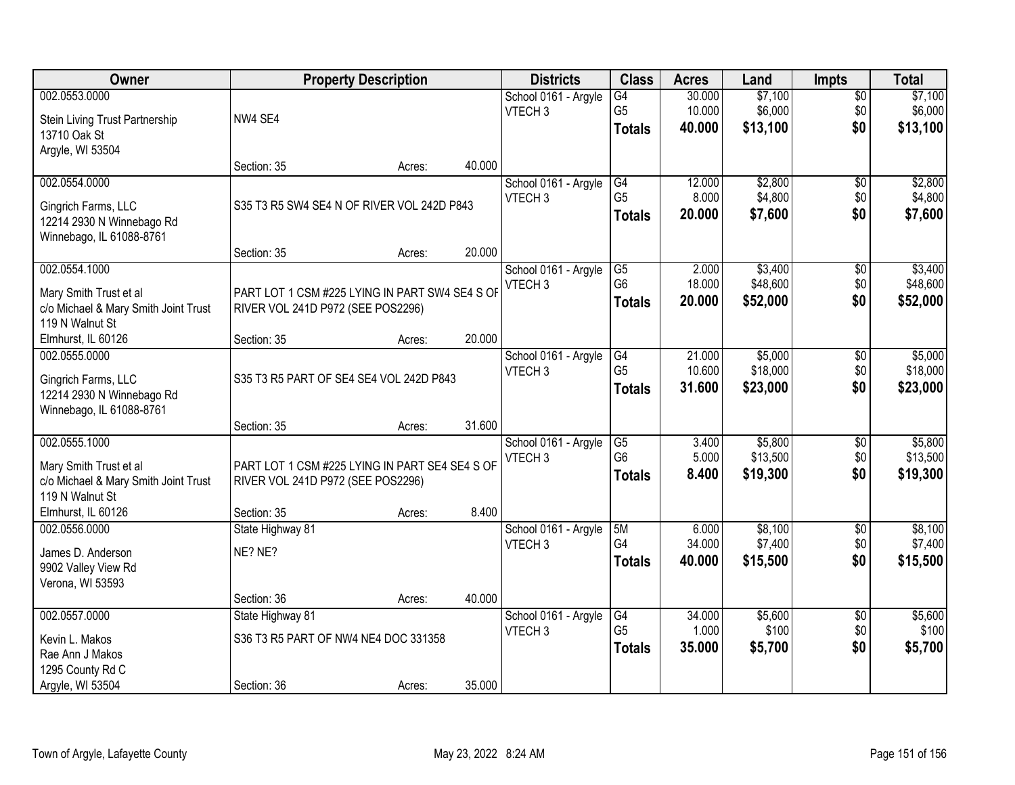| Owner                                |                                                | <b>Property Description</b> |        | <b>Districts</b>     | <b>Class</b>    | <b>Acres</b> | Land     | Impts           | <b>Total</b> |
|--------------------------------------|------------------------------------------------|-----------------------------|--------|----------------------|-----------------|--------------|----------|-----------------|--------------|
| 002.0553.0000                        |                                                |                             |        | School 0161 - Argyle | $\overline{G4}$ | 30.000       | \$7,100  | $\overline{50}$ | \$7,100      |
| Stein Living Trust Partnership       | NW4 SE4                                        |                             |        | VTECH <sub>3</sub>   | G <sub>5</sub>  | 10.000       | \$6,000  | \$0             | \$6,000      |
| 13710 Oak St                         |                                                |                             |        |                      | <b>Totals</b>   | 40.000       | \$13,100 | \$0             | \$13,100     |
| Argyle, WI 53504                     |                                                |                             |        |                      |                 |              |          |                 |              |
|                                      | Section: 35                                    | Acres:                      | 40.000 |                      |                 |              |          |                 |              |
| 002.0554.0000                        |                                                |                             |        | School 0161 - Argyle | G4              | 12.000       | \$2,800  | \$0             | \$2,800      |
| Gingrich Farms, LLC                  | S35 T3 R5 SW4 SE4 N OF RIVER VOL 242D P843     |                             |        | VTECH <sub>3</sub>   | G <sub>5</sub>  | 8.000        | \$4,800  | \$0             | \$4,800      |
| 12214 2930 N Winnebago Rd            |                                                |                             |        |                      | <b>Totals</b>   | 20.000       | \$7,600  | \$0             | \$7,600      |
| Winnebago, IL 61088-8761             |                                                |                             |        |                      |                 |              |          |                 |              |
|                                      | Section: 35                                    | Acres:                      | 20.000 |                      |                 |              |          |                 |              |
| 002.0554.1000                        |                                                |                             |        | School 0161 - Argyle | $\overline{G5}$ | 2.000        | \$3,400  | $\overline{50}$ | \$3,400      |
| Mary Smith Trust et al               | PART LOT 1 CSM #225 LYING IN PART SW4 SE4 S OF |                             |        | VTECH <sub>3</sub>   | G <sub>6</sub>  | 18.000       | \$48,600 | \$0             | \$48,600     |
| c/o Michael & Mary Smith Joint Trust | RIVER VOL 241D P972 (SEE POS2296)              |                             |        |                      | <b>Totals</b>   | 20.000       | \$52,000 | \$0             | \$52,000     |
| 119 N Walnut St                      |                                                |                             |        |                      |                 |              |          |                 |              |
| Elmhurst, IL 60126                   | Section: 35                                    | Acres:                      | 20.000 |                      |                 |              |          |                 |              |
| 002.0555.0000                        |                                                |                             |        | School 0161 - Argyle | G4              | 21.000       | \$5,000  | \$0             | \$5,000      |
| Gingrich Farms, LLC                  | S35 T3 R5 PART OF SE4 SE4 VOL 242D P843        |                             |        | VTECH <sub>3</sub>   | G <sub>5</sub>  | 10.600       | \$18,000 | \$0             | \$18,000     |
| 12214 2930 N Winnebago Rd            |                                                |                             |        |                      | <b>Totals</b>   | 31.600       | \$23,000 | \$0             | \$23,000     |
| Winnebago, IL 61088-8761             |                                                |                             |        |                      |                 |              |          |                 |              |
|                                      | Section: 35                                    | Acres:                      | 31.600 |                      |                 |              |          |                 |              |
| 002.0555.1000                        |                                                |                             |        | School 0161 - Argyle | G5              | 3.400        | \$5,800  | $\overline{50}$ | \$5,800      |
| Mary Smith Trust et al               | PART LOT 1 CSM #225 LYING IN PART SE4 SE4 S OF |                             |        | VTECH <sub>3</sub>   | G <sub>6</sub>  | 5.000        | \$13,500 | \$0             | \$13,500     |
| c/o Michael & Mary Smith Joint Trust | RIVER VOL 241D P972 (SEE POS2296)              |                             |        |                      | <b>Totals</b>   | 8.400        | \$19,300 | \$0             | \$19,300     |
| 119 N Walnut St                      |                                                |                             |        |                      |                 |              |          |                 |              |
| Elmhurst, IL 60126                   | Section: 35                                    | Acres:                      | 8.400  |                      |                 |              |          |                 |              |
| 002.0556.0000                        | State Highway 81                               |                             |        | School 0161 - Argyle | 5M              | 6.000        | \$8,100  | $\sqrt{6}$      | \$8,100      |
| James D. Anderson                    | NE? NE?                                        |                             |        | VTECH <sub>3</sub>   | G4              | 34.000       | \$7,400  | \$0             | \$7,400      |
| 9902 Valley View Rd                  |                                                |                             |        |                      | <b>Totals</b>   | 40.000       | \$15,500 | \$0             | \$15,500     |
| Verona, WI 53593                     |                                                |                             |        |                      |                 |              |          |                 |              |
|                                      | Section: 36                                    | Acres:                      | 40.000 |                      |                 |              |          |                 |              |
| 002.0557.0000                        | State Highway 81                               |                             |        | School 0161 - Argyle | G4              | 34.000       | \$5,600  | $\overline{50}$ | \$5,600      |
| Kevin L. Makos                       | S36 T3 R5 PART OF NW4 NE4 DOC 331358           |                             |        | VTECH <sub>3</sub>   | G <sub>5</sub>  | 1.000        | \$100    | \$0             | \$100        |
| Rae Ann J Makos                      |                                                |                             |        |                      | <b>Totals</b>   | 35.000       | \$5,700  | \$0             | \$5,700      |
| 1295 County Rd C                     |                                                |                             |        |                      |                 |              |          |                 |              |
| Argyle, WI 53504                     | Section: 36                                    | Acres:                      | 35.000 |                      |                 |              |          |                 |              |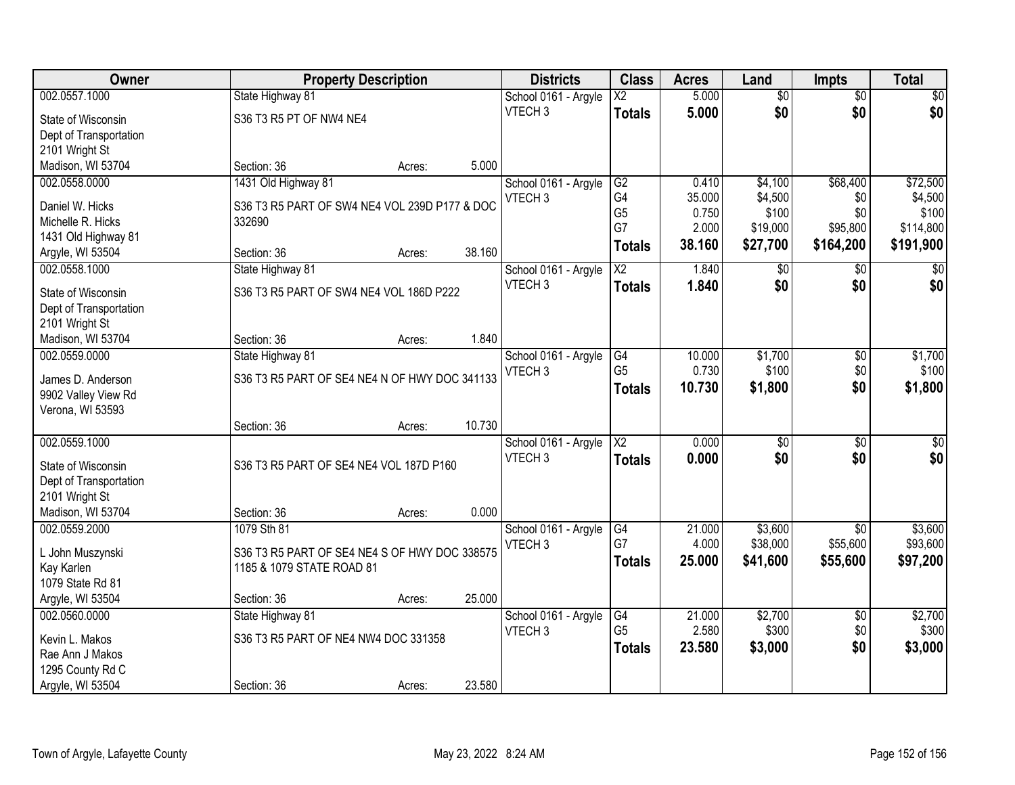| Owner                  | <b>Property Description</b>                   |        |        | <b>Districts</b>     | <b>Class</b>           | <b>Acres</b> | Land            | Impts           | <b>Total</b> |
|------------------------|-----------------------------------------------|--------|--------|----------------------|------------------------|--------------|-----------------|-----------------|--------------|
| 002.0557.1000          | State Highway 81                              |        |        | School 0161 - Argyle | $\overline{\text{X2}}$ | 5.000        | $\overline{50}$ | $\overline{50}$ | \$0          |
| State of Wisconsin     | S36 T3 R5 PT OF NW4 NE4                       |        |        | VTECH <sub>3</sub>   | <b>Totals</b>          | 5.000        | \$0             | \$0             | \$0          |
| Dept of Transportation |                                               |        |        |                      |                        |              |                 |                 |              |
| 2101 Wright St         |                                               |        |        |                      |                        |              |                 |                 |              |
| Madison, WI 53704      | Section: 36                                   | Acres: | 5.000  |                      |                        |              |                 |                 |              |
| 002.0558.0000          | 1431 Old Highway 81                           |        |        | School 0161 - Argyle | G2                     | 0.410        | \$4,100         | \$68,400        | \$72,500     |
|                        |                                               |        |        | VTECH <sub>3</sub>   | G4                     | 35.000       | \$4,500         | \$0             | \$4,500      |
| Daniel W. Hicks        | S36 T3 R5 PART OF SW4 NE4 VOL 239D P177 & DOC |        |        |                      | G <sub>5</sub>         | 0.750        | \$100           | \$0             | \$100        |
| Michelle R. Hicks      | 332690                                        |        |        |                      | G7                     | 2.000        | \$19,000        | \$95,800        | \$114,800    |
| 1431 Old Highway 81    |                                               |        |        |                      | <b>Totals</b>          | 38.160       | \$27,700        | \$164,200       | \$191,900    |
| Argyle, WI 53504       | Section: 36                                   | Acres: | 38.160 |                      |                        |              |                 |                 |              |
| 002.0558.1000          | State Highway 81                              |        |        | School 0161 - Argyle | X2                     | 1.840        | $\sqrt[6]{}$    | $\sqrt{6}$      | $\sqrt{50}$  |
| State of Wisconsin     | S36 T3 R5 PART OF SW4 NE4 VOL 186D P222       |        |        | VTECH <sub>3</sub>   | <b>Totals</b>          | 1.840        | \$0             | \$0             | \$0          |
| Dept of Transportation |                                               |        |        |                      |                        |              |                 |                 |              |
| 2101 Wright St         |                                               |        |        |                      |                        |              |                 |                 |              |
| Madison, WI 53704      | Section: 36                                   | Acres: | 1.840  |                      |                        |              |                 |                 |              |
| 002.0559.0000          | State Highway 81                              |        |        | School 0161 - Argyle | G4                     | 10.000       | \$1,700         | $\sqrt[6]{3}$   | \$1,700      |
|                        |                                               |        |        | VTECH <sub>3</sub>   | G <sub>5</sub>         | 0.730        | \$100           | \$0             | \$100        |
| James D. Anderson      | S36 T3 R5 PART OF SE4 NE4 N OF HWY DOC 341133 |        |        |                      | <b>Totals</b>          | 10.730       | \$1,800         | \$0             | \$1,800      |
| 9902 Valley View Rd    |                                               |        |        |                      |                        |              |                 |                 |              |
| Verona, WI 53593       |                                               |        |        |                      |                        |              |                 |                 |              |
|                        | Section: 36                                   | Acres: | 10.730 |                      |                        |              |                 |                 |              |
| 002.0559.1000          |                                               |        |        | School 0161 - Argyle | $\overline{\text{X2}}$ | 0.000        | $\overline{50}$ | $\overline{50}$ | $\sqrt{50}$  |
| State of Wisconsin     | S36 T3 R5 PART OF SE4 NE4 VOL 187D P160       |        |        | VTECH <sub>3</sub>   | <b>Totals</b>          | 0.000        | \$0             | \$0             | \$0          |
| Dept of Transportation |                                               |        |        |                      |                        |              |                 |                 |              |
| 2101 Wright St         |                                               |        |        |                      |                        |              |                 |                 |              |
| Madison, WI 53704      | Section: 36                                   | Acres: | 0.000  |                      |                        |              |                 |                 |              |
| 002.0559.2000          | 1079 Sth 81                                   |        |        | School 0161 - Argyle | G4                     | 21.000       | \$3,600         | $\overline{50}$ | \$3,600      |
|                        |                                               |        |        | VTECH <sub>3</sub>   | G7                     | 4.000        | \$38,000        | \$55,600        | \$93,600     |
| L John Muszynski       | S36 T3 R5 PART OF SE4 NE4 S OF HWY DOC 338575 |        |        |                      | <b>Totals</b>          | 25,000       | \$41,600        | \$55,600        | \$97,200     |
| Kay Karlen             | 1185 & 1079 STATE ROAD 81                     |        |        |                      |                        |              |                 |                 |              |
| 1079 State Rd 81       |                                               |        |        |                      |                        |              |                 |                 |              |
| Argyle, WI 53504       | Section: 36                                   | Acres: | 25.000 |                      |                        |              |                 |                 |              |
| 002.0560.0000          | State Highway 81                              |        |        | School 0161 - Argyle | G4                     | 21.000       | \$2,700         | $\overline{50}$ | \$2,700      |
| Kevin L. Makos         | S36 T3 R5 PART OF NE4 NW4 DOC 331358          |        |        | VTECH <sub>3</sub>   | G <sub>5</sub>         | 2.580        | \$300           | \$0             | \$300        |
| Rae Ann J Makos        |                                               |        |        |                      | <b>Totals</b>          | 23.580       | \$3,000         | \$0             | \$3,000      |
| 1295 County Rd C       |                                               |        |        |                      |                        |              |                 |                 |              |
| Argyle, WI 53504       | Section: 36                                   | Acres: | 23.580 |                      |                        |              |                 |                 |              |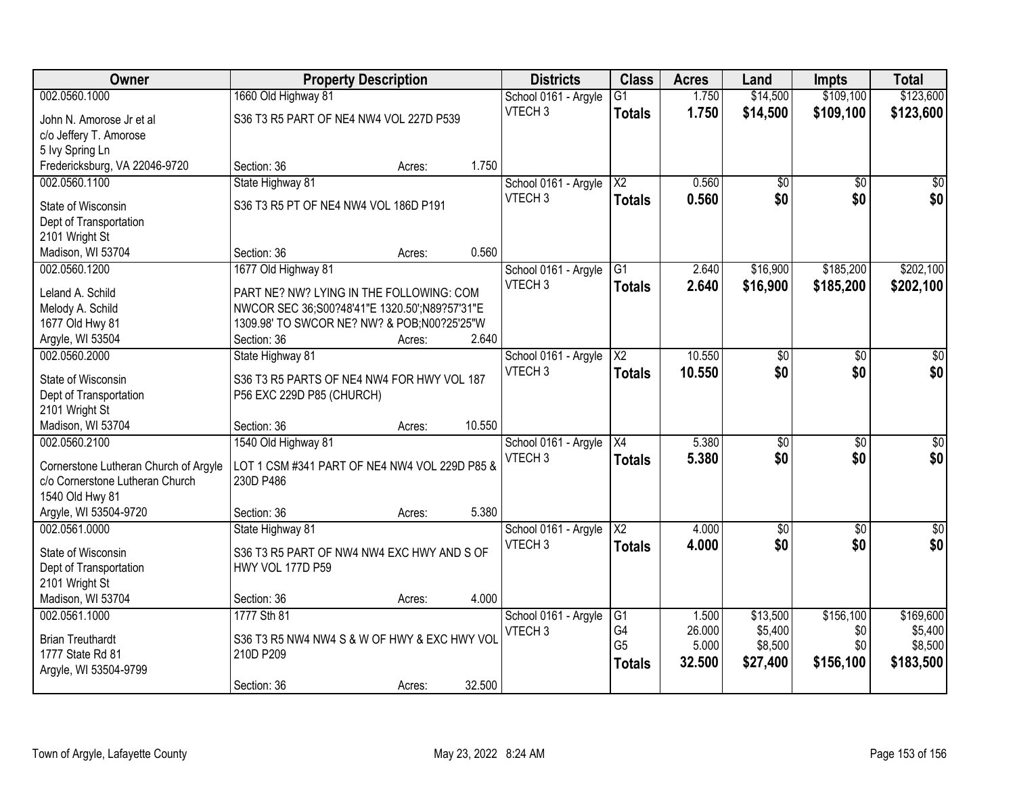| Owner                                  | <b>Property Description</b>                   |        |        | <b>Districts</b>                           | <b>Class</b>           | <b>Acres</b> | Land              | <b>Impts</b>    | <b>Total</b>    |
|----------------------------------------|-----------------------------------------------|--------|--------|--------------------------------------------|------------------------|--------------|-------------------|-----------------|-----------------|
| 002.0560.1000                          | 1660 Old Highway 81                           |        |        | School 0161 - Argyle                       | $\overline{G1}$        | 1.750        | \$14,500          | \$109,100       | \$123,600       |
| John N. Amorose Jr et al               | S36 T3 R5 PART OF NE4 NW4 VOL 227D P539       |        |        | VTECH <sub>3</sub>                         | <b>Totals</b>          | 1.750        | \$14,500          | \$109,100       | \$123,600       |
| c/o Jeffery T. Amorose                 |                                               |        |        |                                            |                        |              |                   |                 |                 |
| 5 Ivy Spring Ln                        |                                               |        |        |                                            |                        |              |                   |                 |                 |
| Fredericksburg, VA 22046-9720          | Section: 36                                   | Acres: | 1.750  |                                            |                        |              |                   |                 |                 |
| 002.0560.1100                          | State Highway 81                              |        |        | School 0161 - Argyle                       | $\overline{\text{X2}}$ | 0.560        | \$0               | \$0             | \$0             |
|                                        |                                               |        |        | VTECH <sub>3</sub>                         | <b>Totals</b>          | 0.560        | \$0               | \$0             | \$0             |
| State of Wisconsin                     | S36 T3 R5 PT OF NE4 NW4 VOL 186D P191         |        |        |                                            |                        |              |                   |                 |                 |
| Dept of Transportation                 |                                               |        |        |                                            |                        |              |                   |                 |                 |
| 2101 Wright St                         | Section: 36                                   |        | 0.560  |                                            |                        |              |                   |                 |                 |
| Madison, WI 53704<br>002.0560.1200     | 1677 Old Highway 81                           | Acres: |        |                                            | G1                     | 2.640        | \$16,900          | \$185,200       | \$202,100       |
|                                        |                                               |        |        | School 0161 - Argyle<br>VTECH <sub>3</sub> |                        |              |                   |                 |                 |
| Leland A. Schild                       | PART NE? NW? LYING IN THE FOLLOWING: COM      |        |        |                                            | <b>Totals</b>          | 2.640        | \$16,900          | \$185,200       | \$202,100       |
| Melody A. Schild                       | NWCOR SEC 36;S00?48'41"E 1320.50';N89?57'31"E |        |        |                                            |                        |              |                   |                 |                 |
| 1677 Old Hwy 81                        | 1309.98' TO SWCOR NE? NW? & POB;N00?25'25"W   |        |        |                                            |                        |              |                   |                 |                 |
| Argyle, WI 53504                       | Section: 36                                   | Acres: | 2.640  |                                            |                        |              |                   |                 |                 |
| 002.0560.2000                          | State Highway 81                              |        |        | School 0161 - Argyle                       | X2                     | 10.550       | \$0               | $\sqrt[6]{3}$   | $\sqrt{50}$     |
| State of Wisconsin                     | S36 T3 R5 PARTS OF NE4 NW4 FOR HWY VOL 187    |        |        | VTECH <sub>3</sub>                         | <b>Totals</b>          | 10.550       | \$0               | \$0             | \$0             |
| Dept of Transportation                 | P56 EXC 229D P85 (CHURCH)                     |        |        |                                            |                        |              |                   |                 |                 |
| 2101 Wright St                         |                                               |        |        |                                            |                        |              |                   |                 |                 |
| Madison, WI 53704                      | Section: 36                                   | Acres: | 10.550 |                                            |                        |              |                   |                 |                 |
| 002.0560.2100                          | 1540 Old Highway 81                           |        |        | School 0161 - Argyle                       | $\overline{X4}$        | 5.380        | $\overline{50}$   | $\overline{50}$ | $\overline{50}$ |
|                                        |                                               |        |        | VTECH <sub>3</sub>                         | <b>Totals</b>          | 5.380        | \$0               | \$0             | \$0             |
| Cornerstone Lutheran Church of Argyle  | LOT 1 CSM #341 PART OF NE4 NW4 VOL 229D P85 & |        |        |                                            |                        |              |                   |                 |                 |
| c/o Cornerstone Lutheran Church        | 230D P486                                     |        |        |                                            |                        |              |                   |                 |                 |
| 1540 Old Hwy 81                        |                                               |        | 5.380  |                                            |                        |              |                   |                 |                 |
| Argyle, WI 53504-9720<br>002.0561.0000 | Section: 36                                   | Acres: |        |                                            | $\overline{\text{X2}}$ | 4.000        |                   |                 |                 |
|                                        | State Highway 81                              |        |        | School 0161 - Argyle<br>VTECH <sub>3</sub> |                        |              | $\sqrt{6}$<br>\$0 | \$0<br>\$0      | \$0<br>\$0      |
| State of Wisconsin                     | S36 T3 R5 PART OF NW4 NW4 EXC HWY AND S OF    |        |        |                                            | <b>Totals</b>          | 4.000        |                   |                 |                 |
| Dept of Transportation                 | HWY VOL 177D P59                              |        |        |                                            |                        |              |                   |                 |                 |
| 2101 Wright St                         |                                               |        |        |                                            |                        |              |                   |                 |                 |
| Madison, WI 53704                      | Section: 36                                   | Acres: | 4.000  |                                            |                        |              |                   |                 |                 |
| 002.0561.1000                          | 1777 Sth 81                                   |        |        | School 0161 - Argyle                       | G1                     | 1.500        | \$13,500          | \$156,100       | \$169,600       |
| <b>Brian Treuthardt</b>                | S36 T3 R5 NW4 NW4 S & W OF HWY & EXC HWY VOL  |        |        | VTECH <sub>3</sub>                         | G4                     | 26.000       | \$5,400           | \$0             | \$5,400         |
| 1777 State Rd 81                       | 210D P209                                     |        |        |                                            | G <sub>5</sub>         | 5.000        | \$8,500           | \$0             | \$8,500         |
| Argyle, WI 53504-9799                  |                                               |        |        |                                            | <b>Totals</b>          | 32.500       | \$27,400          | \$156,100       | \$183,500       |
|                                        | Section: 36                                   | Acres: | 32.500 |                                            |                        |              |                   |                 |                 |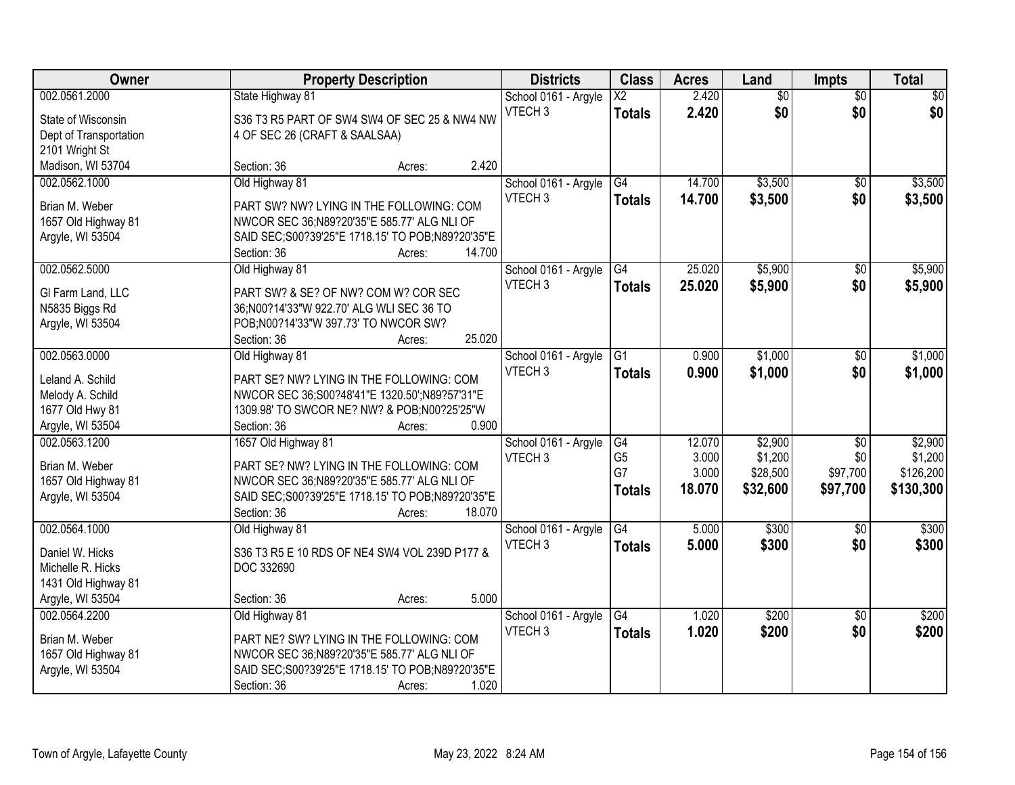| Owner                  | <b>Property Description</b>                        | <b>Districts</b>     | <b>Class</b>             | <b>Acres</b> | Land            | <b>Impts</b>    | <b>Total</b>    |
|------------------------|----------------------------------------------------|----------------------|--------------------------|--------------|-----------------|-----------------|-----------------|
| 002.0561.2000          | State Highway 81                                   | School 0161 - Argyle | $\overline{\mathsf{X2}}$ | 2.420        | $\overline{50}$ | $\overline{50}$ | $\overline{30}$ |
| State of Wisconsin     | S36 T3 R5 PART OF SW4 SW4 OF SEC 25 & NW4 NW       | VTECH <sub>3</sub>   | <b>Totals</b>            | 2.420        | \$0             | \$0             | \$0             |
| Dept of Transportation | 4 OF SEC 26 (CRAFT & SAALSAA)                      |                      |                          |              |                 |                 |                 |
| 2101 Wright St         |                                                    |                      |                          |              |                 |                 |                 |
| Madison, WI 53704      | 2.420<br>Section: 36<br>Acres:                     |                      |                          |              |                 |                 |                 |
| 002.0562.1000          | Old Highway 81                                     | School 0161 - Argyle | G4                       | 14.700       | \$3,500         | $\overline{50}$ | \$3,500         |
| Brian M. Weber         | PART SW? NW? LYING IN THE FOLLOWING: COM           | VTECH <sub>3</sub>   | <b>Totals</b>            | 14.700       | \$3,500         | \$0             | \$3,500         |
| 1657 Old Highway 81    | NWCOR SEC 36;N89?20'35"E 585.77' ALG NLI OF        |                      |                          |              |                 |                 |                 |
| Argyle, WI 53504       | SAID SEC; S00?39'25"E 1718.15' TO POB; N89?20'35"E |                      |                          |              |                 |                 |                 |
|                        | Section: 36<br>14.700<br>Acres:                    |                      |                          |              |                 |                 |                 |
| 002.0562.5000          | Old Highway 81                                     | School 0161 - Argyle | G4                       | 25.020       | \$5,900         | \$0             | \$5,900         |
|                        |                                                    | VTECH <sub>3</sub>   | <b>Totals</b>            | 25.020       | \$5,900         | \$0             | \$5,900         |
| GI Farm Land, LLC      | PART SW? & SE? OF NW? COM W? COR SEC               |                      |                          |              |                 |                 |                 |
| N5835 Biggs Rd         | 36;N00?14'33"W 922.70' ALG WLI SEC 36 TO           |                      |                          |              |                 |                 |                 |
| Argyle, WI 53504       | POB;N00?14'33"W 397.73' TO NWCOR SW?               |                      |                          |              |                 |                 |                 |
|                        | 25.020<br>Section: 36<br>Acres:                    |                      |                          |              |                 |                 |                 |
| 002.0563.0000          | Old Highway 81                                     | School 0161 - Argyle | G1                       | 0.900        | \$1,000         | \$0             | \$1,000         |
| Leland A. Schild       | PART SE? NW? LYING IN THE FOLLOWING: COM           | VTECH <sub>3</sub>   | <b>Totals</b>            | 0.900        | \$1,000         | \$0             | \$1,000         |
| Melody A. Schild       | NWCOR SEC 36;S00?48'41"E 1320.50';N89?57'31"E      |                      |                          |              |                 |                 |                 |
| 1677 Old Hwy 81        | 1309.98' TO SWCOR NE? NW? & POB;N00?25'25"W        |                      |                          |              |                 |                 |                 |
| Argyle, WI 53504       | 0.900<br>Section: 36<br>Acres:                     |                      |                          |              |                 |                 |                 |
| 002.0563.1200          | 1657 Old Highway 81                                | School 0161 - Argyle | G4                       | 12.070       | \$2,900         | $\overline{50}$ | \$2,900         |
| Brian M. Weber         | PART SE? NW? LYING IN THE FOLLOWING: COM           | VTECH <sub>3</sub>   | G <sub>5</sub>           | 3.000        | \$1,200         | \$0             | \$1,200         |
| 1657 Old Highway 81    | NWCOR SEC 36; N89?20'35"E 585.77' ALG NLI OF       |                      | G7                       | 3.000        | \$28,500        | \$97,700        | \$126,200       |
| Argyle, WI 53504       | SAID SEC; S00?39'25"E 1718.15' TO POB; N89?20'35"E |                      | <b>Totals</b>            | 18.070       | \$32,600        | \$97,700        | \$130,300       |
|                        | 18.070<br>Section: 36<br>Acres:                    |                      |                          |              |                 |                 |                 |
| 002.0564.1000          | Old Highway 81                                     | School 0161 - Argyle | G4                       | 5.000        | \$300           | \$0             | \$300           |
|                        |                                                    | VTECH <sub>3</sub>   | <b>Totals</b>            | 5.000        | \$300           | \$0             | \$300           |
| Daniel W. Hicks        | S36 T3 R5 E 10 RDS OF NE4 SW4 VOL 239D P177 &      |                      |                          |              |                 |                 |                 |
| Michelle R. Hicks      | DOC 332690                                         |                      |                          |              |                 |                 |                 |
| 1431 Old Highway 81    |                                                    |                      |                          |              |                 |                 |                 |
| Argyle, WI 53504       | 5.000<br>Section: 36<br>Acres:                     |                      |                          |              |                 |                 |                 |
| 002.0564.2200          | Old Highway 81                                     | School 0161 - Argyle | $\overline{G4}$          | 1.020        | \$200           | $\overline{30}$ | \$200           |
| Brian M. Weber         | PART NE? SW? LYING IN THE FOLLOWING: COM           | VTECH <sub>3</sub>   | <b>Totals</b>            | 1.020        | \$200           | \$0             | \$200           |
| 1657 Old Highway 81    | NWCOR SEC 36;N89?20'35"E 585.77' ALG NLI OF        |                      |                          |              |                 |                 |                 |
| Argyle, WI 53504       | SAID SEC; S00?39'25"E 1718.15' TO POB; N89?20'35"E |                      |                          |              |                 |                 |                 |
|                        | 1.020<br>Section: 36<br>Acres:                     |                      |                          |              |                 |                 |                 |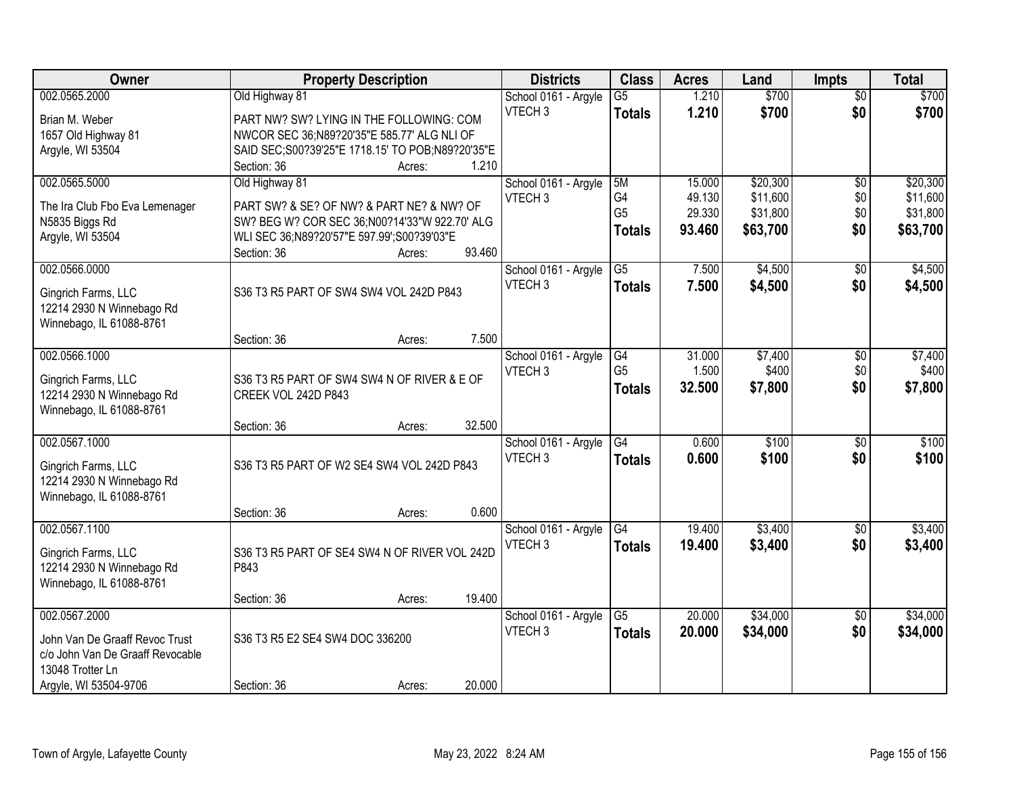| Owner                            | <b>Property Description</b>                        |        |        | <b>Districts</b>     | <b>Class</b>    | <b>Acres</b> | Land     | <b>Impts</b>    | <b>Total</b> |
|----------------------------------|----------------------------------------------------|--------|--------|----------------------|-----------------|--------------|----------|-----------------|--------------|
| 002.0565.2000                    | Old Highway 81                                     |        |        | School 0161 - Argyle | $\overline{G5}$ | 1.210        | \$700    | $\overline{50}$ | \$700        |
| Brian M. Weber                   | PART NW? SW? LYING IN THE FOLLOWING: COM           |        |        | VTECH <sub>3</sub>   | <b>Totals</b>   | 1.210        | \$700    | \$0             | \$700        |
| 1657 Old Highway 81              | NWCOR SEC 36;N89?20'35"E 585.77' ALG NLI OF        |        |        |                      |                 |              |          |                 |              |
| Argyle, WI 53504                 | SAID SEC; S00?39'25"E 1718.15' TO POB; N89?20'35"E |        |        |                      |                 |              |          |                 |              |
|                                  | Section: 36                                        | Acres: | 1.210  |                      |                 |              |          |                 |              |
| 002.0565.5000                    | Old Highway 81                                     |        |        | School 0161 - Argyle | 5M              | 15.000       | \$20,300 | \$0             | \$20,300     |
| The Ira Club Fbo Eva Lemenager   | PART SW? & SE? OF NW? & PART NE? & NW? OF          |        |        | VTECH <sub>3</sub>   | G4              | 49.130       | \$11,600 | \$0             | \$11,600     |
| N5835 Biggs Rd                   | SW? BEG W? COR SEC 36;N00?14'33"W 922.70' ALG      |        |        |                      | G <sub>5</sub>  | 29.330       | \$31,800 | \$0             | \$31,800     |
| Argyle, WI 53504                 | WLI SEC 36;N89?20'57"E 597.99';S00?39'03"E         |        |        |                      | <b>Totals</b>   | 93.460       | \$63,700 | \$0             | \$63,700     |
|                                  | Section: 36                                        | Acres: | 93.460 |                      |                 |              |          |                 |              |
| 002.0566.0000                    |                                                    |        |        | School 0161 - Argyle | $\overline{G5}$ | 7.500        | \$4,500  | \$0             | \$4,500      |
| Gingrich Farms, LLC              | S36 T3 R5 PART OF SW4 SW4 VOL 242D P843            |        |        | VTECH <sub>3</sub>   | <b>Totals</b>   | 7.500        | \$4,500  | \$0             | \$4,500      |
| 12214 2930 N Winnebago Rd        |                                                    |        |        |                      |                 |              |          |                 |              |
| Winnebago, IL 61088-8761         |                                                    |        |        |                      |                 |              |          |                 |              |
|                                  | Section: 36                                        | Acres: | 7.500  |                      |                 |              |          |                 |              |
| 002.0566.1000                    |                                                    |        |        | School 0161 - Argyle | G4              | 31.000       | \$7,400  | $\sqrt[6]{3}$   | \$7,400      |
| Gingrich Farms, LLC              | S36 T3 R5 PART OF SW4 SW4 N OF RIVER & E OF        |        |        | VTECH <sub>3</sub>   | G <sub>5</sub>  | 1.500        | \$400    | \$0             | \$400        |
| 12214 2930 N Winnebago Rd        | CREEK VOL 242D P843                                |        |        |                      | <b>Totals</b>   | 32.500       | \$7,800  | \$0             | \$7,800      |
| Winnebago, IL 61088-8761         |                                                    |        |        |                      |                 |              |          |                 |              |
|                                  | Section: 36                                        | Acres: | 32.500 |                      |                 |              |          |                 |              |
| 002.0567.1000                    |                                                    |        |        | School 0161 - Argyle | $\overline{G4}$ | 0.600        | \$100    | $\overline{50}$ | \$100        |
| Gingrich Farms, LLC              | S36 T3 R5 PART OF W2 SE4 SW4 VOL 242D P843         |        |        | VTECH <sub>3</sub>   | <b>Totals</b>   | 0.600        | \$100    | \$0             | \$100        |
| 12214 2930 N Winnebago Rd        |                                                    |        |        |                      |                 |              |          |                 |              |
| Winnebago, IL 61088-8761         |                                                    |        |        |                      |                 |              |          |                 |              |
|                                  | Section: 36                                        | Acres: | 0.600  |                      |                 |              |          |                 |              |
| 002.0567.1100                    |                                                    |        |        | School 0161 - Argyle | G4              | 19.400       | \$3,400  | \$0             | \$3,400      |
| Gingrich Farms, LLC              | S36 T3 R5 PART OF SE4 SW4 N OF RIVER VOL 242D      |        |        | VTECH <sub>3</sub>   | <b>Totals</b>   | 19,400       | \$3,400  | \$0             | \$3,400      |
| 12214 2930 N Winnebago Rd        | P843                                               |        |        |                      |                 |              |          |                 |              |
| Winnebago, IL 61088-8761         |                                                    |        |        |                      |                 |              |          |                 |              |
|                                  | Section: 36                                        | Acres: | 19.400 |                      |                 |              |          |                 |              |
| 002.0567.2000                    |                                                    |        |        | School 0161 - Argyle | $\overline{G5}$ | 20.000       | \$34,000 | $\overline{30}$ | \$34,000     |
| John Van De Graaff Revoc Trust   | S36 T3 R5 E2 SE4 SW4 DOC 336200                    |        |        | VTECH <sub>3</sub>   | <b>Totals</b>   | 20.000       | \$34,000 | \$0             | \$34,000     |
| c/o John Van De Graaff Revocable |                                                    |        |        |                      |                 |              |          |                 |              |
| 13048 Trotter Ln                 |                                                    |        |        |                      |                 |              |          |                 |              |
| Argyle, WI 53504-9706            | Section: 36                                        | Acres: | 20.000 |                      |                 |              |          |                 |              |